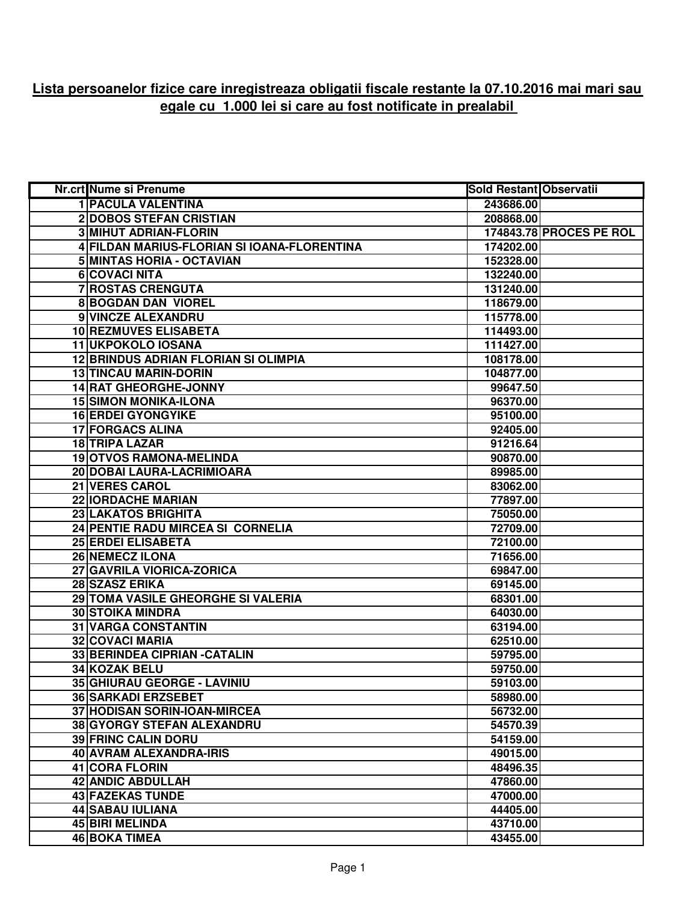## **Lista persoanelor fizice care inregistreaza obligatii fiscale restante la 07.10.2016 mai mari sau egale cu 1.000 lei si care au fost notificate in prealabil**

| Nr.crt Nume si Prenume                      | Sold Restant Observatii |                         |
|---------------------------------------------|-------------------------|-------------------------|
| <b>1 PACULA VALENTINA</b>                   | 243686.00               |                         |
| <b>2DOBOS STEFAN CRISTIAN</b>               | 208868.00               |                         |
| <b>3 MIHUT ADRIAN-FLORIN</b>                |                         | 174843.78 PROCES PE ROL |
| 4 FILDAN MARIUS-FLORIAN SI IOANA-FLORENTINA | 174202.00               |                         |
| 5 MINTAS HORIA - OCTAVIAN                   | 152328.00               |                         |
| 6 COVACI NITA                               | 132240.00               |                         |
| 7 ROSTAS CRENGUTA                           | 131240.00               |                         |
| <b>8 BOGDAN DAN VIOREL</b>                  | 118679.00               |                         |
| 9 VINCZE ALEXANDRU                          | 115778.00               |                         |
| 10 REZMUVES ELISABETA                       | 114493.00               |                         |
| 11 UKPOKOLO IOSANA                          | 111427.00               |                         |
| 12 BRINDUS ADRIAN FLORIAN SI OLIMPIA        | 108178.00               |                         |
| <b>13 TINCAU MARIN-DORIN</b>                | 104877.00               |                         |
| 14 RAT GHEORGHE-JONNY                       | 99647.50                |                         |
| <b>15 SIMON MONIKA-ILONA</b>                | 96370.00                |                         |
| <b>16 ERDEI GYONGYIKE</b>                   | 95100.00                |                         |
| <b>17 FORGACS ALINA</b>                     | 92405.00                |                         |
| <b>18 TRIPA LAZAR</b>                       | 91216.64                |                         |
| <b>19 OTVOS RAMONA-MELINDA</b>              | 90870.00                |                         |
| 20 DOBAI LAURA-LACRIMIOARA                  | 89985.00                |                         |
| <b>21 VERES CAROL</b>                       | 83062.00                |                         |
| <b>22 IORDACHE MARIAN</b>                   | 77897.00                |                         |
| 23 LAKATOS BRIGHITA                         | 75050.00                |                         |
| 24 PENTIE RADU MIRCEA SI CORNELIA           | 72709.00                |                         |
| <b>25 ERDEI ELISABETA</b>                   | 72100.00                |                         |
| <b>26 NEMECZ ILONA</b>                      | 71656.00                |                         |
| 27 GAVRILA VIORICA-ZORICA                   | 69847.00                |                         |
| 28 SZASZ ERIKA                              | 69145.00                |                         |
| 29 TOMA VASILE GHEORGHE SI VALERIA          | 68301.00                |                         |
| <b>30 STOIKA MINDRA</b>                     | 64030.00                |                         |
| 31 VARGA CONSTANTIN                         | 63194.00                |                         |
| <b>32 COVACI MARIA</b>                      | 62510.00                |                         |
| 33 BERINDEA CIPRIAN - CATALIN               | 59795.00                |                         |
| 34 KOZAK BELU                               | 59750.00                |                         |
| 35 GHIURAU GEORGE - LAVINIU                 | 59103.00                |                         |
| <b>36 SARKADI ERZSEBET</b>                  | 58980.00                |                         |
| 37 HODISAN SORIN-IOAN-MIRCEA                | 56732.00                |                         |
| 38 GYORGY STEFAN ALEXANDRU                  | 54570.39                |                         |
| <b>39 FRINC CALIN DORU</b>                  | 54159.00                |                         |
| 40 AVRAM ALEXANDRA-IRIS                     | 49015.00                |                         |
| 41 CORA FLORIN                              | 48496.35                |                         |
| <b>42 ANDIC ABDULLAH</b>                    | 47860.00                |                         |
| <b>43 FAZEKAS TUNDE</b>                     | 47000.00                |                         |
| 44 SABAU IULIANA                            | 44405.00                |                         |
| 45 BIRI MELINDA                             | 43710.00                |                         |
| 46 BOKA TIMEA                               | 43455.00                |                         |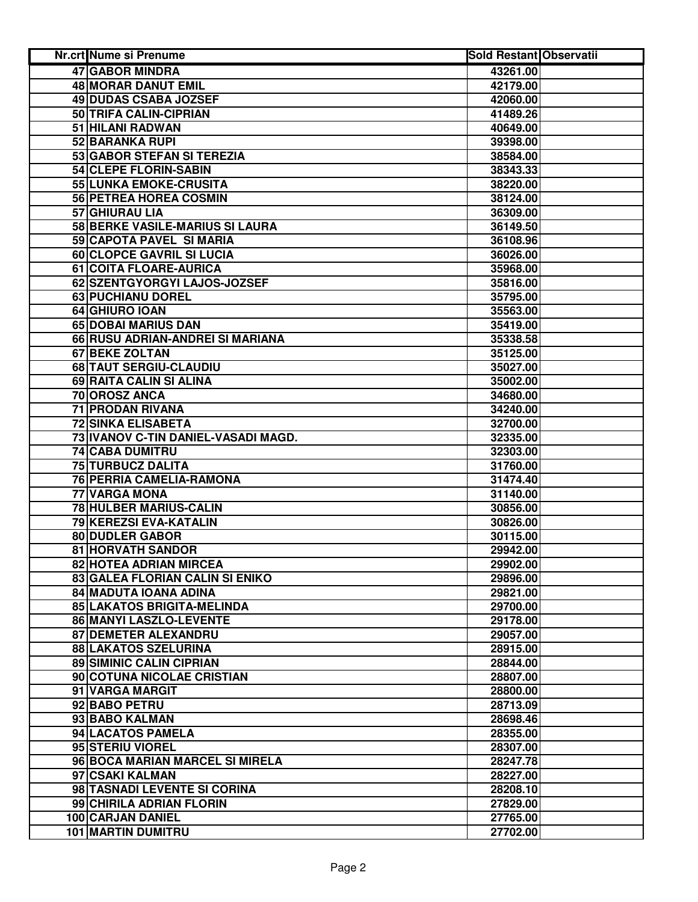| <b>Nr.crt Nume si Prenume</b>       | <b>Sold Restant Observatii</b> |  |
|-------------------------------------|--------------------------------|--|
| <b>47 GABOR MINDRA</b>              | 43261.00                       |  |
| 48 MORAR DANUT EMIL                 | 42179.00                       |  |
| 49 DUDAS CSABA JOZSEF               | 42060.00                       |  |
| 50 TRIFA CALIN-CIPRIAN              | 41489.26                       |  |
| 51 HILANI RADWAN                    | 40649.00                       |  |
| 52 BARANKA RUPI                     | 39398.00                       |  |
| 53 GABOR STEFAN SI TEREZIA          | 38584.00                       |  |
| 54 CLEPE FLORIN-SABIN               | 38343.33                       |  |
| 55 LUNKA EMOKE-CRUSITA              | 38220.00                       |  |
| 56 PETREA HOREA COSMIN              | 38124.00                       |  |
| 57 GHIURAU LIA                      | 36309.00                       |  |
| 58 BERKE VASILE-MARIUS SI LAURA     | 36149.50                       |  |
| 59 CAPOTA PAVEL SI MARIA            | 36108.96                       |  |
| 60 CLOPCE GAVRIL SI LUCIA           | 36026.00                       |  |
| 61 COITA FLOARE-AURICA              | 35968.00                       |  |
| 62 SZENTGYORGYI LAJOS-JOZSEF        | 35816.00                       |  |
| 63 PUCHIANU DOREL                   | 35795.00                       |  |
| 64 GHIURO IOAN                      | 35563.00                       |  |
| 65 DOBAI MARIUS DAN                 | 35419.00                       |  |
| 66 RUSU ADRIAN-ANDREI SI MARIANA    | 35338.58                       |  |
| <b>67 BEKE ZOLTAN</b>               | 35125.00                       |  |
| 68 TAUT SERGIU-CLAUDIU              | 35027.00                       |  |
| 69 RAITA CALIN SI ALINA             | 35002.00                       |  |
| 70 OROSZ ANCA                       | 34680.00                       |  |
| <b>71 PRODAN RIVANA</b>             | 34240.00                       |  |
| <b>72 SINKA ELISABETA</b>           | 32700.00                       |  |
| 73 IVANOV C-TIN DANIEL-VASADI MAGD. | 32335.00                       |  |
| 74 CABA DUMITRU                     | 32303.00                       |  |
| 75 TURBUCZ DALITA                   | 31760.00                       |  |
| 76 PERRIA CAMELIA-RAMONA            | 31474.40                       |  |
| 77 VARGA MONA                       | 31140.00                       |  |
| 78 HULBER MARIUS-CALIN              | 30856.00                       |  |
| 79 KEREZSI EVA-KATALIN              | 30826.00                       |  |
| 80 DUDLER GABOR                     | 30115.00                       |  |
| 81 HORVATH SANDOR                   | 29942.00                       |  |
| 82 HOTEA ADRIAN MIRCEA              | 29902.00                       |  |
| 83 GALEA FLORIAN CALIN SI ENIKO     | 29896.00                       |  |
| 84 MADUTA IOANA ADINA               | 29821.00                       |  |
| 85 LAKATOS BRIGITA-MELINDA          | 29700.00                       |  |
| 86 MANYI LASZLO-LEVENTE             | 29178.00                       |  |
| <b>87 DEMETER ALEXANDRU</b>         | 29057.00                       |  |
| 88 LAKATOS SZELURINA                | 28915.00                       |  |
| <b>89 SIMINIC CALIN CIPRIAN</b>     | 28844.00                       |  |
| 90 COTUNA NICOLAE CRISTIAN          | 28807.00                       |  |
| 91 VARGA MARGIT                     | 28800.00                       |  |
| 92 BABO PETRU                       | 28713.09                       |  |
| 93 BABO KALMAN                      | 28698.46                       |  |
| 94 LACATOS PAMELA                   | 28355.00                       |  |
| 95 STERIU VIOREL                    | 28307.00                       |  |
| 96 BOCA MARIAN MARCEL SI MIRELA     | 28247.78                       |  |
| 97 CSAKI KALMAN                     | 28227.00                       |  |
| 98 TASNADI LEVENTE SI CORINA        | 28208.10                       |  |
| 99 CHIRILA ADRIAN FLORIN            | 27829.00                       |  |
| 100 CARJAN DANIEL                   |                                |  |
| <b>101 MARTIN DUMITRU</b>           | 27765.00                       |  |
|                                     | 27702.00                       |  |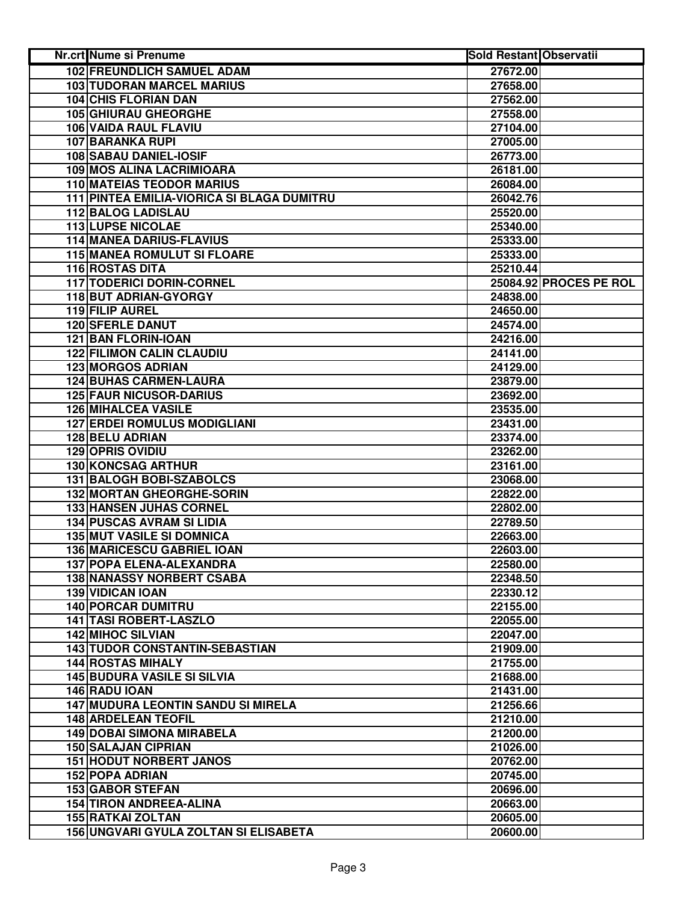| Nr.crt Nume si Prenume                     | <b>Sold Restant Observatii</b> |                        |
|--------------------------------------------|--------------------------------|------------------------|
| <b>102 FREUNDLICH SAMUEL ADAM</b>          | 27672.00                       |                        |
| <b>103 TUDORAN MARCEL MARIUS</b>           | 27658.00                       |                        |
| 104 CHIS FLORIAN DAN                       | 27562.00                       |                        |
| <b>105 GHIURAU GHEORGHE</b>                | 27558.00                       |                        |
| 106 VAIDA RAUL FLAVIU                      | 27104.00                       |                        |
| 107 BARANKA RUPI                           | 27005.00                       |                        |
| 108 SABAU DANIEL-IOSIF                     | 26773.00                       |                        |
| 109 MOS ALINA LACRIMIOARA                  | 26181.00                       |                        |
| <b>110 MATEIAS TEODOR MARIUS</b>           | 26084.00                       |                        |
| 111 PINTEA EMILIA-VIORICA SI BLAGA DUMITRU | 26042.76                       |                        |
| <b>112 BALOG LADISLAU</b>                  | 25520.00                       |                        |
| <b>113 LUPSE NICOLAE</b>                   | 25340.00                       |                        |
| <b>114 MANEA DARIUS-FLAVIUS</b>            | 25333.00                       |                        |
| <b>115 MANEA ROMULUT SI FLOARE</b>         | 25333.00                       |                        |
| <b>116 ROSTAS DITA</b>                     | 25210.44                       |                        |
| 117 TODERICI DORIN-CORNEL                  |                                | 25084.92 PROCES PE ROL |
| <b>118 BUT ADRIAN-GYORGY</b>               | 24838.00                       |                        |
| 119 FILIP AUREL                            | 24650.00                       |                        |
| <b>120 SFERLE DANUT</b>                    | 24574.00                       |                        |
| 121 BAN FLORIN-IOAN                        | 24216.00                       |                        |
| <b>122 FILIMON CALIN CLAUDIU</b>           | 24141.00                       |                        |
| <b>123 MORGOS ADRIAN</b>                   | 24129.00                       |                        |
| <b>124 BUHAS CARMEN-LAURA</b>              | 23879.00                       |                        |
| <b>125 FAUR NICUSOR-DARIUS</b>             | 23692.00                       |                        |
| <b>126 MIHALCEA VASILE</b>                 | 23535.00                       |                        |
| <b>127 ERDEI ROMULUS MODIGLIANI</b>        | 23431.00                       |                        |
| 128 BELU ADRIAN                            | 23374.00                       |                        |
| <b>129 OPRIS OVIDIU</b>                    | 23262.00                       |                        |
| 130 KONCSAG ARTHUR                         | 23161.00                       |                        |
| 131 BALOGH BOBI-SZABOLCS                   | 23068.00                       |                        |
| <b>132 MORTAN GHEORGHE-SORIN</b>           | 22822.00                       |                        |
| <b>133 HANSEN JUHAS CORNEL</b>             | 22802.00                       |                        |
| <b>134 PUSCAS AVRAM SI LIDIA</b>           | 22789.50                       |                        |
| <b>135 MUT VASILE SI DOMNICA</b>           | 22663.00                       |                        |
| 136 MARICESCU GABRIEL IOAN                 | 22603.00                       |                        |
| 137 POPA ELENA-ALEXANDRA                   | 22580.00                       |                        |
| <b>138 NANASSY NORBERT CSABA</b>           | 22348.50                       |                        |
| <b>139 VIDICAN IOAN</b>                    | 22330.12                       |                        |
| <b>140 PORCAR DUMITRU</b>                  | 22155.00                       |                        |
| 141 TASI ROBERT-LASZLO                     | 22055.00                       |                        |
| <b>142 MIHOC SILVIAN</b>                   | 22047.00                       |                        |
| <b>143 TUDOR CONSTANTIN-SEBASTIAN</b>      | 21909.00                       |                        |
| <b>144 ROSTAS MIHALY</b>                   | 21755.00                       |                        |
| <b>145 BUDURA VASILE SI SILVIA</b>         | 21688.00                       |                        |
| 146 RADU IOAN                              | 21431.00                       |                        |
| <b>147 MUDURA LEONTIN SANDU SI MIRELA</b>  | 21256.66                       |                        |
| <b>148 ARDELEAN TEOFIL</b>                 | 21210.00                       |                        |
| <b>149 DOBAI SIMONA MIRABELA</b>           | 21200.00                       |                        |
| <b>150 SALAJAN CIPRIAN</b>                 | 21026.00                       |                        |
| <b>151 HODUT NORBERT JANOS</b>             | 20762.00                       |                        |
| <b>152 POPA ADRIAN</b>                     | 20745.00                       |                        |
| <b>153 GABOR STEFAN</b>                    | 20696.00                       |                        |
| <b>154 TIRON ANDREEA-ALINA</b>             | 20663.00                       |                        |
| <b>155 RATKAI ZOLTAN</b>                   | 20605.00                       |                        |
| 156 UNGVARI GYULA ZOLTAN SI ELISABETA      | 20600.00                       |                        |
|                                            |                                |                        |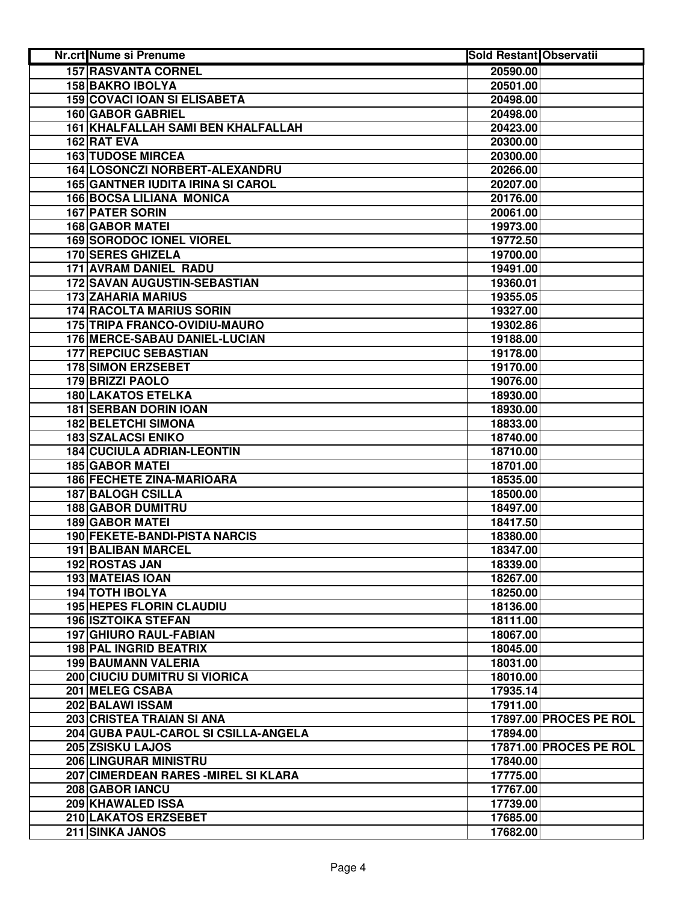| Nr.crt Nume si Prenume                   | <b>Sold Restant Observatii</b> |                        |
|------------------------------------------|--------------------------------|------------------------|
| <b>157 RASVANTA CORNEL</b>               | 20590.00                       |                        |
| <b>158 BAKRO IBOLYA</b>                  | 20501.00                       |                        |
| <b>159 COVACI IOAN SI ELISABETA</b>      | 20498.00                       |                        |
| <b>160 GABOR GABRIEL</b>                 | 20498.00                       |                        |
| 161 KHALFALLAH SAMI BEN KHALFALLAH       | 20423.00                       |                        |
| 162 RAT EVA                              | 20300.00                       |                        |
| <b>163 TUDOSE MIRCEA</b>                 | 20300.00                       |                        |
| 164 LOSONCZI NORBERT-ALEXANDRU           | 20266.00                       |                        |
| <b>165 GANTNER IUDITA IRINA SI CAROL</b> | 20207.00                       |                        |
| <b>166 BOCSA LILIANA MONICA</b>          | 20176.00                       |                        |
| 167 PATER SORIN                          | 20061.00                       |                        |
| <b>168 GABOR MATEI</b>                   | 19973.00                       |                        |
| <b>169 SORODOC IONEL VIOREL</b>          | 19772.50                       |                        |
| 170 SERES GHIZELA                        | 19700.00                       |                        |
| 171 AVRAM DANIEL RADU                    | 19491.00                       |                        |
| 172 SAVAN AUGUSTIN-SEBASTIAN             | 19360.01                       |                        |
| <b>173 ZAHARIA MARIUS</b>                | 19355.05                       |                        |
| <b>174 RACOLTA MARIUS SORIN</b>          | 19327.00                       |                        |
| 175 TRIPA FRANCO-OVIDIU-MAURO            | 19302.86                       |                        |
| 176 MERCE-SABAU DANIEL-LUCIAN            | 19188.00                       |                        |
| 177 REPCIUC SEBASTIAN                    | 19178.00                       |                        |
| <b>178 SIMON ERZSEBET</b>                | 19170.00                       |                        |
| <b>179 BRIZZI PAOLO</b>                  | 19076.00                       |                        |
| <b>180 LAKATOS ETELKA</b>                | 18930.00                       |                        |
| <b>181 SERBAN DORIN IOAN</b>             | 18930.00                       |                        |
| <b>182 BELETCHI SIMONA</b>               | 18833.00                       |                        |
| <b>183 SZALACSI ENIKO</b>                | 18740.00                       |                        |
| <b>184 CUCIULA ADRIAN-LEONTIN</b>        | 18710.00                       |                        |
| <b>185 GABOR MATEI</b>                   | 18701.00                       |                        |
| <b>186 FECHETE ZINA-MARIOARA</b>         | 18535.00                       |                        |
| <b>187 BALOGH CSILLA</b>                 | 18500.00                       |                        |
| <b>188 GABOR DUMITRU</b>                 | 18497.00                       |                        |
| <b>189 GABOR MATEI</b>                   | 18417.50                       |                        |
| 190 FEKETE-BANDI-PISTA NARCIS            | 18380.00                       |                        |
| <b>191 BALIBAN MARCEL</b>                | 18347.00                       |                        |
| 192 ROSTAS JAN                           | 18339.00                       |                        |
| 193 MATEIAS IOAN                         | 18267.00                       |                        |
| <b>194 TOTH IBOLYA</b>                   | 18250.00                       |                        |
| <b>195 HEPES FLORIN CLAUDIU</b>          | 18136.00                       |                        |
| <b>196 ISZTOIKA STEFAN</b>               | 18111.00                       |                        |
| <b>197 GHIURO RAUL-FABIAN</b>            | 18067.00                       |                        |
| 198 PAL INGRID BEATRIX                   | 18045.00                       |                        |
| <b>199 BAUMANN VALERIA</b>               | 18031.00                       |                        |
| <b>200 CIUCIU DUMITRU SI VIORICA</b>     | 18010.00                       |                        |
| 201 MELEG CSABA                          | 17935.14                       |                        |
| 202 BALAWI ISSAM                         | 17911.00                       |                        |
| 203 CRISTEA TRAIAN SI ANA                |                                | 17897.00 PROCES PE ROL |
| 204 GUBA PAUL-CAROL SI CSILLA-ANGELA     | 17894.00                       |                        |
| 205 ZSISKU LAJOS                         |                                | 17871.00 PROCES PE ROL |
| <b>206 LINGURAR MINISTRU</b>             | 17840.00                       |                        |
| 207 CIMERDEAN RARES - MIREL SI KLARA     | 17775.00                       |                        |
| 208 GABOR IANCU                          | 17767.00                       |                        |
| 209 KHAWALED ISSA                        | 17739.00                       |                        |
| 210 LAKATOS ERZSEBET                     | 17685.00                       |                        |
| 211 SINKA JANOS                          | 17682.00                       |                        |
|                                          |                                |                        |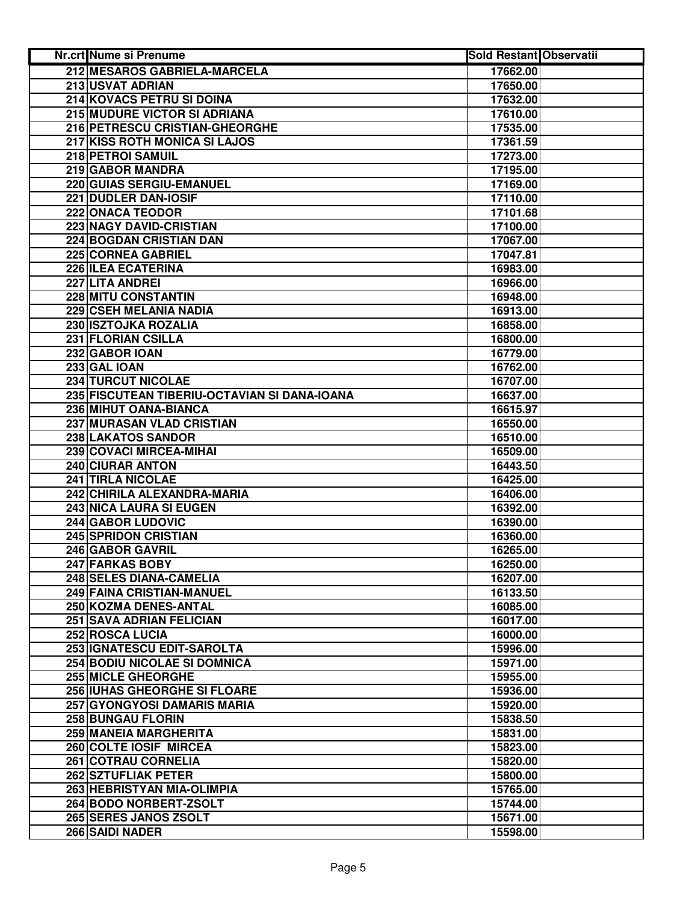| Nr.crt Nume si Prenume                       | <b>Sold Restant Observatii</b> |  |
|----------------------------------------------|--------------------------------|--|
| 212 MESAROS GABRIELA-MARCELA                 | 17662.00                       |  |
| 213 USVAT ADRIAN                             | 17650.00                       |  |
| 214 KOVACS PETRU SI DOINA                    | 17632.00                       |  |
| 215 MUDURE VICTOR SI ADRIANA                 | 17610.00                       |  |
| 216 PETRESCU CRISTIAN-GHEORGHE               | 17535.00                       |  |
| 217 KISS ROTH MONICA SI LAJOS                | 17361.59                       |  |
| 218 PETROI SAMUIL                            | 17273.00                       |  |
| 219 GABOR MANDRA                             | 17195.00                       |  |
| 220 GUIAS SERGIU-EMANUEL                     | 17169.00                       |  |
| 221 DUDLER DAN-IOSIF                         | 17110.00                       |  |
| 222 ONACA TEODOR                             | 17101.68                       |  |
| 223 NAGY DAVID-CRISTIAN                      | 17100.00                       |  |
| <b>224 BOGDAN CRISTIAN DAN</b>               | 17067.00                       |  |
| <b>225 CORNEA GABRIEL</b>                    | 17047.81                       |  |
| 226 ILEA ECATERINA                           | 16983.00                       |  |
| 227 LITA ANDREI                              | 16966.00                       |  |
| 228 MITU CONSTANTIN                          | 16948.00                       |  |
| 229 CSEH MELANIA NADIA                       | 16913.00                       |  |
| 230 ISZTOJKA ROZALIA                         | 16858.00                       |  |
| 231 FLORIAN CSILLA                           | 16800.00                       |  |
| 232 GABOR IOAN                               | 16779.00                       |  |
| <b>233 GAL IOAN</b>                          | 16762.00                       |  |
| <b>234 TURCUT NICOLAE</b>                    | 16707.00                       |  |
| 235 FISCUTEAN TIBERIU-OCTAVIAN SI DANA-IOANA | 16637.00                       |  |
| 236 MIHUT OANA-BIANCA                        | 16615.97                       |  |
| <b>237 MURASAN VLAD CRISTIAN</b>             | 16550.00                       |  |
| 238 LAKATOS SANDOR                           | 16510.00                       |  |
| 239 COVACI MIRCEA-MIHAI                      | 16509.00                       |  |
| <b>240 CIURAR ANTON</b>                      | 16443.50                       |  |
| 241 TIRLA NICOLAE                            | 16425.00                       |  |
| 242 CHIRILA ALEXANDRA-MARIA                  | 16406.00                       |  |
| <b>243 NICA LAURA SI EUGEN</b>               | 16392.00                       |  |
| 244 GABOR LUDOVIC                            | 16390.00                       |  |
| 245 SPRIDON CRISTIAN                         | 16360.00                       |  |
| 246 GABOR GAVRIL                             | 16265.00                       |  |
| 247 FARKAS BOBY                              | 16250.00                       |  |
| 248 SELES DIANA-CAMELIA                      | 16207.00                       |  |
| 249 FAINA CRISTIAN-MANUEL                    | 16133.50                       |  |
| <b>250 KOZMA DENES-ANTAL</b>                 | 16085.00                       |  |
| <b>251 SAVA ADRIAN FELICIAN</b>              | 16017.00                       |  |
| 252 ROSCA LUCIA                              | 16000.00                       |  |
| 253 IGNATESCU EDIT-SAROLTA                   | 15996.00                       |  |
| <b>254 BODIU NICOLAE SI DOMNICA</b>          | 15971.00                       |  |
| <b>255 MICLE GHEORGHE</b>                    | 15955.00                       |  |
| 256 IUHAS GHEORGHE SI FLOARE                 | 15936.00                       |  |
| 257 GYONGYOSI DAMARIS MARIA                  | 15920.00                       |  |
| <b>258 BUNGAU FLORIN</b>                     | 15838.50                       |  |
| 259 MANEIA MARGHERITA                        | 15831.00                       |  |
| 260 COLTE IOSIF MIRCEA                       | 15823.00                       |  |
| <b>261 COTRAU CORNELIA</b>                   | 15820.00                       |  |
| 262 SZTUFLIAK PETER                          | 15800.00                       |  |
| 263 HEBRISTYAN MIA-OLIMPIA                   | 15765.00                       |  |
| 264 BODO NORBERT-ZSOLT                       | 15744.00                       |  |
| 265 SERES JANOS ZSOLT                        | 15671.00                       |  |
| 266 SAIDI NADER                              | 15598.00                       |  |
|                                              |                                |  |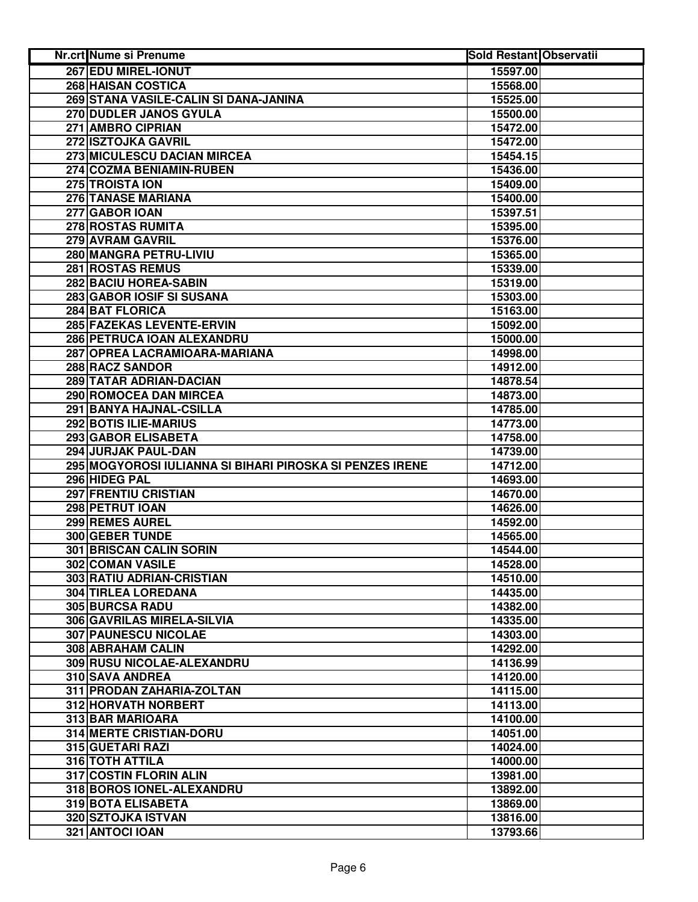| <b>Nr.crt Nume si Prenume</b>                            | <b>Sold Restant Observatii</b> |
|----------------------------------------------------------|--------------------------------|
| 267 EDU MIREL-IONUT                                      | 15597.00                       |
| 268 HAISAN COSTICA                                       | 15568.00                       |
| 269 STANA VASILE-CALIN SI DANA-JANINA                    | 15525.00                       |
| 270 DUDLER JANOS GYULA                                   | 15500.00                       |
| 271 AMBRO CIPRIAN                                        | 15472.00                       |
| 272 ISZTOJKA GAVRIL                                      | 15472.00                       |
| 273 MICULESCU DACIAN MIRCEA                              | 15454.15                       |
| 274 COZMA BENIAMIN-RUBEN                                 | 15436.00                       |
| 275 TROISTA ION                                          | 15409.00                       |
| 276 TANASE MARIANA                                       | 15400.00                       |
| 277 GABOR IOAN                                           | 15397.51                       |
| 278 ROSTAS RUMITA                                        | 15395.00                       |
| 279 AVRAM GAVRIL                                         | 15376.00                       |
| 280 MANGRA PETRU-LIVIU                                   | 15365.00                       |
| 281 ROSTAS REMUS                                         | 15339.00                       |
| <b>282 BACIU HOREA-SABIN</b>                             | 15319.00                       |
| 283 GABOR IOSIF SI SUSANA                                | 15303.00                       |
| 284 BAT FLORICA                                          | 15163.00                       |
| 285 FAZEKAS LEVENTE-ERVIN                                | 15092.00                       |
| 286 PETRUCA IOAN ALEXANDRU                               | 15000.00                       |
| 287 OPREA LACRAMIOARA-MARIANA                            | 14998.00                       |
| <b>288 RACZ SANDOR</b>                                   | 14912.00                       |
| 289 TATAR ADRIAN-DACIAN                                  | 14878.54                       |
| 290 ROMOCEA DAN MIRCEA                                   |                                |
|                                                          | 14873.00                       |
| 291 BANYA HAJNAL-CSILLA                                  | 14785.00                       |
| <b>292 BOTIS ILIE-MARIUS</b>                             | 14773.00                       |
| 293 GABOR ELISABETA                                      | 14758.00                       |
| 294 JURJAK PAUL-DAN                                      | 14739.00                       |
| 295 MOGYOROSI IULIANNA SI BIHARI PIROSKA SI PENZES IRENE | 14712.00                       |
| 296 HIDEG PAL                                            | 14693.00                       |
| 297 FRENTIU CRISTIAN                                     | 14670.00                       |
| 298 PETRUT IOAN                                          | 14626.00                       |
| 299 REMES AUREL                                          | 14592.00                       |
| 300 GEBER TUNDE                                          | 14565.00                       |
| 301 BRISCAN CALIN SORIN                                  | 14544.00                       |
| 302 COMAN VASILE                                         | 14528.00                       |
| 303 RATIU ADRIAN-CRISTIAN                                | 14510.00                       |
| <b>304 TIRLEA LOREDANA</b>                               | 14435.00                       |
| 305 BURCSA RADU                                          | 14382.00                       |
| 306 GAVRILAS MIRELA-SILVIA                               | 14335.00                       |
| <b>307 PAUNESCU NICOLAE</b>                              | 14303.00                       |
| 308 ABRAHAM CALIN                                        | 14292.00                       |
| 309 RUSU NICOLAE-ALEXANDRU                               | 14136.99                       |
| 310 SAVA ANDREA                                          | 14120.00                       |
| 311 PRODAN ZAHARIA-ZOLTAN                                | 14115.00                       |
| <b>312 HORVATH NORBERT</b>                               | 14113.00                       |
| 313 BAR MARIOARA                                         | 14100.00                       |
| <b>314 MERTE CRISTIAN-DORU</b>                           | 14051.00                       |
| 315 GUETARI RAZI                                         | 14024.00                       |
| <b>316 TOTH ATTILA</b>                                   | 14000.00                       |
| 317 COSTIN FLORIN ALIN                                   | 13981.00                       |
| 318 BOROS IONEL-ALEXANDRU                                | 13892.00                       |
| 319 BOTA ELISABETA                                       | 13869.00                       |
| 320 SZTOJKA ISTVAN                                       | 13816.00                       |
| 321 ANTOCI IOAN                                          | 13793.66                       |
|                                                          |                                |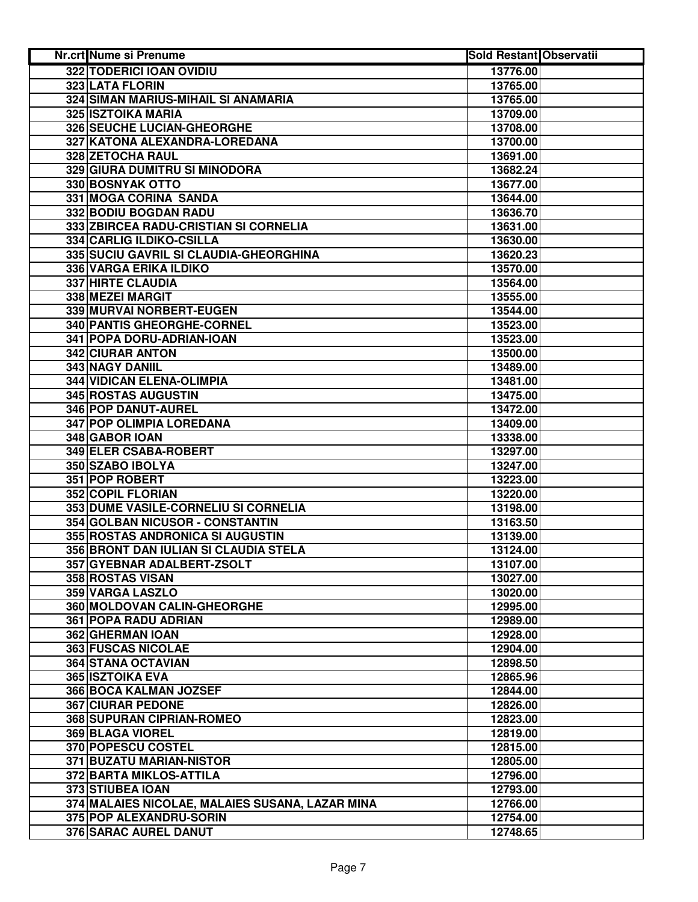| Nr.crt Nume si Prenume                          | <b>Sold Restant Observatii</b> |
|-------------------------------------------------|--------------------------------|
| 322 TODERICI IOAN OVIDIU                        | 13776.00                       |
| 323 LATA FLORIN                                 | 13765.00                       |
| 324 SIMAN MARIUS-MIHAIL SI ANAMARIA             | 13765.00                       |
| <b>325 ISZTOIKA MARIA</b>                       | 13709.00                       |
| 326 SEUCHE LUCIAN-GHEORGHE                      | 13708.00                       |
| 327 KATONA ALEXANDRA-LOREDANA                   | 13700.00                       |
| 328 ZETOCHA RAUL                                | 13691.00                       |
| 329 GIURA DUMITRU SI MINODORA                   | 13682.24                       |
| 330 BOSNYAK OTTO                                | 13677.00                       |
| 331 MOGA CORINA SANDA                           | 13644.00                       |
| 332 BODIU BOGDAN RADU                           | 13636.70                       |
| 333 ZBIRCEA RADU-CRISTIAN SI CORNELIA           | 13631.00                       |
| 334 CARLIG ILDIKO-CSILLA                        | 13630.00                       |
| 335 SUCIU GAVRIL SI CLAUDIA-GHEORGHINA          | 13620.23                       |
| 336 VARGA ERIKA ILDIKO                          | 13570.00                       |
| <b>337 HIRTE CLAUDIA</b>                        | 13564.00                       |
| 338 MEZEI MARGIT                                | 13555.00                       |
| 339 MURVAI NORBERT-EUGEN                        | 13544.00                       |
| 340 PANTIS GHEORGHE-CORNEL                      | 13523.00                       |
| 341 POPA DORU-ADRIAN-IOAN                       | 13523.00                       |
| <b>342 CIURAR ANTON</b>                         | 13500.00                       |
| 343 NAGY DANIIL                                 | 13489.00                       |
| <b>344 VIDICAN ELENA-OLIMPIA</b>                | 13481.00                       |
| <b>345 ROSTAS AUGUSTIN</b>                      | 13475.00                       |
| 346 POP DANUT-AUREL                             | 13472.00                       |
| 347 POP OLIMPIA LOREDANA                        | 13409.00                       |
| 348 GABOR IOAN                                  | 13338.00                       |
| 349 ELER CSABA-ROBERT                           | 13297.00                       |
| 350 SZABO IBOLYA                                | 13247.00                       |
| 351 POP ROBERT                                  | 13223.00                       |
| 352 COPIL FLORIAN                               | 13220.00                       |
| 353 DUME VASILE-CORNELIU SI CORNELIA            | 13198.00                       |
| 354 GOLBAN NICUSOR - CONSTANTIN                 | 13163.50                       |
| 355 ROSTAS ANDRONICA SI AUGUSTIN                | 13139.00                       |
| 356 BRONT DAN IULIAN SI CLAUDIA STELA           | 13124.00                       |
| 357 GYEBNAR ADALBERT-ZSOLT                      | 13107.00                       |
| 358 ROSTAS VISAN                                | 13027.00                       |
| 359 VARGA LASZLO                                | 13020.00                       |
| 360 MOLDOVAN CALIN-GHEORGHE                     | 12995.00                       |
| 361 POPA RADU ADRIAN                            | 12989.00                       |
| 362 GHERMAN IOAN                                | 12928.00                       |
| <b>363 FUSCAS NICOLAE</b>                       | 12904.00                       |
| 364 STANA OCTAVIAN                              | 12898.50                       |
| <b>365 ISZTOIKA EVA</b>                         | 12865.96                       |
| 366 BOCA KALMAN JOZSEF                          | 12844.00                       |
| <b>367 CIURAR PEDONE</b>                        | 12826.00                       |
| 368 SUPURAN CIPRIAN-ROMEO                       | 12823.00                       |
| <b>369 BLAGA VIOREL</b>                         | 12819.00                       |
| 370 POPESCU COSTEL                              | 12815.00                       |
| 371 BUZATU MARIAN-NISTOR                        | 12805.00                       |
| 372 BARTA MIKLOS-ATTILA                         | 12796.00                       |
| 373 STIUBEA IOAN                                | 12793.00                       |
| 374 MALAIES NICOLAE, MALAIES SUSANA, LAZAR MINA | 12766.00                       |
| 375 POP ALEXANDRU-SORIN                         | 12754.00                       |
| 376 SARAC AUREL DANUT                           | 12748.65                       |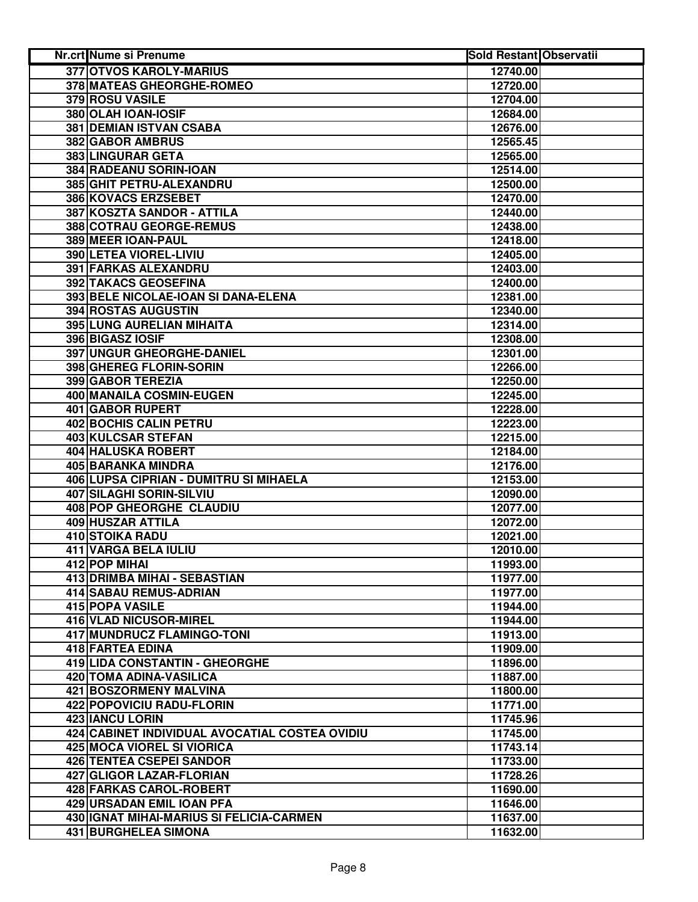| Nr.crt Nume si Prenume                         | <b>Sold Restant Observatii</b> |
|------------------------------------------------|--------------------------------|
| <b>377 OTVOS KAROLY-MARIUS</b>                 | 12740.00                       |
| <b>378 MATEAS GHEORGHE-ROMEO</b>               | 12720.00                       |
| 379 ROSU VASILE                                | 12704.00                       |
| 380 OLAH IOAN-IOSIF                            | 12684.00                       |
| 381 DEMIAN ISTVAN CSABA                        | 12676.00                       |
| 382 GABOR AMBRUS                               | 12565.45                       |
| 383 LINGURAR GETA                              | 12565.00                       |
| 384 RADEANU SORIN-IOAN                         | 12514.00                       |
| 385 GHIT PETRU-ALEXANDRU                       | 12500.00                       |
| 386 KOVACS ERZSEBET                            | 12470.00                       |
| 387 KOSZTA SANDOR - ATTILA                     | 12440.00                       |
| 388 COTRAU GEORGE-REMUS                        | 12438.00                       |
| 389 MEER IOAN-PAUL                             | 12418.00                       |
| 390 LETEA VIOREL-LIVIU                         | 12405.00                       |
| 391 FARKAS ALEXANDRU                           | 12403.00                       |
| 392 TAKACS GEOSEFINA                           | 12400.00                       |
| 393 BELE NICOLAE-IOAN SI DANA-ELENA            | 12381.00                       |
| 394 ROSTAS AUGUSTIN                            | 12340.00                       |
| 395 LUNG AURELIAN MIHAITA                      | 12314.00                       |
| 396 BIGASZ IOSIF                               | 12308.00                       |
| <b>397 UNGUR GHEORGHE-DANIEL</b>               | 12301.00                       |
| 398 GHEREG FLORIN-SORIN                        | 12266.00                       |
| 399 GABOR TEREZIA                              | 12250.00                       |
| 400 MANAILA COSMIN-EUGEN                       | 12245.00                       |
| <b>401 GABOR RUPERT</b>                        | 12228.00                       |
| <b>402 BOCHIS CALIN PETRU</b>                  | 12223.00                       |
| 403 KULCSAR STEFAN                             | 12215.00                       |
| 404 HALUSKA ROBERT                             | 12184.00                       |
| 405 BARANKA MINDRA                             | 12176.00                       |
| 406 LUPSA CIPRIAN - DUMITRU SI MIHAELA         | 12153.00                       |
| 407 SILAGHI SORIN-SILVIU                       | 12090.00                       |
| 408 POP GHEORGHE CLAUDIU                       | 12077.00                       |
| 409 HUSZAR ATTILA                              | 12072.00                       |
| 410 STOIKA RADU                                | 12021.00                       |
| 411 VARGA BELA IULIU                           | 12010.00                       |
| 412 POP MIHAI                                  | 11993.00                       |
| 413 DRIMBA MIHAI - SEBASTIAN                   | 11977.00                       |
| 414 SABAU REMUS-ADRIAN                         | 11977.00                       |
| 415 POPA VASILE                                | 11944.00                       |
| <b>416 VLAD NICUSOR-MIREL</b>                  | 11944.00                       |
| 417 MUNDRUCZ FLAMINGO-TONI                     | 11913.00                       |
| 418 FARTEA EDINA                               | 11909.00                       |
| 419 LIDA CONSTANTIN - GHEORGHE                 | 11896.00                       |
| 420 TOMA ADINA-VASILICA                        | 11887.00                       |
| 421 BOSZORMENY MALVINA                         | 11800.00                       |
| 422 POPOVICIU RADU-FLORIN                      | 11771.00                       |
| 423 IANCU LORIN                                | 11745.96                       |
| 424 CABINET INDIVIDUAL AVOCATIAL COSTEA OVIDIU | 11745.00                       |
| 425 MOCA VIOREL SI VIORICA                     | 11743.14                       |
| <b>426 TENTEA CSEPEI SANDOR</b>                | 11733.00                       |
| <b>427 GLIGOR LAZAR-FLORIAN</b>                | 11728.26                       |
| 428 FARKAS CAROL-ROBERT                        | 11690.00                       |
| 429 URSADAN EMIL IOAN PFA                      | 11646.00                       |
| 430 IGNAT MIHAI-MARIUS SI FELICIA-CARMEN       | 11637.00                       |
| 431 BURGHELEA SIMONA                           | 11632.00                       |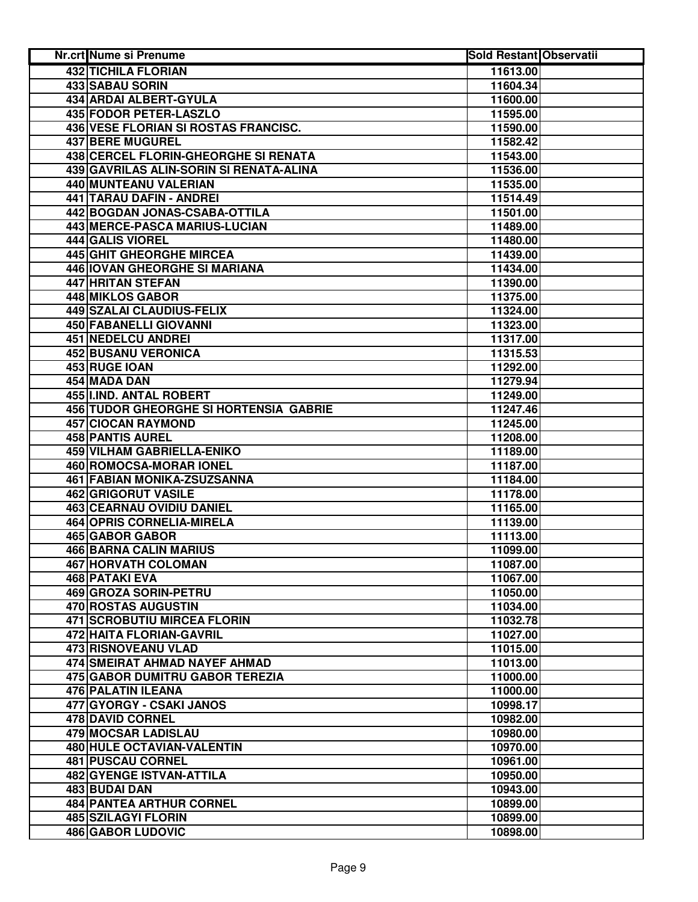| Nr.crt Nume si Prenume                        | <b>Sold Restant Observatii</b> |  |
|-----------------------------------------------|--------------------------------|--|
| <b>432 TICHILA FLORIAN</b>                    | 11613.00                       |  |
| 433 SABAU SORIN                               | 11604.34                       |  |
| 434 ARDAI ALBERT-GYULA                        | 11600.00                       |  |
| 435 FODOR PETER-LASZLO                        | 11595.00                       |  |
| 436 VESE FLORIAN SI ROSTAS FRANCISC.          | 11590.00                       |  |
| 437 BERE MUGUREL                              | 11582.42                       |  |
| 438 CERCEL FLORIN-GHEORGHE SI RENATA          | 11543.00                       |  |
| 439 GAVRILAS ALIN-SORIN SI RENATA-ALINA       | 11536.00                       |  |
| 440 MUNTEANU VALERIAN                         | 11535.00                       |  |
| 441 TARAU DAFIN - ANDREI                      | 11514.49                       |  |
| 442 BOGDAN JONAS-CSABA-OTTILA                 | 11501.00                       |  |
| 443 MERCE-PASCA MARIUS-LUCIAN                 | 11489.00                       |  |
| 444 GALIS VIOREL                              | 11480.00                       |  |
| 445 GHIT GHEORGHE MIRCEA                      | 11439.00                       |  |
| 446 IOVAN GHEORGHE SI MARIANA                 | 11434.00                       |  |
| 447 HRITAN STEFAN                             | 11390.00                       |  |
| 448 MIKLOS GABOR                              | 11375.00                       |  |
| <b>449 SZALAI CLAUDIUS-FELIX</b>              | 11324.00                       |  |
| 450 FABANELLI GIOVANNI                        | 11323.00                       |  |
| 451 NEDELCU ANDREI                            | 11317.00                       |  |
| <b>452 BUSANU VERONICA</b>                    | 11315.53                       |  |
| 453 RUGE IOAN                                 | 11292.00                       |  |
| 454 MADA DAN                                  | 11279.94                       |  |
| 455 I.IND. ANTAL ROBERT                       | 11249.00                       |  |
| <b>456 TUDOR GHEORGHE SI HORTENSIA GABRIE</b> | 11247.46                       |  |
| <b>457 CIOCAN RAYMOND</b>                     | 11245.00                       |  |
| <b>458 PANTIS AUREL</b>                       | 11208.00                       |  |
| 459 VILHAM GABRIELLA-ENIKO                    | 11189.00                       |  |
| 460 ROMOCSA-MORAR IONEL                       | 11187.00                       |  |
| 461 FABIAN MONIKA-ZSUZSANNA                   | 11184.00                       |  |
| 462 GRIGORUT VASILE                           | 11178.00                       |  |
| 463 CEARNAU OVIDIU DANIEL                     | 11165.00                       |  |
| 464 OPRIS CORNELIA-MIRELA                     | 11139.00                       |  |
| 465 GABOR GABOR                               | 11113.00                       |  |
| <b>466 BARNA CALIN MARIUS</b>                 | 11099.00                       |  |
| <b>467 HORVATH COLOMAN</b>                    | 11087.00                       |  |
| 468 PATAKI EVA                                | 11067.00                       |  |
| 469 GROZA SORIN-PETRU                         | 11050.00                       |  |
| 470 ROSTAS AUGUSTIN                           | 11034.00                       |  |
| <b>471 SCROBUTIU MIRCEA FLORIN</b>            | 11032.78                       |  |
| 472 HAITA FLORIAN-GAVRIL                      | 11027.00                       |  |
| <b>473 RISNOVEANU VLAD</b>                    | 11015.00                       |  |
| 474 SMEIRAT AHMAD NAYEF AHMAD                 | 11013.00                       |  |
| 475 GABOR DUMITRU GABOR TEREZIA               | 11000.00                       |  |
| 476 PALATIN ILEANA                            | 11000.00                       |  |
| 477 GYORGY - CSAKI JANOS                      | 10998.17                       |  |
| 478 DAVID CORNEL                              | 10982.00                       |  |
| 479 MOCSAR LADISLAU                           | 10980.00                       |  |
| <b>480 HULE OCTAVIAN-VALENTIN</b>             | 10970.00                       |  |
| 481 PUSCAU CORNEL                             | 10961.00                       |  |
| <b>482 GYENGE ISTVAN-ATTILA</b>               | 10950.00                       |  |
| 483 BUDAI DAN                                 | 10943.00                       |  |
| 484 PANTEA ARTHUR CORNEL                      | 10899.00                       |  |
| <b>485 SZILAGYI FLORIN</b>                    | 10899.00                       |  |
| <b>486 GABOR LUDOVIC</b>                      | 10898.00                       |  |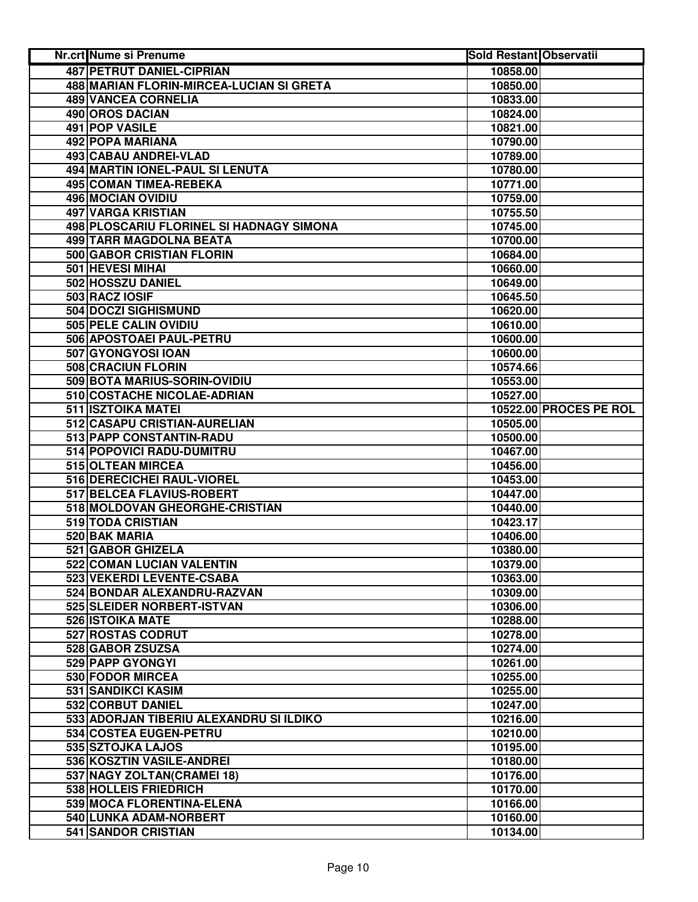| Nr.crt Nume si Prenume                              | <b>Sold Restant Observatii</b> |                               |
|-----------------------------------------------------|--------------------------------|-------------------------------|
| <b>487 PETRUT DANIEL-CIPRIAN</b>                    | 10858.00                       |                               |
| 488 MARIAN FLORIN-MIRCEA-LUCIAN SI GRETA            | 10850.00                       |                               |
| 489 VANCEA CORNELIA                                 | 10833.00                       |                               |
| 490 OROS DACIAN                                     | 10824.00                       |                               |
| 491 POP VASILE                                      | 10821.00                       |                               |
| 492 POPA MARIANA                                    | 10790.00                       |                               |
| 493 CABAU ANDREI-VLAD                               | 10789.00                       |                               |
| 494 MARTIN IONEL-PAUL SI LENUTA                     | 10780.00                       |                               |
| 495 COMAN TIMEA-REBEKA                              | 10771.00                       |                               |
| 496 MOCIAN OVIDIU                                   | 10759.00                       |                               |
| 497 VARGA KRISTIAN                                  | 10755.50                       |                               |
| 498 PLOSCARIU FLORINEL SI HADNAGY SIMONA            | 10745.00                       |                               |
| 499 TARR MAGDOLNA BEATA                             | 10700.00                       |                               |
| 500 GABOR CRISTIAN FLORIN                           | 10684.00                       |                               |
| 501 HEVESI MIHAI                                    | 10660.00                       |                               |
| 502 HOSSZU DANIEL                                   | 10649.00                       |                               |
| 503 RACZ IOSIF                                      | 10645.50                       |                               |
| <b>504 DOCZI SIGHISMUND</b>                         | 10620.00                       |                               |
| 505 PELE CALIN OVIDIU                               | 10610.00                       |                               |
| 506 APOSTOAEI PAUL-PETRU                            | 10600.00                       |                               |
| 507 GYONGYOSI IOAN                                  | 10600.00                       |                               |
| <b>508 CRACIUN FLORIN</b>                           | 10574.66                       |                               |
| 509 BOTA MARIUS-SORIN-OVIDIU                        | 10553.00                       |                               |
| 510 COSTACHE NICOLAE-ADRIAN                         | 10527.00                       |                               |
| <b>511 ISZTOIKA MATEI</b>                           |                                | <b>10522.00 PROCES PE ROL</b> |
| 512 CASAPU CRISTIAN-AURELIAN                        | 10505.00                       |                               |
| 513 PAPP CONSTANTIN-RADU                            | 10500.00                       |                               |
| 514 POPOVICI RADU-DUMITRU                           | 10467.00                       |                               |
| 515 OLTEAN MIRCEA                                   | 10456.00                       |                               |
| 516 DERECICHEI RAUL-VIOREL                          | 10453.00                       |                               |
| 517 BELCEA FLAVIUS-ROBERT                           | 10447.00                       |                               |
| 518 MOLDOVAN GHEORGHE-CRISTIAN                      | 10440.00                       |                               |
| 519 TODA CRISTIAN                                   | 10423.17                       |                               |
| 520 BAK MARIA                                       | 10406.00                       |                               |
| 521 GABOR GHIZELA                                   | 10380.00                       |                               |
| 522 COMAN LUCIAN VALENTIN                           | 10379.00                       |                               |
| 523 VEKERDI LEVENTE-CSABA                           | 10363.00                       |                               |
| 524 BONDAR ALEXANDRU-RAZVAN                         | 10309.00                       |                               |
| 525 SLEIDER NORBERT-ISTVAN                          | 10306.00                       |                               |
| 526 ISTOIKA MATE                                    | 10288.00                       |                               |
| 527 ROSTAS CODRUT                                   | 10278.00                       |                               |
| 528 GABOR ZSUZSA                                    | 10274.00                       |                               |
| 529 PAPP GYONGYI                                    | 10261.00                       |                               |
| 530 FODOR MIRCEA                                    | 10255.00                       |                               |
| 531 SANDIKCI KASIM                                  | 10255.00                       |                               |
| 532 CORBUT DANIEL                                   | 10247.00                       |                               |
| 533 ADORJAN TIBERIU ALEXANDRU SI ILDIKO             | 10216.00                       |                               |
| 534 COSTEA EUGEN-PETRU                              | 10210.00                       |                               |
| 535 SZTOJKA LAJOS                                   | 10195.00                       |                               |
| 536 KOSZTIN VASILE-ANDREI                           | 10180.00                       |                               |
| 537 NAGY ZOLTAN(CRAMEI 18)<br>538 HOLLEIS FRIEDRICH | 10176.00                       |                               |
|                                                     | 10170.00                       |                               |
| 539 MOCA FLORENTINA-ELENA                           | 10166.00                       |                               |
| 540 LUNKA ADAM-NORBERT                              | 10160.00                       |                               |
| 541 SANDOR CRISTIAN                                 | 10134.00                       |                               |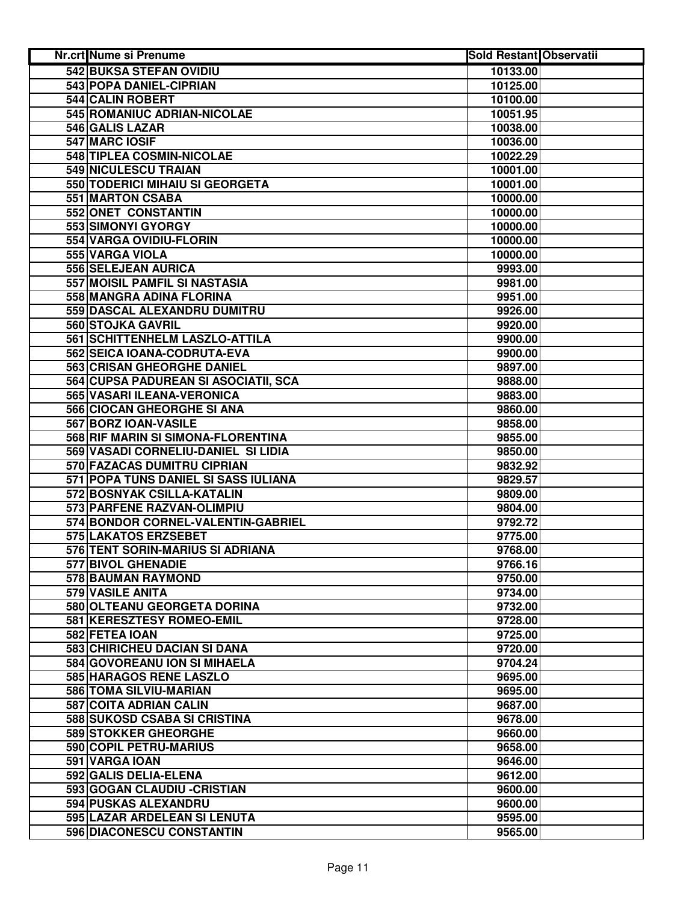| Nr.crt Nume si Prenume               | <b>Sold Restant Observatii</b> |  |
|--------------------------------------|--------------------------------|--|
| <b>542 BUKSA STEFAN OVIDIU</b>       | 10133.00                       |  |
| 543 POPA DANIEL-CIPRIAN              | 10125.00                       |  |
| 544 CALIN ROBERT                     | 10100.00                       |  |
| 545 ROMANIUC ADRIAN-NICOLAE          | 10051.95                       |  |
| 546 GALIS LAZAR                      | 10038.00                       |  |
| 547 MARC IOSIF                       | 10036.00                       |  |
| 548 TIPLEA COSMIN-NICOLAE            | 10022.29                       |  |
| 549 NICULESCU TRAIAN                 | 10001.00                       |  |
| 550 TODERICI MIHAIU SI GEORGETA      | 10001.00                       |  |
| 551 MARTON CSABA                     | 10000.00                       |  |
| 552 ONET CONSTANTIN                  | 10000.00                       |  |
| 553 SIMONYI GYORGY                   | 10000.00                       |  |
| 554 VARGA OVIDIU-FLORIN              | 10000.00                       |  |
| 555 VARGA VIOLA                      | 10000.00                       |  |
| 556 SELEJEAN AURICA                  | 9993.00                        |  |
| 557 MOISIL PAMFIL SI NASTASIA        | 9981.00                        |  |
| 558 MANGRA ADINA FLORINA             | 9951.00                        |  |
| 559 DASCAL ALEXANDRU DUMITRU         | 9926.00                        |  |
| 560 STOJKA GAVRIL                    | 9920.00                        |  |
| 561 SCHITTENHELM LASZLO-ATTILA       | 9900.00                        |  |
| 562 SEICA IOANA-CODRUTA-EVA          | 9900.00                        |  |
| <b>563 CRISAN GHEORGHE DANIEL</b>    | 9897.00                        |  |
| 564 CUPSA PADUREAN SI ASOCIATII, SCA | 9888.00                        |  |
| 565 VASARI ILEANA-VERONICA           | 9883.00                        |  |
| 566 CIOCAN GHEORGHE SI ANA           | 9860.00                        |  |
| 567 BORZ IOAN-VASILE                 | 9858.00                        |  |
| 568 RIF MARIN SI SIMONA-FLORENTINA   | 9855.00                        |  |
| 569 VASADI CORNELIU-DANIEL SI LIDIA  | 9850.00                        |  |
| 570 FAZACAS DUMITRU CIPRIAN          | 9832.92                        |  |
| 571 POPA TUNS DANIEL SI SASS IULIANA | 9829.57                        |  |
| 572 BOSNYAK CSILLA-KATALIN           | 9809.00                        |  |
| 573 PARFENE RAZVAN-OLIMPIU           | 9804.00                        |  |
| 574 BONDOR CORNEL-VALENTIN-GABRIEL   | 9792.72                        |  |
| 575 LAKATOS ERZSEBET                 | 9775.00                        |  |
| 576 TENT SORIN-MARIUS SI ADRIANA     | 9768.00                        |  |
| 577 BIVOL GHENADIE                   | 9766.16                        |  |
| 578 BAUMAN RAYMOND                   | 9750.00                        |  |
| 579 VASILE ANITA                     | 9734.00                        |  |
| 580 OLTEANU GEORGETA DORINA          | 9732.00                        |  |
| 581 KERESZTESY ROMEO-EMIL            | 9728.00                        |  |
| 582 FETEA IOAN                       | 9725.00                        |  |
| 583 CHIRICHEU DACIAN SI DANA         | 9720.00                        |  |
| 584 GOVOREANU ION SI MIHAELA         | 9704.24                        |  |
| 585 HARAGOS RENE LASZLO              | 9695.00                        |  |
| 586 TOMA SILVIU-MARIAN               | 9695.00                        |  |
| 587 COITA ADRIAN CALIN               | 9687.00                        |  |
| 588 SUKOSD CSABA SI CRISTINA         | 9678.00                        |  |
| <b>589 STOKKER GHEORGHE</b>          | 9660.00                        |  |
| 590 COPIL PETRU-MARIUS               | 9658.00                        |  |
| 591 VARGA IOAN                       | 9646.00                        |  |
| 592 GALIS DELIA-ELENA                | 9612.00                        |  |
| 593 GOGAN CLAUDIU - CRISTIAN         | 9600.00                        |  |
| 594 PUSKAS ALEXANDRU                 | 9600.00                        |  |
| 595 LAZAR ARDELEAN SI LENUTA         | 9595.00                        |  |
| 596 DIACONESCU CONSTANTIN            | 9565.00                        |  |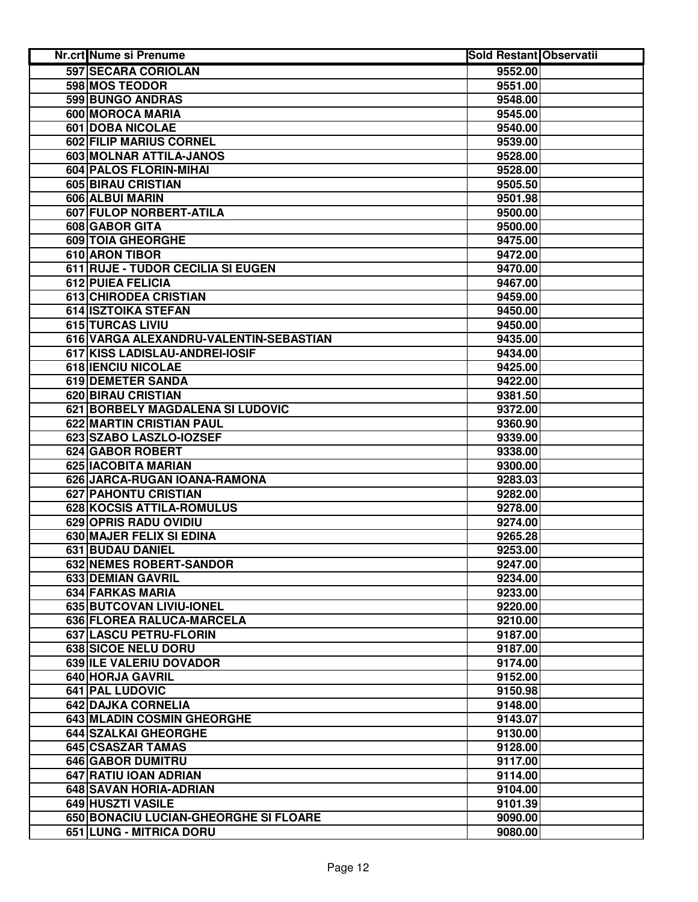| <b>Nr.crt Nume si Prenume</b>          | <b>Sold Restant Observatii</b> |  |
|----------------------------------------|--------------------------------|--|
| 597 SECARA CORIOLAN                    | 9552.00                        |  |
| 598 MOS TEODOR                         | 9551.00                        |  |
| 599 BUNGO ANDRAS                       | 9548.00                        |  |
| 600 MOROCA MARIA                       | 9545.00                        |  |
| 601 DOBA NICOLAE                       | 9540.00                        |  |
| 602 FILIP MARIUS CORNEL                | 9539.00                        |  |
| 603 MOLNAR ATTILA-JANOS                | 9528.00                        |  |
| 604 PALOS FLORIN-MIHAI                 | 9528.00                        |  |
| 605 BIRAU CRISTIAN                     | 9505.50                        |  |
| 606 ALBUI MARIN                        | 9501.98                        |  |
| 607 FULOP NORBERT-ATILA                | 9500.00                        |  |
| 608 GABOR GITA                         | 9500.00                        |  |
| 609 TOIA GHEORGHE                      | 9475.00                        |  |
| 610 ARON TIBOR                         | 9472.00                        |  |
| 611 RUJE - TUDOR CECILIA SI EUGEN      | 9470.00                        |  |
| 612 PUIEA FELICIA                      | 9467.00                        |  |
| 613 CHIRODEA CRISTIAN                  | 9459.00                        |  |
| 614 ISZTOIKA STEFAN                    | 9450.00                        |  |
| 615 TURCAS LIVIU                       | 9450.00                        |  |
| 616 VARGA ALEXANDRU-VALENTIN-SEBASTIAN | 9435.00                        |  |
| 617 KISS LADISLAU-ANDREI-IOSIF         | 9434.00                        |  |
| <b>618 IENCIU NICOLAE</b>              | 9425.00                        |  |
| 619 DEMETER SANDA                      | 9422.00                        |  |
| <b>620 BIRAU CRISTIAN</b>              | 9381.50                        |  |
| 621 BORBELY MAGDALENA SI LUDOVIC       | 9372.00                        |  |
| <b>622 MARTIN CRISTIAN PAUL</b>        | 9360.90                        |  |
| 623 SZABO LASZLO-IOZSEF                | 9339.00                        |  |
| 624 GABOR ROBERT                       | 9338.00                        |  |
| 625 IACOBITA MARIAN                    | 9300.00                        |  |
| 626 JARCA-RUGAN IOANA-RAMONA           | 9283.03                        |  |
| 627 PAHONTU CRISTIAN                   | 9282.00                        |  |
| 628 KOCSIS ATTILA-ROMULUS              | 9278.00                        |  |
| 629 OPRIS RADU OVIDIU                  | 9274.00                        |  |
| 630 MAJER FELIX SI EDINA               | 9265.28                        |  |
| 631 BUDAU DANIEL                       | 9253.00                        |  |
| 632 NEMES ROBERT-SANDOR                | 9247.00                        |  |
| 633 DEMIAN GAVRIL                      | 9234.00                        |  |
| 634 FARKAS MARIA                       | 9233.00                        |  |
| 635 BUTCOVAN LIVIU-IONEL               | 9220.00                        |  |
| 636 FLOREA RALUCA-MARCELA              | 9210.00                        |  |
| 637 LASCU PETRU-FLORIN                 | 9187.00                        |  |
| <b>638 SICOE NELU DORU</b>             | 9187.00                        |  |
| 639 ILE VALERIU DOVADOR                | 9174.00                        |  |
| 640 HORJA GAVRIL                       | 9152.00                        |  |
| 641 PAL LUDOVIC                        | 9150.98                        |  |
| 642 DAJKA CORNELIA                     | 9148.00                        |  |
| 643 MLADIN COSMIN GHEORGHE             | 9143.07                        |  |
| 644 SZALKAI GHEORGHE                   | 9130.00                        |  |
| 645 CSASZAR TAMAS                      | 9128.00                        |  |
| 646 GABOR DUMITRU                      | 9117.00                        |  |
| 647 RATIU IOAN ADRIAN                  | 9114.00                        |  |
| 648 SAVAN HORIA-ADRIAN                 | 9104.00                        |  |
| 649 HUSZTI VASILE                      | 9101.39                        |  |
| 650 BONACIU LUCIAN-GHEORGHE SI FLOARE  | 9090.00                        |  |
| 651 LUNG - MITRICA DORU                | 9080.00                        |  |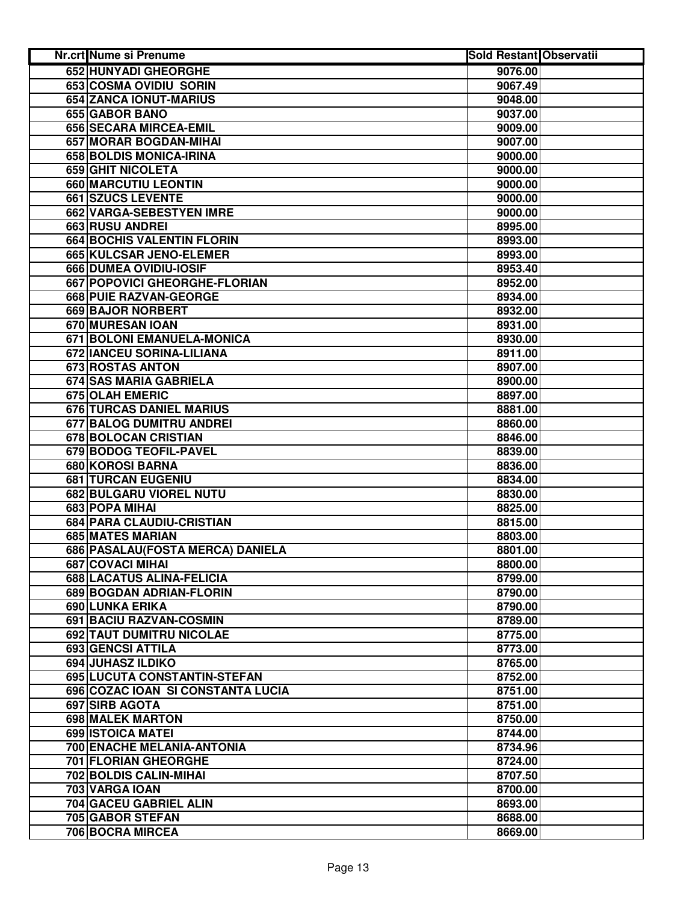| Nr.crt Nume si Prenume            | <b>Sold Restant Observatii</b> |  |
|-----------------------------------|--------------------------------|--|
| <b>652 HUNYADI GHEORGHE</b>       | 9076.00                        |  |
| 653 COSMA OVIDIU SORIN            | 9067.49                        |  |
| 654 ZANCA IONUT-MARIUS            | 9048.00                        |  |
| 655 GABOR BANO                    | 9037.00                        |  |
| 656 SECARA MIRCEA-EMIL            | 9009.00                        |  |
| 657 MORAR BOGDAN-MIHAI            | 9007.00                        |  |
| 658 BOLDIS MONICA-IRINA           | 9000.00                        |  |
| 659 GHIT NICOLETA                 | 9000.00                        |  |
| 660 MARCUTIU LEONTIN              | 9000.00                        |  |
| 661 SZUCS LEVENTE                 | 9000.00                        |  |
| 662 VARGA-SEBESTYEN IMRE          | 9000.00                        |  |
| 663 RUSU ANDREI                   | 8995.00                        |  |
| 664 BOCHIS VALENTIN FLORIN        | 8993.00                        |  |
| 665 KULCSAR JENO-ELEMER           | 8993.00                        |  |
| 666 DUMEA OVIDIU-IOSIF            | 8953.40                        |  |
| 667 POPOVICI GHEORGHE-FLORIAN     | 8952.00                        |  |
| 668 PUIE RAZVAN-GEORGE            | 8934.00                        |  |
| 669 BAJOR NORBERT                 | 8932.00                        |  |
| 670 MURESAN IOAN                  | 8931.00                        |  |
| 671 BOLONI EMANUELA-MONICA        | 8930.00                        |  |
| 672 IANCEU SORINA-LILIANA         | 8911.00                        |  |
| <b>673 ROSTAS ANTON</b>           | 8907.00                        |  |
| 674 SAS MARIA GABRIELA            | 8900.00                        |  |
| <b>675 OLAH EMERIC</b>            | 8897.00                        |  |
| <b>676 TURCAS DANIEL MARIUS</b>   | 8881.00                        |  |
| 677 BALOG DUMITRU ANDREI          | 8860.00                        |  |
| 678 BOLOCAN CRISTIAN              | 8846.00                        |  |
| 679 BODOG TEOFIL-PAVEL            | 8839.00                        |  |
| 680 KOROSI BARNA                  | 8836.00                        |  |
| 681 TURCAN EUGENIU                | 8834.00                        |  |
| 682 BULGARU VIOREL NUTU           | 8830.00                        |  |
| 683 POPA MIHAI                    | 8825.00                        |  |
| 684 PARA CLAUDIU-CRISTIAN         | 8815.00                        |  |
| 685 MATES MARIAN                  | 8803.00                        |  |
| 686 PASALAU (FOSTA MERCA) DANIELA | 8801.00                        |  |
| 687 COVACI MIHAI                  | 8800.00                        |  |
| 688 LACATUS ALINA-FELICIA         | 8799.00                        |  |
| 689 BOGDAN ADRIAN-FLORIN          | 8790.00                        |  |
| 690 LUNKA ERIKA                   | 8790.00                        |  |
| 691 BACIU RAZVAN-COSMIN           | 8789.00                        |  |
| 692 TAUT DUMITRU NICOLAE          | 8775.00                        |  |
| 693 GENCSI ATTILA                 | 8773.00                        |  |
| 694 JUHASZ ILDIKO                 | 8765.00                        |  |
| 695 LUCUTA CONSTANTIN-STEFAN      | 8752.00                        |  |
| 696 COZAC IOAN SI CONSTANTA LUCIA | 8751.00                        |  |
| 697 SIRB AGOTA                    | 8751.00                        |  |
| 698 MALEK MARTON                  | 8750.00                        |  |
| 699 ISTOICA MATEI                 | 8744.00                        |  |
| 700 ENACHE MELANIA-ANTONIA        | 8734.96                        |  |
| 701 FLORIAN GHEORGHE              | 8724.00                        |  |
| 702 BOLDIS CALIN-MIHAI            | 8707.50                        |  |
| 703 VARGA IOAN                    | 8700.00                        |  |
| 704 GACEU GABRIEL ALIN            | 8693.00                        |  |
| 705 GABOR STEFAN                  | 8688.00                        |  |
| 706 BOCRA MIRCEA                  | 8669.00                        |  |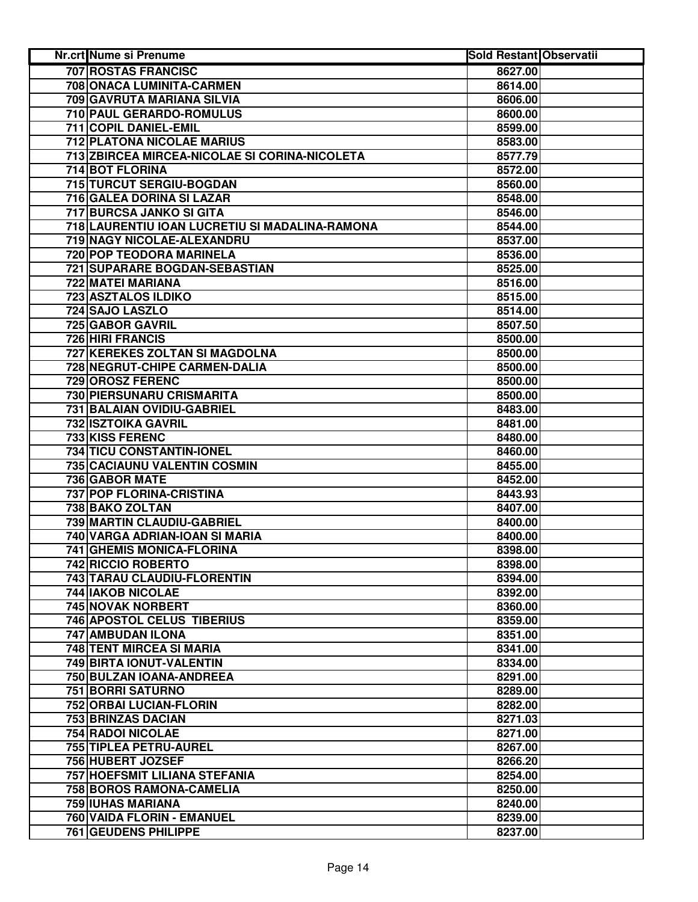| <b>707 ROSTAS FRANCISC</b><br>8627.00<br>708 ONACA LUMINITA-CARMEN<br>8614.00<br>709 GAVRUTA MARIANA SILVIA<br>8606.00<br>710 PAUL GERARDO-ROMULUS<br>8600.00<br>711 COPIL DANIEL-EMIL<br>8599.00<br>712 PLATONA NICOLAE MARIUS<br>8583.00<br>713 ZBIRCEA MIRCEA-NICOLAE SI CORINA-NICOLETA<br>8577.79<br>714 BOT FLORINA<br>8572.00<br>715 TURCUT SERGIU-BOGDAN<br>8560.00<br>716 GALEA DORINA SI LAZAR<br>8548.00<br>717 BURCSA JANKO SI GITA<br>8546.00<br>718 LAURENTIU IOAN LUCRETIU SI MADALINA-RAMONA<br>8544.00<br>719 NAGY NICOLAE-ALEXANDRU<br>8537.00<br>720 POP TEODORA MARINELA<br>8536.00<br>721 SUPARARE BOGDAN-SEBASTIAN<br>8525.00<br>722 MATEI MARIANA<br>8516.00<br>723 ASZTALOS ILDIKO<br>8515.00<br>724 SAJO LASZLO<br>8514.00<br>725 GABOR GAVRIL<br>8507.50<br>726 HIRI FRANCIS<br>8500.00<br>727 KEREKES ZOLTAN SI MAGDOLNA<br>8500.00<br>728 NEGRUT-CHIPE CARMEN-DALIA<br>8500.00<br>729 OROSZ FERENC<br>8500.00<br>730 PIERSUNARU CRISMARITA<br>8500.00<br>731 BALAIAN OVIDIU-GABRIEL<br>8483.00<br><b>732 ISZTOIKA GAVRIL</b><br>8481.00<br>733 KISS FERENC<br>8480.00<br>734 TICU CONSTANTIN-IONEL<br>8460.00<br>735 CACIAUNU VALENTIN COSMIN<br>8455.00<br>736 GABOR MATE<br>8452.00<br>737 POP FLORINA-CRISTINA<br>8443.93<br>738 BAKO ZOLTAN<br>8407.00<br>739 MARTIN CLAUDIU-GABRIEL<br>8400.00<br>740 VARGA ADRIAN-IOAN SI MARIA<br>8400.00<br>741 GHEMIS MONICA-FLORINA<br>8398.00<br>742 RICCIO ROBERTO<br>8398.00<br>743 TARAU CLAUDIU-FLORENTIN<br>8394.00<br><b>744 IAKOB NICOLAE</b><br>8392.00<br>745 NOVAK NORBERT<br>8360.00<br><b>746 APOSTOL CELUS TIBERIUS</b><br>8359.00<br>747 AMBUDAN ILONA<br>8351.00<br>748 TENT MIRCEA SI MARIA<br>8341.00<br>749 BIRTA IONUT-VALENTIN<br>8334.00<br>750 BULZAN IOANA-ANDREEA<br>8291.00<br>751 BORRI SATURNO<br>8289.00<br>752 ORBAI LUCIAN-FLORIN<br>8282.00<br>753 BRINZAS DACIAN<br>8271.03<br>754 RADOI NICOLAE<br>8271.00<br>755 TIPLEA PETRU-AUREL<br>8267.00<br>756 HUBERT JOZSEF<br>8266.20<br>757 HOEFSMIT LILIANA STEFANIA<br>8254.00<br>758 BOROS RAMONA-CAMELIA<br>8250.00<br>759 IUHAS MARIANA<br>8240.00<br>760 VAIDA FLORIN - EMANUEL<br>8239.00<br>761 GEUDENS PHILIPPE<br>8237.00 | Nr.crt Nume si Prenume | <b>Sold Restant Observatii</b> |  |
|----------------------------------------------------------------------------------------------------------------------------------------------------------------------------------------------------------------------------------------------------------------------------------------------------------------------------------------------------------------------------------------------------------------------------------------------------------------------------------------------------------------------------------------------------------------------------------------------------------------------------------------------------------------------------------------------------------------------------------------------------------------------------------------------------------------------------------------------------------------------------------------------------------------------------------------------------------------------------------------------------------------------------------------------------------------------------------------------------------------------------------------------------------------------------------------------------------------------------------------------------------------------------------------------------------------------------------------------------------------------------------------------------------------------------------------------------------------------------------------------------------------------------------------------------------------------------------------------------------------------------------------------------------------------------------------------------------------------------------------------------------------------------------------------------------------------------------------------------------------------------------------------------------------------------------------------------------------------------------------------------------------------------------------------------------------------------------------------------------------------------------------------------------------------------------------|------------------------|--------------------------------|--|
|                                                                                                                                                                                                                                                                                                                                                                                                                                                                                                                                                                                                                                                                                                                                                                                                                                                                                                                                                                                                                                                                                                                                                                                                                                                                                                                                                                                                                                                                                                                                                                                                                                                                                                                                                                                                                                                                                                                                                                                                                                                                                                                                                                                        |                        |                                |  |
|                                                                                                                                                                                                                                                                                                                                                                                                                                                                                                                                                                                                                                                                                                                                                                                                                                                                                                                                                                                                                                                                                                                                                                                                                                                                                                                                                                                                                                                                                                                                                                                                                                                                                                                                                                                                                                                                                                                                                                                                                                                                                                                                                                                        |                        |                                |  |
|                                                                                                                                                                                                                                                                                                                                                                                                                                                                                                                                                                                                                                                                                                                                                                                                                                                                                                                                                                                                                                                                                                                                                                                                                                                                                                                                                                                                                                                                                                                                                                                                                                                                                                                                                                                                                                                                                                                                                                                                                                                                                                                                                                                        |                        |                                |  |
|                                                                                                                                                                                                                                                                                                                                                                                                                                                                                                                                                                                                                                                                                                                                                                                                                                                                                                                                                                                                                                                                                                                                                                                                                                                                                                                                                                                                                                                                                                                                                                                                                                                                                                                                                                                                                                                                                                                                                                                                                                                                                                                                                                                        |                        |                                |  |
|                                                                                                                                                                                                                                                                                                                                                                                                                                                                                                                                                                                                                                                                                                                                                                                                                                                                                                                                                                                                                                                                                                                                                                                                                                                                                                                                                                                                                                                                                                                                                                                                                                                                                                                                                                                                                                                                                                                                                                                                                                                                                                                                                                                        |                        |                                |  |
|                                                                                                                                                                                                                                                                                                                                                                                                                                                                                                                                                                                                                                                                                                                                                                                                                                                                                                                                                                                                                                                                                                                                                                                                                                                                                                                                                                                                                                                                                                                                                                                                                                                                                                                                                                                                                                                                                                                                                                                                                                                                                                                                                                                        |                        |                                |  |
|                                                                                                                                                                                                                                                                                                                                                                                                                                                                                                                                                                                                                                                                                                                                                                                                                                                                                                                                                                                                                                                                                                                                                                                                                                                                                                                                                                                                                                                                                                                                                                                                                                                                                                                                                                                                                                                                                                                                                                                                                                                                                                                                                                                        |                        |                                |  |
|                                                                                                                                                                                                                                                                                                                                                                                                                                                                                                                                                                                                                                                                                                                                                                                                                                                                                                                                                                                                                                                                                                                                                                                                                                                                                                                                                                                                                                                                                                                                                                                                                                                                                                                                                                                                                                                                                                                                                                                                                                                                                                                                                                                        |                        |                                |  |
|                                                                                                                                                                                                                                                                                                                                                                                                                                                                                                                                                                                                                                                                                                                                                                                                                                                                                                                                                                                                                                                                                                                                                                                                                                                                                                                                                                                                                                                                                                                                                                                                                                                                                                                                                                                                                                                                                                                                                                                                                                                                                                                                                                                        |                        |                                |  |
|                                                                                                                                                                                                                                                                                                                                                                                                                                                                                                                                                                                                                                                                                                                                                                                                                                                                                                                                                                                                                                                                                                                                                                                                                                                                                                                                                                                                                                                                                                                                                                                                                                                                                                                                                                                                                                                                                                                                                                                                                                                                                                                                                                                        |                        |                                |  |
|                                                                                                                                                                                                                                                                                                                                                                                                                                                                                                                                                                                                                                                                                                                                                                                                                                                                                                                                                                                                                                                                                                                                                                                                                                                                                                                                                                                                                                                                                                                                                                                                                                                                                                                                                                                                                                                                                                                                                                                                                                                                                                                                                                                        |                        |                                |  |
|                                                                                                                                                                                                                                                                                                                                                                                                                                                                                                                                                                                                                                                                                                                                                                                                                                                                                                                                                                                                                                                                                                                                                                                                                                                                                                                                                                                                                                                                                                                                                                                                                                                                                                                                                                                                                                                                                                                                                                                                                                                                                                                                                                                        |                        |                                |  |
|                                                                                                                                                                                                                                                                                                                                                                                                                                                                                                                                                                                                                                                                                                                                                                                                                                                                                                                                                                                                                                                                                                                                                                                                                                                                                                                                                                                                                                                                                                                                                                                                                                                                                                                                                                                                                                                                                                                                                                                                                                                                                                                                                                                        |                        |                                |  |
|                                                                                                                                                                                                                                                                                                                                                                                                                                                                                                                                                                                                                                                                                                                                                                                                                                                                                                                                                                                                                                                                                                                                                                                                                                                                                                                                                                                                                                                                                                                                                                                                                                                                                                                                                                                                                                                                                                                                                                                                                                                                                                                                                                                        |                        |                                |  |
|                                                                                                                                                                                                                                                                                                                                                                                                                                                                                                                                                                                                                                                                                                                                                                                                                                                                                                                                                                                                                                                                                                                                                                                                                                                                                                                                                                                                                                                                                                                                                                                                                                                                                                                                                                                                                                                                                                                                                                                                                                                                                                                                                                                        |                        |                                |  |
|                                                                                                                                                                                                                                                                                                                                                                                                                                                                                                                                                                                                                                                                                                                                                                                                                                                                                                                                                                                                                                                                                                                                                                                                                                                                                                                                                                                                                                                                                                                                                                                                                                                                                                                                                                                                                                                                                                                                                                                                                                                                                                                                                                                        |                        |                                |  |
|                                                                                                                                                                                                                                                                                                                                                                                                                                                                                                                                                                                                                                                                                                                                                                                                                                                                                                                                                                                                                                                                                                                                                                                                                                                                                                                                                                                                                                                                                                                                                                                                                                                                                                                                                                                                                                                                                                                                                                                                                                                                                                                                                                                        |                        |                                |  |
|                                                                                                                                                                                                                                                                                                                                                                                                                                                                                                                                                                                                                                                                                                                                                                                                                                                                                                                                                                                                                                                                                                                                                                                                                                                                                                                                                                                                                                                                                                                                                                                                                                                                                                                                                                                                                                                                                                                                                                                                                                                                                                                                                                                        |                        |                                |  |
|                                                                                                                                                                                                                                                                                                                                                                                                                                                                                                                                                                                                                                                                                                                                                                                                                                                                                                                                                                                                                                                                                                                                                                                                                                                                                                                                                                                                                                                                                                                                                                                                                                                                                                                                                                                                                                                                                                                                                                                                                                                                                                                                                                                        |                        |                                |  |
|                                                                                                                                                                                                                                                                                                                                                                                                                                                                                                                                                                                                                                                                                                                                                                                                                                                                                                                                                                                                                                                                                                                                                                                                                                                                                                                                                                                                                                                                                                                                                                                                                                                                                                                                                                                                                                                                                                                                                                                                                                                                                                                                                                                        |                        |                                |  |
|                                                                                                                                                                                                                                                                                                                                                                                                                                                                                                                                                                                                                                                                                                                                                                                                                                                                                                                                                                                                                                                                                                                                                                                                                                                                                                                                                                                                                                                                                                                                                                                                                                                                                                                                                                                                                                                                                                                                                                                                                                                                                                                                                                                        |                        |                                |  |
|                                                                                                                                                                                                                                                                                                                                                                                                                                                                                                                                                                                                                                                                                                                                                                                                                                                                                                                                                                                                                                                                                                                                                                                                                                                                                                                                                                                                                                                                                                                                                                                                                                                                                                                                                                                                                                                                                                                                                                                                                                                                                                                                                                                        |                        |                                |  |
|                                                                                                                                                                                                                                                                                                                                                                                                                                                                                                                                                                                                                                                                                                                                                                                                                                                                                                                                                                                                                                                                                                                                                                                                                                                                                                                                                                                                                                                                                                                                                                                                                                                                                                                                                                                                                                                                                                                                                                                                                                                                                                                                                                                        |                        |                                |  |
|                                                                                                                                                                                                                                                                                                                                                                                                                                                                                                                                                                                                                                                                                                                                                                                                                                                                                                                                                                                                                                                                                                                                                                                                                                                                                                                                                                                                                                                                                                                                                                                                                                                                                                                                                                                                                                                                                                                                                                                                                                                                                                                                                                                        |                        |                                |  |
|                                                                                                                                                                                                                                                                                                                                                                                                                                                                                                                                                                                                                                                                                                                                                                                                                                                                                                                                                                                                                                                                                                                                                                                                                                                                                                                                                                                                                                                                                                                                                                                                                                                                                                                                                                                                                                                                                                                                                                                                                                                                                                                                                                                        |                        |                                |  |
|                                                                                                                                                                                                                                                                                                                                                                                                                                                                                                                                                                                                                                                                                                                                                                                                                                                                                                                                                                                                                                                                                                                                                                                                                                                                                                                                                                                                                                                                                                                                                                                                                                                                                                                                                                                                                                                                                                                                                                                                                                                                                                                                                                                        |                        |                                |  |
|                                                                                                                                                                                                                                                                                                                                                                                                                                                                                                                                                                                                                                                                                                                                                                                                                                                                                                                                                                                                                                                                                                                                                                                                                                                                                                                                                                                                                                                                                                                                                                                                                                                                                                                                                                                                                                                                                                                                                                                                                                                                                                                                                                                        |                        |                                |  |
|                                                                                                                                                                                                                                                                                                                                                                                                                                                                                                                                                                                                                                                                                                                                                                                                                                                                                                                                                                                                                                                                                                                                                                                                                                                                                                                                                                                                                                                                                                                                                                                                                                                                                                                                                                                                                                                                                                                                                                                                                                                                                                                                                                                        |                        |                                |  |
|                                                                                                                                                                                                                                                                                                                                                                                                                                                                                                                                                                                                                                                                                                                                                                                                                                                                                                                                                                                                                                                                                                                                                                                                                                                                                                                                                                                                                                                                                                                                                                                                                                                                                                                                                                                                                                                                                                                                                                                                                                                                                                                                                                                        |                        |                                |  |
|                                                                                                                                                                                                                                                                                                                                                                                                                                                                                                                                                                                                                                                                                                                                                                                                                                                                                                                                                                                                                                                                                                                                                                                                                                                                                                                                                                                                                                                                                                                                                                                                                                                                                                                                                                                                                                                                                                                                                                                                                                                                                                                                                                                        |                        |                                |  |
|                                                                                                                                                                                                                                                                                                                                                                                                                                                                                                                                                                                                                                                                                                                                                                                                                                                                                                                                                                                                                                                                                                                                                                                                                                                                                                                                                                                                                                                                                                                                                                                                                                                                                                                                                                                                                                                                                                                                                                                                                                                                                                                                                                                        |                        |                                |  |
|                                                                                                                                                                                                                                                                                                                                                                                                                                                                                                                                                                                                                                                                                                                                                                                                                                                                                                                                                                                                                                                                                                                                                                                                                                                                                                                                                                                                                                                                                                                                                                                                                                                                                                                                                                                                                                                                                                                                                                                                                                                                                                                                                                                        |                        |                                |  |
|                                                                                                                                                                                                                                                                                                                                                                                                                                                                                                                                                                                                                                                                                                                                                                                                                                                                                                                                                                                                                                                                                                                                                                                                                                                                                                                                                                                                                                                                                                                                                                                                                                                                                                                                                                                                                                                                                                                                                                                                                                                                                                                                                                                        |                        |                                |  |
|                                                                                                                                                                                                                                                                                                                                                                                                                                                                                                                                                                                                                                                                                                                                                                                                                                                                                                                                                                                                                                                                                                                                                                                                                                                                                                                                                                                                                                                                                                                                                                                                                                                                                                                                                                                                                                                                                                                                                                                                                                                                                                                                                                                        |                        |                                |  |
|                                                                                                                                                                                                                                                                                                                                                                                                                                                                                                                                                                                                                                                                                                                                                                                                                                                                                                                                                                                                                                                                                                                                                                                                                                                                                                                                                                                                                                                                                                                                                                                                                                                                                                                                                                                                                                                                                                                                                                                                                                                                                                                                                                                        |                        |                                |  |
|                                                                                                                                                                                                                                                                                                                                                                                                                                                                                                                                                                                                                                                                                                                                                                                                                                                                                                                                                                                                                                                                                                                                                                                                                                                                                                                                                                                                                                                                                                                                                                                                                                                                                                                                                                                                                                                                                                                                                                                                                                                                                                                                                                                        |                        |                                |  |
|                                                                                                                                                                                                                                                                                                                                                                                                                                                                                                                                                                                                                                                                                                                                                                                                                                                                                                                                                                                                                                                                                                                                                                                                                                                                                                                                                                                                                                                                                                                                                                                                                                                                                                                                                                                                                                                                                                                                                                                                                                                                                                                                                                                        |                        |                                |  |
|                                                                                                                                                                                                                                                                                                                                                                                                                                                                                                                                                                                                                                                                                                                                                                                                                                                                                                                                                                                                                                                                                                                                                                                                                                                                                                                                                                                                                                                                                                                                                                                                                                                                                                                                                                                                                                                                                                                                                                                                                                                                                                                                                                                        |                        |                                |  |
|                                                                                                                                                                                                                                                                                                                                                                                                                                                                                                                                                                                                                                                                                                                                                                                                                                                                                                                                                                                                                                                                                                                                                                                                                                                                                                                                                                                                                                                                                                                                                                                                                                                                                                                                                                                                                                                                                                                                                                                                                                                                                                                                                                                        |                        |                                |  |
|                                                                                                                                                                                                                                                                                                                                                                                                                                                                                                                                                                                                                                                                                                                                                                                                                                                                                                                                                                                                                                                                                                                                                                                                                                                                                                                                                                                                                                                                                                                                                                                                                                                                                                                                                                                                                                                                                                                                                                                                                                                                                                                                                                                        |                        |                                |  |
|                                                                                                                                                                                                                                                                                                                                                                                                                                                                                                                                                                                                                                                                                                                                                                                                                                                                                                                                                                                                                                                                                                                                                                                                                                                                                                                                                                                                                                                                                                                                                                                                                                                                                                                                                                                                                                                                                                                                                                                                                                                                                                                                                                                        |                        |                                |  |
|                                                                                                                                                                                                                                                                                                                                                                                                                                                                                                                                                                                                                                                                                                                                                                                                                                                                                                                                                                                                                                                                                                                                                                                                                                                                                                                                                                                                                                                                                                                                                                                                                                                                                                                                                                                                                                                                                                                                                                                                                                                                                                                                                                                        |                        |                                |  |
|                                                                                                                                                                                                                                                                                                                                                                                                                                                                                                                                                                                                                                                                                                                                                                                                                                                                                                                                                                                                                                                                                                                                                                                                                                                                                                                                                                                                                                                                                                                                                                                                                                                                                                                                                                                                                                                                                                                                                                                                                                                                                                                                                                                        |                        |                                |  |
|                                                                                                                                                                                                                                                                                                                                                                                                                                                                                                                                                                                                                                                                                                                                                                                                                                                                                                                                                                                                                                                                                                                                                                                                                                                                                                                                                                                                                                                                                                                                                                                                                                                                                                                                                                                                                                                                                                                                                                                                                                                                                                                                                                                        |                        |                                |  |
|                                                                                                                                                                                                                                                                                                                                                                                                                                                                                                                                                                                                                                                                                                                                                                                                                                                                                                                                                                                                                                                                                                                                                                                                                                                                                                                                                                                                                                                                                                                                                                                                                                                                                                                                                                                                                                                                                                                                                                                                                                                                                                                                                                                        |                        |                                |  |
|                                                                                                                                                                                                                                                                                                                                                                                                                                                                                                                                                                                                                                                                                                                                                                                                                                                                                                                                                                                                                                                                                                                                                                                                                                                                                                                                                                                                                                                                                                                                                                                                                                                                                                                                                                                                                                                                                                                                                                                                                                                                                                                                                                                        |                        |                                |  |
|                                                                                                                                                                                                                                                                                                                                                                                                                                                                                                                                                                                                                                                                                                                                                                                                                                                                                                                                                                                                                                                                                                                                                                                                                                                                                                                                                                                                                                                                                                                                                                                                                                                                                                                                                                                                                                                                                                                                                                                                                                                                                                                                                                                        |                        |                                |  |
|                                                                                                                                                                                                                                                                                                                                                                                                                                                                                                                                                                                                                                                                                                                                                                                                                                                                                                                                                                                                                                                                                                                                                                                                                                                                                                                                                                                                                                                                                                                                                                                                                                                                                                                                                                                                                                                                                                                                                                                                                                                                                                                                                                                        |                        |                                |  |
|                                                                                                                                                                                                                                                                                                                                                                                                                                                                                                                                                                                                                                                                                                                                                                                                                                                                                                                                                                                                                                                                                                                                                                                                                                                                                                                                                                                                                                                                                                                                                                                                                                                                                                                                                                                                                                                                                                                                                                                                                                                                                                                                                                                        |                        |                                |  |
|                                                                                                                                                                                                                                                                                                                                                                                                                                                                                                                                                                                                                                                                                                                                                                                                                                                                                                                                                                                                                                                                                                                                                                                                                                                                                                                                                                                                                                                                                                                                                                                                                                                                                                                                                                                                                                                                                                                                                                                                                                                                                                                                                                                        |                        |                                |  |
|                                                                                                                                                                                                                                                                                                                                                                                                                                                                                                                                                                                                                                                                                                                                                                                                                                                                                                                                                                                                                                                                                                                                                                                                                                                                                                                                                                                                                                                                                                                                                                                                                                                                                                                                                                                                                                                                                                                                                                                                                                                                                                                                                                                        |                        |                                |  |
|                                                                                                                                                                                                                                                                                                                                                                                                                                                                                                                                                                                                                                                                                                                                                                                                                                                                                                                                                                                                                                                                                                                                                                                                                                                                                                                                                                                                                                                                                                                                                                                                                                                                                                                                                                                                                                                                                                                                                                                                                                                                                                                                                                                        |                        |                                |  |
|                                                                                                                                                                                                                                                                                                                                                                                                                                                                                                                                                                                                                                                                                                                                                                                                                                                                                                                                                                                                                                                                                                                                                                                                                                                                                                                                                                                                                                                                                                                                                                                                                                                                                                                                                                                                                                                                                                                                                                                                                                                                                                                                                                                        |                        |                                |  |
|                                                                                                                                                                                                                                                                                                                                                                                                                                                                                                                                                                                                                                                                                                                                                                                                                                                                                                                                                                                                                                                                                                                                                                                                                                                                                                                                                                                                                                                                                                                                                                                                                                                                                                                                                                                                                                                                                                                                                                                                                                                                                                                                                                                        |                        |                                |  |
|                                                                                                                                                                                                                                                                                                                                                                                                                                                                                                                                                                                                                                                                                                                                                                                                                                                                                                                                                                                                                                                                                                                                                                                                                                                                                                                                                                                                                                                                                                                                                                                                                                                                                                                                                                                                                                                                                                                                                                                                                                                                                                                                                                                        |                        |                                |  |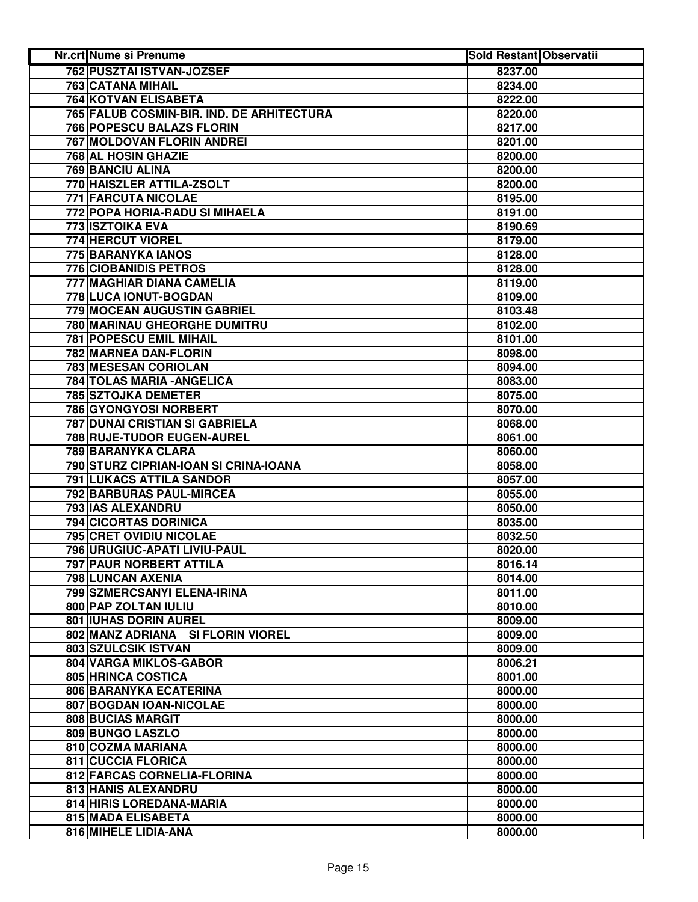| <b>Nr.crt Nume si Prenume</b>             | <b>Sold Restant Observatii</b> |
|-------------------------------------------|--------------------------------|
| 762 PUSZTAI ISTVAN-JOZSEF                 | 8237.00                        |
| <b>763 CATANA MIHAIL</b>                  | 8234.00                        |
| <b>764 KOTVAN ELISABETA</b>               | 8222.00                        |
| 765 FALUB COSMIN-BIR. IND. DE ARHITECTURA | 8220.00                        |
| 766 POPESCU BALAZS FLORIN                 | 8217.00                        |
| 767 MOLDOVAN FLORIN ANDREI                | 8201.00                        |
| 768 AL HOSIN GHAZIE                       | 8200.00                        |
| <b>769 BANCIU ALINA</b>                   | 8200.00                        |
| 770 HAISZLER ATTILA-ZSOLT                 | 8200.00                        |
| 771 FARCUTA NICOLAE                       | 8195.00                        |
| 772 POPA HORIA-RADU SI MIHAELA            | 8191.00                        |
| 773 ISZTOIKA EVA                          | 8190.69                        |
| 774 HERCUT VIOREL                         | 8179.00                        |
| 775 BARANYKA IANOS                        | 8128.00                        |
| 776 CIOBANIDIS PETROS                     | 8128.00                        |
| 777 MAGHIAR DIANA CAMELIA                 | 8119.00                        |
| 778 LUCA IONUT-BOGDAN                     | 8109.00                        |
| 779 MOCEAN AUGUSTIN GABRIEL               | 8103.48                        |
| 780 MARINAU GHEORGHE DUMITRU              | 8102.00                        |
| <b>781 POPESCU EMIL MIHAIL</b>            | 8101.00                        |
| <b>782 MARNEA DAN-FLORIN</b>              | 8098.00                        |
| <b>783 MESESAN CORIOLAN</b>               | 8094.00                        |
| <b>784 TOLAS MARIA - ANGELICA</b>         | 8083.00                        |
| <b>785 SZTOJKA DEMETER</b>                | 8075.00                        |
| <b>786 GYONGYOSI NORBERT</b>              | 8070.00                        |
| <b>787 DUNAI CRISTIAN SI GABRIELA</b>     | 8068.00                        |
| 788 RUJE-TUDOR EUGEN-AUREL                | 8061.00                        |
| 789 BARANYKA CLARA                        | 8060.00                        |
| 790 STURZ CIPRIAN-IOAN SI CRINA-IOANA     | 8058.00                        |
| 791 LUKACS ATTILA SANDOR                  | 8057.00                        |
| 792 BARBURAS PAUL-MIRCEA                  | 8055.00                        |
| 793 IAS ALEXANDRU                         | 8050.00                        |
| 794 CICORTAS DORINICA                     | 8035.00                        |
| 795 CRET OVIDIU NICOLAE                   | 8032.50                        |
| 796 URUGIUC-APATI LIVIU-PAUL              | 8020.00                        |
| 797 PAUR NORBERT ATTILA                   | 8016.14                        |
| 798 LUNCAN AXENIA                         | 8014.00                        |
| 799 SZMERCSANYI ELENA-IRINA               | 8011.00                        |
| 800 PAP ZOLTAN IULIU                      | 8010.00                        |
| <b>801 IUHAS DORIN AUREL</b>              | 8009.00                        |
| 802 MANZ ADRIANA SI FLORIN VIOREL         | 8009.00                        |
| 803 SZULCSIK ISTVAN                       | 8009.00                        |
| 804 VARGA MIKLOS-GABOR                    | 8006.21                        |
| 805 HRINCA COSTICA                        | 8001.00                        |
| 806 BARANYKA ECATERINA                    | 8000.00                        |
| 807 BOGDAN IOAN-NICOLAE                   | 8000.00                        |
| 808 BUCIAS MARGIT                         | 8000.00                        |
| 809 BUNGO LASZLO                          | 8000.00                        |
| 810 COZMA MARIANA                         | 8000.00                        |
| 811 CUCCIA FLORICA                        | 8000.00                        |
| 812 FARCAS CORNELIA-FLORINA               | 8000.00                        |
| 813 HANIS ALEXANDRU                       | 8000.00                        |
| 814 HIRIS LOREDANA-MARIA                  | 8000.00                        |
| 815 MADA ELISABETA                        | 8000.00                        |
| 816 MIHELE LIDIA-ANA                      | 8000.00                        |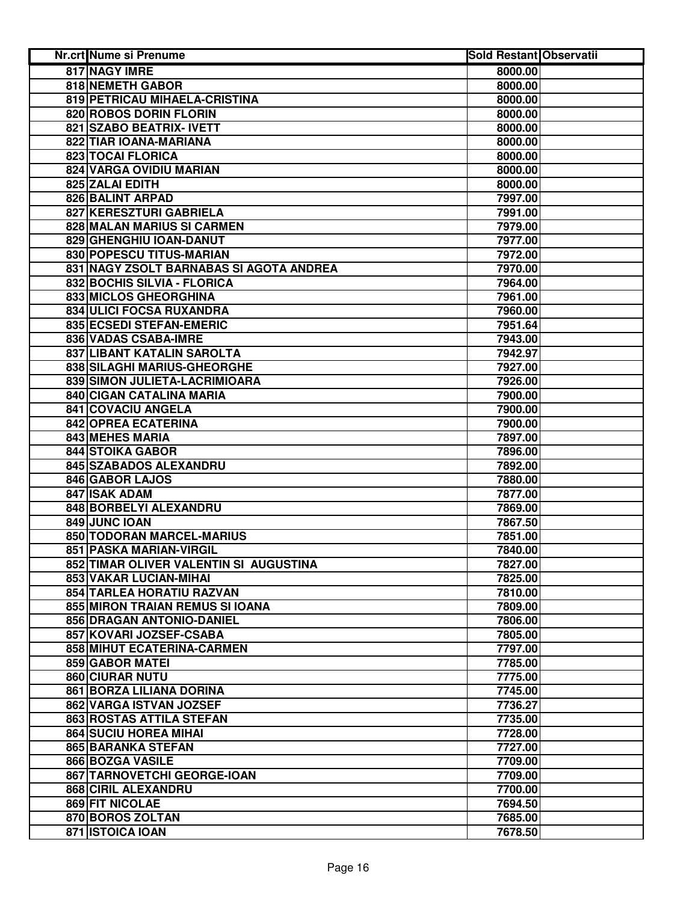| <b>Nr.crt Nume si Prenume</b>                      | <b>Sold Restant Observatii</b> |
|----------------------------------------------------|--------------------------------|
| 817 NAGY IMRE<br>8000.00                           |                                |
| 818 NEMETH GABOR<br>8000.00                        |                                |
| 819 PETRICAU MIHAELA-CRISTINA<br>8000.00           |                                |
| 820 ROBOS DORIN FLORIN<br>8000.00                  |                                |
| 821 SZABO BEATRIX- IVETT<br>8000.00                |                                |
| 822 TIAR IOANA-MARIANA<br>8000.00                  |                                |
| <b>823 TOCAI FLORICA</b><br>8000.00                |                                |
| 824 VARGA OVIDIU MARIAN<br>8000.00                 |                                |
| 825 ZALAI EDITH<br>8000.00                         |                                |
| 826 BALINT ARPAD<br>7997.00                        |                                |
| 827 KERESZTURI GABRIELA<br>7991.00                 |                                |
| 828 MALAN MARIUS SI CARMEN<br>7979.00              |                                |
| 829 GHENGHIU IOAN-DANUT<br>7977.00                 |                                |
| 830 POPESCU TITUS-MARIAN<br>7972.00                |                                |
| 831 NAGY ZSOLT BARNABAS SI AGOTA ANDREA<br>7970.00 |                                |
| 832 BOCHIS SILVIA - FLORICA<br>7964.00             |                                |
| 833 MICLOS GHEORGHINA<br>7961.00                   |                                |
| 834 ULICI FOCSA RUXANDRA<br>7960.00                |                                |
| 835 ECSEDI STEFAN-EMERIC<br>7951.64                |                                |
| 836 VADAS CSABA-IMRE<br>7943.00                    |                                |
| 837 LIBANT KATALIN SAROLTA<br>7942.97              |                                |
| 838 SILAGHI MARIUS-GHEORGHE<br>7927.00             |                                |
| 839 SIMON JULIETA-LACRIMIOARA<br>7926.00           |                                |
| 840 CIGAN CATALINA MARIA<br>7900.00                |                                |
| <b>841 COVACIU ANGELA</b><br>7900.00               |                                |
| <b>842 OPREA ECATERINA</b><br>7900.00              |                                |
| 843 MEHES MARIA<br>7897.00                         |                                |
| <b>844 STOIKA GABOR</b><br>7896.00                 |                                |
| 845 SZABADOS ALEXANDRU<br>7892.00                  |                                |
| 846 GABOR LAJOS<br>7880.00                         |                                |
| 847 ISAK ADAM<br>7877.00                           |                                |
| 848 BORBELYI ALEXANDRU<br>7869.00                  |                                |
| 849 JUNC IOAN<br>7867.50                           |                                |
| 850 TODORAN MARCEL-MARIUS<br>7851.00               |                                |
| 851 PASKA MARIAN-VIRGIL<br>7840.00                 |                                |
| 852 TIMAR OLIVER VALENTIN SI AUGUSTINA<br>7827.00  |                                |
| 853 VAKAR LUCIAN-MIHAI<br>7825.00                  |                                |
| 854 TARLEA HORATIU RAZVAN<br>7810.00               |                                |
| 855 MIRON TRAIAN REMUS SI IOANA<br>7809.00         |                                |
| 856 DRAGAN ANTONIO-DANIEL<br>7806.00               |                                |
| 857 KOVARI JOZSEF-CSABA<br>7805.00                 |                                |
| <b>858 MIHUT ECATERINA-CARMEN</b><br>7797.00       |                                |
| 859 GABOR MATEI<br>7785.00                         |                                |
| 860 CIURAR NUTU<br>7775.00                         |                                |
| 861 BORZA LILIANA DORINA<br>7745.00                |                                |
| 862 VARGA ISTVAN JOZSEF<br>7736.27                 |                                |
| 863 ROSTAS ATTILA STEFAN<br>7735.00                |                                |
| <b>864 SUCIU HOREA MIHAI</b><br>7728.00            |                                |
| 865 BARANKA STEFAN<br>7727.00                      |                                |
| 866 BOZGA VASILE<br>7709.00                        |                                |
| 867 TARNOVETCHI GEORGE-IOAN<br>7709.00             |                                |
| 868 CIRIL ALEXANDRU<br>7700.00                     |                                |
| 869 FIT NICOLAE<br>7694.50                         |                                |
| 870 BOROS ZOLTAN<br>7685.00                        |                                |
| 871 ISTOICA IOAN<br>7678.50                        |                                |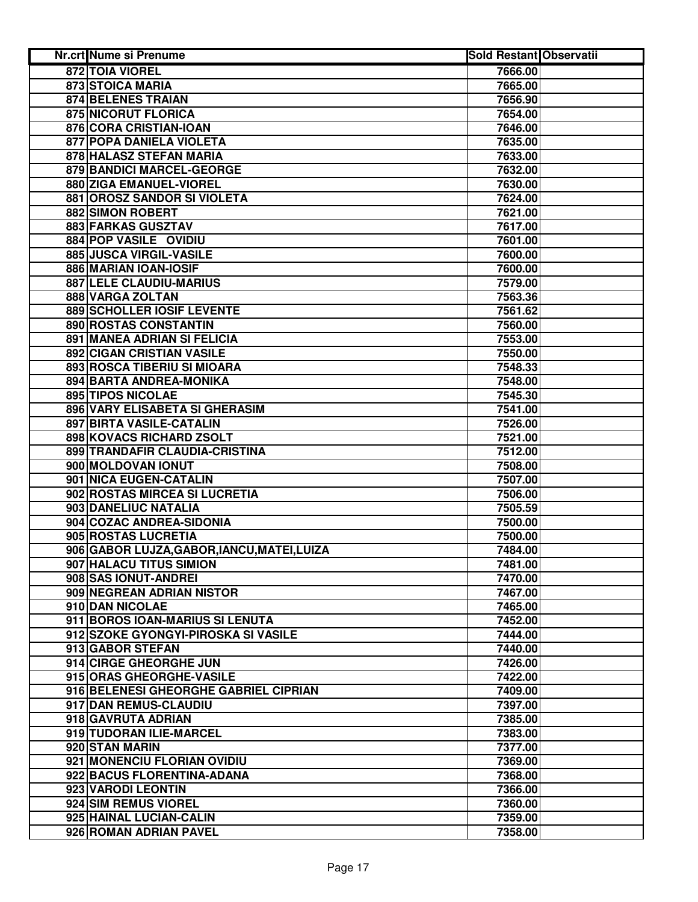| <b>Nr.crt Nume si Prenume</b>               | <b>Sold Restant Observatii</b> |  |
|---------------------------------------------|--------------------------------|--|
| 872 TOIA VIOREL                             | 7666.00                        |  |
| 873 STOICA MARIA                            | 7665.00                        |  |
| 874 BELENES TRAIAN                          | 7656.90                        |  |
| 875 NICORUT FLORICA                         | 7654.00                        |  |
| 876 CORA CRISTIAN-IOAN                      | 7646.00                        |  |
| 877 POPA DANIELA VIOLETA                    | 7635.00                        |  |
| 878 HALASZ STEFAN MARIA                     | 7633.00                        |  |
| 879 BANDICI MARCEL-GEORGE                   | 7632.00                        |  |
| 880 ZIGA EMANUEL-VIOREL                     | 7630.00                        |  |
| 881 OROSZ SANDOR SI VIOLETA                 | 7624.00                        |  |
| 882 SIMON ROBERT                            | 7621.00                        |  |
| 883 FARKAS GUSZTAV                          | 7617.00                        |  |
| 884 POP VASILE OVIDIU                       | 7601.00                        |  |
| 885 JUSCA VIRGIL-VASILE                     | 7600.00                        |  |
| 886 MARIAN IOAN-IOSIF                       | 7600.00                        |  |
| 887 LELE CLAUDIU-MARIUS                     | 7579.00                        |  |
| 888 VARGA ZOLTAN                            | 7563.36                        |  |
| 889 SCHOLLER IOSIF LEVENTE                  | 7561.62                        |  |
| 890 ROSTAS CONSTANTIN                       | 7560.00                        |  |
| 891 MANEA ADRIAN SI FELICIA                 | 7553.00                        |  |
| <b>892 CIGAN CRISTIAN VASILE</b>            | 7550.00                        |  |
| 893 ROSCA TIBERIU SI MIOARA                 | 7548.33                        |  |
| 894 BARTA ANDREA-MONIKA                     | 7548.00                        |  |
| <b>895 TIPOS NICOLAE</b>                    | 7545.30                        |  |
| 896 VARY ELISABETA SI GHERASIM              | 7541.00                        |  |
| 897 BIRTA VASILE-CATALIN                    | 7526.00                        |  |
| 898 KOVACS RICHARD ZSOLT                    | 7521.00                        |  |
| 899 TRANDAFIR CLAUDIA-CRISTINA              | 7512.00                        |  |
| 900 MOLDOVAN IONUT                          | 7508.00                        |  |
| 901 NICA EUGEN-CATALIN                      | 7507.00                        |  |
| 902 ROSTAS MIRCEA SI LUCRETIA               | 7506.00                        |  |
| 903 DANELIUC NATALIA                        | 7505.59                        |  |
| 904 COZAC ANDREA-SIDONIA                    | 7500.00                        |  |
| 905 ROSTAS LUCRETIA                         | 7500.00                        |  |
| 906 GABOR LUJZA, GABOR, IANCU, MATEI, LUIZA | 7484.00                        |  |
| 907 HALACU TITUS SIMION                     | 7481.00                        |  |
| 908 SAS IONUT-ANDREI                        | 7470.00                        |  |
| 909 NEGREAN ADRIAN NISTOR                   | 7467.00                        |  |
| 910 DAN NICOLAE                             | 7465.00                        |  |
| 911 BOROS IOAN-MARIUS SI LENUTA             | 7452.00                        |  |
| 912 SZOKE GYONGYI-PIROSKA SI VASILE         | 7444.00                        |  |
| 913 GABOR STEFAN                            | 7440.00                        |  |
| 914 CIRGE GHEORGHE JUN                      | 7426.00                        |  |
| 915 ORAS GHEORGHE-VASILE                    | 7422.00                        |  |
| 916 BELENESI GHEORGHE GABRIEL CIPRIAN       | 7409.00                        |  |
| 917 DAN REMUS-CLAUDIU                       | 7397.00                        |  |
| 918 GAVRUTA ADRIAN                          | 7385.00                        |  |
| 919 TUDORAN ILIE-MARCEL                     | 7383.00                        |  |
| 920 STAN MARIN                              | 7377.00                        |  |
| 921 MONENCIU FLORIAN OVIDIU                 | 7369.00                        |  |
| 922 BACUS FLORENTINA-ADANA                  | 7368.00                        |  |
| 923 VARODI LEONTIN                          | 7366.00                        |  |
| 924 SIM REMUS VIOREL                        | 7360.00                        |  |
| 925 HAINAL LUCIAN-CALIN                     | 7359.00                        |  |
| 926 ROMAN ADRIAN PAVEL                      | 7358.00                        |  |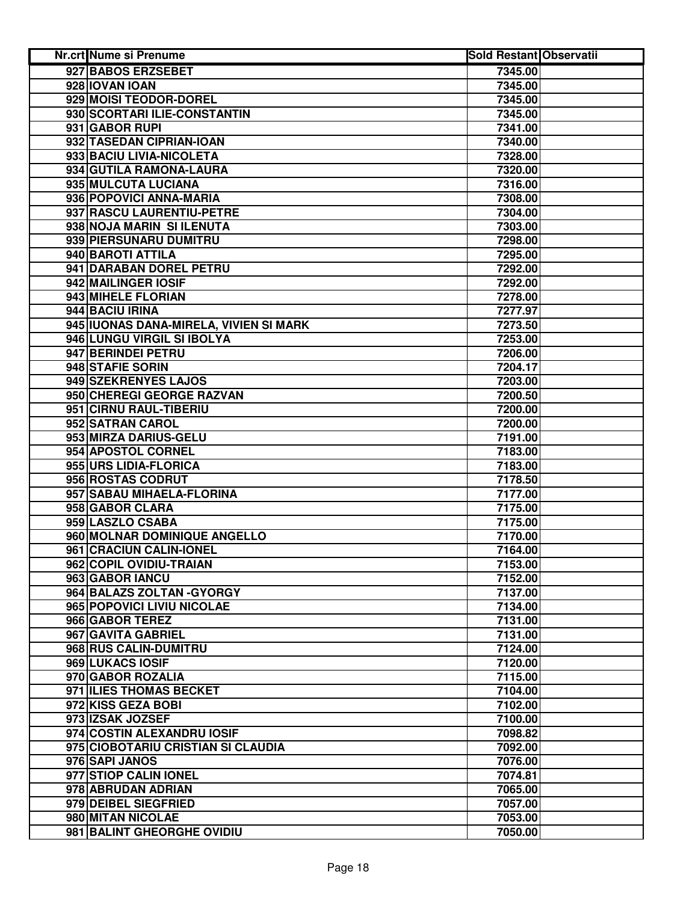| <b>Nr.crt Nume si Prenume</b>          | <b>Sold Restant Observatii</b> |  |
|----------------------------------------|--------------------------------|--|
| 927 BABOS ERZSEBET                     | 7345.00                        |  |
| 928 IOVAN IOAN                         | 7345.00                        |  |
| 929 MOISI TEODOR-DOREL                 | 7345.00                        |  |
| 930 SCORTARI ILIE-CONSTANTIN           | 7345.00                        |  |
| 931 GABOR RUPI                         | 7341.00                        |  |
| 932 TASEDAN CIPRIAN-IOAN               | 7340.00                        |  |
| 933 BACIU LIVIA-NICOLETA               | 7328.00                        |  |
| 934 GUTILA RAMONA-LAURA                | 7320.00                        |  |
| 935 MULCUTA LUCIANA                    | 7316.00                        |  |
| 936 POPOVICI ANNA-MARIA                | 7308.00                        |  |
| 937 RASCU LAURENTIU-PETRE              | 7304.00                        |  |
| 938 NOJA MARIN SI ILENUTA              | 7303.00                        |  |
| 939 PIERSUNARU DUMITRU                 | 7298.00                        |  |
| 940 BAROTI ATTILA                      | 7295.00                        |  |
| 941 DARABAN DOREL PETRU                | 7292.00                        |  |
| 942 MAILINGER IOSIF                    | 7292.00                        |  |
| 943 MIHELE FLORIAN                     | 7278.00                        |  |
| 944 BACIU IRINA                        | 7277.97                        |  |
| 945 IUONAS DANA-MIRELA, VIVIEN SI MARK | 7273.50                        |  |
| 946 LUNGU VIRGIL SI IBOLYA             | 7253.00                        |  |
| 947 BERINDEI PETRU                     | 7206.00                        |  |
| 948 STAFIE SORIN                       | 7204.17                        |  |
| 949 SZEKRENYES LAJOS                   | 7203.00                        |  |
| 950 CHEREGI GEORGE RAZVAN              | 7200.50                        |  |
| 951 CIRNU RAUL-TIBERIU                 | 7200.00                        |  |
| 952 SATRAN CAROL                       | 7200.00                        |  |
| 953 MIRZA DARIUS-GELU                  | 7191.00                        |  |
| 954 APOSTOL CORNEL                     | 7183.00                        |  |
| 955 URS LIDIA-FLORICA                  | 7183.00                        |  |
| 956 ROSTAS CODRUT                      | 7178.50                        |  |
| 957 SABAU MIHAELA-FLORINA              | 7177.00                        |  |
| 958 GABOR CLARA                        | 7175.00                        |  |
| 959 LASZLO CSABA                       | 7175.00                        |  |
| 960 MOLNAR DOMINIQUE ANGELLO           | 7170.00                        |  |
| 961 CRACIUN CALIN-IONEL                | 7164.00                        |  |
| 962 COPIL OVIDIU-TRAIAN                | 7153.00                        |  |
| 963 GABOR IANCU                        | 7152.00                        |  |
| 964 BALAZS ZOLTAN - GYORGY             | 7137.00                        |  |
| 965 POPOVICI LIVIU NICOLAE             | 7134.00                        |  |
| 966 GABOR TEREZ                        | 7131.00                        |  |
| 967 GAVITA GABRIEL                     | 7131.00                        |  |
| 968 RUS CALIN-DUMITRU                  | 7124.00                        |  |
| 969 LUKACS IOSIF                       | 7120.00                        |  |
| 970 GABOR ROZALIA                      | 7115.00                        |  |
| 971 ILIES THOMAS BECKET                | 7104.00                        |  |
| 972 KISS GEZA BOBI                     | 7102.00                        |  |
| 973 IZSAK JOZSEF                       | 7100.00                        |  |
| 974 COSTIN ALEXANDRU IOSIF             | 7098.82                        |  |
| 975 CIOBOTARIU CRISTIAN SI CLAUDIA     | 7092.00                        |  |
| 976 SAPI JANOS                         | 7076.00                        |  |
| 977 STIOP CALIN IONEL                  | 7074.81                        |  |
| 978 ABRUDAN ADRIAN                     | 7065.00                        |  |
| 979 DEIBEL SIEGFRIED                   | 7057.00                        |  |
| 980 MITAN NICOLAE                      | 7053.00                        |  |
| 981 BALINT GHEORGHE OVIDIU             | 7050.00                        |  |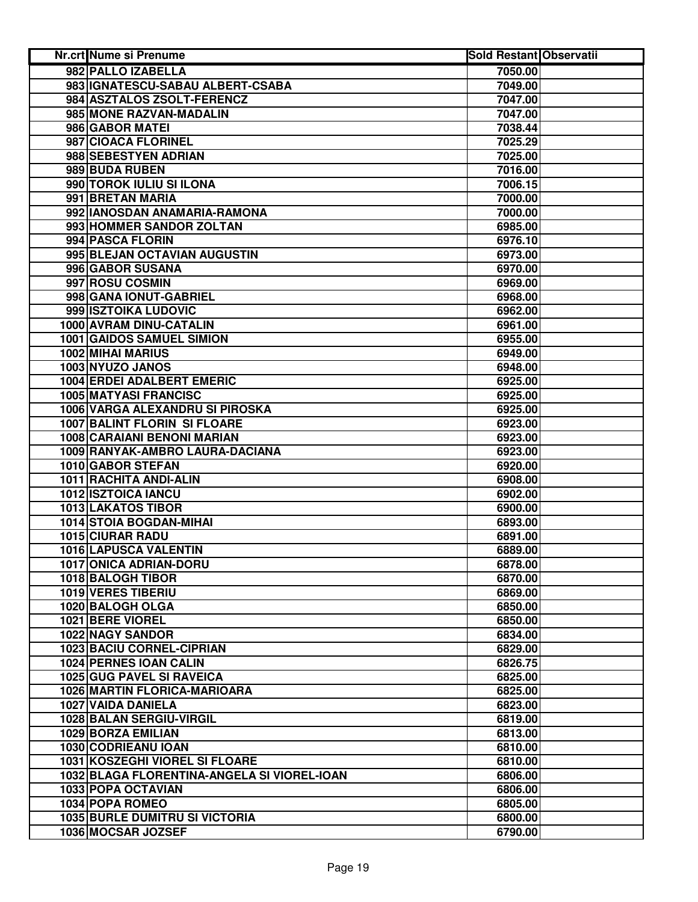| Nr.crt Nume si Prenume                      | <b>Sold Restant Observatii</b> |  |
|---------------------------------------------|--------------------------------|--|
| 982 PALLO IZABELLA                          | 7050.00                        |  |
| 983 IGNATESCU-SABAU ALBERT-CSABA            | 7049.00                        |  |
| 984 ASZTALOS ZSOLT-FERENCZ                  | 7047.00                        |  |
| 985 MONE RAZVAN-MADALIN                     | 7047.00                        |  |
| 986 GABOR MATEI                             | 7038.44                        |  |
| 987 CIOACA FLORINEL                         | 7025.29                        |  |
| 988 SEBESTYEN ADRIAN                        | 7025.00                        |  |
| 989 BUDA RUBEN                              | 7016.00                        |  |
| 990 TOROK IULIU SI ILONA                    | 7006.15                        |  |
| 991 BRETAN MARIA                            | 7000.00                        |  |
| 992 IANOSDAN ANAMARIA-RAMONA                | 7000.00                        |  |
| 993 HOMMER SANDOR ZOLTAN                    | 6985.00                        |  |
| 994 PASCA FLORIN                            | 6976.10                        |  |
| 995 BLEJAN OCTAVIAN AUGUSTIN                | 6973.00                        |  |
| 996 GABOR SUSANA                            | 6970.00                        |  |
| 997 ROSU COSMIN                             | 6969.00                        |  |
| 998 GANA IONUT-GABRIEL                      | 6968.00                        |  |
| 999 ISZTOIKA LUDOVIC                        | 6962.00                        |  |
| 1000 AVRAM DINU-CATALIN                     | 6961.00                        |  |
| <b>1001 GAIDOS SAMUEL SIMION</b>            | 6955.00                        |  |
| <b>1002 MIHAI MARIUS</b>                    | 6949.00                        |  |
| 1003 NYUZO JANOS                            | 6948.00                        |  |
| <b>1004 ERDEI ADALBERT EMERIC</b>           | 6925.00                        |  |
| <b>1005 MATYASI FRANCISC</b>                | 6925.00                        |  |
| 1006 VARGA ALEXANDRU SI PIROSKA             | 6925.00                        |  |
| <b>1007 BALINT FLORIN SI FLOARE</b>         | 6923.00                        |  |
| 1008 CARAIANI BENONI MARIAN                 | 6923.00                        |  |
| 1009 RANYAK-AMBRO LAURA-DACIANA             | 6923.00                        |  |
| 1010 GABOR STEFAN                           | 6920.00                        |  |
| 1011 RACHITA ANDI-ALIN                      | 6908.00                        |  |
| 1012 ISZTOICA IANCU                         | 6902.00                        |  |
| <b>1013 LAKATOS TIBOR</b>                   | 6900.00                        |  |
| 1014 STOIA BOGDAN-MIHAI                     | 6893.00                        |  |
| <b>1015 CIURAR RADU</b>                     | 6891.00                        |  |
| 1016 LAPUSCA VALENTIN                       | 6889.00                        |  |
| 1017 ONICA ADRIAN-DORU                      | 6878.00                        |  |
| 1018 BALOGH TIBOR                           | 6870.00                        |  |
| 1019 VERES TIBERIU                          | 6869.00                        |  |
| 1020 BALOGH OLGA                            | 6850.00                        |  |
| 1021 BERE VIOREL                            | 6850.00                        |  |
| 1022 NAGY SANDOR                            | 6834.00                        |  |
| 1023 BACIU CORNEL-CIPRIAN                   | 6829.00                        |  |
| 1024 PERNES IOAN CALIN                      | 6826.75                        |  |
| 1025 GUG PAVEL SI RAVEICA                   | 6825.00                        |  |
| 1026 MARTIN FLORICA-MARIOARA                | 6825.00                        |  |
| 1027 VAIDA DANIELA                          | 6823.00                        |  |
| 1028 BALAN SERGIU-VIRGIL                    | 6819.00                        |  |
| 1029 BORZA EMILIAN                          | 6813.00                        |  |
| 1030 CODRIEANU IOAN                         | 6810.00                        |  |
| <b>1031 KOSZEGHI VIOREL SI FLOARE</b>       | 6810.00                        |  |
| 1032 BLAGA FLORENTINA-ANGELA SI VIOREL-IOAN | 6806.00                        |  |
| 1033 POPA OCTAVIAN                          | 6806.00                        |  |
| 1034 POPA ROMEO                             | 6805.00                        |  |
| <b>1035 BURLE DUMITRU SI VICTORIA</b>       | 6800.00                        |  |
| 1036 MOCSAR JOZSEF                          | 6790.00                        |  |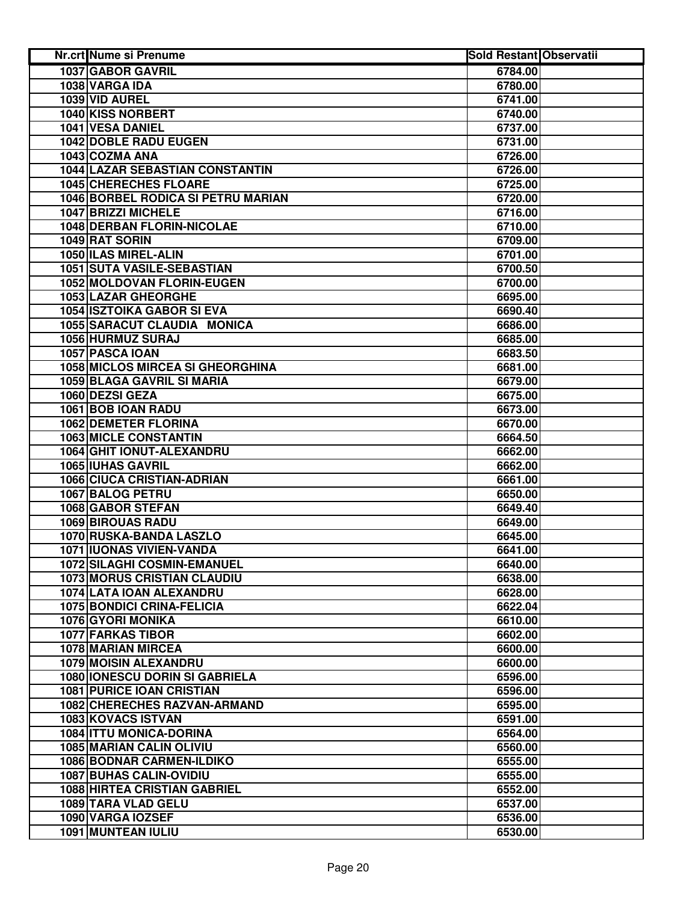| Nr.crt Nume si Prenume                  | <b>Sold Restant Observatii</b> |  |
|-----------------------------------------|--------------------------------|--|
| <b>1037 GABOR GAVRIL</b>                | 6784.00                        |  |
| 1038 VARGA IDA                          | 6780.00                        |  |
| 1039 VID AUREL                          | 6741.00                        |  |
| 1040 KISS NORBERT                       | 6740.00                        |  |
| 1041 VESA DANIEL                        | 6737.00                        |  |
| <b>1042 DOBLE RADU EUGEN</b>            | 6731.00                        |  |
| 1043 COZMA ANA                          | 6726.00                        |  |
| <b>1044 LAZAR SEBASTIAN CONSTANTIN</b>  | 6726.00                        |  |
| 1045 CHERECHES FLOARE                   | 6725.00                        |  |
| 1046 BORBEL RODICA SI PETRU MARIAN      | 6720.00                        |  |
| 1047 BRIZZI MICHELE                     | 6716.00                        |  |
| <b>1048 DERBAN FLORIN-NICOLAE</b>       | 6710.00                        |  |
| 1049 RAT SORIN                          | 6709.00                        |  |
| 1050 ILAS MIREL-ALIN                    | 6701.00                        |  |
| 1051 SUTA VASILE-SEBASTIAN              | 6700.50                        |  |
| 1052 MOLDOVAN FLORIN-EUGEN              | 6700.00                        |  |
| 1053 LAZAR GHEORGHE                     | 6695.00                        |  |
| <b>1054 ISZTOIKA GABOR SI EVA</b>       | 6690.40                        |  |
| 1055 SARACUT CLAUDIA MONICA             | 6686.00                        |  |
| 1056 HURMUZ SURAJ                       | 6685.00                        |  |
| 1057 PASCA IOAN                         | 6683.50                        |  |
| <b>1058 MICLOS MIRCEA SI GHEORGHINA</b> | 6681.00                        |  |
| 1059 BLAGA GAVRIL SI MARIA              | 6679.00                        |  |
| 1060 DEZSI GEZA                         | 6675.00                        |  |
| 1061 BOB IOAN RADU                      | 6673.00                        |  |
| <b>1062 DEMETER FLORINA</b>             | 6670.00                        |  |
| <b>1063 MICLE CONSTANTIN</b>            | 6664.50                        |  |
| 1064 GHIT IONUT-ALEXANDRU               | 6662.00                        |  |
| 1065 IUHAS GAVRIL                       | 6662.00                        |  |
| 1066 CIUCA CRISTIAN-ADRIAN              | 6661.00                        |  |
| 1067 BALOG PETRU                        | 6650.00                        |  |
| 1068 GABOR STEFAN                       | 6649.40                        |  |
| <b>1069 BIROUAS RADU</b>                | 6649.00                        |  |
| 1070 RUSKA-BANDA LASZLO                 | 6645.00                        |  |
| 1071 IUONAS VIVIEN-VANDA                | 6641.00                        |  |
| 1072 SILAGHI COSMIN-EMANUEL             | 6640.00                        |  |
| <b>1073 MORUS CRISTIAN CLAUDIU</b>      | 6638.00                        |  |
| 1074 LATA IOAN ALEXANDRU                | 6628.00                        |  |
| <b>1075 BONDICI CRINA-FELICIA</b>       | 6622.04                        |  |
| 1076 GYORI MONIKA                       | 6610.00                        |  |
| 1077 FARKAS TIBOR                       | 6602.00                        |  |
| <b>1078 MARIAN MIRCEA</b>               | 6600.00                        |  |
| 1079 MOISIN ALEXANDRU                   | 6600.00                        |  |
| <b>1080 IONESCU DORIN SI GABRIELA</b>   | 6596.00                        |  |
| <b>1081 PURICE IOAN CRISTIAN</b>        | 6596.00                        |  |
| 1082 CHERECHES RAZVAN-ARMAND            | 6595.00                        |  |
| 1083 KOVACS ISTVAN                      | 6591.00                        |  |
| 1084 ITTU MONICA-DORINA                 | 6564.00                        |  |
| 1085 MARIAN CALIN OLIVIU                | 6560.00                        |  |
| 1086 BODNAR CARMEN-ILDIKO               | 6555.00                        |  |
| <b>1087 BUHAS CALIN-OVIDIU</b>          | 6555.00                        |  |
| <b>1088 HIRTEA CRISTIAN GABRIEL</b>     | 6552.00                        |  |
| 1089 TARA VLAD GELU                     | 6537.00                        |  |
| 1090 VARGA IOZSEF                       | 6536.00                        |  |
| 1091 MUNTEAN IULIU                      | 6530.00                        |  |
|                                         |                                |  |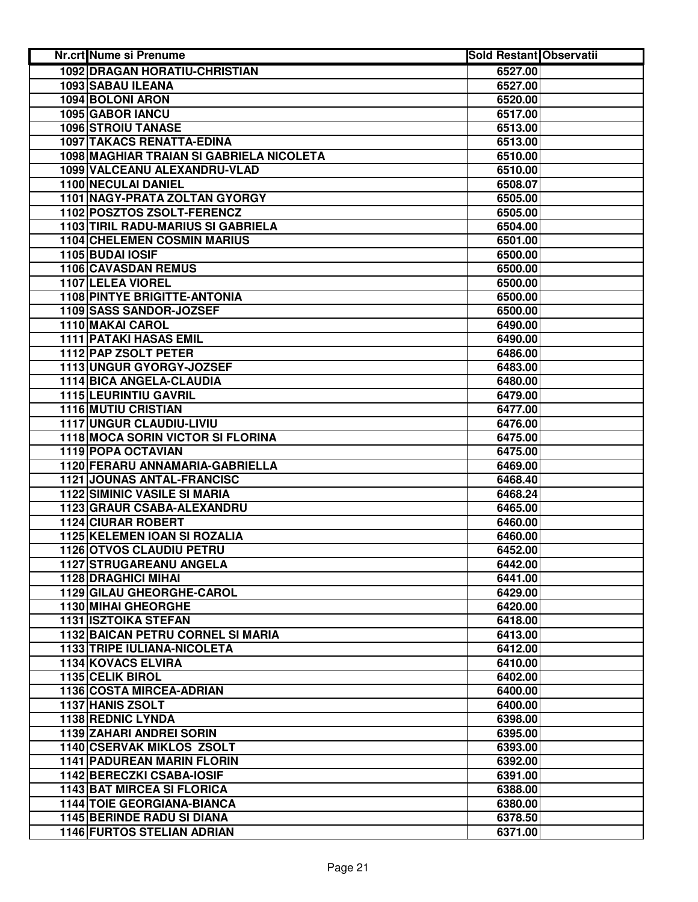| Nr.crt Nume si Prenume                    | <b>Sold Restant Observatii</b> |  |
|-------------------------------------------|--------------------------------|--|
| <b>1092 DRAGAN HORATIU-CHRISTIAN</b>      | 6527.00                        |  |
| 1093 SABAU ILEANA                         | 6527.00                        |  |
| 1094 BOLONI ARON                          | 6520.00                        |  |
| 1095 GABOR IANCU                          | 6517.00                        |  |
| <b>1096 STROIU TANASE</b>                 | 6513.00                        |  |
| 1097 TAKACS RENATTA-EDINA                 | 6513.00                        |  |
| 1098 MAGHIAR TRAIAN SI GABRIELA NICOLETA  | 6510.00                        |  |
| 1099 VALCEANU ALEXANDRU-VLAD              | 6510.00                        |  |
| 1100 NECULAI DANIEL                       | 6508.07                        |  |
| 1101 NAGY-PRATA ZOLTAN GYORGY             | 6505.00                        |  |
| 1102 POSZTOS ZSOLT-FERENCZ                | 6505.00                        |  |
| <b>1103 TIRIL RADU-MARIUS SI GABRIELA</b> | 6504.00                        |  |
| <b>1104 CHELEMEN COSMIN MARIUS</b>        | 6501.00                        |  |
| 1105 BUDAI IOSIF                          | 6500.00                        |  |
| 1106 CAVASDAN REMUS                       | 6500.00                        |  |
| 1107 LELEA VIOREL                         | 6500.00                        |  |
| <b>1108 PINTYE BRIGITTE-ANTONIA</b>       | 6500.00                        |  |
| 1109 SASS SANDOR-JOZSEF                   | 6500.00                        |  |
| 1110 MAKAI CAROL                          | 6490.00                        |  |
| <b>1111 PATAKI HASAS EMIL</b>             | 6490.00                        |  |
| 1112 PAP ZSOLT PETER                      | 6486.00                        |  |
| 1113 UNGUR GYORGY-JOZSEF                  | 6483.00                        |  |
| 1114 BICA ANGELA-CLAUDIA                  | 6480.00                        |  |
| <b>1115 LEURINTIU GAVRIL</b>              | 6479.00                        |  |
| <b>1116 MUTIU CRISTIAN</b>                | 6477.00                        |  |
| <b>1117 UNGUR CLAUDIU-LIVIU</b>           | 6476.00                        |  |
| 1118 MOCA SORIN VICTOR SI FLORINA         | 6475.00                        |  |
| 1119 POPA OCTAVIAN                        | 6475.00                        |  |
| 1120 FERARU ANNAMARIA-GABRIELLA           | 6469.00                        |  |
| <b>1121 JOUNAS ANTAL-FRANCISC</b>         | 6468.40                        |  |
| <b>1122 SIMINIC VASILE SI MARIA</b>       | 6468.24                        |  |
| 1123 GRAUR CSABA-ALEXANDRU                | 6465.00                        |  |
| <b>1124 CIURAR ROBERT</b>                 | 6460.00                        |  |
| 1125 KELEMEN IOAN SI ROZALIA              | 6460.00                        |  |
| 1126 OTVOS CLAUDIU PETRU                  | 6452.00                        |  |
| <b>1127 STRUGAREANU ANGELA</b>            | 6442.00                        |  |
| <b>1128 DRAGHICI MIHAI</b>                | 6441.00                        |  |
| 1129 GILAU GHEORGHE-CAROL                 | 6429.00                        |  |
| <b>1130 MIHAI GHEORGHE</b>                | 6420.00                        |  |
| <b>1131 ISZTOIKA STEFAN</b>               | 6418.00                        |  |
| 1132 BAICAN PETRU CORNEL SI MARIA         | 6413.00                        |  |
| 1133 TRIPE IULIANA-NICOLETA               | 6412.00                        |  |
| 1134 KOVACS ELVIRA                        | 6410.00                        |  |
| 1135 CELIK BIROL                          | 6402.00                        |  |
| 1136 COSTA MIRCEA-ADRIAN                  | 6400.00                        |  |
| <b>1137 HANIS ZSOLT</b>                   | 6400.00                        |  |
| 1138 REDNIC LYNDA                         | 6398.00                        |  |
| 1139 ZAHARI ANDREI SORIN                  | 6395.00                        |  |
| <b>1140 CSERVAK MIKLOS ZSOLT</b>          | 6393.00                        |  |
| <b>1141 PADUREAN MARIN FLORIN</b>         | 6392.00                        |  |
| 1142 BERECZKI CSABA-IOSIF                 | 6391.00                        |  |
| <b>1143 BAT MIRCEA SI FLORICA</b>         | 6388.00                        |  |
| <b>1144 TOIE GEORGIANA-BIANCA</b>         | 6380.00                        |  |
| <b>1145 BERINDE RADU SI DIANA</b>         | 6378.50                        |  |
| 1146 FURTOS STELIAN ADRIAN                | 6371.00                        |  |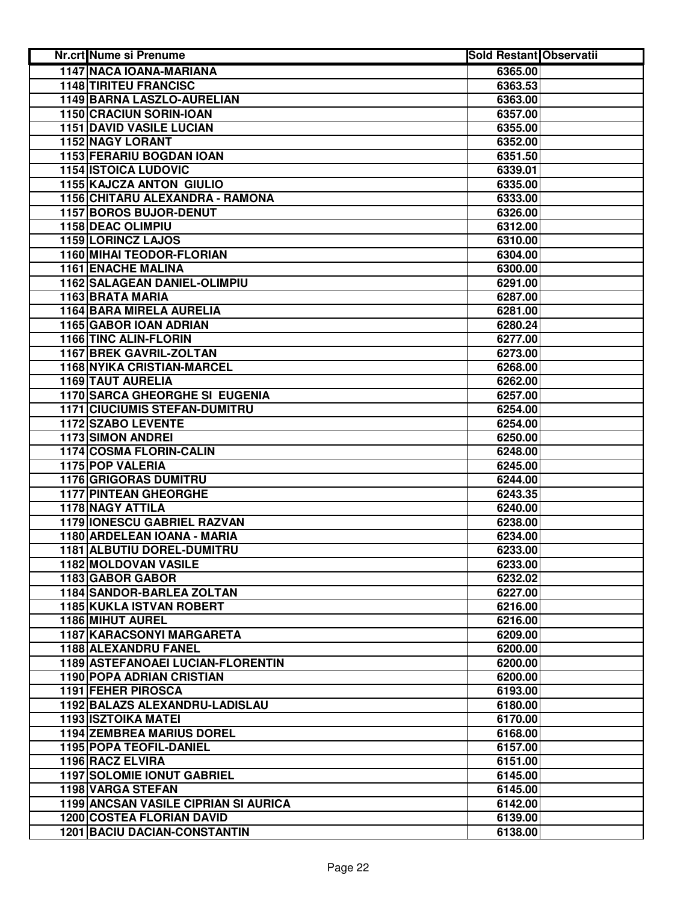| <b>Nr.crt Nume si Prenume</b>         | <b>Sold Restant Observatii</b> |  |
|---------------------------------------|--------------------------------|--|
| 1147 NACA IOANA-MARIANA               | 6365.00                        |  |
| <b>1148 TIRITEU FRANCISC</b>          | 6363.53                        |  |
| 1149 BARNA LASZLO-AURELIAN            | 6363.00                        |  |
| 1150 CRACIUN SORIN-IOAN               | 6357.00                        |  |
| <b>1151 DAVID VASILE LUCIAN</b>       | 6355.00                        |  |
| 1152 NAGY LORANT                      | 6352.00                        |  |
| 1153 FERARIU BOGDAN IOAN              | 6351.50                        |  |
| <b>1154 ISTOICA LUDOVIC</b>           | 6339.01                        |  |
| 1155 KAJCZA ANTON GIULIO              | 6335.00                        |  |
| 1156 CHITARU ALEXANDRA - RAMONA       | 6333.00                        |  |
| 1157 BOROS BUJOR-DENUT                | 6326.00                        |  |
| 1158 DEAC OLIMPIU                     | 6312.00                        |  |
| 1159 LORINCZ LAJOS                    | 6310.00                        |  |
| 1160 MIHAI TEODOR-FLORIAN             | 6304.00                        |  |
| <b>1161 ENACHE MALINA</b>             | 6300.00                        |  |
| 1162 SALAGEAN DANIEL-OLIMPIU          | 6291.00                        |  |
| 1163 BRATA MARIA                      | 6287.00                        |  |
| 1164 BARA MIRELA AURELIA              | 6281.00                        |  |
| 1165 GABOR IOAN ADRIAN                | 6280.24                        |  |
| <b>1166 TINC ALIN-FLORIN</b>          | 6277.00                        |  |
| <b>1167 BREK GAVRIL-ZOLTAN</b>        | 6273.00                        |  |
| <b>1168 NYIKA CRISTIAN-MARCEL</b>     | 6268.00                        |  |
| <b>1169 TAUT AURELIA</b>              | 6262.00                        |  |
| <b>1170 SARCA GHEORGHE SI EUGENIA</b> | 6257.00                        |  |
| <b>1171 CIUCIUMIS STEFAN-DUMITRU</b>  | 6254.00                        |  |
| <b>1172 SZABO LEVENTE</b>             | 6254.00                        |  |
| <b>1173 SIMON ANDREI</b>              | 6250.00                        |  |
| 1174 COSMA FLORIN-CALIN               | 6248.00                        |  |
| 1175 POP VALERIA                      | 6245.00                        |  |
| 1176 GRIGORAS DUMITRU                 | 6244.00                        |  |
| <b>1177 PINTEAN GHEORGHE</b>          | 6243.35                        |  |
| 1178 NAGY ATTILA                      | 6240.00                        |  |
| 1179 IONESCU GABRIEL RAZVAN           | 6238.00                        |  |
| 1180 ARDELEAN IOANA - MARIA           | 6234.00                        |  |
| <b>1181 ALBUTIU DOREL-DUMITRU</b>     | 6233.00                        |  |
| 1182 MOLDOVAN VASILE                  | 6233.00                        |  |
| 1183 GABOR GABOR                      | 6232.02                        |  |
| 1184 SANDOR-BARLEA ZOLTAN             | 6227.00                        |  |
| 1185 KUKLA ISTVAN ROBERT              | 6216.00                        |  |
| 1186 MIHUT AUREL                      | 6216.00                        |  |
| <b>1187 KARACSONYI MARGARETA</b>      | 6209.00                        |  |
| 1188 ALEXANDRU FANEL                  | 6200.00                        |  |
| 1189 ASTEFANOAEI LUCIAN-FLORENTIN     | 6200.00                        |  |
| <b>1190 POPA ADRIAN CRISTIAN</b>      | 6200.00                        |  |
| 1191 FEHER PIROSCA                    | 6193.00                        |  |
| 1192 BALAZS ALEXANDRU-LADISLAU        | 6180.00                        |  |
| <b>1193 ISZTOIKA MATEI</b>            | 6170.00                        |  |
| <b>1194 ZEMBREA MARIUS DOREL</b>      | 6168.00                        |  |
| 1195 POPA TEOFIL-DANIEL               | 6157.00                        |  |
| 1196 RACZ ELVIRA                      | 6151.00                        |  |
| <b>1197 SOLOMIE IONUT GABRIEL</b>     | 6145.00                        |  |
| 1198 VARGA STEFAN                     | 6145.00                        |  |
| 1199 ANCSAN VASILE CIPRIAN SI AURICA  | 6142.00                        |  |
| <b>1200 COSTEA FLORIAN DAVID</b>      | 6139.00                        |  |
| <b>1201 BACIU DACIAN-CONSTANTIN</b>   | 6138.00                        |  |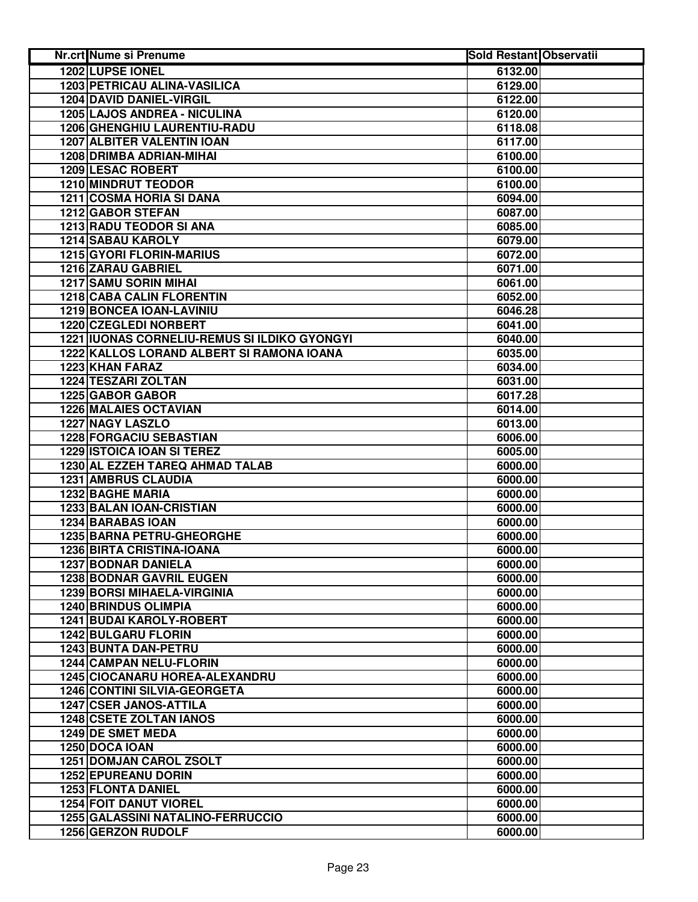| Nr.crt Nume si Prenume                       | <b>Sold Restant Observatii</b> |  |
|----------------------------------------------|--------------------------------|--|
| <b>1202 LUPSE IONEL</b>                      | 6132.00                        |  |
| 1203 PETRICAU ALINA-VASILICA                 | 6129.00                        |  |
| 1204 DAVID DANIEL-VIRGIL                     | 6122.00                        |  |
| 1205 LAJOS ANDREA - NICULINA                 | 6120.00                        |  |
| 1206 GHENGHIU LAURENTIU-RADU                 | 6118.08                        |  |
| <b>1207 ALBITER VALENTIN IOAN</b>            | 6117.00                        |  |
| 1208 DRIMBA ADRIAN-MIHAI                     | 6100.00                        |  |
| <b>1209 LESAC ROBERT</b>                     | 6100.00                        |  |
| 1210 MINDRUT TEODOR                          | 6100.00                        |  |
| 1211 COSMA HORIA SI DANA                     | 6094.00                        |  |
| 1212 GABOR STEFAN                            | 6087.00                        |  |
| 1213 RADU TEODOR SI ANA                      | 6085.00                        |  |
| 1214 SABAU KAROLY                            | 6079.00                        |  |
| 1215 GYORI FLORIN-MARIUS                     | 6072.00                        |  |
| 1216 ZARAU GABRIEL                           | 6071.00                        |  |
| <b>1217 SAMU SORIN MIHAI</b>                 | 6061.00                        |  |
| <b>1218 CABA CALIN FLORENTIN</b>             | 6052.00                        |  |
| 1219 BONCEA IOAN-LAVINIU                     | 6046.28                        |  |
| 1220 CZEGLEDI NORBERT                        | 6041.00                        |  |
| 1221 IUONAS CORNELIU-REMUS SI ILDIKO GYONGYI | 6040.00                        |  |
| 1222 KALLOS LORAND ALBERT SI RAMONA IOANA    | 6035.00                        |  |
| <b>1223 KHAN FARAZ</b>                       | 6034.00                        |  |
| <b>1224 TESZARI ZOLTAN</b>                   | 6031.00                        |  |
| 1225 GABOR GABOR                             | 6017.28                        |  |
| <b>1226 MALAIES OCTAVIAN</b>                 | 6014.00                        |  |
| <b>1227 NAGY LASZLO</b>                      | 6013.00                        |  |
| 1228 FORGACIU SEBASTIAN                      | 6006.00                        |  |
| <b>1229 ISTOICA IOAN SI TEREZ</b>            | 6005.00                        |  |
| 1230 AL EZZEH TAREQ AHMAD TALAB              | 6000.00                        |  |
| <b>1231 AMBRUS CLAUDIA</b>                   | 6000.00                        |  |
| 1232 BAGHE MARIA                             | 6000.00                        |  |
| 1233 BALAN IOAN-CRISTIAN                     | 6000.00                        |  |
| 1234 BARABAS IOAN                            | 6000.00                        |  |
| <b>1235 BARNA PETRU-GHEORGHE</b>             | 6000.00                        |  |
| 1236 BIRTA CRISTINA-IOANA                    | 6000.00                        |  |
| <b>1237 BODNAR DANIELA</b>                   | 6000.00                        |  |
| <b>1238 BODNAR GAVRIL EUGEN</b>              | 6000.00                        |  |
| <b>1239 BORSI MIHAELA-VIRGINIA</b>           | 6000.00                        |  |
| <b>1240 BRINDUS OLIMPIA</b>                  | 6000.00                        |  |
| <b>1241 BUDAI KAROLY-ROBERT</b>              | 6000.00                        |  |
| <b>1242 BULGARU FLORIN</b>                   | 6000.00                        |  |
| 1243 BUNTA DAN-PETRU                         | 6000.00                        |  |
| 1244 CAMPAN NELU-FLORIN                      | 6000.00                        |  |
| 1245 CIOCANARU HOREA-ALEXANDRU               | 6000.00                        |  |
| <b>1246 CONTINI SILVIA-GEORGETA</b>          | 6000.00                        |  |
| <b>1247 CSER JANOS-ATTILA</b>                | 6000.00                        |  |
| 1248 CSETE ZOLTAN IANOS                      | 6000.00                        |  |
| 1249 DE SMET MEDA                            | 6000.00                        |  |
| 1250 DOCA IOAN                               | 6000.00                        |  |
| <b>1251 DOMJAN CAROL ZSOLT</b>               | 6000.00                        |  |
| 1252 EPUREANU DORIN                          | 6000.00                        |  |
| 1253 FLONTA DANIEL                           | 6000.00                        |  |
| <b>1254 FOIT DANUT VIOREL</b>                | 6000.00                        |  |
| 1255 GALASSINI NATALINO-FERRUCCIO            | 6000.00                        |  |
| 1256 GERZON RUDOLF                           | 6000.00                        |  |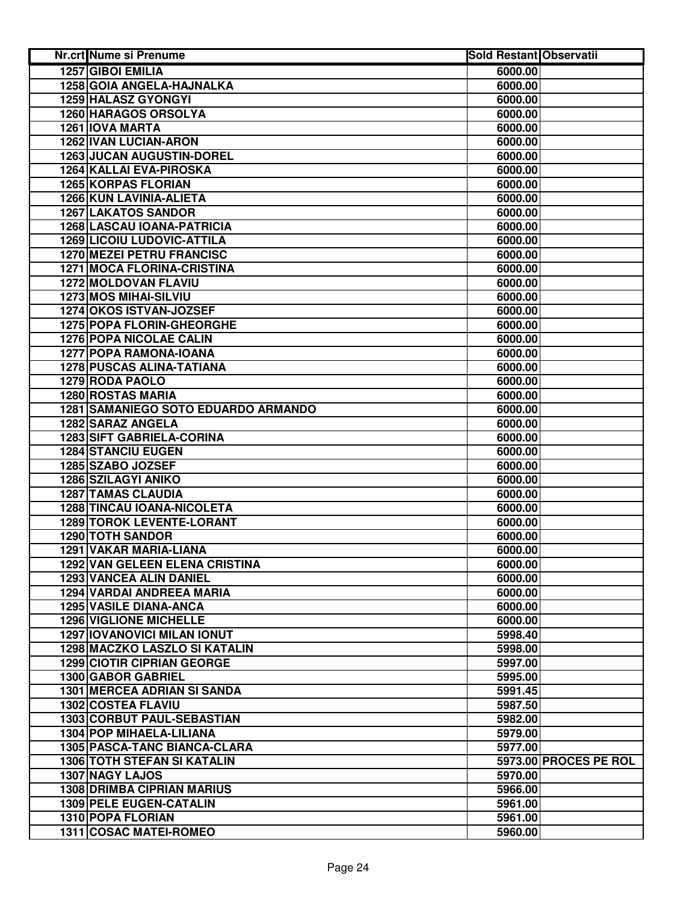| Nr.crt Nume si Prenume                     | <b>Sold Restant Observatii</b> |                       |
|--------------------------------------------|--------------------------------|-----------------------|
| 1257 GIBOI EMILIA                          | 6000.00                        |                       |
| 1258 GOIA ANGELA-HAJNALKA                  | 6000.00                        |                       |
| 1259 HALASZ GYONGYI                        | 6000.00                        |                       |
| <b>1260 HARAGOS ORSOLYA</b>                | 6000.00                        |                       |
| <b>1261 IOVA MARTA</b>                     | 6000.00                        |                       |
| 1262 IVAN LUCIAN-ARON                      | 6000.00                        |                       |
| 1263 JUCAN AUGUSTIN-DOREL                  | 6000.00                        |                       |
| 1264 KALLAI EVA-PIROSKA                    | 6000.00                        |                       |
| <b>1265 KORPAS FLORIAN</b>                 | 6000.00                        |                       |
| 1266 KUN LAVINIA-ALIETA                    | 6000.00                        |                       |
| <b>1267 LAKATOS SANDOR</b>                 | 6000.00                        |                       |
| <b>1268 LASCAU IOANA-PATRICIA</b>          | 6000.00                        |                       |
| <b>1269 LICOIU LUDOVIC-ATTILA</b>          | 6000.00                        |                       |
| 1270 MEZEI PETRU FRANCISC                  | 6000.00                        |                       |
| <b>1271 MOCA FLORINA-CRISTINA</b>          | 6000.00                        |                       |
| 1272 MOLDOVAN FLAVIU                       | 6000.00                        |                       |
| 1273 MOS MIHAI-SILVIU                      | 6000.00                        |                       |
| 1274 OKOS ISTVAN-JOZSEF                    | 6000.00                        |                       |
| 1275 POPA FLORIN-GHEORGHE                  | 6000.00                        |                       |
| <b>1276 POPA NICOLAE CALIN</b>             | 6000.00                        |                       |
| <b>1277 POPA RAMONA-IOANA</b>              | 6000.00                        |                       |
| <b>1278 PUSCAS ALINA-TATIANA</b>           | 6000.00                        |                       |
| 1279 RODA PAOLO                            | 6000.00                        |                       |
| <b>1280 ROSTAS MARIA</b>                   | 6000.00                        |                       |
| <b>1281 SAMANIEGO SOTO EDUARDO ARMANDO</b> | 6000.00                        |                       |
| 1282 SARAZ ANGELA                          | 6000.00                        |                       |
| 1283 SIFT GABRIELA-CORINA                  | 6000.00                        |                       |
| <b>1284 STANCIU EUGEN</b>                  | 6000.00                        |                       |
| 1285 SZABO JOZSEF                          | 6000.00                        |                       |
| 1286 SZILAGYI ANIKO                        | 6000.00                        |                       |
| <b>1287 TAMAS CLAUDIA</b>                  | 6000.00                        |                       |
| 1288 TINCAU IOANA-NICOLETA                 | 6000.00                        |                       |
| <b>1289 TOROK LEVENTE-LORANT</b>           | 6000.00                        |                       |
| 1290 TOTH SANDOR                           | 6000.00                        |                       |
| 1291 VAKAR MARIA-LIANA                     | 6000.00                        |                       |
| 1292 VAN GELEEN ELENA CRISTINA             | 6000.00                        |                       |
| 1293 VANCEA ALIN DANIEL                    | 6000.00                        |                       |
| 1294 VARDAI ANDREEA MARIA                  | 6000.00                        |                       |
| <b>1295 VASILE DIANA-ANCA</b>              | 6000.00                        |                       |
| <b>1296 VIGLIONE MICHELLE</b>              | 6000.00                        |                       |
| <b>1297 IOVANOVICI MILAN IONUT</b>         | 5998.40                        |                       |
| 1298 MACZKO LASZLO SI KATALIN              | 5998.00                        |                       |
| <b>1299 CIOTIR CIPRIAN GEORGE</b>          | 5997.00                        |                       |
| 1300 GABOR GABRIEL                         | 5995.00                        |                       |
| <b>1301 MERCEA ADRIAN SI SANDA</b>         | 5991.45                        |                       |
| <b>1302 COSTEA FLAVIU</b>                  | 5987.50                        |                       |
| 1303 CORBUT PAUL-SEBASTIAN                 | 5982.00                        |                       |
| 1304 POP MIHAELA-LILIANA                   | 5979.00                        |                       |
| 1305 PASCA-TANC BIANCA-CLARA               | 5977.00                        |                       |
| <b>1306 TOTH STEFAN SI KATALIN</b>         |                                | 5973.00 PROCES PE ROL |
| 1307 NAGY LAJOS                            | 5970.00                        |                       |
| <b>1308 DRIMBA CIPRIAN MARIUS</b>          | 5966.00                        |                       |
| 1309 PELE EUGEN-CATALIN                    | 5961.00                        |                       |
| 1310 POPA FLORIAN                          | 5961.00                        |                       |
| 1311 COSAC MATEI-ROMEO                     | 5960.00                        |                       |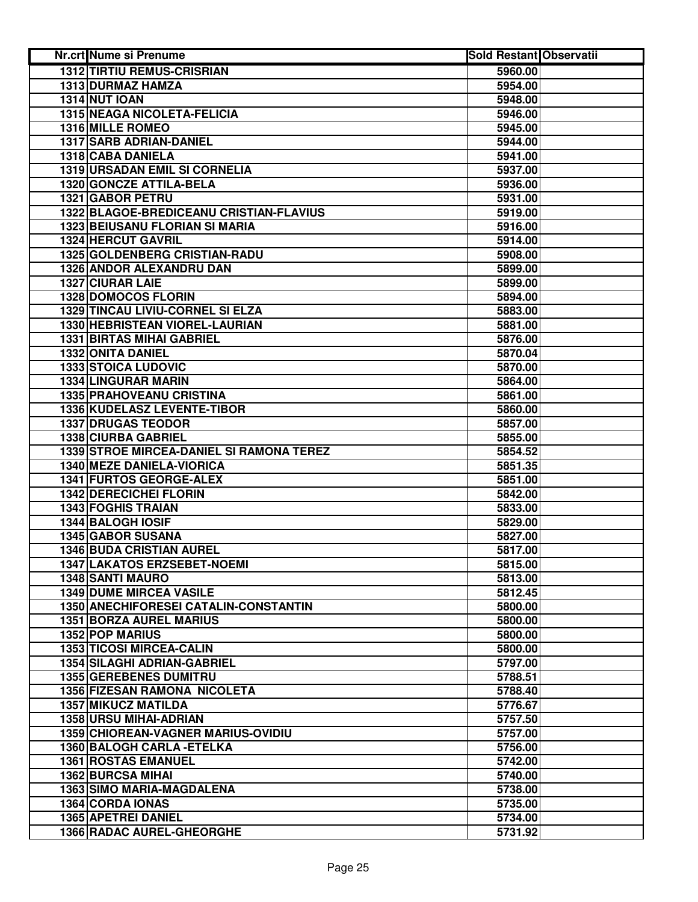| Nr.crt Nume si Prenume        |                                          | <b>Sold Restant Observatii</b> |  |
|-------------------------------|------------------------------------------|--------------------------------|--|
|                               | <b>1312 TIRTIU REMUS-CRISRIAN</b>        | 5960.00                        |  |
| 1313 DURMAZ HAMZA             |                                          | 5954.00                        |  |
| <b>1314 NUT IOAN</b>          |                                          | 5948.00                        |  |
|                               | 1315 NEAGA NICOLETA-FELICIA              | 5946.00                        |  |
| <b>1316 MILLE ROMEO</b>       |                                          | 5945.00                        |  |
| 1317 SARB ADRIAN-DANIEL       |                                          | 5944.00                        |  |
| 1318 CABA DANIELA             |                                          | 5941.00                        |  |
|                               | 1319 URSADAN EMIL SI CORNELIA            | 5937.00                        |  |
|                               | 1320 GONCZE ATTILA-BELA                  | 5936.00                        |  |
| <b>1321 GABOR PETRU</b>       |                                          | 5931.00                        |  |
|                               | 1322 BLAGOE-BREDICEANU CRISTIAN-FLAVIUS  | 5919.00                        |  |
|                               | <b>1323 BEIUSANU FLORIAN SI MARIA</b>    | 5916.00                        |  |
| <b>1324 HERCUT GAVRIL</b>     |                                          | 5914.00                        |  |
|                               | 1325 GOLDENBERG CRISTIAN-RADU            | 5908.00                        |  |
|                               | 1326 ANDOR ALEXANDRU DAN                 | 5899.00                        |  |
| <b>1327 CIURAR LAIE</b>       |                                          | 5899.00                        |  |
| <b>1328 DOMOCOS FLORIN</b>    |                                          | 5894.00                        |  |
|                               | 1329 TINCAU LIVIU-CORNEL SI ELZA         | 5883.00                        |  |
|                               | 1330 HEBRISTEAN VIOREL-LAURIAN           | 5881.00                        |  |
|                               | <b>1331 BIRTAS MIHAI GABRIEL</b>         | 5876.00                        |  |
| <b>1332 ONITA DANIEL</b>      |                                          | 5870.04                        |  |
| <b>1333 STOICA LUDOVIC</b>    |                                          | 5870.00                        |  |
| <b>1334 LINGURAR MARIN</b>    |                                          | 5864.00                        |  |
|                               | <b>1335 PRAHOVEANU CRISTINA</b>          | 5861.00                        |  |
|                               | 1336 KUDELASZ LEVENTE-TIBOR              | 5860.00                        |  |
| <b>1337 DRUGAS TEODOR</b>     |                                          | 5857.00                        |  |
| 1338 CIURBA GABRIEL           |                                          | 5855.00                        |  |
|                               | 1339 STROE MIRCEA-DANIEL SI RAMONA TEREZ | 5854.52                        |  |
|                               | 1340 MEZE DANIELA-VIORICA                | 5851.35                        |  |
|                               | 1341 FURTOS GEORGE-ALEX                  | 5851.00                        |  |
| <b>1342 DERECICHEI FLORIN</b> |                                          | 5842.00                        |  |
| <b>1343 FOGHIS TRAIAN</b>     |                                          | 5833.00                        |  |
| 1344 BALOGH IOSIF             |                                          | 5829.00                        |  |
| <b>1345 GABOR SUSANA</b>      |                                          | 5827.00                        |  |
|                               | <b>1346 BUDA CRISTIAN AUREL</b>          | 5817.00                        |  |
|                               | 1347 LAKATOS ERZSEBET-NOEMI              | 5815.00                        |  |
| <b>1348 SANTI MAURO</b>       |                                          | 5813.00                        |  |
|                               | <b>1349 DUME MIRCEA VASILE</b>           | 5812.45                        |  |
|                               | 1350 ANECHIFORESEI CATALIN-CONSTANTIN    | 5800.00                        |  |
|                               | <b>1351 BORZA AUREL MARIUS</b>           | 5800.00                        |  |
| 1352 POP MARIUS               |                                          | 5800.00                        |  |
|                               | 1353 TICOSI MIRCEA-CALIN                 | 5800.00                        |  |
|                               | 1354 SILAGHI ADRIAN-GABRIEL              | 5797.00                        |  |
|                               | 1355 GEREBENES DUMITRU                   | 5788.51                        |  |
|                               | 1356 FIZESAN RAMONA NICOLETA             | 5788.40                        |  |
| <b>1357 MIKUCZ MATILDA</b>    |                                          | 5776.67                        |  |
| 1358 URSU MIHAI-ADRIAN        |                                          | 5757.50                        |  |
|                               | 1359 CHIOREAN-VAGNER MARIUS-OVIDIU       | 5757.00                        |  |
|                               | 1360 BALOGH CARLA - ETELKA               | 5756.00                        |  |
| <b>1361 ROSTAS EMANUEL</b>    |                                          | 5742.00                        |  |
| <b>1362 BURCSA MIHAI</b>      |                                          | 5740.00                        |  |
|                               | <b>1363 SIMO MARIA-MAGDALENA</b>         | 5738.00                        |  |
| 1364 CORDA IONAS              |                                          | 5735.00                        |  |
| 1365 APETREI DANIEL           |                                          | 5734.00                        |  |
|                               | 1366 RADAC AUREL-GHEORGHE                | 5731.92                        |  |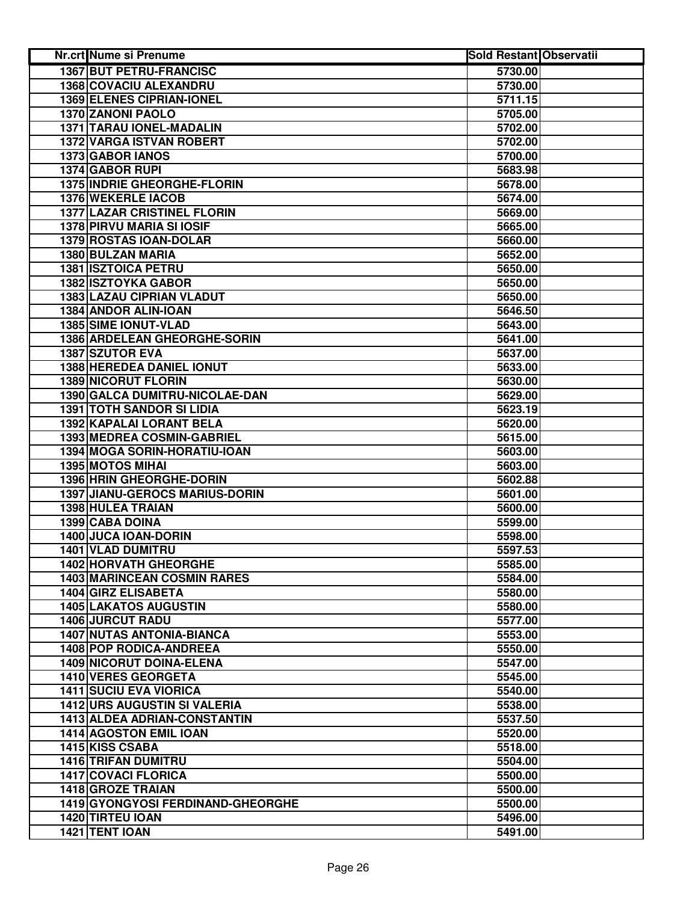| <b>Nr.crt Nume si Prenume</b>         | <b>Sold Restant Observatii</b> |  |
|---------------------------------------|--------------------------------|--|
| <b>1367 BUT PETRU-FRANCISC</b>        | 5730.00                        |  |
| 1368 COVACIU ALEXANDRU                | 5730.00                        |  |
| 1369 ELENES CIPRIAN-IONEL             | 5711.15                        |  |
| 1370 ZANONI PAOLO                     | 5705.00                        |  |
| 1371 TARAU IONEL-MADALIN              | 5702.00                        |  |
| 1372 VARGA ISTVAN ROBERT              | 5702.00                        |  |
| 1373 GABOR IANOS                      | 5700.00                        |  |
| 1374 GABOR RUPI                       | 5683.98                        |  |
| 1375 INDRIE GHEORGHE-FLORIN           | 5678.00                        |  |
| 1376 WEKERLE IACOB                    | 5674.00                        |  |
| <b>1377 LAZAR CRISTINEL FLORIN</b>    | 5669.00                        |  |
| <b>1378 PIRVU MARIA SI IOSIF</b>      | 5665.00                        |  |
| 1379 ROSTAS IOAN-DOLAR                | 5660.00                        |  |
| 1380 BULZAN MARIA                     | 5652.00                        |  |
| <b>1381 ISZTOICA PETRU</b>            | 5650.00                        |  |
| <b>1382 ISZTOYKA GABOR</b>            | 5650.00                        |  |
| <b>1383 LAZAU CIPRIAN VLADUT</b>      | 5650.00                        |  |
| 1384 ANDOR ALIN-IOAN                  | 5646.50                        |  |
| <b>1385 SIME IONUT-VLAD</b>           | 5643.00                        |  |
| 1386 ARDELEAN GHEORGHE-SORIN          | 5641.00                        |  |
| <b>1387 SZUTOR EVA</b>                | 5637.00                        |  |
| <b>1388 HEREDEA DANIEL IONUT</b>      | 5633.00                        |  |
| <b>1389 NICORUT FLORIN</b>            | 5630.00                        |  |
| 1390 GALCA DUMITRU-NICOLAE-DAN        | 5629.00                        |  |
| <b>1391 TOTH SANDOR SI LIDIA</b>      | 5623.19                        |  |
| 1392 KAPALAI LORANT BELA              | 5620.00                        |  |
| 1393 MEDREA COSMIN-GABRIEL            | 5615.00                        |  |
| 1394 MOGA SORIN-HORATIU-IOAN          | 5603.00                        |  |
| 1395 MOTOS MIHAI                      | 5603.00                        |  |
| 1396 HRIN GHEORGHE-DORIN              | 5602.88                        |  |
| <b>1397 JIANU-GEROCS MARIUS-DORIN</b> | 5601.00                        |  |
| 1398 HULEA TRAIAN                     | 5600.00                        |  |
| 1399 CABA DOINA                       | 5599.00                        |  |
| 1400 JUCA IOAN-DORIN                  | 5598.00                        |  |
| 1401 VLAD DUMITRU                     | 5597.53                        |  |
| 1402 HORVATH GHEORGHE                 | 5585.00                        |  |
| <b>1403 MARINCEAN COSMIN RARES</b>    | 5584.00                        |  |
| 1404 GIRZ ELISABETA                   | 5580.00                        |  |
| <b>1405 LAKATOS AUGUSTIN</b>          | 5580.00                        |  |
| <b>1406 JURCUT RADU</b>               | 5577.00                        |  |
| <b>1407 NUTAS ANTONIA-BIANCA</b>      | 5553.00                        |  |
| <b>1408 POP RODICA-ANDREEA</b>        | 5550.00                        |  |
| <b>1409 NICORUT DOINA-ELENA</b>       | 5547.00                        |  |
| 1410 VERES GEORGETA                   | 5545.00                        |  |
| <b>1411 SUCIU EVA VIORICA</b>         | 5540.00                        |  |
| <b>1412 URS AUGUSTIN SI VALERIA</b>   | 5538.00                        |  |
| 1413 ALDEA ADRIAN-CONSTANTIN          | 5537.50                        |  |
| <b>1414 AGOSTON EMIL IOAN</b>         | 5520.00                        |  |
| 1415 KISS CSABA                       | 5518.00                        |  |
| <b>1416 TRIFAN DUMITRU</b>            | 5504.00                        |  |
| <b>1417 COVACI FLORICA</b>            | 5500.00                        |  |
| 1418 GROZE TRAIAN                     | 5500.00                        |  |
| 1419 GYONGYOSI FERDINAND-GHEORGHE     | 5500.00                        |  |
| 1420 TIRTEU IOAN                      | 5496.00                        |  |
| 1421 TENT IOAN                        | 5491.00                        |  |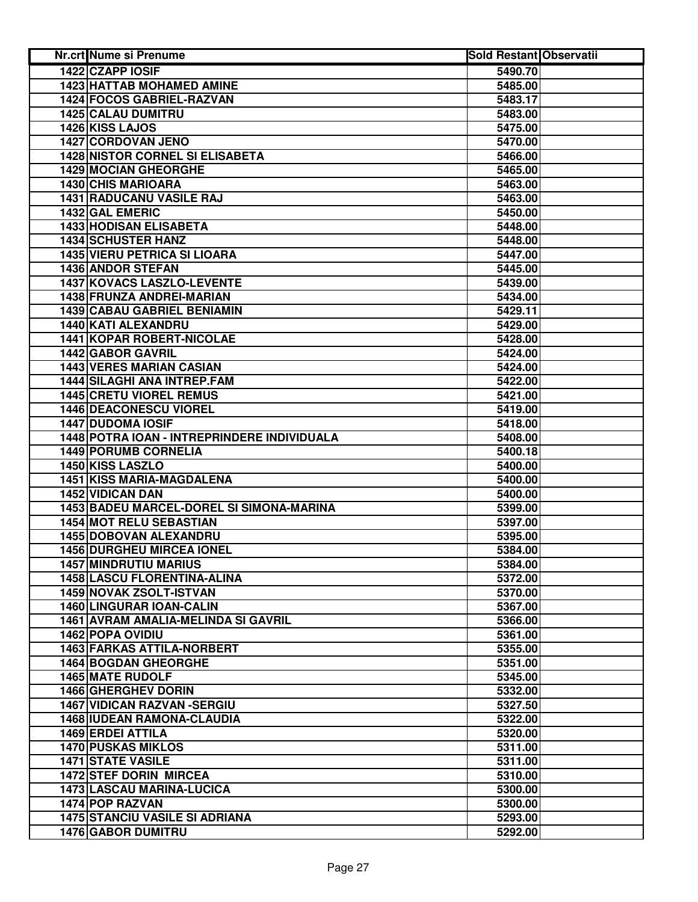| <b>Nr.crt Nume si Prenume</b>               | <b>Sold Restant Observatii</b> |  |
|---------------------------------------------|--------------------------------|--|
| 1422 CZAPP IOSIF                            | 5490.70                        |  |
| 1423 HATTAB MOHAMED AMINE                   | 5485.00                        |  |
| 1424 FOCOS GABRIEL-RAZVAN                   | 5483.17                        |  |
| <b>1425 CALAU DUMITRU</b>                   | 5483.00                        |  |
| 1426 KISS LAJOS                             | 5475.00                        |  |
| 1427 CORDOVAN JENO                          | 5470.00                        |  |
| <b>1428 NISTOR CORNEL SI ELISABETA</b>      | 5466.00                        |  |
| <b>1429 MOCIAN GHEORGHE</b>                 | 5465.00                        |  |
| <b>1430 CHIS MARIOARA</b>                   | 5463.00                        |  |
| 1431 RADUCANU VASILE RAJ                    | 5463.00                        |  |
| 1432 GAL EMERIC                             | 5450.00                        |  |
| <b>1433 HODISAN ELISABETA</b>               | 5448.00                        |  |
| <b>1434 SCHUSTER HANZ</b>                   | 5448.00                        |  |
| <b>1435 VIERU PETRICA SI LIOARA</b>         | 5447.00                        |  |
| 1436 ANDOR STEFAN                           | 5445.00                        |  |
| <b>1437 KOVACS LASZLO-LEVENTE</b>           | 5439.00                        |  |
| 1438 FRUNZA ANDREI-MARIAN                   | 5434.00                        |  |
| <b>1439 CABAU GABRIEL BENIAMIN</b>          | 5429.11                        |  |
| 1440 KATI ALEXANDRU                         | 5429.00                        |  |
| <b>1441 KOPAR ROBERT-NICOLAE</b>            | 5428.00                        |  |
| 1442 GABOR GAVRIL                           | 5424.00                        |  |
| <b>1443 VERES MARIAN CASIAN</b>             | 5424.00                        |  |
| 1444 SILAGHI ANA INTREP.FAM                 | $\overline{5422.00}$           |  |
| <b>1445 CRETU VIOREL REMUS</b>              | 5421.00                        |  |
| <b>1446 DEACONESCU VIOREL</b>               | 5419.00                        |  |
| <b>1447 DUDOMA IOSIF</b>                    | 5418.00                        |  |
| 1448 POTRA IOAN - INTREPRINDERE INDIVIDUALA | 5408.00                        |  |
| 1449 PORUMB CORNELIA                        | 5400.18                        |  |
| 1450 KISS LASZLO                            | 5400.00                        |  |
| 1451 KISS MARIA-MAGDALENA                   | 5400.00                        |  |
| 1452 VIDICAN DAN                            | 5400.00                        |  |
| 1453 BADEU MARCEL-DOREL SI SIMONA-MARINA    | 5399.00                        |  |
| 1454 MOT RELU SEBASTIAN                     | 5397.00                        |  |
| 1455 DOBOVAN ALEXANDRU                      | 5395.00                        |  |
| <b>1456 DURGHEU MIRCEA IONEL</b>            | 5384.00                        |  |
| <b>1457 MINDRUTIU MARIUS</b>                | 5384.00                        |  |
| 1458 LASCU FLORENTINA-ALINA                 | 5372.00                        |  |
| <b>1459 NOVAK ZSOLT-ISTVAN</b>              | 5370.00                        |  |
| 1460 LINGURAR IOAN-CALIN                    | 5367.00                        |  |
| 1461 AVRAM AMALIA-MELINDA SI GAVRIL         | 5366.00                        |  |
| 1462 POPA OVIDIU                            | 5361.00                        |  |
| <b>1463 FARKAS ATTILA-NORBERT</b>           | 5355.00                        |  |
| <b>1464 BOGDAN GHEORGHE</b>                 | 5351.00                        |  |
| <b>1465 MATE RUDOLF</b>                     | 5345.00                        |  |
| 1466 GHERGHEV DORIN                         | 5332.00                        |  |
| <b>1467 VIDICAN RAZVAN - SERGIU</b>         | 5327.50                        |  |
| 1468 IUDEAN RAMONA-CLAUDIA                  | 5322.00                        |  |
| <b>1469 ERDEI ATTILA</b>                    | 5320.00                        |  |
| <b>1470 PUSKAS MIKLOS</b>                   | 5311.00                        |  |
| <b>1471 STATE VASILE</b>                    | 5311.00                        |  |
| <b>1472 STEF DORIN MIRCEA</b>               | 5310.00                        |  |
| 1473 LASCAU MARINA-LUCICA                   | 5300.00                        |  |
| 1474 POP RAZVAN                             | 5300.00                        |  |
| <b>1475 STANCIU VASILE SI ADRIANA</b>       | 5293.00                        |  |
| 1476 GABOR DUMITRU                          | 5292.00                        |  |
|                                             |                                |  |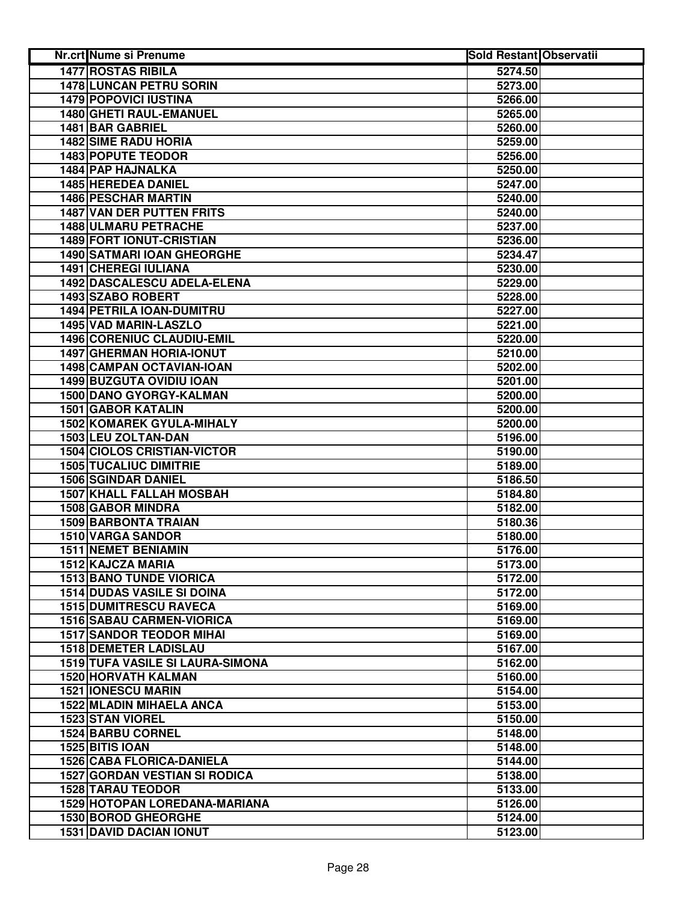| <b>Nr.crt Nume si Prenume</b>           | <b>Sold Restant Observatii</b> |  |
|-----------------------------------------|--------------------------------|--|
| <b>1477 ROSTAS RIBILA</b>               | 5274.50                        |  |
| <b>1478 LUNCAN PETRU SORIN</b>          | 5273.00                        |  |
| <b>1479 POPOVICI IUSTINA</b>            | 5266.00                        |  |
| 1480 GHETI RAUL-EMANUEL                 | 5265.00                        |  |
| 1481 BAR GABRIEL                        | 5260.00                        |  |
| <b>1482 SIME RADU HORIA</b>             | 5259.00                        |  |
| <b>1483 POPUTE TEODOR</b>               | 5256.00                        |  |
| <b>1484 PAP HAJNALKA</b>                | 5250.00                        |  |
| 1485 HEREDEA DANIEL                     | 5247.00                        |  |
| <b>1486 PESCHAR MARTIN</b>              | 5240.00                        |  |
| <b>1487 VAN DER PUTTEN FRITS</b>        | 5240.00                        |  |
| <b>1488 ULMARU PETRACHE</b>             | 5237.00                        |  |
| 1489 FORT IONUT-CRISTIAN                | 5236.00                        |  |
| <b>1490 SATMARI IOAN GHEORGHE</b>       | 5234.47                        |  |
| <b>1491 CHEREGI IULIANA</b>             | 5230.00                        |  |
| 1492 DASCALESCU ADELA-ELENA             | 5229.00                        |  |
| 1493 SZABO ROBERT                       | 5228.00                        |  |
| 1494 PETRILA IOAN-DUMITRU               | 5227.00                        |  |
| 1495 VAD MARIN-LASZLO                   | 5221.00                        |  |
| 1496 CORENIUC CLAUDIU-EMIL              | 5220.00                        |  |
| <b>1497 GHERMAN HORIA-IONUT</b>         | 5210.00                        |  |
| 1498 CAMPAN OCTAVIAN-IOAN               | 5202.00                        |  |
| <b>1499 BUZGUTA OVIDIU IOAN</b>         | 5201.00                        |  |
| <b>1500 DANO GYORGY-KALMAN</b>          | 5200.00                        |  |
| <b>1501 GABOR KATALIN</b>               | 5200.00                        |  |
| <b>1502 KOMAREK GYULA-MIHALY</b>        | 5200.00                        |  |
| 1503 LEU ZOLTAN-DAN                     | 5196.00                        |  |
| <b>1504 CIOLOS CRISTIAN-VICTOR</b>      | 5190.00                        |  |
| <b>1505 TUCALIUC DIMITRIE</b>           | 5189.00                        |  |
| <b>1506 SGINDAR DANIEL</b>              | 5186.50                        |  |
| <b>1507 KHALL FALLAH MOSBAH</b>         | 5184.80                        |  |
| <b>1508 GABOR MINDRA</b>                | 5182.00                        |  |
| 1509 BARBONTA TRAIAN                    | 5180.36                        |  |
| 1510 VARGA SANDOR                       | 5180.00                        |  |
| <b>1511 NEMET BENIAMIN</b>              | 5176.00                        |  |
| 1512 KAJCZA MARIA                       | 5173.00                        |  |
| <b>1513 BANO TUNDE VIORICA</b>          | 5172.00                        |  |
| <b>1514 DUDAS VASILE SI DOINA</b>       | 5172.00                        |  |
| <b>1515 DUMITRESCU RAVECA</b>           | 5169.00                        |  |
| <b>1516 SABAU CARMEN-VIORICA</b>        | 5169.00                        |  |
| <b>1517 SANDOR TEODOR MIHAI</b>         | 5169.00                        |  |
| <b>1518 DEMETER LADISLAU</b>            | 5167.00                        |  |
| <b>1519 TUFA VASILE SI LAURA-SIMONA</b> | 5162.00                        |  |
| 1520 HORVATH KALMAN                     | 5160.00                        |  |
| <b>1521 IONESCU MARIN</b>               | 5154.00                        |  |
| <b>1522 MLADIN MIHAELA ANCA</b>         | 5153.00                        |  |
| 1523 STAN VIOREL                        | 5150.00                        |  |
| <b>1524 BARBU CORNEL</b>                | 5148.00                        |  |
| 1525 BITIS IOAN                         | 5148.00                        |  |
| <b>1526 CABA FLORICA-DANIELA</b>        | 5144.00                        |  |
| <b>1527 GORDAN VESTIAN SI RODICA</b>    | 5138.00                        |  |
| <b>1528 TARAU TEODOR</b>                | 5133.00                        |  |
| 1529 HOTOPAN LOREDANA-MARIANA           | 5126.00                        |  |
| 1530 BOROD GHEORGHE                     | 5124.00                        |  |
| <b>1531 DAVID DACIAN IONUT</b>          | 5123.00                        |  |
|                                         |                                |  |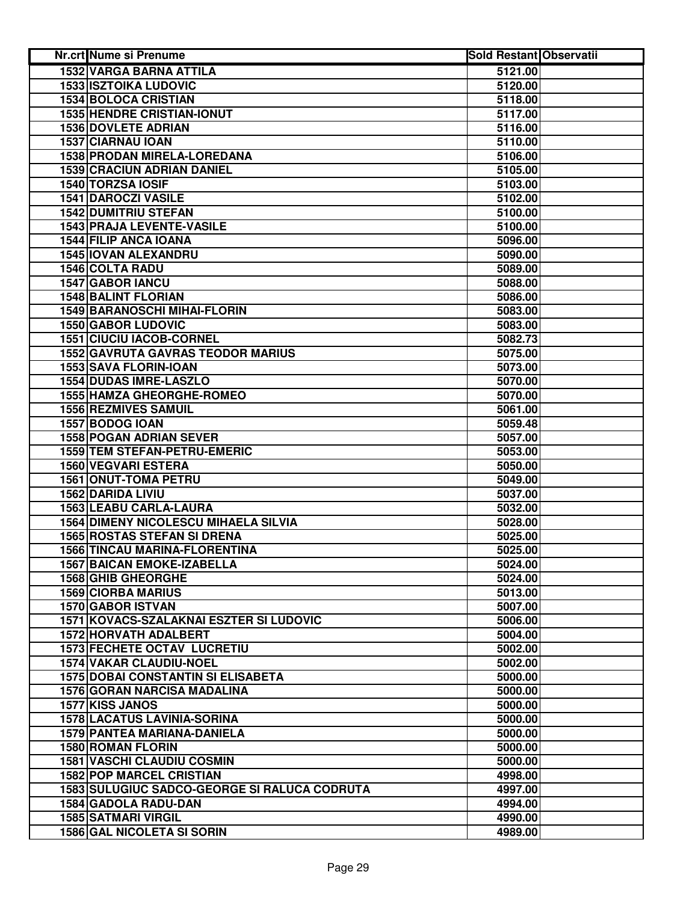| Nr.crt Nume si Prenume                       | <b>Sold Restant Observatii</b> |  |
|----------------------------------------------|--------------------------------|--|
| <b>1532 VARGA BARNA ATTILA</b>               | 5121.00                        |  |
| <b>1533 ISZTOIKA LUDOVIC</b>                 | $\overline{5120.00}$           |  |
| 1534 BOLOCA CRISTIAN                         | 5118.00                        |  |
| <b>1535 HENDRE CRISTIAN-IONUT</b>            | 5117.00                        |  |
| 1536 DOVLETE ADRIAN                          | 5116.00                        |  |
| 1537 CIARNAU IOAN                            | 5110.00                        |  |
| 1538 PRODAN MIRELA-LOREDANA                  | 5106.00                        |  |
| <b>1539 CRACIUN ADRIAN DANIEL</b>            | 5105.00                        |  |
| 1540 TORZSA IOSIF                            | 5103.00                        |  |
| 1541 DAROCZI VASILE                          | 5102.00                        |  |
| <b>1542 DUMITRIU STEFAN</b>                  | 5100.00                        |  |
| 1543 PRAJA LEVENTE-VASILE                    | 5100.00                        |  |
| <b>1544 FILIP ANCA IOANA</b>                 | 5096.00                        |  |
| 1545 IOVAN ALEXANDRU                         | 5090.00                        |  |
| 1546 COLTA RADU                              | 5089.00                        |  |
| 1547 GABOR IANCU                             | 5088.00                        |  |
| <b>1548 BALINT FLORIAN</b>                   | 5086.00                        |  |
| <b>1549 BARANOSCHI MIHAI-FLORIN</b>          | 5083.00                        |  |
| <b>1550 GABOR LUDOVIC</b>                    | 5083.00                        |  |
| <b>1551 CIUCIU IACOB-CORNEL</b>              | 5082.73                        |  |
| <b>1552 GAVRUTA GAVRAS TEODOR MARIUS</b>     | 5075.00                        |  |
| <b>1553 SAVA FLORIN-IOAN</b>                 | 5073.00                        |  |
| <b>1554 DUDAS IMRE-LASZLO</b>                | 5070.00                        |  |
| <b>1555 HAMZA GHEORGHE-ROMEO</b>             | 5070.00                        |  |
| <b>1556 REZMIVES SAMUIL</b>                  | 5061.00                        |  |
| 1557 BODOG IOAN                              | 5059.48                        |  |
| <b>1558 POGAN ADRIAN SEVER</b>               | 5057.00                        |  |
| 1559 TEM STEFAN-PETRU-EMERIC                 | 5053.00                        |  |
| 1560 VEGVARI ESTERA                          | 5050.00                        |  |
| 1561 ONUT-TOMA PETRU                         | 5049.00                        |  |
| 1562 DARIDA LIVIU                            | 5037.00                        |  |
| 1563 LEABU CARLA-LAURA                       | 5032.00                        |  |
| <b>1564 DIMENY NICOLESCU MIHAELA SILVIA</b>  | 5028.00                        |  |
| <b>1565 ROSTAS STEFAN SI DRENA</b>           | 5025.00                        |  |
| 1566 TINCAU MARINA-FLORENTINA                | 5025.00                        |  |
| <b>1567 BAICAN EMOKE-IZABELLA</b>            | 5024.00                        |  |
| <b>1568 GHIB GHEORGHE</b>                    | 5024.00                        |  |
| <b>1569 CIORBA MARIUS</b>                    | 5013.00                        |  |
| 1570 GABOR ISTVAN                            | 5007.00                        |  |
| 1571 KOVACS-SZALAKNAI ESZTER SI LUDOVIC      | 5006.00                        |  |
| 1572 HORVATH ADALBERT                        | 5004.00                        |  |
| <b>1573 FECHETE OCTAV LUCRETIU</b>           | 5002.00                        |  |
| 1574 VAKAR CLAUDIU-NOEL                      | 5002.00                        |  |
| <b>1575 DOBAI CONSTANTIN SI ELISABETA</b>    | 5000.00                        |  |
| <b>1576 GORAN NARCISA MADALINA</b>           | 5000.00                        |  |
| 1577 KISS JANOS                              | 5000.00                        |  |
| <b>1578 LACATUS LAVINIA-SORINA</b>           | 5000.00                        |  |
| 1579 PANTEA MARIANA-DANIELA                  | 5000.00                        |  |
| <b>1580 ROMAN FLORIN</b>                     | 5000.00                        |  |
| <b>1581 VASCHI CLAUDIU COSMIN</b>            | 5000.00                        |  |
| <b>1582 POP MARCEL CRISTIAN</b>              | 4998.00                        |  |
| 1583 SULUGIUC SADCO-GEORGE SI RALUCA CODRUTA | 4997.00                        |  |
| 1584 GADOLA RADU-DAN                         | 4994.00                        |  |
| <b>1585 SATMARI VIRGIL</b>                   | 4990.00                        |  |
| <b>1586 GAL NICOLETA SI SORIN</b>            | 4989.00                        |  |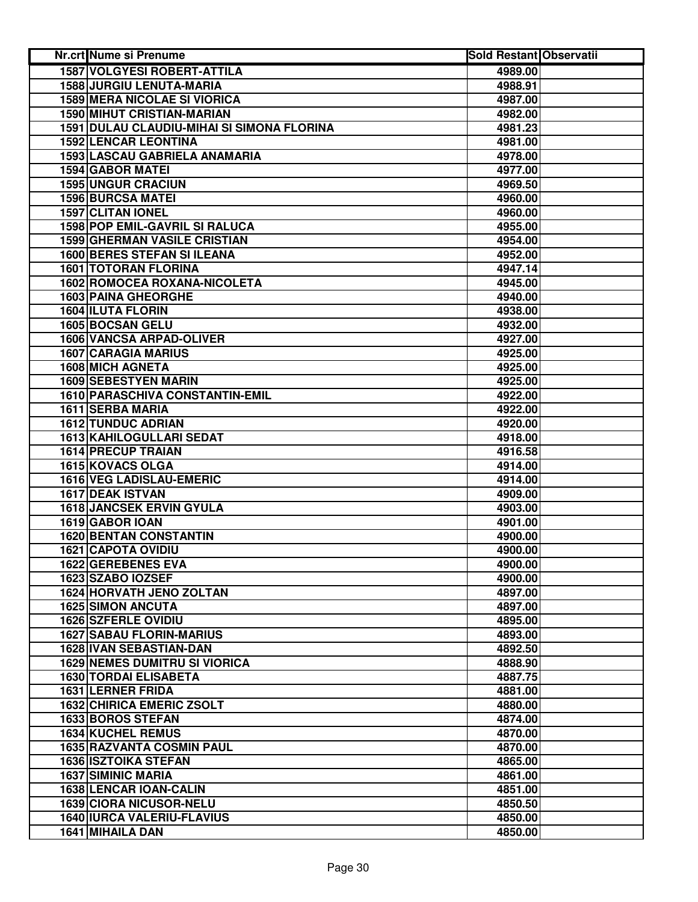| Nr.crt Nume si Prenume                     | <b>Sold Restant Observatii</b> |  |
|--------------------------------------------|--------------------------------|--|
| <b>1587 VOLGYESI ROBERT-ATTILA</b>         | 4989.00                        |  |
| 1588 JURGIU LENUTA-MARIA                   | 4988.91                        |  |
| <b>1589 MERA NICOLAE SI VIORICA</b>        | 4987.00                        |  |
| <b>1590 MIHUT CRISTIAN-MARIAN</b>          | 4982.00                        |  |
| 1591 DULAU CLAUDIU-MIHAI SI SIMONA FLORINA | 4981.23                        |  |
| <b>1592 LENCAR LEONTINA</b>                | 4981.00                        |  |
| 1593 LASCAU GABRIELA ANAMARIA              | 4978.00                        |  |
| <b>1594 GABOR MATEI</b>                    | 4977.00                        |  |
| <b>1595 UNGUR CRACIUN</b>                  | 4969.50                        |  |
| <b>1596 BURCSA MATEL</b>                   | 4960.00                        |  |
| 1597 CLITAN IONEL                          | 4960.00                        |  |
| 1598 POP EMIL-GAVRIL SI RALUCA             | 4955.00                        |  |
| <b>1599 GHERMAN VASILE CRISTIAN</b>        | 4954.00                        |  |
| <b>1600 BERES STEFAN SI ILEANA</b>         | 4952.00                        |  |
| <b>1601 TOTORAN FLORINA</b>                | 4947.14                        |  |
| <b>1602 ROMOCEA ROXANA-NICOLETA</b>        | 4945.00                        |  |
| 1603 PAINA GHEORGHE                        | 4940.00                        |  |
| 1604 ILUTA FLORIN                          | 4938.00                        |  |
| 1605 BOCSAN GELU                           | 4932.00                        |  |
| <b>1606 VANCSA ARPAD-OLIVER</b>            | 4927.00                        |  |
| <b>1607 CARAGIA MARIUS</b>                 | 4925.00                        |  |
| <b>1608 MICH AGNETA</b>                    | 4925.00                        |  |
| <b>1609 SEBESTYEN MARIN</b>                | 4925.00                        |  |
| 1610 PARASCHIVA CONSTANTIN-EMIL            | 4922.00                        |  |
| 1611 SERBA MARIA                           | 4922.00                        |  |
| <b>1612 TUNDUC ADRIAN</b>                  | 4920.00                        |  |
| 1613 KAHILOGULLARI SEDAT                   | 4918.00                        |  |
| 1614 PRECUP TRAIAN                         | 4916.58                        |  |
| 1615 KOVACS OLGA                           | 4914.00                        |  |
| 1616 VEG LADISLAU-EMERIC                   | 4914.00                        |  |
| 1617 DEAK ISTVAN                           | 4909.00                        |  |
| <b>1618 JANCSEK ERVIN GYULA</b>            | 4903.00                        |  |
| 1619 GABOR IOAN                            | 4901.00                        |  |
| <b>1620 BENTAN CONSTANTIN</b>              | 4900.00                        |  |
| <b>1621 CAPOTA OVIDIU</b>                  | 4900.00                        |  |
| 1622 GEREBENES EVA                         | 4900.00                        |  |
| 1623 SZABO IOZSEF                          | 4900.00                        |  |
| <b>1624 HORVATH JENO ZOLTAN</b>            | 4897.00                        |  |
| <b>1625 SIMON ANCUTA</b>                   | 4897.00                        |  |
| 1626 SZFERLE OVIDIU                        | 4895.00                        |  |
| <b>1627 SABAU FLORIN-MARIUS</b>            | 4893.00                        |  |
| <b>1628 IVAN SEBASTIAN-DAN</b>             | 4892.50                        |  |
| <b>1629 NEMES DUMITRU SI VIORICA</b>       | 4888.90                        |  |
| <b>1630 TORDAI ELISABETA</b>               | 4887.75                        |  |
| 1631 LERNER FRIDA                          | 4881.00                        |  |
| <b>1632 CHIRICA EMERIC ZSOLT</b>           | 4880.00                        |  |
| <b>1633 BOROS STEFAN</b>                   | 4874.00                        |  |
| <b>1634 KUCHEL REMUS</b>                   | 4870.00                        |  |
| <b>1635 RAZVANTA COSMIN PAUL</b>           | 4870.00                        |  |
| <b>1636 ISZTOIKA STEFAN</b>                | 4865.00                        |  |
| <b>1637 SIMINIC MARIA</b>                  | 4861.00                        |  |
| 1638 LENCAR IOAN-CALIN                     | 4851.00                        |  |
| 1639 CIORA NICUSOR-NELU                    | 4850.50                        |  |
| <b>1640 IURCA VALERIU-FLAVIUS</b>          | 4850.00                        |  |
| 1641 MIHAILA DAN                           | 4850.00                        |  |
|                                            |                                |  |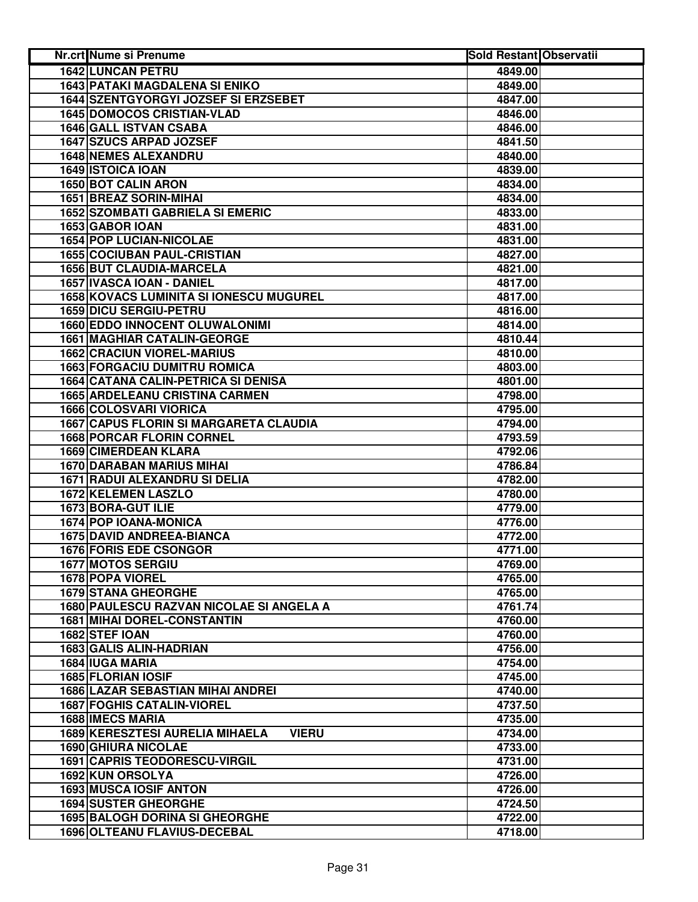| Nr.crt Nume si Prenume                                 | <b>Sold Restant Observatii</b> |  |
|--------------------------------------------------------|--------------------------------|--|
| <b>1642 LUNCAN PETRU</b>                               | 4849.00                        |  |
| <b>1643 PATAKI MAGDALENA SI ENIKO</b>                  | 4849.00                        |  |
| 1644 SZENTGYORGYI JOZSEF SI ERZSEBET                   | 4847.00                        |  |
| <b>1645 DOMOCOS CRISTIAN-VLAD</b>                      | 4846.00                        |  |
| <b>1646 GALL ISTVAN CSABA</b>                          | 4846.00                        |  |
| 1647 SZUCS ARPAD JOZSEF                                | 4841.50                        |  |
| <b>1648 NEMES ALEXANDRU</b>                            | 4840.00                        |  |
| <b>1649 ISTOICA IOAN</b>                               | 4839.00                        |  |
| 1650 BOT CALIN ARON                                    | 4834.00                        |  |
| 1651 BREAZ SORIN-MIHAI                                 | 4834.00                        |  |
| <b>1652 SZOMBATI GABRIELA SI EMERIC</b>                | 4833.00                        |  |
| 1653 GABOR IOAN                                        | 4831.00                        |  |
| <b>1654 POP LUCIAN-NICOLAE</b>                         | 4831.00                        |  |
| <b>1655 COCIUBAN PAUL-CRISTIAN</b>                     | 4827.00                        |  |
| 1656 BUT CLAUDIA-MARCELA                               | 4821.00                        |  |
| 1657 IVASCA IOAN - DANIEL                              | 4817.00                        |  |
| <b>1658 KOVACS LUMINITA SI IONESCU MUGUREL</b>         | 4817.00                        |  |
| <b>1659 DICU SERGIU-PETRU</b>                          | 4816.00                        |  |
| <b>1660 EDDO INNOCENT OLUWALONIMI</b>                  | 4814.00                        |  |
| <b>1661 MAGHIAR CATALIN-GEORGE</b>                     | 4810.44                        |  |
| <b>1662 CRACIUN VIOREL-MARIUS</b>                      | 4810.00                        |  |
| <b>1663 FORGACIU DUMITRU ROMICA</b>                    | 4803.00                        |  |
| <b>1664 CATANA CALIN-PETRICA SI DENISA</b>             | 4801.00                        |  |
| <b>1665 ARDELEANU CRISTINA CARMEN</b>                  | 4798.00                        |  |
| <b>1666 COLOSVARI VIORICA</b>                          | 4795.00                        |  |
| <b>1667 CAPUS FLORIN SI MARGARETA CLAUDIA</b>          | 4794.00                        |  |
| <b>1668 PORCAR FLORIN CORNEL</b>                       | 4793.59                        |  |
| 1669 CIMERDEAN KLARA                                   | 4792.06                        |  |
| <b>1670 DARABAN MARIUS MIHAI</b>                       | 4786.84                        |  |
| 1671 RADUI ALEXANDRU SI DELIA                          | 4782.00                        |  |
| 1672 KELEMEN LASZLO                                    | 4780.00                        |  |
| 1673 BORA-GUT ILIE                                     | 4779.00                        |  |
| 1674 POP IOANA-MONICA                                  | 4776.00                        |  |
| <b>1675 DAVID ANDREEA-BIANCA</b>                       | 4772.00                        |  |
| 1676 FORIS EDE CSONGOR                                 | 4771.00                        |  |
| 1677 MOTOS SERGIU                                      | 4769.00                        |  |
| 1678 POPA VIOREL                                       | 4765.00                        |  |
| <b>1679 STANA GHEORGHE</b>                             | 4765.00                        |  |
| 1680 PAULESCU RAZVAN NICOLAE SI ANGELA A               | 4761.74                        |  |
| <b>1681 MIHAI DOREL-CONSTANTIN</b>                     | 4760.00                        |  |
| 1682 STEF IOAN                                         | 4760.00                        |  |
| 1683 GALIS ALIN-HADRIAN                                | 4756.00                        |  |
| 1684 IUGA MARIA                                        | 4754.00                        |  |
| 1685 FLORIAN IOSIF                                     | 4745.00                        |  |
| <b>1686 LAZAR SEBASTIAN MIHAI ANDREI</b>               | 4740.00                        |  |
| <b>1687 FOGHIS CATALIN-VIOREL</b>                      | 4737.50                        |  |
| 1688 IMECS MARIA                                       | 4735.00                        |  |
| <b>1689 KERESZTESI AURELIA MIHAELA</b><br><b>VIERU</b> | 4734.00                        |  |
| <b>1690 GHIURA NICOLAE</b>                             | 4733.00                        |  |
| <b>1691 CAPRIS TEODORESCU-VIRGIL</b>                   | 4731.00                        |  |
| 1692 KUN ORSOLYA                                       | 4726.00                        |  |
| 1693 MUSCA IOSIF ANTON                                 | 4726.00                        |  |
| <b>1694 SUSTER GHEORGHE</b>                            | 4724.50                        |  |
| <b>1695 BALOGH DORINA SI GHEORGHE</b>                  | 4722.00                        |  |
| 1696 OLTEANU FLAVIUS-DECEBAL                           | 4718.00                        |  |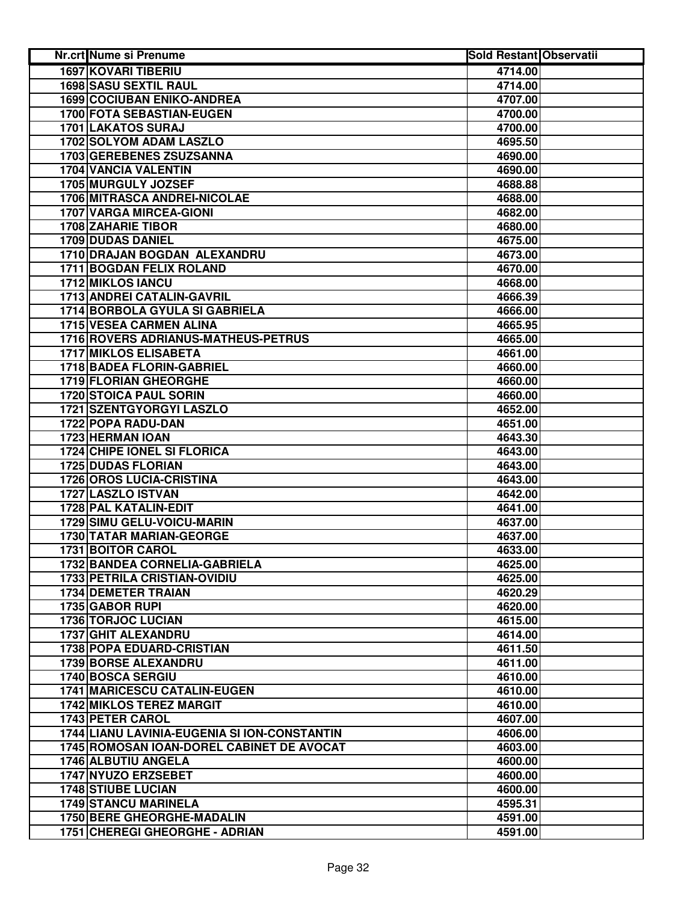| Nr.crt Nume si Prenume                                              | <b>Sold Restant Observatii</b> |
|---------------------------------------------------------------------|--------------------------------|
| <b>1697 KOVARI TIBERIU</b>                                          | 4714.00                        |
| <b>1698 SASU SEXTIL RAUL</b>                                        | 4714.00                        |
| <b>1699 COCIUBAN ENIKO-ANDREA</b>                                   | 4707.00                        |
| 1700 FOTA SEBASTIAN-EUGEN                                           | 4700.00                        |
| 1701 LAKATOS SURAJ                                                  | 4700.00                        |
| 1702 SOLYOM ADAM LASZLO                                             | 4695.50                        |
| 1703 GEREBENES ZSUZSANNA                                            | 4690.00                        |
| 1704 VANCIA VALENTIN                                                | 4690.00                        |
| 1705 MURGULY JOZSEF                                                 | 4688.88                        |
| 1706 MITRASCA ANDREI-NICOLAE                                        | 4688.00                        |
| 1707 VARGA MIRCEA-GIONI                                             | 4682.00                        |
| <b>1708 ZAHARIE TIBOR</b>                                           | 4680.00                        |
| 1709 DUDAS DANIEL                                                   | 4675.00                        |
| 1710 DRAJAN BOGDAN ALEXANDRU                                        | 4673.00                        |
| 1711 BOGDAN FELIX ROLAND                                            | 4670.00                        |
| 1712 MIKLOS IANCU                                                   | 4668.00                        |
| 1713 ANDREI CATALIN-GAVRIL                                          |                                |
|                                                                     | 4666.39                        |
| 1714 BORBOLA GYULA SI GABRIELA<br>1715 VESEA CARMEN ALINA           | 4666.00                        |
|                                                                     | 4665.95                        |
| 1716 ROVERS ADRIANUS-MATHEUS-PETRUS<br><b>1717 MIKLOS ELISABETA</b> | 4665.00                        |
|                                                                     | 4661.00                        |
| <b>1718 BADEA FLORIN-GABRIEL</b>                                    | 4660.00                        |
| <b>1719 FLORIAN GHEORGHE</b>                                        | 4660.00                        |
| <b>1720 STOICA PAUL SORIN</b>                                       | 4660.00                        |
| <b>1721 SZENTGYORGYI LASZLO</b>                                     | 4652.00                        |
| 1722 POPA RADU-DAN                                                  | 4651.00                        |
| 1723 HERMAN IOAN                                                    | 4643.30                        |
| 1724 CHIPE IONEL SI FLORICA                                         | 4643.00                        |
| <b>1725 DUDAS FLORIAN</b>                                           | 4643.00                        |
| <b>1726 OROS LUCIA-CRISTINA</b>                                     | 4643.00                        |
| 1727 LASZLO ISTVAN                                                  | 4642.00                        |
| 1728 PAL KATALIN-EDIT                                               | 4641.00                        |
| <b>1729 SIMU GELU-VOICU-MARIN</b>                                   | 4637.00                        |
| 1730 TATAR MARIAN-GEORGE                                            | 4637.00                        |
| 1731 BOITOR CAROL                                                   | 4633.00                        |
| 1732 BANDEA CORNELIA-GABRIELA                                       | 4625.00                        |
| <b>1733 PETRILA CRISTIAN-OVIDIU</b>                                 | 4625.00                        |
| <b>1734 DEMETER TRAIAN</b>                                          | 4620.29                        |
| 1735 GABOR RUPI                                                     | 4620.00                        |
| 1736 TORJOC LUCIAN                                                  | 4615.00                        |
| 1737 GHIT ALEXANDRU                                                 | 4614.00                        |
| <b>1738 POPA EDUARD-CRISTIAN</b>                                    | 4611.50                        |
| 1739 BORSE ALEXANDRU                                                | 4611.00                        |
| 1740 BOSCA SERGIU                                                   | 4610.00                        |
| 1741 MARICESCU CATALIN-EUGEN                                        | 4610.00                        |
| <b>1742 MIKLOS TEREZ MARGIT</b>                                     | 4610.00                        |
| 1743 PETER CAROL                                                    | 4607.00                        |
| 1744 LIANU LAVINIA-EUGENIA SI ION-CONSTANTIN                        | 4606.00                        |
| 1745 ROMOSAN IOAN-DOREL CABINET DE AVOCAT                           | 4603.00                        |
| 1746 ALBUTIU ANGELA                                                 | 4600.00                        |
| 1747 NYUZO ERZSEBET                                                 | 4600.00                        |
| <b>1748 STIUBE LUCIAN</b>                                           | 4600.00                        |
| 1749 STANCU MARINELA                                                | 4595.31                        |
| <b>1750 BERE GHEORGHE-MADALIN</b>                                   | 4591.00                        |
| 1751 CHEREGI GHEORGHE - ADRIAN                                      | 4591.00                        |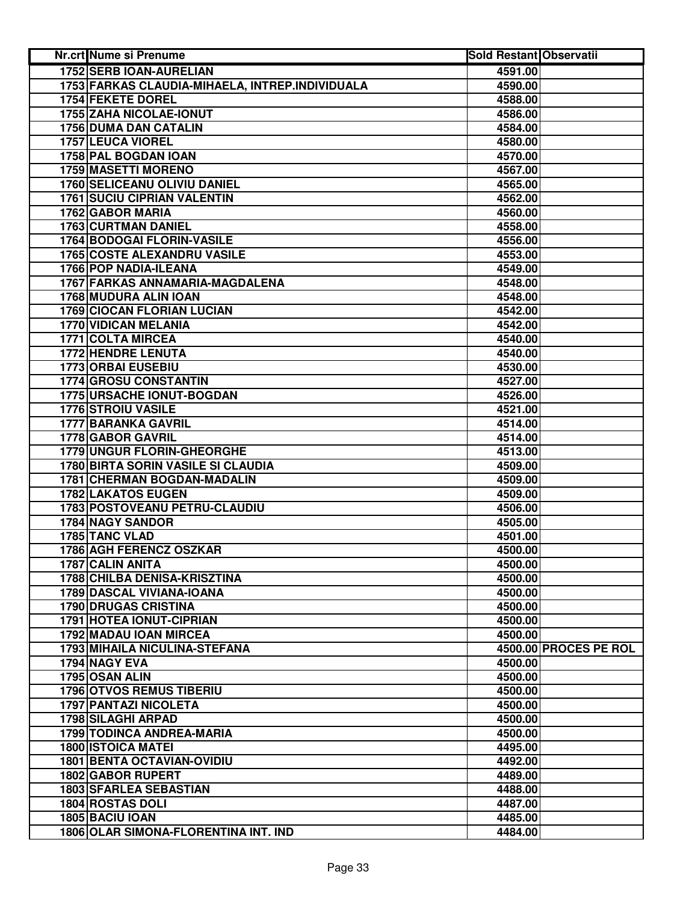| <b>1752 SERB IOAN-AURELIAN</b><br>4591.00<br>1753 FARKAS CLAUDIA-MIHAELA, INTREP.INDIVIDUALA<br>4590.00<br>1754 FEKETE DOREL<br>4588.00<br>1755 ZAHA NICOLAE-IONUT<br>4586.00<br><b>1756 DUMA DAN CATALIN</b><br>4584.00<br>1757 LEUCA VIOREL<br>4580.00<br>1758 PAL BOGDAN IOAN<br>4570.00<br><b>1759 MASETTI MORENO</b><br>4567.00<br>1760 SELICEANU OLIVIU DANIEL<br>4565.00<br><b>1761 SUCIU CIPRIAN VALENTIN</b><br>4562.00<br>1762 GABOR MARIA<br>4560.00<br>1763 CURTMAN DANIEL<br>4558.00<br>1764 BODOGAI FLORIN-VASILE<br>4556.00<br><b>1765 COSTE ALEXANDRU VASILE</b><br>4553.00<br>1766 POP NADIA-ILEANA<br>4549.00<br>1767 FARKAS ANNAMARIA-MAGDALENA<br>4548.00<br>1768 MUDURA ALIN IOAN<br>4548.00<br><b>1769 CIOCAN FLORIAN LUCIAN</b><br>4542.00<br>1770 VIDICAN MELANIA<br>4542.00<br><b>1771 COLTA MIRCEA</b><br>4540.00<br><b>1772 HENDRE LENUTA</b><br>4540.00<br><b>1773 ORBAI EUSEBIU</b><br>4530.00<br><b>1774 GROSU CONSTANTIN</b><br>4527.00<br><b>1775 URSACHE IONUT-BOGDAN</b><br>4526.00<br><b>1776 STROIU VASILE</b><br>4521.00<br><b>1777 BARANKA GAVRIL</b><br>4514.00<br>1778 GABOR GAVRIL<br>4514.00<br>1779 UNGUR FLORIN-GHEORGHE<br>4513.00<br>1780 BIRTA SORIN VASILE SI CLAUDIA<br>4509.00<br>1781 CHERMAN BOGDAN-MADALIN<br>4509.00<br><b>1782 LAKATOS EUGEN</b><br>4509.00<br>1783 POSTOVEANU PETRU-CLAUDIU<br>4506.00<br>1784 NAGY SANDOR<br>4505.00<br>1785 TANC VLAD<br>4501.00<br><b>1786 AGH FERENCZ OSZKAR</b><br>4500.00<br>1787 CALIN ANITA<br>4500.00<br><b>1788 CHILBA DENISA-KRISZTINA</b><br>4500.00<br>1789 DASCAL VIVIANA-IOANA<br>4500.00<br><b>1790 DRUGAS CRISTINA</b><br>4500.00<br>1791 HOTEA IONUT-CIPRIAN<br>4500.00<br>1792 MADAU IOAN MIRCEA<br>4500.00<br><b>1793 MIHAILA NICULINA-STEFANA</b><br>4500.00 PROCES PE ROL<br><b>1794 NAGY EVA</b><br>4500.00<br>1795 OSAN ALIN<br>4500.00<br><b>1796 OTVOS REMUS TIBERIU</b><br>4500.00<br>1797 PANTAZI NICOLETA<br>4500.00<br>1798 SILAGHI ARPAD<br>4500.00<br>1799 TODINCA ANDREA-MARIA<br>4500.00<br><b>1800 ISTOICA MATEI</b><br>4495.00<br><b>1801 BENTA OCTAVIAN-OVIDIU</b><br>4492.00<br>1802 GABOR RUPERT<br>4489.00<br>1803 SFARLEA SEBASTIAN<br>4488.00<br>1804 ROSTAS DOLI<br>4487.00<br>1805 BACIU IOAN<br>4485.00<br>1806 OLAR SIMONA-FLORENTINA INT. IND<br>4484.00 | Nr.crt Nume si Prenume | <b>Sold Restant Observatii</b> |  |
|-------------------------------------------------------------------------------------------------------------------------------------------------------------------------------------------------------------------------------------------------------------------------------------------------------------------------------------------------------------------------------------------------------------------------------------------------------------------------------------------------------------------------------------------------------------------------------------------------------------------------------------------------------------------------------------------------------------------------------------------------------------------------------------------------------------------------------------------------------------------------------------------------------------------------------------------------------------------------------------------------------------------------------------------------------------------------------------------------------------------------------------------------------------------------------------------------------------------------------------------------------------------------------------------------------------------------------------------------------------------------------------------------------------------------------------------------------------------------------------------------------------------------------------------------------------------------------------------------------------------------------------------------------------------------------------------------------------------------------------------------------------------------------------------------------------------------------------------------------------------------------------------------------------------------------------------------------------------------------------------------------------------------------------------------------------------------------------------------------------------------------------------------------------------------------------------------------------------------------------------------------------------------------------------------|------------------------|--------------------------------|--|
|                                                                                                                                                                                                                                                                                                                                                                                                                                                                                                                                                                                                                                                                                                                                                                                                                                                                                                                                                                                                                                                                                                                                                                                                                                                                                                                                                                                                                                                                                                                                                                                                                                                                                                                                                                                                                                                                                                                                                                                                                                                                                                                                                                                                                                                                                                 |                        |                                |  |
|                                                                                                                                                                                                                                                                                                                                                                                                                                                                                                                                                                                                                                                                                                                                                                                                                                                                                                                                                                                                                                                                                                                                                                                                                                                                                                                                                                                                                                                                                                                                                                                                                                                                                                                                                                                                                                                                                                                                                                                                                                                                                                                                                                                                                                                                                                 |                        |                                |  |
|                                                                                                                                                                                                                                                                                                                                                                                                                                                                                                                                                                                                                                                                                                                                                                                                                                                                                                                                                                                                                                                                                                                                                                                                                                                                                                                                                                                                                                                                                                                                                                                                                                                                                                                                                                                                                                                                                                                                                                                                                                                                                                                                                                                                                                                                                                 |                        |                                |  |
|                                                                                                                                                                                                                                                                                                                                                                                                                                                                                                                                                                                                                                                                                                                                                                                                                                                                                                                                                                                                                                                                                                                                                                                                                                                                                                                                                                                                                                                                                                                                                                                                                                                                                                                                                                                                                                                                                                                                                                                                                                                                                                                                                                                                                                                                                                 |                        |                                |  |
|                                                                                                                                                                                                                                                                                                                                                                                                                                                                                                                                                                                                                                                                                                                                                                                                                                                                                                                                                                                                                                                                                                                                                                                                                                                                                                                                                                                                                                                                                                                                                                                                                                                                                                                                                                                                                                                                                                                                                                                                                                                                                                                                                                                                                                                                                                 |                        |                                |  |
|                                                                                                                                                                                                                                                                                                                                                                                                                                                                                                                                                                                                                                                                                                                                                                                                                                                                                                                                                                                                                                                                                                                                                                                                                                                                                                                                                                                                                                                                                                                                                                                                                                                                                                                                                                                                                                                                                                                                                                                                                                                                                                                                                                                                                                                                                                 |                        |                                |  |
|                                                                                                                                                                                                                                                                                                                                                                                                                                                                                                                                                                                                                                                                                                                                                                                                                                                                                                                                                                                                                                                                                                                                                                                                                                                                                                                                                                                                                                                                                                                                                                                                                                                                                                                                                                                                                                                                                                                                                                                                                                                                                                                                                                                                                                                                                                 |                        |                                |  |
|                                                                                                                                                                                                                                                                                                                                                                                                                                                                                                                                                                                                                                                                                                                                                                                                                                                                                                                                                                                                                                                                                                                                                                                                                                                                                                                                                                                                                                                                                                                                                                                                                                                                                                                                                                                                                                                                                                                                                                                                                                                                                                                                                                                                                                                                                                 |                        |                                |  |
|                                                                                                                                                                                                                                                                                                                                                                                                                                                                                                                                                                                                                                                                                                                                                                                                                                                                                                                                                                                                                                                                                                                                                                                                                                                                                                                                                                                                                                                                                                                                                                                                                                                                                                                                                                                                                                                                                                                                                                                                                                                                                                                                                                                                                                                                                                 |                        |                                |  |
|                                                                                                                                                                                                                                                                                                                                                                                                                                                                                                                                                                                                                                                                                                                                                                                                                                                                                                                                                                                                                                                                                                                                                                                                                                                                                                                                                                                                                                                                                                                                                                                                                                                                                                                                                                                                                                                                                                                                                                                                                                                                                                                                                                                                                                                                                                 |                        |                                |  |
|                                                                                                                                                                                                                                                                                                                                                                                                                                                                                                                                                                                                                                                                                                                                                                                                                                                                                                                                                                                                                                                                                                                                                                                                                                                                                                                                                                                                                                                                                                                                                                                                                                                                                                                                                                                                                                                                                                                                                                                                                                                                                                                                                                                                                                                                                                 |                        |                                |  |
|                                                                                                                                                                                                                                                                                                                                                                                                                                                                                                                                                                                                                                                                                                                                                                                                                                                                                                                                                                                                                                                                                                                                                                                                                                                                                                                                                                                                                                                                                                                                                                                                                                                                                                                                                                                                                                                                                                                                                                                                                                                                                                                                                                                                                                                                                                 |                        |                                |  |
|                                                                                                                                                                                                                                                                                                                                                                                                                                                                                                                                                                                                                                                                                                                                                                                                                                                                                                                                                                                                                                                                                                                                                                                                                                                                                                                                                                                                                                                                                                                                                                                                                                                                                                                                                                                                                                                                                                                                                                                                                                                                                                                                                                                                                                                                                                 |                        |                                |  |
|                                                                                                                                                                                                                                                                                                                                                                                                                                                                                                                                                                                                                                                                                                                                                                                                                                                                                                                                                                                                                                                                                                                                                                                                                                                                                                                                                                                                                                                                                                                                                                                                                                                                                                                                                                                                                                                                                                                                                                                                                                                                                                                                                                                                                                                                                                 |                        |                                |  |
|                                                                                                                                                                                                                                                                                                                                                                                                                                                                                                                                                                                                                                                                                                                                                                                                                                                                                                                                                                                                                                                                                                                                                                                                                                                                                                                                                                                                                                                                                                                                                                                                                                                                                                                                                                                                                                                                                                                                                                                                                                                                                                                                                                                                                                                                                                 |                        |                                |  |
|                                                                                                                                                                                                                                                                                                                                                                                                                                                                                                                                                                                                                                                                                                                                                                                                                                                                                                                                                                                                                                                                                                                                                                                                                                                                                                                                                                                                                                                                                                                                                                                                                                                                                                                                                                                                                                                                                                                                                                                                                                                                                                                                                                                                                                                                                                 |                        |                                |  |
|                                                                                                                                                                                                                                                                                                                                                                                                                                                                                                                                                                                                                                                                                                                                                                                                                                                                                                                                                                                                                                                                                                                                                                                                                                                                                                                                                                                                                                                                                                                                                                                                                                                                                                                                                                                                                                                                                                                                                                                                                                                                                                                                                                                                                                                                                                 |                        |                                |  |
|                                                                                                                                                                                                                                                                                                                                                                                                                                                                                                                                                                                                                                                                                                                                                                                                                                                                                                                                                                                                                                                                                                                                                                                                                                                                                                                                                                                                                                                                                                                                                                                                                                                                                                                                                                                                                                                                                                                                                                                                                                                                                                                                                                                                                                                                                                 |                        |                                |  |
|                                                                                                                                                                                                                                                                                                                                                                                                                                                                                                                                                                                                                                                                                                                                                                                                                                                                                                                                                                                                                                                                                                                                                                                                                                                                                                                                                                                                                                                                                                                                                                                                                                                                                                                                                                                                                                                                                                                                                                                                                                                                                                                                                                                                                                                                                                 |                        |                                |  |
|                                                                                                                                                                                                                                                                                                                                                                                                                                                                                                                                                                                                                                                                                                                                                                                                                                                                                                                                                                                                                                                                                                                                                                                                                                                                                                                                                                                                                                                                                                                                                                                                                                                                                                                                                                                                                                                                                                                                                                                                                                                                                                                                                                                                                                                                                                 |                        |                                |  |
|                                                                                                                                                                                                                                                                                                                                                                                                                                                                                                                                                                                                                                                                                                                                                                                                                                                                                                                                                                                                                                                                                                                                                                                                                                                                                                                                                                                                                                                                                                                                                                                                                                                                                                                                                                                                                                                                                                                                                                                                                                                                                                                                                                                                                                                                                                 |                        |                                |  |
|                                                                                                                                                                                                                                                                                                                                                                                                                                                                                                                                                                                                                                                                                                                                                                                                                                                                                                                                                                                                                                                                                                                                                                                                                                                                                                                                                                                                                                                                                                                                                                                                                                                                                                                                                                                                                                                                                                                                                                                                                                                                                                                                                                                                                                                                                                 |                        |                                |  |
|                                                                                                                                                                                                                                                                                                                                                                                                                                                                                                                                                                                                                                                                                                                                                                                                                                                                                                                                                                                                                                                                                                                                                                                                                                                                                                                                                                                                                                                                                                                                                                                                                                                                                                                                                                                                                                                                                                                                                                                                                                                                                                                                                                                                                                                                                                 |                        |                                |  |
|                                                                                                                                                                                                                                                                                                                                                                                                                                                                                                                                                                                                                                                                                                                                                                                                                                                                                                                                                                                                                                                                                                                                                                                                                                                                                                                                                                                                                                                                                                                                                                                                                                                                                                                                                                                                                                                                                                                                                                                                                                                                                                                                                                                                                                                                                                 |                        |                                |  |
|                                                                                                                                                                                                                                                                                                                                                                                                                                                                                                                                                                                                                                                                                                                                                                                                                                                                                                                                                                                                                                                                                                                                                                                                                                                                                                                                                                                                                                                                                                                                                                                                                                                                                                                                                                                                                                                                                                                                                                                                                                                                                                                                                                                                                                                                                                 |                        |                                |  |
|                                                                                                                                                                                                                                                                                                                                                                                                                                                                                                                                                                                                                                                                                                                                                                                                                                                                                                                                                                                                                                                                                                                                                                                                                                                                                                                                                                                                                                                                                                                                                                                                                                                                                                                                                                                                                                                                                                                                                                                                                                                                                                                                                                                                                                                                                                 |                        |                                |  |
|                                                                                                                                                                                                                                                                                                                                                                                                                                                                                                                                                                                                                                                                                                                                                                                                                                                                                                                                                                                                                                                                                                                                                                                                                                                                                                                                                                                                                                                                                                                                                                                                                                                                                                                                                                                                                                                                                                                                                                                                                                                                                                                                                                                                                                                                                                 |                        |                                |  |
|                                                                                                                                                                                                                                                                                                                                                                                                                                                                                                                                                                                                                                                                                                                                                                                                                                                                                                                                                                                                                                                                                                                                                                                                                                                                                                                                                                                                                                                                                                                                                                                                                                                                                                                                                                                                                                                                                                                                                                                                                                                                                                                                                                                                                                                                                                 |                        |                                |  |
|                                                                                                                                                                                                                                                                                                                                                                                                                                                                                                                                                                                                                                                                                                                                                                                                                                                                                                                                                                                                                                                                                                                                                                                                                                                                                                                                                                                                                                                                                                                                                                                                                                                                                                                                                                                                                                                                                                                                                                                                                                                                                                                                                                                                                                                                                                 |                        |                                |  |
|                                                                                                                                                                                                                                                                                                                                                                                                                                                                                                                                                                                                                                                                                                                                                                                                                                                                                                                                                                                                                                                                                                                                                                                                                                                                                                                                                                                                                                                                                                                                                                                                                                                                                                                                                                                                                                                                                                                                                                                                                                                                                                                                                                                                                                                                                                 |                        |                                |  |
|                                                                                                                                                                                                                                                                                                                                                                                                                                                                                                                                                                                                                                                                                                                                                                                                                                                                                                                                                                                                                                                                                                                                                                                                                                                                                                                                                                                                                                                                                                                                                                                                                                                                                                                                                                                                                                                                                                                                                                                                                                                                                                                                                                                                                                                                                                 |                        |                                |  |
|                                                                                                                                                                                                                                                                                                                                                                                                                                                                                                                                                                                                                                                                                                                                                                                                                                                                                                                                                                                                                                                                                                                                                                                                                                                                                                                                                                                                                                                                                                                                                                                                                                                                                                                                                                                                                                                                                                                                                                                                                                                                                                                                                                                                                                                                                                 |                        |                                |  |
|                                                                                                                                                                                                                                                                                                                                                                                                                                                                                                                                                                                                                                                                                                                                                                                                                                                                                                                                                                                                                                                                                                                                                                                                                                                                                                                                                                                                                                                                                                                                                                                                                                                                                                                                                                                                                                                                                                                                                                                                                                                                                                                                                                                                                                                                                                 |                        |                                |  |
|                                                                                                                                                                                                                                                                                                                                                                                                                                                                                                                                                                                                                                                                                                                                                                                                                                                                                                                                                                                                                                                                                                                                                                                                                                                                                                                                                                                                                                                                                                                                                                                                                                                                                                                                                                                                                                                                                                                                                                                                                                                                                                                                                                                                                                                                                                 |                        |                                |  |
|                                                                                                                                                                                                                                                                                                                                                                                                                                                                                                                                                                                                                                                                                                                                                                                                                                                                                                                                                                                                                                                                                                                                                                                                                                                                                                                                                                                                                                                                                                                                                                                                                                                                                                                                                                                                                                                                                                                                                                                                                                                                                                                                                                                                                                                                                                 |                        |                                |  |
|                                                                                                                                                                                                                                                                                                                                                                                                                                                                                                                                                                                                                                                                                                                                                                                                                                                                                                                                                                                                                                                                                                                                                                                                                                                                                                                                                                                                                                                                                                                                                                                                                                                                                                                                                                                                                                                                                                                                                                                                                                                                                                                                                                                                                                                                                                 |                        |                                |  |
|                                                                                                                                                                                                                                                                                                                                                                                                                                                                                                                                                                                                                                                                                                                                                                                                                                                                                                                                                                                                                                                                                                                                                                                                                                                                                                                                                                                                                                                                                                                                                                                                                                                                                                                                                                                                                                                                                                                                                                                                                                                                                                                                                                                                                                                                                                 |                        |                                |  |
|                                                                                                                                                                                                                                                                                                                                                                                                                                                                                                                                                                                                                                                                                                                                                                                                                                                                                                                                                                                                                                                                                                                                                                                                                                                                                                                                                                                                                                                                                                                                                                                                                                                                                                                                                                                                                                                                                                                                                                                                                                                                                                                                                                                                                                                                                                 |                        |                                |  |
|                                                                                                                                                                                                                                                                                                                                                                                                                                                                                                                                                                                                                                                                                                                                                                                                                                                                                                                                                                                                                                                                                                                                                                                                                                                                                                                                                                                                                                                                                                                                                                                                                                                                                                                                                                                                                                                                                                                                                                                                                                                                                                                                                                                                                                                                                                 |                        |                                |  |
|                                                                                                                                                                                                                                                                                                                                                                                                                                                                                                                                                                                                                                                                                                                                                                                                                                                                                                                                                                                                                                                                                                                                                                                                                                                                                                                                                                                                                                                                                                                                                                                                                                                                                                                                                                                                                                                                                                                                                                                                                                                                                                                                                                                                                                                                                                 |                        |                                |  |
|                                                                                                                                                                                                                                                                                                                                                                                                                                                                                                                                                                                                                                                                                                                                                                                                                                                                                                                                                                                                                                                                                                                                                                                                                                                                                                                                                                                                                                                                                                                                                                                                                                                                                                                                                                                                                                                                                                                                                                                                                                                                                                                                                                                                                                                                                                 |                        |                                |  |
|                                                                                                                                                                                                                                                                                                                                                                                                                                                                                                                                                                                                                                                                                                                                                                                                                                                                                                                                                                                                                                                                                                                                                                                                                                                                                                                                                                                                                                                                                                                                                                                                                                                                                                                                                                                                                                                                                                                                                                                                                                                                                                                                                                                                                                                                                                 |                        |                                |  |
|                                                                                                                                                                                                                                                                                                                                                                                                                                                                                                                                                                                                                                                                                                                                                                                                                                                                                                                                                                                                                                                                                                                                                                                                                                                                                                                                                                                                                                                                                                                                                                                                                                                                                                                                                                                                                                                                                                                                                                                                                                                                                                                                                                                                                                                                                                 |                        |                                |  |
|                                                                                                                                                                                                                                                                                                                                                                                                                                                                                                                                                                                                                                                                                                                                                                                                                                                                                                                                                                                                                                                                                                                                                                                                                                                                                                                                                                                                                                                                                                                                                                                                                                                                                                                                                                                                                                                                                                                                                                                                                                                                                                                                                                                                                                                                                                 |                        |                                |  |
|                                                                                                                                                                                                                                                                                                                                                                                                                                                                                                                                                                                                                                                                                                                                                                                                                                                                                                                                                                                                                                                                                                                                                                                                                                                                                                                                                                                                                                                                                                                                                                                                                                                                                                                                                                                                                                                                                                                                                                                                                                                                                                                                                                                                                                                                                                 |                        |                                |  |
|                                                                                                                                                                                                                                                                                                                                                                                                                                                                                                                                                                                                                                                                                                                                                                                                                                                                                                                                                                                                                                                                                                                                                                                                                                                                                                                                                                                                                                                                                                                                                                                                                                                                                                                                                                                                                                                                                                                                                                                                                                                                                                                                                                                                                                                                                                 |                        |                                |  |
|                                                                                                                                                                                                                                                                                                                                                                                                                                                                                                                                                                                                                                                                                                                                                                                                                                                                                                                                                                                                                                                                                                                                                                                                                                                                                                                                                                                                                                                                                                                                                                                                                                                                                                                                                                                                                                                                                                                                                                                                                                                                                                                                                                                                                                                                                                 |                        |                                |  |
|                                                                                                                                                                                                                                                                                                                                                                                                                                                                                                                                                                                                                                                                                                                                                                                                                                                                                                                                                                                                                                                                                                                                                                                                                                                                                                                                                                                                                                                                                                                                                                                                                                                                                                                                                                                                                                                                                                                                                                                                                                                                                                                                                                                                                                                                                                 |                        |                                |  |
|                                                                                                                                                                                                                                                                                                                                                                                                                                                                                                                                                                                                                                                                                                                                                                                                                                                                                                                                                                                                                                                                                                                                                                                                                                                                                                                                                                                                                                                                                                                                                                                                                                                                                                                                                                                                                                                                                                                                                                                                                                                                                                                                                                                                                                                                                                 |                        |                                |  |
|                                                                                                                                                                                                                                                                                                                                                                                                                                                                                                                                                                                                                                                                                                                                                                                                                                                                                                                                                                                                                                                                                                                                                                                                                                                                                                                                                                                                                                                                                                                                                                                                                                                                                                                                                                                                                                                                                                                                                                                                                                                                                                                                                                                                                                                                                                 |                        |                                |  |
|                                                                                                                                                                                                                                                                                                                                                                                                                                                                                                                                                                                                                                                                                                                                                                                                                                                                                                                                                                                                                                                                                                                                                                                                                                                                                                                                                                                                                                                                                                                                                                                                                                                                                                                                                                                                                                                                                                                                                                                                                                                                                                                                                                                                                                                                                                 |                        |                                |  |
|                                                                                                                                                                                                                                                                                                                                                                                                                                                                                                                                                                                                                                                                                                                                                                                                                                                                                                                                                                                                                                                                                                                                                                                                                                                                                                                                                                                                                                                                                                                                                                                                                                                                                                                                                                                                                                                                                                                                                                                                                                                                                                                                                                                                                                                                                                 |                        |                                |  |
|                                                                                                                                                                                                                                                                                                                                                                                                                                                                                                                                                                                                                                                                                                                                                                                                                                                                                                                                                                                                                                                                                                                                                                                                                                                                                                                                                                                                                                                                                                                                                                                                                                                                                                                                                                                                                                                                                                                                                                                                                                                                                                                                                                                                                                                                                                 |                        |                                |  |
|                                                                                                                                                                                                                                                                                                                                                                                                                                                                                                                                                                                                                                                                                                                                                                                                                                                                                                                                                                                                                                                                                                                                                                                                                                                                                                                                                                                                                                                                                                                                                                                                                                                                                                                                                                                                                                                                                                                                                                                                                                                                                                                                                                                                                                                                                                 |                        |                                |  |
|                                                                                                                                                                                                                                                                                                                                                                                                                                                                                                                                                                                                                                                                                                                                                                                                                                                                                                                                                                                                                                                                                                                                                                                                                                                                                                                                                                                                                                                                                                                                                                                                                                                                                                                                                                                                                                                                                                                                                                                                                                                                                                                                                                                                                                                                                                 |                        |                                |  |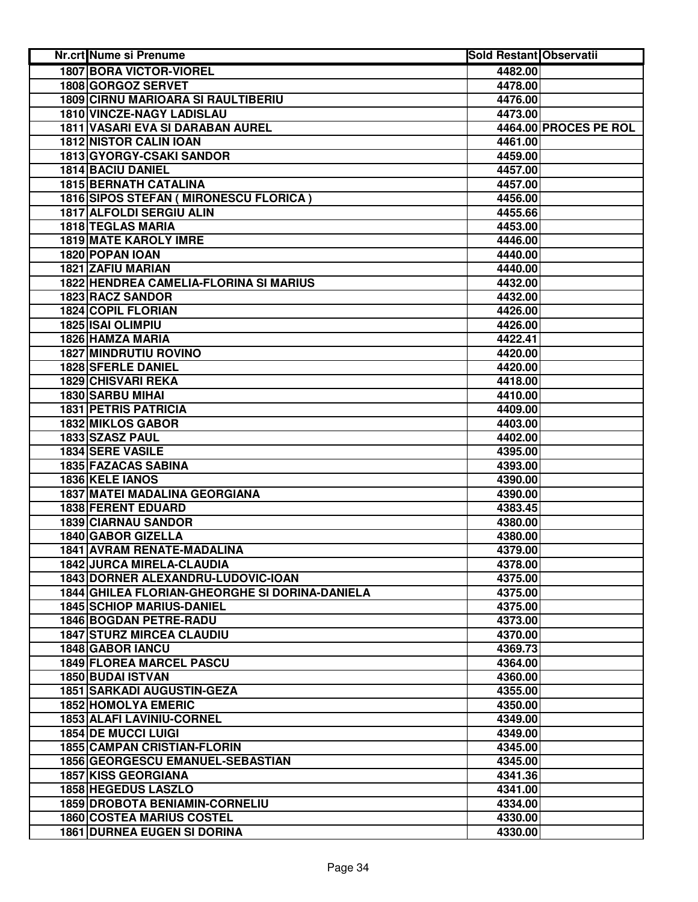| Nr.crt Nume si Prenume                         | <b>Sold Restant Observatii</b> |                       |
|------------------------------------------------|--------------------------------|-----------------------|
| <b>1807 BORA VICTOR-VIOREL</b>                 | 4482.00                        |                       |
| 1808 GORGOZ SERVET                             | 4478.00                        |                       |
| <b>1809 CIRNU MARIOARA SI RAULTIBERIU</b>      | 4476.00                        |                       |
| 1810 VINCZE-NAGY LADISLAU                      | 4473.00                        |                       |
| 1811 VASARI EVA SI DARABAN AUREL               |                                | 4464.00 PROCES PE ROL |
| <b>1812 NISTOR CALIN IOAN</b>                  | 4461.00                        |                       |
| 1813 GYORGY-CSAKI SANDOR                       | 4459.00                        |                       |
| 1814 BACIU DANIEL                              | 4457.00                        |                       |
| <b>1815 BERNATH CATALINA</b>                   | 4457.00                        |                       |
| 1816 SIPOS STEFAN ( MIRONESCU FLORICA )        | 4456.00                        |                       |
| 1817 ALFOLDI SERGIU ALIN                       | 4455.66                        |                       |
| <b>1818 TEGLAS MARIA</b>                       | 4453.00                        |                       |
| 1819 MATE KAROLY IMRE                          | 4446.00                        |                       |
| 1820 POPAN IOAN                                | 4440.00                        |                       |
| 1821 ZAFIU MARIAN                              | 4440.00                        |                       |
| 1822 HENDREA CAMELIA-FLORINA SI MARIUS         | 4432.00                        |                       |
| <b>1823 RACZ SANDOR</b>                        | 4432.00                        |                       |
| <b>1824 COPIL FLORIAN</b>                      | 4426.00                        |                       |
| 1825 ISAI OLIMPIU                              | 4426.00                        |                       |
| 1826 HAMZA MARIA                               | 4422.41                        |                       |
| <b>1827 MINDRUTIU ROVINO</b>                   | 4420.00                        |                       |
| <b>1828 SFERLE DANIEL</b>                      | 4420.00                        |                       |
| <b>1829 CHISVARI REKA</b>                      | 4418.00                        |                       |
| 1830 SARBU MIHAI                               | 4410.00                        |                       |
| <b>1831 PETRIS PATRICIA</b>                    | 4409.00                        |                       |
| <b>1832 MIKLOS GABOR</b>                       | 4403.00                        |                       |
| 1833 SZASZ PAUL                                | 4402.00                        |                       |
| 1834 SERE VASILE                               | 4395.00                        |                       |
| 1835 FAZACAS SABINA                            | 4393.00                        |                       |
| 1836 KELE IANOS                                | 4390.00                        |                       |
| <b>1837 MATEI MADALINA GEORGIANA</b>           | 4390.00                        |                       |
| 1838 FERENT EDUARD                             | 4383.45                        |                       |
| 1839 CIARNAU SANDOR                            | 4380.00                        |                       |
| 1840 GABOR GIZELLA                             | 4380.00                        |                       |
| 1841 AVRAM RENATE-MADALINA                     | 4379.00                        |                       |
| <b>1842 JURCA MIRELA-CLAUDIA</b>               | 4378.00                        |                       |
| 1843 DORNER ALEXANDRU-LUDOVIC-IOAN             | 4375.00                        |                       |
| 1844 GHILEA FLORIAN-GHEORGHE SI DORINA-DANIELA | 4375.00                        |                       |
| <b>1845 SCHIOP MARIUS-DANIEL</b>               | 4375.00                        |                       |
| 1846 BOGDAN PETRE-RADU                         | 4373.00                        |                       |
| <b>1847 STURZ MIRCEA CLAUDIU</b>               | 4370.00                        |                       |
| 1848 GABOR IANCU                               | 4369.73                        |                       |
| <b>1849 FLOREA MARCEL PASCU</b>                | 4364.00                        |                       |
| 1850 BUDAI ISTVAN                              | 4360.00                        |                       |
| <b>1851 SARKADI AUGUSTIN-GEZA</b>              | 4355.00                        |                       |
| <b>1852 HOMOLYA EMERIC</b>                     | 4350.00                        |                       |
| 1853 ALAFI LAVINIU-CORNEL                      | 4349.00                        |                       |
| <b>1854 DE MUCCI LUIGI</b>                     | 4349.00                        |                       |
| <b>1855 CAMPAN CRISTIAN-FLORIN</b>             | 4345.00                        |                       |
| 1856 GEORGESCU EMANUEL-SEBASTIAN               | 4345.00                        |                       |
| <b>1857 KISS GEORGIANA</b>                     | 4341.36                        |                       |
| 1858 HEGEDUS LASZLO                            | 4341.00                        |                       |
| 1859 DROBOTA BENIAMIN-CORNELIU                 | 4334.00                        |                       |
| <b>1860 COSTEA MARIUS COSTEL</b>               | 4330.00                        |                       |
| <b>1861 DURNEA EUGEN SI DORINA</b>             | 4330.00                        |                       |
|                                                |                                |                       |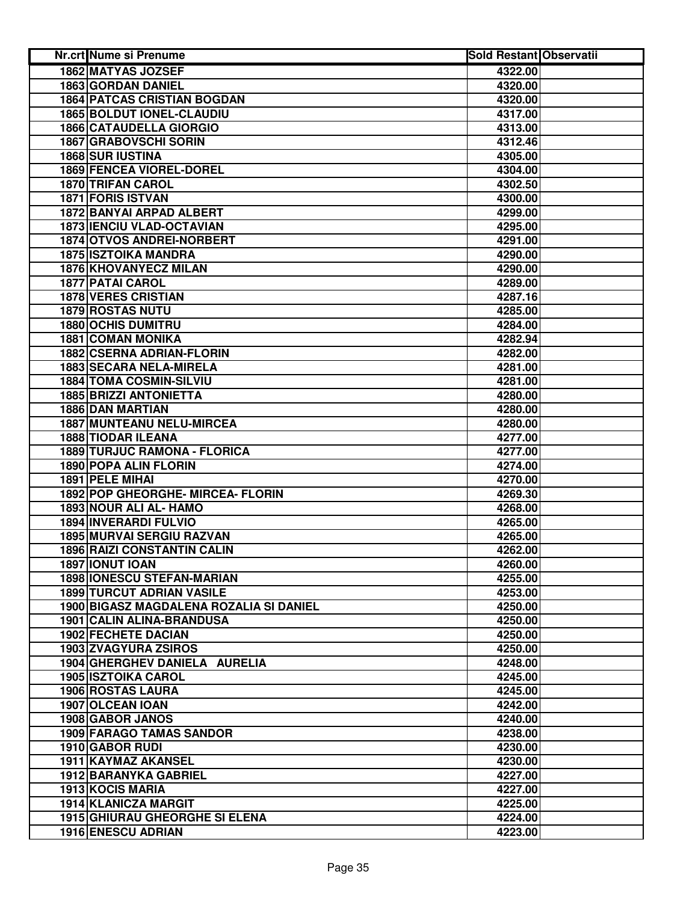| Nr.crt Nume si Prenume                  | <b>Sold Restant Observatii</b> |  |
|-----------------------------------------|--------------------------------|--|
| <b>1862 MATYAS JOZSEF</b>               | 4322.00                        |  |
| 1863 GORDAN DANIEL                      | 4320.00                        |  |
| <b>1864 PATCAS CRISTIAN BOGDAN</b>      | 4320.00                        |  |
| <b>1865 BOLDUT IONEL-CLAUDIU</b>        | 4317.00                        |  |
| <b>1866 CATAUDELLA GIORGIO</b>          | 4313.00                        |  |
| 1867 GRABOVSCHI SORIN                   | 4312.46                        |  |
| 1868 SUR IUSTINA                        | 4305.00                        |  |
| 1869 FENCEA VIOREL-DOREL                | 4304.00                        |  |
| <b>1870 TRIFAN CAROL</b>                | 4302.50                        |  |
| 1871 FORIS ISTVAN                       | 4300.00                        |  |
| 1872 BANYAI ARPAD ALBERT                | 4299.00                        |  |
| 1873 IENCIU VLAD-OCTAVIAN               | 4295.00                        |  |
| 1874 OTVOS ANDREI-NORBERT               | 4291.00                        |  |
| <b>1875 ISZTOIKA MANDRA</b>             | 4290.00                        |  |
| 1876 KHOVANYECZ MILAN                   | 4290.00                        |  |
| 1877 PATAI CAROL                        | 4289.00                        |  |
| <b>1878 VERES CRISTIAN</b>              | 4287.16                        |  |
| <b>1879 ROSTAS NUTU</b>                 | 4285.00                        |  |
| <b>1880 OCHIS DUMITRU</b>               | 4284.00                        |  |
| <b>1881 COMAN MONIKA</b>                | 4282.94                        |  |
| <b>1882 CSERNA ADRIAN-FLORIN</b>        | 4282.00                        |  |
| 1883 SECARA NELA-MIRELA                 | 4281.00                        |  |
| <b>1884 TOMA COSMIN-SILVIU</b>          | 4281.00                        |  |
| <b>1885 BRIZZI ANTONIETTA</b>           | 4280.00                        |  |
| <b>1886 DAN MARTIAN</b>                 | 4280.00                        |  |
| <b>1887 MUNTEANU NELU-MIRCEA</b>        | 4280.00                        |  |
| <b>1888 TIODAR ILEANA</b>               | 4277.00                        |  |
| 1889 TURJUC RAMONA - FLORICA            | 4277.00                        |  |
| 1890 POPA ALIN FLORIN                   | 4274.00                        |  |
| 1891 PELE MIHAI                         | 4270.00                        |  |
| 1892 POP GHEORGHE- MIRCEA- FLORIN       | 4269.30                        |  |
| 1893 NOUR ALI AL- HAMO                  | 4268.00                        |  |
| 1894 INVERARDI FULVIO                   | 4265.00                        |  |
| <b>1895 MURVAI SERGIU RAZVAN</b>        | 4265.00                        |  |
| <b>1896 RAIZI CONSTANTIN CALIN</b>      | 4262.00                        |  |
| 1897 IONUT IOAN                         | 4260.00                        |  |
| <b>1898 IONESCU STEFAN-MARIAN</b>       | 4255.00                        |  |
| <b>1899 TURCUT ADRIAN VASILE</b>        | 4253.00                        |  |
| 1900 BIGASZ MAGDALENA ROZALIA SI DANIEL | 4250.00                        |  |
| 1901 CALIN ALINA-BRANDUSA               | 4250.00                        |  |
| <b>1902 FECHETE DACIAN</b>              | 4250.00                        |  |
| <b>1903 ZVAGYURA ZSIROS</b>             | 4250.00                        |  |
| 1904 GHERGHEV DANIELA AURELIA           | 4248.00                        |  |
| <b>1905 ISZTOIKA CAROL</b>              | 4245.00                        |  |
| 1906 ROSTAS LAURA                       | 4245.00                        |  |
| 1907 OLCEAN IOAN                        | 4242.00                        |  |
| <b>1908 GABOR JANOS</b>                 | 4240.00                        |  |
| <b>1909 FARAGO TAMAS SANDOR</b>         | 4238.00                        |  |
| 1910 GABOR RUDI                         | 4230.00                        |  |
| 1911 KAYMAZ AKANSEL                     | 4230.00                        |  |
| 1912 BARANYKA GABRIEL                   | 4227.00                        |  |
| 1913 KOCIS MARIA                        | 4227.00                        |  |
| 1914 KLANICZA MARGIT                    | 4225.00                        |  |
| <b>1915 GHIURAU GHEORGHE SI ELENA</b>   | 4224.00                        |  |
| <b>1916 ENESCU ADRIAN</b>               | 4223.00                        |  |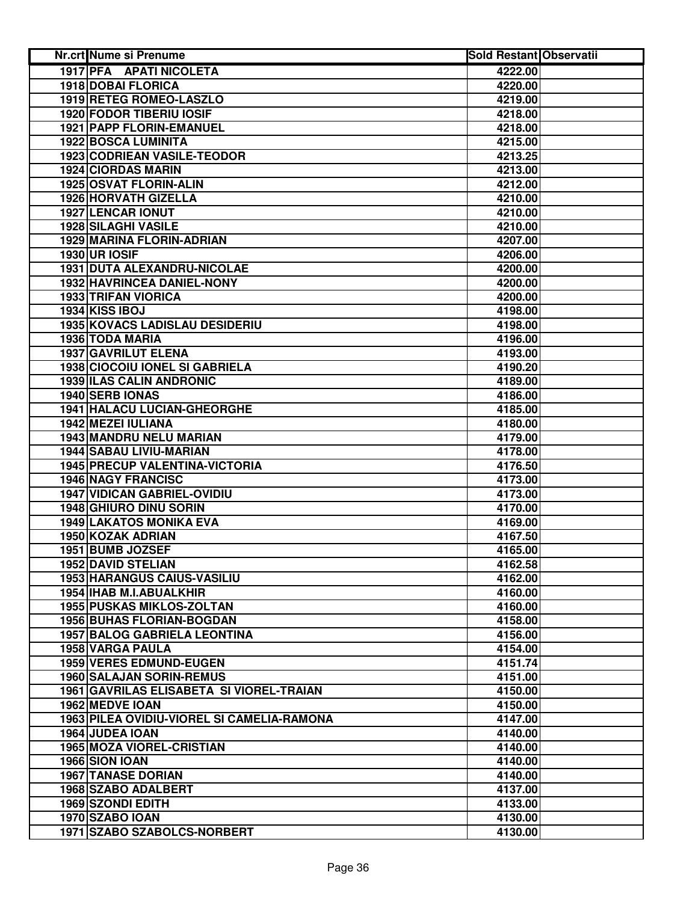| Nr.crt Nume si Prenume                     | <b>Sold Restant Observatii</b> |  |
|--------------------------------------------|--------------------------------|--|
| 1917 PFA APATI NICOLETA                    | 4222.00                        |  |
| <b>1918 DOBAI FLORICA</b>                  | 4220.00                        |  |
| 1919 RETEG ROMEO-LASZLO                    | 4219.00                        |  |
| <b>1920 FODOR TIBERIU IOSIF</b>            | 4218.00                        |  |
| 1921 PAPP FLORIN-EMANUEL                   | 4218.00                        |  |
| 1922 BOSCA LUMINITA                        | 4215.00                        |  |
| 1923 CODRIEAN VASILE-TEODOR                | 4213.25                        |  |
| <b>1924 CIORDAS MARIN</b>                  | 4213.00                        |  |
| 1925 OSVAT FLORIN-ALIN                     | 4212.00                        |  |
| 1926 HORVATH GIZELLA                       | 4210.00                        |  |
| <b>1927 LENCAR IONUT</b>                   | 4210.00                        |  |
| <b>1928 SILAGHI VASILE</b>                 | 4210.00                        |  |
| 1929 MARINA FLORIN-ADRIAN                  | 4207.00                        |  |
| <b>1930 UR IOSIF</b>                       | 4206.00                        |  |
| 1931 DUTA ALEXANDRU-NICOLAE                | 4200.00                        |  |
| 1932 HAVRINCEA DANIEL-NONY                 | 4200.00                        |  |
| <b>1933 TRIFAN VIORICA</b>                 | 4200.00                        |  |
| 1934 KISS IBOJ                             | 4198.00                        |  |
| <b>1935 KOVACS LADISLAU DESIDERIU</b>      | 4198.00                        |  |
| 1936 TODA MARIA                            | 4196.00                        |  |
| <b>1937 GAVRILUT ELENA</b>                 | 4193.00                        |  |
| <b>1938 CIOCOIU IONEL SI GABRIELA</b>      | 4190.20                        |  |
| <b>1939 ILAS CALIN ANDRONIC</b>            | 4189.00                        |  |
| 1940 SERB IONAS                            | 4186.00                        |  |
| <b>1941 HALACU LUCIAN-GHEORGHE</b>         | 4185.00                        |  |
| <b>1942 MEZEI IULIANA</b>                  | 4180.00                        |  |
| 1943 MANDRU NELU MARIAN                    | 4179.00                        |  |
| <b>1944 SABAU LIVIU-MARIAN</b>             | 4178.00                        |  |
| <b>1945 PRECUP VALENTINA-VICTORIA</b>      | 4176.50                        |  |
| <b>1946 NAGY FRANCISC</b>                  | 4173.00                        |  |
| <b>1947 VIDICAN GABRIEL-OVIDIU</b>         | 4173.00                        |  |
| 1948 GHIURO DINU SORIN                     | 4170.00                        |  |
| <b>1949 LAKATOS MONIKA EVA</b>             | 4169.00                        |  |
| 1950 KOZAK ADRIAN                          | 4167.50                        |  |
| 1951 BUMB JOZSEF                           | 4165.00                        |  |
| 1952 DAVID STELIAN                         | 4162.58                        |  |
| <b>1953 HARANGUS CAIUS-VASILIU</b>         | 4162.00                        |  |
| 1954 IHAB M.I.ABUALKHIR                    | 4160.00                        |  |
| <b>1955 PUSKAS MIKLOS-ZOLTAN</b>           | 4160.00                        |  |
| <b>1956 BUHAS FLORIAN-BOGDAN</b>           | 4158.00                        |  |
| <b>1957 BALOG GABRIELA LEONTINA</b>        | 4156.00                        |  |
| <b>1958 VARGA PAULA</b>                    | 4154.00                        |  |
| 1959 VERES EDMUND-EUGEN                    | 4151.74                        |  |
| <b>1960 SALAJAN SORIN-REMUS</b>            | 4151.00                        |  |
| 1961 GAVRILAS ELISABETA SI VIOREL-TRAIAN   | 4150.00                        |  |
| 1962 MEDVE IOAN                            | 4150.00                        |  |
| 1963 PILEA OVIDIU-VIOREL SI CAMELIA-RAMONA | 4147.00                        |  |
| 1964 JUDEA IOAN                            | 4140.00                        |  |
| <b>1965 MOZA VIOREL-CRISTIAN</b>           | 4140.00                        |  |
| 1966 SION IOAN                             | 4140.00                        |  |
| <b>1967 TANASE DORIAN</b>                  | 4140.00                        |  |
| 1968 SZABO ADALBERT                        | 4137.00                        |  |
| 1969 SZONDI EDITH                          | 4133.00                        |  |
| 1970 SZABO IOAN                            | 4130.00                        |  |
| 1971 SZABO SZABOLCS-NORBERT                | 4130.00                        |  |
|                                            |                                |  |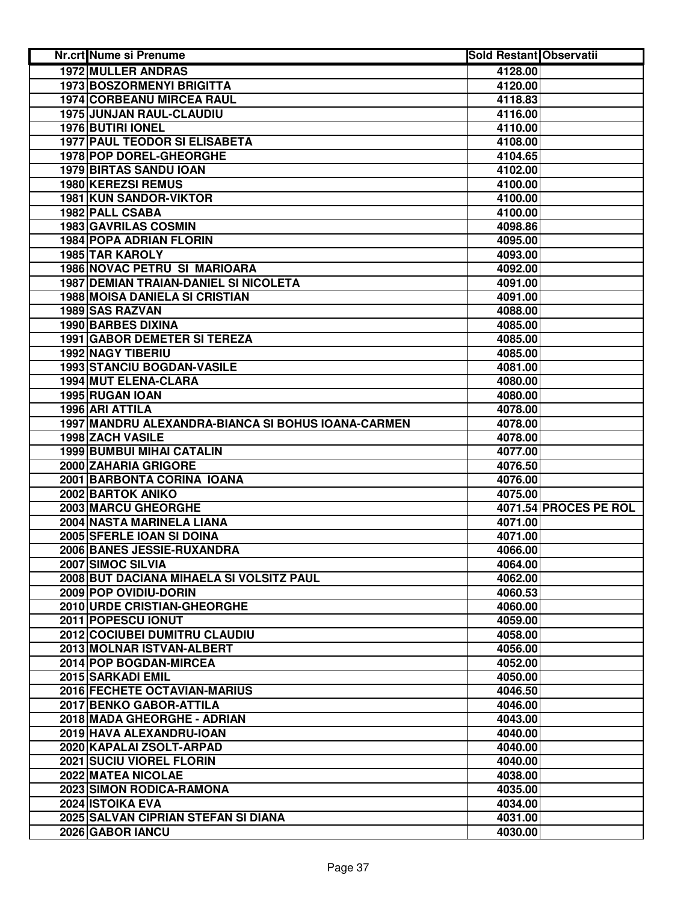| <b>Nr.crt Nume si Prenume</b>                      | <b>Sold Restant Observatii</b> |                       |
|----------------------------------------------------|--------------------------------|-----------------------|
| <b>1972 MULLER ANDRAS</b>                          | 4128.00                        |                       |
| <b>1973 BOSZORMENYI BRIGITTA</b>                   | 4120.00                        |                       |
| <b>1974 CORBEANU MIRCEA RAUL</b>                   | 4118.83                        |                       |
| 1975 JUNJAN RAUL-CLAUDIU                           | 4116.00                        |                       |
| 1976 BUTIRI IONEL                                  | 4110.00                        |                       |
| <b>1977 PAUL TEODOR SI ELISABETA</b>               | 4108.00                        |                       |
| 1978 POP DOREL-GHEORGHE                            | 4104.65                        |                       |
| <b>1979 BIRTAS SANDU IOAN</b>                      | 4102.00                        |                       |
| <b>1980 KEREZSI REMUS</b>                          | 4100.00                        |                       |
| 1981 KUN SANDOR-VIKTOR                             | 4100.00                        |                       |
| 1982 PALL CSABA                                    | 4100.00                        |                       |
| 1983 GAVRILAS COSMIN                               | 4098.86                        |                       |
| <b>1984 POPA ADRIAN FLORIN</b>                     | 4095.00                        |                       |
| 1985 TAR KAROLY                                    | 4093.00                        |                       |
| 1986 NOVAC PETRU SI MARIOARA                       | 4092.00                        |                       |
| <b>1987 DEMIAN TRAIAN-DANIEL SI NICOLETA</b>       | 4091.00                        |                       |
| <b>1988 MOISA DANIELA SI CRISTIAN</b>              | 4091.00                        |                       |
| 1989 SAS RAZVAN                                    | 4088.00                        |                       |
| 1990 BARBES DIXINA                                 | 4085.00                        |                       |
| 1991 GABOR DEMETER SI TEREZA                       | 4085.00                        |                       |
| <b>1992 NAGY TIBERIU</b>                           | 4085.00                        |                       |
| <b>1993 STANCIU BOGDAN-VASILE</b>                  | 4081.00                        |                       |
| 1994 MUT ELENA-CLARA                               | 4080.00                        |                       |
| 1995 RUGAN IOAN                                    | 4080.00                        |                       |
| 1996 ARI ATTILA                                    | 4078.00                        |                       |
| 1997 MANDRU ALEXANDRA-BIANCA SI BOHUS IOANA-CARMEN | 4078.00                        |                       |
| 1998 ZACH VASILE                                   | 4078.00                        |                       |
| <b>1999 BUMBUI MIHAI CATALIN</b>                   | 4077.00                        |                       |
| 2000 ZAHARIA GRIGORE                               | 4076.50                        |                       |
| 2001 BARBONTA CORINA IOANA                         | 4076.00                        |                       |
| 2002 BARTOK ANIKO                                  | 4075.00                        |                       |
| 2003 MARCU GHEORGHE                                |                                | 4071.54 PROCES PE ROL |
| 2004 NASTA MARINELA LIANA                          | 4071.00                        |                       |
| 2005 SFERLE IOAN SI DOINA                          | 4071.00                        |                       |
| 2006 BANES JESSIE-RUXANDRA                         | 4066.00                        |                       |
| 2007 SIMOC SILVIA                                  | 4064.00                        |                       |
| 2008 BUT DACIANA MIHAELA SI VOLSITZ PAUL           | 4062.00                        |                       |
| 2009 POP OVIDIU-DORIN                              | 4060.53                        |                       |
| 2010 URDE CRISTIAN-GHEORGHE                        | 4060.00                        |                       |
| 2011 POPESCU IONUT                                 | 4059.00                        |                       |
| 2012 COCIUBEI DUMITRU CLAUDIU                      | 4058.00                        |                       |
| 2013 MOLNAR ISTVAN-ALBERT                          | 4056.00                        |                       |
| 2014 POP BOGDAN-MIRCEA                             | 4052.00                        |                       |
| 2015 SARKADI EMIL                                  | 4050.00                        |                       |
| 2016 FECHETE OCTAVIAN-MARIUS                       | 4046.50                        |                       |
| 2017 BENKO GABOR-ATTILA                            | 4046.00                        |                       |
| 2018 MADA GHEORGHE - ADRIAN                        | 4043.00                        |                       |
| 2019 HAVA ALEXANDRU-IOAN                           | 4040.00                        |                       |
| 2020 KAPALAI ZSOLT-ARPAD                           | 4040.00                        |                       |
| 2021 SUCIU VIOREL FLORIN                           | 4040.00                        |                       |
| 2022 MATEA NICOLAE                                 | 4038.00                        |                       |
| 2023 SIMON RODICA-RAMONA                           | 4035.00                        |                       |
| 2024 ISTOIKA EVA                                   | 4034.00                        |                       |
| 2025 SALVAN CIPRIAN STEFAN SI DIANA                | 4031.00                        |                       |
| 2026 GABOR IANCU                                   | 4030.00                        |                       |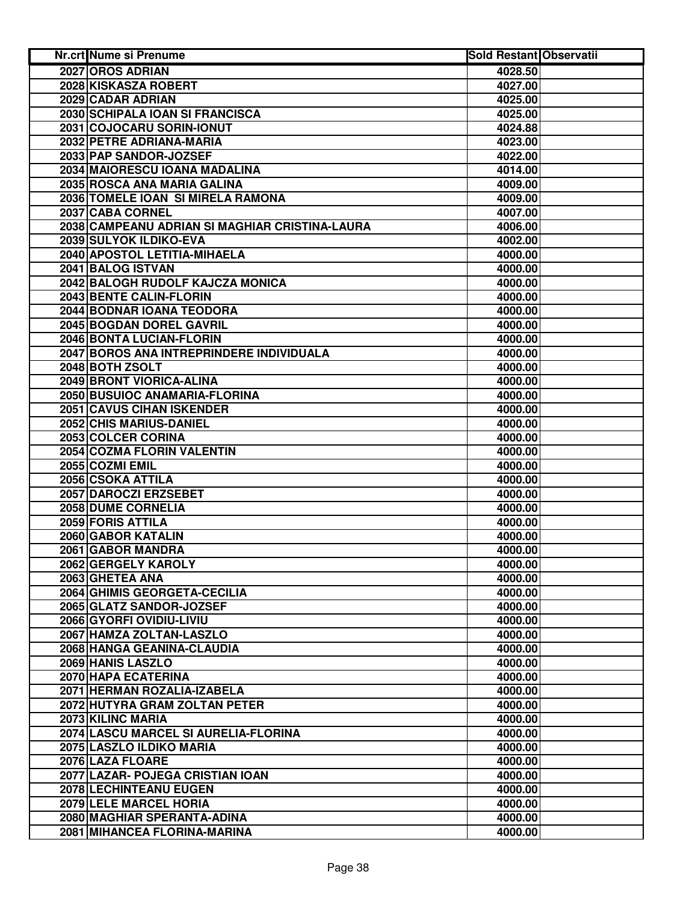| <b>Nr.crt Nume si Prenume</b>                  | <b>Sold Restant Observatii</b> |  |
|------------------------------------------------|--------------------------------|--|
| 2027 OROS ADRIAN                               | 4028.50                        |  |
| 2028 KISKASZA ROBERT                           | 4027.00                        |  |
| 2029 CADAR ADRIAN                              | 4025.00                        |  |
| 2030 SCHIPALA IOAN SI FRANCISCA                | 4025.00                        |  |
| 2031 COJOCARU SORIN-IONUT                      | 4024.88                        |  |
| 2032 PETRE ADRIANA-MARIA                       | 4023.00                        |  |
| 2033 PAP SANDOR-JOZSEF                         | 4022.00                        |  |
| 2034 MAIORESCU IOANA MADALINA                  | 4014.00                        |  |
| 2035 ROSCA ANA MARIA GALINA                    | 4009.00                        |  |
| 2036 TOMELE IOAN SI MIRELA RAMONA              | 4009.00                        |  |
| 2037 CABA CORNEL                               | 4007.00                        |  |
| 2038 CAMPEANU ADRIAN SI MAGHIAR CRISTINA-LAURA | 4006.00                        |  |
| 2039 SULYOK ILDIKO-EVA                         | 4002.00                        |  |
| 2040 APOSTOL LETITIA-MIHAELA                   | 4000.00                        |  |
| 2041 BALOG ISTVAN                              | 4000.00                        |  |
| 2042 BALOGH RUDOLF KAJCZA MONICA               | 4000.00                        |  |
| 2043 BENTE CALIN-FLORIN                        | 4000.00                        |  |
| 2044 BODNAR IOANA TEODORA                      | 4000.00                        |  |
| 2045 BOGDAN DOREL GAVRIL                       | 4000.00                        |  |
| 2046 BONTA LUCIAN-FLORIN                       | 4000.00                        |  |
| 2047 BOROS ANA INTREPRINDERE INDIVIDUALA       | 4000.00                        |  |
| 2048 BOTH ZSOLT                                | 4000.00                        |  |
| 2049 BRONT VIORICA-ALINA                       | 4000.00                        |  |
| 2050 BUSUIOC ANAMARIA-FLORINA                  | 4000.00                        |  |
| <b>2051 CAVUS CIHAN ISKENDER</b>               | 4000.00                        |  |
| 2052 CHIS MARIUS-DANIEL                        | 4000.00                        |  |
| 2053 COLCER CORINA                             | 4000.00                        |  |
| 2054 COZMA FLORIN VALENTIN                     | 4000.00                        |  |
| 2055 COZMI EMIL                                | 4000.00                        |  |
| 2056 CSOKA ATTILA                              | 4000.00                        |  |
| 2057 DAROCZI ERZSEBET                          | 4000.00                        |  |
| 2058 DUME CORNELIA                             | 4000.00                        |  |
| 2059 FORIS ATTILA                              | 4000.00                        |  |
| 2060 GABOR KATALIN                             | 4000.00                        |  |
| 2061 GABOR MANDRA                              | 4000.00                        |  |
| 2062 GERGELY KAROLY                            | 4000.00                        |  |
| 2063 GHETEA ANA                                | 4000.00                        |  |
| 2064 GHIMIS GEORGETA-CECILIA                   | 4000.00                        |  |
| 2065 GLATZ SANDOR-JOZSEF                       | 4000.00                        |  |
| 2066 GYORFI OVIDIU-LIVIU                       | 4000.00                        |  |
| 2067 HAMZA ZOLTAN-LASZLO                       | 4000.00                        |  |
| 2068 HANGA GEANINA-CLAUDIA                     | 4000.00                        |  |
| 2069 HANIS LASZLO                              | 4000.00                        |  |
| 2070 HAPA ECATERINA                            | 4000.00                        |  |
| 2071 HERMAN ROZALIA-IZABELA                    | 4000.00                        |  |
| 2072 HUTYRA GRAM ZOLTAN PETER                  | 4000.00                        |  |
| 2073 KILINC MARIA                              | 4000.00                        |  |
| 2074 LASCU MARCEL SI AURELIA-FLORINA           | 4000.00                        |  |
| 2075 LASZLO ILDIKO MARIA                       | 4000.00                        |  |
| 2076 LAZA FLOARE                               | 4000.00                        |  |
| 2077 LAZAR- POJEGA CRISTIAN IOAN               | 4000.00                        |  |
| 2078 LECHINTEANU EUGEN                         | 4000.00                        |  |
| 2079 LELE MARCEL HORIA                         | 4000.00                        |  |
| 2080 MAGHIAR SPERANTA-ADINA                    | 4000.00                        |  |
| 2081 MIHANCEA FLORINA-MARINA                   | 4000.00                        |  |
|                                                |                                |  |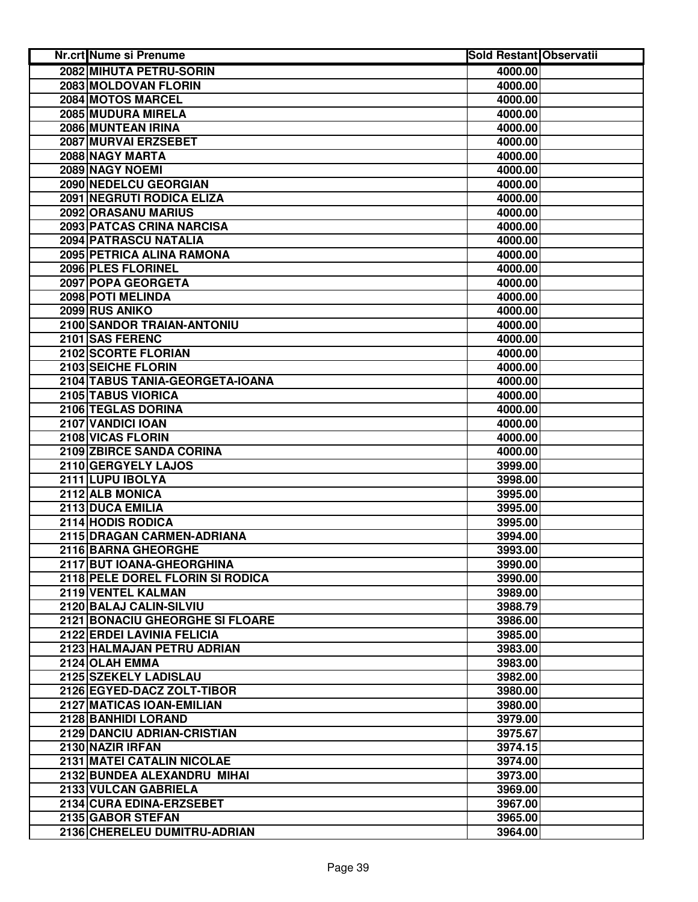| <b>Nr.crt Nume si Prenume</b>    | <b>Sold Restant Observatii</b> |  |
|----------------------------------|--------------------------------|--|
| 2082 MIHUTA PETRU-SORIN          | 4000.00                        |  |
| 2083 MOLDOVAN FLORIN             | 4000.00                        |  |
| 2084 MOTOS MARCEL                | 4000.00                        |  |
| 2085 MUDURA MIRELA               | 4000.00                        |  |
| 2086 MUNTEAN IRINA               | 4000.00                        |  |
| 2087 MURVAI ERZSEBET             | 4000.00                        |  |
| 2088 NAGY MARTA                  | 4000.00                        |  |
| 2089 NAGY NOEMI                  | 4000.00                        |  |
| 2090 NEDELCU GEORGIAN            | 4000.00                        |  |
| 2091 NEGRUTI RODICA ELIZA        | 4000.00                        |  |
| 2092 ORASANU MARIUS              | 4000.00                        |  |
| 2093 PATCAS CRINA NARCISA        | 4000.00                        |  |
| 2094 PATRASCU NATALIA            | 4000.00                        |  |
| 2095 PETRICA ALINA RAMONA        | 4000.00                        |  |
| 2096 PLES FLORINEL               | 4000.00                        |  |
| 2097 POPA GEORGETA               | 4000.00                        |  |
| 2098 POTI MELINDA                | 4000.00                        |  |
| 2099 RUS ANIKO                   | 4000.00                        |  |
| 2100 SANDOR TRAIAN-ANTONIU       | 4000.00                        |  |
| 2101 SAS FERENC                  | 4000.00                        |  |
| 2102 SCORTE FLORIAN              | 4000.00                        |  |
| 2103 SEICHE FLORIN               | 4000.00                        |  |
| 2104 TABUS TANIA-GEORGETA-IOANA  | 4000.00                        |  |
| 2105 TABUS VIORICA               | 4000.00                        |  |
| 2106 TEGLAS DORINA               | 4000.00                        |  |
| 2107 VANDICI IOAN                | 4000.00                        |  |
| 2108 VICAS FLORIN                | 4000.00                        |  |
| 2109 ZBIRCE SANDA CORINA         | 4000.00                        |  |
| 2110 GERGYELY LAJOS              | 3999.00                        |  |
| 2111 LUPU IBOLYA                 | 3998.00                        |  |
| 2112 ALB MONICA                  | 3995.00                        |  |
| 2113 DUCA EMILIA                 | 3995.00                        |  |
| 2114 HODIS RODICA                | 3995.00                        |  |
| 2115 DRAGAN CARMEN-ADRIANA       | 3994.00                        |  |
| 2116 BARNA GHEORGHE              | 3993.00                        |  |
| 2117 BUT IOANA-GHEORGHINA        | 3990.00                        |  |
| 2118 PELE DOREL FLORIN SI RODICA | 3990.00                        |  |
| 2119 VENTEL KALMAN               | 3989.00                        |  |
| 2120 BALAJ CALIN-SILVIU          | 3988.79                        |  |
| 2121 BONACIU GHEORGHE SI FLOARE  | 3986.00                        |  |
| 2122 ERDEI LAVINIA FELICIA       | 3985.00                        |  |
| 2123 HALMAJAN PETRU ADRIAN       | 3983.00                        |  |
| 2124 OLAH EMMA                   | 3983.00                        |  |
| 2125 SZEKELY LADISLAU            | 3982.00                        |  |
| 2126 EGYED-DACZ ZOLT-TIBOR       | 3980.00                        |  |
| 2127 MATICAS IOAN-EMILIAN        | 3980.00                        |  |
| 2128 BANHIDI LORAND              | 3979.00                        |  |
| 2129 DANCIU ADRIAN-CRISTIAN      | 3975.67                        |  |
| 2130 NAZIR IRFAN                 | 3974.15                        |  |
| 2131 MATEI CATALIN NICOLAE       | 3974.00                        |  |
| 2132 BUNDEA ALEXANDRU MIHAI      | 3973.00                        |  |
| 2133 VULCAN GABRIELA             | 3969.00                        |  |
| 2134 CURA EDINA-ERZSEBET         | 3967.00                        |  |
| 2135 GABOR STEFAN                | 3965.00                        |  |
| 2136 CHERELEU DUMITRU-ADRIAN     | 3964.00                        |  |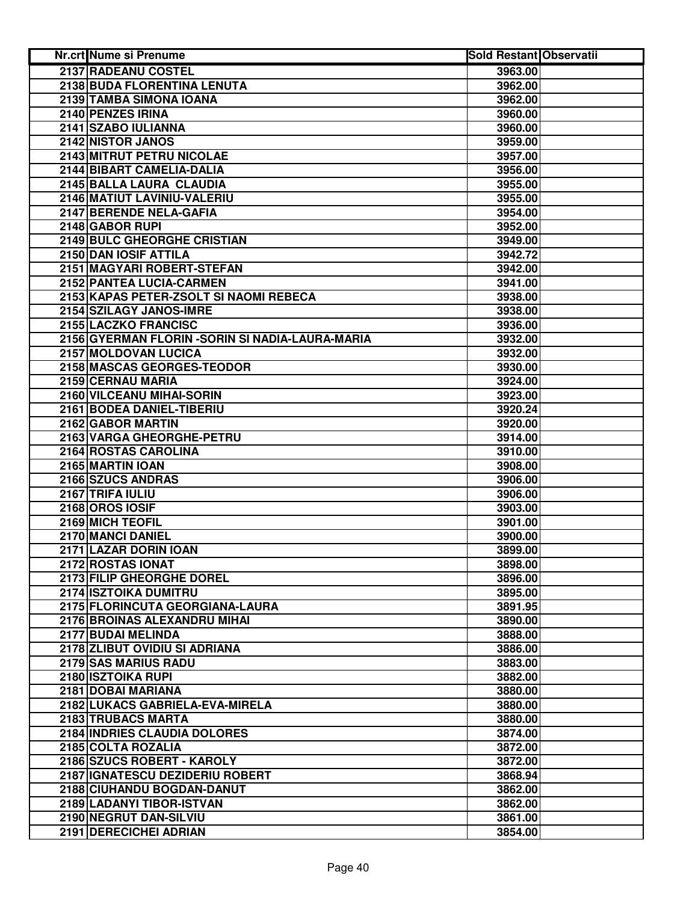| Nr.crt Nume si Prenume                           | <b>Sold Restant Observatii</b> |  |
|--------------------------------------------------|--------------------------------|--|
| 2137 RADEANU COSTEL                              | 3963.00                        |  |
| 2138 BUDA FLORENTINA LENUTA                      | 3962.00                        |  |
| 2139 TAMBA SIMONA IOANA                          | 3962.00                        |  |
| 2140 PENZES IRINA                                | 3960.00                        |  |
| 2141 SZABO IULIANNA                              | 3960.00                        |  |
| 2142 NISTOR JANOS                                | 3959.00                        |  |
| 2143 MITRUT PETRU NICOLAE                        | 3957.00                        |  |
| 2144 BIBART CAMELIA-DALIA                        | 3956.00                        |  |
| 2145 BALLA LAURA CLAUDIA                         | 3955.00                        |  |
| 2146 MATIUT LAVINIU-VALERIU                      | 3955.00                        |  |
| 2147 BERENDE NELA-GAFIA                          | 3954.00                        |  |
| 2148 GABOR RUPI                                  | 3952.00                        |  |
| 2149 BULC GHEORGHE CRISTIAN                      | 3949.00                        |  |
| 2150 DAN IOSIF ATTILA                            | 3942.72                        |  |
| 2151 MAGYARI ROBERT-STEFAN                       | 3942.00                        |  |
| 2152 PANTEA LUCIA-CARMEN                         | 3941.00                        |  |
| 2153 KAPAS PETER-ZSOLT SI NAOMI REBECA           | 3938.00                        |  |
| 2154 SZILAGY JANOS-IMRE                          | 3938.00                        |  |
| 2155 LACZKO FRANCISC                             | 3936.00                        |  |
| 2156 GYERMAN FLORIN - SORIN SI NADIA-LAURA-MARIA | 3932.00                        |  |
| 2157 MOLDOVAN LUCICA                             | 3932.00                        |  |
| 2158 MASCAS GEORGES-TEODOR                       | 3930.00                        |  |
| 2159 CERNAU MARIA                                | 3924.00                        |  |
| 2160 VILCEANU MIHAI-SORIN                        | 3923.00                        |  |
| 2161 BODEA DANIEL-TIBERIU                        | 3920.24                        |  |
| 2162 GABOR MARTIN                                | 3920.00                        |  |
| 2163 VARGA GHEORGHE-PETRU                        | 3914.00                        |  |
| 2164 ROSTAS CAROLINA                             | 3910.00                        |  |
| 2165 MARTIN IOAN                                 | 3908.00                        |  |
| 2166 SZUCS ANDRAS                                | 3906.00                        |  |
| 2167 TRIFA IULIU                                 | 3906.00                        |  |
| 2168 OROS IOSIF                                  | 3903.00                        |  |
| 2169 MICH TEOFIL                                 | 3901.00                        |  |
| 2170 MANCI DANIEL                                | 3900.00                        |  |
| 2171 LAZAR DORIN IOAN                            | 3899.00                        |  |
| 2172 ROSTAS IONAT                                | 3898.00                        |  |
| 2173 FILIP GHEORGHE DOREL                        | 3896.00                        |  |
| 2174 ISZTOIKA DUMITRU                            | 3895.00                        |  |
| 2175 FLORINCUTA GEORGIANA-LAURA                  | 3891.95                        |  |
| 2176 BROINAS ALEXANDRU MIHAI                     | 3890.00                        |  |
| 2177 BUDAI MELINDA                               | 3888.00                        |  |
| 2178 ZLIBUT OVIDIU SI ADRIANA                    | 3886.00                        |  |
| 2179 SAS MARIUS RADU                             | 3883.00                        |  |
| 2180 ISZTOIKA RUPI                               | 3882.00                        |  |
| 2181 DOBAI MARIANA                               | 3880.00                        |  |
| 2182 LUKACS GABRIELA-EVA-MIRELA                  | 3880.00                        |  |
| 2183 TRUBACS MARTA                               | 3880.00                        |  |
| 2184 INDRIES CLAUDIA DOLORES                     | 3874.00                        |  |
| 2185 COLTA ROZALIA                               | 3872.00                        |  |
| 2186 SZUCS ROBERT - KAROLY                       | 3872.00                        |  |
| 2187 IGNATESCU DEZIDERIU ROBERT                  | 3868.94                        |  |
| 2188 CIUHANDU BOGDAN-DANUT                       | 3862.00                        |  |
| 2189 LADANYI TIBOR-ISTVAN                        | 3862.00                        |  |
| 2190 NEGRUT DAN-SILVIU                           | 3861.00                        |  |
| 2191 DERECICHEI ADRIAN                           | 3854.00                        |  |
|                                                  |                                |  |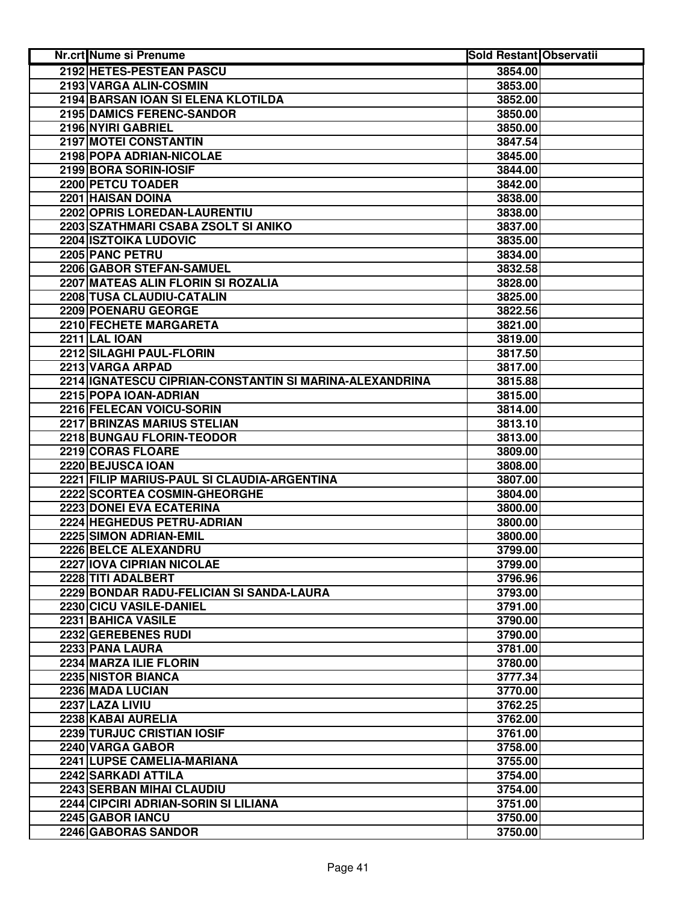| <b>Nr.crt Nume si Prenume</b>                           | <b>Sold Restant Observatii</b> |  |
|---------------------------------------------------------|--------------------------------|--|
| 2192 HETES-PESTEAN PASCU                                | 3854.00                        |  |
| 2193 VARGA ALIN-COSMIN                                  | 3853.00                        |  |
| 2194 BARSAN IOAN SI ELENA KLOTILDA                      | 3852.00                        |  |
| 2195 DAMICS FERENC-SANDOR                               | 3850.00                        |  |
| 2196 NYIRI GABRIEL                                      | 3850.00                        |  |
| 2197 MOTEI CONSTANTIN                                   | 3847.54                        |  |
| 2198 POPA ADRIAN-NICOLAE                                | 3845.00                        |  |
| 2199 BORA SORIN-IOSIF                                   | 3844.00                        |  |
| 2200 PETCU TOADER                                       | 3842.00                        |  |
| 2201 HAISAN DOINA                                       | 3838.00                        |  |
| 2202 OPRIS LOREDAN-LAURENTIU                            | 3838.00                        |  |
| 2203 SZATHMARI CSABA ZSOLT SI ANIKO                     | 3837.00                        |  |
| 2204 ISZTOIKA LUDOVIC                                   |                                |  |
| 2205 PANC PETRU                                         | 3835.00                        |  |
|                                                         | 3834.00                        |  |
| 2206 GABOR STEFAN-SAMUEL                                | 3832.58                        |  |
| 2207 MATEAS ALIN FLORIN SI ROZALIA                      | 3828.00                        |  |
| 2208 TUSA CLAUDIU-CATALIN                               | 3825.00                        |  |
| 2209 POENARU GEORGE                                     | 3822.56                        |  |
| 2210 FECHETE MARGARETA                                  | 3821.00                        |  |
| <b>2211 LAL IOAN</b>                                    | 3819.00                        |  |
| 2212 SILAGHI PAUL-FLORIN                                | 3817.50                        |  |
| 2213 VARGA ARPAD                                        | 3817.00                        |  |
| 2214 IGNATESCU CIPRIAN-CONSTANTIN SI MARINA-ALEXANDRINA | 3815.88                        |  |
| 2215 POPA IOAN-ADRIAN                                   | 3815.00                        |  |
| 2216 FELECAN VOICU-SORIN                                | 3814.00                        |  |
| <b>2217 BRINZAS MARIUS STELIAN</b>                      | 3813.10                        |  |
| 2218 BUNGAU FLORIN-TEODOR                               | 3813.00                        |  |
| 2219 CORAS FLOARE                                       | 3809.00                        |  |
| 2220 BEJUSCA IOAN                                       | 3808.00                        |  |
| 2221 FILIP MARIUS-PAUL SI CLAUDIA-ARGENTINA             | 3807.00                        |  |
| 2222 SCORTEA COSMIN-GHEORGHE                            | 3804.00                        |  |
| 2223 DONEI EVA ECATERINA                                | 3800.00                        |  |
| 2224 HEGHEDUS PETRU-ADRIAN                              | 3800.00                        |  |
| 2225 SIMON ADRIAN-EMIL                                  | 3800.00                        |  |
| 2226 BELCE ALEXANDRU                                    | 3799.00                        |  |
| 2227 IOVA CIPRIAN NICOLAE                               | 3799.00                        |  |
| 2228 TITI ADALBERT                                      | 3796.96                        |  |
| 2229 BONDAR RADU-FELICIAN SI SANDA-LAURA                | 3793.00                        |  |
| 2230 CICU VASILE-DANIEL                                 | 3791.00                        |  |
| 2231 BAHICA VASILE                                      | 3790.00                        |  |
| 2232 GEREBENES RUDI                                     | 3790.00                        |  |
| 2233 PANA LAURA                                         | 3781.00                        |  |
| 2234 MARZA ILIE FLORIN                                  | 3780.00                        |  |
| 2235 NISTOR BIANCA                                      | 3777.34                        |  |
| 2236 MADA LUCIAN                                        | 3770.00                        |  |
| 2237 LAZA LIVIU                                         | 3762.25                        |  |
| 2238 KABAI AURELIA                                      | 3762.00                        |  |
| 2239 TURJUC CRISTIAN IOSIF                              | 3761.00                        |  |
| 2240 VARGA GABOR                                        | 3758.00                        |  |
| 2241 LUPSE CAMELIA-MARIANA                              | 3755.00                        |  |
| 2242 SARKADI ATTILA                                     | 3754.00                        |  |
| 2243 SERBAN MIHAI CLAUDIU                               | 3754.00                        |  |
| 2244 CIPCIRI ADRIAN-SORIN SI LILIANA                    | 3751.00                        |  |
| 2245 GABOR IANCU                                        | 3750.00                        |  |
| 2246 GABORAS SANDOR                                     | 3750.00                        |  |
|                                                         |                                |  |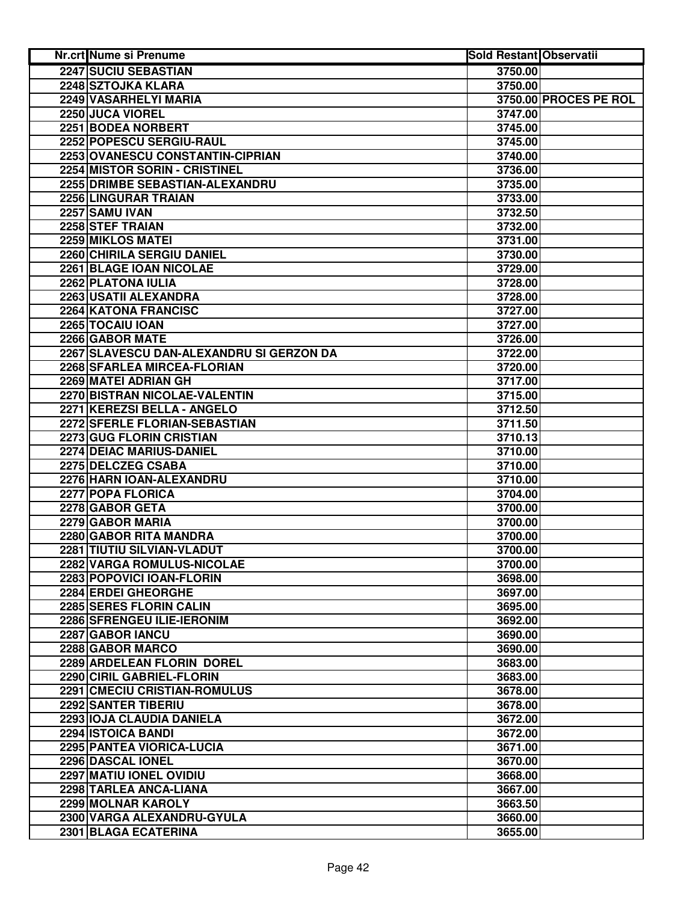| Nr.crt Nume si Prenume                           | <b>Sold Restant Observatii</b> |                       |
|--------------------------------------------------|--------------------------------|-----------------------|
| <b>2247 SUCIU SEBASTIAN</b>                      | 3750.00                        |                       |
| 2248 SZTOJKA KLARA                               | 3750.00                        |                       |
| 2249 VASARHELYI MARIA                            |                                | 3750.00 PROCES PE ROL |
| 2250 JUCA VIOREL                                 | 3747.00                        |                       |
| 2251 BODEA NORBERT                               | 3745.00                        |                       |
| 2252 POPESCU SERGIU-RAUL                         | 3745.00                        |                       |
| 2253 OVANESCU CONSTANTIN-CIPRIAN                 | 3740.00                        |                       |
| <b>2254 MISTOR SORIN - CRISTINEL</b>             | 3736.00                        |                       |
| 2255 DRIMBE SEBASTIAN-ALEXANDRU                  | 3735.00                        |                       |
| 2256 LINGURAR TRAIAN                             | 3733.00                        |                       |
| 2257 SAMU IVAN                                   | 3732.50                        |                       |
| 2258 STEF TRAIAN                                 | 3732.00                        |                       |
| 2259 MIKLOS MATEI                                | 3731.00                        |                       |
| 2260 CHIRILA SERGIU DANIEL                       | 3730.00                        |                       |
| 2261 BLAGE IOAN NICOLAE                          | 3729.00                        |                       |
| 2262 PLATONA IULIA                               | 3728.00                        |                       |
| 2263 USATII ALEXANDRA                            | 3728.00                        |                       |
| 2264 KATONA FRANCISC                             | 3727.00                        |                       |
| 2265 TOCAIU IOAN                                 | 3727.00                        |                       |
| 2266 GABOR MATE                                  | 3726.00                        |                       |
| 2267 SLAVESCU DAN-ALEXANDRU SI GERZON DA         | 3722.00                        |                       |
| 2268 SFARLEA MIRCEA-FLORIAN                      | 3720.00                        |                       |
| 2269 MATEI ADRIAN GH                             | 3717.00                        |                       |
| 2270 BISTRAN NICOLAE-VALENTIN                    | 3715.00                        |                       |
| 2271 KEREZSI BELLA - ANGELO                      | 3712.50                        |                       |
| 2272 SFERLE FLORIAN-SEBASTIAN                    | 3711.50                        |                       |
| 2273 GUG FLORIN CRISTIAN                         | 3710.13                        |                       |
| 2274 DEIAC MARIUS-DANIEL                         | 3710.00                        |                       |
| 2275 DELCZEG CSABA                               | 3710.00                        |                       |
| 2276 HARN IOAN-ALEXANDRU                         | 3710.00                        |                       |
| 2277 POPA FLORICA                                | 3704.00                        |                       |
| 2278 GABOR GETA                                  | 3700.00                        |                       |
| 2279 GABOR MARIA                                 | 3700.00                        |                       |
| 2280 GABOR RITA MANDRA                           | 3700.00                        |                       |
| 2281 TIUTIU SILVIAN-VLADUT                       | 3700.00                        |                       |
| 2282 VARGA ROMULUS-NICOLAE                       | 3700.00<br>3698.00             |                       |
| 2283 POPOVICI IOAN-FLORIN<br>2284 ERDEI GHEORGHE |                                |                       |
| 2285 SERES FLORIN CALIN                          | 3697.00<br>3695.00             |                       |
| 2286 SFRENGEU ILIE-IERONIM                       | 3692.00                        |                       |
| 2287 GABOR IANCU                                 | 3690.00                        |                       |
| 2288 GABOR MARCO                                 | 3690.00                        |                       |
| 2289 ARDELEAN FLORIN DOREL                       | 3683.00                        |                       |
| 2290 CIRIL GABRIEL-FLORIN                        | 3683.00                        |                       |
| 2291 CMECIU CRISTIAN-ROMULUS                     | 3678.00                        |                       |
| 2292 SANTER TIBERIU                              | 3678.00                        |                       |
| 2293 IOJA CLAUDIA DANIELA                        | 3672.00                        |                       |
| 2294 ISTOICA BANDI                               | 3672.00                        |                       |
| 2295 PANTEA VIORICA-LUCIA                        | 3671.00                        |                       |
| 2296 DASCAL IONEL                                | 3670.00                        |                       |
| 2297 MATIU IONEL OVIDIU                          | 3668.00                        |                       |
| 2298 TARLEA ANCA-LIANA                           | 3667.00                        |                       |
| 2299 MOLNAR KAROLY                               | 3663.50                        |                       |
| 2300 VARGA ALEXANDRU-GYULA                       | 3660.00                        |                       |
| 2301 BLAGA ECATERINA                             | 3655.00                        |                       |
|                                                  |                                |                       |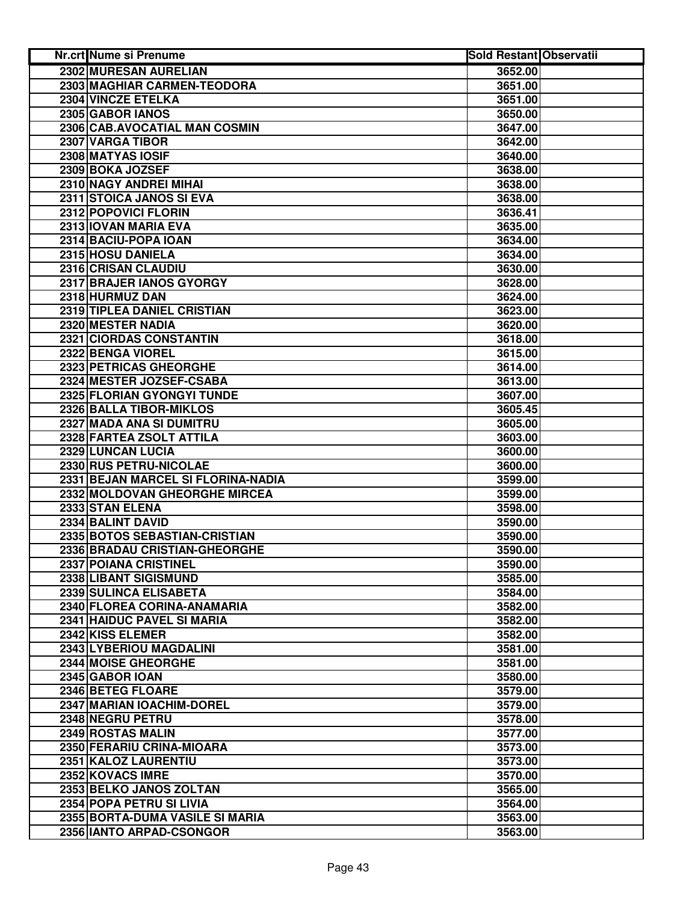| <b>Nr.crt Nume si Prenume</b>      | <b>Sold Restant Observatii</b> |  |
|------------------------------------|--------------------------------|--|
| 2302 MURESAN AURELIAN              | 3652.00                        |  |
| 2303 MAGHIAR CARMEN-TEODORA        | 3651.00                        |  |
| 2304 VINCZE ETELKA                 | 3651.00                        |  |
| 2305 GABOR IANOS                   | 3650.00                        |  |
| 2306 CAB.AVOCATIAL MAN COSMIN      | 3647.00                        |  |
| 2307 VARGA TIBOR                   | 3642.00                        |  |
| 2308 MATYAS IOSIF                  | 3640.00                        |  |
| 2309 BOKA JOZSEF                   | 3638.00                        |  |
| 2310 NAGY ANDREI MIHAI             | 3638.00                        |  |
| 2311 STOICA JANOS SI EVA           | 3638.00                        |  |
| 2312 POPOVICI FLORIN               | 3636.41                        |  |
| 2313 IOVAN MARIA EVA               | 3635.00                        |  |
| 2314 BACIU-POPA IOAN               | 3634.00                        |  |
| 2315 HOSU DANIELA                  | 3634.00                        |  |
| 2316 CRISAN CLAUDIU                | 3630.00                        |  |
| 2317 BRAJER IANOS GYORGY           | 3628.00                        |  |
| 2318 HURMUZ DAN                    | 3624.00                        |  |
| 2319 TIPLEA DANIEL CRISTIAN        | 3623.00                        |  |
| 2320 MESTER NADIA                  | 3620.00                        |  |
| 2321 CIORDAS CONSTANTIN            | 3618.00                        |  |
| 2322 BENGA VIOREL                  | 3615.00                        |  |
| 2323 PETRICAS GHEORGHE             | 3614.00                        |  |
| 2324 MESTER JOZSEF-CSABA           | 3613.00                        |  |
| 2325 FLORIAN GYONGYI TUNDE         | 3607.00                        |  |
| 2326 BALLA TIBOR-MIKLOS            | 3605.45                        |  |
| 2327 MADA ANA SI DUMITRU           | 3605.00                        |  |
| 2328 FARTEA ZSOLT ATTILA           | 3603.00                        |  |
| 2329 LUNCAN LUCIA                  | 3600.00                        |  |
| 2330 RUS PETRU-NICOLAE             | 3600.00                        |  |
| 2331 BEJAN MARCEL SI FLORINA-NADIA | 3599.00                        |  |
| 2332 MOLDOVAN GHEORGHE MIRCEA      | 3599.00                        |  |
| 2333 STAN ELENA                    | 3598.00                        |  |
| 2334 BALINT DAVID                  | 3590.00                        |  |
| 2335 BOTOS SEBASTIAN-CRISTIAN      | 3590.00                        |  |
| 2336 BRADAU CRISTIAN-GHEORGHE      | 3590.00                        |  |
| 2337 POIANA CRISTINEL              | 3590.00                        |  |
| 2338 LIBANT SIGISMUND              | 3585.00                        |  |
| 2339 SULINCA ELISABETA             | 3584.00                        |  |
| 2340 FLOREA CORINA-ANAMARIA        | 3582.00                        |  |
| 2341 HAIDUC PAVEL SI MARIA         | 3582.00                        |  |
| 2342 KISS ELEMER                   | 3582.00                        |  |
| 2343 LYBERIOU MAGDALINI            | 3581.00                        |  |
| 2344 MOISE GHEORGHE                | 3581.00                        |  |
| 2345 GABOR IOAN                    | 3580.00                        |  |
| 2346 BETEG FLOARE                  | 3579.00                        |  |
| 2347 MARIAN IOACHIM-DOREL          | 3579.00                        |  |
| 2348 NEGRU PETRU                   | 3578.00                        |  |
| 2349 ROSTAS MALIN                  | 3577.00                        |  |
| 2350 FERARIU CRINA-MIOARA          | 3573.00                        |  |
| 2351 KALOZ LAURENTIU               | 3573.00                        |  |
| 2352 KOVACS IMRE                   | 3570.00                        |  |
| 2353 BELKO JANOS ZOLTAN            | 3565.00                        |  |
| 2354 POPA PETRU SI LIVIA           | 3564.00                        |  |
| 2355 BORTA-DUMA VASILE SI MARIA    | 3563.00                        |  |
| 2356 IANTO ARPAD-CSONGOR           | 3563.00                        |  |
|                                    |                                |  |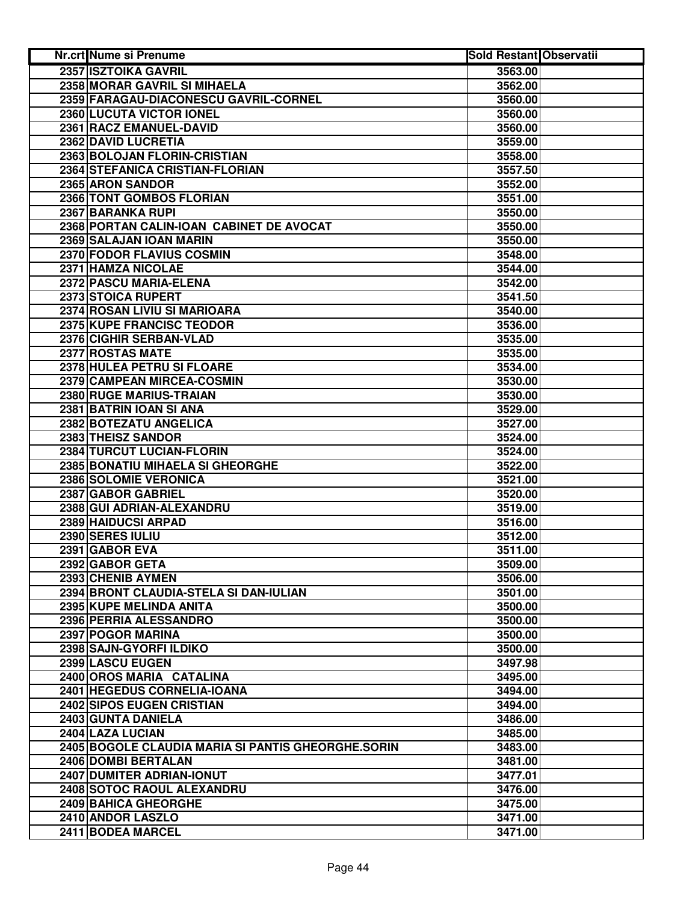| <b>2357 ISZTOIKA GAVRIL</b><br>3563.00<br>2358 MORAR GAVRIL SI MIHAELA<br>3562.00<br>2359 FARAGAU-DIACONESCU GAVRIL-CORNEL<br>3560.00<br>2360 LUCUTA VICTOR IONEL<br>3560.00<br>2361 RACZ EMANUEL-DAVID<br>3560.00<br>2362 DAVID LUCRETIA<br>3559.00<br>2363 BOLOJAN FLORIN-CRISTIAN<br>3558.00<br>2364 STEFANICA CRISTIAN-FLORIAN<br>3557.50<br>2365 ARON SANDOR<br>3552.00<br><b>2366 TONT GOMBOS FLORIAN</b><br>3551.00<br>2367 BARANKA RUPI<br>3550.00<br>2368 PORTAN CALIN-IOAN CABINET DE AVOCAT<br>3550.00<br>2369 SALAJAN IOAN MARIN<br>3550.00<br>2370 FODOR FLAVIUS COSMIN<br>3548.00<br>2371 HAMZA NICOLAE<br>3544.00<br>2372 PASCU MARIA-ELENA<br>3542.00<br>2373 STOICA RUPERT<br>3541.50<br>2374 ROSAN LIVIU SI MARIOARA<br>3540.00<br>2375 KUPE FRANCISC TEODOR<br>3536.00<br>2376 CIGHIR SERBAN-VLAD<br>3535.00<br>2377 ROSTAS MATE<br>3535.00<br>2378 HULEA PETRU SI FLOARE<br>3534.00 |  |
|---------------------------------------------------------------------------------------------------------------------------------------------------------------------------------------------------------------------------------------------------------------------------------------------------------------------------------------------------------------------------------------------------------------------------------------------------------------------------------------------------------------------------------------------------------------------------------------------------------------------------------------------------------------------------------------------------------------------------------------------------------------------------------------------------------------------------------------------------------------------------------------------------------|--|
|                                                                                                                                                                                                                                                                                                                                                                                                                                                                                                                                                                                                                                                                                                                                                                                                                                                                                                         |  |
|                                                                                                                                                                                                                                                                                                                                                                                                                                                                                                                                                                                                                                                                                                                                                                                                                                                                                                         |  |
|                                                                                                                                                                                                                                                                                                                                                                                                                                                                                                                                                                                                                                                                                                                                                                                                                                                                                                         |  |
|                                                                                                                                                                                                                                                                                                                                                                                                                                                                                                                                                                                                                                                                                                                                                                                                                                                                                                         |  |
|                                                                                                                                                                                                                                                                                                                                                                                                                                                                                                                                                                                                                                                                                                                                                                                                                                                                                                         |  |
|                                                                                                                                                                                                                                                                                                                                                                                                                                                                                                                                                                                                                                                                                                                                                                                                                                                                                                         |  |
|                                                                                                                                                                                                                                                                                                                                                                                                                                                                                                                                                                                                                                                                                                                                                                                                                                                                                                         |  |
|                                                                                                                                                                                                                                                                                                                                                                                                                                                                                                                                                                                                                                                                                                                                                                                                                                                                                                         |  |
|                                                                                                                                                                                                                                                                                                                                                                                                                                                                                                                                                                                                                                                                                                                                                                                                                                                                                                         |  |
|                                                                                                                                                                                                                                                                                                                                                                                                                                                                                                                                                                                                                                                                                                                                                                                                                                                                                                         |  |
|                                                                                                                                                                                                                                                                                                                                                                                                                                                                                                                                                                                                                                                                                                                                                                                                                                                                                                         |  |
|                                                                                                                                                                                                                                                                                                                                                                                                                                                                                                                                                                                                                                                                                                                                                                                                                                                                                                         |  |
|                                                                                                                                                                                                                                                                                                                                                                                                                                                                                                                                                                                                                                                                                                                                                                                                                                                                                                         |  |
|                                                                                                                                                                                                                                                                                                                                                                                                                                                                                                                                                                                                                                                                                                                                                                                                                                                                                                         |  |
|                                                                                                                                                                                                                                                                                                                                                                                                                                                                                                                                                                                                                                                                                                                                                                                                                                                                                                         |  |
|                                                                                                                                                                                                                                                                                                                                                                                                                                                                                                                                                                                                                                                                                                                                                                                                                                                                                                         |  |
|                                                                                                                                                                                                                                                                                                                                                                                                                                                                                                                                                                                                                                                                                                                                                                                                                                                                                                         |  |
|                                                                                                                                                                                                                                                                                                                                                                                                                                                                                                                                                                                                                                                                                                                                                                                                                                                                                                         |  |
|                                                                                                                                                                                                                                                                                                                                                                                                                                                                                                                                                                                                                                                                                                                                                                                                                                                                                                         |  |
|                                                                                                                                                                                                                                                                                                                                                                                                                                                                                                                                                                                                                                                                                                                                                                                                                                                                                                         |  |
|                                                                                                                                                                                                                                                                                                                                                                                                                                                                                                                                                                                                                                                                                                                                                                                                                                                                                                         |  |
|                                                                                                                                                                                                                                                                                                                                                                                                                                                                                                                                                                                                                                                                                                                                                                                                                                                                                                         |  |
| 2379 CAMPEAN MIRCEA-COSMIN<br>3530.00                                                                                                                                                                                                                                                                                                                                                                                                                                                                                                                                                                                                                                                                                                                                                                                                                                                                   |  |
| 2380 RUGE MARIUS-TRAIAN<br>3530.00                                                                                                                                                                                                                                                                                                                                                                                                                                                                                                                                                                                                                                                                                                                                                                                                                                                                      |  |
| 2381 BATRIN IOAN SI ANA<br>3529.00                                                                                                                                                                                                                                                                                                                                                                                                                                                                                                                                                                                                                                                                                                                                                                                                                                                                      |  |
| 2382 BOTEZATU ANGELICA<br>3527.00                                                                                                                                                                                                                                                                                                                                                                                                                                                                                                                                                                                                                                                                                                                                                                                                                                                                       |  |
| 2383 THEISZ SANDOR<br>3524.00                                                                                                                                                                                                                                                                                                                                                                                                                                                                                                                                                                                                                                                                                                                                                                                                                                                                           |  |
| 2384 TURCUT LUCIAN-FLORIN<br>3524.00                                                                                                                                                                                                                                                                                                                                                                                                                                                                                                                                                                                                                                                                                                                                                                                                                                                                    |  |
| 2385 BONATIU MIHAELA SI GHEORGHE<br>3522.00                                                                                                                                                                                                                                                                                                                                                                                                                                                                                                                                                                                                                                                                                                                                                                                                                                                             |  |
| 2386 SOLOMIE VERONICA<br>3521.00                                                                                                                                                                                                                                                                                                                                                                                                                                                                                                                                                                                                                                                                                                                                                                                                                                                                        |  |
| 2387 GABOR GABRIEL<br>3520.00                                                                                                                                                                                                                                                                                                                                                                                                                                                                                                                                                                                                                                                                                                                                                                                                                                                                           |  |
| 2388 GUI ADRIAN-ALEXANDRU<br>3519.00                                                                                                                                                                                                                                                                                                                                                                                                                                                                                                                                                                                                                                                                                                                                                                                                                                                                    |  |
| 2389 HAIDUCSI ARPAD<br>3516.00                                                                                                                                                                                                                                                                                                                                                                                                                                                                                                                                                                                                                                                                                                                                                                                                                                                                          |  |
| 2390 SERES IULIU<br>3512.00                                                                                                                                                                                                                                                                                                                                                                                                                                                                                                                                                                                                                                                                                                                                                                                                                                                                             |  |
| 2391 GABOR EVA<br>3511.00                                                                                                                                                                                                                                                                                                                                                                                                                                                                                                                                                                                                                                                                                                                                                                                                                                                                               |  |
| 2392 GABOR GETA<br>3509.00                                                                                                                                                                                                                                                                                                                                                                                                                                                                                                                                                                                                                                                                                                                                                                                                                                                                              |  |
| 2393 CHENIB AYMEN<br>3506.00                                                                                                                                                                                                                                                                                                                                                                                                                                                                                                                                                                                                                                                                                                                                                                                                                                                                            |  |
| 2394 BRONT CLAUDIA-STELA SI DAN-IULIAN<br>3501.00                                                                                                                                                                                                                                                                                                                                                                                                                                                                                                                                                                                                                                                                                                                                                                                                                                                       |  |
| 2395 KUPE MELINDA ANITA<br>3500.00                                                                                                                                                                                                                                                                                                                                                                                                                                                                                                                                                                                                                                                                                                                                                                                                                                                                      |  |
| 2396 PERRIA ALESSANDRO<br>3500.00                                                                                                                                                                                                                                                                                                                                                                                                                                                                                                                                                                                                                                                                                                                                                                                                                                                                       |  |
| 2397 POGOR MARINA<br>3500.00                                                                                                                                                                                                                                                                                                                                                                                                                                                                                                                                                                                                                                                                                                                                                                                                                                                                            |  |
| 2398 SAJN-GYORFI ILDIKO<br>3500.00                                                                                                                                                                                                                                                                                                                                                                                                                                                                                                                                                                                                                                                                                                                                                                                                                                                                      |  |
| 2399 LASCU EUGEN<br>3497.98                                                                                                                                                                                                                                                                                                                                                                                                                                                                                                                                                                                                                                                                                                                                                                                                                                                                             |  |
| 2400 OROS MARIA CATALINA<br>3495.00                                                                                                                                                                                                                                                                                                                                                                                                                                                                                                                                                                                                                                                                                                                                                                                                                                                                     |  |
| 2401 HEGEDUS CORNELIA-IOANA<br>3494.00                                                                                                                                                                                                                                                                                                                                                                                                                                                                                                                                                                                                                                                                                                                                                                                                                                                                  |  |
| 2402 SIPOS EUGEN CRISTIAN<br>3494.00                                                                                                                                                                                                                                                                                                                                                                                                                                                                                                                                                                                                                                                                                                                                                                                                                                                                    |  |
| 2403 GUNTA DANIELA<br>3486.00                                                                                                                                                                                                                                                                                                                                                                                                                                                                                                                                                                                                                                                                                                                                                                                                                                                                           |  |
| 2404 LAZA LUCIAN<br>3485.00                                                                                                                                                                                                                                                                                                                                                                                                                                                                                                                                                                                                                                                                                                                                                                                                                                                                             |  |
| 2405 BOGOLE CLAUDIA MARIA SI PANTIS GHEORGHE.SORIN<br>3483.00                                                                                                                                                                                                                                                                                                                                                                                                                                                                                                                                                                                                                                                                                                                                                                                                                                           |  |
| 2406 DOMBI BERTALAN<br>3481.00                                                                                                                                                                                                                                                                                                                                                                                                                                                                                                                                                                                                                                                                                                                                                                                                                                                                          |  |
| 2407 DUMITER ADRIAN-IONUT<br>3477.01                                                                                                                                                                                                                                                                                                                                                                                                                                                                                                                                                                                                                                                                                                                                                                                                                                                                    |  |
| 2408 SOTOC RAOUL ALEXANDRU<br>3476.00                                                                                                                                                                                                                                                                                                                                                                                                                                                                                                                                                                                                                                                                                                                                                                                                                                                                   |  |
| 2409 BAHICA GHEORGHE<br>3475.00                                                                                                                                                                                                                                                                                                                                                                                                                                                                                                                                                                                                                                                                                                                                                                                                                                                                         |  |
| 2410 ANDOR LASZLO<br>3471.00                                                                                                                                                                                                                                                                                                                                                                                                                                                                                                                                                                                                                                                                                                                                                                                                                                                                            |  |
| 2411 BODEA MARCEL<br>3471.00                                                                                                                                                                                                                                                                                                                                                                                                                                                                                                                                                                                                                                                                                                                                                                                                                                                                            |  |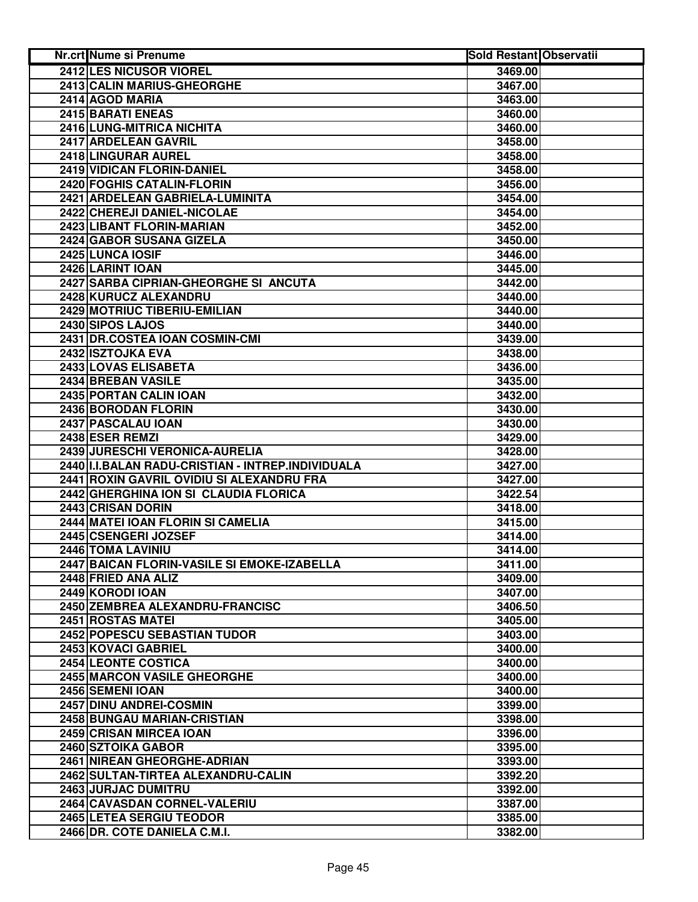| <b>Nr.crt Nume si Prenume</b>                     | <b>Sold Restant Observatii</b> |  |
|---------------------------------------------------|--------------------------------|--|
| 2412 LES NICUSOR VIOREL                           | 3469.00                        |  |
| <b>2413 CALIN MARIUS-GHEORGHE</b>                 | 3467.00                        |  |
| 2414 AGOD MARIA                                   | 3463.00                        |  |
| 2415 BARATI ENEAS                                 | 3460.00                        |  |
| 2416 LUNG-MITRICA NICHITA                         | 3460.00                        |  |
| 2417 ARDELEAN GAVRIL                              | 3458.00                        |  |
| 2418 LINGURAR AUREL                               | 3458.00                        |  |
| <b>2419 VIDICAN FLORIN-DANIEL</b>                 | 3458.00                        |  |
| 2420 FOGHIS CATALIN-FLORIN                        | 3456.00                        |  |
| 2421 ARDELEAN GABRIELA-LUMINITA                   | 3454.00                        |  |
| 2422 CHEREJI DANIEL-NICOLAE                       | 3454.00                        |  |
| 2423 LIBANT FLORIN-MARIAN                         | 3452.00                        |  |
| 2424 GABOR SUSANA GIZELA                          | 3450.00                        |  |
| 2425 LUNCA IOSIF                                  | 3446.00                        |  |
| 2426 LARINT IOAN                                  | 3445.00                        |  |
| 2427 SARBA CIPRIAN-GHEORGHE SI ANCUTA             | 3442.00                        |  |
| 2428 KURUCZ ALEXANDRU                             | 3440.00                        |  |
| <b>2429 MOTRIUC TIBERIU-EMILIAN</b>               | 3440.00                        |  |
| 2430 SIPOS LAJOS                                  | 3440.00                        |  |
| 2431 DR.COSTEA IOAN COSMIN-CMI                    | 3439.00                        |  |
| 2432 ISZTOJKA EVA                                 | 3438.00                        |  |
| 2433 LOVAS ELISABETA                              | 3436.00                        |  |
| 2434 BREBAN VASILE                                | 3435.00                        |  |
| 2435 PORTAN CALIN IOAN                            | 3432.00                        |  |
| 2436 BORODAN FLORIN                               | 3430.00                        |  |
| 2437 PASCALAU IOAN                                | 3430.00                        |  |
| 2438 ESER REMZI                                   | 3429.00                        |  |
| 2439 JURESCHI VERONICA-AURELIA                    | 3428.00                        |  |
| 2440 I.I.BALAN RADU-CRISTIAN - INTREP.INDIVIDUALA | 3427.00                        |  |
| 2441 ROXIN GAVRIL OVIDIU SI ALEXANDRU FRA         | 3427.00                        |  |
| 2442 GHERGHINA ION SI CLAUDIA FLORICA             | 3422.54                        |  |
| 2443 CRISAN DORIN                                 | 3418.00                        |  |
| 2444 MATEI IOAN FLORIN SI CAMELIA                 | 3415.00                        |  |
| 2445 CSENGERI JOZSEF                              | 3414.00                        |  |
| 2446 TOMA LAVINIU                                 | 3414.00                        |  |
| 2447 BAICAN FLORIN-VASILE SI EMOKE-IZABELLA       | 3411.00                        |  |
| 2448 FRIED ANA ALIZ                               | 3409.00                        |  |
| 2449 KORODI IOAN                                  | 3407.00                        |  |
| 2450 ZEMBREA ALEXANDRU-FRANCISC                   | 3406.50                        |  |
| 2451 ROSTAS MATEI                                 | 3405.00                        |  |
| 2452 POPESCU SEBASTIAN TUDOR                      | 3403.00                        |  |
| 2453 KOVACI GABRIEL                               | 3400.00                        |  |
| <b>2454 LEONTE COSTICA</b>                        | 3400.00                        |  |
| 2455 MARCON VASILE GHEORGHE                       | 3400.00                        |  |
| 2456 SEMENI IOAN                                  | 3400.00                        |  |
| 2457 DINU ANDREI-COSMIN                           | 3399.00                        |  |
| 2458 BUNGAU MARIAN-CRISTIAN                       | 3398.00                        |  |
| 2459 CRISAN MIRCEA IOAN                           | 3396.00                        |  |
| 2460 SZTOIKA GABOR                                | 3395.00                        |  |
| 2461 NIREAN GHEORGHE-ADRIAN                       | 3393.00                        |  |
| 2462 SULTAN-TIRTEA ALEXANDRU-CALIN                | 3392.20                        |  |
| 2463 JURJAC DUMITRU                               | 3392.00                        |  |
| 2464 CAVASDAN CORNEL-VALERIU                      | 3387.00                        |  |
| 2465 LETEA SERGIU TEODOR                          | 3385.00                        |  |
| 2466 DR. COTE DANIELA C.M.I.                      | 3382.00                        |  |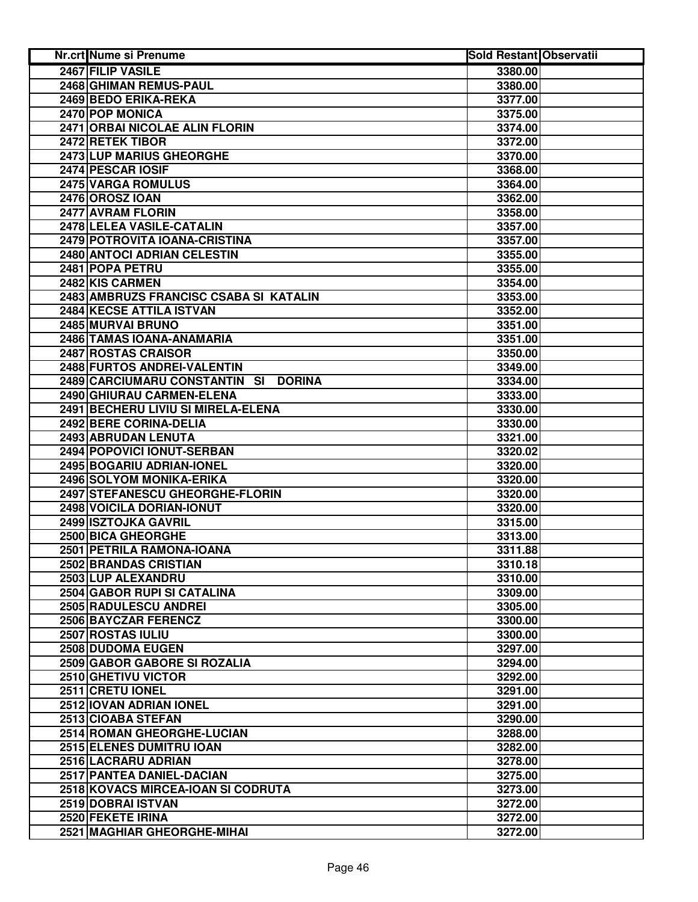| Nr.crt Nume si Prenume                         | <b>Sold Restant Observatii</b> |  |
|------------------------------------------------|--------------------------------|--|
| 2467 FILIP VASILE                              | 3380.00                        |  |
| 2468 GHIMAN REMUS-PAUL                         | 3380.00                        |  |
| 2469 BEDO ERIKA-REKA                           | 3377.00                        |  |
| 2470 POP MONICA                                | 3375.00                        |  |
| 2471 ORBAI NICOLAE ALIN FLORIN                 | 3374.00                        |  |
| 2472 RETEK TIBOR                               | 3372.00                        |  |
| 2473 LUP MARIUS GHEORGHE                       | 3370.00                        |  |
| 2474 PESCAR IOSIF                              | 3368.00                        |  |
| 2475 VARGA ROMULUS                             | 3364.00                        |  |
| 2476 OROSZ IOAN                                | 3362.00                        |  |
| 2477 AVRAM FLORIN                              | 3358.00                        |  |
| 2478 LELEA VASILE-CATALIN                      | 3357.00                        |  |
| 2479 POTROVITA IOANA-CRISTINA                  | 3357.00                        |  |
| 2480 ANTOCI ADRIAN CELESTIN                    | 3355.00                        |  |
| 2481 POPA PETRU                                | 3355.00                        |  |
| 2482 KIS CARMEN                                | 3354.00                        |  |
| 2483 AMBRUZS FRANCISC CSABA SI KATALIN         | 3353.00                        |  |
| 2484 KECSE ATTILA ISTVAN                       | 3352.00                        |  |
| 2485 MURVAI BRUNO                              | 3351.00                        |  |
| 2486 TAMAS IOANA-ANAMARIA                      | 3351.00                        |  |
| 2487 ROSTAS CRAISOR                            | 3350.00                        |  |
| 2488 FURTOS ANDREI-VALENTIN                    | 3349.00                        |  |
| 2489 CARCIUMARU CONSTANTIN SI<br><b>DORINA</b> | 3334.00                        |  |
| 2490 GHIURAU CARMEN-ELENA                      | 3333.00                        |  |
| 2491 BECHERU LIVIU SI MIRELA-ELENA             | 3330.00                        |  |
| 2492 BERE CORINA-DELIA                         | 3330.00                        |  |
| 2493 ABRUDAN LENUTA                            | 3321.00                        |  |
| 2494 POPOVICI IONUT-SERBAN                     | 3320.02                        |  |
| 2495 BOGARIU ADRIAN-IONEL                      | 3320.00                        |  |
| 2496 SOLYOM MONIKA-ERIKA                       | 3320.00                        |  |
| 2497 STEFANESCU GHEORGHE-FLORIN                | 3320.00                        |  |
| 2498 VOICILA DORIAN-IONUT                      | 3320.00                        |  |
| 2499 ISZTOJKA GAVRIL                           | 3315.00                        |  |
| 2500 BICA GHEORGHE                             | 3313.00                        |  |
| 2501 PETRILA RAMONA-IOANA                      | 3311.88                        |  |
| 2502 BRANDAS CRISTIAN                          | 3310.18                        |  |
| 2503 LUP ALEXANDRU                             | 3310.00                        |  |
| 2504 GABOR RUPI SI CATALINA                    | 3309.00                        |  |
| 2505 RADULESCU ANDREI                          | 3305.00                        |  |
| 2506 BAYCZAR FERENCZ                           | 3300.00                        |  |
| 2507 ROSTAS IULIU                              | 3300.00                        |  |
| 2508 DUDOMA EUGEN                              | 3297.00                        |  |
| 2509 GABOR GABORE SI ROZALIA                   | 3294.00                        |  |
| 2510 GHETIVU VICTOR                            | 3292.00                        |  |
| 2511 CRETU IONEL                               | 3291.00                        |  |
| 2512 IOVAN ADRIAN IONEL                        | 3291.00                        |  |
| 2513 CIOABA STEFAN                             | 3290.00                        |  |
| 2514 ROMAN GHEORGHE-LUCIAN                     | 3288.00                        |  |
| 2515 ELENES DUMITRU IOAN                       | 3282.00                        |  |
| 2516 LACRARU ADRIAN                            | 3278.00                        |  |
| 2517 PANTEA DANIEL-DACIAN                      | 3275.00                        |  |
| 2518 KOVACS MIRCEA-IOAN SI CODRUTA             | 3273.00                        |  |
| 2519 DOBRAI ISTVAN                             | 3272.00                        |  |
| 2520 FEKETE IRINA                              | 3272.00                        |  |
| 2521 MAGHIAR GHEORGHE-MIHAI                    | 3272.00                        |  |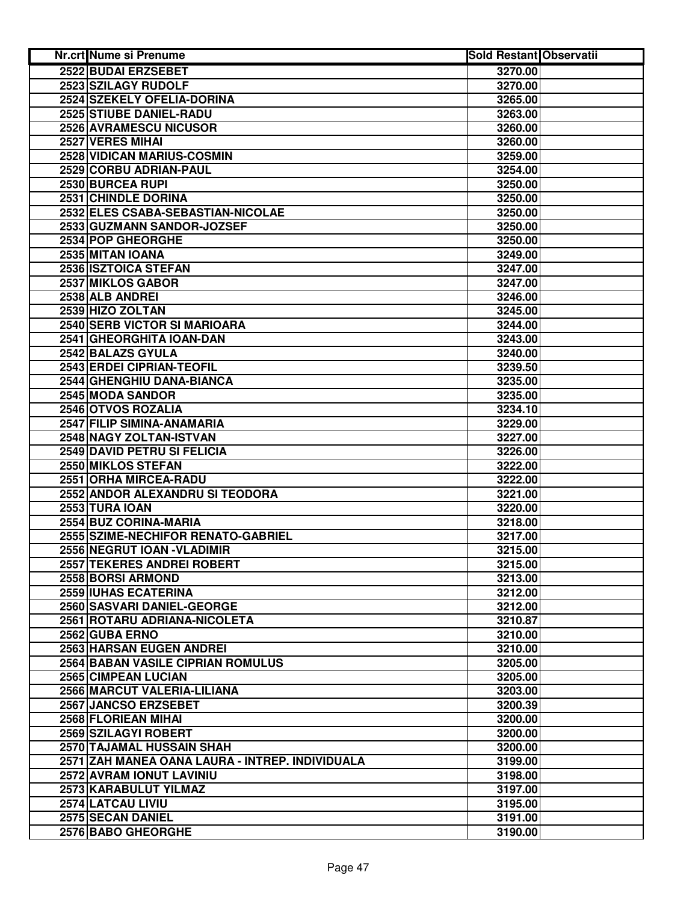| <b>Nr.crt Nume si Prenume</b>                   | <b>Sold Restant Observatii</b> |  |
|-------------------------------------------------|--------------------------------|--|
| 2522 BUDAI ERZSEBET                             | 3270.00                        |  |
| 2523 SZILAGY RUDOLF                             | 3270.00                        |  |
| 2524 SZEKELY OFELIA-DORINA                      | 3265.00                        |  |
| 2525 STIUBE DANIEL-RADU                         | 3263.00                        |  |
| 2526 AVRAMESCU NICUSOR                          | 3260.00                        |  |
| 2527 VERES MIHAI                                | 3260.00                        |  |
| 2528 VIDICAN MARIUS-COSMIN                      | 3259.00                        |  |
| 2529 CORBU ADRIAN-PAUL                          | 3254.00                        |  |
| 2530 BURCEA RUPI                                | 3250.00                        |  |
| 2531 CHINDLE DORINA                             | 3250.00                        |  |
| 2532 ELES CSABA-SEBASTIAN-NICOLAE               | 3250.00                        |  |
| 2533 GUZMANN SANDOR-JOZSEF                      | 3250.00                        |  |
| 2534 POP GHEORGHE                               | 3250.00                        |  |
| 2535 MITAN IOANA                                | 3249.00                        |  |
| 2536 ISZTOICA STEFAN                            | 3247.00                        |  |
| 2537 MIKLOS GABOR                               | 3247.00                        |  |
| 2538 ALB ANDREI                                 | 3246.00                        |  |
| 2539 HIZO ZOLTAN                                | 3245.00                        |  |
| 2540 SERB VICTOR SI MARIOARA                    | 3244.00                        |  |
| 2541 GHEORGHITA IOAN-DAN                        | 3243.00                        |  |
| 2542 BALAZS GYULA                               | 3240.00                        |  |
| 2543 ERDEI CIPRIAN-TEOFIL                       | 3239.50                        |  |
| 2544 GHENGHIU DANA-BIANCA                       | 3235.00                        |  |
| 2545 MODA SANDOR                                | 3235.00                        |  |
| 2546 OTVOS ROZALIA                              | 3234.10                        |  |
| 2547 FILIP SIMINA-ANAMARIA                      | 3229.00                        |  |
| 2548 NAGY ZOLTAN-ISTVAN                         | 3227.00                        |  |
| 2549 DAVID PETRU SI FELICIA                     | 3226.00                        |  |
| 2550 MIKLOS STEFAN                              | 3222.00                        |  |
| 2551 ORHA MIRCEA-RADU                           | 3222.00                        |  |
| 2552 ANDOR ALEXANDRU SI TEODORA                 | 3221.00                        |  |
| <b>2553 TURA IOAN</b>                           | 3220.00                        |  |
| 2554 BUZ CORINA-MARIA                           | 3218.00                        |  |
| 2555 SZIME-NECHIFOR RENATO-GABRIEL              | 3217.00                        |  |
| 2556 NEGRUT IOAN - VLADIMIR                     | 3215.00                        |  |
| 2557 TEKERES ANDREI ROBERT                      | 3215.00                        |  |
| 2558 BORSI ARMOND                               | 3213.00                        |  |
| 2559 IUHAS ECATERINA                            | 3212.00                        |  |
| 2560 SASVARI DANIEL-GEORGE                      | 3212.00                        |  |
| 2561 ROTARU ADRIANA-NICOLETA                    | 3210.87                        |  |
| 2562 GUBA ERNO                                  | 3210.00                        |  |
| <b>2563 HARSAN EUGEN ANDREI</b>                 | 3210.00                        |  |
| <b>2564 BABAN VASILE CIPRIAN ROMULUS</b>        | 3205.00                        |  |
| 2565 CIMPEAN LUCIAN                             | 3205.00                        |  |
| 2566 MARCUT VALERIA-LILIANA                     | 3203.00                        |  |
| 2567 JANCSO ERZSEBET                            | 3200.39                        |  |
| 2568 FLORIEAN MIHAI                             | 3200.00                        |  |
| 2569 SZILAGYI ROBERT                            | 3200.00                        |  |
| 2570 TAJAMAL HUSSAIN SHAH                       | 3200.00                        |  |
| 2571 ZAH MANEA OANA LAURA - INTREP. INDIVIDUALA | 3199.00                        |  |
| 2572 AVRAM IONUT LAVINIU                        | 3198.00                        |  |
| 2573 KARABULUT YILMAZ                           | 3197.00                        |  |
| 2574 LATCAU LIVIU                               | 3195.00                        |  |
| 2575 SECAN DANIEL                               | 3191.00                        |  |
| 2576 BABO GHEORGHE                              | 3190.00                        |  |
|                                                 |                                |  |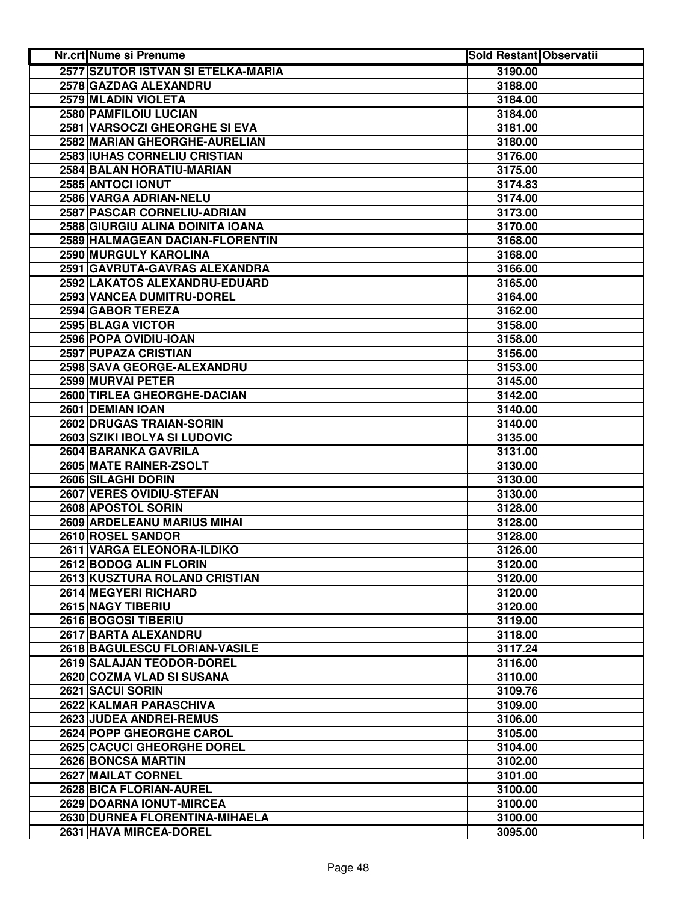| 2577 SZUTOR ISTVAN SI ETELKA-MARIA<br>3190.00<br>2578 GAZDAG ALEXANDRU<br>3188.00<br>2579 MLADIN VIOLETA<br>3184.00<br>2580 PAMFILOIU LUCIAN<br>3184.00<br>2581 VARSOCZI GHEORGHE SI EVA<br>3181.00<br>2582 MARIAN GHEORGHE-AURELIAN<br>3180.00<br>2583 IUHAS CORNELIU CRISTIAN<br>3176.00<br>2584 BALAN HORATIU-MARIAN<br>3175.00<br>2585 ANTOCI IONUT<br>3174.83<br>2586 VARGA ADRIAN-NELU<br>3174.00<br>2587 PASCAR CORNELIU-ADRIAN<br>3173.00<br>2588 GIURGIU ALINA DOINITA IOANA<br>3170.00<br>2589 HALMAGEAN DACIAN-FLORENTIN<br>3168.00<br>2590 MURGULY KAROLINA<br>3168.00<br>2591 GAVRUTA-GAVRAS ALEXANDRA<br>3166.00<br>2592 LAKATOS ALEXANDRU-EDUARD<br>3165.00<br>2593 VANCEA DUMITRU-DOREL<br>3164.00<br>2594 GABOR TEREZA<br>3162.00<br>2595 BLAGA VICTOR<br>3158.00<br>2596 POPA OVIDIU-IOAN<br>3158.00<br><b>2597 PUPAZA CRISTIAN</b><br>3156.00<br>2598 SAVA GEORGE-ALEXANDRU<br>3153.00<br>2599 MURVAI PETER<br>3145.00<br><b>2600 TIRLEA GHEORGHE-DACIAN</b><br>3142.00<br>2601 DEMIAN IOAN<br>3140.00<br>2602 DRUGAS TRAIAN-SORIN<br>3140.00<br>2603 SZIKI IBOLYA SI LUDOVIC<br>3135.00<br>2604 BARANKA GAVRILA<br>3131.00<br>2605 MATE RAINER-ZSOLT<br>3130.00<br>2606 SILAGHI DORIN<br>3130.00<br>2607 VERES OVIDIU-STEFAN<br>3130.00<br>2608 APOSTOL SORIN<br>3128.00<br><b>2609 ARDELEANU MARIUS MIHAI</b><br>3128.00<br>2610 ROSEL SANDOR<br>3128.00<br>2611 VARGA ELEONORA-ILDIKO<br>3126.00<br>2612 BODOG ALIN FLORIN<br>3120.00<br>2613 KUSZTURA ROLAND CRISTIAN<br>3120.00<br>2614 MEGYERI RICHARD<br>3120.00<br>2615 NAGY TIBERIU<br>3120.00<br>2616 BOGOSI TIBERIU<br>3119.00<br>2617 BARTA ALEXANDRU<br>3118.00<br>2618 BAGULESCU FLORIAN-VASILE<br>3117.24<br>2619 SALAJAN TEODOR-DOREL<br>3116.00<br>2620 COZMA VLAD SI SUSANA<br>3110.00<br>2621 SACUI SORIN<br>3109.76<br>2622 KALMAR PARASCHIVA<br>3109.00<br>2623 JUDEA ANDREI-REMUS<br>3106.00<br>2624 POPP GHEORGHE CAROL<br>3105.00<br><b>2625 CACUCI GHEORGHE DOREL</b><br>3104.00<br>2626 BONCSA MARTIN<br>3102.00<br>2627 MAILAT CORNEL<br>3101.00<br>2628 BICA FLORIAN-AUREL<br>3100.00<br>2629 DOARNA IONUT-MIRCEA<br>3100.00<br>2630 DURNEA FLORENTINA-MIHAELA<br>3100.00 | Nr.crt Nume si Prenume | <b>Sold Restant Observatii</b> |  |
|--------------------------------------------------------------------------------------------------------------------------------------------------------------------------------------------------------------------------------------------------------------------------------------------------------------------------------------------------------------------------------------------------------------------------------------------------------------------------------------------------------------------------------------------------------------------------------------------------------------------------------------------------------------------------------------------------------------------------------------------------------------------------------------------------------------------------------------------------------------------------------------------------------------------------------------------------------------------------------------------------------------------------------------------------------------------------------------------------------------------------------------------------------------------------------------------------------------------------------------------------------------------------------------------------------------------------------------------------------------------------------------------------------------------------------------------------------------------------------------------------------------------------------------------------------------------------------------------------------------------------------------------------------------------------------------------------------------------------------------------------------------------------------------------------------------------------------------------------------------------------------------------------------------------------------------------------------------------------------------------------------------------------------------------------------------------------------------------------------------------------------------------------------------------------|------------------------|--------------------------------|--|
|                                                                                                                                                                                                                                                                                                                                                                                                                                                                                                                                                                                                                                                                                                                                                                                                                                                                                                                                                                                                                                                                                                                                                                                                                                                                                                                                                                                                                                                                                                                                                                                                                                                                                                                                                                                                                                                                                                                                                                                                                                                                                                                                                                          |                        |                                |  |
|                                                                                                                                                                                                                                                                                                                                                                                                                                                                                                                                                                                                                                                                                                                                                                                                                                                                                                                                                                                                                                                                                                                                                                                                                                                                                                                                                                                                                                                                                                                                                                                                                                                                                                                                                                                                                                                                                                                                                                                                                                                                                                                                                                          |                        |                                |  |
|                                                                                                                                                                                                                                                                                                                                                                                                                                                                                                                                                                                                                                                                                                                                                                                                                                                                                                                                                                                                                                                                                                                                                                                                                                                                                                                                                                                                                                                                                                                                                                                                                                                                                                                                                                                                                                                                                                                                                                                                                                                                                                                                                                          |                        |                                |  |
|                                                                                                                                                                                                                                                                                                                                                                                                                                                                                                                                                                                                                                                                                                                                                                                                                                                                                                                                                                                                                                                                                                                                                                                                                                                                                                                                                                                                                                                                                                                                                                                                                                                                                                                                                                                                                                                                                                                                                                                                                                                                                                                                                                          |                        |                                |  |
|                                                                                                                                                                                                                                                                                                                                                                                                                                                                                                                                                                                                                                                                                                                                                                                                                                                                                                                                                                                                                                                                                                                                                                                                                                                                                                                                                                                                                                                                                                                                                                                                                                                                                                                                                                                                                                                                                                                                                                                                                                                                                                                                                                          |                        |                                |  |
|                                                                                                                                                                                                                                                                                                                                                                                                                                                                                                                                                                                                                                                                                                                                                                                                                                                                                                                                                                                                                                                                                                                                                                                                                                                                                                                                                                                                                                                                                                                                                                                                                                                                                                                                                                                                                                                                                                                                                                                                                                                                                                                                                                          |                        |                                |  |
|                                                                                                                                                                                                                                                                                                                                                                                                                                                                                                                                                                                                                                                                                                                                                                                                                                                                                                                                                                                                                                                                                                                                                                                                                                                                                                                                                                                                                                                                                                                                                                                                                                                                                                                                                                                                                                                                                                                                                                                                                                                                                                                                                                          |                        |                                |  |
|                                                                                                                                                                                                                                                                                                                                                                                                                                                                                                                                                                                                                                                                                                                                                                                                                                                                                                                                                                                                                                                                                                                                                                                                                                                                                                                                                                                                                                                                                                                                                                                                                                                                                                                                                                                                                                                                                                                                                                                                                                                                                                                                                                          |                        |                                |  |
|                                                                                                                                                                                                                                                                                                                                                                                                                                                                                                                                                                                                                                                                                                                                                                                                                                                                                                                                                                                                                                                                                                                                                                                                                                                                                                                                                                                                                                                                                                                                                                                                                                                                                                                                                                                                                                                                                                                                                                                                                                                                                                                                                                          |                        |                                |  |
|                                                                                                                                                                                                                                                                                                                                                                                                                                                                                                                                                                                                                                                                                                                                                                                                                                                                                                                                                                                                                                                                                                                                                                                                                                                                                                                                                                                                                                                                                                                                                                                                                                                                                                                                                                                                                                                                                                                                                                                                                                                                                                                                                                          |                        |                                |  |
|                                                                                                                                                                                                                                                                                                                                                                                                                                                                                                                                                                                                                                                                                                                                                                                                                                                                                                                                                                                                                                                                                                                                                                                                                                                                                                                                                                                                                                                                                                                                                                                                                                                                                                                                                                                                                                                                                                                                                                                                                                                                                                                                                                          |                        |                                |  |
|                                                                                                                                                                                                                                                                                                                                                                                                                                                                                                                                                                                                                                                                                                                                                                                                                                                                                                                                                                                                                                                                                                                                                                                                                                                                                                                                                                                                                                                                                                                                                                                                                                                                                                                                                                                                                                                                                                                                                                                                                                                                                                                                                                          |                        |                                |  |
|                                                                                                                                                                                                                                                                                                                                                                                                                                                                                                                                                                                                                                                                                                                                                                                                                                                                                                                                                                                                                                                                                                                                                                                                                                                                                                                                                                                                                                                                                                                                                                                                                                                                                                                                                                                                                                                                                                                                                                                                                                                                                                                                                                          |                        |                                |  |
|                                                                                                                                                                                                                                                                                                                                                                                                                                                                                                                                                                                                                                                                                                                                                                                                                                                                                                                                                                                                                                                                                                                                                                                                                                                                                                                                                                                                                                                                                                                                                                                                                                                                                                                                                                                                                                                                                                                                                                                                                                                                                                                                                                          |                        |                                |  |
|                                                                                                                                                                                                                                                                                                                                                                                                                                                                                                                                                                                                                                                                                                                                                                                                                                                                                                                                                                                                                                                                                                                                                                                                                                                                                                                                                                                                                                                                                                                                                                                                                                                                                                                                                                                                                                                                                                                                                                                                                                                                                                                                                                          |                        |                                |  |
|                                                                                                                                                                                                                                                                                                                                                                                                                                                                                                                                                                                                                                                                                                                                                                                                                                                                                                                                                                                                                                                                                                                                                                                                                                                                                                                                                                                                                                                                                                                                                                                                                                                                                                                                                                                                                                                                                                                                                                                                                                                                                                                                                                          |                        |                                |  |
|                                                                                                                                                                                                                                                                                                                                                                                                                                                                                                                                                                                                                                                                                                                                                                                                                                                                                                                                                                                                                                                                                                                                                                                                                                                                                                                                                                                                                                                                                                                                                                                                                                                                                                                                                                                                                                                                                                                                                                                                                                                                                                                                                                          |                        |                                |  |
|                                                                                                                                                                                                                                                                                                                                                                                                                                                                                                                                                                                                                                                                                                                                                                                                                                                                                                                                                                                                                                                                                                                                                                                                                                                                                                                                                                                                                                                                                                                                                                                                                                                                                                                                                                                                                                                                                                                                                                                                                                                                                                                                                                          |                        |                                |  |
|                                                                                                                                                                                                                                                                                                                                                                                                                                                                                                                                                                                                                                                                                                                                                                                                                                                                                                                                                                                                                                                                                                                                                                                                                                                                                                                                                                                                                                                                                                                                                                                                                                                                                                                                                                                                                                                                                                                                                                                                                                                                                                                                                                          |                        |                                |  |
|                                                                                                                                                                                                                                                                                                                                                                                                                                                                                                                                                                                                                                                                                                                                                                                                                                                                                                                                                                                                                                                                                                                                                                                                                                                                                                                                                                                                                                                                                                                                                                                                                                                                                                                                                                                                                                                                                                                                                                                                                                                                                                                                                                          |                        |                                |  |
|                                                                                                                                                                                                                                                                                                                                                                                                                                                                                                                                                                                                                                                                                                                                                                                                                                                                                                                                                                                                                                                                                                                                                                                                                                                                                                                                                                                                                                                                                                                                                                                                                                                                                                                                                                                                                                                                                                                                                                                                                                                                                                                                                                          |                        |                                |  |
|                                                                                                                                                                                                                                                                                                                                                                                                                                                                                                                                                                                                                                                                                                                                                                                                                                                                                                                                                                                                                                                                                                                                                                                                                                                                                                                                                                                                                                                                                                                                                                                                                                                                                                                                                                                                                                                                                                                                                                                                                                                                                                                                                                          |                        |                                |  |
|                                                                                                                                                                                                                                                                                                                                                                                                                                                                                                                                                                                                                                                                                                                                                                                                                                                                                                                                                                                                                                                                                                                                                                                                                                                                                                                                                                                                                                                                                                                                                                                                                                                                                                                                                                                                                                                                                                                                                                                                                                                                                                                                                                          |                        |                                |  |
|                                                                                                                                                                                                                                                                                                                                                                                                                                                                                                                                                                                                                                                                                                                                                                                                                                                                                                                                                                                                                                                                                                                                                                                                                                                                                                                                                                                                                                                                                                                                                                                                                                                                                                                                                                                                                                                                                                                                                                                                                                                                                                                                                                          |                        |                                |  |
|                                                                                                                                                                                                                                                                                                                                                                                                                                                                                                                                                                                                                                                                                                                                                                                                                                                                                                                                                                                                                                                                                                                                                                                                                                                                                                                                                                                                                                                                                                                                                                                                                                                                                                                                                                                                                                                                                                                                                                                                                                                                                                                                                                          |                        |                                |  |
|                                                                                                                                                                                                                                                                                                                                                                                                                                                                                                                                                                                                                                                                                                                                                                                                                                                                                                                                                                                                                                                                                                                                                                                                                                                                                                                                                                                                                                                                                                                                                                                                                                                                                                                                                                                                                                                                                                                                                                                                                                                                                                                                                                          |                        |                                |  |
|                                                                                                                                                                                                                                                                                                                                                                                                                                                                                                                                                                                                                                                                                                                                                                                                                                                                                                                                                                                                                                                                                                                                                                                                                                                                                                                                                                                                                                                                                                                                                                                                                                                                                                                                                                                                                                                                                                                                                                                                                                                                                                                                                                          |                        |                                |  |
|                                                                                                                                                                                                                                                                                                                                                                                                                                                                                                                                                                                                                                                                                                                                                                                                                                                                                                                                                                                                                                                                                                                                                                                                                                                                                                                                                                                                                                                                                                                                                                                                                                                                                                                                                                                                                                                                                                                                                                                                                                                                                                                                                                          |                        |                                |  |
|                                                                                                                                                                                                                                                                                                                                                                                                                                                                                                                                                                                                                                                                                                                                                                                                                                                                                                                                                                                                                                                                                                                                                                                                                                                                                                                                                                                                                                                                                                                                                                                                                                                                                                                                                                                                                                                                                                                                                                                                                                                                                                                                                                          |                        |                                |  |
|                                                                                                                                                                                                                                                                                                                                                                                                                                                                                                                                                                                                                                                                                                                                                                                                                                                                                                                                                                                                                                                                                                                                                                                                                                                                                                                                                                                                                                                                                                                                                                                                                                                                                                                                                                                                                                                                                                                                                                                                                                                                                                                                                                          |                        |                                |  |
|                                                                                                                                                                                                                                                                                                                                                                                                                                                                                                                                                                                                                                                                                                                                                                                                                                                                                                                                                                                                                                                                                                                                                                                                                                                                                                                                                                                                                                                                                                                                                                                                                                                                                                                                                                                                                                                                                                                                                                                                                                                                                                                                                                          |                        |                                |  |
|                                                                                                                                                                                                                                                                                                                                                                                                                                                                                                                                                                                                                                                                                                                                                                                                                                                                                                                                                                                                                                                                                                                                                                                                                                                                                                                                                                                                                                                                                                                                                                                                                                                                                                                                                                                                                                                                                                                                                                                                                                                                                                                                                                          |                        |                                |  |
|                                                                                                                                                                                                                                                                                                                                                                                                                                                                                                                                                                                                                                                                                                                                                                                                                                                                                                                                                                                                                                                                                                                                                                                                                                                                                                                                                                                                                                                                                                                                                                                                                                                                                                                                                                                                                                                                                                                                                                                                                                                                                                                                                                          |                        |                                |  |
|                                                                                                                                                                                                                                                                                                                                                                                                                                                                                                                                                                                                                                                                                                                                                                                                                                                                                                                                                                                                                                                                                                                                                                                                                                                                                                                                                                                                                                                                                                                                                                                                                                                                                                                                                                                                                                                                                                                                                                                                                                                                                                                                                                          |                        |                                |  |
|                                                                                                                                                                                                                                                                                                                                                                                                                                                                                                                                                                                                                                                                                                                                                                                                                                                                                                                                                                                                                                                                                                                                                                                                                                                                                                                                                                                                                                                                                                                                                                                                                                                                                                                                                                                                                                                                                                                                                                                                                                                                                                                                                                          |                        |                                |  |
|                                                                                                                                                                                                                                                                                                                                                                                                                                                                                                                                                                                                                                                                                                                                                                                                                                                                                                                                                                                                                                                                                                                                                                                                                                                                                                                                                                                                                                                                                                                                                                                                                                                                                                                                                                                                                                                                                                                                                                                                                                                                                                                                                                          |                        |                                |  |
|                                                                                                                                                                                                                                                                                                                                                                                                                                                                                                                                                                                                                                                                                                                                                                                                                                                                                                                                                                                                                                                                                                                                                                                                                                                                                                                                                                                                                                                                                                                                                                                                                                                                                                                                                                                                                                                                                                                                                                                                                                                                                                                                                                          |                        |                                |  |
|                                                                                                                                                                                                                                                                                                                                                                                                                                                                                                                                                                                                                                                                                                                                                                                                                                                                                                                                                                                                                                                                                                                                                                                                                                                                                                                                                                                                                                                                                                                                                                                                                                                                                                                                                                                                                                                                                                                                                                                                                                                                                                                                                                          |                        |                                |  |
|                                                                                                                                                                                                                                                                                                                                                                                                                                                                                                                                                                                                                                                                                                                                                                                                                                                                                                                                                                                                                                                                                                                                                                                                                                                                                                                                                                                                                                                                                                                                                                                                                                                                                                                                                                                                                                                                                                                                                                                                                                                                                                                                                                          |                        |                                |  |
|                                                                                                                                                                                                                                                                                                                                                                                                                                                                                                                                                                                                                                                                                                                                                                                                                                                                                                                                                                                                                                                                                                                                                                                                                                                                                                                                                                                                                                                                                                                                                                                                                                                                                                                                                                                                                                                                                                                                                                                                                                                                                                                                                                          |                        |                                |  |
|                                                                                                                                                                                                                                                                                                                                                                                                                                                                                                                                                                                                                                                                                                                                                                                                                                                                                                                                                                                                                                                                                                                                                                                                                                                                                                                                                                                                                                                                                                                                                                                                                                                                                                                                                                                                                                                                                                                                                                                                                                                                                                                                                                          |                        |                                |  |
|                                                                                                                                                                                                                                                                                                                                                                                                                                                                                                                                                                                                                                                                                                                                                                                                                                                                                                                                                                                                                                                                                                                                                                                                                                                                                                                                                                                                                                                                                                                                                                                                                                                                                                                                                                                                                                                                                                                                                                                                                                                                                                                                                                          |                        |                                |  |
|                                                                                                                                                                                                                                                                                                                                                                                                                                                                                                                                                                                                                                                                                                                                                                                                                                                                                                                                                                                                                                                                                                                                                                                                                                                                                                                                                                                                                                                                                                                                                                                                                                                                                                                                                                                                                                                                                                                                                                                                                                                                                                                                                                          |                        |                                |  |
|                                                                                                                                                                                                                                                                                                                                                                                                                                                                                                                                                                                                                                                                                                                                                                                                                                                                                                                                                                                                                                                                                                                                                                                                                                                                                                                                                                                                                                                                                                                                                                                                                                                                                                                                                                                                                                                                                                                                                                                                                                                                                                                                                                          |                        |                                |  |
|                                                                                                                                                                                                                                                                                                                                                                                                                                                                                                                                                                                                                                                                                                                                                                                                                                                                                                                                                                                                                                                                                                                                                                                                                                                                                                                                                                                                                                                                                                                                                                                                                                                                                                                                                                                                                                                                                                                                                                                                                                                                                                                                                                          |                        |                                |  |
|                                                                                                                                                                                                                                                                                                                                                                                                                                                                                                                                                                                                                                                                                                                                                                                                                                                                                                                                                                                                                                                                                                                                                                                                                                                                                                                                                                                                                                                                                                                                                                                                                                                                                                                                                                                                                                                                                                                                                                                                                                                                                                                                                                          |                        |                                |  |
|                                                                                                                                                                                                                                                                                                                                                                                                                                                                                                                                                                                                                                                                                                                                                                                                                                                                                                                                                                                                                                                                                                                                                                                                                                                                                                                                                                                                                                                                                                                                                                                                                                                                                                                                                                                                                                                                                                                                                                                                                                                                                                                                                                          |                        |                                |  |
|                                                                                                                                                                                                                                                                                                                                                                                                                                                                                                                                                                                                                                                                                                                                                                                                                                                                                                                                                                                                                                                                                                                                                                                                                                                                                                                                                                                                                                                                                                                                                                                                                                                                                                                                                                                                                                                                                                                                                                                                                                                                                                                                                                          |                        |                                |  |
|                                                                                                                                                                                                                                                                                                                                                                                                                                                                                                                                                                                                                                                                                                                                                                                                                                                                                                                                                                                                                                                                                                                                                                                                                                                                                                                                                                                                                                                                                                                                                                                                                                                                                                                                                                                                                                                                                                                                                                                                                                                                                                                                                                          |                        |                                |  |
|                                                                                                                                                                                                                                                                                                                                                                                                                                                                                                                                                                                                                                                                                                                                                                                                                                                                                                                                                                                                                                                                                                                                                                                                                                                                                                                                                                                                                                                                                                                                                                                                                                                                                                                                                                                                                                                                                                                                                                                                                                                                                                                                                                          |                        |                                |  |
|                                                                                                                                                                                                                                                                                                                                                                                                                                                                                                                                                                                                                                                                                                                                                                                                                                                                                                                                                                                                                                                                                                                                                                                                                                                                                                                                                                                                                                                                                                                                                                                                                                                                                                                                                                                                                                                                                                                                                                                                                                                                                                                                                                          |                        |                                |  |
|                                                                                                                                                                                                                                                                                                                                                                                                                                                                                                                                                                                                                                                                                                                                                                                                                                                                                                                                                                                                                                                                                                                                                                                                                                                                                                                                                                                                                                                                                                                                                                                                                                                                                                                                                                                                                                                                                                                                                                                                                                                                                                                                                                          |                        |                                |  |
|                                                                                                                                                                                                                                                                                                                                                                                                                                                                                                                                                                                                                                                                                                                                                                                                                                                                                                                                                                                                                                                                                                                                                                                                                                                                                                                                                                                                                                                                                                                                                                                                                                                                                                                                                                                                                                                                                                                                                                                                                                                                                                                                                                          |                        |                                |  |
|                                                                                                                                                                                                                                                                                                                                                                                                                                                                                                                                                                                                                                                                                                                                                                                                                                                                                                                                                                                                                                                                                                                                                                                                                                                                                                                                                                                                                                                                                                                                                                                                                                                                                                                                                                                                                                                                                                                                                                                                                                                                                                                                                                          |                        |                                |  |
|                                                                                                                                                                                                                                                                                                                                                                                                                                                                                                                                                                                                                                                                                                                                                                                                                                                                                                                                                                                                                                                                                                                                                                                                                                                                                                                                                                                                                                                                                                                                                                                                                                                                                                                                                                                                                                                                                                                                                                                                                                                                                                                                                                          | 2631 HAVA MIRCEA-DOREL | 3095.00                        |  |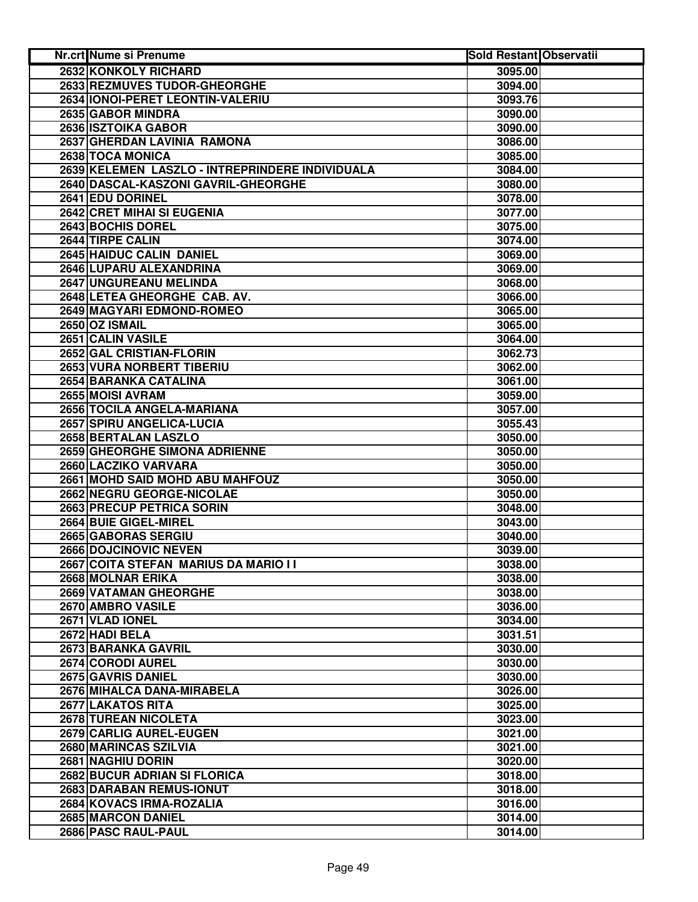| <b>Nr.crt Nume si Prenume</b>                   | <b>Sold Restant Observatii</b> |  |
|-------------------------------------------------|--------------------------------|--|
| 2632 KONKOLY RICHARD                            | 3095.00                        |  |
| 2633 REZMUVES TUDOR-GHEORGHE                    | 3094.00                        |  |
| 2634 IONOI-PERET LEONTIN-VALERIU                | 3093.76                        |  |
| 2635 GABOR MINDRA                               | 3090.00                        |  |
| 2636 ISZTOIKA GABOR                             | 3090.00                        |  |
| 2637 GHERDAN LAVINIA RAMONA                     | 3086.00                        |  |
| 2638 TOCA MONICA                                | 3085.00                        |  |
| 2639 KELEMEN LASZLO - INTREPRINDERE INDIVIDUALA | 3084.00                        |  |
| 2640 DASCAL-KASZONI GAVRIL-GHEORGHE             | 3080.00                        |  |
| 2641 EDU DORINEL                                | 3078.00                        |  |
| 2642 CRET MIHAI SI EUGENIA                      | 3077.00                        |  |
| 2643 BOCHIS DOREL                               | 3075.00                        |  |
| 2644 TIRPE CALIN                                | 3074.00                        |  |
| 2645 HAIDUC CALIN DANIEL                        | 3069.00                        |  |
| 2646 LUPARU ALEXANDRINA                         | 3069.00                        |  |
| 2647 UNGUREANU MELINDA                          | 3068.00                        |  |
| 2648 LETEA GHEORGHE CAB. AV.                    | 3066.00                        |  |
| 2649 MAGYARI EDMOND-ROMEO                       | 3065.00                        |  |
| 2650 OZ ISMAIL                                  | 3065.00                        |  |
| 2651 CALIN VASILE                               | 3064.00                        |  |
| 2652 GAL CRISTIAN-FLORIN                        | 3062.73                        |  |
| <b>2653 VURA NORBERT TIBERIU</b>                | 3062.00                        |  |
| <b>2654 BARANKA CATALINA</b>                    | 3061.00                        |  |
| 2655 MOISI AVRAM                                | 3059.00                        |  |
| 2656 TOCILA ANGELA-MARIANA                      | 3057.00                        |  |
| 2657 SPIRU ANGELICA-LUCIA                       | 3055.43                        |  |
| 2658 BERTALAN LASZLO                            | 3050.00                        |  |
| 2659 GHEORGHE SIMONA ADRIENNE                   | 3050.00                        |  |
| 2660 LACZIKO VARVARA                            | 3050.00                        |  |
| 2661 MOHD SAID MOHD ABU MAHFOUZ                 | 3050.00                        |  |
| 2662 NEGRU GEORGE-NICOLAE                       | 3050.00                        |  |
| 2663 PRECUP PETRICA SORIN                       | 3048.00                        |  |
| 2664 BUIE GIGEL-MIREL                           | 3043.00                        |  |
| 2665 GABORAS SERGIU                             | 3040.00                        |  |
| 2666 DOJCINOVIC NEVEN                           | 3039.00                        |  |
| 2667 COITA STEFAN MARIUS DA MARIO I I           | 3038.00                        |  |
| 2668 MOLNAR ERIKA                               | 3038.00                        |  |
| 2669 VATAMAN GHEORGHE                           | 3038.00                        |  |
| 2670 AMBRO VASILE                               | 3036.00                        |  |
| 2671 VLAD IONEL                                 | 3034.00                        |  |
| 2672 HADI BELA                                  | 3031.51                        |  |
| 2673 BARANKA GAVRIL                             | 3030.00                        |  |
| 2674 CORODI AUREL                               | 3030.00                        |  |
| 2675 GAVRIS DANIEL                              | 3030.00                        |  |
| 2676 MIHALCA DANA-MIRABELA                      | 3026.00                        |  |
| 2677 LAKATOS RITA                               | 3025.00                        |  |
| 2678 TUREAN NICOLETA                            | 3023.00                        |  |
| 2679 CARLIG AUREL-EUGEN                         | 3021.00                        |  |
| 2680 MARINCAS SZILVIA                           | 3021.00                        |  |
| 2681 NAGHIU DORIN                               | 3020.00                        |  |
| 2682 BUCUR ADRIAN SI FLORICA                    | 3018.00                        |  |
| 2683 DARABAN REMUS-IONUT                        | 3018.00                        |  |
| 2684 KOVACS IRMA-ROZALIA                        | 3016.00                        |  |
| 2685 MARCON DANIEL                              | 3014.00                        |  |
| 2686 PASC RAUL-PAUL                             | 3014.00                        |  |
|                                                 |                                |  |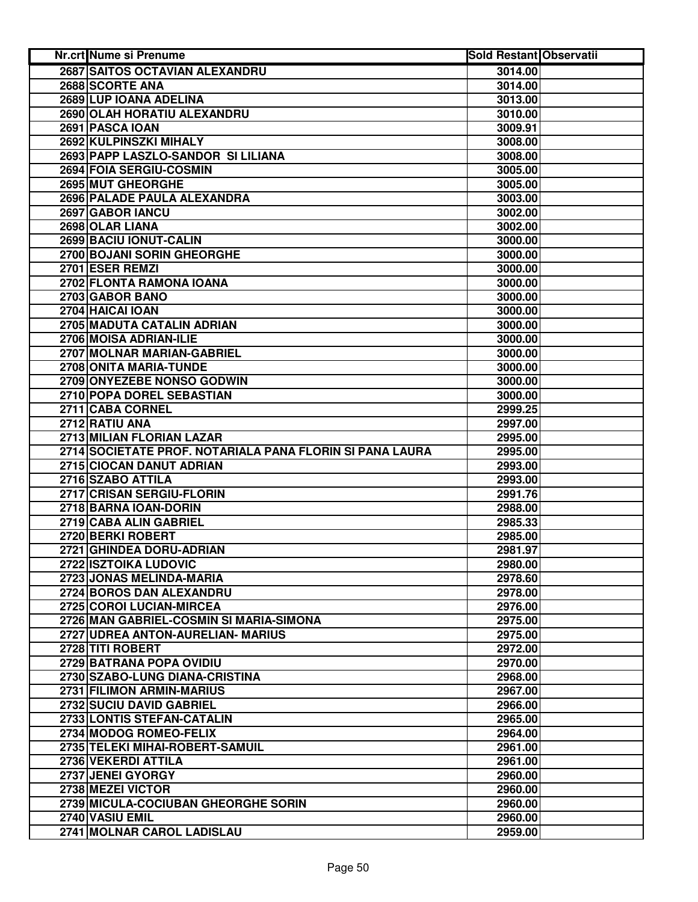| <b>Nr.crt Nume si Prenume</b>                            | <b>Sold Restant Observatii</b> |  |
|----------------------------------------------------------|--------------------------------|--|
| 2687 SAITOS OCTAVIAN ALEXANDRU                           | 3014.00                        |  |
| 2688 SCORTE ANA                                          | 3014.00                        |  |
| 2689 LUP IOANA ADELINA                                   | 3013.00                        |  |
| 2690 OLAH HORATIU ALEXANDRU                              | 3010.00                        |  |
| 2691 PASCA IOAN                                          | 3009.91                        |  |
| 2692 KULPINSZKI MIHALY                                   | 3008.00                        |  |
| 2693 PAPP LASZLO-SANDOR SI LILIANA                       | 3008.00                        |  |
| 2694 FOIA SERGIU-COSMIN                                  | 3005.00                        |  |
| 2695 MUT GHEORGHE                                        | 3005.00                        |  |
| 2696 PALADE PAULA ALEXANDRA                              | 3003.00                        |  |
| 2697 GABOR IANCU                                         | 3002.00                        |  |
| 2698 OLAR LIANA                                          | 3002.00                        |  |
| 2699 BACIU IONUT-CALIN                                   | 3000.00                        |  |
| 2700 BOJANI SORIN GHEORGHE                               | 3000.00                        |  |
| 2701 ESER REMZI                                          | 3000.00                        |  |
| 2702 FLONTA RAMONA IOANA                                 | 3000.00                        |  |
| 2703 GABOR BANO                                          | 3000.00                        |  |
| 2704 HAICAI IOAN                                         | 3000.00                        |  |
| 2705 MADUTA CATALIN ADRIAN                               | 3000.00                        |  |
| 2706 MOISA ADRIAN-ILIE                                   | 3000.00                        |  |
| 2707 MOLNAR MARIAN-GABRIEL                               | 3000.00                        |  |
| 2708 ONITA MARIA-TUNDE                                   | 3000.00                        |  |
| 2709 ONYEZEBE NONSO GODWIN                               | 3000.00                        |  |
| 2710 POPA DOREL SEBASTIAN                                | 3000.00                        |  |
| 2711 CABA CORNEL                                         | 2999.25                        |  |
| 2712 RATIU ANA                                           | 2997.00                        |  |
| 2713 MILIAN FLORIAN LAZAR                                | 2995.00                        |  |
| 2714 SOCIETATE PROF. NOTARIALA PANA FLORIN SI PANA LAURA | 2995.00                        |  |
| 2715 CIOCAN DANUT ADRIAN                                 | 2993.00                        |  |
| 2716 SZABO ATTILA                                        | 2993.00                        |  |
| 2717 CRISAN SERGIU-FLORIN                                | 2991.76                        |  |
| 2718 BARNA IOAN-DORIN                                    | 2988.00                        |  |
| 2719 CABA ALIN GABRIEL                                   | 2985.33                        |  |
| 2720 BERKI ROBERT                                        | 2985.00                        |  |
| 2721 GHINDEA DORU-ADRIAN                                 | 2981.97                        |  |
| 2722 ISZTOIKA LUDOVIC                                    | 2980.00                        |  |
| 2723 JONAS MELINDA-MARIA                                 | 2978.60                        |  |
| 2724 BOROS DAN ALEXANDRU                                 | 2978.00                        |  |
| 2725 COROI LUCIAN-MIRCEA                                 | 2976.00                        |  |
| 2726 MAN GABRIEL-COSMIN SI MARIA-SIMONA                  | 2975.00                        |  |
| 2727 UDREA ANTON-AURELIAN- MARIUS                        | 2975.00                        |  |
| 2728 TITI ROBERT                                         | 2972.00                        |  |
| 2729 BATRANA POPA OVIDIU                                 | 2970.00                        |  |
| 2730 SZABO-LUNG DIANA-CRISTINA                           | 2968.00                        |  |
| 2731 FILIMON ARMIN-MARIUS                                | 2967.00                        |  |
| 2732 SUCIU DAVID GABRIEL                                 | 2966.00                        |  |
| 2733 LONTIS STEFAN-CATALIN                               | 2965.00                        |  |
| 2734 MODOG ROMEO-FELIX                                   | 2964.00                        |  |
| 2735 TELEKI MIHAI-ROBERT-SAMUIL                          | 2961.00                        |  |
| 2736 VEKERDI ATTILA                                      | 2961.00                        |  |
| 2737 JENEI GYORGY                                        | 2960.00                        |  |
| 2738 MEZEI VICTOR                                        | 2960.00                        |  |
| 2739 MICULA-COCIUBAN GHEORGHE SORIN                      | 2960.00                        |  |
| 2740 VASIU EMIL                                          | 2960.00                        |  |
| 2741 MOLNAR CAROL LADISLAU                               | 2959.00                        |  |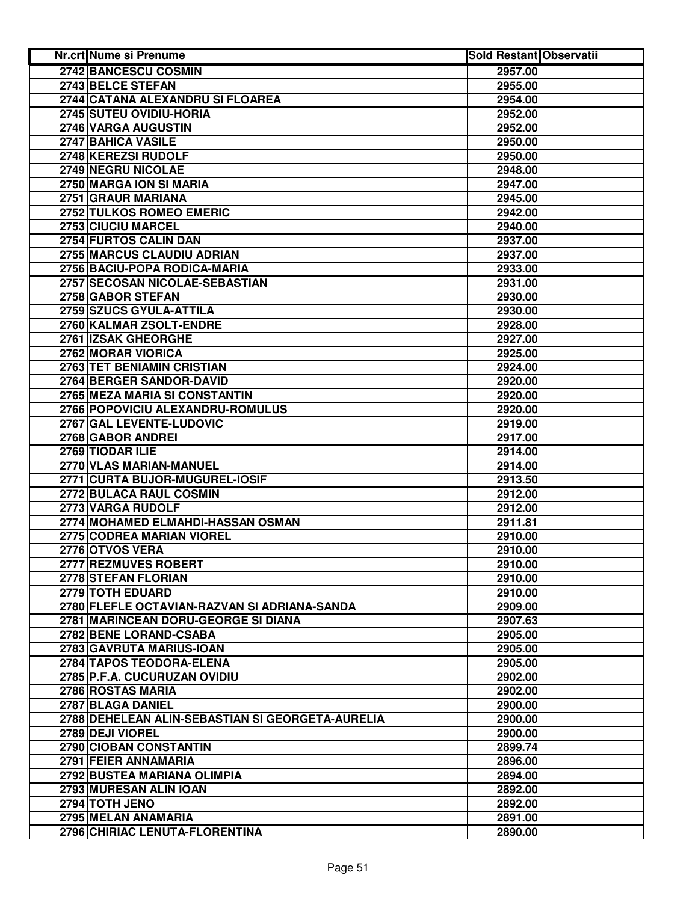| <b>Nr.crt Nume si Prenume</b>                    | <b>Sold Restant Observatii</b> |  |
|--------------------------------------------------|--------------------------------|--|
| 2742 BANCESCU COSMIN                             | 2957.00                        |  |
| 2743 BELCE STEFAN                                | 2955.00                        |  |
| 2744 CATANA ALEXANDRU SI FLOAREA                 | 2954.00                        |  |
| 2745 SUTEU OVIDIU-HORIA                          | 2952.00                        |  |
| 2746 VARGA AUGUSTIN                              | 2952.00                        |  |
| 2747 BAHICA VASILE                               | 2950.00                        |  |
| 2748 KEREZSI RUDOLF                              | 2950.00                        |  |
| 2749 NEGRU NICOLAE                               | 2948.00                        |  |
| 2750 MARGA ION SI MARIA                          | 2947.00                        |  |
| 2751 GRAUR MARIANA                               | 2945.00                        |  |
| 2752 TULKOS ROMEO EMERIC                         | 2942.00                        |  |
| 2753 CIUCIU MARCEL                               | 2940.00                        |  |
| 2754 FURTOS CALIN DAN                            | 2937.00                        |  |
| 2755 MARCUS CLAUDIU ADRIAN                       | 2937.00                        |  |
| 2756 BACIU-POPA RODICA-MARIA                     | 2933.00                        |  |
| 2757 SECOSAN NICOLAE-SEBASTIAN                   | 2931.00                        |  |
| 2758 GABOR STEFAN                                | 2930.00                        |  |
| 2759 SZUCS GYULA-ATTILA                          | 2930.00                        |  |
| 2760 KALMAR ZSOLT-ENDRE                          | 2928.00                        |  |
| 2761 IZSAK GHEORGHE                              | 2927.00                        |  |
| 2762 MORAR VIORICA                               | 2925.00                        |  |
| 2763 TET BENIAMIN CRISTIAN                       | 2924.00                        |  |
| 2764 BERGER SANDOR-DAVID                         | 2920.00                        |  |
| 2765 MEZA MARIA SI CONSTANTIN                    | 2920.00                        |  |
| 2766 POPOVICIU ALEXANDRU-ROMULUS                 | 2920.00                        |  |
| 2767 GAL LEVENTE-LUDOVIC                         | 2919.00                        |  |
| 2768 GABOR ANDREI                                | 2917.00                        |  |
| 2769 TIODAR ILIE                                 | 2914.00                        |  |
| 2770 VLAS MARIAN-MANUEL                          | 2914.00                        |  |
| 2771 CURTA BUJOR-MUGUREL-IOSIF                   | 2913.50                        |  |
| 2772 BULACA RAUL COSMIN                          | 2912.00                        |  |
| 2773 VARGA RUDOLF                                | 2912.00                        |  |
| 2774 MOHAMED ELMAHDI-HASSAN OSMAN                | 2911.81                        |  |
| 2775 CODREA MARIAN VIOREL                        | 2910.00                        |  |
| 2776 OTVOS VERA                                  | 2910.00                        |  |
| 2777 REZMUVES ROBERT                             | 2910.00                        |  |
| 2778 STEFAN FLORIAN                              | 2910.00                        |  |
| 2779 TOTH EDUARD                                 | 2910.00                        |  |
| 2780 FLEFLE OCTAVIAN-RAZVAN SI ADRIANA-SANDA     | 2909.00                        |  |
| 2781 MARINCEAN DORU-GEORGE SI DIANA              | 2907.63                        |  |
| 2782 BENE LORAND-CSABA                           | 2905.00                        |  |
| 2783 GAVRUTA MARIUS-IOAN                         | 2905.00                        |  |
| 2784 TAPOS TEODORA-ELENA                         | 2905.00                        |  |
| 2785 P.F.A. CUCURUZAN OVIDIU                     | 2902.00                        |  |
| 2786 ROSTAS MARIA                                | 2902.00                        |  |
| 2787 BLAGA DANIEL                                | 2900.00                        |  |
| 2788 DEHELEAN ALIN-SEBASTIAN SI GEORGETA-AURELIA | 2900.00                        |  |
| 2789 DEJI VIOREL                                 | 2900.00                        |  |
| 2790 CIOBAN CONSTANTIN                           | 2899.74                        |  |
| 2791 FEIER ANNAMARIA                             | 2896.00                        |  |
| 2792 BUSTEA MARIANA OLIMPIA                      | 2894.00                        |  |
| 2793 MURESAN ALIN IOAN                           | 2892.00                        |  |
| 2794 TOTH JENO                                   | 2892.00                        |  |
| 2795 MELAN ANAMARIA                              | 2891.00                        |  |
| 2796 CHIRIAC LENUTA-FLORENTINA                   | 2890.00                        |  |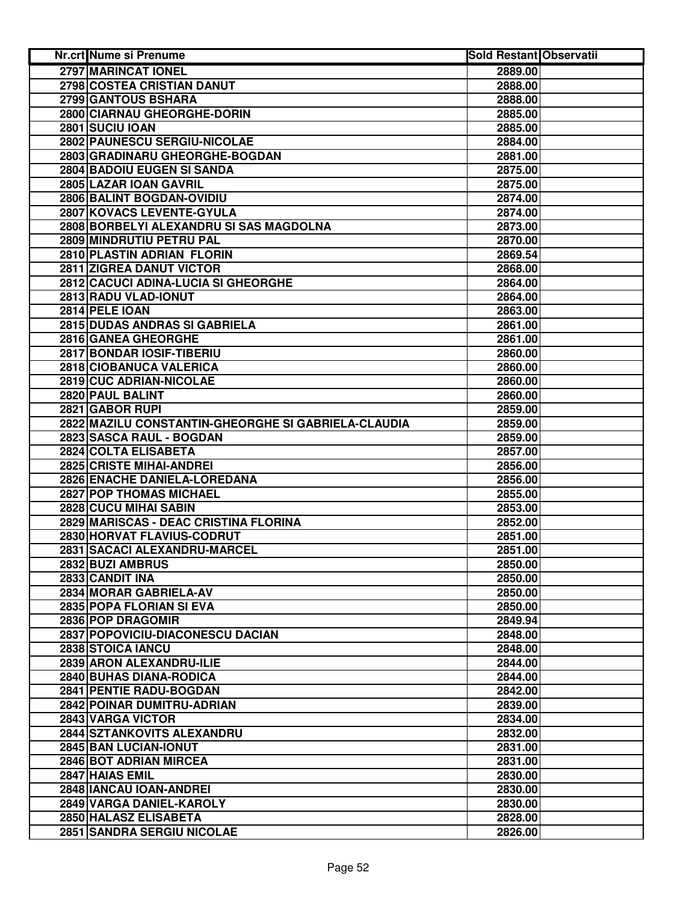| Nr.crt Nume si Prenume                              | <b>Sold Restant Observatii</b> |  |
|-----------------------------------------------------|--------------------------------|--|
| 2797 MARINCAT IONEL                                 | 2889.00                        |  |
| 2798 COSTEA CRISTIAN DANUT                          | 2888.00                        |  |
| 2799 GANTOUS BSHARA                                 | 2888.00                        |  |
| 2800 CIARNAU GHEORGHE-DORIN                         | 2885.00                        |  |
| 2801 SUCIU IOAN                                     | 2885.00                        |  |
| 2802 PAUNESCU SERGIU-NICOLAE                        | 2884.00                        |  |
| 2803 GRADINARU GHEORGHE-BOGDAN                      | 2881.00                        |  |
| 2804 BADOIU EUGEN SI SANDA                          | 2875.00                        |  |
| 2805 LAZAR IOAN GAVRIL                              | 2875.00                        |  |
| 2806 BALINT BOGDAN-OVIDIU                           | 2874.00                        |  |
| 2807 KOVACS LEVENTE-GYULA                           | 2874.00                        |  |
| 2808 BORBELYI ALEXANDRU SI SAS MAGDOLNA             | 2873.00                        |  |
| 2809 MINDRUTIU PETRU PAL                            | 2870.00                        |  |
| 2810 PLASTIN ADRIAN FLORIN                          | 2869.54                        |  |
| 2811 ZIGREA DANUT VICTOR                            | 2868.00                        |  |
| 2812 CACUCI ADINA-LUCIA SI GHEORGHE                 | 2864.00                        |  |
| 2813 RADU VLAD-IONUT                                | 2864.00                        |  |
| 2814 PELE IOAN                                      | 2863.00                        |  |
| 2815 DUDAS ANDRAS SI GABRIELA                       | 2861.00                        |  |
| 2816 GANEA GHEORGHE                                 | 2861.00                        |  |
| 2817 BONDAR IOSIF-TIBERIU                           | 2860.00                        |  |
| 2818 CIOBANUCA VALERICA                             | 2860.00                        |  |
| 2819 CUC ADRIAN-NICOLAE                             | 2860.00                        |  |
| 2820 PAUL BALINT                                    | 2860.00                        |  |
| 2821 GABOR RUPI                                     | 2859.00                        |  |
| 2822 MAZILU CONSTANTIN-GHEORGHE SI GABRIELA-CLAUDIA | 2859.00                        |  |
| 2823 SASCA RAUL - BOGDAN                            | 2859.00                        |  |
| 2824 COLTA ELISABETA                                | 2857.00                        |  |
| 2825 CRISTE MIHAI-ANDREI                            | 2856.00                        |  |
| 2826 ENACHE DANIELA-LOREDANA                        | 2856.00                        |  |
| 2827 POP THOMAS MICHAEL                             | 2855.00                        |  |
| 2828 CUCU MIHAI SABIN                               | 2853.00                        |  |
| 2829 MARISCAS - DEAC CRISTINA FLORINA               | 2852.00                        |  |
| 2830 HORVAT FLAVIUS-CODRUT                          | 2851.00                        |  |
| 2831 SACACI ALEXANDRU-MARCEL                        | 2851.00                        |  |
| 2832 BUZI AMBRUS                                    | 2850.00                        |  |
| 2833 CANDIT INA                                     | 2850.00                        |  |
| 2834 MORAR GABRIELA-AV                              | 2850.00                        |  |
| 2835 POPA FLORIAN SI EVA                            | 2850.00                        |  |
| 2836 POP DRAGOMIR                                   | 2849.94                        |  |
| 2837 POPOVICIU-DIACONESCU DACIAN                    | 2848.00                        |  |
| 2838 STOICA IANCU                                   | 2848.00                        |  |
| 2839 ARON ALEXANDRU-ILIE                            | 2844.00                        |  |
| 2840 BUHAS DIANA-RODICA                             | 2844.00                        |  |
| 2841 PENTIE RADU-BOGDAN                             | 2842.00                        |  |
| 2842 POINAR DUMITRU-ADRIAN                          | 2839.00                        |  |
| 2843 VARGA VICTOR                                   | 2834.00                        |  |
| 2844 SZTANKOVITS ALEXANDRU                          | 2832.00                        |  |
| 2845 BAN LUCIAN-IONUT                               | 2831.00                        |  |
| 2846 BOT ADRIAN MIRCEA                              | 2831.00                        |  |
| 2847 HAIAS EMIL                                     | 2830.00                        |  |
| 2848 IANCAU IOAN-ANDREI                             | 2830.00                        |  |
| 2849 VARGA DANIEL-KAROLY                            | 2830.00                        |  |
| 2850 HALASZ ELISABETA                               | 2828.00                        |  |
| 2851 SANDRA SERGIU NICOLAE                          | 2826.00                        |  |
|                                                     |                                |  |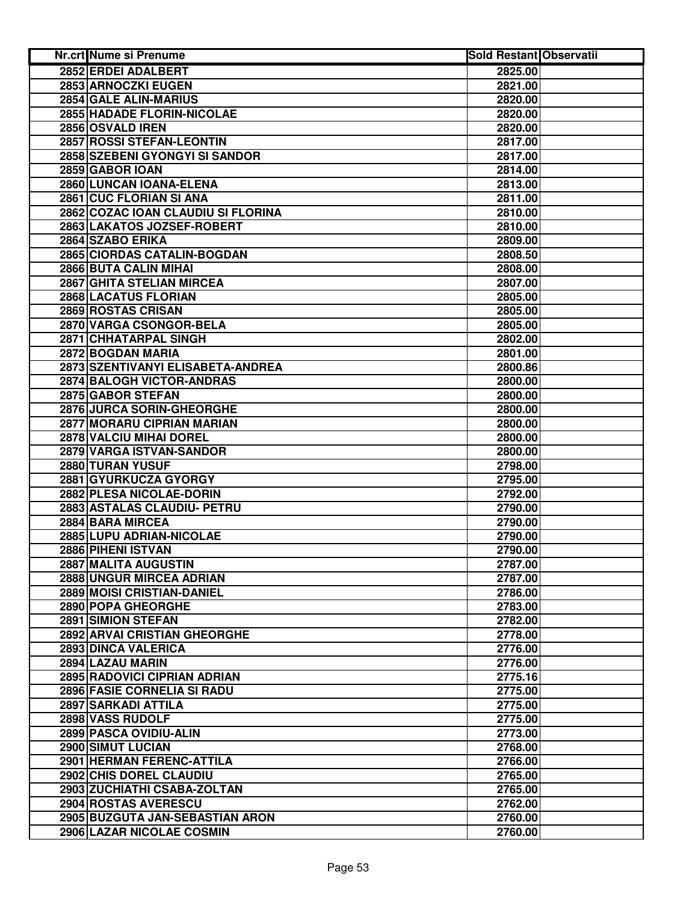| Nr.crt Nume si Prenume             | <b>Sold Restant Observatii</b> |  |
|------------------------------------|--------------------------------|--|
| 2852 ERDEI ADALBERT                | 2825.00                        |  |
| 2853 ARNOCZKI EUGEN                | 2821.00                        |  |
| 2854 GALE ALIN-MARIUS              | 2820.00                        |  |
| 2855 HADADE FLORIN-NICOLAE         | 2820.00                        |  |
| 2856 OSVALD IREN                   | 2820.00                        |  |
| 2857 ROSSI STEFAN-LEONTIN          | 2817.00                        |  |
| 2858 SZEBENI GYONGYI SI SANDOR     | 2817.00                        |  |
| 2859 GABOR IOAN                    | 2814.00                        |  |
| 2860 LUNCAN IOANA-ELENA            | 2813.00                        |  |
| 2861 CUC FLORIAN SI ANA            | 2811.00                        |  |
| 2862 COZAC IOAN CLAUDIU SI FLORINA | 2810.00                        |  |
| 2863 LAKATOS JOZSEF-ROBERT         | 2810.00                        |  |
| 2864 SZABO ERIKA                   | 2809.00                        |  |
| 2865 CIORDAS CATALIN-BOGDAN        | 2808.50                        |  |
| 2866 BUTA CALIN MIHAI              | 2808.00                        |  |
| 2867 GHITA STELIAN MIRCEA          | 2807.00                        |  |
| 2868 LACATUS FLORIAN               | 2805.00                        |  |
| 2869 ROSTAS CRISAN                 | 2805.00                        |  |
| 2870 VARGA CSONGOR-BELA            | 2805.00                        |  |
| 2871 CHHATARPAL SINGH              | 2802.00                        |  |
| 2872 BOGDAN MARIA                  | 2801.00                        |  |
| 2873 SZENTIVANYI ELISABETA-ANDREA  | 2800.86                        |  |
| <b>2874 BALOGH VICTOR-ANDRAS</b>   | 2800.00                        |  |
| 2875 GABOR STEFAN                  | 2800.00                        |  |
| 2876 JURCA SORIN-GHEORGHE          | 2800.00                        |  |
| 2877 MORARU CIPRIAN MARIAN         | 2800.00                        |  |
| 2878 VALCIU MIHAI DOREL            | 2800.00                        |  |
| 2879 VARGA ISTVAN-SANDOR           | 2800.00                        |  |
| 2880 TURAN YUSUF                   | 2798.00                        |  |
| 2881 GYURKUCZA GYORGY              | 2795.00                        |  |
| 2882 PLESA NICOLAE-DORIN           | 2792.00                        |  |
| 2883 ASTALAS CLAUDIU- PETRU        | 2790.00                        |  |
| 2884 BARA MIRCEA                   | 2790.00                        |  |
| 2885 LUPU ADRIAN-NICOLAE           | 2790.00                        |  |
| 2886 PIHENI ISTVAN                 | 2790.00                        |  |
| 2887 MALITA AUGUSTIN               | 2787.00                        |  |
| 2888 UNGUR MIRCEA ADRIAN           | 2787.00                        |  |
| 2889 MOISI CRISTIAN-DANIEL         | 2786.00                        |  |
| 2890 POPA GHEORGHE                 | 2783.00                        |  |
| 2891 SIMION STEFAN                 | 2782.00                        |  |
| 2892 ARVAI CRISTIAN GHEORGHE       | 2778.00                        |  |
| 2893 DINCA VALERICA                | 2776.00                        |  |
| 2894 LAZAU MARIN                   | 2776.00                        |  |
| 2895 RADOVICI CIPRIAN ADRIAN       | 2775.16                        |  |
| 2896 FASIE CORNELIA SI RADU        | 2775.00                        |  |
| 2897 SARKADI ATTILA                | 2775.00                        |  |
| 2898 VASS RUDOLF                   | 2775.00                        |  |
| 2899 PASCA OVIDIU-ALIN             | 2773.00                        |  |
| <b>2900 SIMUT LUCIAN</b>           | 2768.00                        |  |
| 2901 HERMAN FERENC-ATTILA          | 2766.00                        |  |
| 2902 CHIS DOREL CLAUDIU            | 2765.00                        |  |
| 2903 ZUCHIATHI CSABA-ZOLTAN        | 2765.00                        |  |
| 2904 ROSTAS AVERESCU               | 2762.00                        |  |
| 2905 BUZGUTA JAN-SEBASTIAN ARON    | 2760.00                        |  |
| 2906 LAZAR NICOLAE COSMIN          | 2760.00                        |  |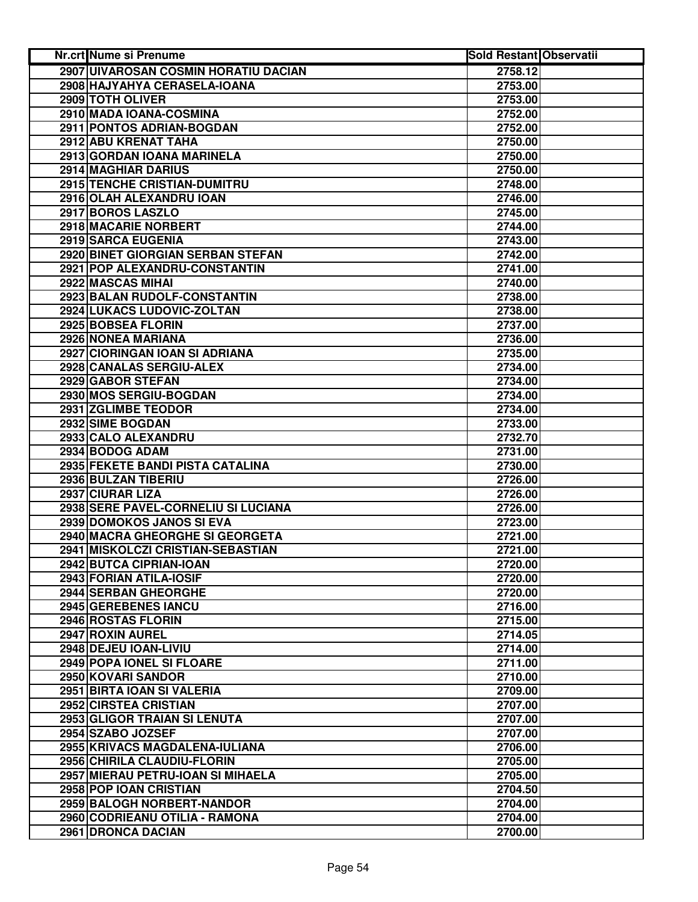| <b>Nr.crt Nume si Prenume</b>        | <b>Sold Restant Observatii</b> |  |
|--------------------------------------|--------------------------------|--|
| 2907 UIVAROSAN COSMIN HORATIU DACIAN | 2758.12                        |  |
| 2908 HAJYAHYA CERASELA-IOANA         | 2753.00                        |  |
| 2909 TOTH OLIVER                     | 2753.00                        |  |
| 2910 MADA IOANA-COSMINA              | 2752.00                        |  |
| 2911 PONTOS ADRIAN-BOGDAN            | 2752.00                        |  |
| 2912 ABU KRENAT TAHA                 | 2750.00                        |  |
| 2913 GORDAN IOANA MARINELA           | 2750.00                        |  |
| 2914 MAGHIAR DARIUS                  | 2750.00                        |  |
| 2915 TENCHE CRISTIAN-DUMITRU         | 2748.00                        |  |
| 2916 OLAH ALEXANDRU IOAN             | 2746.00                        |  |
| 2917 BOROS LASZLO                    | 2745.00                        |  |
| 2918 MACARIE NORBERT                 | 2744.00                        |  |
| 2919 SARCA EUGENIA                   | 2743.00                        |  |
| 2920 BINET GIORGIAN SERBAN STEFAN    | 2742.00                        |  |
| 2921 POP ALEXANDRU-CONSTANTIN        | 2741.00                        |  |
| 2922 MASCAS MIHAI                    | 2740.00                        |  |
| 2923 BALAN RUDOLF-CONSTANTIN         | 2738.00                        |  |
| 2924 LUKACS LUDOVIC-ZOLTAN           | 2738.00                        |  |
| 2925 BOBSEA FLORIN                   | 2737.00                        |  |
| 2926 NONEA MARIANA                   | 2736.00                        |  |
| 2927 CIORINGAN IOAN SI ADRIANA       | 2735.00                        |  |
| 2928 CANALAS SERGIU-ALEX             | 2734.00                        |  |
| 2929 GABOR STEFAN                    | 2734.00                        |  |
| 2930 MOS SERGIU-BOGDAN               | 2734.00                        |  |
| 2931 ZGLIMBE TEODOR                  | 2734.00                        |  |
| 2932 SIME BOGDAN                     | 2733.00                        |  |
| 2933 CALO ALEXANDRU                  | 2732.70                        |  |
| 2934 BODOG ADAM                      | 2731.00                        |  |
| 2935 FEKETE BANDI PISTA CATALINA     | 2730.00                        |  |
| 2936 BULZAN TIBERIU                  | 2726.00                        |  |
| 2937 CIURAR LIZA                     | 2726.00                        |  |
| 2938 SERE PAVEL-CORNELIU SI LUCIANA  | 2726.00                        |  |
| 2939 DOMOKOS JANOS SI EVA            | 2723.00                        |  |
| 2940 MACRA GHEORGHE SI GEORGETA      | 2721.00                        |  |
| 2941 MISKOLCZI CRISTIAN-SEBASTIAN    | 2721.00                        |  |
| 2942 BUTCA CIPRIAN-IOAN              | 2720.00                        |  |
| 2943 FORIAN ATILA-IOSIF              | 2720.00                        |  |
| 2944 SERBAN GHEORGHE                 | 2720.00                        |  |
| 2945 GEREBENES IANCU                 | 2716.00                        |  |
| 2946 ROSTAS FLORIN                   | 2715.00                        |  |
| 2947 ROXIN AUREL                     | 2714.05                        |  |
| 2948 DEJEU IOAN-LIVIU                | 2714.00                        |  |
| 2949 POPA IONEL SI FLOARE            | 2711.00                        |  |
| 2950 KOVARI SANDOR                   | 2710.00                        |  |
| 2951 BIRTA IOAN SI VALERIA           | 2709.00                        |  |
| 2952 CIRSTEA CRISTIAN                | 2707.00                        |  |
| 2953 GLIGOR TRAIAN SI LENUTA         | 2707.00                        |  |
| 2954 SZABO JOZSEF                    | 2707.00                        |  |
| 2955 KRIVACS MAGDALENA-IULIANA       | 2706.00                        |  |
| 2956 CHIRILA CLAUDIU-FLORIN          | 2705.00                        |  |
| 2957 MIERAU PETRU-IOAN SI MIHAELA    | 2705.00                        |  |
| 2958 POP IOAN CRISTIAN               | 2704.50                        |  |
| 2959 BALOGH NORBERT-NANDOR           | 2704.00                        |  |
| 2960 CODRIEANU OTILIA - RAMONA       | 2704.00                        |  |
| 2961 DRONCA DACIAN                   | 2700.00                        |  |
|                                      |                                |  |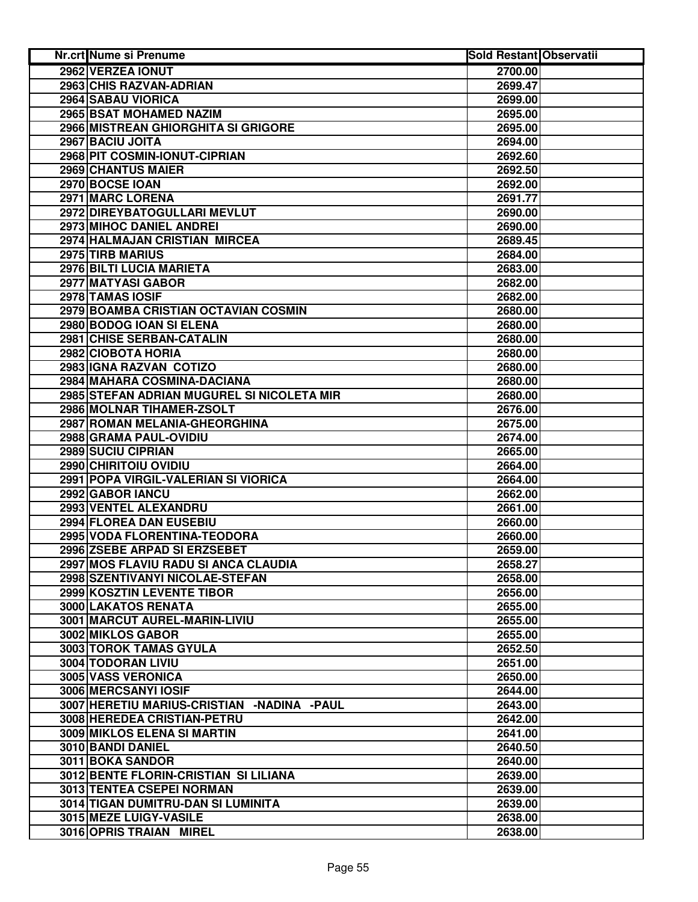| <b>Nr.crt Nume si Prenume</b>              | <b>Sold Restant Observatii</b> |  |
|--------------------------------------------|--------------------------------|--|
| 2962 VERZEA IONUT                          | 2700.00                        |  |
| 2963 CHIS RAZVAN-ADRIAN                    | 2699.47                        |  |
| 2964 SABAU VIORICA                         | 2699.00                        |  |
| 2965 BSAT MOHAMED NAZIM                    | 2695.00                        |  |
| 2966 MISTREAN GHIORGHITA SI GRIGORE        | 2695.00                        |  |
| 2967 BACIU JOITA                           | 2694.00                        |  |
| 2968 PIT COSMIN-IONUT-CIPRIAN              | 2692.60                        |  |
| 2969 CHANTUS MAIER                         | 2692.50                        |  |
| 2970 BOCSE IOAN                            | 2692.00                        |  |
| 2971 MARC LORENA                           | 2691.77                        |  |
| 2972 DIREYBATOGULLARI MEVLUT               | 2690.00                        |  |
| 2973 MIHOC DANIEL ANDREI                   | 2690.00                        |  |
| 2974 HALMAJAN CRISTIAN MIRCEA              | 2689.45                        |  |
| 2975 TIRB MARIUS                           | 2684.00                        |  |
| 2976 BILTI LUCIA MARIETA                   | 2683.00                        |  |
| 2977 MATYASI GABOR                         | 2682.00                        |  |
| 2978 TAMAS IOSIF                           | 2682.00                        |  |
| 2979 BOAMBA CRISTIAN OCTAVIAN COSMIN       | 2680.00                        |  |
| 2980 BODOG IOAN SI ELENA                   | 2680.00                        |  |
| 2981 CHISE SERBAN-CATALIN                  | 2680.00                        |  |
| 2982 CIOBOTA HORIA                         | 2680.00                        |  |
| 2983 IGNA RAZVAN COTIZO                    | 2680.00                        |  |
| 2984 MAHARA COSMINA-DACIANA                | 2680.00                        |  |
| 2985 STEFAN ADRIAN MUGUREL SI NICOLETA MIR | 2680.00                        |  |
| 2986 MOLNAR TIHAMER-ZSOLT                  | 2676.00                        |  |
| 2987 ROMAN MELANIA-GHEORGHINA              | 2675.00                        |  |
| 2988 GRAMA PAUL-OVIDIU                     | 2674.00                        |  |
| 2989 SUCIU CIPRIAN                         | 2665.00                        |  |
| 2990 CHIRITOIU OVIDIU                      | 2664.00                        |  |
| 2991 POPA VIRGIL-VALERIAN SI VIORICA       | 2664.00                        |  |
| 2992 GABOR IANCU                           | 2662.00                        |  |
| 2993 VENTEL ALEXANDRU                      | 2661.00                        |  |
| 2994 FLOREA DAN EUSEBIU                    | 2660.00                        |  |
| 2995 VODA FLORENTINA-TEODORA               | 2660.00                        |  |
| 2996 ZSEBE ARPAD SI ERZSEBET               | 2659.00                        |  |
| 2997 MOS FLAVIU RADU SI ANCA CLAUDIA       | 2658.27                        |  |
| 2998 SZENTIVANYI NICOLAE-STEFAN            | 2658.00                        |  |
| 2999 KOSZTIN LEVENTE TIBOR                 | 2656.00                        |  |
| 3000 LAKATOS RENATA                        | 2655.00                        |  |
| 3001 MARCUT AUREL-MARIN-LIVIU              | 2655.00                        |  |
| 3002 MIKLOS GABOR                          | 2655.00                        |  |
| 3003 TOROK TAMAS GYULA                     | 2652.50                        |  |
| 3004 TODORAN LIVIU                         | 2651.00                        |  |
| 3005 VASS VERONICA                         | 2650.00                        |  |
| 3006 MERCSANYI IOSIF                       | 2644.00                        |  |
| 3007 HERETIU MARIUS-CRISTIAN -NADINA -PAUL | 2643.00                        |  |
| 3008 HEREDEA CRISTIAN-PETRU                | 2642.00                        |  |
| 3009 MIKLOS ELENA SI MARTIN                | 2641.00                        |  |
| 3010 BANDI DANIEL                          | 2640.50                        |  |
| 3011 BOKA SANDOR                           | 2640.00                        |  |
| 3012 BENTE FLORIN-CRISTIAN SI LILIANA      | 2639.00                        |  |
| 3013 TENTEA CSEPEI NORMAN                  | 2639.00                        |  |
| 3014 TIGAN DUMITRU-DAN SI LUMINITA         | 2639.00                        |  |
| 3015 MEZE LUIGY-VASILE                     | 2638.00                        |  |
| 3016 OPRIS TRAIAN MIREL                    | 2638.00                        |  |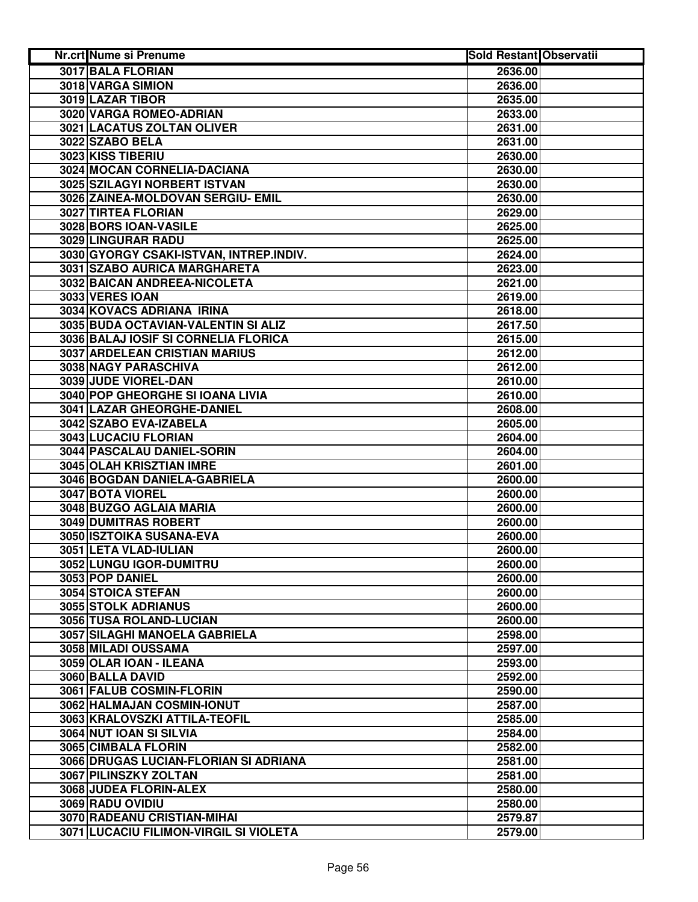| <b>Nr.crt Nume si Prenume</b>           | <b>Sold Restant Observatii</b> |  |
|-----------------------------------------|--------------------------------|--|
| <b>3017 BALA FLORIAN</b>                | 2636.00                        |  |
| 3018 VARGA SIMION                       | 2636.00                        |  |
| 3019 LAZAR TIBOR                        | 2635.00                        |  |
| 3020 VARGA ROMEO-ADRIAN                 | 2633.00                        |  |
| 3021 LACATUS ZOLTAN OLIVER              | 2631.00                        |  |
| 3022 SZABO BELA                         | 2631.00                        |  |
| 3023 KISS TIBERIU                       | 2630.00                        |  |
| 3024 MOCAN CORNELIA-DACIANA             | 2630.00                        |  |
| 3025 SZILAGYI NORBERT ISTVAN            | 2630.00                        |  |
| 3026 ZAINEA-MOLDOVAN SERGIU- EMIL       | 2630.00                        |  |
| 3027 TIRTEA FLORIAN                     | 2629.00                        |  |
| 3028 BORS IOAN-VASILE                   | 2625.00                        |  |
| 3029 LINGURAR RADU                      | 2625.00                        |  |
| 3030 GYORGY CSAKI-ISTVAN, INTREP.INDIV. | 2624.00                        |  |
| 3031 SZABO AURICA MARGHARETA            | 2623.00                        |  |
| 3032 BAICAN ANDREEA-NICOLETA            | 2621.00                        |  |
| 3033 VERES IOAN                         | 2619.00                        |  |
| 3034 KOVACS ADRIANA IRINA               | 2618.00                        |  |
| 3035 BUDA OCTAVIAN-VALENTIN SI ALIZ     | 2617.50                        |  |
| 3036 BALAJ IOSIF SI CORNELIA FLORICA    | 2615.00                        |  |
| 3037 ARDELEAN CRISTIAN MARIUS           | 2612.00                        |  |
| 3038 NAGY PARASCHIVA                    | 2612.00                        |  |
| 3039 JUDE VIOREL-DAN                    | 2610.00                        |  |
| <b>3040 POP GHEORGHE SI IOANA LIVIA</b> | 2610.00                        |  |
| 3041 LAZAR GHEORGHE-DANIEL              | 2608.00                        |  |
| 3042 SZABO EVA-IZABELA                  | 2605.00                        |  |
| 3043 LUCACIU FLORIAN                    | 2604.00                        |  |
| 3044 PASCALAU DANIEL-SORIN              | 2604.00                        |  |
| 3045 OLAH KRISZTIAN IMRE                | 2601.00                        |  |
| 3046 BOGDAN DANIELA-GABRIELA            | 2600.00                        |  |
| 3047 BOTA VIOREL                        | 2600.00                        |  |
| 3048 BUZGO AGLAIA MARIA                 | 2600.00                        |  |
| 3049 DUMITRAS ROBERT                    | 2600.00                        |  |
| 3050 ISZTOIKA SUSANA-EVA                | 2600.00                        |  |
| 3051 LETA VLAD-IULIAN                   | 2600.00                        |  |
| 3052 LUNGU IGOR-DUMITRU                 | 2600.00                        |  |
| 3053 POP DANIEL                         | 2600.00                        |  |
| 3054 STOICA STEFAN                      | 2600.00                        |  |
| <b>3055 STOLK ADRIANUS</b>              | 2600.00                        |  |
| 3056 TUSA ROLAND-LUCIAN                 | 2600.00                        |  |
| <b>3057 SILAGHI MANOELA GABRIELA</b>    | 2598.00                        |  |
| 3058 MILADI OUSSAMA                     | 2597.00                        |  |
| 3059 OLAR IOAN - ILEANA                 | 2593.00                        |  |
| 3060 BALLA DAVID                        | 2592.00                        |  |
| 3061 FALUB COSMIN-FLORIN                | 2590.00                        |  |
| 3062 HALMAJAN COSMIN-IONUT              | 2587.00                        |  |
| 3063 KRALOVSZKI ATTILA-TEOFIL           | 2585.00                        |  |
| 3064 NUT IOAN SI SILVIA                 | 2584.00                        |  |
| 3065 CIMBALA FLORIN                     | 2582.00                        |  |
| 3066 DRUGAS LUCIAN-FLORIAN SI ADRIANA   | 2581.00                        |  |
| 3067 PILINSZKY ZOLTAN                   | 2581.00                        |  |
| 3068 JUDEA FLORIN-ALEX                  | 2580.00                        |  |
| 3069 RADU OVIDIU                        | 2580.00                        |  |
| 3070 RADEANU CRISTIAN-MIHAI             | 2579.87                        |  |
| 3071 LUCACIU FILIMON-VIRGIL SI VIOLETA  | 2579.00                        |  |
|                                         |                                |  |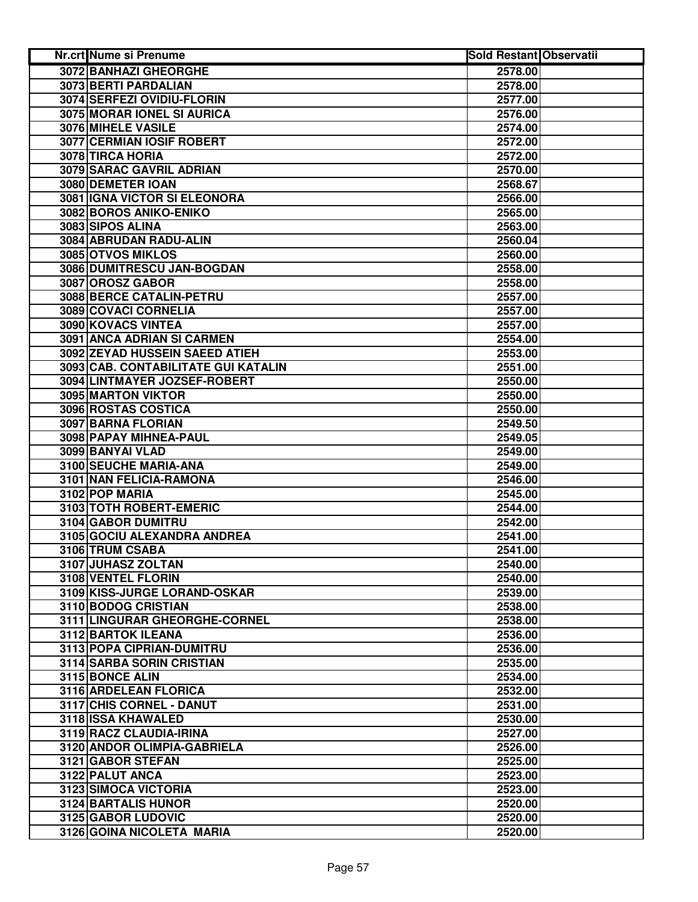| <b>Nr.crt Nume si Prenume</b>       | <b>Sold Restant Observatii</b> |  |
|-------------------------------------|--------------------------------|--|
| <b>3072 BANHAZI GHEORGHE</b>        | 2578.00                        |  |
| 3073 BERTI PARDALIAN                | 2578.00                        |  |
| 3074 SERFEZI OVIDIU-FLORIN          | 2577.00                        |  |
| 3075 MORAR IONEL SI AURICA          | 2576.00                        |  |
| 3076 MIHELE VASILE                  | 2574.00                        |  |
| 3077 CERMIAN IOSIF ROBERT           | 2572.00                        |  |
| 3078 TIRCA HORIA                    | 2572.00                        |  |
| 3079 SARAC GAVRIL ADRIAN            | 2570.00                        |  |
| 3080 DEMETER IOAN                   | 2568.67                        |  |
| 3081 IGNA VICTOR SI ELEONORA        | 2566.00                        |  |
| 3082 BOROS ANIKO-ENIKO              | 2565.00                        |  |
| 3083 SIPOS ALINA                    | 2563.00                        |  |
| 3084 ABRUDAN RADU-ALIN              | 2560.04                        |  |
| 3085 OTVOS MIKLOS                   | 2560.00                        |  |
| 3086 DUMITRESCU JAN-BOGDAN          | 2558.00                        |  |
| 3087 OROSZ GABOR                    | 2558.00                        |  |
| 3088 BERCE CATALIN-PETRU            | 2557.00                        |  |
| 3089 COVACI CORNELIA                | 2557.00                        |  |
| 3090 KOVACS VINTEA                  | 2557.00                        |  |
| 3091 ANCA ADRIAN SI CARMEN          | 2554.00                        |  |
| 3092 ZEYAD HUSSEIN SAEED ATIEH      | 2553.00                        |  |
| 3093 CAB. CONTABILITATE GUI KATALIN | 2551.00                        |  |
| 3094 LINTMAYER JOZSEF-ROBERT        | 2550.00                        |  |
| <b>3095 MARTON VIKTOR</b>           | 2550.00                        |  |
| 3096 ROSTAS COSTICA                 | 2550.00                        |  |
| 3097 BARNA FLORIAN                  | 2549.50                        |  |
| 3098 PAPAY MIHNEA-PAUL              | 2549.05                        |  |
| 3099 BANYAI VLAD                    | 2549.00                        |  |
| 3100 SEUCHE MARIA-ANA               | 2549.00                        |  |
| 3101 NAN FELICIA-RAMONA             | 2546.00                        |  |
| 3102 POP MARIA                      | 2545.00                        |  |
| 3103 TOTH ROBERT-EMERIC             | 2544.00                        |  |
| 3104 GABOR DUMITRU                  | 2542.00                        |  |
| 3105 GOCIU ALEXANDRA ANDREA         | 2541.00                        |  |
| 3106 TRUM CSABA                     | 2541.00                        |  |
| 3107 JUHASZ ZOLTAN                  | 2540.00                        |  |
| 3108 VENTEL FLORIN                  | 2540.00                        |  |
| 3109 KISS-JURGE LORAND-OSKAR        | 2539.00                        |  |
| 3110 BODOG CRISTIAN                 | 2538.00                        |  |
| 3111 LINGURAR GHEORGHE-CORNEL       | 2538.00                        |  |
| 3112 BARTOK ILEANA                  | 2536.00                        |  |
| 3113 POPA CIPRIAN-DUMITRU           | 2536.00                        |  |
| 3114 SARBA SORIN CRISTIAN           | 2535.00                        |  |
| 3115 BONCE ALIN                     | 2534.00                        |  |
| 3116 ARDELEAN FLORICA               | 2532.00                        |  |
| 3117 CHIS CORNEL - DANUT            | 2531.00                        |  |
| 3118 ISSA KHAWALED                  | 2530.00                        |  |
| 3119 RACZ CLAUDIA-IRINA             | 2527.00                        |  |
| 3120 ANDOR OLIMPIA-GABRIELA         | 2526.00                        |  |
| 3121 GABOR STEFAN                   | 2525.00                        |  |
| 3122 PALUT ANCA                     | 2523.00                        |  |
| 3123 SIMOCA VICTORIA                | 2523.00                        |  |
| 3124 BARTALIS HUNOR                 | 2520.00                        |  |
| 3125 GABOR LUDOVIC                  | 2520.00                        |  |
| 3126 GOINA NICOLETA MARIA           | 2520.00                        |  |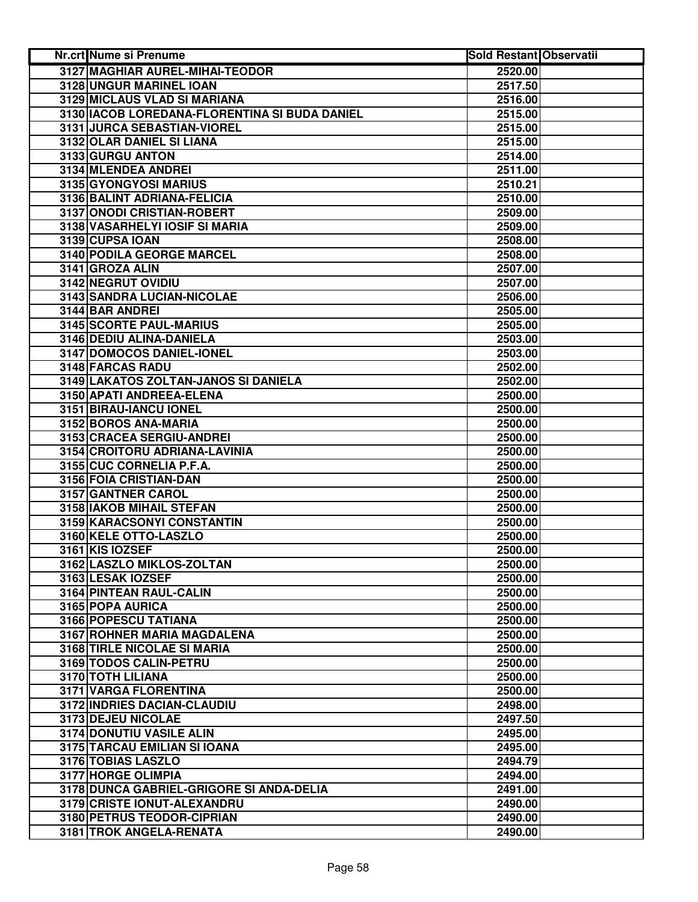| Nr.crt Nume si Prenume                        | <b>Sold Restant Observatii</b> |  |
|-----------------------------------------------|--------------------------------|--|
| 3127 MAGHIAR AUREL-MIHAI-TEODOR               | 2520.00                        |  |
| 3128 UNGUR MARINEL IOAN                       | 2517.50                        |  |
| 3129 MICLAUS VLAD SI MARIANA                  | 2516.00                        |  |
| 3130 IACOB LOREDANA-FLORENTINA SI BUDA DANIEL | 2515.00                        |  |
| 3131 JURCA SEBASTIAN-VIOREL                   | 2515.00                        |  |
| 3132 OLAR DANIEL SI LIANA                     | 2515.00                        |  |
| 3133 GURGU ANTON                              | 2514.00                        |  |
| 3134 MLENDEA ANDREI                           | 2511.00                        |  |
| 3135 GYONGYOSI MARIUS                         | 2510.21                        |  |
| 3136 BALINT ADRIANA-FELICIA                   | 2510.00                        |  |
| 3137 ONODI CRISTIAN-ROBERT                    | 2509.00                        |  |
| 3138 VASARHELYI IOSIF SI MARIA                | 2509.00                        |  |
| 3139 CUPSA IOAN                               | 2508.00                        |  |
| 3140 PODILA GEORGE MARCEL                     | 2508.00                        |  |
| 3141 GROZA ALIN                               | 2507.00                        |  |
| 3142 NEGRUT OVIDIU                            | 2507.00                        |  |
| 3143 SANDRA LUCIAN-NICOLAE                    | 2506.00                        |  |
| 3144 BAR ANDREI                               | 2505.00                        |  |
| <b>3145 SCORTE PAUL-MARIUS</b>                | 2505.00                        |  |
| 3146 DEDIU ALINA-DANIELA                      | 2503.00                        |  |
| 3147 DOMOCOS DANIEL-IONEL                     | 2503.00                        |  |
| <b>3148 FARCAS RADU</b>                       | 2502.00                        |  |
| 3149 LAKATOS ZOLTAN-JANOS SI DANIELA          | 2502.00                        |  |
| 3150 APATI ANDREEA-ELENA                      | 2500.00                        |  |
| 3151 BIRAU-IANCU IONEL                        | 2500.00                        |  |
| 3152 BOROS ANA-MARIA                          | 2500.00                        |  |
| 3153 CRACEA SERGIU-ANDREI                     | 2500.00                        |  |
| 3154 CROITORU ADRIANA-LAVINIA                 | 2500.00                        |  |
| 3155 CUC CORNELIA P.F.A.                      | 2500.00                        |  |
| 3156 FOIA CRISTIAN-DAN                        | 2500.00                        |  |
| 3157 GANTNER CAROL                            | 2500.00                        |  |
| 3158 IAKOB MIHAIL STEFAN                      | 2500.00                        |  |
| 3159 KARACSONYI CONSTANTIN                    | 2500.00                        |  |
| 3160 KELE OTTO-LASZLO                         | 2500.00                        |  |
| 3161 KIS IOZSEF                               | 2500.00                        |  |
| 3162 LASZLO MIKLOS-ZOLTAN                     | 2500.00                        |  |
| 3163 LESAK IOZSEF                             | 2500.00                        |  |
| 3164 PINTEAN RAUL-CALIN                       | 2500.00                        |  |
| 3165 POPA AURICA                              | 2500.00                        |  |
| 3166 POPESCU TATIANA                          | 2500.00                        |  |
| 3167 ROHNER MARIA MAGDALENA                   | 2500.00                        |  |
| <b>3168 TIRLE NICOLAE SI MARIA</b>            | 2500.00                        |  |
| 3169 TODOS CALIN-PETRU                        | 2500.00                        |  |
| 3170 TOTH LILIANA                             | 2500.00                        |  |
| 3171 VARGA FLORENTINA                         | 2500.00                        |  |
| 3172 INDRIES DACIAN-CLAUDIU                   | 2498.00                        |  |
| 3173 DEJEU NICOLAE                            | 2497.50                        |  |
| 3174 DONUTIU VASILE ALIN                      | 2495.00                        |  |
| 3175 TARCAU EMILIAN SI IOANA                  | 2495.00                        |  |
| 3176 TOBIAS LASZLO                            | 2494.79                        |  |
| 3177 HORGE OLIMPIA                            | 2494.00                        |  |
| 3178 DUNCA GABRIEL-GRIGORE SI ANDA-DELIA      | 2491.00                        |  |
| 3179 CRISTE IONUT-ALEXANDRU                   | 2490.00                        |  |
| 3180 PETRUS TEODOR-CIPRIAN                    | 2490.00                        |  |
| 3181 TROK ANGELA-RENATA                       | 2490.00                        |  |
|                                               |                                |  |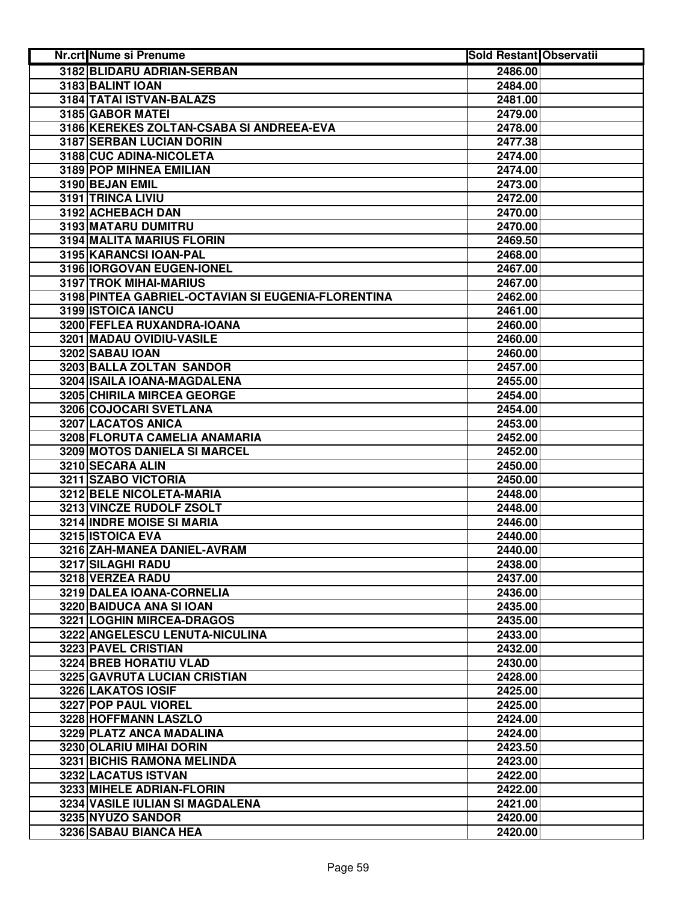| Nr.crt Nume si Prenume                             | <b>Sold Restant Observatii</b> |  |
|----------------------------------------------------|--------------------------------|--|
| 3182 BLIDARU ADRIAN-SERBAN                         | 2486.00                        |  |
| 3183 BALINT IOAN                                   | 2484.00                        |  |
| 3184 TATAI ISTVAN-BALAZS                           | 2481.00                        |  |
| 3185 GABOR MATEI                                   | 2479.00                        |  |
| 3186 KEREKES ZOLTAN-CSABA SI ANDREEA-EVA           | 2478.00                        |  |
| 3187 SERBAN LUCIAN DORIN                           | 2477.38                        |  |
| 3188 CUC ADINA-NICOLETA                            | 2474.00                        |  |
| 3189 POP MIHNEA EMILIAN                            | 2474.00                        |  |
| 3190 BEJAN EMIL                                    | 2473.00                        |  |
| 3191 TRINCA LIVIU                                  | 2472.00                        |  |
| 3192 ACHEBACH DAN                                  | 2470.00                        |  |
| 3193 MATARU DUMITRU                                | 2470.00                        |  |
| 3194 MALITA MARIUS FLORIN                          | 2469.50                        |  |
| 3195 KARANCSI IOAN-PAL                             | 2468.00                        |  |
| 3196 IORGOVAN EUGEN-IONEL                          | 2467.00                        |  |
| 3197 TROK MIHAI-MARIUS                             | 2467.00                        |  |
| 3198 PINTEA GABRIEL-OCTAVIAN SI EUGENIA-FLORENTINA | 2462.00                        |  |
| 3199 ISTOICA IANCU                                 | 2461.00                        |  |
| 3200 FEFLEA RUXANDRA-IOANA                         | 2460.00                        |  |
| 3201 MADAU OVIDIU-VASILE                           | 2460.00                        |  |
| 3202 SABAU IOAN                                    | 2460.00                        |  |
| 3203 BALLA ZOLTAN SANDOR                           | 2457.00                        |  |
| 3204 ISAILA IOANA-MAGDALENA                        | 2455.00                        |  |
| <b>3205 CHIRILA MIRCEA GEORGE</b>                  | 2454.00                        |  |
|                                                    |                                |  |
| 3206 COJOCARI SVETLANA                             | 2454.00                        |  |
| 3207 LACATOS ANICA                                 | 2453.00                        |  |
| 3208 FLORUTA CAMELIA ANAMARIA                      | 2452.00                        |  |
| 3209 MOTOS DANIELA SI MARCEL                       | 2452.00                        |  |
| 3210 SECARA ALIN                                   | 2450.00                        |  |
| 3211 SZABO VICTORIA                                | 2450.00                        |  |
| 3212 BELE NICOLETA-MARIA                           | 2448.00                        |  |
| 3213 VINCZE RUDOLF ZSOLT                           | 2448.00                        |  |
| 3214 INDRE MOISE SI MARIA                          | 2446.00                        |  |
| 3215 ISTOICA EVA                                   | 2440.00                        |  |
| 3216 ZAH-MANEA DANIEL-AVRAM                        | 2440.00                        |  |
| 3217 SILAGHI RADU                                  | 2438.00                        |  |
| 3218 VERZEA RADU                                   | 2437.00                        |  |
| 3219 DALEA IOANA-CORNELIA                          | 2436.00                        |  |
| 3220 BAIDUCA ANA SI IOAN                           | 2435.00                        |  |
| 3221 LOGHIN MIRCEA-DRAGOS                          | 2435.00                        |  |
| 3222 ANGELESCU LENUTA-NICULINA                     | 2433.00                        |  |
| 3223 PAVEL CRISTIAN                                | 2432.00                        |  |
| 3224 BREB HORATIU VLAD                             | 2430.00                        |  |
| 3225 GAVRUTA LUCIAN CRISTIAN                       | 2428.00                        |  |
| 3226 LAKATOS IOSIF                                 | 2425.00                        |  |
| 3227 POP PAUL VIOREL                               | 2425.00                        |  |
| 3228 HOFFMANN LASZLO                               | 2424.00                        |  |
| 3229 PLATZ ANCA MADALINA                           | 2424.00                        |  |
| 3230 OLARIU MIHAI DORIN                            | 2423.50                        |  |
| 3231 BICHIS RAMONA MELINDA                         | 2423.00                        |  |
| 3232 LACATUS ISTVAN                                | 2422.00                        |  |
| 3233 MIHELE ADRIAN-FLORIN                          | 2422.00                        |  |
| 3234 VASILE IULIAN SI MAGDALENA                    | 2421.00                        |  |
| 3235 NYUZO SANDOR                                  | 2420.00                        |  |
| 3236 SABAU BIANCA HEA                              | 2420.00                        |  |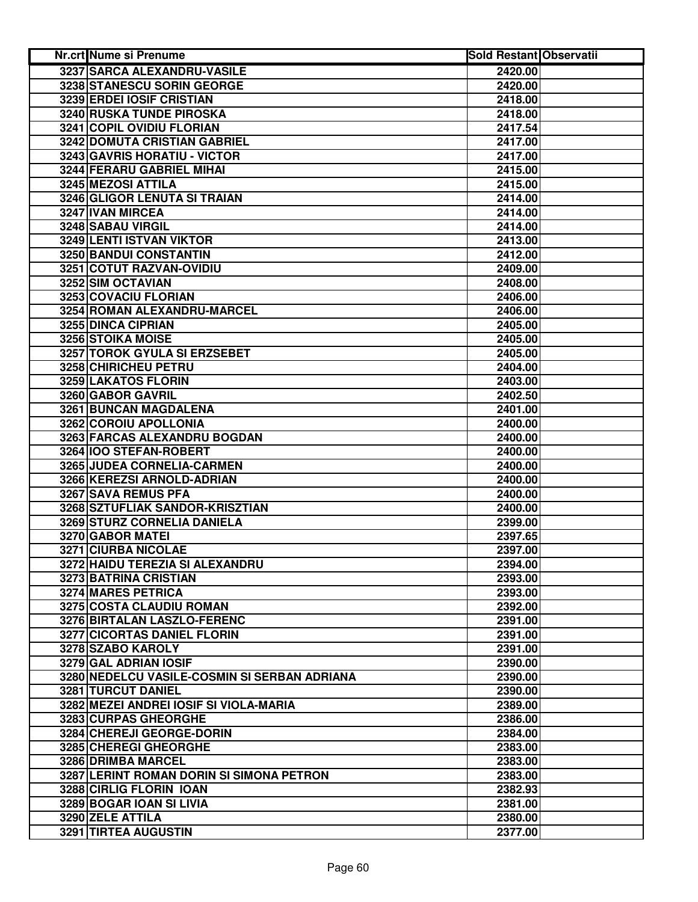| Nr.crt Nume si Prenume                       | <b>Sold Restant Observatii</b> |  |
|----------------------------------------------|--------------------------------|--|
| 3237 SARCA ALEXANDRU-VASILE                  | 2420.00                        |  |
| 3238 STANESCU SORIN GEORGE                   | 2420.00                        |  |
| 3239 ERDEI IOSIF CRISTIAN                    | 2418.00                        |  |
| 3240 RUSKA TUNDE PIROSKA                     | 2418.00                        |  |
| 3241 COPIL OVIDIU FLORIAN                    | 2417.54                        |  |
| 3242 DOMUTA CRISTIAN GABRIEL                 | 2417.00                        |  |
| 3243 GAVRIS HORATIU - VICTOR                 | 2417.00                        |  |
| 3244 FERARU GABRIEL MIHAI                    | 2415.00                        |  |
| 3245 MEZOSI ATTILA                           | 2415.00                        |  |
| 3246 GLIGOR LENUTA SI TRAIAN                 | 2414.00                        |  |
| 3247 IVAN MIRCEA                             | 2414.00                        |  |
| 3248 SABAU VIRGIL                            | 2414.00                        |  |
| 3249 LENTI ISTVAN VIKTOR                     | 2413.00                        |  |
| 3250 BANDUI CONSTANTIN                       | 2412.00                        |  |
| 3251 COTUT RAZVAN-OVIDIU                     | 2409.00                        |  |
| 3252 SIM OCTAVIAN                            | 2408.00                        |  |
| 3253 COVACIU FLORIAN                         | 2406.00                        |  |
| 3254 ROMAN ALEXANDRU-MARCEL                  | 2406.00                        |  |
| 3255 DINCA CIPRIAN                           | 2405.00                        |  |
| 3256 STOIKA MOISE                            | 2405.00                        |  |
| 3257 TOROK GYULA SI ERZSEBET                 | 2405.00                        |  |
| 3258 CHIRICHEU PETRU                         | 2404.00                        |  |
| 3259 LAKATOS FLORIN                          | 2403.00                        |  |
| 3260 GABOR GAVRIL                            | 2402.50                        |  |
| <b>3261 BUNCAN MAGDALENA</b>                 | 2401.00                        |  |
| 3262 COROIU APOLLONIA                        | 2400.00                        |  |
| 3263 FARCAS ALEXANDRU BOGDAN                 | 2400.00                        |  |
| 3264 IOO STEFAN-ROBERT                       | 2400.00                        |  |
| 3265 JUDEA CORNELIA-CARMEN                   | 2400.00                        |  |
| 3266 KEREZSI ARNOLD-ADRIAN                   | 2400.00                        |  |
| 3267 SAVA REMUS PFA                          | 2400.00                        |  |
| 3268 SZTUFLIAK SANDOR-KRISZTIAN              | 2400.00                        |  |
| 3269 STURZ CORNELIA DANIELA                  | 2399.00                        |  |
| 3270 GABOR MATEI                             | 2397.65                        |  |
| 3271 CIURBA NICOLAE                          | 2397.00                        |  |
| 3272 HAIDU TEREZIA SI ALEXANDRU              | 2394.00                        |  |
| 3273 BATRINA CRISTIAN                        | 2393.00                        |  |
| 3274 MARES PETRICA                           | 2393.00                        |  |
| 3275 COSTA CLAUDIU ROMAN                     | 2392.00                        |  |
| 3276 BIRTALAN LASZLO-FERENC                  | 2391.00                        |  |
| 3277 CICORTAS DANIEL FLORIN                  | 2391.00                        |  |
| 3278 SZABO KAROLY                            | 2391.00                        |  |
| 3279 GAL ADRIAN IOSIF                        | 2390.00                        |  |
| 3280 NEDELCU VASILE-COSMIN SI SERBAN ADRIANA | 2390.00                        |  |
| 3281 TURCUT DANIEL                           | 2390.00                        |  |
| 3282 MEZEI ANDREI IOSIF SI VIOLA-MARIA       | 2389.00                        |  |
| 3283 CURPAS GHEORGHE                         | 2386.00                        |  |
| 3284 CHEREJI GEORGE-DORIN                    | 2384.00                        |  |
| 3285 CHEREGI GHEORGHE                        | 2383.00                        |  |
| 3286 DRIMBA MARCEL                           | 2383.00                        |  |
| 3287 LERINT ROMAN DORIN SI SIMONA PETRON     | 2383.00                        |  |
| 3288 CIRLIG FLORIN IOAN                      | 2382.93                        |  |
| 3289 BOGAR IOAN SI LIVIA                     | 2381.00                        |  |
| 3290 ZELE ATTILA                             | 2380.00                        |  |
| 3291 TIRTEA AUGUSTIN                         | 2377.00                        |  |
|                                              |                                |  |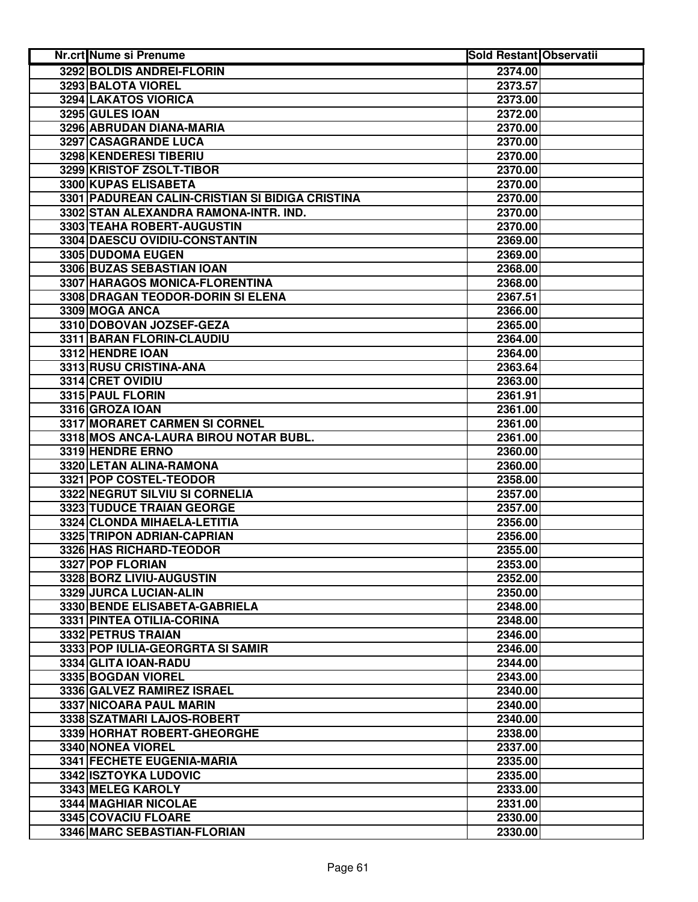| <b>Nr.crt Nume si Prenume</b>                   | <b>Sold Restant Observatii</b> |  |
|-------------------------------------------------|--------------------------------|--|
| 3292 BOLDIS ANDREI-FLORIN                       | 2374.00                        |  |
| 3293 BALOTA VIOREL                              | 2373.57                        |  |
| 3294 LAKATOS VIORICA                            | 2373.00                        |  |
| 3295 GULES IOAN                                 | 2372.00                        |  |
| 3296 ABRUDAN DIANA-MARIA                        | 2370.00                        |  |
| 3297 CASAGRANDE LUCA                            | 2370.00                        |  |
| 3298 KENDERESI TIBERIU                          | 2370.00                        |  |
| 3299 KRISTOF ZSOLT-TIBOR                        | 2370.00                        |  |
| 3300 KUPAS ELISABETA                            | 2370.00                        |  |
| 3301 PADUREAN CALIN-CRISTIAN SI BIDIGA CRISTINA | 2370.00                        |  |
| 3302 STAN ALEXANDRA RAMONA-INTR. IND.           | 2370.00                        |  |
| 3303 TEAHA ROBERT-AUGUSTIN                      | 2370.00                        |  |
| 3304 DAESCU OVIDIU-CONSTANTIN                   | 2369.00                        |  |
| 3305 DUDOMA EUGEN                               | 2369.00                        |  |
| 3306 BUZAS SEBASTIAN IOAN                       | 2368.00                        |  |
| 3307 HARAGOS MONICA-FLORENTINA                  | 2368.00                        |  |
| 3308 DRAGAN TEODOR-DORIN SI ELENA               | 2367.51                        |  |
| 3309 MOGA ANCA                                  | 2366.00                        |  |
| 3310 DOBOVAN JOZSEF-GEZA                        | 2365.00                        |  |
| 3311 BARAN FLORIN-CLAUDIU                       | 2364.00                        |  |
| 3312 HENDRE IOAN                                | 2364.00                        |  |
| 3313 RUSU CRISTINA-ANA                          | 2363.64                        |  |
| 3314 CRET OVIDIU                                | 2363.00                        |  |
| 3315 PAUL FLORIN                                | 2361.91                        |  |
| 3316 GROZA IOAN                                 | 2361.00                        |  |
| 3317 MORARET CARMEN SI CORNEL                   | 2361.00                        |  |
| 3318 MOS ANCA-LAURA BIROU NOTAR BUBL.           | 2361.00                        |  |
| 3319 HENDRE ERNO                                | 2360.00                        |  |
| 3320 LETAN ALINA-RAMONA                         | 2360.00                        |  |
| 3321 POP COSTEL-TEODOR                          | 2358.00                        |  |
| 3322 NEGRUT SILVIU SI CORNELIA                  | 2357.00                        |  |
| 3323 TUDUCE TRAIAN GEORGE                       | 2357.00                        |  |
| 3324 CLONDA MIHAELA-LETITIA                     | 2356.00                        |  |
| 3325 TRIPON ADRIAN-CAPRIAN                      | 2356.00                        |  |
| 3326 HAS RICHARD-TEODOR                         | 2355.00                        |  |
| 3327 POP FLORIAN                                | 2353.00                        |  |
| 3328 BORZ LIVIU-AUGUSTIN                        | 2352.00                        |  |
| 3329 JURCA LUCIAN-ALIN                          | 2350.00                        |  |
| 3330 BENDE ELISABETA-GABRIELA                   | 2348.00                        |  |
| 3331 PINTEA OTILIA-CORINA                       | 2348.00                        |  |
| 3332 PETRUS TRAIAN                              | 2346.00                        |  |
| 3333 POP IULIA-GEORGRTA SI SAMIR                | 2346.00                        |  |
| 3334 GLITA IOAN-RADU                            | 2344.00                        |  |
| 3335 BOGDAN VIOREL                              | 2343.00                        |  |
| 3336 GALVEZ RAMIREZ ISRAEL                      | 2340.00                        |  |
| 3337 NICOARA PAUL MARIN                         | 2340.00                        |  |
| 3338 SZATMARI LAJOS-ROBERT                      | 2340.00                        |  |
| 3339 HORHAT ROBERT-GHEORGHE                     | 2338.00                        |  |
| 3340 NONEA VIOREL                               | 2337.00                        |  |
| 3341 FECHETE EUGENIA-MARIA                      | 2335.00                        |  |
| <b>3342 ISZTOYKA LUDOVIC</b>                    | 2335.00                        |  |
| 3343 MELEG KAROLY                               | 2333.00                        |  |
| 3344 MAGHIAR NICOLAE                            | 2331.00                        |  |
| 3345 COVACIU FLOARE                             | 2330.00                        |  |
| 3346 MARC SEBASTIAN-FLORIAN                     | 2330.00                        |  |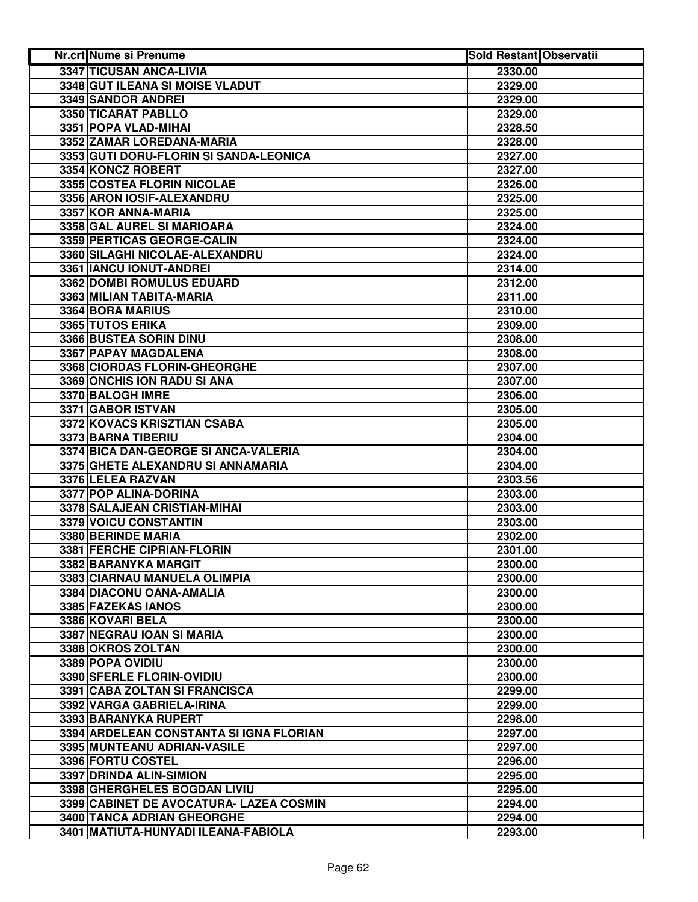| <b>Nr.crt Nume si Prenume</b>           | <b>Sold Restant Observatii</b> |  |
|-----------------------------------------|--------------------------------|--|
| 3347 TICUSAN ANCA-LIVIA                 | 2330.00                        |  |
| 3348 GUT ILEANA SI MOISE VLADUT         | 2329.00                        |  |
| 3349 SANDOR ANDREI                      | 2329.00                        |  |
| 3350 TICARAT PABLLO                     | 2329.00                        |  |
| 3351 POPA VLAD-MIHAI                    | 2328.50                        |  |
| 3352 ZAMAR LOREDANA-MARIA               | 2328.00                        |  |
| 3353 GUTI DORU-FLORIN SI SANDA-LEONICA  | 2327.00                        |  |
| 3354 KONCZ ROBERT                       | 2327.00                        |  |
| 3355 COSTEA FLORIN NICOLAE              | 2326.00                        |  |
| 3356 ARON IOSIF-ALEXANDRU               | 2325.00                        |  |
| 3357 KOR ANNA-MARIA                     | 2325.00                        |  |
| 3358 GAL AUREL SI MARIOARA              | 2324.00                        |  |
| 3359 PERTICAS GEORGE-CALIN              | 2324.00                        |  |
| 3360 SILAGHI NICOLAE-ALEXANDRU          | 2324.00                        |  |
| 3361 IANCU IONUT-ANDREI                 | 2314.00                        |  |
| 3362 DOMBI ROMULUS EDUARD               | 2312.00                        |  |
| 3363 MILIAN TABITA-MARIA                | 2311.00                        |  |
| 3364 BORA MARIUS                        | 2310.00                        |  |
| 3365 TUTOS ERIKA                        | 2309.00                        |  |
| 3366 BUSTEA SORIN DINU                  | 2308.00                        |  |
| 3367 PAPAY MAGDALENA                    | 2308.00                        |  |
| 3368 CIORDAS FLORIN-GHEORGHE            | 2307.00                        |  |
| 3369 ONCHIS ION RADU SI ANA             | 2307.00                        |  |
| 3370 BALOGH IMRE                        | 2306.00                        |  |
| 3371 GABOR ISTVAN                       | 2305.00                        |  |
| 3372 KOVACS KRISZTIAN CSABA             | 2305.00                        |  |
| 3373 BARNA TIBERIU                      | 2304.00                        |  |
| 3374 BICA DAN-GEORGE SI ANCA-VALERIA    | 2304.00                        |  |
| 3375 GHETE ALEXANDRU SI ANNAMARIA       | 2304.00                        |  |
| 3376 LELEA RAZVAN                       | 2303.56                        |  |
| 3377 POP ALINA-DORINA                   | 2303.00                        |  |
| 3378 SALAJEAN CRISTIAN-MIHAI            | 2303.00                        |  |
| 3379 VOICU CONSTANTIN                   | 2303.00                        |  |
| 3380 BERINDE MARIA                      | 2302.00                        |  |
| 3381 FERCHE CIPRIAN-FLORIN              | 2301.00                        |  |
| 3382 BARANYKA MARGIT                    | 2300.00                        |  |
| 3383 CIARNAU MANUELA OLIMPIA            | 2300.00                        |  |
| 3384 DIACONU OANA-AMALIA                | 2300.00                        |  |
| 3385 FAZEKAS IANOS                      | 2300.00                        |  |
| 3386 KOVARI BELA                        | 2300.00                        |  |
| 3387 NEGRAU IOAN SI MARIA               | 2300.00                        |  |
| 3388 OKROS ZOLTAN                       | 2300.00                        |  |
| 3389 POPA OVIDIU                        | 2300.00                        |  |
| 3390 SFERLE FLORIN-OVIDIU               | 2300.00                        |  |
| 3391 CABA ZOLTAN SI FRANCISCA           | 2299.00                        |  |
| 3392 VARGA GABRIELA-IRINA               | 2299.00                        |  |
| 3393 BARANYKA RUPERT                    | 2298.00                        |  |
| 3394 ARDELEAN CONSTANTA SI IGNA FLORIAN | 2297.00                        |  |
| 3395 MUNTEANU ADRIAN-VASILE             | 2297.00                        |  |
| 3396 FORTU COSTEL                       | 2296.00                        |  |
| 3397 DRINDA ALIN-SIMION                 | 2295.00                        |  |
| 3398 GHERGHELES BOGDAN LIVIU            | 2295.00                        |  |
| 3399 CABINET DE AVOCATURA- LAZEA COSMIN | 2294.00                        |  |
| 3400 TANCA ADRIAN GHEORGHE              | 2294.00                        |  |
| 3401 MATIUTA-HUNYADI ILEANA-FABIOLA     | 2293.00                        |  |
|                                         |                                |  |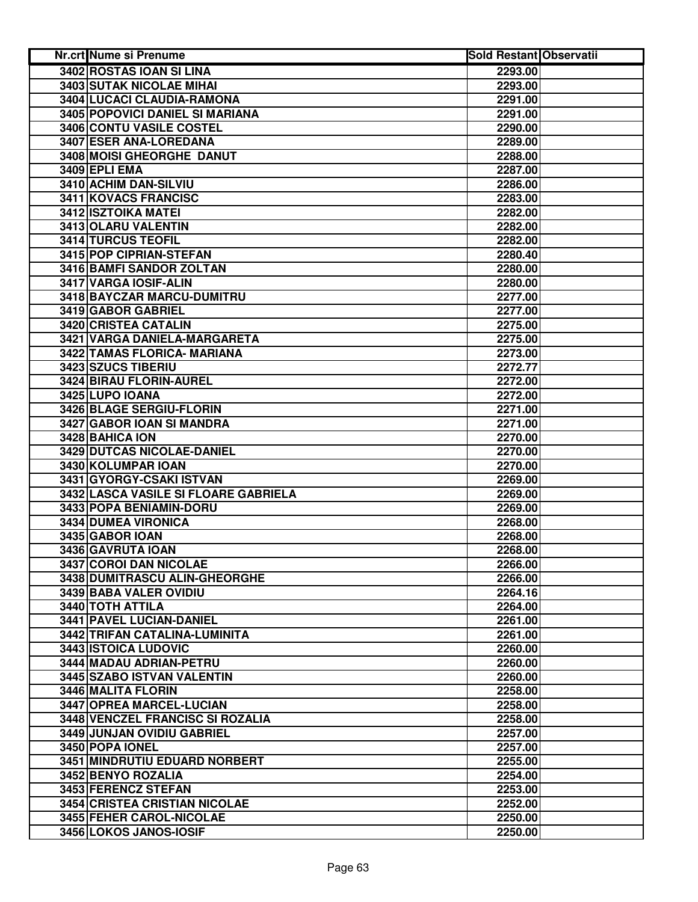| Nr.crt Nume si Prenume               | <b>Sold Restant Observatii</b> |  |
|--------------------------------------|--------------------------------|--|
| 3402 ROSTAS IOAN SI LINA             | 2293.00                        |  |
| 3403 SUTAK NICOLAE MIHAI             | 2293.00                        |  |
| 3404 LUCACI CLAUDIA-RAMONA           | 2291.00                        |  |
| 3405 POPOVICI DANIEL SI MARIANA      | 2291.00                        |  |
| <b>3406 CONTU VASILE COSTEL</b>      | 2290.00                        |  |
| 3407 ESER ANA-LOREDANA               | 2289.00                        |  |
| 3408 MOISI GHEORGHE DANUT            | 2288.00                        |  |
| 3409 EPLI EMA                        | 2287.00                        |  |
| 3410 ACHIM DAN-SILVIU                | 2286.00                        |  |
| 3411 KOVACS FRANCISC                 | 2283.00                        |  |
| 3412 ISZTOIKA MATEI                  | 2282.00                        |  |
| 3413 OLARU VALENTIN                  | 2282.00                        |  |
| 3414 TURCUS TEOFIL                   | 2282.00                        |  |
| 3415 POP CIPRIAN-STEFAN              | 2280.40                        |  |
| 3416 BAMFI SANDOR ZOLTAN             | 2280.00                        |  |
| 3417 VARGA IOSIF-ALIN                | 2280.00                        |  |
| 3418 BAYCZAR MARCU-DUMITRU           | 2277.00                        |  |
| 3419 GABOR GABRIEL                   | 2277.00                        |  |
| 3420 CRISTEA CATALIN                 | 2275.00                        |  |
| 3421 VARGA DANIELA-MARGARETA         | 2275.00                        |  |
| <b>3422 TAMAS FLORICA- MARIANA</b>   | 2273.00                        |  |
| 3423 SZUCS TIBERIU                   | 2272.77                        |  |
| 3424 BIRAU FLORIN-AUREL              | 2272.00                        |  |
| 3425 LUPO IOANA                      | 2272.00                        |  |
| 3426 BLAGE SERGIU-FLORIN             | 2271.00                        |  |
| 3427 GABOR IOAN SI MANDRA            | 2271.00                        |  |
| 3428 BAHICA ION                      | 2270.00                        |  |
| 3429 DUTCAS NICOLAE-DANIEL           | 2270.00                        |  |
| 3430 KOLUMPAR IOAN                   | 2270.00                        |  |
| 3431 GYORGY-CSAKI ISTVAN             | 2269.00                        |  |
| 3432 LASCA VASILE SI FLOARE GABRIELA | 2269.00                        |  |
| 3433 POPA BENIAMIN-DORU              | 2269.00                        |  |
| 3434 DUMEA VIRONICA                  | 2268.00                        |  |
| 3435 GABOR IOAN                      | 2268.00                        |  |
| 3436 GAVRUTA IOAN                    | 2268.00                        |  |
| 3437 COROI DAN NICOLAE               | 2266.00                        |  |
| 3438 DUMITRASCU ALIN-GHEORGHE        | 2266.00                        |  |
| 3439 BABA VALER OVIDIU               | 2264.16                        |  |
| 3440 TOTH ATTILA                     | 2264.00                        |  |
| 3441 PAVEL LUCIAN-DANIEL             | 2261.00                        |  |
| 3442 TRIFAN CATALINA-LUMINITA        | 2261.00                        |  |
| 3443 ISTOICA LUDOVIC                 | 2260.00                        |  |
| 3444 MADAU ADRIAN-PETRU              | 2260.00                        |  |
| 3445 SZABO ISTVAN VALENTIN           | 2260.00                        |  |
| 3446 MALITA FLORIN                   | 2258.00                        |  |
| 3447 OPREA MARCEL-LUCIAN             | 2258.00                        |  |
| 3448 VENCZEL FRANCISC SI ROZALIA     | 2258.00                        |  |
| 3449 JUNJAN OVIDIU GABRIEL           | 2257.00                        |  |
| 3450 POPA IONEL                      | 2257.00                        |  |
| 3451 MINDRUTIU EDUARD NORBERT        | 2255.00                        |  |
| 3452 BENYO ROZALIA                   | 2254.00                        |  |
| 3453 FERENCZ STEFAN                  | 2253.00                        |  |
| 3454 CRISTEA CRISTIAN NICOLAE        | 2252.00                        |  |
| 3455 FEHER CAROL-NICOLAE             | 2250.00                        |  |
| 3456 LOKOS JANOS-IOSIF               | 2250.00                        |  |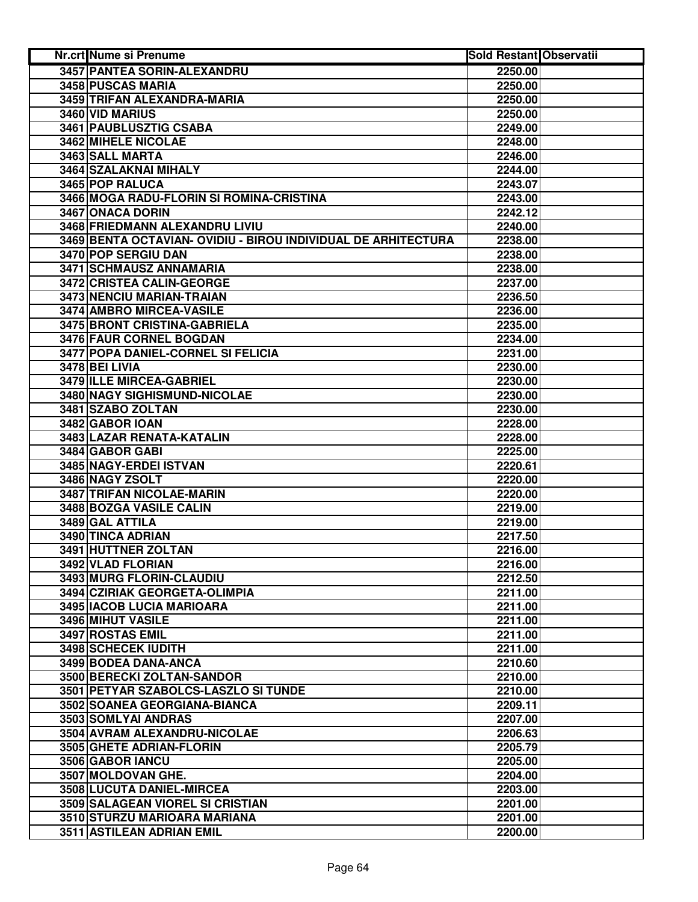| 3457 PANTEA SORIN-ALEXANDRU<br>2250.00<br>3458 PUSCAS MARIA<br>2250.00<br>3459 TRIFAN ALEXANDRA-MARIA<br>2250.00<br>3460 VID MARIUS<br>2250.00<br>3461 PAUBLUSZTIG CSABA<br>2249.00<br>3462 MIHELE NICOLAE<br>2248.00<br>3463 SALL MARTA<br>2246.00<br>3464 SZALAKNAI MIHALY<br>2244.00<br>3465 POP RALUCA<br>2243.07<br>3466 MOGA RADU-FLORIN SI ROMINA-CRISTINA<br>2243.00<br>3467 ONACA DORIN<br>2242.12<br>3468 FRIEDMANN ALEXANDRU LIVIU<br>2240.00<br>3469 BENTA OCTAVIAN- OVIDIU - BIROU INDIVIDUAL DE ARHITECTURA<br>2238.00<br>3470 POP SERGIU DAN<br>2238.00<br>3471 SCHMAUSZ ANNAMARIA<br>2238.00<br>3472 CRISTEA CALIN-GEORGE<br>2237.00<br>3473 NENCIU MARIAN-TRAIAN<br>2236.50<br>3474 AMBRO MIRCEA-VASILE<br>2236.00<br>3475 BRONT CRISTINA-GABRIELA<br>2235.00<br>3476 FAUR CORNEL BOGDAN<br>2234.00<br>3477 POPA DANIEL-CORNEL SI FELICIA<br>2231.00<br>3478 BEI LIVIA<br>2230.00<br>3479 ILLE MIRCEA-GABRIEL<br>2230.00<br>3480 NAGY SIGHISMUND-NICOLAE<br>2230.00<br>3481 SZABO ZOLTAN<br>2230.00<br>3482 GABOR IOAN<br>2228.00<br>3483 LAZAR RENATA-KATALIN<br>2228.00<br>3484 GABOR GABI<br>2225.00<br>3485 NAGY-ERDEI ISTVAN<br>2220.61<br>3486 NAGY ZSOLT<br>2220.00<br>3487 TRIFAN NICOLAE-MARIN<br>2220.00<br>3488 BOZGA VASILE CALIN<br>2219.00<br>3489 GAL ATTILA<br>2219.00<br>3490 TINCA ADRIAN<br>2217.50<br>3491 HUTTNER ZOLTAN<br>2216.00<br>3492 VLAD FLORIAN<br>2216.00<br>3493 MURG FLORIN-CLAUDIU<br>2212.50<br>3494 CZIRIAK GEORGETA-OLIMPIA<br>2211.00<br>3495   IACOB LUCIA MARIOARA<br>2211.00<br>3496 MIHUT VASILE<br>2211.00<br>3497 ROSTAS EMIL<br>2211.00<br>3498 SCHECEK IUDITH<br>2211.00<br>3499 BODEA DANA-ANCA<br>2210.60<br>3500 BERECKI ZOLTAN-SANDOR<br>2210.00<br>3501 PETYAR SZABOLCS-LASZLO SI TUNDE<br>2210.00<br>3502 SOANEA GEORGIANA-BIANCA<br>2209.11<br>3503 SOMLYAI ANDRAS<br>2207.00<br>3504 AVRAM ALEXANDRU-NICOLAE<br>2206.63<br>3505 GHETE ADRIAN-FLORIN<br>2205.79<br>3506 GABOR IANCU<br>2205.00<br>3507 MOLDOVAN GHE.<br>2204.00<br>3508 LUCUTA DANIEL-MIRCEA<br>2203.00<br>3509 SALAGEAN VIOREL SI CRISTIAN<br>2201.00<br>3510 STURZU MARIOARA MARIANA<br>2201.00<br>3511 ASTILEAN ADRIAN EMIL<br>2200.00 | <b>Nr.crt Nume si Prenume</b> | <b>Sold Restant Observatii</b> |  |
|---------------------------------------------------------------------------------------------------------------------------------------------------------------------------------------------------------------------------------------------------------------------------------------------------------------------------------------------------------------------------------------------------------------------------------------------------------------------------------------------------------------------------------------------------------------------------------------------------------------------------------------------------------------------------------------------------------------------------------------------------------------------------------------------------------------------------------------------------------------------------------------------------------------------------------------------------------------------------------------------------------------------------------------------------------------------------------------------------------------------------------------------------------------------------------------------------------------------------------------------------------------------------------------------------------------------------------------------------------------------------------------------------------------------------------------------------------------------------------------------------------------------------------------------------------------------------------------------------------------------------------------------------------------------------------------------------------------------------------------------------------------------------------------------------------------------------------------------------------------------------------------------------------------------------------------------------------------------------------------------------------------------------------------------------------------------------------------------------------------------------------------------------------------------------------|-------------------------------|--------------------------------|--|
|                                                                                                                                                                                                                                                                                                                                                                                                                                                                                                                                                                                                                                                                                                                                                                                                                                                                                                                                                                                                                                                                                                                                                                                                                                                                                                                                                                                                                                                                                                                                                                                                                                                                                                                                                                                                                                                                                                                                                                                                                                                                                                                                                                                 |                               |                                |  |
|                                                                                                                                                                                                                                                                                                                                                                                                                                                                                                                                                                                                                                                                                                                                                                                                                                                                                                                                                                                                                                                                                                                                                                                                                                                                                                                                                                                                                                                                                                                                                                                                                                                                                                                                                                                                                                                                                                                                                                                                                                                                                                                                                                                 |                               |                                |  |
|                                                                                                                                                                                                                                                                                                                                                                                                                                                                                                                                                                                                                                                                                                                                                                                                                                                                                                                                                                                                                                                                                                                                                                                                                                                                                                                                                                                                                                                                                                                                                                                                                                                                                                                                                                                                                                                                                                                                                                                                                                                                                                                                                                                 |                               |                                |  |
|                                                                                                                                                                                                                                                                                                                                                                                                                                                                                                                                                                                                                                                                                                                                                                                                                                                                                                                                                                                                                                                                                                                                                                                                                                                                                                                                                                                                                                                                                                                                                                                                                                                                                                                                                                                                                                                                                                                                                                                                                                                                                                                                                                                 |                               |                                |  |
|                                                                                                                                                                                                                                                                                                                                                                                                                                                                                                                                                                                                                                                                                                                                                                                                                                                                                                                                                                                                                                                                                                                                                                                                                                                                                                                                                                                                                                                                                                                                                                                                                                                                                                                                                                                                                                                                                                                                                                                                                                                                                                                                                                                 |                               |                                |  |
|                                                                                                                                                                                                                                                                                                                                                                                                                                                                                                                                                                                                                                                                                                                                                                                                                                                                                                                                                                                                                                                                                                                                                                                                                                                                                                                                                                                                                                                                                                                                                                                                                                                                                                                                                                                                                                                                                                                                                                                                                                                                                                                                                                                 |                               |                                |  |
|                                                                                                                                                                                                                                                                                                                                                                                                                                                                                                                                                                                                                                                                                                                                                                                                                                                                                                                                                                                                                                                                                                                                                                                                                                                                                                                                                                                                                                                                                                                                                                                                                                                                                                                                                                                                                                                                                                                                                                                                                                                                                                                                                                                 |                               |                                |  |
|                                                                                                                                                                                                                                                                                                                                                                                                                                                                                                                                                                                                                                                                                                                                                                                                                                                                                                                                                                                                                                                                                                                                                                                                                                                                                                                                                                                                                                                                                                                                                                                                                                                                                                                                                                                                                                                                                                                                                                                                                                                                                                                                                                                 |                               |                                |  |
|                                                                                                                                                                                                                                                                                                                                                                                                                                                                                                                                                                                                                                                                                                                                                                                                                                                                                                                                                                                                                                                                                                                                                                                                                                                                                                                                                                                                                                                                                                                                                                                                                                                                                                                                                                                                                                                                                                                                                                                                                                                                                                                                                                                 |                               |                                |  |
|                                                                                                                                                                                                                                                                                                                                                                                                                                                                                                                                                                                                                                                                                                                                                                                                                                                                                                                                                                                                                                                                                                                                                                                                                                                                                                                                                                                                                                                                                                                                                                                                                                                                                                                                                                                                                                                                                                                                                                                                                                                                                                                                                                                 |                               |                                |  |
|                                                                                                                                                                                                                                                                                                                                                                                                                                                                                                                                                                                                                                                                                                                                                                                                                                                                                                                                                                                                                                                                                                                                                                                                                                                                                                                                                                                                                                                                                                                                                                                                                                                                                                                                                                                                                                                                                                                                                                                                                                                                                                                                                                                 |                               |                                |  |
|                                                                                                                                                                                                                                                                                                                                                                                                                                                                                                                                                                                                                                                                                                                                                                                                                                                                                                                                                                                                                                                                                                                                                                                                                                                                                                                                                                                                                                                                                                                                                                                                                                                                                                                                                                                                                                                                                                                                                                                                                                                                                                                                                                                 |                               |                                |  |
|                                                                                                                                                                                                                                                                                                                                                                                                                                                                                                                                                                                                                                                                                                                                                                                                                                                                                                                                                                                                                                                                                                                                                                                                                                                                                                                                                                                                                                                                                                                                                                                                                                                                                                                                                                                                                                                                                                                                                                                                                                                                                                                                                                                 |                               |                                |  |
|                                                                                                                                                                                                                                                                                                                                                                                                                                                                                                                                                                                                                                                                                                                                                                                                                                                                                                                                                                                                                                                                                                                                                                                                                                                                                                                                                                                                                                                                                                                                                                                                                                                                                                                                                                                                                                                                                                                                                                                                                                                                                                                                                                                 |                               |                                |  |
|                                                                                                                                                                                                                                                                                                                                                                                                                                                                                                                                                                                                                                                                                                                                                                                                                                                                                                                                                                                                                                                                                                                                                                                                                                                                                                                                                                                                                                                                                                                                                                                                                                                                                                                                                                                                                                                                                                                                                                                                                                                                                                                                                                                 |                               |                                |  |
|                                                                                                                                                                                                                                                                                                                                                                                                                                                                                                                                                                                                                                                                                                                                                                                                                                                                                                                                                                                                                                                                                                                                                                                                                                                                                                                                                                                                                                                                                                                                                                                                                                                                                                                                                                                                                                                                                                                                                                                                                                                                                                                                                                                 |                               |                                |  |
|                                                                                                                                                                                                                                                                                                                                                                                                                                                                                                                                                                                                                                                                                                                                                                                                                                                                                                                                                                                                                                                                                                                                                                                                                                                                                                                                                                                                                                                                                                                                                                                                                                                                                                                                                                                                                                                                                                                                                                                                                                                                                                                                                                                 |                               |                                |  |
|                                                                                                                                                                                                                                                                                                                                                                                                                                                                                                                                                                                                                                                                                                                                                                                                                                                                                                                                                                                                                                                                                                                                                                                                                                                                                                                                                                                                                                                                                                                                                                                                                                                                                                                                                                                                                                                                                                                                                                                                                                                                                                                                                                                 |                               |                                |  |
|                                                                                                                                                                                                                                                                                                                                                                                                                                                                                                                                                                                                                                                                                                                                                                                                                                                                                                                                                                                                                                                                                                                                                                                                                                                                                                                                                                                                                                                                                                                                                                                                                                                                                                                                                                                                                                                                                                                                                                                                                                                                                                                                                                                 |                               |                                |  |
|                                                                                                                                                                                                                                                                                                                                                                                                                                                                                                                                                                                                                                                                                                                                                                                                                                                                                                                                                                                                                                                                                                                                                                                                                                                                                                                                                                                                                                                                                                                                                                                                                                                                                                                                                                                                                                                                                                                                                                                                                                                                                                                                                                                 |                               |                                |  |
|                                                                                                                                                                                                                                                                                                                                                                                                                                                                                                                                                                                                                                                                                                                                                                                                                                                                                                                                                                                                                                                                                                                                                                                                                                                                                                                                                                                                                                                                                                                                                                                                                                                                                                                                                                                                                                                                                                                                                                                                                                                                                                                                                                                 |                               |                                |  |
|                                                                                                                                                                                                                                                                                                                                                                                                                                                                                                                                                                                                                                                                                                                                                                                                                                                                                                                                                                                                                                                                                                                                                                                                                                                                                                                                                                                                                                                                                                                                                                                                                                                                                                                                                                                                                                                                                                                                                                                                                                                                                                                                                                                 |                               |                                |  |
|                                                                                                                                                                                                                                                                                                                                                                                                                                                                                                                                                                                                                                                                                                                                                                                                                                                                                                                                                                                                                                                                                                                                                                                                                                                                                                                                                                                                                                                                                                                                                                                                                                                                                                                                                                                                                                                                                                                                                                                                                                                                                                                                                                                 |                               |                                |  |
|                                                                                                                                                                                                                                                                                                                                                                                                                                                                                                                                                                                                                                                                                                                                                                                                                                                                                                                                                                                                                                                                                                                                                                                                                                                                                                                                                                                                                                                                                                                                                                                                                                                                                                                                                                                                                                                                                                                                                                                                                                                                                                                                                                                 |                               |                                |  |
|                                                                                                                                                                                                                                                                                                                                                                                                                                                                                                                                                                                                                                                                                                                                                                                                                                                                                                                                                                                                                                                                                                                                                                                                                                                                                                                                                                                                                                                                                                                                                                                                                                                                                                                                                                                                                                                                                                                                                                                                                                                                                                                                                                                 |                               |                                |  |
|                                                                                                                                                                                                                                                                                                                                                                                                                                                                                                                                                                                                                                                                                                                                                                                                                                                                                                                                                                                                                                                                                                                                                                                                                                                                                                                                                                                                                                                                                                                                                                                                                                                                                                                                                                                                                                                                                                                                                                                                                                                                                                                                                                                 |                               |                                |  |
|                                                                                                                                                                                                                                                                                                                                                                                                                                                                                                                                                                                                                                                                                                                                                                                                                                                                                                                                                                                                                                                                                                                                                                                                                                                                                                                                                                                                                                                                                                                                                                                                                                                                                                                                                                                                                                                                                                                                                                                                                                                                                                                                                                                 |                               |                                |  |
|                                                                                                                                                                                                                                                                                                                                                                                                                                                                                                                                                                                                                                                                                                                                                                                                                                                                                                                                                                                                                                                                                                                                                                                                                                                                                                                                                                                                                                                                                                                                                                                                                                                                                                                                                                                                                                                                                                                                                                                                                                                                                                                                                                                 |                               |                                |  |
|                                                                                                                                                                                                                                                                                                                                                                                                                                                                                                                                                                                                                                                                                                                                                                                                                                                                                                                                                                                                                                                                                                                                                                                                                                                                                                                                                                                                                                                                                                                                                                                                                                                                                                                                                                                                                                                                                                                                                                                                                                                                                                                                                                                 |                               |                                |  |
|                                                                                                                                                                                                                                                                                                                                                                                                                                                                                                                                                                                                                                                                                                                                                                                                                                                                                                                                                                                                                                                                                                                                                                                                                                                                                                                                                                                                                                                                                                                                                                                                                                                                                                                                                                                                                                                                                                                                                                                                                                                                                                                                                                                 |                               |                                |  |
|                                                                                                                                                                                                                                                                                                                                                                                                                                                                                                                                                                                                                                                                                                                                                                                                                                                                                                                                                                                                                                                                                                                                                                                                                                                                                                                                                                                                                                                                                                                                                                                                                                                                                                                                                                                                                                                                                                                                                                                                                                                                                                                                                                                 |                               |                                |  |
|                                                                                                                                                                                                                                                                                                                                                                                                                                                                                                                                                                                                                                                                                                                                                                                                                                                                                                                                                                                                                                                                                                                                                                                                                                                                                                                                                                                                                                                                                                                                                                                                                                                                                                                                                                                                                                                                                                                                                                                                                                                                                                                                                                                 |                               |                                |  |
|                                                                                                                                                                                                                                                                                                                                                                                                                                                                                                                                                                                                                                                                                                                                                                                                                                                                                                                                                                                                                                                                                                                                                                                                                                                                                                                                                                                                                                                                                                                                                                                                                                                                                                                                                                                                                                                                                                                                                                                                                                                                                                                                                                                 |                               |                                |  |
|                                                                                                                                                                                                                                                                                                                                                                                                                                                                                                                                                                                                                                                                                                                                                                                                                                                                                                                                                                                                                                                                                                                                                                                                                                                                                                                                                                                                                                                                                                                                                                                                                                                                                                                                                                                                                                                                                                                                                                                                                                                                                                                                                                                 |                               |                                |  |
|                                                                                                                                                                                                                                                                                                                                                                                                                                                                                                                                                                                                                                                                                                                                                                                                                                                                                                                                                                                                                                                                                                                                                                                                                                                                                                                                                                                                                                                                                                                                                                                                                                                                                                                                                                                                                                                                                                                                                                                                                                                                                                                                                                                 |                               |                                |  |
|                                                                                                                                                                                                                                                                                                                                                                                                                                                                                                                                                                                                                                                                                                                                                                                                                                                                                                                                                                                                                                                                                                                                                                                                                                                                                                                                                                                                                                                                                                                                                                                                                                                                                                                                                                                                                                                                                                                                                                                                                                                                                                                                                                                 |                               |                                |  |
|                                                                                                                                                                                                                                                                                                                                                                                                                                                                                                                                                                                                                                                                                                                                                                                                                                                                                                                                                                                                                                                                                                                                                                                                                                                                                                                                                                                                                                                                                                                                                                                                                                                                                                                                                                                                                                                                                                                                                                                                                                                                                                                                                                                 |                               |                                |  |
|                                                                                                                                                                                                                                                                                                                                                                                                                                                                                                                                                                                                                                                                                                                                                                                                                                                                                                                                                                                                                                                                                                                                                                                                                                                                                                                                                                                                                                                                                                                                                                                                                                                                                                                                                                                                                                                                                                                                                                                                                                                                                                                                                                                 |                               |                                |  |
|                                                                                                                                                                                                                                                                                                                                                                                                                                                                                                                                                                                                                                                                                                                                                                                                                                                                                                                                                                                                                                                                                                                                                                                                                                                                                                                                                                                                                                                                                                                                                                                                                                                                                                                                                                                                                                                                                                                                                                                                                                                                                                                                                                                 |                               |                                |  |
|                                                                                                                                                                                                                                                                                                                                                                                                                                                                                                                                                                                                                                                                                                                                                                                                                                                                                                                                                                                                                                                                                                                                                                                                                                                                                                                                                                                                                                                                                                                                                                                                                                                                                                                                                                                                                                                                                                                                                                                                                                                                                                                                                                                 |                               |                                |  |
|                                                                                                                                                                                                                                                                                                                                                                                                                                                                                                                                                                                                                                                                                                                                                                                                                                                                                                                                                                                                                                                                                                                                                                                                                                                                                                                                                                                                                                                                                                                                                                                                                                                                                                                                                                                                                                                                                                                                                                                                                                                                                                                                                                                 |                               |                                |  |
|                                                                                                                                                                                                                                                                                                                                                                                                                                                                                                                                                                                                                                                                                                                                                                                                                                                                                                                                                                                                                                                                                                                                                                                                                                                                                                                                                                                                                                                                                                                                                                                                                                                                                                                                                                                                                                                                                                                                                                                                                                                                                                                                                                                 |                               |                                |  |
|                                                                                                                                                                                                                                                                                                                                                                                                                                                                                                                                                                                                                                                                                                                                                                                                                                                                                                                                                                                                                                                                                                                                                                                                                                                                                                                                                                                                                                                                                                                                                                                                                                                                                                                                                                                                                                                                                                                                                                                                                                                                                                                                                                                 |                               |                                |  |
|                                                                                                                                                                                                                                                                                                                                                                                                                                                                                                                                                                                                                                                                                                                                                                                                                                                                                                                                                                                                                                                                                                                                                                                                                                                                                                                                                                                                                                                                                                                                                                                                                                                                                                                                                                                                                                                                                                                                                                                                                                                                                                                                                                                 |                               |                                |  |
|                                                                                                                                                                                                                                                                                                                                                                                                                                                                                                                                                                                                                                                                                                                                                                                                                                                                                                                                                                                                                                                                                                                                                                                                                                                                                                                                                                                                                                                                                                                                                                                                                                                                                                                                                                                                                                                                                                                                                                                                                                                                                                                                                                                 |                               |                                |  |
|                                                                                                                                                                                                                                                                                                                                                                                                                                                                                                                                                                                                                                                                                                                                                                                                                                                                                                                                                                                                                                                                                                                                                                                                                                                                                                                                                                                                                                                                                                                                                                                                                                                                                                                                                                                                                                                                                                                                                                                                                                                                                                                                                                                 |                               |                                |  |
|                                                                                                                                                                                                                                                                                                                                                                                                                                                                                                                                                                                                                                                                                                                                                                                                                                                                                                                                                                                                                                                                                                                                                                                                                                                                                                                                                                                                                                                                                                                                                                                                                                                                                                                                                                                                                                                                                                                                                                                                                                                                                                                                                                                 |                               |                                |  |
|                                                                                                                                                                                                                                                                                                                                                                                                                                                                                                                                                                                                                                                                                                                                                                                                                                                                                                                                                                                                                                                                                                                                                                                                                                                                                                                                                                                                                                                                                                                                                                                                                                                                                                                                                                                                                                                                                                                                                                                                                                                                                                                                                                                 |                               |                                |  |
|                                                                                                                                                                                                                                                                                                                                                                                                                                                                                                                                                                                                                                                                                                                                                                                                                                                                                                                                                                                                                                                                                                                                                                                                                                                                                                                                                                                                                                                                                                                                                                                                                                                                                                                                                                                                                                                                                                                                                                                                                                                                                                                                                                                 |                               |                                |  |
|                                                                                                                                                                                                                                                                                                                                                                                                                                                                                                                                                                                                                                                                                                                                                                                                                                                                                                                                                                                                                                                                                                                                                                                                                                                                                                                                                                                                                                                                                                                                                                                                                                                                                                                                                                                                                                                                                                                                                                                                                                                                                                                                                                                 |                               |                                |  |
|                                                                                                                                                                                                                                                                                                                                                                                                                                                                                                                                                                                                                                                                                                                                                                                                                                                                                                                                                                                                                                                                                                                                                                                                                                                                                                                                                                                                                                                                                                                                                                                                                                                                                                                                                                                                                                                                                                                                                                                                                                                                                                                                                                                 |                               |                                |  |
|                                                                                                                                                                                                                                                                                                                                                                                                                                                                                                                                                                                                                                                                                                                                                                                                                                                                                                                                                                                                                                                                                                                                                                                                                                                                                                                                                                                                                                                                                                                                                                                                                                                                                                                                                                                                                                                                                                                                                                                                                                                                                                                                                                                 |                               |                                |  |
|                                                                                                                                                                                                                                                                                                                                                                                                                                                                                                                                                                                                                                                                                                                                                                                                                                                                                                                                                                                                                                                                                                                                                                                                                                                                                                                                                                                                                                                                                                                                                                                                                                                                                                                                                                                                                                                                                                                                                                                                                                                                                                                                                                                 |                               |                                |  |
|                                                                                                                                                                                                                                                                                                                                                                                                                                                                                                                                                                                                                                                                                                                                                                                                                                                                                                                                                                                                                                                                                                                                                                                                                                                                                                                                                                                                                                                                                                                                                                                                                                                                                                                                                                                                                                                                                                                                                                                                                                                                                                                                                                                 |                               |                                |  |
|                                                                                                                                                                                                                                                                                                                                                                                                                                                                                                                                                                                                                                                                                                                                                                                                                                                                                                                                                                                                                                                                                                                                                                                                                                                                                                                                                                                                                                                                                                                                                                                                                                                                                                                                                                                                                                                                                                                                                                                                                                                                                                                                                                                 |                               |                                |  |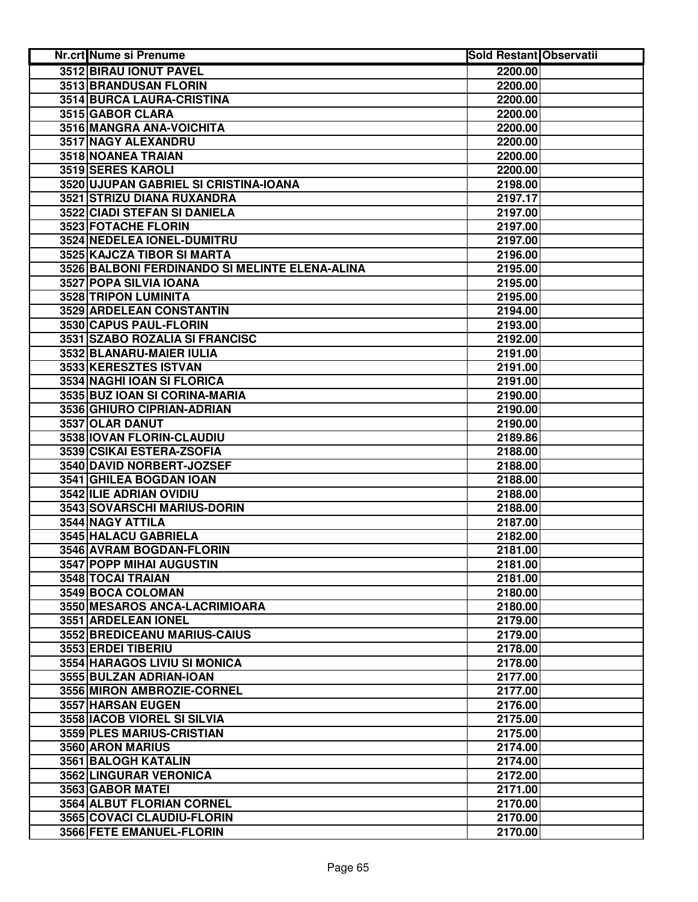| Nr.crt Nume si Prenume                         | <b>Sold Restant Observatii</b> |  |
|------------------------------------------------|--------------------------------|--|
| 3512 BIRAU IONUT PAVEL                         | 2200.00                        |  |
| 3513 BRANDUSAN FLORIN                          | 2200.00                        |  |
| 3514 BURCA LAURA-CRISTINA                      | 2200.00                        |  |
| 3515 GABOR CLARA                               | 2200.00                        |  |
| 3516 MANGRA ANA-VOICHITA                       | 2200.00                        |  |
| 3517 NAGY ALEXANDRU                            | 2200.00                        |  |
| 3518 NOANEA TRAIAN                             | 2200.00                        |  |
| 3519 SERES KAROLI                              | 2200.00                        |  |
| 3520 UJUPAN GABRIEL SI CRISTINA-IOANA          | 2198.00                        |  |
| 3521 STRIZU DIANA RUXANDRA                     | 2197.17                        |  |
| 3522 CIADI STEFAN SI DANIELA                   | 2197.00                        |  |
| 3523 FOTACHE FLORIN                            | 2197.00                        |  |
| 3524 NEDELEA IONEL-DUMITRU                     | 2197.00                        |  |
| 3525 KAJCZA TIBOR SI MARTA                     | 2196.00                        |  |
| 3526 BALBONI FERDINANDO SI MELINTE ELENA-ALINA | 2195.00                        |  |
| 3527 POPA SILVIA IOANA                         | 2195.00                        |  |
| 3528 TRIPON LUMINITA                           | 2195.00                        |  |
| 3529 ARDELEAN CONSTANTIN                       | 2194.00                        |  |
| 3530 CAPUS PAUL-FLORIN                         | 2193.00                        |  |
| 3531 SZABO ROZALIA SI FRANCISC                 | 2192.00                        |  |
| 3532 BLANARU-MAIER IULIA                       | 2191.00                        |  |
| 3533 KERESZTES ISTVAN                          | 2191.00                        |  |
| 3534 NAGHI IOAN SI FLORICA                     | 2191.00                        |  |
| 3535 BUZ IOAN SI CORINA-MARIA                  | 2190.00                        |  |
| 3536 GHIURO CIPRIAN-ADRIAN                     | 2190.00                        |  |
| 3537 OLAR DANUT                                | 2190.00                        |  |
| 3538 IOVAN FLORIN-CLAUDIU                      | 2189.86                        |  |
| 3539 CSIKAI ESTERA-ZSOFIA                      | 2188.00                        |  |
| 3540 DAVID NORBERT-JOZSEF                      | 2188.00                        |  |
| 3541 GHILEA BOGDAN IOAN                        | 2188.00                        |  |
| 3542 ILIE ADRIAN OVIDIU                        | 2188.00                        |  |
| 3543 SOVARSCHI MARIUS-DORIN                    | 2188.00                        |  |
| 3544 NAGY ATTILA                               | 2187.00                        |  |
| 3545 HALACU GABRIELA                           | 2182.00                        |  |
| 3546 AVRAM BOGDAN-FLORIN                       | 2181.00                        |  |
| 3547 POPP MIHAI AUGUSTIN                       | 2181.00                        |  |
| 3548 TOCAI TRAIAN                              | 2181.00                        |  |
| 3549 BOCA COLOMAN                              | 2180.00                        |  |
| 3550 MESAROS ANCA-LACRIMIOARA                  | 2180.00                        |  |
| 3551 ARDELEAN IONEL                            | 2179.00                        |  |
| 3552 BREDICEANU MARIUS-CAIUS                   | 2179.00                        |  |
| 3553 ERDEI TIBERIU                             | 2178.00                        |  |
| 3554 HARAGOS LIVIU SI MONICA                   | 2178.00                        |  |
| 3555 BULZAN ADRIAN-IOAN                        | 2177.00                        |  |
| 3556 MIRON AMBROZIE-CORNEL                     | 2177.00                        |  |
| 3557 HARSAN EUGEN                              | 2176.00                        |  |
| 3558 IACOB VIOREL SI SILVIA                    | 2175.00                        |  |
| 3559 PLES MARIUS-CRISTIAN                      | 2175.00                        |  |
| 3560 ARON MARIUS                               | 2174.00                        |  |
| 3561 BALOGH KATALIN                            | 2174.00                        |  |
| 3562 LINGURAR VERONICA                         | 2172.00                        |  |
| 3563 GABOR MATEI                               | 2171.00                        |  |
| 3564 ALBUT FLORIAN CORNEL                      | 2170.00                        |  |
| 3565 COVACI CLAUDIU-FLORIN                     | 2170.00                        |  |
| 3566 FETE EMANUEL-FLORIN                       | 2170.00                        |  |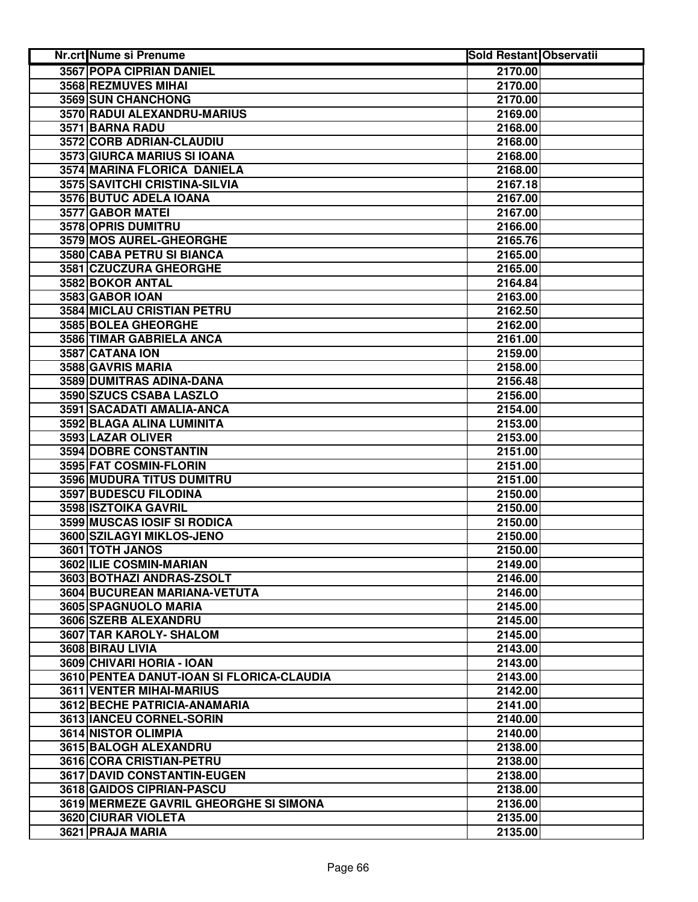| Nr.crt Nume si Prenume                    | <b>Sold Restant Observatii</b> |  |
|-------------------------------------------|--------------------------------|--|
| <b>3567 POPA CIPRIAN DANIEL</b>           | 2170.00                        |  |
| 3568 REZMUVES MIHAI                       | 2170.00                        |  |
| 3569 SUN CHANCHONG                        | 2170.00                        |  |
| 3570 RADUI ALEXANDRU-MARIUS               | 2169.00                        |  |
| 3571 BARNA RADU                           | 2168.00                        |  |
| 3572 CORB ADRIAN-CLAUDIU                  | 2168.00                        |  |
| 3573 GIURCA MARIUS SI IOANA               | 2168.00                        |  |
| 3574 MARINA FLORICA DANIELA               | 2168.00                        |  |
| 3575 SAVITCHI CRISTINA-SILVIA             | 2167.18                        |  |
| 3576 BUTUC ADELA IOANA                    | 2167.00                        |  |
| 3577 GABOR MATEI                          | 2167.00                        |  |
| 3578 OPRIS DUMITRU                        | 2166.00                        |  |
| 3579 MOS AUREL-GHEORGHE                   | 2165.76                        |  |
| 3580 CABA PETRU SI BIANCA                 | 2165.00                        |  |
| 3581 CZUCZURA GHEORGHE                    | 2165.00                        |  |
| 3582 BOKOR ANTAL                          | 2164.84                        |  |
| 3583 GABOR IOAN                           | 2163.00                        |  |
| 3584 MICLAU CRISTIAN PETRU                | 2162.50                        |  |
| 3585 BOLEA GHEORGHE                       | 2162.00                        |  |
| 3586 TIMAR GABRIELA ANCA                  | 2161.00                        |  |
| 3587 CATANA ION                           | 2159.00                        |  |
| 3588 GAVRIS MARIA                         | 2158.00                        |  |
| 3589 DUMITRAS ADINA-DANA                  | 2156.48                        |  |
| 3590 SZUCS CSABA LASZLO                   | 2156.00                        |  |
| 3591 SACADATI AMALIA-ANCA                 | 2154.00                        |  |
| 3592 BLAGA ALINA LUMINITA                 | 2153.00                        |  |
| 3593 LAZAR OLIVER                         | 2153.00                        |  |
| 3594 DOBRE CONSTANTIN                     | 2151.00                        |  |
| 3595 FAT COSMIN-FLORIN                    | 2151.00                        |  |
| 3596 MUDURA TITUS DUMITRU                 | 2151.00                        |  |
| 3597 BUDESCU FILODINA                     | 2150.00                        |  |
| 3598 ISZTOIKA GAVRIL                      | 2150.00                        |  |
| 3599 MUSCAS IOSIF SI RODICA               | 2150.00                        |  |
| 3600 SZILAGYI MIKLOS-JENO                 | 2150.00                        |  |
| 3601 TOTH JANOS                           | 2150.00                        |  |
| 3602 ILIE COSMIN-MARIAN                   | 2149.00                        |  |
| 3603 BOTHAZI ANDRAS-ZSOLT                 | 2146.00                        |  |
| 3604 BUCUREAN MARIANA-VETUTA              | 2146.00                        |  |
| 3605 SPAGNUOLO MARIA                      | 2145.00                        |  |
| 3606 SZERB ALEXANDRU                      | 2145.00                        |  |
| 3607 TAR KAROLY- SHALOM                   | 2145.00                        |  |
| 3608 BIRAU LIVIA                          | 2143.00                        |  |
| 3609 CHIVARI HORIA - IOAN                 | 2143.00                        |  |
| 3610 PENTEA DANUT-IOAN SI FLORICA-CLAUDIA | 2143.00                        |  |
| 3611 VENTER MIHAI-MARIUS                  | 2142.00                        |  |
| 3612 BECHE PATRICIA-ANAMARIA              | 2141.00                        |  |
| 3613 IANCEU CORNEL-SORIN                  | 2140.00                        |  |
| 3614 NISTOR OLIMPIA                       | 2140.00                        |  |
| 3615 BALOGH ALEXANDRU                     | 2138.00                        |  |
| 3616 CORA CRISTIAN-PETRU                  | 2138.00                        |  |
| 3617 DAVID CONSTANTIN-EUGEN               | 2138.00                        |  |
| 3618 GAIDOS CIPRIAN-PASCU                 | 2138.00                        |  |
| 3619 MERMEZE GAVRIL GHEORGHE SI SIMONA    | 2136.00                        |  |
| 3620 CIURAR VIOLETA                       | 2135.00                        |  |
| 3621 PRAJA MARIA                          | 2135.00                        |  |
|                                           |                                |  |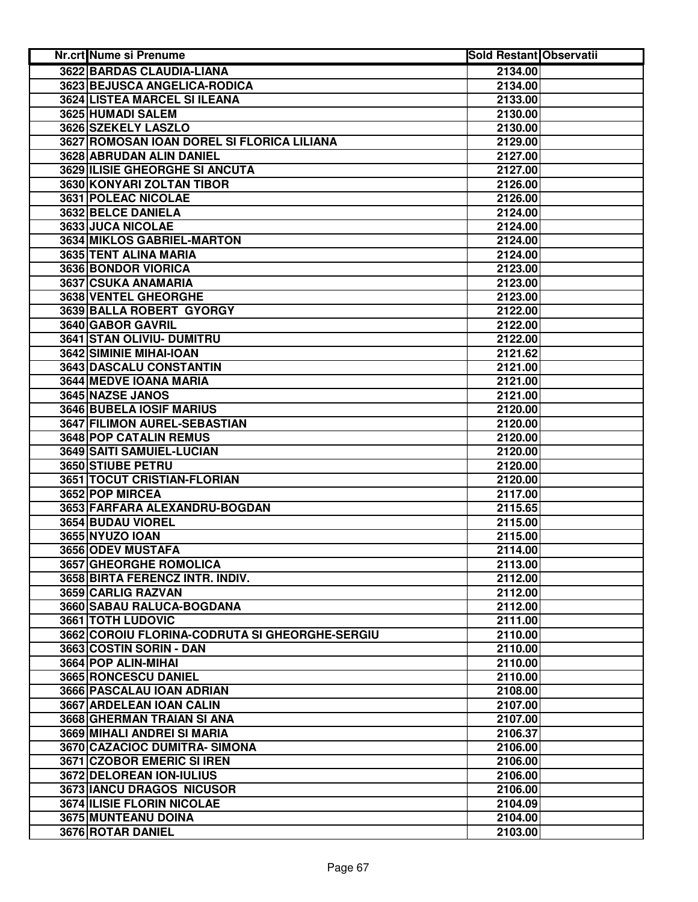| <b>Nr.crt Nume si Prenume</b>                  | <b>Sold Restant Observatii</b> |  |
|------------------------------------------------|--------------------------------|--|
| 3622 BARDAS CLAUDIA-LIANA                      | 2134.00                        |  |
| 3623 BEJUSCA ANGELICA-RODICA                   | 2134.00                        |  |
| 3624 LISTEA MARCEL SI ILEANA                   | 2133.00                        |  |
| 3625 HUMADI SALEM                              | 2130.00                        |  |
| 3626 SZEKELY LASZLO                            | 2130.00                        |  |
| 3627 ROMOSAN IOAN DOREL SI FLORICA LILIANA     | 2129.00                        |  |
| 3628 ABRUDAN ALIN DANIEL                       | 2127.00                        |  |
| 3629 ILISIE GHEORGHE SI ANCUTA                 | 2127.00                        |  |
| 3630 KONYARI ZOLTAN TIBOR                      | 2126.00                        |  |
| 3631 POLEAC NICOLAE                            | 2126.00                        |  |
| 3632 BELCE DANIELA                             | 2124.00                        |  |
| 3633 JUCA NICOLAE                              | 2124.00                        |  |
| 3634 MIKLOS GABRIEL-MARTON                     | 2124.00                        |  |
| 3635 TENT ALINA MARIA                          | 2124.00                        |  |
| 3636 BONDOR VIORICA                            | 2123.00                        |  |
| 3637 CSUKA ANAMARIA                            | 2123.00                        |  |
| 3638 VENTEL GHEORGHE                           | 2123.00                        |  |
| 3639 BALLA ROBERT GYORGY                       | 2122.00                        |  |
| 3640 GABOR GAVRIL                              | 2122.00                        |  |
| 3641 STAN OLIVIU- DUMITRU                      | 2122.00                        |  |
| 3642 SIMINIE MIHAI-IOAN                        | 2121.62                        |  |
| 3643 DASCALU CONSTANTIN                        | 2121.00                        |  |
| <b>3644 MEDVE IOANA MARIA</b>                  | 2121.00                        |  |
| 3645 NAZSE JANOS                               | 2121.00                        |  |
| <b>3646 BUBELA IOSIF MARIUS</b>                | 2120.00                        |  |
| 3647 FILIMON AUREL-SEBASTIAN                   | 2120.00                        |  |
| 3648 POP CATALIN REMUS                         | 2120.00                        |  |
|                                                |                                |  |
| 3649 SAITI SAMUIEL-LUCIAN<br>3650 STIUBE PETRU | 2120.00                        |  |
| 3651 TOCUT CRISTIAN-FLORIAN                    | 2120.00                        |  |
|                                                | 2120.00                        |  |
| 3652 POP MIRCEA                                | 2117.00                        |  |
| 3653 FARFARA ALEXANDRU-BOGDAN                  | 2115.65                        |  |
| 3654 BUDAU VIOREL                              | 2115.00                        |  |
| 3655 NYUZO IOAN                                | 2115.00                        |  |
| 3656 ODEV MUSTAFA                              | 2114.00                        |  |
| 3657 GHEORGHE ROMOLICA                         | 2113.00                        |  |
| 3658 BIRTA FERENCZ INTR. INDIV.                | 2112.00                        |  |
| 3659 CARLIG RAZVAN                             | 2112.00                        |  |
| 3660 SABAU RALUCA-BOGDANA                      | 2112.00                        |  |
| 3661 TOTH LUDOVIC                              | 2111.00                        |  |
| 3662 COROIU FLORINA-CODRUTA SI GHEORGHE-SERGIU | 2110.00                        |  |
| 3663 COSTIN SORIN - DAN                        | 2110.00                        |  |
| 3664 POP ALIN-MIHAI                            | 2110.00                        |  |
| 3665 RONCESCU DANIEL                           | 2110.00                        |  |
| 3666 PASCALAU IOAN ADRIAN                      | 2108.00                        |  |
| 3667 ARDELEAN IOAN CALIN                       | 2107.00                        |  |
| 3668 GHERMAN TRAIAN SI ANA                     | 2107.00                        |  |
| 3669 MIHALI ANDREI SI MARIA                    | 2106.37                        |  |
| 3670 CAZACIOC DUMITRA- SIMONA                  | 2106.00                        |  |
| 3671 CZOBOR EMERIC SI IREN                     | 2106.00                        |  |
| 3672 DELOREAN ION-IULIUS                       | 2106.00                        |  |
| 3673 IANCU DRAGOS NICUSOR                      | 2106.00                        |  |
| 3674 ILISIE FLORIN NICOLAE                     | 2104.09                        |  |
| 3675 MUNTEANU DOINA                            | 2104.00                        |  |
| 3676 ROTAR DANIEL                              | 2103.00                        |  |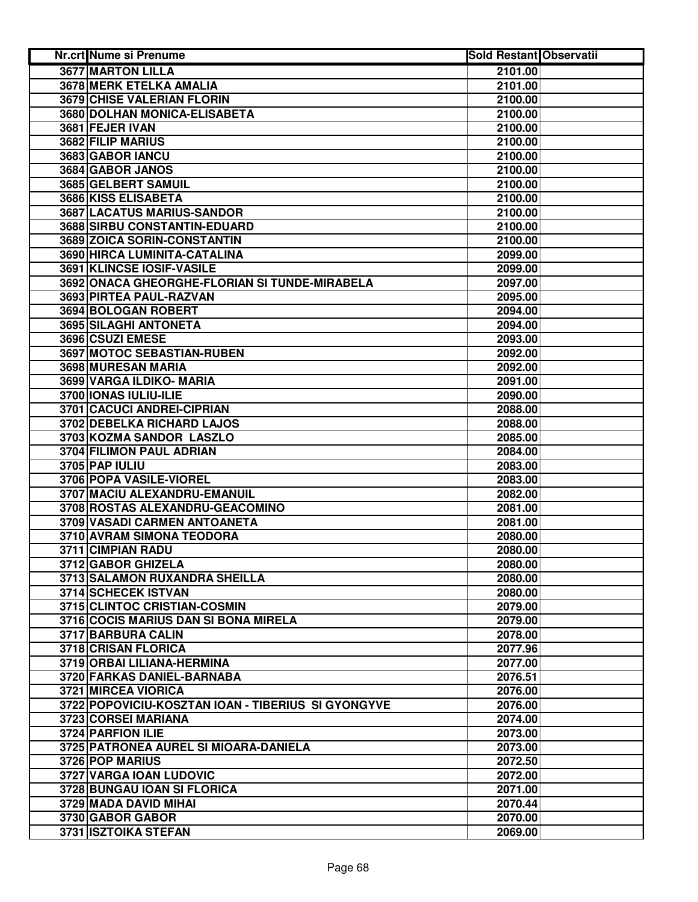| Nr.crt Nume si Prenume                             | <b>Sold Restant Observatii</b> |  |
|----------------------------------------------------|--------------------------------|--|
| <b>3677 MARTON LILLA</b>                           | 2101.00                        |  |
| 3678 MERK ETELKA AMALIA                            | 2101.00                        |  |
| 3679 CHISE VALERIAN FLORIN                         | 2100.00                        |  |
| 3680 DOLHAN MONICA-ELISABETA                       | 2100.00                        |  |
| 3681 FEJER IVAN                                    | 2100.00                        |  |
| 3682 FILIP MARIUS                                  | 2100.00                        |  |
| 3683 GABOR IANCU                                   | 2100.00                        |  |
| 3684 GABOR JANOS                                   | 2100.00                        |  |
| 3685 GELBERT SAMUIL                                | 2100.00                        |  |
| 3686 KISS ELISABETA                                | 2100.00                        |  |
| 3687 LACATUS MARIUS-SANDOR                         | 2100.00                        |  |
| 3688 SIRBU CONSTANTIN-EDUARD                       | 2100.00                        |  |
| 3689 ZOICA SORIN-CONSTANTIN                        | 2100.00                        |  |
| 3690 HIRCA LUMINITA-CATALINA                       | 2099.00                        |  |
| 3691 KLINCSE IOSIF-VASILE                          | 2099.00                        |  |
| 3692 ONACA GHEORGHE-FLORIAN SI TUNDE-MIRABELA      | 2097.00                        |  |
| 3693 PIRTEA PAUL-RAZVAN                            | 2095.00                        |  |
| 3694 BOLOGAN ROBERT                                | 2094.00                        |  |
| 3695 SILAGHI ANTONETA                              | 2094.00                        |  |
| 3696 CSUZI EMESE                                   | 2093.00                        |  |
| 3697 MOTOC SEBASTIAN-RUBEN                         | 2092.00                        |  |
| 3698 MURESAN MARIA                                 | 2092.00                        |  |
| 3699 VARGA ILDIKO- MARIA                           | 2091.00                        |  |
| 3700 IONAS IULIU-ILIE                              | 2090.00                        |  |
| 3701 CACUCI ANDREI-CIPRIAN                         | 2088.00                        |  |
| 3702 DEBELKA RICHARD LAJOS                         | 2088.00                        |  |
| 3703 KOZMA SANDOR LASZLO                           | 2085.00                        |  |
| 3704 FILIMON PAUL ADRIAN                           | 2084.00                        |  |
| 3705 PAP IULIU                                     | 2083.00                        |  |
| 3706 POPA VASILE-VIOREL                            | 2083.00                        |  |
| 3707 MACIU ALEXANDRU-EMANUIL                       | 2082.00                        |  |
| 3708 ROSTAS ALEXANDRU-GEACOMINO                    | 2081.00                        |  |
| 3709 VASADI CARMEN ANTOANETA                       | 2081.00                        |  |
| 3710 AVRAM SIMONA TEODORA                          | 2080.00                        |  |
| 3711 CIMPIAN RADU                                  | 2080.00                        |  |
| 3712 GABOR GHIZELA                                 | 2080.00                        |  |
| 3713 SALAMON RUXANDRA SHEILLA                      | 2080.00                        |  |
| 3714 SCHECEK ISTVAN                                | 2080.00                        |  |
| 3715 CLINTOC CRISTIAN-COSMIN                       | 2079.00                        |  |
| 3716 COCIS MARIUS DAN SI BONA MIRELA               | 2079.00                        |  |
| 3717 BARBURA CALIN                                 | 2078.00                        |  |
| <b>3718 CRISAN FLORICA</b>                         | 2077.96                        |  |
| 3719 ORBAI LILIANA-HERMINA                         | 2077.00                        |  |
| 3720 FARKAS DANIEL-BARNABA                         | 2076.51                        |  |
| 3721 MIRCEA VIORICA                                | 2076.00                        |  |
| 3722 POPOVICIU-KOSZTAN IOAN - TIBERIUS SI GYONGYVE | 2076.00                        |  |
| 3723 CORSEI MARIANA                                | 2074.00                        |  |
| 3724 PARFION ILIE                                  | 2073.00                        |  |
| 3725 PATRONEA AUREL SI MIOARA-DANIELA              | 2073.00                        |  |
| 3726 POP MARIUS                                    | 2072.50                        |  |
| 3727 VARGA IOAN LUDOVIC                            | 2072.00                        |  |
| 3728 BUNGAU IOAN SI FLORICA                        | 2071.00                        |  |
| 3729 MADA DAVID MIHAI                              | 2070.44                        |  |
| 3730 GABOR GABOR                                   | 2070.00                        |  |
| 3731 ISZTOIKA STEFAN                               | 2069.00                        |  |
|                                                    |                                |  |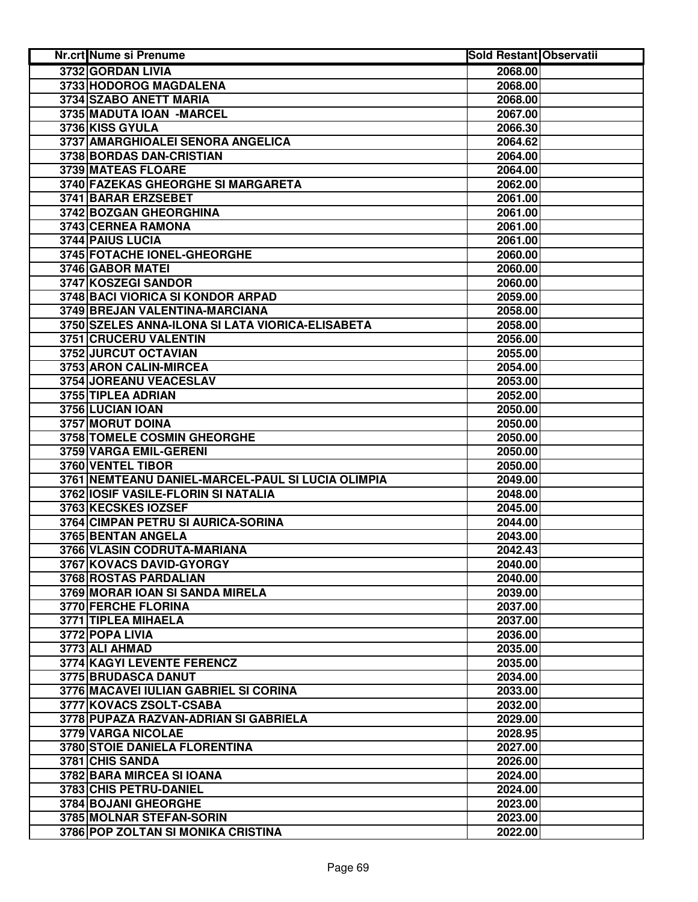| Nr.crt Nume si Prenume                            | <b>Sold Restant Observatii</b> |  |
|---------------------------------------------------|--------------------------------|--|
| 3732 GORDAN LIVIA                                 | 2068.00                        |  |
| 3733 HODOROG MAGDALENA                            | 2068.00                        |  |
| 3734 SZABO ANETT MARIA                            | 2068.00                        |  |
| 3735 MADUTA IOAN -MARCEL                          | 2067.00                        |  |
| 3736 KISS GYULA                                   | 2066.30                        |  |
| 3737 AMARGHIOALEI SENORA ANGELICA                 | 2064.62                        |  |
| 3738 BORDAS DAN-CRISTIAN                          | 2064.00                        |  |
| 3739 MATEAS FLOARE                                | 2064.00                        |  |
| 3740 FAZEKAS GHEORGHE SI MARGARETA                | 2062.00                        |  |
| 3741 BARAR ERZSEBET                               | 2061.00                        |  |
| 3742 BOZGAN GHEORGHINA                            | 2061.00                        |  |
| 3743 CERNEA RAMONA                                | 2061.00                        |  |
| 3744 PAIUS LUCIA                                  | 2061.00                        |  |
| 3745 FOTACHE IONEL-GHEORGHE                       | 2060.00                        |  |
| 3746 GABOR MATEI                                  | 2060.00                        |  |
| 3747 KOSZEGI SANDOR                               | 2060.00                        |  |
| 3748 BACI VIORICA SI KONDOR ARPAD                 | 2059.00                        |  |
| 3749 BREJAN VALENTINA-MARCIANA                    | 2058.00                        |  |
| 3750 SZELES ANNA-ILONA SI LATA VIORICA-ELISABETA  | 2058.00                        |  |
| 3751 CRUCERU VALENTIN                             | 2056.00                        |  |
| 3752 JURCUT OCTAVIAN                              | 2055.00                        |  |
| 3753 ARON CALIN-MIRCEA                            | 2054.00                        |  |
| 3754 JOREANU VEACESLAV                            | 2053.00                        |  |
| 3755 TIPLEA ADRIAN                                | 2052.00                        |  |
| 3756 LUCIAN IOAN                                  | 2050.00                        |  |
| <b>3757 MORUT DOINA</b>                           | 2050.00                        |  |
| 3758 TOMELE COSMIN GHEORGHE                       | 2050.00                        |  |
| 3759 VARGA EMIL-GERENI                            | 2050.00                        |  |
| 3760 VENTEL TIBOR                                 | 2050.00                        |  |
| 3761 NEMTEANU DANIEL-MARCEL-PAUL SI LUCIA OLIMPIA | 2049.00                        |  |
| 3762 IOSIF VASILE-FLORIN SI NATALIA               | 2048.00                        |  |
| 3763 KECSKES IOZSEF                               | 2045.00                        |  |
| 3764 CIMPAN PETRU SI AURICA-SORINA                | 2044.00                        |  |
| 3765 BENTAN ANGELA                                | 2043.00                        |  |
| 3766 VLASIN CODRUTA-MARIANA                       | 2042.43                        |  |
| 3767 KOVACS DAVID-GYORGY                          | 2040.00                        |  |
| 3768 ROSTAS PARDALIAN                             | 2040.00                        |  |
| 3769 MORAR IOAN SI SANDA MIRELA                   | 2039.00                        |  |
| 3770 FERCHE FLORINA                               | 2037.00                        |  |
| 3771 TIPLEA MIHAELA                               | 2037.00                        |  |
| 3772 POPA LIVIA                                   | 2036.00                        |  |
| 3773 ALI AHMAD                                    | 2035.00                        |  |
| 3774 KAGYI LEVENTE FERENCZ                        | 2035.00                        |  |
| 3775 BRUDASCA DANUT                               | 2034.00                        |  |
| 3776 MACAVEI IULIAN GABRIEL SI CORINA             | 2033.00                        |  |
| 3777 KOVACS ZSOLT-CSABA                           | 2032.00                        |  |
| 3778 PUPAZA RAZVAN-ADRIAN SI GABRIELA             | 2029.00                        |  |
| 3779 VARGA NICOLAE                                | 2028.95                        |  |
| 3780 STOIE DANIELA FLORENTINA                     | 2027.00                        |  |
| 3781 CHIS SANDA                                   | 2026.00                        |  |
| 3782 BARA MIRCEA SI IOANA                         | 2024.00                        |  |
| 3783 CHIS PETRU-DANIEL                            | 2024.00                        |  |
| 3784 BOJANI GHEORGHE                              | 2023.00                        |  |
| 3785 MOLNAR STEFAN-SORIN                          | 2023.00                        |  |
| 3786 POP ZOLTAN SI MONIKA CRISTINA                | 2022.00                        |  |
|                                                   |                                |  |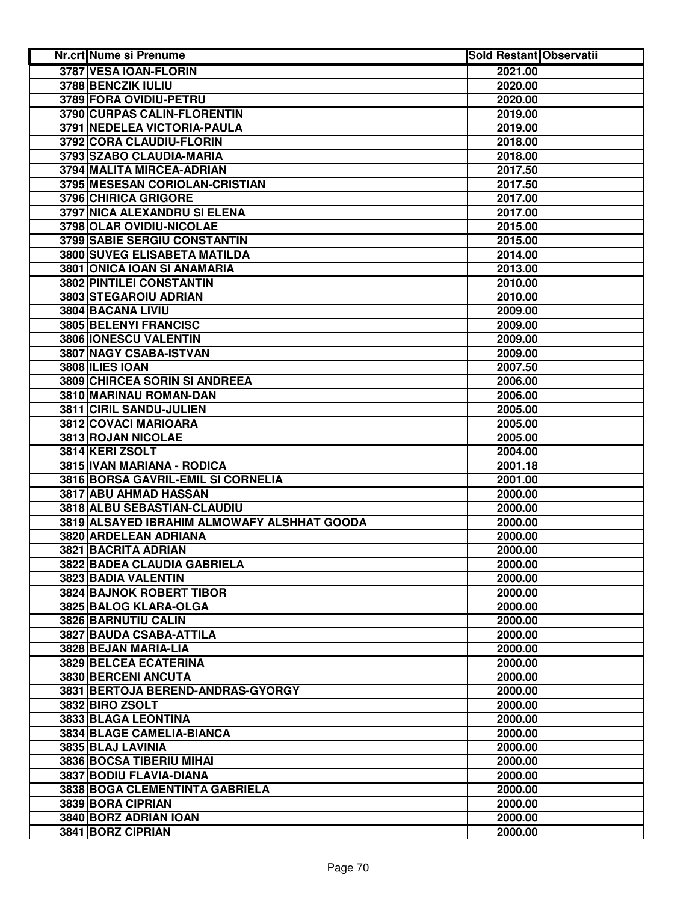| Nr.crt Nume si Prenume                      | <b>Sold Restant Observatii</b> |  |
|---------------------------------------------|--------------------------------|--|
| 3787 VESA IOAN-FLORIN                       | 2021.00                        |  |
| 3788 BENCZIK IULIU                          | 2020.00                        |  |
| 3789 FORA OVIDIU-PETRU                      | 2020.00                        |  |
| 3790 CURPAS CALIN-FLORENTIN                 | 2019.00                        |  |
| 3791 NEDELEA VICTORIA-PAULA                 | 2019.00                        |  |
| 3792 CORA CLAUDIU-FLORIN                    | 2018.00                        |  |
| 3793 SZABO CLAUDIA-MARIA                    | 2018.00                        |  |
| 3794 MALITA MIRCEA-ADRIAN                   | 2017.50                        |  |
| 3795 MESESAN CORIOLAN-CRISTIAN              | 2017.50                        |  |
| 3796 CHIRICA GRIGORE                        | 2017.00                        |  |
| 3797 NICA ALEXANDRU SI ELENA                | 2017.00                        |  |
| 3798 OLAR OVIDIU-NICOLAE                    | 2015.00                        |  |
| 3799 SABIE SERGIU CONSTANTIN                | 2015.00                        |  |
| 3800 SUVEG ELISABETA MATILDA                | 2014.00                        |  |
| 3801 ONICA IOAN SI ANAMARIA                 | 2013.00                        |  |
| 3802 PINTILEI CONSTANTIN                    | 2010.00                        |  |
| 3803 STEGAROIU ADRIAN                       | 2010.00                        |  |
| 3804 BACANA LIVIU                           | 2009.00                        |  |
| 3805 BELENYI FRANCISC                       | 2009.00                        |  |
| 3806 IONESCU VALENTIN                       | 2009.00                        |  |
| 3807 NAGY CSABA-ISTVAN                      | 2009.00                        |  |
| 3808 ILIES IOAN                             | 2007.50                        |  |
| 3809 CHIRCEA SORIN SI ANDREEA               | 2006.00                        |  |
| 3810 MARINAU ROMAN-DAN                      | 2006.00                        |  |
| 3811 CIRIL SANDU-JULIEN                     | 2005.00                        |  |
| 3812 COVACI MARIOARA                        | 2005.00                        |  |
| 3813 ROJAN NICOLAE                          | 2005.00                        |  |
| 3814 KERI ZSOLT                             | 2004.00                        |  |
| 3815 IVAN MARIANA - RODICA                  | 2001.18                        |  |
| 3816 BORSA GAVRIL-EMIL SI CORNELIA          | 2001.00                        |  |
| 3817 ABU AHMAD HASSAN                       | 2000.00                        |  |
| 3818 ALBU SEBASTIAN-CLAUDIU                 | 2000.00                        |  |
| 3819 ALSAYED IBRAHIM ALMOWAFY ALSHHAT GOODA | 2000.00                        |  |
| 3820 ARDELEAN ADRIANA                       | 2000.00                        |  |
| 3821 BACRITA ADRIAN                         | 2000.00                        |  |
| 3822 BADEA CLAUDIA GABRIELA                 | 2000.00                        |  |
| 3823 BADIA VALENTIN                         | 2000.00                        |  |
| <b>3824 BAJNOK ROBERT TIBOR</b>             | 2000.00                        |  |
| 3825 BALOG KLARA-OLGA                       | 2000.00                        |  |
| 3826 BARNUTIU CALIN                         | 2000.00                        |  |
| 3827 BAUDA CSABA-ATTILA                     | 2000.00                        |  |
| 3828 BEJAN MARIA-LIA                        | 2000.00                        |  |
| 3829 BELCEA ECATERINA                       | 2000.00                        |  |
| 3830 BERCENI ANCUTA                         | 2000.00                        |  |
| 3831 BERTOJA BEREND-ANDRAS-GYORGY           | 2000.00                        |  |
| <b>3832 BIRO ZSOLT</b>                      | 2000.00                        |  |
| 3833 BLAGA LEONTINA                         | 2000.00                        |  |
| 3834 BLAGE CAMELIA-BIANCA                   | 2000.00                        |  |
| 3835 BLAJ LAVINIA                           | 2000.00                        |  |
| 3836 BOCSA TIBERIU MIHAI                    | 2000.00                        |  |
| 3837 BODIU FLAVIA-DIANA                     | 2000.00                        |  |
| 3838 BOGA CLEMENTINTA GABRIELA              | 2000.00                        |  |
| 3839 BORA CIPRIAN                           | 2000.00                        |  |
| 3840 BORZ ADRIAN IOAN                       | 2000.00                        |  |
| 3841 BORZ CIPRIAN                           | 2000.00                        |  |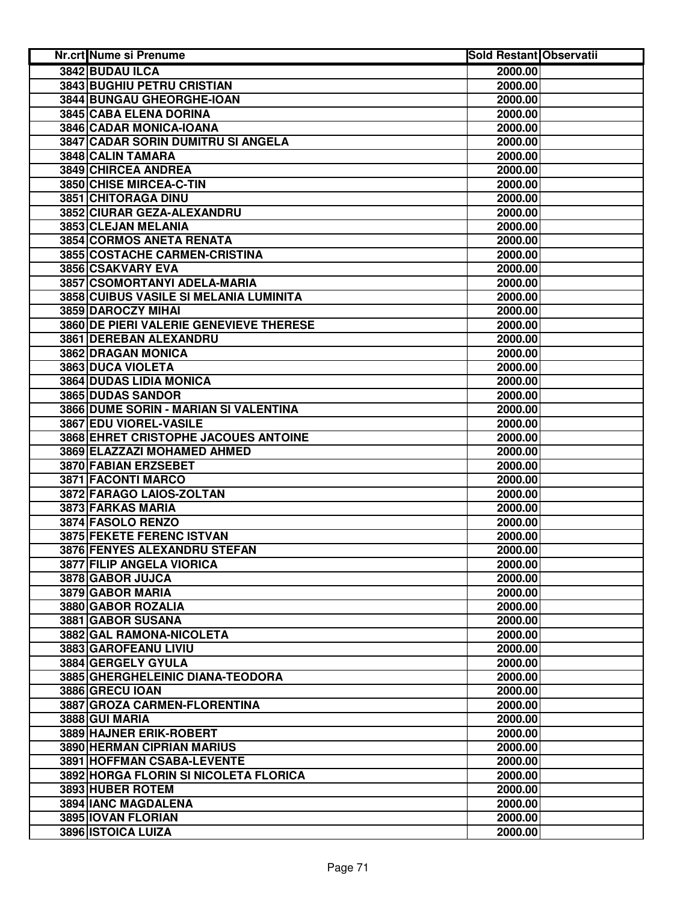| Nr.crt Nume si Prenume                  | <b>Sold Restant Observatii</b> |  |
|-----------------------------------------|--------------------------------|--|
| 3842 BUDAU ILCA                         | 2000.00                        |  |
| <b>3843 BUGHIU PETRU CRISTIAN</b>       | 2000.00                        |  |
| 3844 BUNGAU GHEORGHE-IOAN               | 2000.00                        |  |
| 3845 CABA ELENA DORINA                  | 2000.00                        |  |
| 3846 CADAR MONICA-IOANA                 | 2000.00                        |  |
| 3847 CADAR SORIN DUMITRU SI ANGELA      | 2000.00                        |  |
| 3848 CALIN TAMARA                       | 2000.00                        |  |
| 3849 CHIRCEA ANDREA                     | 2000.00                        |  |
| 3850 CHISE MIRCEA-C-TIN                 | 2000.00                        |  |
| 3851 CHITORAGA DINU                     | 2000.00                        |  |
| 3852 CIURAR GEZA-ALEXANDRU              | 2000.00                        |  |
| 3853 CLEJAN MELANIA                     | 2000.00                        |  |
| 3854 CORMOS ANETA RENATA                | 2000.00                        |  |
| 3855 COSTACHE CARMEN-CRISTINA           | 2000.00                        |  |
| 3856 CSAKVARY EVA                       | 2000.00                        |  |
| 3857 CSOMORTANYI ADELA-MARIA            | 2000.00                        |  |
| 3858 CUIBUS VASILE SI MELANIA LUMINITA  | 2000.00                        |  |
| 3859 DAROCZY MIHAI                      | 2000.00                        |  |
| 3860 DE PIERI VALERIE GENEVIEVE THERESE | 2000.00                        |  |
| 3861 DEREBAN ALEXANDRU                  | 2000.00                        |  |
| 3862 DRAGAN MONICA                      | 2000.00                        |  |
| 3863 DUCA VIOLETA                       | 2000.00                        |  |
| <b>3864 DUDAS LIDIA MONICA</b>          | 2000.00                        |  |
| 3865 DUDAS SANDOR                       | 2000.00                        |  |
| 3866 DUME SORIN - MARIAN SI VALENTINA   | 2000.00                        |  |
| 3867 EDU VIOREL-VASILE                  | 2000.00                        |  |
| 3868 EHRET CRISTOPHE JACOUES ANTOINE    | 2000.00                        |  |
| 3869 ELAZZAZI MOHAMED AHMED             | 2000.00                        |  |
| 3870 FABIAN ERZSEBET                    | 2000.00                        |  |
| 3871 FACONTI MARCO                      | 2000.00                        |  |
| 3872 FARAGO LAIOS-ZOLTAN                | 2000.00                        |  |
| 3873 FARKAS MARIA                       | 2000.00                        |  |
| 3874 FASOLO RENZO                       | 2000.00                        |  |
| 3875 FEKETE FERENC ISTVAN               | 2000.00                        |  |
| 3876 FENYES ALEXANDRU STEFAN            | 2000.00                        |  |
| 3877 FILIP ANGELA VIORICA               | 2000.00                        |  |
| 3878 GABOR JUJCA                        | 2000.00                        |  |
| 3879 GABOR MARIA                        | 2000.00                        |  |
| 3880 GABOR ROZALIA                      | 2000.00                        |  |
| 3881 GABOR SUSANA                       | 2000.00                        |  |
| 3882 GAL RAMONA-NICOLETA                | 2000.00                        |  |
| 3883 GAROFEANU LIVIU                    | 2000.00                        |  |
| 3884 GERGELY GYULA                      | 2000.00                        |  |
| 3885 GHERGHELEINIC DIANA-TEODORA        | 2000.00                        |  |
| 3886 GRECU IOAN                         | 2000.00                        |  |
| 3887 GROZA CARMEN-FLORENTINA            | 2000.00                        |  |
| 3888 GUI MARIA                          | 2000.00                        |  |
| 3889 HAJNER ERIK-ROBERT                 | 2000.00                        |  |
| 3890 HERMAN CIPRIAN MARIUS              | 2000.00                        |  |
| 3891 HOFFMAN CSABA-LEVENTE              | 2000.00                        |  |
| 3892 HORGA FLORIN SI NICOLETA FLORICA   | 2000.00                        |  |
| 3893 HUBER ROTEM                        | 2000.00                        |  |
| 3894 IANC MAGDALENA                     | 2000.00                        |  |
| 3895 IOVAN FLORIAN                      | 2000.00                        |  |
| 3896 ISTOICA LUIZA                      | 2000.00                        |  |
|                                         |                                |  |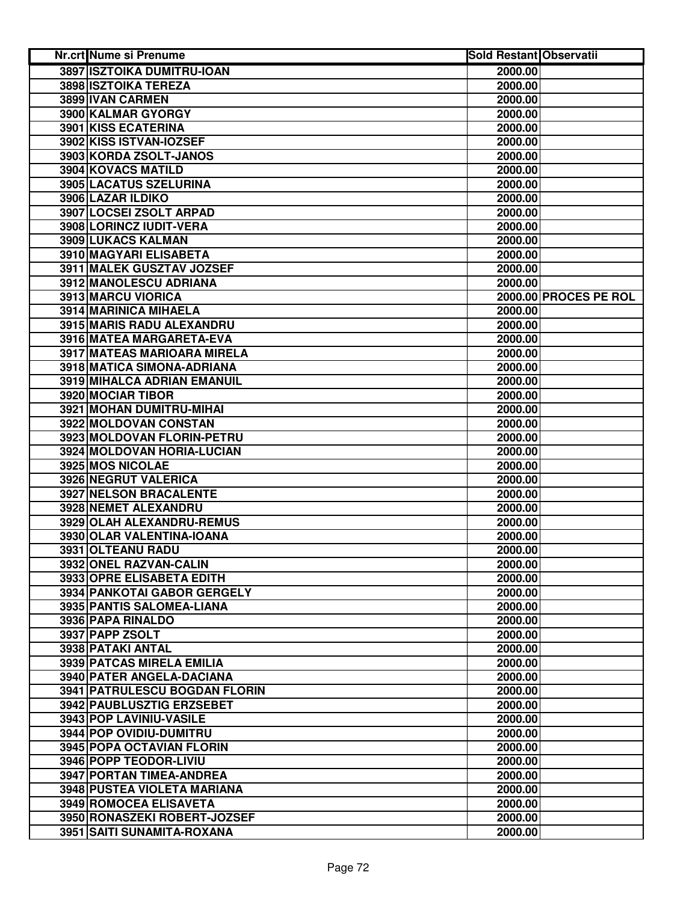| Nr.crt Nume si Prenume                                 | <b>Sold Restant Observatii</b> |                       |
|--------------------------------------------------------|--------------------------------|-----------------------|
| 3897 ISZTOIKA DUMITRU-IOAN                             | 2000.00                        |                       |
| 3898 ISZTOIKA TEREZA                                   | 2000.00                        |                       |
| 3899 IVAN CARMEN                                       | 2000.00                        |                       |
| 3900 KALMAR GYORGY                                     | 2000.00                        |                       |
| 3901 KISS ECATERINA                                    | 2000.00                        |                       |
| 3902 KISS ISTVAN-IOZSEF                                | 2000.00                        |                       |
| 3903 KORDA ZSOLT-JANOS                                 | 2000.00                        |                       |
| 3904 KOVACS MATILD                                     | 2000.00                        |                       |
| 3905 LACATUS SZELURINA                                 | 2000.00                        |                       |
| 3906 LAZAR ILDIKO                                      | 2000.00                        |                       |
| 3907 LOCSEI ZSOLT ARPAD                                | 2000.00                        |                       |
| 3908 LORINCZ IUDIT-VERA                                | 2000.00                        |                       |
| 3909 LUKACS KALMAN                                     | 2000.00                        |                       |
| 3910 MAGYARI ELISABETA                                 | 2000.00                        |                       |
| 3911 MALEK GUSZTAV JOZSEF                              | 2000.00                        |                       |
| 3912 MANOLESCU ADRIANA                                 | 2000.00                        |                       |
| 3913 MARCU VIORICA                                     |                                | 2000.00 PROCES PE ROL |
| 3914 MARINICA MIHAELA                                  | 2000.00                        |                       |
| 3915 MARIS RADU ALEXANDRU                              | 2000.00                        |                       |
| 3916 MATEA MARGARETA-EVA                               | 2000.00                        |                       |
| 3917 MATEAS MARIOARA MIRELA                            | 2000.00                        |                       |
| <b>3918 MATICA SIMONA-ADRIANA</b>                      | 2000.00                        |                       |
| <b>3919 MIHALCA ADRIAN EMANUIL</b>                     | 2000.00                        |                       |
| <b>3920 MOCIAR TIBOR</b>                               | 2000.00                        |                       |
| 3921 MOHAN DUMITRU-MIHAI                               | 2000.00                        |                       |
| 3922 MOLDOVAN CONSTAN                                  | 2000.00                        |                       |
| 3923 MOLDOVAN FLORIN-PETRU                             | 2000.00                        |                       |
| 3924 MOLDOVAN HORIA-LUCIAN                             | 2000.00                        |                       |
| 3925 MOS NICOLAE                                       | 2000.00                        |                       |
| 3926 NEGRUT VALERICA                                   | 2000.00                        |                       |
| 3927 NELSON BRACALENTE                                 | 2000.00                        |                       |
| 3928 NEMET ALEXANDRU                                   | 2000.00                        |                       |
| 3929 OLAH ALEXANDRU-REMUS<br>3930 OLAR VALENTINA-IOANA | 2000.00                        |                       |
|                                                        | 2000.00<br>2000.00             |                       |
| 3931 OLTEANU RADU<br>3932 ONEL RAZVAN-CALIN            | 2000.00                        |                       |
| 3933 OPRE ELISABETA EDITH                              | 2000.00                        |                       |
| 3934 PANKOTAI GABOR GERGELY                            | 2000.00                        |                       |
| 3935 PANTIS SALOMEA-LIANA                              | 2000.00                        |                       |
| 3936 PAPA RINALDO                                      | 2000.00                        |                       |
| 3937 PAPP ZSOLT                                        | 2000.00                        |                       |
| 3938 PATAKI ANTAL                                      | 2000.00                        |                       |
| <b>3939 PATCAS MIRELA EMILIA</b>                       | 2000.00                        |                       |
| 3940 PATER ANGELA-DACIANA                              | 2000.00                        |                       |
| 3941 PATRULESCU BOGDAN FLORIN                          | 2000.00                        |                       |
| 3942 PAUBLUSZTIG ERZSEBET                              | 2000.00                        |                       |
| 3943 POP LAVINIU-VASILE                                | 2000.00                        |                       |
| 3944 POP OVIDIU-DUMITRU                                | 2000.00                        |                       |
| <b>3945 POPA OCTAVIAN FLORIN</b>                       | 2000.00                        |                       |
| 3946 POPP TEODOR-LIVIU                                 | 2000.00                        |                       |
| 3947 PORTAN TIMEA-ANDREA                               | 2000.00                        |                       |
| 3948 PUSTEA VIOLETA MARIANA                            | 2000.00                        |                       |
| 3949 ROMOCEA ELISAVETA                                 | 2000.00                        |                       |
| 3950 RONASZEKI ROBERT-JOZSEF                           | 2000.00                        |                       |
| 3951 SAITI SUNAMITA-ROXANA                             | 2000.00                        |                       |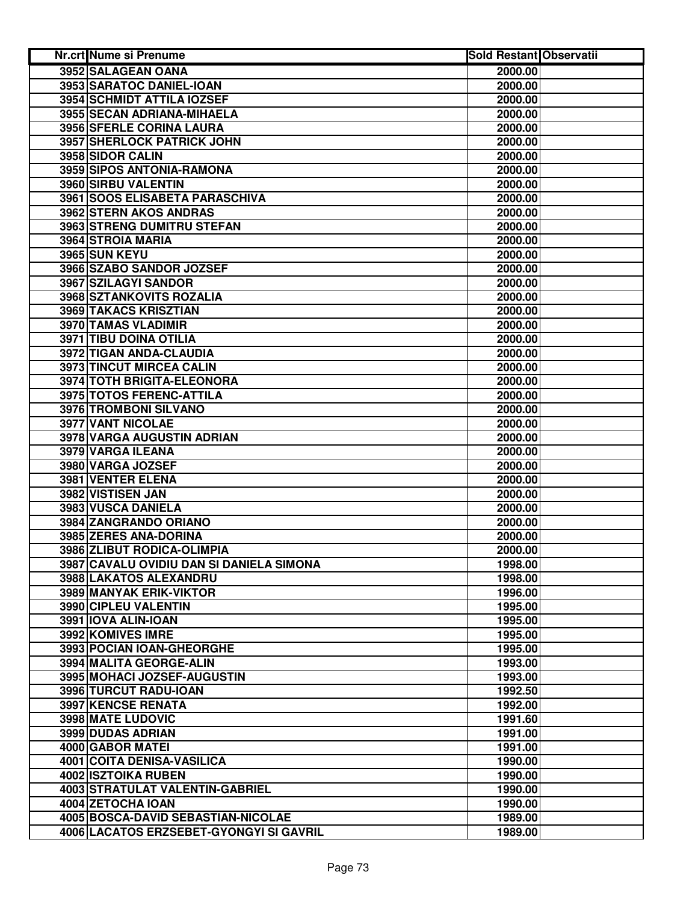| Nr.crt Nume si Prenume                   | <b>Sold Restant Observatii</b> |  |
|------------------------------------------|--------------------------------|--|
| 3952 SALAGEAN OANA                       | 2000.00                        |  |
| 3953 SARATOC DANIEL-IOAN                 | 2000.00                        |  |
| 3954 SCHMIDT ATTILA IOZSEF               | 2000.00                        |  |
| 3955 SECAN ADRIANA-MIHAELA               | 2000.00                        |  |
| 3956 SFERLE CORINA LAURA                 | 2000.00                        |  |
| 3957 SHERLOCK PATRICK JOHN               | 2000.00                        |  |
| 3958 SIDOR CALIN                         | 2000.00                        |  |
| 3959 SIPOS ANTONIA-RAMONA                | 2000.00                        |  |
| 3960 SIRBU VALENTIN                      | 2000.00                        |  |
| 3961 SOOS ELISABETA PARASCHIVA           | 2000.00                        |  |
| 3962 STERN AKOS ANDRAS                   | 2000.00                        |  |
| 3963 STRENG DUMITRU STEFAN               | 2000.00                        |  |
| 3964 STROIA MARIA                        | 2000.00                        |  |
| <b>3965 SUN KEYU</b>                     | 2000.00                        |  |
| 3966 SZABO SANDOR JOZSEF                 | 2000.00                        |  |
| 3967 SZILAGYI SANDOR                     | 2000.00                        |  |
| 3968 SZTANKOVITS ROZALIA                 | 2000.00                        |  |
| 3969 TAKACS KRISZTIAN                    | 2000.00                        |  |
| 3970 TAMAS VLADIMIR                      | 2000.00                        |  |
| 3971 TIBU DOINA OTILIA                   | 2000.00                        |  |
| 3972 TIGAN ANDA-CLAUDIA                  | 2000.00                        |  |
| 3973 TINCUT MIRCEA CALIN                 | 2000.00                        |  |
| <b>3974 TOTH BRIGITA-ELEONORA</b>        | 2000.00                        |  |
| 3975 TOTOS FERENC-ATTILA                 | 2000.00                        |  |
| <b>3976 TROMBONI SILVANO</b>             | 2000.00                        |  |
| <b>3977 VANT NICOLAE</b>                 | 2000.00                        |  |
| 3978 VARGA AUGUSTIN ADRIAN               | 2000.00                        |  |
| 3979 VARGA ILEANA                        | 2000.00                        |  |
| 3980 VARGA JOZSEF                        | 2000.00                        |  |
| 3981 VENTER ELENA                        | 2000.00                        |  |
| 3982 VISTISEN JAN                        | 2000.00                        |  |
| 3983 VUSCA DANIELA                       | 2000.00                        |  |
| 3984 ZANGRANDO ORIANO                    | 2000.00                        |  |
| 3985 ZERES ANA-DORINA                    | 2000.00                        |  |
| 3986 ZLIBUT RODICA-OLIMPIA               | 2000.00                        |  |
| 3987 CAVALU OVIDIU DAN SI DANIELA SIMONA | 1998.00                        |  |
| 3988 LAKATOS ALEXANDRU                   | 1998.00                        |  |
| 3989 MANYAK ERIK-VIKTOR                  | 1996.00                        |  |
| 3990 CIPLEU VALENTIN                     | 1995.00                        |  |
| 3991 IOVA ALIN-IOAN                      | 1995.00                        |  |
| 3992 KOMIVES IMRE                        | 1995.00                        |  |
| 3993 POCIAN IOAN-GHEORGHE                | 1995.00                        |  |
| 3994 MALITA GEORGE-ALIN                  | 1993.00                        |  |
| 3995 MOHACI JOZSEF-AUGUSTIN              | 1993.00                        |  |
| 3996 TURCUT RADU-IOAN                    | 1992.50                        |  |
| <b>3997 KENCSE RENATA</b>                | 1992.00                        |  |
| 3998 MATE LUDOVIC                        | 1991.60                        |  |
| 3999 DUDAS ADRIAN                        | 1991.00                        |  |
| 4000 GABOR MATEI                         | 1991.00                        |  |
| <b>4001 COITA DENISA-VASILICA</b>        | 1990.00                        |  |
| 4002 ISZTOIKA RUBEN                      | 1990.00                        |  |
| 4003 STRATULAT VALENTIN-GABRIEL          | 1990.00                        |  |
| 4004 ZETOCHA IOAN                        | 1990.00                        |  |
| 4005 BOSCA-DAVID SEBASTIAN-NICOLAE       | 1989.00                        |  |
| 4006 LACATOS ERZSEBET-GYONGYI SI GAVRIL  | 1989.00                        |  |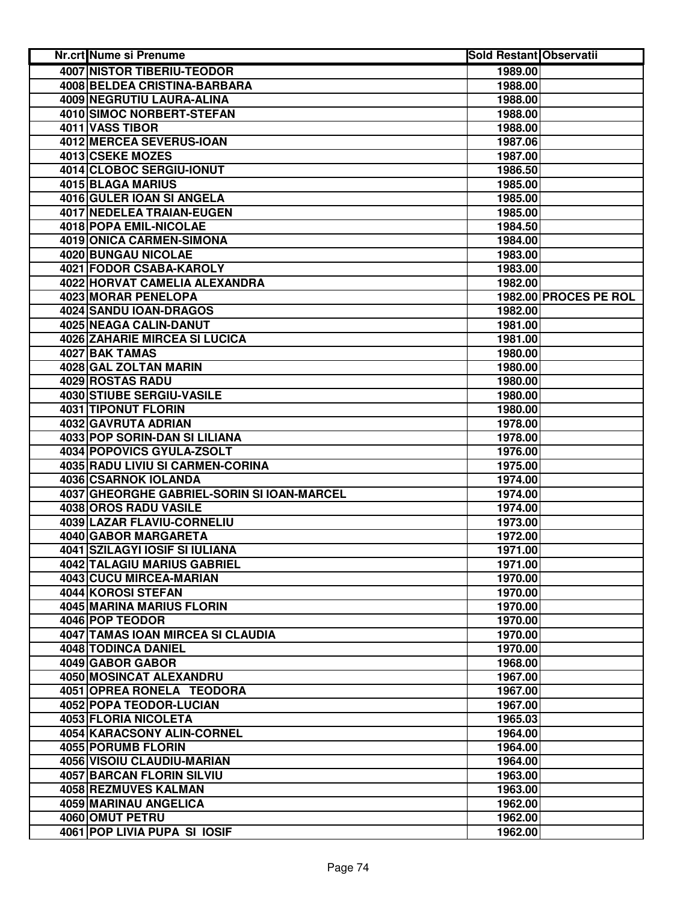| <b>Nr.crt Nume si Prenume</b>              | <b>Sold Restant Observatii</b> |                       |
|--------------------------------------------|--------------------------------|-----------------------|
| <b>4007 NISTOR TIBERIU-TEODOR</b>          | 1989.00                        |                       |
| 4008 BELDEA CRISTINA-BARBARA               | 1988.00                        |                       |
| <b>4009 NEGRUTIU LAURA-ALINA</b>           | 1988.00                        |                       |
| 4010 SIMOC NORBERT-STEFAN                  | 1988.00                        |                       |
| 4011 VASS TIBOR                            | 1988.00                        |                       |
| 4012 MERCEA SEVERUS-IOAN                   | 1987.06                        |                       |
| 4013 CSEKE MOZES                           | 1987.00                        |                       |
| 4014 CLOBOC SERGIU-IONUT                   | 1986.50                        |                       |
| 4015 BLAGA MARIUS                          | 1985.00                        |                       |
| 4016 GULER IOAN SI ANGELA                  | 1985.00                        |                       |
| 4017 NEDELEA TRAIAN-EUGEN                  | 1985.00                        |                       |
| 4018 POPA EMIL-NICOLAE                     | 1984.50                        |                       |
| 4019 ONICA CARMEN-SIMONA                   | 1984.00                        |                       |
| 4020 BUNGAU NICOLAE                        | 1983.00                        |                       |
| 4021 FODOR CSABA-KAROLY                    | 1983.00                        |                       |
| 4022 HORVAT CAMELIA ALEXANDRA              | 1982.00                        |                       |
| 4023 MORAR PENELOPA                        |                                | 1982.00 PROCES PE ROL |
| 4024 SANDU IOAN-DRAGOS                     | 1982.00                        |                       |
| 4025 NEAGA CALIN-DANUT                     | 1981.00                        |                       |
| <b>4026 ZAHARIE MIRCEA SI LUCICA</b>       | 1981.00                        |                       |
| 4027 BAK TAMAS                             | 1980.00                        |                       |
| 4028 GAL ZOLTAN MARIN                      | 1980.00                        |                       |
| <b>4029 ROSTAS RADU</b>                    | 1980.00                        |                       |
| <b>4030 STIUBE SERGIU-VASILE</b>           | 1980.00                        |                       |
| <b>4031 TIPONUT FLORIN</b>                 | 1980.00                        |                       |
| 4032 GAVRUTA ADRIAN                        | 1978.00                        |                       |
| 4033 POP SORIN-DAN SI LILIANA              | 1978.00                        |                       |
| 4034 POPOVICS GYULA-ZSOLT                  | 1976.00                        |                       |
| 4035 RADU LIVIU SI CARMEN-CORINA           | 1975.00                        |                       |
| 4036 CSARNOK IOLANDA                       | 1974.00                        |                       |
| 4037 GHEORGHE GABRIEL-SORIN SI IOAN-MARCEL | 1974.00                        |                       |
| 4038 OROS RADU VASILE                      | 1974.00                        |                       |
| 4039 LAZAR FLAVIU-CORNELIU                 | 1973.00                        |                       |
| 4040 GABOR MARGARETA                       | 1972.00                        |                       |
| 4041 SZILAGYI IOSIF SI IULIANA             | 1971.00                        |                       |
| 4042 TALAGIU MARIUS GABRIEL                | 1971.00                        |                       |
| 4043 CUCU MIRCEA-MARIAN                    | 1970.00                        |                       |
| 4044 KOROSI STEFAN                         | 1970.00                        |                       |
| 4045 MARINA MARIUS FLORIN                  | 1970.00                        |                       |
| 4046 POP TEODOR                            | 1970.00                        |                       |
| 4047 TAMAS IOAN MIRCEA SI CLAUDIA          | 1970.00                        |                       |
| 4048 TODINCA DANIEL                        | 1970.00                        |                       |
| 4049 GABOR GABOR                           | 1968.00                        |                       |
| 4050 MOSINCAT ALEXANDRU                    | 1967.00                        |                       |
| 4051 OPREA RONELA TEODORA                  | 1967.00                        |                       |
| 4052 POPA TEODOR-LUCIAN                    | 1967.00                        |                       |
| 4053 FLORIA NICOLETA                       | 1965.03                        |                       |
| 4054 KARACSONY ALIN-CORNEL                 | 1964.00                        |                       |
| 4055 PORUMB FLORIN                         | 1964.00                        |                       |
| 4056 VISOIU CLAUDIU-MARIAN                 | 1964.00                        |                       |
| 4057 BARCAN FLORIN SILVIU                  | 1963.00                        |                       |
| 4058 REZMUVES KALMAN                       | 1963.00                        |                       |
| 4059 MARINAU ANGELICA                      | 1962.00                        |                       |
| 4060 OMUT PETRU                            | 1962.00                        |                       |
| 4061 POP LIVIA PUPA SI IOSIF               | 1962.00                        |                       |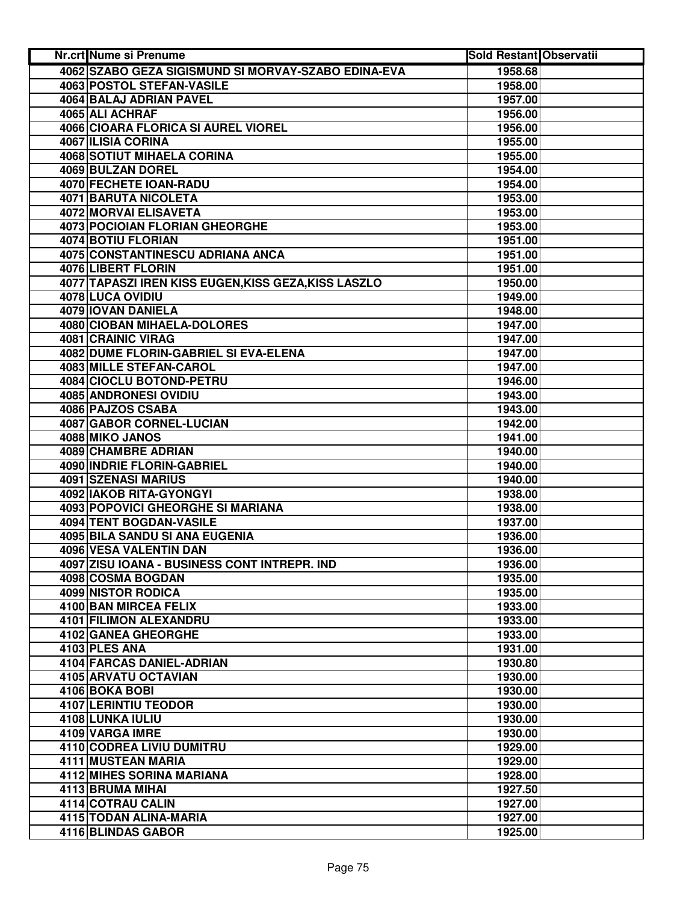| Nr.crt Nume si Prenume                               | <b>Sold Restant Observatii</b> |  |
|------------------------------------------------------|--------------------------------|--|
| 4062 SZABO GEZA SIGISMUND SI MORVAY-SZABO EDINA-EVA  | 1958.68                        |  |
| 4063 POSTOL STEFAN-VASILE                            | 1958.00                        |  |
| 4064 BALAJ ADRIAN PAVEL                              | 1957.00                        |  |
| 4065 ALI ACHRAF                                      | 1956.00                        |  |
| 4066 CIOARA FLORICA SI AUREL VIOREL                  | 1956.00                        |  |
| 4067 ILISIA CORINA                                   | 1955.00                        |  |
| <b>4068 SOTIUT MIHAELA CORINA</b>                    | 1955.00                        |  |
| 4069 BULZAN DOREL                                    | 1954.00                        |  |
| 4070 FECHETE IOAN-RADU                               | 1954.00                        |  |
| <b>4071 BARUTA NICOLETA</b>                          | 1953.00                        |  |
| 4072 MORVAI ELISAVETA                                | 1953.00                        |  |
| <b>4073 POCIOIAN FLORIAN GHEORGHE</b>                | 1953.00                        |  |
| 4074 BOTIU FLORIAN                                   | 1951.00                        |  |
| 4075 CONSTANTINESCU ADRIANA ANCA                     | 1951.00                        |  |
| 4076 LIBERT FLORIN                                   | 1951.00                        |  |
| 4077 TAPASZI IREN KISS EUGEN, KISS GEZA, KISS LASZLO | 1950.00                        |  |
| 4078 LUCA OVIDIU                                     | 1949.00                        |  |
| 4079 IOVAN DANIELA                                   | 1948.00                        |  |
| 4080 CIOBAN MIHAELA-DOLORES                          | 1947.00                        |  |
| 4081 CRAINIC VIRAG                                   | 1947.00                        |  |
| 4082 DUME FLORIN-GABRIEL SI EVA-ELENA                | 1947.00                        |  |
| 4083 MILLE STEFAN-CAROL                              | 1947.00                        |  |
| 4084 CIOCLU BOTOND-PETRU                             | 1946.00                        |  |
| 4085 ANDRONESI OVIDIU                                | 1943.00                        |  |
| 4086 PAJZOS CSABA                                    | 1943.00                        |  |
| 4087 GABOR CORNEL-LUCIAN                             | 1942.00                        |  |
| 4088 MIKO JANOS                                      | 1941.00                        |  |
| 4089 CHAMBRE ADRIAN                                  | 1940.00                        |  |
| 4090 INDRIE FLORIN-GABRIEL                           | 1940.00                        |  |
| 4091 SZENASI MARIUS                                  | 1940.00                        |  |
| 4092 IAKOB RITA-GYONGYI                              | 1938.00                        |  |
| 4093 POPOVICI GHEORGHE SI MARIANA                    | 1938.00                        |  |
| 4094 TENT BOGDAN-VASILE                              | 1937.00                        |  |
| 4095 BILA SANDU SI ANA EUGENIA                       | 1936.00                        |  |
| 4096 VESA VALENTIN DAN                               | 1936.00                        |  |
| 4097 ZISU IOANA - BUSINESS CONT INTREPR. IND         | 1936.00                        |  |
| 4098 COSMA BOGDAN                                    | 1935.00                        |  |
| 4099 NISTOR RODICA                                   | 1935.00                        |  |
| 4100 BAN MIRCEA FELIX                                | 1933.00                        |  |
| 4101 FILIMON ALEXANDRU                               | 1933.00                        |  |
| 4102 GANEA GHEORGHE                                  | 1933.00                        |  |
| 4103 PLES ANA                                        | 1931.00                        |  |
| 4104 FARCAS DANIEL-ADRIAN                            | 1930.80                        |  |
| 4105 ARVATU OCTAVIAN                                 | 1930.00                        |  |
| 4106 BOKA BOBI                                       | 1930.00                        |  |
| 4107 LERINTIU TEODOR                                 | 1930.00                        |  |
| 4108 LUNKA IULIU                                     | 1930.00                        |  |
| 4109 VARGA IMRE                                      | 1930.00                        |  |
| 4110 CODREA LIVIU DUMITRU                            | 1929.00                        |  |
| 4111 MUSTEAN MARIA                                   | 1929.00                        |  |
| 4112 MIHES SORINA MARIANA                            | 1928.00                        |  |
| 4113 BRUMA MIHAI                                     | 1927.50                        |  |
| 4114 COTRAU CALIN                                    | 1927.00                        |  |
| 4115 TODAN ALINA-MARIA                               | 1927.00                        |  |
| 4116 BLINDAS GABOR                                   | 1925.00                        |  |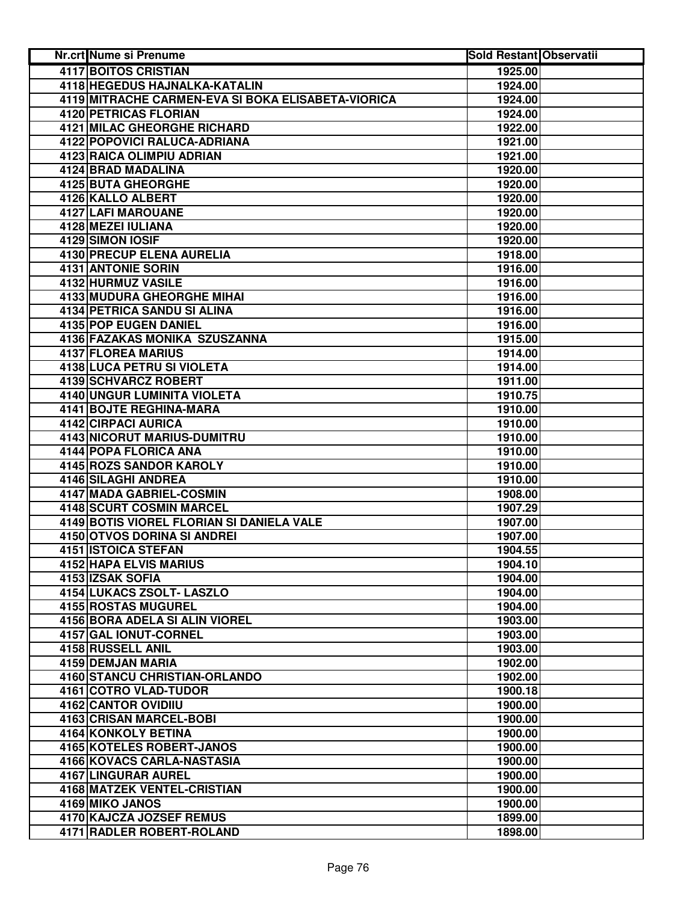| <b>Nr.crt Nume si Prenume</b>                      | <b>Sold Restant Observatii</b> |
|----------------------------------------------------|--------------------------------|
| <b>4117 BOITOS CRISTIAN</b>                        | 1925.00                        |
| 4118 HEGEDUS HAJNALKA-KATALIN                      | 1924.00                        |
| 4119 MITRACHE CARMEN-EVA SI BOKA ELISABETA-VIORICA | 1924.00                        |
| 4120 PETRICAS FLORIAN                              | 1924.00                        |
| 4121 MILAC GHEORGHE RICHARD                        | 1922.00                        |
| 4122 POPOVICI RALUCA-ADRIANA                       | 1921.00                        |
| 4123 RAICA OLIMPIU ADRIAN                          | 1921.00                        |
| 4124 BRAD MADALINA                                 | 1920.00                        |
| 4125 BUTA GHEORGHE                                 | 1920.00                        |
| 4126 KALLO ALBERT                                  | 1920.00                        |
| 4127 LAFI MAROUANE                                 | 1920.00                        |
| 4128 MEZEI IULIANA                                 | 1920.00                        |
| 4129 SIMON IOSIF                                   | 1920.00                        |
| 4130 PRECUP ELENA AURELIA                          | 1918.00                        |
| 4131 ANTONIE SORIN                                 | 1916.00                        |
| 4132 HURMUZ VASILE                                 | 1916.00                        |
| <b>4133 MUDURA GHEORGHE MIHAL</b>                  | 1916.00                        |
| 4134 PETRICA SANDU SI ALINA                        | 1916.00                        |
| <b>4135 POP EUGEN DANIEL</b>                       | 1916.00                        |
| 4136 FAZAKAS MONIKA SZUSZANNA                      | 1915.00                        |
| <b>4137 FLOREA MARIUS</b>                          | 1914.00                        |
| <b>4138 LUCA PETRU SI VIOLETA</b>                  | 1914.00                        |
| 4139 SCHVARCZ ROBERT                               | 1911.00                        |
| <b>4140 UNGUR LUMINITA VIOLETA</b>                 | 1910.75                        |
| 4141 BOJTE REGHINA-MARA                            | 1910.00                        |
| <b>4142 CIRPACI AURICA</b>                         | 1910.00                        |
| 4143 NICORUT MARIUS-DUMITRU                        | 1910.00                        |
| 4144 POPA FLORICA ANA                              | 1910.00                        |
| 4145 ROZS SANDOR KAROLY                            | 1910.00                        |
| 4146 SILAGHI ANDREA                                | 1910.00                        |
| 4147 MADA GABRIEL-COSMIN                           | 1908.00                        |
| 4148 SCURT COSMIN MARCEL                           | 1907.29                        |
| 4149 BOTIS VIOREL FLORIAN SI DANIELA VALE          | 1907.00                        |
| 4150 OTVOS DORINA SI ANDREI                        | 1907.00                        |
| 4151 ISTOICA STEFAN                                | 1904.55                        |
| 4152 HAPA ELVIS MARIUS                             | 1904.10                        |
| 4153 IZSAK SOFIA                                   | 1904.00                        |
| 4154 LUKACS ZSOLT- LASZLO                          | 1904.00                        |
| 4155 ROSTAS MUGUREL                                | 1904.00                        |
| 4156 BORA ADELA SI ALIN VIOREL                     | 1903.00                        |
| 4157 GAL IONUT-CORNEL                              | 1903.00                        |
| 4158 RUSSELL ANIL                                  | 1903.00                        |
| 4159 DEMJAN MARIA                                  | 1902.00                        |
| 4160 STANCU CHRISTIAN-ORLANDO                      | 1902.00                        |
| 4161 COTRO VLAD-TUDOR                              | 1900.18                        |
| <b>4162 CANTOR OVIDIIU</b>                         | 1900.00                        |
| 4163 CRISAN MARCEL-BOBI                            | 1900.00                        |
| 4164 KONKOLY BETINA                                | 1900.00                        |
| 4165 KOTELES ROBERT-JANOS                          | 1900.00                        |
| 4166 KOVACS CARLA-NASTASIA                         | 1900.00                        |
| 4167 LINGURAR AUREL                                | 1900.00                        |
| 4168 MATZEK VENTEL-CRISTIAN                        | 1900.00                        |
| 4169 MIKO JANOS                                    | 1900.00                        |
| 4170 KAJCZA JOZSEF REMUS                           | 1899.00                        |
| 4171 RADLER ROBERT-ROLAND                          | 1898.00                        |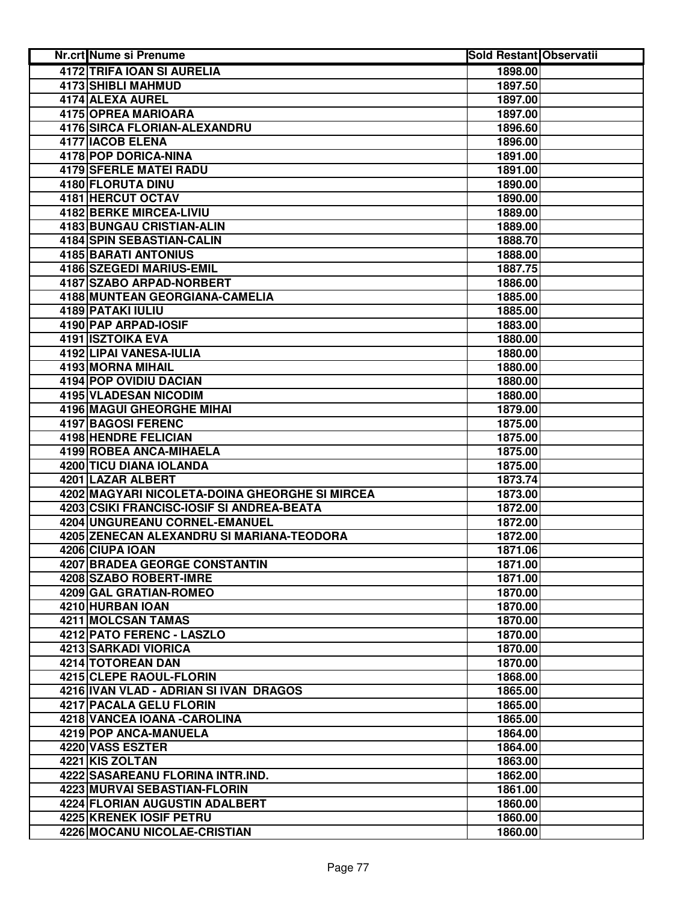| <b>Nr.crt Nume si Prenume</b>                  | <b>Sold Restant Observatii</b> |  |
|------------------------------------------------|--------------------------------|--|
| <b>4172 TRIFA IOAN SI AURELIA</b>              | 1898.00                        |  |
| <b>4173 SHIBLI MAHMUD</b>                      | 1897.50                        |  |
| 4174 ALEXA AUREL                               | 1897.00                        |  |
| 4175 OPREA MARIOARA                            | 1897.00                        |  |
| 4176 SIRCA FLORIAN-ALEXANDRU                   | 1896.60                        |  |
| 4177 IACOB ELENA                               | 1896.00                        |  |
| 4178 POP DORICA-NINA                           | 1891.00                        |  |
| <b>4179 SFERLE MATEI RADU</b>                  | 1891.00                        |  |
| 4180 FLORUTA DINU                              | 1890.00                        |  |
| 4181 HERCUT OCTAV                              | 1890.00                        |  |
| 4182 BERKE MIRCEA-LIVIU                        | 1889.00                        |  |
| 4183 BUNGAU CRISTIAN-ALIN                      | 1889.00                        |  |
| 4184 SPIN SEBASTIAN-CALIN                      | 1888.70                        |  |
| <b>4185 BARATI ANTONIUS</b>                    | 1888.00                        |  |
| 4186 SZEGEDI MARIUS-EMIL                       | 1887.75                        |  |
| 4187 SZABO ARPAD-NORBERT                       | 1886.00                        |  |
| 4188 MUNTEAN GEORGIANA-CAMELIA                 | 1885.00                        |  |
| <b>4189 PATAKI IULIU</b>                       | 1885.00                        |  |
| 4190 PAP ARPAD-IOSIF                           | 1883.00                        |  |
| 4191 ISZTOIKA EVA                              | 1880.00                        |  |
| 4192 LIPAI VANESA-IULIA                        | 1880.00                        |  |
| <b>4193 MORNA MIHAIL</b>                       | 1880.00                        |  |
| <b>4194 POP OVIDIU DACIAN</b>                  | 1880.00                        |  |
| <b>4195 VLADESAN NICODIM</b>                   | 1880.00                        |  |
| <b>4196 MAGUI GHEORGHE MIHAI</b>               | 1879.00                        |  |
| <b>4197 BAGOSI FERENC</b>                      | 1875.00                        |  |
| 4198 HENDRE FELICIAN                           | 1875.00                        |  |
| 4199 ROBEA ANCA-MIHAELA                        | 1875.00                        |  |
| 4200 TICU DIANA IOLANDA                        | 1875.00                        |  |
| 4201 LAZAR ALBERT                              | 1873.74                        |  |
| 4202 MAGYARI NICOLETA-DOINA GHEORGHE SI MIRCEA | 1873.00                        |  |
| 4203 CSIKI FRANCISC-IOSIF SI ANDREA-BEATA      | 1872.00                        |  |
| 4204 UNGUREANU CORNEL-EMANUEL                  | 1872.00                        |  |
| 4205 ZENECAN ALEXANDRU SI MARIANA-TEODORA      | 1872.00                        |  |
| 4206 CIUPA IOAN                                | 1871.06                        |  |
| <b>4207 BRADEA GEORGE CONSTANTIN</b>           | 1871.00                        |  |
| 4208 SZABO ROBERT-IMRE                         | 1871.00                        |  |
| 4209 GAL GRATIAN-ROMEO                         | 1870.00                        |  |
| 4210 HURBAN IOAN                               | 1870.00                        |  |
| 4211 MOLCSAN TAMAS                             | 1870.00                        |  |
| 4212 PATO FERENC - LASZLO                      | 1870.00                        |  |
| 4213 SARKADI VIORICA                           | 1870.00                        |  |
| 4214 TOTOREAN DAN                              | 1870.00                        |  |
| 4215 CLEPE RAOUL-FLORIN                        | 1868.00                        |  |
| 4216 IVAN VLAD - ADRIAN SI IVAN DRAGOS         | 1865.00                        |  |
| 4217 PACALA GELU FLORIN                        | 1865.00                        |  |
| 4218 VANCEA IOANA - CAROLINA                   | 1865.00                        |  |
| 4219 POP ANCA-MANUELA                          | 1864.00                        |  |
| 4220 VASS ESZTER                               | 1864.00                        |  |
| 4221 KIS ZOLTAN                                | 1863.00                        |  |
| 4222 SASAREANU FLORINA INTR.IND.               | 1862.00                        |  |
| 4223 MURVAI SEBASTIAN-FLORIN                   | 1861.00                        |  |
| 4224 FLORIAN AUGUSTIN ADALBERT                 | 1860.00                        |  |
| 4225 KRENEK IOSIF PETRU                        | 1860.00                        |  |
| 4226 MOCANU NICOLAE-CRISTIAN                   | 1860.00                        |  |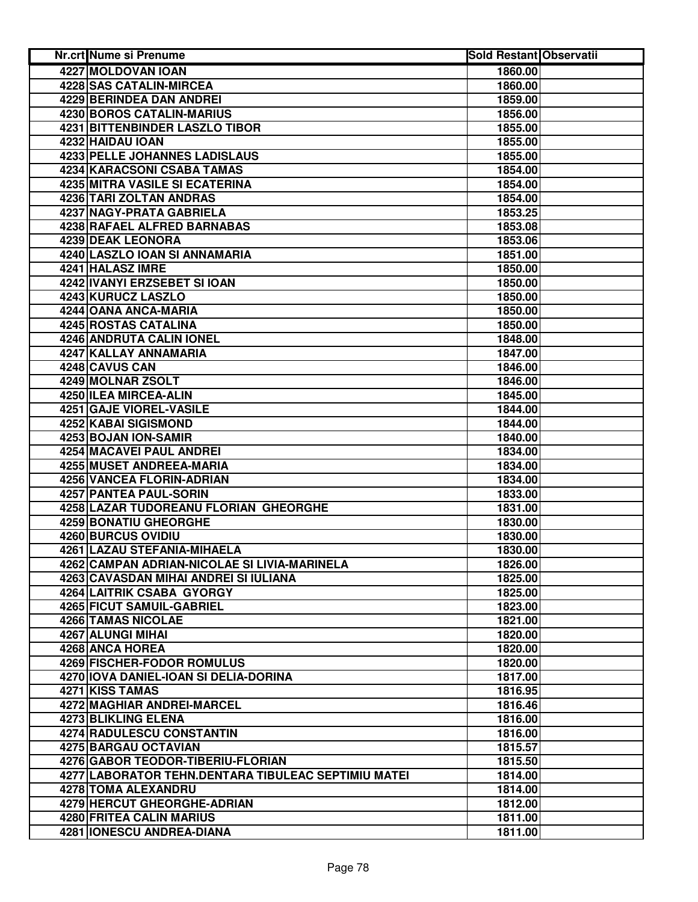| Nr.crt Nume si Prenume                              | <b>Sold Restant Observatii</b> |  |
|-----------------------------------------------------|--------------------------------|--|
| 4227 MOLDOVAN IOAN                                  | 1860.00                        |  |
| <b>4228 SAS CATALIN-MIRCEA</b>                      | 1860.00                        |  |
| 4229 BERINDEA DAN ANDREI                            | 1859.00                        |  |
| 4230 BOROS CATALIN-MARIUS                           | 1856.00                        |  |
| 4231 BITTENBINDER LASZLO TIBOR                      | 1855.00                        |  |
| 4232 HAIDAU IOAN                                    | 1855.00                        |  |
| 4233 PELLE JOHANNES LADISLAUS                       | 1855.00                        |  |
| 4234 KARACSONI CSABA TAMAS                          | 1854.00                        |  |
| <b>4235 MITRA VASILE SI ECATERINA</b>               | 1854.00                        |  |
| 4236 TARI ZOLTAN ANDRAS                             | 1854.00                        |  |
| 4237 NAGY-PRATA GABRIELA                            | 1853.25                        |  |
| 4238 RAFAEL ALFRED BARNABAS                         | 1853.08                        |  |
| 4239 DEAK LEONORA                                   | 1853.06                        |  |
| 4240 LASZLO IOAN SI ANNAMARIA                       | 1851.00                        |  |
| 4241 HALASZ IMRE                                    | 1850.00                        |  |
| 4242 IVANYI ERZSEBET SI IOAN                        | 1850.00                        |  |
| 4243 KURUCZ LASZLO                                  | 1850.00                        |  |
| 4244 OANA ANCA-MARIA                                | 1850.00                        |  |
| 4245 ROSTAS CATALINA                                | 1850.00                        |  |
| 4246 ANDRUTA CALIN IONEL                            | 1848.00                        |  |
| 4247 KALLAY ANNAMARIA                               | 1847.00                        |  |
| 4248 CAVUS CAN                                      | 1846.00                        |  |
| 4249 MOLNAR ZSOLT                                   | 1846.00                        |  |
| 4250 ILEA MIRCEA-ALIN                               | 1845.00                        |  |
| <b>4251 GAJE VIOREL-VASILE</b>                      | 1844.00                        |  |
| <b>4252 KABAI SIGISMOND</b>                         | 1844.00                        |  |
| 4253 BOJAN ION-SAMIR                                | 1840.00                        |  |
| 4254 MACAVEI PAUL ANDREI                            | 1834.00                        |  |
| 4255 MUSET ANDREEA-MARIA                            | 1834.00                        |  |
| 4256 VANCEA FLORIN-ADRIAN                           | 1834.00                        |  |
| 4257 PANTEA PAUL-SORIN                              | 1833.00                        |  |
| 4258 LAZAR TUDOREANU FLORIAN GHEORGHE               | 1831.00                        |  |
| 4259 BONATIU GHEORGHE                               | 1830.00                        |  |
| 4260 BURCUS OVIDIU                                  | 1830.00                        |  |
| 4261 LAZAU STEFANIA-MIHAELA                         | 1830.00                        |  |
| 4262 CAMPAN ADRIAN-NICOLAE SI LIVIA-MARINELA        | 1826.00                        |  |
| 4263 CAVASDAN MIHAI ANDREI SI IULIANA               | 1825.00                        |  |
| 4264 LAITRIK CSABA GYORGY                           | 1825.00                        |  |
| 4265 FICUT SAMUIL-GABRIEL                           | 1823.00                        |  |
| 4266 TAMAS NICOLAE                                  | 1821.00                        |  |
| 4267 ALUNGI MIHAI                                   | 1820.00                        |  |
| 4268 ANCA HOREA                                     | 1820.00                        |  |
| 4269 FISCHER-FODOR ROMULUS                          | 1820.00                        |  |
| 4270 IOVA DANIEL-IOAN SI DELIA-DORINA               | 1817.00                        |  |
| 4271 KISS TAMAS                                     | 1816.95                        |  |
| 4272 MAGHIAR ANDREI-MARCEL                          | 1816.46                        |  |
| 4273 BLIKLING ELENA                                 | 1816.00                        |  |
| 4274 RADULESCU CONSTANTIN                           | 1816.00                        |  |
| 4275 BARGAU OCTAVIAN                                | 1815.57                        |  |
| 4276 GABOR TEODOR-TIBERIU-FLORIAN                   | 1815.50                        |  |
| 4277 LABORATOR TEHN.DENTARA TIBULEAC SEPTIMIU MATEI | 1814.00                        |  |
| 4278 TOMA ALEXANDRU                                 | 1814.00                        |  |
| 4279 HERCUT GHEORGHE-ADRIAN                         | 1812.00                        |  |
| 4280 FRITEA CALIN MARIUS                            | 1811.00                        |  |
| 4281 IONESCU ANDREA-DIANA                           | 1811.00                        |  |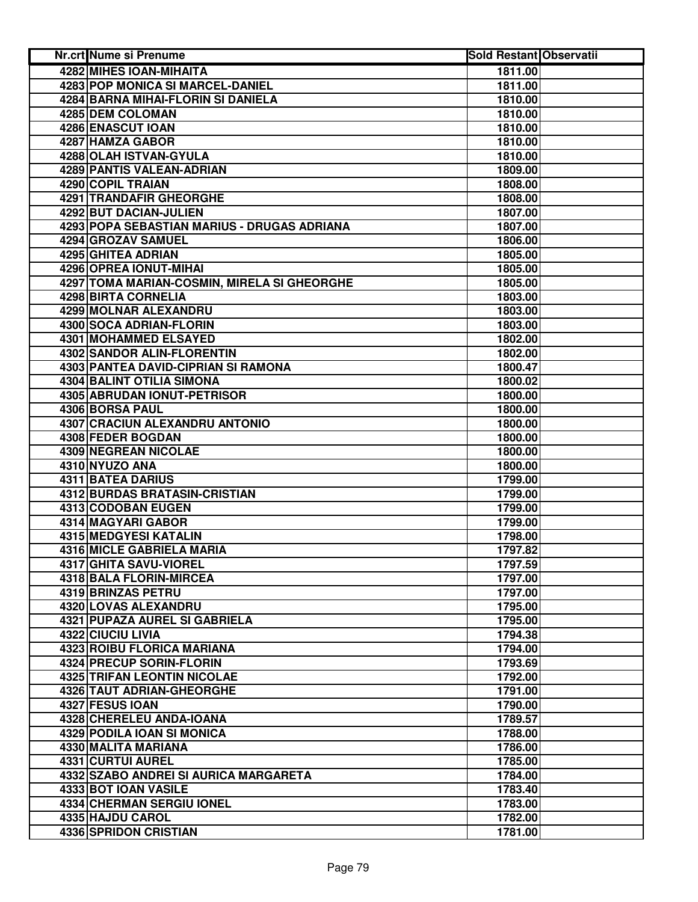| <b>Nr.crt Nume si Prenume</b>               | <b>Sold Restant Observatii</b> |
|---------------------------------------------|--------------------------------|
| <b>4282 MIHES IOAN-MIHAITA</b>              | 1811.00                        |
| 4283 POP MONICA SI MARCEL-DANIEL            | 1811.00                        |
| 4284 BARNA MIHAI-FLORIN SI DANIELA          | 1810.00                        |
| 4285 DEM COLOMAN                            | 1810.00                        |
| 4286 ENASCUT IOAN                           | 1810.00                        |
| 4287 HAMZA GABOR                            | 1810.00                        |
| 4288 OLAH ISTVAN-GYULA                      | 1810.00                        |
| 4289 PANTIS VALEAN-ADRIAN                   | 1809.00                        |
| 4290 COPIL TRAIAN                           | 1808.00                        |
| 4291 TRANDAFIR GHEORGHE                     | 1808.00                        |
| 4292 BUT DACIAN-JULIEN                      | 1807.00                        |
| 4293 POPA SEBASTIAN MARIUS - DRUGAS ADRIANA | 1807.00                        |
| 4294 GROZAV SAMUEL                          | 1806.00                        |
| 4295 GHITEA ADRIAN                          | 1805.00                        |
| 4296 OPREA IONUT-MIHAI                      | 1805.00                        |
| 4297 TOMA MARIAN-COSMIN, MIRELA SI GHEORGHE | 1805.00                        |
| 4298 BIRTA CORNELIA                         | 1803.00                        |
| 4299 MOLNAR ALEXANDRU                       | 1803.00                        |
| 4300 SOCA ADRIAN-FLORIN                     | 1803.00                        |
| 4301 MOHAMMED ELSAYED                       | 1802.00                        |
| <b>4302 SANDOR ALIN-FLORENTIN</b>           | 1802.00                        |
| 4303 PANTEA DAVID-CIPRIAN SI RAMONA         | 1800.47                        |
| <b>4304 BALINT OTILIA SIMONA</b>            | 1800.02                        |
| 4305 ABRUDAN IONUT-PETRISOR                 | 1800.00                        |
| 4306 BORSA PAUL                             | 1800.00                        |
| 4307 CRACIUN ALEXANDRU ANTONIO              | 1800.00                        |
| 4308 FEDER BOGDAN                           | 1800.00                        |
| 4309 NEGREAN NICOLAE                        | 1800.00                        |
| 4310 NYUZO ANA                              | 1800.00                        |
| 4311 BATEA DARIUS                           | 1799.00                        |
| 4312 BURDAS BRATASIN-CRISTIAN               | 1799.00                        |
| 4313 CODOBAN EUGEN                          | 1799.00                        |
| 4314 MAGYARI GABOR                          | 1799.00                        |
| 4315 MEDGYESI KATALIN                       | 1798.00                        |
| 4316 MICLE GABRIELA MARIA                   | 1797.82                        |
| 4317 GHITA SAVU-VIOREL                      | 1797.59                        |
| 4318 BALA FLORIN-MIRCEA                     | 1797.00                        |
| 4319 BRINZAS PETRU                          | 1797.00                        |
| 4320 LOVAS ALEXANDRU                        | 1795.00                        |
| 4321 PUPAZA AUREL SI GABRIELA               | 1795.00                        |
| 4322 CIUCIU LIVIA                           | 1794.38                        |
| <b>4323 ROIBU FLORICA MARIANA</b>           | 1794.00                        |
| 4324 PRECUP SORIN-FLORIN                    | 1793.69                        |
| <b>4325 TRIFAN LEONTIN NICOLAE</b>          | 1792.00                        |
| 4326 TAUT ADRIAN-GHEORGHE                   | 1791.00                        |
| 4327 FESUS IOAN                             | 1790.00                        |
| 4328 CHERELEU ANDA-IOANA                    | 1789.57                        |
| 4329 PODILA IOAN SI MONICA                  | 1788.00                        |
| 4330 MALITA MARIANA                         | 1786.00                        |
| <b>4331 CURTUI AUREL</b>                    | 1785.00                        |
| 4332 SZABO ANDREI SI AURICA MARGARETA       | 1784.00                        |
| 4333 BOT IOAN VASILE                        | 1783.40                        |
| 4334 CHERMAN SERGIU IONEL                   | 1783.00                        |
| 4335 HAJDU CAROL                            | 1782.00                        |
| 4336 SPRIDON CRISTIAN                       | 1781.00                        |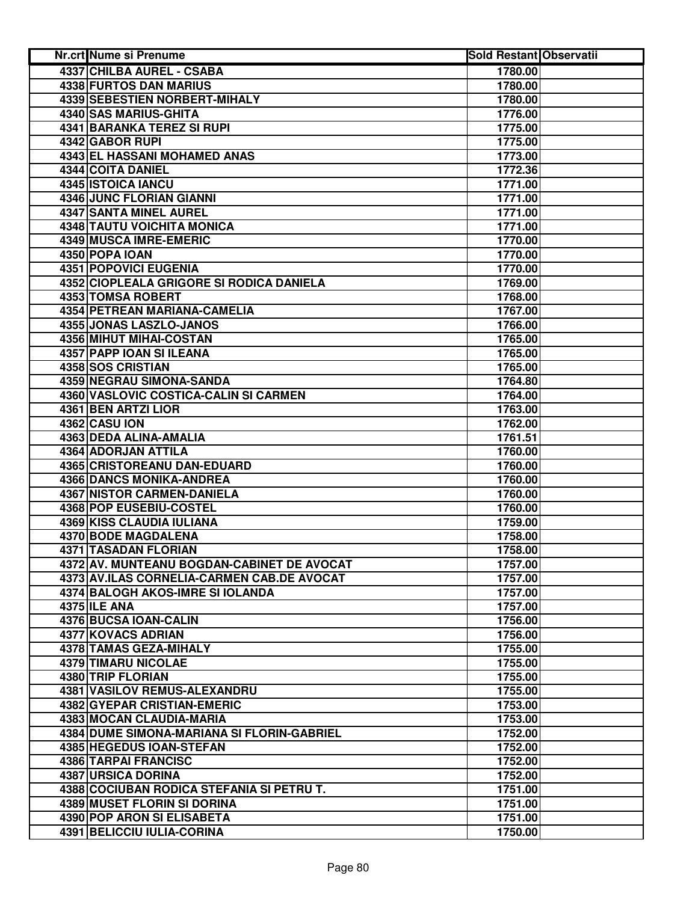| <b>Nr.crt Nume si Prenume</b>              | <b>Sold Restant Observatii</b> |  |
|--------------------------------------------|--------------------------------|--|
| 4337 CHILBA AUREL - CSABA                  | 1780.00                        |  |
| <b>4338 FURTOS DAN MARIUS</b>              | 1780.00                        |  |
| 4339 SEBESTIEN NORBERT-MIHALY              | 1780.00                        |  |
| 4340 SAS MARIUS-GHITA                      | 1776.00                        |  |
| <b>4341 BARANKA TEREZ SI RUPI</b>          | 1775.00                        |  |
| 4342 GABOR RUPI                            | 1775.00                        |  |
| 4343 EL HASSANI MOHAMED ANAS               | 1773.00                        |  |
| 4344 COITA DANIEL                          | 1772.36                        |  |
| 4345 ISTOICA IANCU                         | 1771.00                        |  |
| 4346 JUNC FLORIAN GIANNI                   | 1771.00                        |  |
| <b>4347 SANTA MINEL AUREL</b>              | 1771.00                        |  |
| 4348 TAUTU VOICHITA MONICA                 | 1771.00                        |  |
| 4349 MUSCA IMRE-EMERIC                     | 1770.00                        |  |
| 4350 POPA IOAN                             | 1770.00                        |  |
| <b>4351 POPOVICI EUGENIA</b>               | 1770.00                        |  |
| 4352 CIOPLEALA GRIGORE SI RODICA DANIELA   | 1769.00                        |  |
| <b>4353 TOMSA ROBERT</b>                   | 1768.00                        |  |
| 4354 PETREAN MARIANA-CAMELIA               | 1767.00                        |  |
| <b>4355 JONAS LASZLO-JANOS</b>             | 1766.00                        |  |
| 4356 MIHUT MIHAI-COSTAN                    | 1765.00                        |  |
| 4357 PAPP IOAN SI ILEANA                   | 1765.00                        |  |
| 4358 SOS CRISTIAN                          | 1765.00                        |  |
| <b>4359 NEGRAU SIMONA-SANDA</b>            | 1764.80                        |  |
| 4360 VASLOVIC COSTICA-CALIN SI CARMEN      | 1764.00                        |  |
| 4361 BEN ARTZI LIOR                        | 1763.00                        |  |
| 4362 CASU ION                              | 1762.00                        |  |
| 4363 DEDA ALINA-AMALIA                     | 1761.51                        |  |
| 4364 ADORJAN ATTILA                        | 1760.00                        |  |
| 4365 CRISTOREANU DAN-EDUARD                | 1760.00                        |  |
| 4366 DANCS MONIKA-ANDREA                   | 1760.00                        |  |
| 4367 NISTOR CARMEN-DANIELA                 | 1760.00                        |  |
| 4368 POP EUSEBIU-COSTEL                    | 1760.00                        |  |
| <b>4369 KISS CLAUDIA IULIANA</b>           | 1759.00                        |  |
| 4370 BODE MAGDALENA                        | 1758.00                        |  |
| 4371 TASADAN FLORIAN                       | 1758.00                        |  |
| 4372 AV. MUNTEANU BOGDAN-CABINET DE AVOCAT | 1757.00                        |  |
| 4373 AV.ILAS CORNELIA-CARMEN CAB.DE AVOCAT | 1757.00                        |  |
| 4374 BALOGH AKOS-IMRE SI IOLANDA           |                                |  |
| 4375 ILE ANA                               | 1757.00<br>1757.00             |  |
| 4376 BUCSA IOAN-CALIN                      | 1756.00                        |  |
| 4377 KOVACS ADRIAN                         | 1756.00                        |  |
| 4378 TAMAS GEZA-MIHALY                     |                                |  |
|                                            | 1755.00                        |  |
| 4379 TIMARU NICOLAE                        | 1755.00<br>1755.00             |  |
| 4380 TRIP FLORIAN                          |                                |  |
| 4381 VASILOV REMUS-ALEXANDRU               | 1755.00                        |  |
| <b>4382 GYEPAR CRISTIAN-EMERIC</b>         | 1753.00                        |  |
| 4383 MOCAN CLAUDIA-MARIA                   | 1753.00                        |  |
| 4384 DUME SIMONA-MARIANA SI FLORIN-GABRIEL | 1752.00                        |  |
| 4385 HEGEDUS IOAN-STEFAN                   | 1752.00                        |  |
| <b>4386 TARPAI FRANCISC</b>                | 1752.00                        |  |
| 4387 URSICA DORINA                         | 1752.00                        |  |
| 4388 COCIUBAN RODICA STEFANIA SI PETRU T.  | 1751.00                        |  |
| 4389 MUSET FLORIN SI DORINA                | 1751.00                        |  |
| 4390 POP ARON SI ELISABETA                 | 1751.00                        |  |
| 4391 BELICCIU IULIA-CORINA                 | 1750.00                        |  |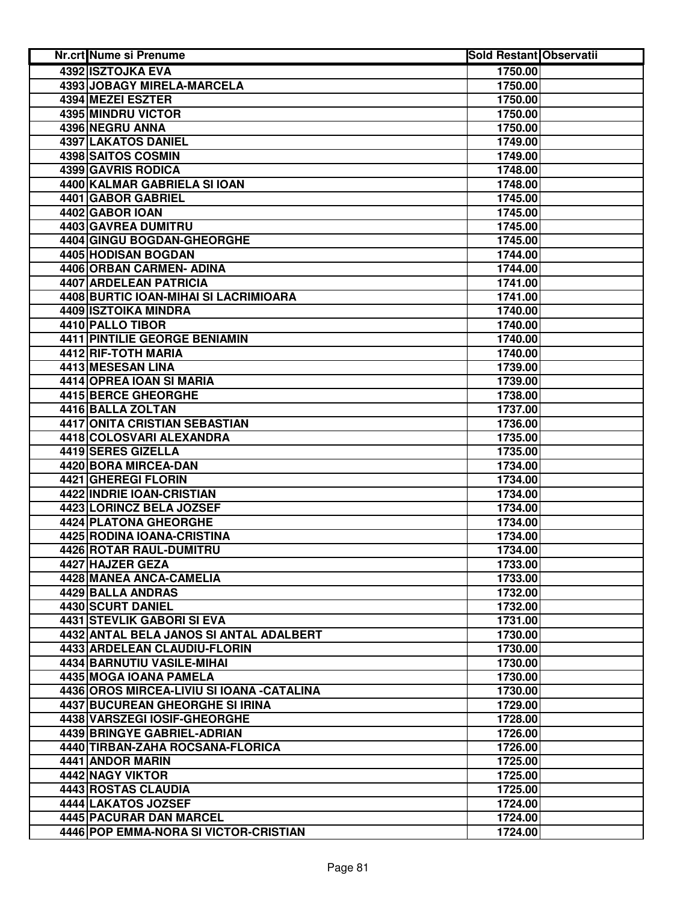| 4392 ISZTOJKA EVA<br>1750.00<br>4393 JOBAGY MIRELA-MARCELA<br>1750.00<br>4394 MEZEI ESZTER<br>1750.00<br>4395 MINDRU VICTOR<br>1750.00<br>4396 NEGRU ANNA<br>1750.00<br>4397 LAKATOS DANIEL<br>1749.00<br>4398 SAITOS COSMIN<br>1749.00<br>4399 GAVRIS RODICA<br>1748.00<br>4400 KALMAR GABRIELA SI IOAN<br>1748.00<br>4401 GABOR GABRIEL<br>1745.00<br>4402 GABOR IOAN<br>1745.00<br>4403 GAVREA DUMITRU<br>1745.00<br>4404 GINGU BOGDAN-GHEORGHE<br>1745.00<br>4405 HODISAN BOGDAN<br>1744.00<br>4406 ORBAN CARMEN- ADINA<br>1744.00<br>4407 ARDELEAN PATRICIA<br>1741.00<br>4408 BURTIC IOAN-MIHAI SI LACRIMIOARA<br>1741.00<br>4409 ISZTOIKA MINDRA<br>1740.00<br>4410 PALLO TIBOR<br>1740.00<br><b>4411 PINTILIE GEORGE BENIAMIN</b><br>1740.00<br>4412 RIF-TOTH MARIA<br>1740.00<br>4413 MESESAN LINA<br>1739.00<br>4414 OPREA IOAN SI MARIA<br>1739.00<br><b>4415 BERCE GHEORGHE</b><br>1738.00<br>4416 BALLA ZOLTAN<br>1737.00<br>4417 ONITA CRISTIAN SEBASTIAN<br>1736.00<br>4418 COLOSVARI ALEXANDRA<br>1735.00 |
|---------------------------------------------------------------------------------------------------------------------------------------------------------------------------------------------------------------------------------------------------------------------------------------------------------------------------------------------------------------------------------------------------------------------------------------------------------------------------------------------------------------------------------------------------------------------------------------------------------------------------------------------------------------------------------------------------------------------------------------------------------------------------------------------------------------------------------------------------------------------------------------------------------------------------------------------------------------------------------------------------------------------------|
|                                                                                                                                                                                                                                                                                                                                                                                                                                                                                                                                                                                                                                                                                                                                                                                                                                                                                                                                                                                                                           |
|                                                                                                                                                                                                                                                                                                                                                                                                                                                                                                                                                                                                                                                                                                                                                                                                                                                                                                                                                                                                                           |
|                                                                                                                                                                                                                                                                                                                                                                                                                                                                                                                                                                                                                                                                                                                                                                                                                                                                                                                                                                                                                           |
|                                                                                                                                                                                                                                                                                                                                                                                                                                                                                                                                                                                                                                                                                                                                                                                                                                                                                                                                                                                                                           |
|                                                                                                                                                                                                                                                                                                                                                                                                                                                                                                                                                                                                                                                                                                                                                                                                                                                                                                                                                                                                                           |
|                                                                                                                                                                                                                                                                                                                                                                                                                                                                                                                                                                                                                                                                                                                                                                                                                                                                                                                                                                                                                           |
|                                                                                                                                                                                                                                                                                                                                                                                                                                                                                                                                                                                                                                                                                                                                                                                                                                                                                                                                                                                                                           |
|                                                                                                                                                                                                                                                                                                                                                                                                                                                                                                                                                                                                                                                                                                                                                                                                                                                                                                                                                                                                                           |
|                                                                                                                                                                                                                                                                                                                                                                                                                                                                                                                                                                                                                                                                                                                                                                                                                                                                                                                                                                                                                           |
|                                                                                                                                                                                                                                                                                                                                                                                                                                                                                                                                                                                                                                                                                                                                                                                                                                                                                                                                                                                                                           |
|                                                                                                                                                                                                                                                                                                                                                                                                                                                                                                                                                                                                                                                                                                                                                                                                                                                                                                                                                                                                                           |
|                                                                                                                                                                                                                                                                                                                                                                                                                                                                                                                                                                                                                                                                                                                                                                                                                                                                                                                                                                                                                           |
|                                                                                                                                                                                                                                                                                                                                                                                                                                                                                                                                                                                                                                                                                                                                                                                                                                                                                                                                                                                                                           |
|                                                                                                                                                                                                                                                                                                                                                                                                                                                                                                                                                                                                                                                                                                                                                                                                                                                                                                                                                                                                                           |
|                                                                                                                                                                                                                                                                                                                                                                                                                                                                                                                                                                                                                                                                                                                                                                                                                                                                                                                                                                                                                           |
|                                                                                                                                                                                                                                                                                                                                                                                                                                                                                                                                                                                                                                                                                                                                                                                                                                                                                                                                                                                                                           |
|                                                                                                                                                                                                                                                                                                                                                                                                                                                                                                                                                                                                                                                                                                                                                                                                                                                                                                                                                                                                                           |
|                                                                                                                                                                                                                                                                                                                                                                                                                                                                                                                                                                                                                                                                                                                                                                                                                                                                                                                                                                                                                           |
|                                                                                                                                                                                                                                                                                                                                                                                                                                                                                                                                                                                                                                                                                                                                                                                                                                                                                                                                                                                                                           |
|                                                                                                                                                                                                                                                                                                                                                                                                                                                                                                                                                                                                                                                                                                                                                                                                                                                                                                                                                                                                                           |
|                                                                                                                                                                                                                                                                                                                                                                                                                                                                                                                                                                                                                                                                                                                                                                                                                                                                                                                                                                                                                           |
|                                                                                                                                                                                                                                                                                                                                                                                                                                                                                                                                                                                                                                                                                                                                                                                                                                                                                                                                                                                                                           |
|                                                                                                                                                                                                                                                                                                                                                                                                                                                                                                                                                                                                                                                                                                                                                                                                                                                                                                                                                                                                                           |
|                                                                                                                                                                                                                                                                                                                                                                                                                                                                                                                                                                                                                                                                                                                                                                                                                                                                                                                                                                                                                           |
|                                                                                                                                                                                                                                                                                                                                                                                                                                                                                                                                                                                                                                                                                                                                                                                                                                                                                                                                                                                                                           |
|                                                                                                                                                                                                                                                                                                                                                                                                                                                                                                                                                                                                                                                                                                                                                                                                                                                                                                                                                                                                                           |
|                                                                                                                                                                                                                                                                                                                                                                                                                                                                                                                                                                                                                                                                                                                                                                                                                                                                                                                                                                                                                           |
| 4419 SERES GIZELLA<br>1735.00                                                                                                                                                                                                                                                                                                                                                                                                                                                                                                                                                                                                                                                                                                                                                                                                                                                                                                                                                                                             |
| 4420 BORA MIRCEA-DAN<br>1734.00                                                                                                                                                                                                                                                                                                                                                                                                                                                                                                                                                                                                                                                                                                                                                                                                                                                                                                                                                                                           |
| 4421 GHEREGI FLORIN<br>1734.00                                                                                                                                                                                                                                                                                                                                                                                                                                                                                                                                                                                                                                                                                                                                                                                                                                                                                                                                                                                            |
| 4422 INDRIE IOAN-CRISTIAN<br>1734.00                                                                                                                                                                                                                                                                                                                                                                                                                                                                                                                                                                                                                                                                                                                                                                                                                                                                                                                                                                                      |
| 4423 LORINCZ BELA JOZSEF<br>1734.00                                                                                                                                                                                                                                                                                                                                                                                                                                                                                                                                                                                                                                                                                                                                                                                                                                                                                                                                                                                       |
| 4424 PLATONA GHEORGHE<br>1734.00                                                                                                                                                                                                                                                                                                                                                                                                                                                                                                                                                                                                                                                                                                                                                                                                                                                                                                                                                                                          |
| 4425 RODINA IOANA-CRISTINA<br>1734.00                                                                                                                                                                                                                                                                                                                                                                                                                                                                                                                                                                                                                                                                                                                                                                                                                                                                                                                                                                                     |
| 4426 ROTAR RAUL-DUMITRU<br>1734.00                                                                                                                                                                                                                                                                                                                                                                                                                                                                                                                                                                                                                                                                                                                                                                                                                                                                                                                                                                                        |
| 1733.00<br>4427 HAJZER GEZA                                                                                                                                                                                                                                                                                                                                                                                                                                                                                                                                                                                                                                                                                                                                                                                                                                                                                                                                                                                               |
| 4428 MANEA ANCA-CAMELIA<br>1733.00                                                                                                                                                                                                                                                                                                                                                                                                                                                                                                                                                                                                                                                                                                                                                                                                                                                                                                                                                                                        |
| 4429 BALLA ANDRAS<br>1732.00                                                                                                                                                                                                                                                                                                                                                                                                                                                                                                                                                                                                                                                                                                                                                                                                                                                                                                                                                                                              |
| 4430 SCURT DANIEL<br>1732.00                                                                                                                                                                                                                                                                                                                                                                                                                                                                                                                                                                                                                                                                                                                                                                                                                                                                                                                                                                                              |
| <b>4431 STEVLIK GABORI SI EVA</b><br>1731.00                                                                                                                                                                                                                                                                                                                                                                                                                                                                                                                                                                                                                                                                                                                                                                                                                                                                                                                                                                              |
| 4432 ANTAL BELA JANOS SI ANTAL ADALBERT<br>1730.00                                                                                                                                                                                                                                                                                                                                                                                                                                                                                                                                                                                                                                                                                                                                                                                                                                                                                                                                                                        |
| 4433 ARDELEAN CLAUDIU-FLORIN<br>1730.00                                                                                                                                                                                                                                                                                                                                                                                                                                                                                                                                                                                                                                                                                                                                                                                                                                                                                                                                                                                   |
| 4434 BARNUTIU VASILE-MIHAI<br>1730.00                                                                                                                                                                                                                                                                                                                                                                                                                                                                                                                                                                                                                                                                                                                                                                                                                                                                                                                                                                                     |
| 4435 MOGA IOANA PAMELA<br>1730.00                                                                                                                                                                                                                                                                                                                                                                                                                                                                                                                                                                                                                                                                                                                                                                                                                                                                                                                                                                                         |
| 4436 OROS MIRCEA-LIVIU SI IOANA - CATALINA<br>1730.00                                                                                                                                                                                                                                                                                                                                                                                                                                                                                                                                                                                                                                                                                                                                                                                                                                                                                                                                                                     |
| 4437 BUCUREAN GHEORGHE SI IRINA<br>1729.00                                                                                                                                                                                                                                                                                                                                                                                                                                                                                                                                                                                                                                                                                                                                                                                                                                                                                                                                                                                |
| 4438 VARSZEGI IOSIF-GHEORGHE<br>1728.00                                                                                                                                                                                                                                                                                                                                                                                                                                                                                                                                                                                                                                                                                                                                                                                                                                                                                                                                                                                   |
| 4439 BRINGYE GABRIEL-ADRIAN<br>1726.00                                                                                                                                                                                                                                                                                                                                                                                                                                                                                                                                                                                                                                                                                                                                                                                                                                                                                                                                                                                    |
| 4440 TIRBAN-ZAHA ROCSANA-FLORICA<br>1726.00                                                                                                                                                                                                                                                                                                                                                                                                                                                                                                                                                                                                                                                                                                                                                                                                                                                                                                                                                                               |
| 4441 ANDOR MARIN<br>1725.00                                                                                                                                                                                                                                                                                                                                                                                                                                                                                                                                                                                                                                                                                                                                                                                                                                                                                                                                                                                               |
| 4442 NAGY VIKTOR<br>1725.00                                                                                                                                                                                                                                                                                                                                                                                                                                                                                                                                                                                                                                                                                                                                                                                                                                                                                                                                                                                               |
| 4443 ROSTAS CLAUDIA<br>1725.00                                                                                                                                                                                                                                                                                                                                                                                                                                                                                                                                                                                                                                                                                                                                                                                                                                                                                                                                                                                            |
| 4444 LAKATOS JOZSEF<br>1724.00                                                                                                                                                                                                                                                                                                                                                                                                                                                                                                                                                                                                                                                                                                                                                                                                                                                                                                                                                                                            |
| 4445 PACURAR DAN MARCEL<br>1724.00                                                                                                                                                                                                                                                                                                                                                                                                                                                                                                                                                                                                                                                                                                                                                                                                                                                                                                                                                                                        |
| 4446 POP EMMA-NORA SI VICTOR-CRISTIAN<br>1724.00                                                                                                                                                                                                                                                                                                                                                                                                                                                                                                                                                                                                                                                                                                                                                                                                                                                                                                                                                                          |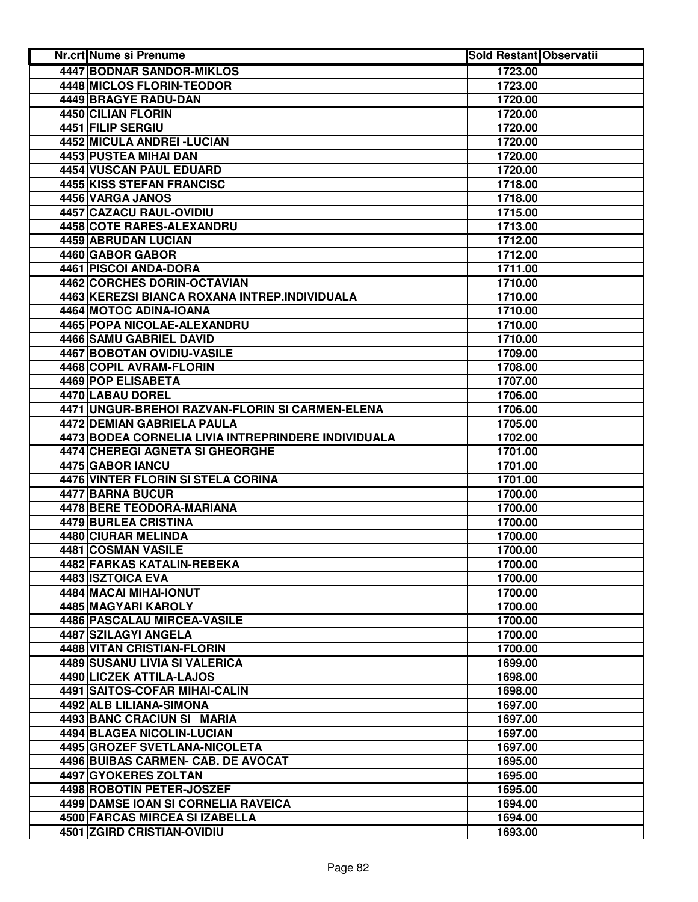| <b>Nr.crt Nume si Prenume</b>                       | <b>Sold Restant Observatii</b> |  |
|-----------------------------------------------------|--------------------------------|--|
| <b>4447 BODNAR SANDOR-MIKLOS</b>                    | 1723.00                        |  |
| <b>4448 MICLOS FLORIN-TEODOR</b>                    | 1723.00                        |  |
| 4449 BRAGYE RADU-DAN                                | 1720.00                        |  |
| 4450 CILIAN FLORIN                                  | 1720.00                        |  |
| 4451 FILIP SERGIU                                   | 1720.00                        |  |
| 4452 MICULA ANDREI - LUCIAN                         | 1720.00                        |  |
| 4453 PUSTEA MIHAI DAN                               | 1720.00                        |  |
| 4454 VUSCAN PAUL EDUARD                             | 1720.00                        |  |
| <b>4455 KISS STEFAN FRANCISC</b>                    | 1718.00                        |  |
| 4456 VARGA JANOS                                    | 1718.00                        |  |
| 4457 CAZACU RAUL-OVIDIU                             | 1715.00                        |  |
| 4458 COTE RARES-ALEXANDRU                           | 1713.00                        |  |
| 4459 ABRUDAN LUCIAN                                 | 1712.00                        |  |
| 4460 GABOR GABOR                                    | 1712.00                        |  |
| 4461 PISCOI ANDA-DORA                               | 1711.00                        |  |
| 4462 CORCHES DORIN-OCTAVIAN                         | 1710.00                        |  |
| 4463 KEREZSI BIANCA ROXANA INTREP.INDIVIDUALA       | 1710.00                        |  |
| 4464 MOTOC ADINA-IOANA                              | 1710.00                        |  |
| 4465 POPA NICOLAE-ALEXANDRU                         | 1710.00                        |  |
| 4466 SAMU GABRIEL DAVID                             | 1710.00                        |  |
| <b>4467 BOBOTAN OVIDIU-VASILE</b>                   | 1709.00                        |  |
| 4468 COPIL AVRAM-FLORIN                             | 1708.00                        |  |
| 4469 POP ELISABETA                                  | 1707.00                        |  |
| 4470 LABAU DOREL                                    | 1706.00                        |  |
| 4471 UNGUR-BREHOI RAZVAN-FLORIN SI CARMEN-ELENA     | 1706.00                        |  |
| <b>4472 DEMIAN GABRIELA PAULA</b>                   | 1705.00                        |  |
| 4473 BODEA CORNELIA LIVIA INTREPRINDERE INDIVIDUALA | 1702.00                        |  |
| 4474 CHEREGI AGNETA SI GHEORGHE                     | 1701.00                        |  |
| 4475 GABOR IANCU                                    | 1701.00                        |  |
| 4476 VINTER FLORIN SI STELA CORINA                  |                                |  |
|                                                     | 1701.00                        |  |
| 4477 BARNA BUCUR                                    | 1700.00                        |  |
| 4478 BERE TEODORA-MARIANA                           | 1700.00                        |  |
| 4479 BURLEA CRISTINA<br><b>4480 CIURAR MELINDA</b>  | 1700.00                        |  |
|                                                     | 1700.00                        |  |
| 4481 COSMAN VASILE                                  | 1700.00                        |  |
| 4482 FARKAS KATALIN-REBEKA                          | 1700.00                        |  |
| 4483 ISZTOICA EVA                                   | 1700.00                        |  |
| 4484 MACAI MIHAI-IONUT                              | 1700.00                        |  |
| 4485 MAGYARI KAROLY                                 | 1700.00                        |  |
| 4486 PASCALAU MIRCEA-VASILE                         | 1700.00                        |  |
| 4487 SZILAGYI ANGELA                                | 1700.00                        |  |
| 4488 VITAN CRISTIAN-FLORIN                          | 1700.00                        |  |
| 4489 SUSANU LIVIA SI VALERICA                       | 1699.00                        |  |
| 4490 LICZEK ATTILA-LAJOS                            | 1698.00                        |  |
| 4491 SAITOS-COFAR MIHAI-CALIN                       | 1698.00                        |  |
| 4492 ALB LILIANA-SIMONA                             | 1697.00                        |  |
| 4493 BANC CRACIUN SI MARIA                          | 1697.00                        |  |
| 4494 BLAGEA NICOLIN-LUCIAN                          | 1697.00                        |  |
| 4495 GROZEF SVETLANA-NICOLETA                       | 1697.00                        |  |
| 4496 BUIBAS CARMEN- CAB. DE AVOCAT                  | 1695.00                        |  |
| 4497 GYOKERES ZOLTAN                                | 1695.00                        |  |
| 4498 ROBOTIN PETER-JOSZEF                           | 1695.00                        |  |
| 4499 DAMSE IOAN SI CORNELIA RAVEICA                 | 1694.00                        |  |
| 4500 FARCAS MIRCEA SI IZABELLA                      | 1694.00                        |  |
| 4501 ZGIRD CRISTIAN-OVIDIU                          | 1693.00                        |  |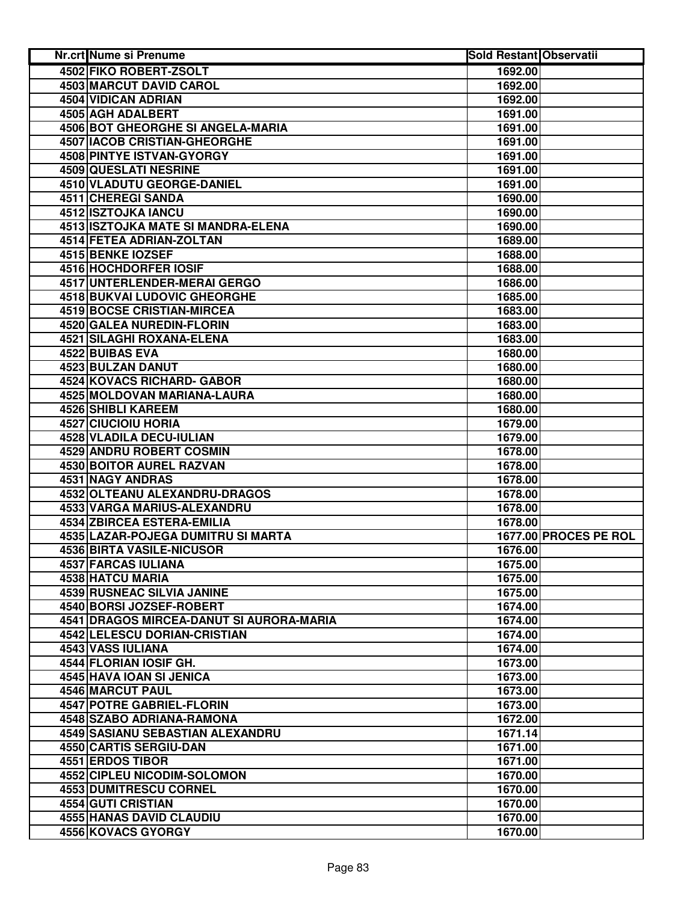| 4502 FIKO ROBERT-ZSOLT<br>1692.00<br>4503 MARCUT DAVID CAROL<br>1692.00<br>4504 VIDICAN ADRIAN<br>1692.00<br>4505 AGH ADALBERT<br>1691.00<br><b>4506 BOT GHEORGHE SI ANGELA-MARIA</b><br>1691.00<br>4507 IACOB CRISTIAN-GHEORGHE<br>1691.00<br>4508 PINTYE ISTVAN-GYORGY<br>1691.00<br>4509 QUESLATI NESRINE<br>1691.00<br>4510 VLADUTU GEORGE-DANIEL<br>1691.00<br>4511 CHEREGI SANDA<br>1690.00<br>4512 ISZTOJKA IANCU<br>1690.00<br>4513 ISZTOJKA MATE SI MANDRA-ELENA<br>1690.00<br>4514 FETEA ADRIAN-ZOLTAN<br>1689.00<br>4515 BENKE IOZSEF<br>1688.00<br>4516 HOCHDORFER IOSIF<br>1688.00<br>4517 UNTERLENDER-MERAI GERGO<br>1686.00<br><b>4518 BUKVAI LUDOVIC GHEORGHE</b><br>1685.00<br><b>4519 BOCSE CRISTIAN-MIRCEA</b><br>1683.00<br>4520 GALEA NUREDIN-FLORIN<br>1683.00<br>4521 SILAGHI ROXANA-ELENA<br>1683.00<br>4522 BUIBAS EVA<br>1680.00<br>4523 BULZAN DANUT<br>1680.00<br><b>4524 KOVACS RICHARD- GABOR</b><br>1680.00<br>4525 MOLDOVAN MARIANA-LAURA<br>1680.00<br><b>4526 SHIBLI KAREEM</b><br>1680.00<br><b>4527 CIUCIOIU HORIA</b><br>1679.00<br>4528 VLADILA DECU-IULIAN<br>1679.00<br>4529 ANDRU ROBERT COSMIN<br>1678.00<br>4530 BOITOR AUREL RAZVAN<br>1678.00<br>4531 NAGY ANDRAS<br>1678.00<br>4532 OLTEANU ALEXANDRU-DRAGOS<br>1678.00<br>4533 VARGA MARIUS-ALEXANDRU<br>1678.00<br>4534 ZBIRCEA ESTERA-EMILIA<br>1678.00<br>1677.00 PROCES PE ROL<br>4535 LAZAR-POJEGA DUMITRU SI MARTA<br>4536 BIRTA VASILE-NICUSOR<br>1676.00<br>4537 FARCAS IULIANA<br>1675.00<br>4538 HATCU MARIA<br>1675.00<br><b>4539 RUSNEAC SILVIA JANINE</b><br>1675.00<br>4540 BORSI JOZSEF-ROBERT<br>1674.00<br>4541 DRAGOS MIRCEA-DANUT SI AURORA-MARIA<br>1674.00<br><b>4542 LELESCU DORIAN-CRISTIAN</b><br>1674.00<br>4543 VASS IULIANA<br>1674.00<br>4544 FLORIAN IOSIF GH.<br>1673.00<br>4545 HAVA IOAN SI JENICA<br>1673.00<br>4546 MARCUT PAUL<br>1673.00<br><b>4547 POTRE GABRIEL-FLORIN</b><br>1673.00<br>4548 SZABO ADRIANA-RAMONA<br>1672.00<br>4549 SASIANU SEBASTIAN ALEXANDRU<br>1671.14<br>4550 CARTIS SERGIU-DAN<br>1671.00<br>4551 ERDOS TIBOR<br>1671.00<br>4552 CIPLEU NICODIM-SOLOMON<br>1670.00<br>4553 DUMITRESCU CORNEL<br>1670.00<br>4554 GUTI CRISTIAN<br>1670.00<br>4555 HANAS DAVID CLAUDIU<br>1670.00<br>4556 KOVACS GYORGY<br>1670.00 | Nr.crt Nume si Prenume | <b>Sold Restant Observatii</b> |  |
|-------------------------------------------------------------------------------------------------------------------------------------------------------------------------------------------------------------------------------------------------------------------------------------------------------------------------------------------------------------------------------------------------------------------------------------------------------------------------------------------------------------------------------------------------------------------------------------------------------------------------------------------------------------------------------------------------------------------------------------------------------------------------------------------------------------------------------------------------------------------------------------------------------------------------------------------------------------------------------------------------------------------------------------------------------------------------------------------------------------------------------------------------------------------------------------------------------------------------------------------------------------------------------------------------------------------------------------------------------------------------------------------------------------------------------------------------------------------------------------------------------------------------------------------------------------------------------------------------------------------------------------------------------------------------------------------------------------------------------------------------------------------------------------------------------------------------------------------------------------------------------------------------------------------------------------------------------------------------------------------------------------------------------------------------------------------------------------------------------------------------------------------------------------------------------------------------------------------------------------------------------------------------------|------------------------|--------------------------------|--|
|                                                                                                                                                                                                                                                                                                                                                                                                                                                                                                                                                                                                                                                                                                                                                                                                                                                                                                                                                                                                                                                                                                                                                                                                                                                                                                                                                                                                                                                                                                                                                                                                                                                                                                                                                                                                                                                                                                                                                                                                                                                                                                                                                                                                                                                                               |                        |                                |  |
|                                                                                                                                                                                                                                                                                                                                                                                                                                                                                                                                                                                                                                                                                                                                                                                                                                                                                                                                                                                                                                                                                                                                                                                                                                                                                                                                                                                                                                                                                                                                                                                                                                                                                                                                                                                                                                                                                                                                                                                                                                                                                                                                                                                                                                                                               |                        |                                |  |
|                                                                                                                                                                                                                                                                                                                                                                                                                                                                                                                                                                                                                                                                                                                                                                                                                                                                                                                                                                                                                                                                                                                                                                                                                                                                                                                                                                                                                                                                                                                                                                                                                                                                                                                                                                                                                                                                                                                                                                                                                                                                                                                                                                                                                                                                               |                        |                                |  |
|                                                                                                                                                                                                                                                                                                                                                                                                                                                                                                                                                                                                                                                                                                                                                                                                                                                                                                                                                                                                                                                                                                                                                                                                                                                                                                                                                                                                                                                                                                                                                                                                                                                                                                                                                                                                                                                                                                                                                                                                                                                                                                                                                                                                                                                                               |                        |                                |  |
|                                                                                                                                                                                                                                                                                                                                                                                                                                                                                                                                                                                                                                                                                                                                                                                                                                                                                                                                                                                                                                                                                                                                                                                                                                                                                                                                                                                                                                                                                                                                                                                                                                                                                                                                                                                                                                                                                                                                                                                                                                                                                                                                                                                                                                                                               |                        |                                |  |
|                                                                                                                                                                                                                                                                                                                                                                                                                                                                                                                                                                                                                                                                                                                                                                                                                                                                                                                                                                                                                                                                                                                                                                                                                                                                                                                                                                                                                                                                                                                                                                                                                                                                                                                                                                                                                                                                                                                                                                                                                                                                                                                                                                                                                                                                               |                        |                                |  |
|                                                                                                                                                                                                                                                                                                                                                                                                                                                                                                                                                                                                                                                                                                                                                                                                                                                                                                                                                                                                                                                                                                                                                                                                                                                                                                                                                                                                                                                                                                                                                                                                                                                                                                                                                                                                                                                                                                                                                                                                                                                                                                                                                                                                                                                                               |                        |                                |  |
|                                                                                                                                                                                                                                                                                                                                                                                                                                                                                                                                                                                                                                                                                                                                                                                                                                                                                                                                                                                                                                                                                                                                                                                                                                                                                                                                                                                                                                                                                                                                                                                                                                                                                                                                                                                                                                                                                                                                                                                                                                                                                                                                                                                                                                                                               |                        |                                |  |
|                                                                                                                                                                                                                                                                                                                                                                                                                                                                                                                                                                                                                                                                                                                                                                                                                                                                                                                                                                                                                                                                                                                                                                                                                                                                                                                                                                                                                                                                                                                                                                                                                                                                                                                                                                                                                                                                                                                                                                                                                                                                                                                                                                                                                                                                               |                        |                                |  |
|                                                                                                                                                                                                                                                                                                                                                                                                                                                                                                                                                                                                                                                                                                                                                                                                                                                                                                                                                                                                                                                                                                                                                                                                                                                                                                                                                                                                                                                                                                                                                                                                                                                                                                                                                                                                                                                                                                                                                                                                                                                                                                                                                                                                                                                                               |                        |                                |  |
|                                                                                                                                                                                                                                                                                                                                                                                                                                                                                                                                                                                                                                                                                                                                                                                                                                                                                                                                                                                                                                                                                                                                                                                                                                                                                                                                                                                                                                                                                                                                                                                                                                                                                                                                                                                                                                                                                                                                                                                                                                                                                                                                                                                                                                                                               |                        |                                |  |
|                                                                                                                                                                                                                                                                                                                                                                                                                                                                                                                                                                                                                                                                                                                                                                                                                                                                                                                                                                                                                                                                                                                                                                                                                                                                                                                                                                                                                                                                                                                                                                                                                                                                                                                                                                                                                                                                                                                                                                                                                                                                                                                                                                                                                                                                               |                        |                                |  |
|                                                                                                                                                                                                                                                                                                                                                                                                                                                                                                                                                                                                                                                                                                                                                                                                                                                                                                                                                                                                                                                                                                                                                                                                                                                                                                                                                                                                                                                                                                                                                                                                                                                                                                                                                                                                                                                                                                                                                                                                                                                                                                                                                                                                                                                                               |                        |                                |  |
|                                                                                                                                                                                                                                                                                                                                                                                                                                                                                                                                                                                                                                                                                                                                                                                                                                                                                                                                                                                                                                                                                                                                                                                                                                                                                                                                                                                                                                                                                                                                                                                                                                                                                                                                                                                                                                                                                                                                                                                                                                                                                                                                                                                                                                                                               |                        |                                |  |
|                                                                                                                                                                                                                                                                                                                                                                                                                                                                                                                                                                                                                                                                                                                                                                                                                                                                                                                                                                                                                                                                                                                                                                                                                                                                                                                                                                                                                                                                                                                                                                                                                                                                                                                                                                                                                                                                                                                                                                                                                                                                                                                                                                                                                                                                               |                        |                                |  |
|                                                                                                                                                                                                                                                                                                                                                                                                                                                                                                                                                                                                                                                                                                                                                                                                                                                                                                                                                                                                                                                                                                                                                                                                                                                                                                                                                                                                                                                                                                                                                                                                                                                                                                                                                                                                                                                                                                                                                                                                                                                                                                                                                                                                                                                                               |                        |                                |  |
|                                                                                                                                                                                                                                                                                                                                                                                                                                                                                                                                                                                                                                                                                                                                                                                                                                                                                                                                                                                                                                                                                                                                                                                                                                                                                                                                                                                                                                                                                                                                                                                                                                                                                                                                                                                                                                                                                                                                                                                                                                                                                                                                                                                                                                                                               |                        |                                |  |
|                                                                                                                                                                                                                                                                                                                                                                                                                                                                                                                                                                                                                                                                                                                                                                                                                                                                                                                                                                                                                                                                                                                                                                                                                                                                                                                                                                                                                                                                                                                                                                                                                                                                                                                                                                                                                                                                                                                                                                                                                                                                                                                                                                                                                                                                               |                        |                                |  |
|                                                                                                                                                                                                                                                                                                                                                                                                                                                                                                                                                                                                                                                                                                                                                                                                                                                                                                                                                                                                                                                                                                                                                                                                                                                                                                                                                                                                                                                                                                                                                                                                                                                                                                                                                                                                                                                                                                                                                                                                                                                                                                                                                                                                                                                                               |                        |                                |  |
|                                                                                                                                                                                                                                                                                                                                                                                                                                                                                                                                                                                                                                                                                                                                                                                                                                                                                                                                                                                                                                                                                                                                                                                                                                                                                                                                                                                                                                                                                                                                                                                                                                                                                                                                                                                                                                                                                                                                                                                                                                                                                                                                                                                                                                                                               |                        |                                |  |
|                                                                                                                                                                                                                                                                                                                                                                                                                                                                                                                                                                                                                                                                                                                                                                                                                                                                                                                                                                                                                                                                                                                                                                                                                                                                                                                                                                                                                                                                                                                                                                                                                                                                                                                                                                                                                                                                                                                                                                                                                                                                                                                                                                                                                                                                               |                        |                                |  |
|                                                                                                                                                                                                                                                                                                                                                                                                                                                                                                                                                                                                                                                                                                                                                                                                                                                                                                                                                                                                                                                                                                                                                                                                                                                                                                                                                                                                                                                                                                                                                                                                                                                                                                                                                                                                                                                                                                                                                                                                                                                                                                                                                                                                                                                                               |                        |                                |  |
|                                                                                                                                                                                                                                                                                                                                                                                                                                                                                                                                                                                                                                                                                                                                                                                                                                                                                                                                                                                                                                                                                                                                                                                                                                                                                                                                                                                                                                                                                                                                                                                                                                                                                                                                                                                                                                                                                                                                                                                                                                                                                                                                                                                                                                                                               |                        |                                |  |
|                                                                                                                                                                                                                                                                                                                                                                                                                                                                                                                                                                                                                                                                                                                                                                                                                                                                                                                                                                                                                                                                                                                                                                                                                                                                                                                                                                                                                                                                                                                                                                                                                                                                                                                                                                                                                                                                                                                                                                                                                                                                                                                                                                                                                                                                               |                        |                                |  |
|                                                                                                                                                                                                                                                                                                                                                                                                                                                                                                                                                                                                                                                                                                                                                                                                                                                                                                                                                                                                                                                                                                                                                                                                                                                                                                                                                                                                                                                                                                                                                                                                                                                                                                                                                                                                                                                                                                                                                                                                                                                                                                                                                                                                                                                                               |                        |                                |  |
|                                                                                                                                                                                                                                                                                                                                                                                                                                                                                                                                                                                                                                                                                                                                                                                                                                                                                                                                                                                                                                                                                                                                                                                                                                                                                                                                                                                                                                                                                                                                                                                                                                                                                                                                                                                                                                                                                                                                                                                                                                                                                                                                                                                                                                                                               |                        |                                |  |
|                                                                                                                                                                                                                                                                                                                                                                                                                                                                                                                                                                                                                                                                                                                                                                                                                                                                                                                                                                                                                                                                                                                                                                                                                                                                                                                                                                                                                                                                                                                                                                                                                                                                                                                                                                                                                                                                                                                                                                                                                                                                                                                                                                                                                                                                               |                        |                                |  |
|                                                                                                                                                                                                                                                                                                                                                                                                                                                                                                                                                                                                                                                                                                                                                                                                                                                                                                                                                                                                                                                                                                                                                                                                                                                                                                                                                                                                                                                                                                                                                                                                                                                                                                                                                                                                                                                                                                                                                                                                                                                                                                                                                                                                                                                                               |                        |                                |  |
|                                                                                                                                                                                                                                                                                                                                                                                                                                                                                                                                                                                                                                                                                                                                                                                                                                                                                                                                                                                                                                                                                                                                                                                                                                                                                                                                                                                                                                                                                                                                                                                                                                                                                                                                                                                                                                                                                                                                                                                                                                                                                                                                                                                                                                                                               |                        |                                |  |
|                                                                                                                                                                                                                                                                                                                                                                                                                                                                                                                                                                                                                                                                                                                                                                                                                                                                                                                                                                                                                                                                                                                                                                                                                                                                                                                                                                                                                                                                                                                                                                                                                                                                                                                                                                                                                                                                                                                                                                                                                                                                                                                                                                                                                                                                               |                        |                                |  |
|                                                                                                                                                                                                                                                                                                                                                                                                                                                                                                                                                                                                                                                                                                                                                                                                                                                                                                                                                                                                                                                                                                                                                                                                                                                                                                                                                                                                                                                                                                                                                                                                                                                                                                                                                                                                                                                                                                                                                                                                                                                                                                                                                                                                                                                                               |                        |                                |  |
|                                                                                                                                                                                                                                                                                                                                                                                                                                                                                                                                                                                                                                                                                                                                                                                                                                                                                                                                                                                                                                                                                                                                                                                                                                                                                                                                                                                                                                                                                                                                                                                                                                                                                                                                                                                                                                                                                                                                                                                                                                                                                                                                                                                                                                                                               |                        |                                |  |
|                                                                                                                                                                                                                                                                                                                                                                                                                                                                                                                                                                                                                                                                                                                                                                                                                                                                                                                                                                                                                                                                                                                                                                                                                                                                                                                                                                                                                                                                                                                                                                                                                                                                                                                                                                                                                                                                                                                                                                                                                                                                                                                                                                                                                                                                               |                        |                                |  |
|                                                                                                                                                                                                                                                                                                                                                                                                                                                                                                                                                                                                                                                                                                                                                                                                                                                                                                                                                                                                                                                                                                                                                                                                                                                                                                                                                                                                                                                                                                                                                                                                                                                                                                                                                                                                                                                                                                                                                                                                                                                                                                                                                                                                                                                                               |                        |                                |  |
|                                                                                                                                                                                                                                                                                                                                                                                                                                                                                                                                                                                                                                                                                                                                                                                                                                                                                                                                                                                                                                                                                                                                                                                                                                                                                                                                                                                                                                                                                                                                                                                                                                                                                                                                                                                                                                                                                                                                                                                                                                                                                                                                                                                                                                                                               |                        |                                |  |
|                                                                                                                                                                                                                                                                                                                                                                                                                                                                                                                                                                                                                                                                                                                                                                                                                                                                                                                                                                                                                                                                                                                                                                                                                                                                                                                                                                                                                                                                                                                                                                                                                                                                                                                                                                                                                                                                                                                                                                                                                                                                                                                                                                                                                                                                               |                        |                                |  |
|                                                                                                                                                                                                                                                                                                                                                                                                                                                                                                                                                                                                                                                                                                                                                                                                                                                                                                                                                                                                                                                                                                                                                                                                                                                                                                                                                                                                                                                                                                                                                                                                                                                                                                                                                                                                                                                                                                                                                                                                                                                                                                                                                                                                                                                                               |                        |                                |  |
|                                                                                                                                                                                                                                                                                                                                                                                                                                                                                                                                                                                                                                                                                                                                                                                                                                                                                                                                                                                                                                                                                                                                                                                                                                                                                                                                                                                                                                                                                                                                                                                                                                                                                                                                                                                                                                                                                                                                                                                                                                                                                                                                                                                                                                                                               |                        |                                |  |
|                                                                                                                                                                                                                                                                                                                                                                                                                                                                                                                                                                                                                                                                                                                                                                                                                                                                                                                                                                                                                                                                                                                                                                                                                                                                                                                                                                                                                                                                                                                                                                                                                                                                                                                                                                                                                                                                                                                                                                                                                                                                                                                                                                                                                                                                               |                        |                                |  |
|                                                                                                                                                                                                                                                                                                                                                                                                                                                                                                                                                                                                                                                                                                                                                                                                                                                                                                                                                                                                                                                                                                                                                                                                                                                                                                                                                                                                                                                                                                                                                                                                                                                                                                                                                                                                                                                                                                                                                                                                                                                                                                                                                                                                                                                                               |                        |                                |  |
|                                                                                                                                                                                                                                                                                                                                                                                                                                                                                                                                                                                                                                                                                                                                                                                                                                                                                                                                                                                                                                                                                                                                                                                                                                                                                                                                                                                                                                                                                                                                                                                                                                                                                                                                                                                                                                                                                                                                                                                                                                                                                                                                                                                                                                                                               |                        |                                |  |
|                                                                                                                                                                                                                                                                                                                                                                                                                                                                                                                                                                                                                                                                                                                                                                                                                                                                                                                                                                                                                                                                                                                                                                                                                                                                                                                                                                                                                                                                                                                                                                                                                                                                                                                                                                                                                                                                                                                                                                                                                                                                                                                                                                                                                                                                               |                        |                                |  |
|                                                                                                                                                                                                                                                                                                                                                                                                                                                                                                                                                                                                                                                                                                                                                                                                                                                                                                                                                                                                                                                                                                                                                                                                                                                                                                                                                                                                                                                                                                                                                                                                                                                                                                                                                                                                                                                                                                                                                                                                                                                                                                                                                                                                                                                                               |                        |                                |  |
|                                                                                                                                                                                                                                                                                                                                                                                                                                                                                                                                                                                                                                                                                                                                                                                                                                                                                                                                                                                                                                                                                                                                                                                                                                                                                                                                                                                                                                                                                                                                                                                                                                                                                                                                                                                                                                                                                                                                                                                                                                                                                                                                                                                                                                                                               |                        |                                |  |
|                                                                                                                                                                                                                                                                                                                                                                                                                                                                                                                                                                                                                                                                                                                                                                                                                                                                                                                                                                                                                                                                                                                                                                                                                                                                                                                                                                                                                                                                                                                                                                                                                                                                                                                                                                                                                                                                                                                                                                                                                                                                                                                                                                                                                                                                               |                        |                                |  |
|                                                                                                                                                                                                                                                                                                                                                                                                                                                                                                                                                                                                                                                                                                                                                                                                                                                                                                                                                                                                                                                                                                                                                                                                                                                                                                                                                                                                                                                                                                                                                                                                                                                                                                                                                                                                                                                                                                                                                                                                                                                                                                                                                                                                                                                                               |                        |                                |  |
|                                                                                                                                                                                                                                                                                                                                                                                                                                                                                                                                                                                                                                                                                                                                                                                                                                                                                                                                                                                                                                                                                                                                                                                                                                                                                                                                                                                                                                                                                                                                                                                                                                                                                                                                                                                                                                                                                                                                                                                                                                                                                                                                                                                                                                                                               |                        |                                |  |
|                                                                                                                                                                                                                                                                                                                                                                                                                                                                                                                                                                                                                                                                                                                                                                                                                                                                                                                                                                                                                                                                                                                                                                                                                                                                                                                                                                                                                                                                                                                                                                                                                                                                                                                                                                                                                                                                                                                                                                                                                                                                                                                                                                                                                                                                               |                        |                                |  |
|                                                                                                                                                                                                                                                                                                                                                                                                                                                                                                                                                                                                                                                                                                                                                                                                                                                                                                                                                                                                                                                                                                                                                                                                                                                                                                                                                                                                                                                                                                                                                                                                                                                                                                                                                                                                                                                                                                                                                                                                                                                                                                                                                                                                                                                                               |                        |                                |  |
|                                                                                                                                                                                                                                                                                                                                                                                                                                                                                                                                                                                                                                                                                                                                                                                                                                                                                                                                                                                                                                                                                                                                                                                                                                                                                                                                                                                                                                                                                                                                                                                                                                                                                                                                                                                                                                                                                                                                                                                                                                                                                                                                                                                                                                                                               |                        |                                |  |
|                                                                                                                                                                                                                                                                                                                                                                                                                                                                                                                                                                                                                                                                                                                                                                                                                                                                                                                                                                                                                                                                                                                                                                                                                                                                                                                                                                                                                                                                                                                                                                                                                                                                                                                                                                                                                                                                                                                                                                                                                                                                                                                                                                                                                                                                               |                        |                                |  |
|                                                                                                                                                                                                                                                                                                                                                                                                                                                                                                                                                                                                                                                                                                                                                                                                                                                                                                                                                                                                                                                                                                                                                                                                                                                                                                                                                                                                                                                                                                                                                                                                                                                                                                                                                                                                                                                                                                                                                                                                                                                                                                                                                                                                                                                                               |                        |                                |  |
|                                                                                                                                                                                                                                                                                                                                                                                                                                                                                                                                                                                                                                                                                                                                                                                                                                                                                                                                                                                                                                                                                                                                                                                                                                                                                                                                                                                                                                                                                                                                                                                                                                                                                                                                                                                                                                                                                                                                                                                                                                                                                                                                                                                                                                                                               |                        |                                |  |
|                                                                                                                                                                                                                                                                                                                                                                                                                                                                                                                                                                                                                                                                                                                                                                                                                                                                                                                                                                                                                                                                                                                                                                                                                                                                                                                                                                                                                                                                                                                                                                                                                                                                                                                                                                                                                                                                                                                                                                                                                                                                                                                                                                                                                                                                               |                        |                                |  |
|                                                                                                                                                                                                                                                                                                                                                                                                                                                                                                                                                                                                                                                                                                                                                                                                                                                                                                                                                                                                                                                                                                                                                                                                                                                                                                                                                                                                                                                                                                                                                                                                                                                                                                                                                                                                                                                                                                                                                                                                                                                                                                                                                                                                                                                                               |                        |                                |  |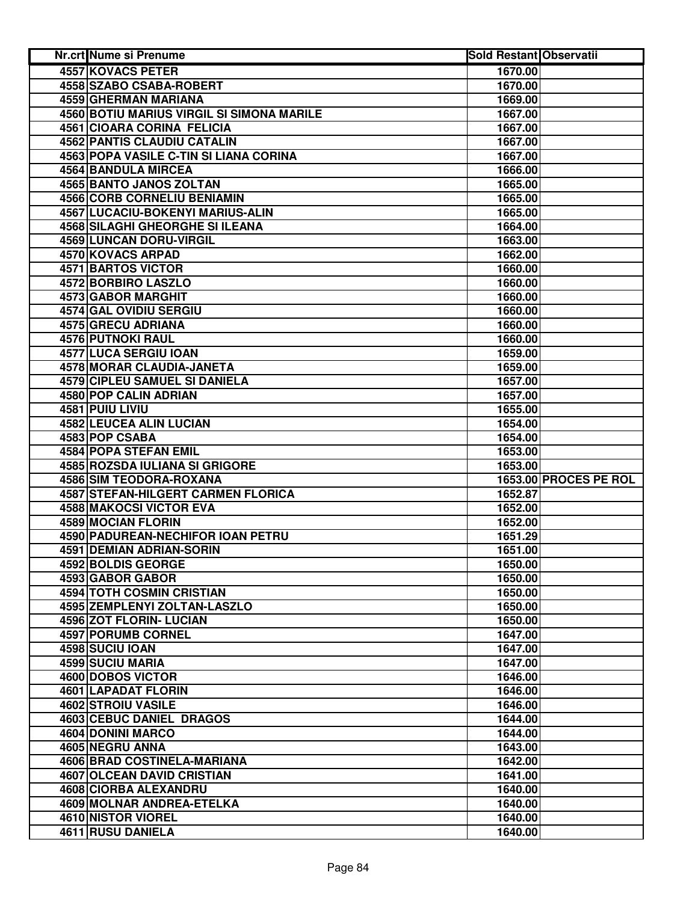| Nr.crt Nume si Prenume                    | <b>Sold Restant Observatii</b> |                       |
|-------------------------------------------|--------------------------------|-----------------------|
| <b>4557 KOVACS PETER</b>                  | 1670.00                        |                       |
| 4558 SZABO CSABA-ROBERT                   | 1670.00                        |                       |
| 4559 GHERMAN MARIANA                      | 1669.00                        |                       |
| 4560 BOTIU MARIUS VIRGIL SI SIMONA MARILE | 1667.00                        |                       |
| <b>4561 CIOARA CORINA FELICIA</b>         | 1667.00                        |                       |
| <b>4562 PANTIS CLAUDIU CATALIN</b>        | 1667.00                        |                       |
| 4563 POPA VASILE C-TIN SI LIANA CORINA    | 1667.00                        |                       |
| 4564 BANDULA MIRCEA                       | 1666.00                        |                       |
| 4565 BANTO JANOS ZOLTAN                   | 1665.00                        |                       |
| 4566 CORB CORNELIU BENIAMIN               | 1665.00                        |                       |
| <b>4567 LUCACIU-BOKENYI MARIUS-ALIN</b>   | 1665.00                        |                       |
| <b>4568 SILAGHI GHEORGHE SI ILEANA</b>    | 1664.00                        |                       |
| 4569 LUNCAN DORU-VIRGIL                   | 1663.00                        |                       |
| 4570 KOVACS ARPAD                         | 1662.00                        |                       |
| 4571 BARTOS VICTOR                        | 1660.00                        |                       |
| 4572 BORBIRO LASZLO                       | 1660.00                        |                       |
| 4573 GABOR MARGHIT                        | 1660.00                        |                       |
| 4574 GAL OVIDIU SERGIU                    | 1660.00                        |                       |
| 4575 GRECU ADRIANA                        | 1660.00                        |                       |
| 4576 PUTNOKI RAUL                         | 1660.00                        |                       |
| <b>4577 LUCA SERGIU IOAN</b>              | 1659.00                        |                       |
| <b>4578 MORAR CLAUDIA-JANETA</b>          | 1659.00                        |                       |
| <b>4579 CIPLEU SAMUEL SI DANIELA</b>      | 1657.00                        |                       |
| <b>4580 POP CALIN ADRIAN</b>              | 1657.00                        |                       |
| 4581 PUIU LIVIU                           | 1655.00                        |                       |
| <b>4582 LEUCEA ALIN LUCIAN</b>            | 1654.00                        |                       |
| 4583 POP CSABA                            | 1654.00                        |                       |
| 4584 POPA STEFAN EMIL                     | 1653.00                        |                       |
| 4585 ROZSDA IULIANA SI GRIGORE            | 1653.00                        |                       |
| 4586 SIM TEODORA-ROXANA                   |                                | 1653.00 PROCES PE ROL |
| 4587 STEFAN-HILGERT CARMEN FLORICA        | 1652.87                        |                       |
| <b>4588 MAKOCSI VICTOR EVA</b>            | 1652.00                        |                       |
| 4589 MOCIAN FLORIN                        | 1652.00                        |                       |
| 4590 PADUREAN-NECHIFOR IOAN PETRU         | 1651.29                        |                       |
| 4591 DEMIAN ADRIAN-SORIN                  | 1651.00                        |                       |
| 4592 BOLDIS GEORGE                        | 1650.00                        |                       |
| 4593 GABOR GABOR                          | 1650.00                        |                       |
| 4594 TOTH COSMIN CRISTIAN                 | 1650.00                        |                       |
| 4595 ZEMPLENYI ZOLTAN-LASZLO              | 1650.00                        |                       |
| 4596 ZOT FLORIN- LUCIAN                   | 1650.00                        |                       |
| <b>4597 PORUMB CORNEL</b>                 | 1647.00                        |                       |
| 4598 SUCIU IOAN                           | 1647.00                        |                       |
| 4599 SUCIU MARIA                          | 1647.00                        |                       |
| 4600 DOBOS VICTOR                         | 1646.00                        |                       |
| 4601 LAPADAT FLORIN                       | 1646.00                        |                       |
| <b>4602 STROIU VASILE</b>                 | 1646.00                        |                       |
| 4603 CEBUC DANIEL DRAGOS                  | 1644.00                        |                       |
| 4604 DONINI MARCO                         | 1644.00                        |                       |
| 4605 NEGRU ANNA                           | 1643.00                        |                       |
| 4606 BRAD COSTINELA-MARIANA               | 1642.00                        |                       |
| 4607 OLCEAN DAVID CRISTIAN                | 1641.00                        |                       |
| 4608 CIORBA ALEXANDRU                     | 1640.00                        |                       |
| 4609 MOLNAR ANDREA-ETELKA                 | 1640.00                        |                       |
| 4610 NISTOR VIOREL                        | 1640.00                        |                       |
| 4611 RUSU DANIELA                         | 1640.00                        |                       |
|                                           |                                |                       |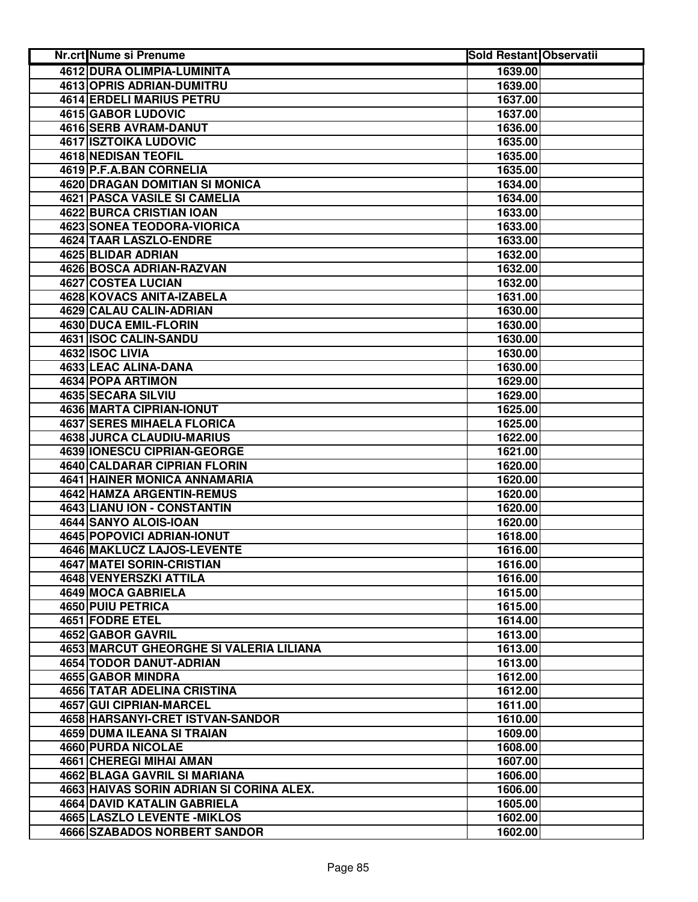| Nr.crt Nume si Prenume                   | <b>Sold Restant Observatii</b> |  |
|------------------------------------------|--------------------------------|--|
| 4612 DURA OLIMPIA-LUMINITA               | 1639.00                        |  |
| <b>4613 OPRIS ADRIAN-DUMITRU</b>         | 1639.00                        |  |
| 4614 ERDELI MARIUS PETRU                 | 1637.00                        |  |
| <b>4615 GABOR LUDOVIC</b>                | 1637.00                        |  |
| 4616 SERB AVRAM-DANUT                    | 1636.00                        |  |
| <b>4617 ISZTOIKA LUDOVIC</b>             | 1635.00                        |  |
| 4618 NEDISAN TEOFIL                      | 1635.00                        |  |
| 4619 P.F.A.BAN CORNELIA                  | 1635.00                        |  |
| <b>4620 DRAGAN DOMITIAN SI MONICA</b>    | 1634.00                        |  |
| 4621 PASCA VASILE SI CAMELIA             | 1634.00                        |  |
| 4622 BURCA CRISTIAN IOAN                 | 1633.00                        |  |
| <b>4623 SONEA TEODORA-VIORICA</b>        | 1633.00                        |  |
| 4624 TAAR LASZLO-ENDRE                   | 1633.00                        |  |
| 4625 BLIDAR ADRIAN                       | 1632.00                        |  |
| 4626 BOSCA ADRIAN-RAZVAN                 | 1632.00                        |  |
| <b>4627 COSTEA LUCIAN</b>                | 1632.00                        |  |
| 4628 KOVACS ANITA-IZABELA                | 1631.00                        |  |
| 4629 CALAU CALIN-ADRIAN                  | 1630.00                        |  |
| 4630 DUCA EMIL-FLORIN                    | 1630.00                        |  |
| 4631 ISOC CALIN-SANDU                    | 1630.00                        |  |
| 4632 ISOC LIVIA                          | 1630.00                        |  |
| 4633 LEAC ALINA-DANA                     | 1630.00                        |  |
| 4634 POPA ARTIMON                        | 1629.00                        |  |
| <b>4635 SECARA SILVIU</b>                | 1629.00                        |  |
| 4636 MARTA CIPRIAN-IONUT                 | 1625.00                        |  |
| <b>4637 SERES MIHAELA FLORICA</b>        | 1625.00                        |  |
| 4638 JURCA CLAUDIU-MARIUS                | 1622.00                        |  |
| 4639 IONESCU CIPRIAN-GEORGE              | 1621.00                        |  |
| 4640 CALDARAR CIPRIAN FLORIN             | 1620.00                        |  |
| 4641 HAINER MONICA ANNAMARIA             | 1620.00                        |  |
| <b>4642 HAMZA ARGENTIN-REMUS</b>         | 1620.00                        |  |
| 4643 LIANU ION - CONSTANTIN              | 1620.00                        |  |
| 4644 SANYO ALOIS-IOAN                    | 1620.00                        |  |
| <b>4645 POPOVICI ADRIAN-IONUT</b>        | 1618.00                        |  |
| <b>4646 MAKLUCZ LAJOS-LEVENTE</b>        | 1616.00                        |  |
| 4647 MATEI SORIN-CRISTIAN                | 1616.00                        |  |
| 4648 VENYERSZKI ATTILA                   | 1616.00                        |  |
| 4649 MOCA GABRIELA                       | 1615.00                        |  |
| <b>4650 PUIU PETRICA</b>                 | 1615.00                        |  |
| 4651 FODRE ETEL                          | 1614.00                        |  |
| 4652 GABOR GAVRIL                        | 1613.00                        |  |
| 4653 MARCUT GHEORGHE SI VALERIA LILIANA  | 1613.00                        |  |
| <b>4654 TODOR DANUT-ADRIAN</b>           | 1613.00                        |  |
| 4655 GABOR MINDRA                        | 1612.00                        |  |
| <b>4656 TATAR ADELINA CRISTINA</b>       | 1612.00                        |  |
| 4657 GUI CIPRIAN-MARCEL                  | 1611.00                        |  |
| 4658 HARSANYI-CRET ISTVAN-SANDOR         | 1610.00                        |  |
| 4659 DUMA ILEANA SI TRAIAN               | 1609.00                        |  |
| 4660 PURDA NICOLAE                       | 1608.00                        |  |
| 4661 CHEREGI MIHAI AMAN                  | 1607.00                        |  |
| 4662 BLAGA GAVRIL SI MARIANA             | 1606.00                        |  |
| 4663 HAIVAS SORIN ADRIAN SI CORINA ALEX. | 1606.00                        |  |
| 4664 DAVID KATALIN GABRIELA              | 1605.00                        |  |
| 4665 LASZLO LEVENTE - MIKLOS             | 1602.00                        |  |
| 4666 SZABADOS NORBERT SANDOR             | 1602.00                        |  |
|                                          |                                |  |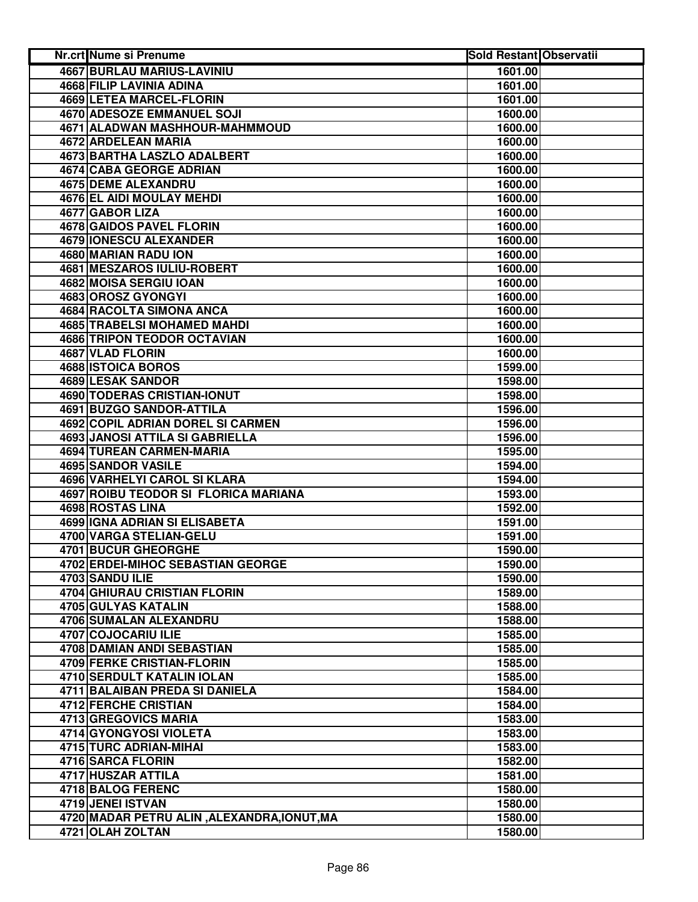| <b>4667 BURLAU MARIUS-LAVINIU</b><br>1601.00<br>4668 FILIP LAVINIA ADINA<br>1601.00<br>4669 LETEA MARCEL-FLORIN<br>1601.00<br><b>4670 ADESOZE EMMANUEL SOJI</b><br>1600.00<br>4671 ALADWAN MASHHOUR-MAHMMOUD<br>1600.00<br>4672 ARDELEAN MARIA<br>1600.00<br>4673 BARTHA LASZLO ADALBERT<br>1600.00<br>4674 CABA GEORGE ADRIAN<br>1600.00<br>4675 DEME ALEXANDRU<br>1600.00<br>4676 EL AIDI MOULAY MEHDI<br>1600.00<br>4677 GABOR LIZA<br>1600.00<br>4678 GAIDOS PAVEL FLORIN<br>1600.00<br>4679 IONESCU ALEXANDER<br>1600.00<br>4680 MARIAN RADU ION<br>1600.00<br>4681 MESZAROS IULIU-ROBERT<br>1600.00<br>4682 MOISA SERGIU IOAN<br>1600.00<br>4683 OROSZ GYONGYI<br>1600.00<br>4684 RACOLTA SIMONA ANCA<br>1600.00<br><b>4685 TRABELSI MOHAMED MAHDI</b><br>1600.00<br>4686 TRIPON TEODOR OCTAVIAN<br>1600.00<br>4687 VLAD FLORIN<br>1600.00<br><b>4688 ISTOICA BOROS</b><br>1599.00<br><b>4689 LESAK SANDOR</b><br>1598.00<br><b>4690 TODERAS CRISTIAN-IONUT</b><br>1598.00<br>4691 BUZGO SANDOR-ATTILA<br>1596.00<br>4692 COPIL ADRIAN DOREL SI CARMEN<br>1596.00<br><b>4693 JANOSI ATTILA SI GABRIELLA</b><br>1596.00<br><b>4694 TUREAN CARMEN-MARIA</b><br>1595.00<br>4695 SANDOR VASILE<br>1594.00<br>4696 VARHELYI CAROL SI KLARA<br>1594.00<br>4697 ROIBU TEODOR SI FLORICA MARIANA<br>1593.00<br>4698 ROSTAS LINA<br>1592.00<br>4699 IGNA ADRIAN SI ELISABETA<br>1591.00<br>4700 VARGA STELIAN-GELU<br>1591.00<br>4701 BUCUR GHEORGHE<br>1590.00<br>4702 ERDEI-MIHOC SEBASTIAN GEORGE<br>1590.00<br>4703 SANDU ILIE<br>1590.00<br><b>4704 GHIURAU CRISTIAN FLORIN</b><br>1589.00<br>4705 GULYAS KATALIN<br>1588.00<br>4706 SUMALAN ALEXANDRU<br>1588.00<br>4707 COJOCARIU ILIE<br>1585.00<br>4708 DAMIAN ANDI SEBASTIAN<br>1585.00<br><b>4709 FERKE CRISTIAN-FLORIN</b><br>1585.00<br>4710 SERDULT KATALIN IOLAN<br>1585.00<br>4711 BALAIBAN PREDA SI DANIELA<br>1584.00<br>4712 FERCHE CRISTIAN<br>1584.00<br>4713 GREGOVICS MARIA<br>1583.00<br>4714 GYONGYOSI VIOLETA<br>1583.00<br>4715 TURC ADRIAN-MIHAI<br>1583.00<br>4716 SARCA FLORIN<br>1582.00<br>4717 HUSZAR ATTILA<br>1581.00<br>4718 BALOG FERENC<br>1580.00<br>4719 JENEI ISTVAN<br>1580.00<br>4720 MADAR PETRU ALIN, ALEXANDRA, IONUT, MA<br>1580.00<br>4721 OLAH ZOLTAN<br>1580.00 | Nr.crt Nume si Prenume | <b>Sold Restant Observatii</b> |  |
|----------------------------------------------------------------------------------------------------------------------------------------------------------------------------------------------------------------------------------------------------------------------------------------------------------------------------------------------------------------------------------------------------------------------------------------------------------------------------------------------------------------------------------------------------------------------------------------------------------------------------------------------------------------------------------------------------------------------------------------------------------------------------------------------------------------------------------------------------------------------------------------------------------------------------------------------------------------------------------------------------------------------------------------------------------------------------------------------------------------------------------------------------------------------------------------------------------------------------------------------------------------------------------------------------------------------------------------------------------------------------------------------------------------------------------------------------------------------------------------------------------------------------------------------------------------------------------------------------------------------------------------------------------------------------------------------------------------------------------------------------------------------------------------------------------------------------------------------------------------------------------------------------------------------------------------------------------------------------------------------------------------------------------------------------------------------------------------------------------------------------------------------------------------------------------------------------------------------------------------------------------------|------------------------|--------------------------------|--|
|                                                                                                                                                                                                                                                                                                                                                                                                                                                                                                                                                                                                                                                                                                                                                                                                                                                                                                                                                                                                                                                                                                                                                                                                                                                                                                                                                                                                                                                                                                                                                                                                                                                                                                                                                                                                                                                                                                                                                                                                                                                                                                                                                                                                                                                                |                        |                                |  |
|                                                                                                                                                                                                                                                                                                                                                                                                                                                                                                                                                                                                                                                                                                                                                                                                                                                                                                                                                                                                                                                                                                                                                                                                                                                                                                                                                                                                                                                                                                                                                                                                                                                                                                                                                                                                                                                                                                                                                                                                                                                                                                                                                                                                                                                                |                        |                                |  |
|                                                                                                                                                                                                                                                                                                                                                                                                                                                                                                                                                                                                                                                                                                                                                                                                                                                                                                                                                                                                                                                                                                                                                                                                                                                                                                                                                                                                                                                                                                                                                                                                                                                                                                                                                                                                                                                                                                                                                                                                                                                                                                                                                                                                                                                                |                        |                                |  |
|                                                                                                                                                                                                                                                                                                                                                                                                                                                                                                                                                                                                                                                                                                                                                                                                                                                                                                                                                                                                                                                                                                                                                                                                                                                                                                                                                                                                                                                                                                                                                                                                                                                                                                                                                                                                                                                                                                                                                                                                                                                                                                                                                                                                                                                                |                        |                                |  |
|                                                                                                                                                                                                                                                                                                                                                                                                                                                                                                                                                                                                                                                                                                                                                                                                                                                                                                                                                                                                                                                                                                                                                                                                                                                                                                                                                                                                                                                                                                                                                                                                                                                                                                                                                                                                                                                                                                                                                                                                                                                                                                                                                                                                                                                                |                        |                                |  |
|                                                                                                                                                                                                                                                                                                                                                                                                                                                                                                                                                                                                                                                                                                                                                                                                                                                                                                                                                                                                                                                                                                                                                                                                                                                                                                                                                                                                                                                                                                                                                                                                                                                                                                                                                                                                                                                                                                                                                                                                                                                                                                                                                                                                                                                                |                        |                                |  |
|                                                                                                                                                                                                                                                                                                                                                                                                                                                                                                                                                                                                                                                                                                                                                                                                                                                                                                                                                                                                                                                                                                                                                                                                                                                                                                                                                                                                                                                                                                                                                                                                                                                                                                                                                                                                                                                                                                                                                                                                                                                                                                                                                                                                                                                                |                        |                                |  |
|                                                                                                                                                                                                                                                                                                                                                                                                                                                                                                                                                                                                                                                                                                                                                                                                                                                                                                                                                                                                                                                                                                                                                                                                                                                                                                                                                                                                                                                                                                                                                                                                                                                                                                                                                                                                                                                                                                                                                                                                                                                                                                                                                                                                                                                                |                        |                                |  |
|                                                                                                                                                                                                                                                                                                                                                                                                                                                                                                                                                                                                                                                                                                                                                                                                                                                                                                                                                                                                                                                                                                                                                                                                                                                                                                                                                                                                                                                                                                                                                                                                                                                                                                                                                                                                                                                                                                                                                                                                                                                                                                                                                                                                                                                                |                        |                                |  |
|                                                                                                                                                                                                                                                                                                                                                                                                                                                                                                                                                                                                                                                                                                                                                                                                                                                                                                                                                                                                                                                                                                                                                                                                                                                                                                                                                                                                                                                                                                                                                                                                                                                                                                                                                                                                                                                                                                                                                                                                                                                                                                                                                                                                                                                                |                        |                                |  |
|                                                                                                                                                                                                                                                                                                                                                                                                                                                                                                                                                                                                                                                                                                                                                                                                                                                                                                                                                                                                                                                                                                                                                                                                                                                                                                                                                                                                                                                                                                                                                                                                                                                                                                                                                                                                                                                                                                                                                                                                                                                                                                                                                                                                                                                                |                        |                                |  |
|                                                                                                                                                                                                                                                                                                                                                                                                                                                                                                                                                                                                                                                                                                                                                                                                                                                                                                                                                                                                                                                                                                                                                                                                                                                                                                                                                                                                                                                                                                                                                                                                                                                                                                                                                                                                                                                                                                                                                                                                                                                                                                                                                                                                                                                                |                        |                                |  |
|                                                                                                                                                                                                                                                                                                                                                                                                                                                                                                                                                                                                                                                                                                                                                                                                                                                                                                                                                                                                                                                                                                                                                                                                                                                                                                                                                                                                                                                                                                                                                                                                                                                                                                                                                                                                                                                                                                                                                                                                                                                                                                                                                                                                                                                                |                        |                                |  |
|                                                                                                                                                                                                                                                                                                                                                                                                                                                                                                                                                                                                                                                                                                                                                                                                                                                                                                                                                                                                                                                                                                                                                                                                                                                                                                                                                                                                                                                                                                                                                                                                                                                                                                                                                                                                                                                                                                                                                                                                                                                                                                                                                                                                                                                                |                        |                                |  |
|                                                                                                                                                                                                                                                                                                                                                                                                                                                                                                                                                                                                                                                                                                                                                                                                                                                                                                                                                                                                                                                                                                                                                                                                                                                                                                                                                                                                                                                                                                                                                                                                                                                                                                                                                                                                                                                                                                                                                                                                                                                                                                                                                                                                                                                                |                        |                                |  |
|                                                                                                                                                                                                                                                                                                                                                                                                                                                                                                                                                                                                                                                                                                                                                                                                                                                                                                                                                                                                                                                                                                                                                                                                                                                                                                                                                                                                                                                                                                                                                                                                                                                                                                                                                                                                                                                                                                                                                                                                                                                                                                                                                                                                                                                                |                        |                                |  |
|                                                                                                                                                                                                                                                                                                                                                                                                                                                                                                                                                                                                                                                                                                                                                                                                                                                                                                                                                                                                                                                                                                                                                                                                                                                                                                                                                                                                                                                                                                                                                                                                                                                                                                                                                                                                                                                                                                                                                                                                                                                                                                                                                                                                                                                                |                        |                                |  |
|                                                                                                                                                                                                                                                                                                                                                                                                                                                                                                                                                                                                                                                                                                                                                                                                                                                                                                                                                                                                                                                                                                                                                                                                                                                                                                                                                                                                                                                                                                                                                                                                                                                                                                                                                                                                                                                                                                                                                                                                                                                                                                                                                                                                                                                                |                        |                                |  |
|                                                                                                                                                                                                                                                                                                                                                                                                                                                                                                                                                                                                                                                                                                                                                                                                                                                                                                                                                                                                                                                                                                                                                                                                                                                                                                                                                                                                                                                                                                                                                                                                                                                                                                                                                                                                                                                                                                                                                                                                                                                                                                                                                                                                                                                                |                        |                                |  |
|                                                                                                                                                                                                                                                                                                                                                                                                                                                                                                                                                                                                                                                                                                                                                                                                                                                                                                                                                                                                                                                                                                                                                                                                                                                                                                                                                                                                                                                                                                                                                                                                                                                                                                                                                                                                                                                                                                                                                                                                                                                                                                                                                                                                                                                                |                        |                                |  |
|                                                                                                                                                                                                                                                                                                                                                                                                                                                                                                                                                                                                                                                                                                                                                                                                                                                                                                                                                                                                                                                                                                                                                                                                                                                                                                                                                                                                                                                                                                                                                                                                                                                                                                                                                                                                                                                                                                                                                                                                                                                                                                                                                                                                                                                                |                        |                                |  |
|                                                                                                                                                                                                                                                                                                                                                                                                                                                                                                                                                                                                                                                                                                                                                                                                                                                                                                                                                                                                                                                                                                                                                                                                                                                                                                                                                                                                                                                                                                                                                                                                                                                                                                                                                                                                                                                                                                                                                                                                                                                                                                                                                                                                                                                                |                        |                                |  |
|                                                                                                                                                                                                                                                                                                                                                                                                                                                                                                                                                                                                                                                                                                                                                                                                                                                                                                                                                                                                                                                                                                                                                                                                                                                                                                                                                                                                                                                                                                                                                                                                                                                                                                                                                                                                                                                                                                                                                                                                                                                                                                                                                                                                                                                                |                        |                                |  |
|                                                                                                                                                                                                                                                                                                                                                                                                                                                                                                                                                                                                                                                                                                                                                                                                                                                                                                                                                                                                                                                                                                                                                                                                                                                                                                                                                                                                                                                                                                                                                                                                                                                                                                                                                                                                                                                                                                                                                                                                                                                                                                                                                                                                                                                                |                        |                                |  |
|                                                                                                                                                                                                                                                                                                                                                                                                                                                                                                                                                                                                                                                                                                                                                                                                                                                                                                                                                                                                                                                                                                                                                                                                                                                                                                                                                                                                                                                                                                                                                                                                                                                                                                                                                                                                                                                                                                                                                                                                                                                                                                                                                                                                                                                                |                        |                                |  |
|                                                                                                                                                                                                                                                                                                                                                                                                                                                                                                                                                                                                                                                                                                                                                                                                                                                                                                                                                                                                                                                                                                                                                                                                                                                                                                                                                                                                                                                                                                                                                                                                                                                                                                                                                                                                                                                                                                                                                                                                                                                                                                                                                                                                                                                                |                        |                                |  |
|                                                                                                                                                                                                                                                                                                                                                                                                                                                                                                                                                                                                                                                                                                                                                                                                                                                                                                                                                                                                                                                                                                                                                                                                                                                                                                                                                                                                                                                                                                                                                                                                                                                                                                                                                                                                                                                                                                                                                                                                                                                                                                                                                                                                                                                                |                        |                                |  |
|                                                                                                                                                                                                                                                                                                                                                                                                                                                                                                                                                                                                                                                                                                                                                                                                                                                                                                                                                                                                                                                                                                                                                                                                                                                                                                                                                                                                                                                                                                                                                                                                                                                                                                                                                                                                                                                                                                                                                                                                                                                                                                                                                                                                                                                                |                        |                                |  |
|                                                                                                                                                                                                                                                                                                                                                                                                                                                                                                                                                                                                                                                                                                                                                                                                                                                                                                                                                                                                                                                                                                                                                                                                                                                                                                                                                                                                                                                                                                                                                                                                                                                                                                                                                                                                                                                                                                                                                                                                                                                                                                                                                                                                                                                                |                        |                                |  |
|                                                                                                                                                                                                                                                                                                                                                                                                                                                                                                                                                                                                                                                                                                                                                                                                                                                                                                                                                                                                                                                                                                                                                                                                                                                                                                                                                                                                                                                                                                                                                                                                                                                                                                                                                                                                                                                                                                                                                                                                                                                                                                                                                                                                                                                                |                        |                                |  |
|                                                                                                                                                                                                                                                                                                                                                                                                                                                                                                                                                                                                                                                                                                                                                                                                                                                                                                                                                                                                                                                                                                                                                                                                                                                                                                                                                                                                                                                                                                                                                                                                                                                                                                                                                                                                                                                                                                                                                                                                                                                                                                                                                                                                                                                                |                        |                                |  |
|                                                                                                                                                                                                                                                                                                                                                                                                                                                                                                                                                                                                                                                                                                                                                                                                                                                                                                                                                                                                                                                                                                                                                                                                                                                                                                                                                                                                                                                                                                                                                                                                                                                                                                                                                                                                                                                                                                                                                                                                                                                                                                                                                                                                                                                                |                        |                                |  |
|                                                                                                                                                                                                                                                                                                                                                                                                                                                                                                                                                                                                                                                                                                                                                                                                                                                                                                                                                                                                                                                                                                                                                                                                                                                                                                                                                                                                                                                                                                                                                                                                                                                                                                                                                                                                                                                                                                                                                                                                                                                                                                                                                                                                                                                                |                        |                                |  |
|                                                                                                                                                                                                                                                                                                                                                                                                                                                                                                                                                                                                                                                                                                                                                                                                                                                                                                                                                                                                                                                                                                                                                                                                                                                                                                                                                                                                                                                                                                                                                                                                                                                                                                                                                                                                                                                                                                                                                                                                                                                                                                                                                                                                                                                                |                        |                                |  |
|                                                                                                                                                                                                                                                                                                                                                                                                                                                                                                                                                                                                                                                                                                                                                                                                                                                                                                                                                                                                                                                                                                                                                                                                                                                                                                                                                                                                                                                                                                                                                                                                                                                                                                                                                                                                                                                                                                                                                                                                                                                                                                                                                                                                                                                                |                        |                                |  |
|                                                                                                                                                                                                                                                                                                                                                                                                                                                                                                                                                                                                                                                                                                                                                                                                                                                                                                                                                                                                                                                                                                                                                                                                                                                                                                                                                                                                                                                                                                                                                                                                                                                                                                                                                                                                                                                                                                                                                                                                                                                                                                                                                                                                                                                                |                        |                                |  |
|                                                                                                                                                                                                                                                                                                                                                                                                                                                                                                                                                                                                                                                                                                                                                                                                                                                                                                                                                                                                                                                                                                                                                                                                                                                                                                                                                                                                                                                                                                                                                                                                                                                                                                                                                                                                                                                                                                                                                                                                                                                                                                                                                                                                                                                                |                        |                                |  |
|                                                                                                                                                                                                                                                                                                                                                                                                                                                                                                                                                                                                                                                                                                                                                                                                                                                                                                                                                                                                                                                                                                                                                                                                                                                                                                                                                                                                                                                                                                                                                                                                                                                                                                                                                                                                                                                                                                                                                                                                                                                                                                                                                                                                                                                                |                        |                                |  |
|                                                                                                                                                                                                                                                                                                                                                                                                                                                                                                                                                                                                                                                                                                                                                                                                                                                                                                                                                                                                                                                                                                                                                                                                                                                                                                                                                                                                                                                                                                                                                                                                                                                                                                                                                                                                                                                                                                                                                                                                                                                                                                                                                                                                                                                                |                        |                                |  |
|                                                                                                                                                                                                                                                                                                                                                                                                                                                                                                                                                                                                                                                                                                                                                                                                                                                                                                                                                                                                                                                                                                                                                                                                                                                                                                                                                                                                                                                                                                                                                                                                                                                                                                                                                                                                                                                                                                                                                                                                                                                                                                                                                                                                                                                                |                        |                                |  |
|                                                                                                                                                                                                                                                                                                                                                                                                                                                                                                                                                                                                                                                                                                                                                                                                                                                                                                                                                                                                                                                                                                                                                                                                                                                                                                                                                                                                                                                                                                                                                                                                                                                                                                                                                                                                                                                                                                                                                                                                                                                                                                                                                                                                                                                                |                        |                                |  |
|                                                                                                                                                                                                                                                                                                                                                                                                                                                                                                                                                                                                                                                                                                                                                                                                                                                                                                                                                                                                                                                                                                                                                                                                                                                                                                                                                                                                                                                                                                                                                                                                                                                                                                                                                                                                                                                                                                                                                                                                                                                                                                                                                                                                                                                                |                        |                                |  |
|                                                                                                                                                                                                                                                                                                                                                                                                                                                                                                                                                                                                                                                                                                                                                                                                                                                                                                                                                                                                                                                                                                                                                                                                                                                                                                                                                                                                                                                                                                                                                                                                                                                                                                                                                                                                                                                                                                                                                                                                                                                                                                                                                                                                                                                                |                        |                                |  |
|                                                                                                                                                                                                                                                                                                                                                                                                                                                                                                                                                                                                                                                                                                                                                                                                                                                                                                                                                                                                                                                                                                                                                                                                                                                                                                                                                                                                                                                                                                                                                                                                                                                                                                                                                                                                                                                                                                                                                                                                                                                                                                                                                                                                                                                                |                        |                                |  |
|                                                                                                                                                                                                                                                                                                                                                                                                                                                                                                                                                                                                                                                                                                                                                                                                                                                                                                                                                                                                                                                                                                                                                                                                                                                                                                                                                                                                                                                                                                                                                                                                                                                                                                                                                                                                                                                                                                                                                                                                                                                                                                                                                                                                                                                                |                        |                                |  |
|                                                                                                                                                                                                                                                                                                                                                                                                                                                                                                                                                                                                                                                                                                                                                                                                                                                                                                                                                                                                                                                                                                                                                                                                                                                                                                                                                                                                                                                                                                                                                                                                                                                                                                                                                                                                                                                                                                                                                                                                                                                                                                                                                                                                                                                                |                        |                                |  |
|                                                                                                                                                                                                                                                                                                                                                                                                                                                                                                                                                                                                                                                                                                                                                                                                                                                                                                                                                                                                                                                                                                                                                                                                                                                                                                                                                                                                                                                                                                                                                                                                                                                                                                                                                                                                                                                                                                                                                                                                                                                                                                                                                                                                                                                                |                        |                                |  |
|                                                                                                                                                                                                                                                                                                                                                                                                                                                                                                                                                                                                                                                                                                                                                                                                                                                                                                                                                                                                                                                                                                                                                                                                                                                                                                                                                                                                                                                                                                                                                                                                                                                                                                                                                                                                                                                                                                                                                                                                                                                                                                                                                                                                                                                                |                        |                                |  |
|                                                                                                                                                                                                                                                                                                                                                                                                                                                                                                                                                                                                                                                                                                                                                                                                                                                                                                                                                                                                                                                                                                                                                                                                                                                                                                                                                                                                                                                                                                                                                                                                                                                                                                                                                                                                                                                                                                                                                                                                                                                                                                                                                                                                                                                                |                        |                                |  |
|                                                                                                                                                                                                                                                                                                                                                                                                                                                                                                                                                                                                                                                                                                                                                                                                                                                                                                                                                                                                                                                                                                                                                                                                                                                                                                                                                                                                                                                                                                                                                                                                                                                                                                                                                                                                                                                                                                                                                                                                                                                                                                                                                                                                                                                                |                        |                                |  |
|                                                                                                                                                                                                                                                                                                                                                                                                                                                                                                                                                                                                                                                                                                                                                                                                                                                                                                                                                                                                                                                                                                                                                                                                                                                                                                                                                                                                                                                                                                                                                                                                                                                                                                                                                                                                                                                                                                                                                                                                                                                                                                                                                                                                                                                                |                        |                                |  |
|                                                                                                                                                                                                                                                                                                                                                                                                                                                                                                                                                                                                                                                                                                                                                                                                                                                                                                                                                                                                                                                                                                                                                                                                                                                                                                                                                                                                                                                                                                                                                                                                                                                                                                                                                                                                                                                                                                                                                                                                                                                                                                                                                                                                                                                                |                        |                                |  |
|                                                                                                                                                                                                                                                                                                                                                                                                                                                                                                                                                                                                                                                                                                                                                                                                                                                                                                                                                                                                                                                                                                                                                                                                                                                                                                                                                                                                                                                                                                                                                                                                                                                                                                                                                                                                                                                                                                                                                                                                                                                                                                                                                                                                                                                                |                        |                                |  |
|                                                                                                                                                                                                                                                                                                                                                                                                                                                                                                                                                                                                                                                                                                                                                                                                                                                                                                                                                                                                                                                                                                                                                                                                                                                                                                                                                                                                                                                                                                                                                                                                                                                                                                                                                                                                                                                                                                                                                                                                                                                                                                                                                                                                                                                                |                        |                                |  |
|                                                                                                                                                                                                                                                                                                                                                                                                                                                                                                                                                                                                                                                                                                                                                                                                                                                                                                                                                                                                                                                                                                                                                                                                                                                                                                                                                                                                                                                                                                                                                                                                                                                                                                                                                                                                                                                                                                                                                                                                                                                                                                                                                                                                                                                                |                        |                                |  |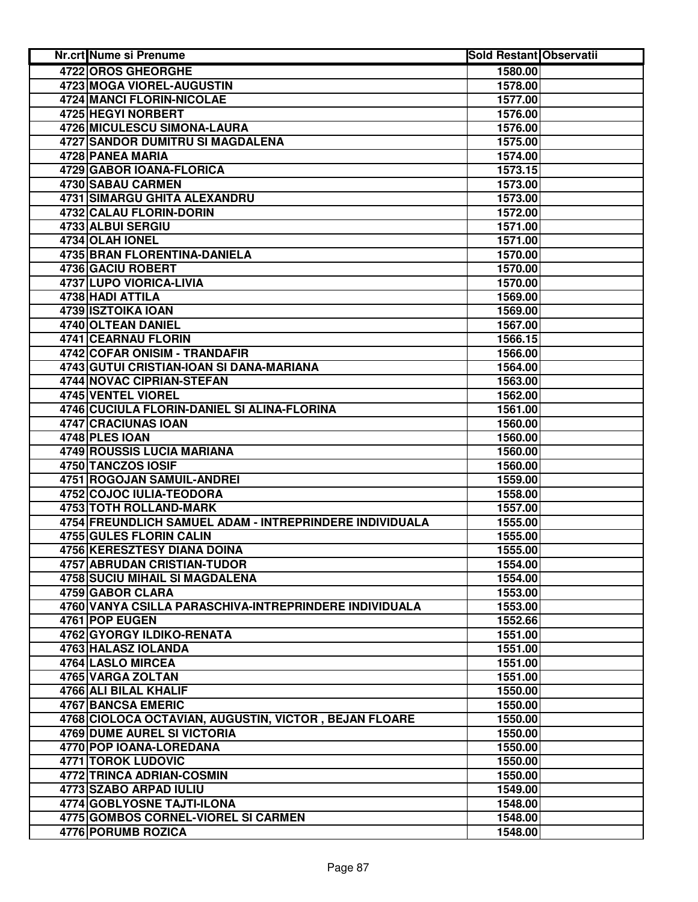| Nr.crt Nume si Prenume                                  | <b>Sold Restant Observatii</b> |  |
|---------------------------------------------------------|--------------------------------|--|
| <b>4722 OROS GHEORGHE</b>                               | 1580.00                        |  |
| <b>4723 MOGA VIOREL-AUGUSTIN</b>                        | 1578.00                        |  |
| <b>4724 MANCI FLORIN-NICOLAE</b>                        | 1577.00                        |  |
| 4725 HEGYI NORBERT                                      | 1576.00                        |  |
| 4726 MICULESCU SIMONA-LAURA                             | 1576.00                        |  |
| 4727 SANDOR DUMITRU SI MAGDALENA                        | 1575.00                        |  |
| 4728 PANEA MARIA                                        | 1574.00                        |  |
| 4729 GABOR IOANA-FLORICA                                | 1573.15                        |  |
| 4730 SABAU CARMEN                                       | 1573.00                        |  |
| 4731 SIMARGU GHITA ALEXANDRU                            | 1573.00                        |  |
| 4732 CALAU FLORIN-DORIN                                 | 1572.00                        |  |
| 4733 ALBUI SERGIU                                       | 1571.00                        |  |
| 4734 OLAH IONEL                                         | 1571.00                        |  |
| 4735 BRAN FLORENTINA-DANIELA                            | 1570.00                        |  |
| 4736 GACIU ROBERT                                       | 1570.00                        |  |
| 4737 LUPO VIORICA-LIVIA                                 | 1570.00                        |  |
| 4738 HADI ATTILA                                        | 1569.00                        |  |
| 4739 ISZTOIKA IOAN                                      | 1569.00                        |  |
| 4740 OLTEAN DANIEL                                      | 1567.00                        |  |
| 4741 CEARNAU FLORIN                                     | 1566.15                        |  |
| 4742 COFAR ONISIM - TRANDAFIR                           | 1566.00                        |  |
| 4743 GUTUI CRISTIAN-IOAN SI DANA-MARIANA                | 1564.00                        |  |
| <b>4744 NOVAC CIPRIAN-STEFAN</b>                        | 1563.00                        |  |
| 4745 VENTEL VIOREL                                      | 1562.00                        |  |
| 4746 CUCIULA FLORIN-DANIEL SI ALINA-FLORINA             | 1561.00                        |  |
| 4747 CRACIUNAS IOAN                                     | 1560.00                        |  |
| 4748 PLES IOAN                                          | 1560.00                        |  |
| 4749 ROUSSIS LUCIA MARIANA                              | 1560.00                        |  |
| 4750 TANCZOS IOSIF                                      | 1560.00                        |  |
| 4751 ROGOJAN SAMUIL-ANDREI                              | 1559.00                        |  |
| 4752 COJOC IULIA-TEODORA                                | 1558.00                        |  |
| 4753 TOTH ROLLAND-MARK                                  | 1557.00                        |  |
| 4754 FREUNDLICH SAMUEL ADAM - INTREPRINDERE INDIVIDUALA | 1555.00                        |  |
| 4755 GULES FLORIN CALIN                                 | 1555.00                        |  |
| 4756 KERESZTESY DIANA DOINA                             | 1555.00                        |  |
| 4757 ABRUDAN CRISTIAN-TUDOR                             | 1554.00                        |  |
| 4758 SUCIU MIHAIL SI MAGDALENA                          | 1554.00                        |  |
| 4759 GABOR CLARA                                        | 1553.00                        |  |
| 4760 VANYA CSILLA PARASCHIVA-INTREPRINDERE INDIVIDUALA  | 1553.00                        |  |
| 4761 POP EUGEN                                          | 1552.66                        |  |
| 4762 GYORGY ILDIKO-RENATA                               | 1551.00                        |  |
| 4763 HALASZ IOLANDA                                     | 1551.00                        |  |
| 4764 LASLO MIRCEA                                       | 1551.00                        |  |
| 4765 VARGA ZOLTAN                                       | 1551.00                        |  |
| 4766 ALI BILAL KHALIF                                   | 1550.00                        |  |
| 4767 BANCSA EMERIC                                      | 1550.00                        |  |
| 4768 CIOLOCA OCTAVIAN, AUGUSTIN, VICTOR, BEJAN FLOARE   | 1550.00                        |  |
| <b>4769 DUME AUREL SI VICTORIA</b>                      | 1550.00                        |  |
| 4770 POP IOANA-LOREDANA                                 | 1550.00                        |  |
| 4771 TOROK LUDOVIC                                      | 1550.00                        |  |
| 4772 TRINCA ADRIAN-COSMIN                               | 1550.00                        |  |
| 4773 SZABO ARPAD IULIU                                  | 1549.00                        |  |
| 4774 GOBLYOSNE TAJTI-ILONA                              | 1548.00                        |  |
| 4775 GOMBOS CORNEL-VIOREL SI CARMEN                     | 1548.00                        |  |
| 4776 PORUMB ROZICA                                      | 1548.00                        |  |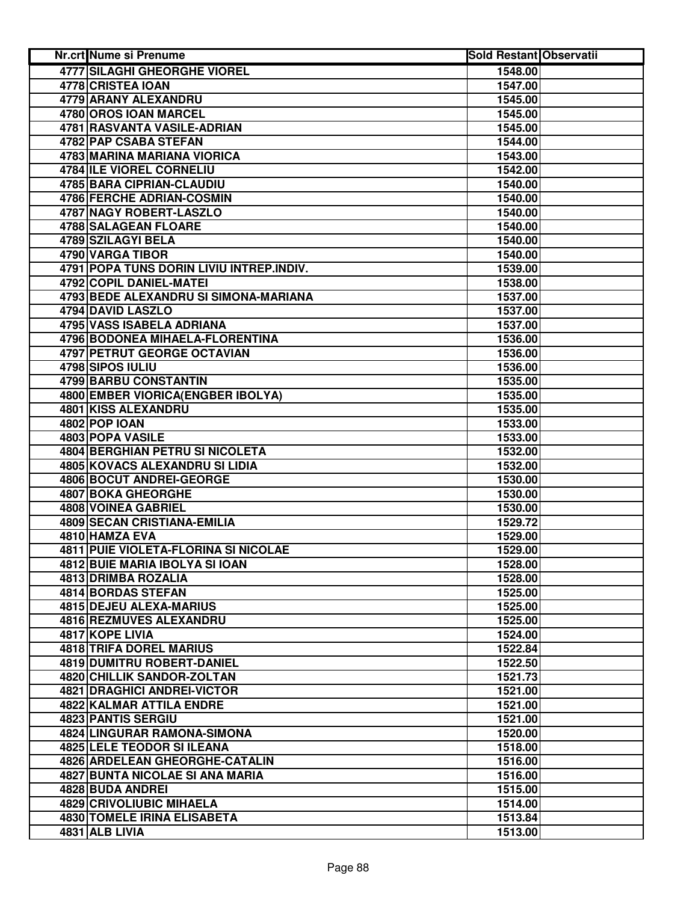| <b>4777 SILAGHI GHEORGHE VIOREL</b><br>1548.00<br>4778 CRISTEA IOAN<br>1547.00<br>4779 ARANY ALEXANDRU<br>1545.00<br>4780 OROS IOAN MARCEL<br>1545.00<br>4781 RASVANTA VASILE-ADRIAN<br>1545.00<br>4782 PAP CSABA STEFAN<br>1544.00<br>4783 MARINA MARIANA VIORICA<br>1543.00<br>4784 ILE VIOREL CORNELIU<br>1542.00<br>4785 BARA CIPRIAN-CLAUDIU<br>1540.00<br>4786 FERCHE ADRIAN-COSMIN<br>1540.00<br>4787 NAGY ROBERT-LASZLO<br>1540.00<br>4788 SALAGEAN FLOARE<br>1540.00<br>4789 SZILAGYI BELA<br>1540.00<br>4790 VARGA TIBOR<br>1540.00<br>4791 POPA TUNS DORIN LIVIU INTREP.INDIV.<br>1539.00<br>4792 COPIL DANIEL-MATEI<br>1538.00<br>4793 BEDE ALEXANDRU SI SIMONA-MARIANA<br>1537.00<br>4794 DAVID LASZLO<br>1537.00<br>4795 VASS ISABELA ADRIANA<br>1537.00<br>4796 BODONEA MIHAELA-FLORENTINA<br>1536.00<br>4797 PETRUT GEORGE OCTAVIAN<br>1536.00<br>4798 SIPOS IULIU<br>1536.00<br>4799 BARBU CONSTANTIN<br>1535.00<br>4800 EMBER VIORICA (ENGBER IBOLYA)<br>1535.00<br><b>4801 KISS ALEXANDRU</b><br>1535.00<br>4802 POP IOAN<br>1533.00<br>4803 POPA VASILE<br>1533.00<br><b>4804 BERGHIAN PETRU SI NICOLETA</b><br>1532.00<br>4805 KOVACS ALEXANDRU SI LIDIA<br>1532.00<br>4806 BOCUT ANDREI-GEORGE<br>1530.00<br>4807 BOKA GHEORGHE<br>1530.00<br>4808 VOINEA GABRIEL<br>1530.00<br><b>4809 SECAN CRISTIANA-EMILIA</b><br>1529.72<br>4810 HAMZA EVA<br>1529.00<br>4811 PUIE VIOLETA-FLORINA SI NICOLAE<br>1529.00<br>4812 BUIE MARIA IBOLYA SI IOAN<br>1528.00<br>4813 DRIMBA ROZALIA<br>1528.00<br>4814 BORDAS STEFAN<br>1525.00<br>4815 DEJEU ALEXA-MARIUS<br>1525.00<br>4816 REZMUVES ALEXANDRU<br>1525.00<br>4817 KOPE LIVIA<br>1524.00<br><b>4818 TRIFA DOREL MARIUS</b><br>1522.84<br>4819 DUMITRU ROBERT-DANIEL<br>1522.50<br>4820 CHILLIK SANDOR-ZOLTAN<br>1521.73<br>4821 DRAGHICI ANDREI-VICTOR<br>1521.00<br>4822 KALMAR ATTILA ENDRE<br>1521.00<br>4823 PANTIS SERGIU<br>1521.00<br>4824 LINGURAR RAMONA-SIMONA<br>1520.00<br>4825 LELE TEODOR SI ILEANA<br>1518.00<br>4826 ARDELEAN GHEORGHE-CATALIN<br>1516.00<br>4827 BUNTA NICOLAE SI ANA MARIA<br>1516.00<br>4828 BUDA ANDREI<br>1515.00<br>4829 CRIVOLIUBIC MIHAELA<br>1514.00<br>4830 TOMELE IRINA ELISABETA<br>1513.84 | <b>Nr.crt Nume si Prenume</b> | <b>Sold Restant Observatii</b> |  |
|--------------------------------------------------------------------------------------------------------------------------------------------------------------------------------------------------------------------------------------------------------------------------------------------------------------------------------------------------------------------------------------------------------------------------------------------------------------------------------------------------------------------------------------------------------------------------------------------------------------------------------------------------------------------------------------------------------------------------------------------------------------------------------------------------------------------------------------------------------------------------------------------------------------------------------------------------------------------------------------------------------------------------------------------------------------------------------------------------------------------------------------------------------------------------------------------------------------------------------------------------------------------------------------------------------------------------------------------------------------------------------------------------------------------------------------------------------------------------------------------------------------------------------------------------------------------------------------------------------------------------------------------------------------------------------------------------------------------------------------------------------------------------------------------------------------------------------------------------------------------------------------------------------------------------------------------------------------------------------------------------------------------------------------------------------------------------------------------------------------------------------------------------------------------------------------------------------------|-------------------------------|--------------------------------|--|
|                                                                                                                                                                                                                                                                                                                                                                                                                                                                                                                                                                                                                                                                                                                                                                                                                                                                                                                                                                                                                                                                                                                                                                                                                                                                                                                                                                                                                                                                                                                                                                                                                                                                                                                                                                                                                                                                                                                                                                                                                                                                                                                                                                                                              |                               |                                |  |
|                                                                                                                                                                                                                                                                                                                                                                                                                                                                                                                                                                                                                                                                                                                                                                                                                                                                                                                                                                                                                                                                                                                                                                                                                                                                                                                                                                                                                                                                                                                                                                                                                                                                                                                                                                                                                                                                                                                                                                                                                                                                                                                                                                                                              |                               |                                |  |
|                                                                                                                                                                                                                                                                                                                                                                                                                                                                                                                                                                                                                                                                                                                                                                                                                                                                                                                                                                                                                                                                                                                                                                                                                                                                                                                                                                                                                                                                                                                                                                                                                                                                                                                                                                                                                                                                                                                                                                                                                                                                                                                                                                                                              |                               |                                |  |
|                                                                                                                                                                                                                                                                                                                                                                                                                                                                                                                                                                                                                                                                                                                                                                                                                                                                                                                                                                                                                                                                                                                                                                                                                                                                                                                                                                                                                                                                                                                                                                                                                                                                                                                                                                                                                                                                                                                                                                                                                                                                                                                                                                                                              |                               |                                |  |
|                                                                                                                                                                                                                                                                                                                                                                                                                                                                                                                                                                                                                                                                                                                                                                                                                                                                                                                                                                                                                                                                                                                                                                                                                                                                                                                                                                                                                                                                                                                                                                                                                                                                                                                                                                                                                                                                                                                                                                                                                                                                                                                                                                                                              |                               |                                |  |
|                                                                                                                                                                                                                                                                                                                                                                                                                                                                                                                                                                                                                                                                                                                                                                                                                                                                                                                                                                                                                                                                                                                                                                                                                                                                                                                                                                                                                                                                                                                                                                                                                                                                                                                                                                                                                                                                                                                                                                                                                                                                                                                                                                                                              |                               |                                |  |
|                                                                                                                                                                                                                                                                                                                                                                                                                                                                                                                                                                                                                                                                                                                                                                                                                                                                                                                                                                                                                                                                                                                                                                                                                                                                                                                                                                                                                                                                                                                                                                                                                                                                                                                                                                                                                                                                                                                                                                                                                                                                                                                                                                                                              |                               |                                |  |
|                                                                                                                                                                                                                                                                                                                                                                                                                                                                                                                                                                                                                                                                                                                                                                                                                                                                                                                                                                                                                                                                                                                                                                                                                                                                                                                                                                                                                                                                                                                                                                                                                                                                                                                                                                                                                                                                                                                                                                                                                                                                                                                                                                                                              |                               |                                |  |
|                                                                                                                                                                                                                                                                                                                                                                                                                                                                                                                                                                                                                                                                                                                                                                                                                                                                                                                                                                                                                                                                                                                                                                                                                                                                                                                                                                                                                                                                                                                                                                                                                                                                                                                                                                                                                                                                                                                                                                                                                                                                                                                                                                                                              |                               |                                |  |
|                                                                                                                                                                                                                                                                                                                                                                                                                                                                                                                                                                                                                                                                                                                                                                                                                                                                                                                                                                                                                                                                                                                                                                                                                                                                                                                                                                                                                                                                                                                                                                                                                                                                                                                                                                                                                                                                                                                                                                                                                                                                                                                                                                                                              |                               |                                |  |
|                                                                                                                                                                                                                                                                                                                                                                                                                                                                                                                                                                                                                                                                                                                                                                                                                                                                                                                                                                                                                                                                                                                                                                                                                                                                                                                                                                                                                                                                                                                                                                                                                                                                                                                                                                                                                                                                                                                                                                                                                                                                                                                                                                                                              |                               |                                |  |
|                                                                                                                                                                                                                                                                                                                                                                                                                                                                                                                                                                                                                                                                                                                                                                                                                                                                                                                                                                                                                                                                                                                                                                                                                                                                                                                                                                                                                                                                                                                                                                                                                                                                                                                                                                                                                                                                                                                                                                                                                                                                                                                                                                                                              |                               |                                |  |
|                                                                                                                                                                                                                                                                                                                                                                                                                                                                                                                                                                                                                                                                                                                                                                                                                                                                                                                                                                                                                                                                                                                                                                                                                                                                                                                                                                                                                                                                                                                                                                                                                                                                                                                                                                                                                                                                                                                                                                                                                                                                                                                                                                                                              |                               |                                |  |
|                                                                                                                                                                                                                                                                                                                                                                                                                                                                                                                                                                                                                                                                                                                                                                                                                                                                                                                                                                                                                                                                                                                                                                                                                                                                                                                                                                                                                                                                                                                                                                                                                                                                                                                                                                                                                                                                                                                                                                                                                                                                                                                                                                                                              |                               |                                |  |
|                                                                                                                                                                                                                                                                                                                                                                                                                                                                                                                                                                                                                                                                                                                                                                                                                                                                                                                                                                                                                                                                                                                                                                                                                                                                                                                                                                                                                                                                                                                                                                                                                                                                                                                                                                                                                                                                                                                                                                                                                                                                                                                                                                                                              |                               |                                |  |
|                                                                                                                                                                                                                                                                                                                                                                                                                                                                                                                                                                                                                                                                                                                                                                                                                                                                                                                                                                                                                                                                                                                                                                                                                                                                                                                                                                                                                                                                                                                                                                                                                                                                                                                                                                                                                                                                                                                                                                                                                                                                                                                                                                                                              |                               |                                |  |
|                                                                                                                                                                                                                                                                                                                                                                                                                                                                                                                                                                                                                                                                                                                                                                                                                                                                                                                                                                                                                                                                                                                                                                                                                                                                                                                                                                                                                                                                                                                                                                                                                                                                                                                                                                                                                                                                                                                                                                                                                                                                                                                                                                                                              |                               |                                |  |
|                                                                                                                                                                                                                                                                                                                                                                                                                                                                                                                                                                                                                                                                                                                                                                                                                                                                                                                                                                                                                                                                                                                                                                                                                                                                                                                                                                                                                                                                                                                                                                                                                                                                                                                                                                                                                                                                                                                                                                                                                                                                                                                                                                                                              |                               |                                |  |
|                                                                                                                                                                                                                                                                                                                                                                                                                                                                                                                                                                                                                                                                                                                                                                                                                                                                                                                                                                                                                                                                                                                                                                                                                                                                                                                                                                                                                                                                                                                                                                                                                                                                                                                                                                                                                                                                                                                                                                                                                                                                                                                                                                                                              |                               |                                |  |
|                                                                                                                                                                                                                                                                                                                                                                                                                                                                                                                                                                                                                                                                                                                                                                                                                                                                                                                                                                                                                                                                                                                                                                                                                                                                                                                                                                                                                                                                                                                                                                                                                                                                                                                                                                                                                                                                                                                                                                                                                                                                                                                                                                                                              |                               |                                |  |
|                                                                                                                                                                                                                                                                                                                                                                                                                                                                                                                                                                                                                                                                                                                                                                                                                                                                                                                                                                                                                                                                                                                                                                                                                                                                                                                                                                                                                                                                                                                                                                                                                                                                                                                                                                                                                                                                                                                                                                                                                                                                                                                                                                                                              |                               |                                |  |
|                                                                                                                                                                                                                                                                                                                                                                                                                                                                                                                                                                                                                                                                                                                                                                                                                                                                                                                                                                                                                                                                                                                                                                                                                                                                                                                                                                                                                                                                                                                                                                                                                                                                                                                                                                                                                                                                                                                                                                                                                                                                                                                                                                                                              |                               |                                |  |
|                                                                                                                                                                                                                                                                                                                                                                                                                                                                                                                                                                                                                                                                                                                                                                                                                                                                                                                                                                                                                                                                                                                                                                                                                                                                                                                                                                                                                                                                                                                                                                                                                                                                                                                                                                                                                                                                                                                                                                                                                                                                                                                                                                                                              |                               |                                |  |
|                                                                                                                                                                                                                                                                                                                                                                                                                                                                                                                                                                                                                                                                                                                                                                                                                                                                                                                                                                                                                                                                                                                                                                                                                                                                                                                                                                                                                                                                                                                                                                                                                                                                                                                                                                                                                                                                                                                                                                                                                                                                                                                                                                                                              |                               |                                |  |
|                                                                                                                                                                                                                                                                                                                                                                                                                                                                                                                                                                                                                                                                                                                                                                                                                                                                                                                                                                                                                                                                                                                                                                                                                                                                                                                                                                                                                                                                                                                                                                                                                                                                                                                                                                                                                                                                                                                                                                                                                                                                                                                                                                                                              |                               |                                |  |
|                                                                                                                                                                                                                                                                                                                                                                                                                                                                                                                                                                                                                                                                                                                                                                                                                                                                                                                                                                                                                                                                                                                                                                                                                                                                                                                                                                                                                                                                                                                                                                                                                                                                                                                                                                                                                                                                                                                                                                                                                                                                                                                                                                                                              |                               |                                |  |
|                                                                                                                                                                                                                                                                                                                                                                                                                                                                                                                                                                                                                                                                                                                                                                                                                                                                                                                                                                                                                                                                                                                                                                                                                                                                                                                                                                                                                                                                                                                                                                                                                                                                                                                                                                                                                                                                                                                                                                                                                                                                                                                                                                                                              |                               |                                |  |
|                                                                                                                                                                                                                                                                                                                                                                                                                                                                                                                                                                                                                                                                                                                                                                                                                                                                                                                                                                                                                                                                                                                                                                                                                                                                                                                                                                                                                                                                                                                                                                                                                                                                                                                                                                                                                                                                                                                                                                                                                                                                                                                                                                                                              |                               |                                |  |
|                                                                                                                                                                                                                                                                                                                                                                                                                                                                                                                                                                                                                                                                                                                                                                                                                                                                                                                                                                                                                                                                                                                                                                                                                                                                                                                                                                                                                                                                                                                                                                                                                                                                                                                                                                                                                                                                                                                                                                                                                                                                                                                                                                                                              |                               |                                |  |
|                                                                                                                                                                                                                                                                                                                                                                                                                                                                                                                                                                                                                                                                                                                                                                                                                                                                                                                                                                                                                                                                                                                                                                                                                                                                                                                                                                                                                                                                                                                                                                                                                                                                                                                                                                                                                                                                                                                                                                                                                                                                                                                                                                                                              |                               |                                |  |
|                                                                                                                                                                                                                                                                                                                                                                                                                                                                                                                                                                                                                                                                                                                                                                                                                                                                                                                                                                                                                                                                                                                                                                                                                                                                                                                                                                                                                                                                                                                                                                                                                                                                                                                                                                                                                                                                                                                                                                                                                                                                                                                                                                                                              |                               |                                |  |
|                                                                                                                                                                                                                                                                                                                                                                                                                                                                                                                                                                                                                                                                                                                                                                                                                                                                                                                                                                                                                                                                                                                                                                                                                                                                                                                                                                                                                                                                                                                                                                                                                                                                                                                                                                                                                                                                                                                                                                                                                                                                                                                                                                                                              |                               |                                |  |
|                                                                                                                                                                                                                                                                                                                                                                                                                                                                                                                                                                                                                                                                                                                                                                                                                                                                                                                                                                                                                                                                                                                                                                                                                                                                                                                                                                                                                                                                                                                                                                                                                                                                                                                                                                                                                                                                                                                                                                                                                                                                                                                                                                                                              |                               |                                |  |
|                                                                                                                                                                                                                                                                                                                                                                                                                                                                                                                                                                                                                                                                                                                                                                                                                                                                                                                                                                                                                                                                                                                                                                                                                                                                                                                                                                                                                                                                                                                                                                                                                                                                                                                                                                                                                                                                                                                                                                                                                                                                                                                                                                                                              |                               |                                |  |
|                                                                                                                                                                                                                                                                                                                                                                                                                                                                                                                                                                                                                                                                                                                                                                                                                                                                                                                                                                                                                                                                                                                                                                                                                                                                                                                                                                                                                                                                                                                                                                                                                                                                                                                                                                                                                                                                                                                                                                                                                                                                                                                                                                                                              |                               |                                |  |
|                                                                                                                                                                                                                                                                                                                                                                                                                                                                                                                                                                                                                                                                                                                                                                                                                                                                                                                                                                                                                                                                                                                                                                                                                                                                                                                                                                                                                                                                                                                                                                                                                                                                                                                                                                                                                                                                                                                                                                                                                                                                                                                                                                                                              |                               |                                |  |
|                                                                                                                                                                                                                                                                                                                                                                                                                                                                                                                                                                                                                                                                                                                                                                                                                                                                                                                                                                                                                                                                                                                                                                                                                                                                                                                                                                                                                                                                                                                                                                                                                                                                                                                                                                                                                                                                                                                                                                                                                                                                                                                                                                                                              |                               |                                |  |
|                                                                                                                                                                                                                                                                                                                                                                                                                                                                                                                                                                                                                                                                                                                                                                                                                                                                                                                                                                                                                                                                                                                                                                                                                                                                                                                                                                                                                                                                                                                                                                                                                                                                                                                                                                                                                                                                                                                                                                                                                                                                                                                                                                                                              |                               |                                |  |
|                                                                                                                                                                                                                                                                                                                                                                                                                                                                                                                                                                                                                                                                                                                                                                                                                                                                                                                                                                                                                                                                                                                                                                                                                                                                                                                                                                                                                                                                                                                                                                                                                                                                                                                                                                                                                                                                                                                                                                                                                                                                                                                                                                                                              |                               |                                |  |
|                                                                                                                                                                                                                                                                                                                                                                                                                                                                                                                                                                                                                                                                                                                                                                                                                                                                                                                                                                                                                                                                                                                                                                                                                                                                                                                                                                                                                                                                                                                                                                                                                                                                                                                                                                                                                                                                                                                                                                                                                                                                                                                                                                                                              |                               |                                |  |
|                                                                                                                                                                                                                                                                                                                                                                                                                                                                                                                                                                                                                                                                                                                                                                                                                                                                                                                                                                                                                                                                                                                                                                                                                                                                                                                                                                                                                                                                                                                                                                                                                                                                                                                                                                                                                                                                                                                                                                                                                                                                                                                                                                                                              |                               |                                |  |
|                                                                                                                                                                                                                                                                                                                                                                                                                                                                                                                                                                                                                                                                                                                                                                                                                                                                                                                                                                                                                                                                                                                                                                                                                                                                                                                                                                                                                                                                                                                                                                                                                                                                                                                                                                                                                                                                                                                                                                                                                                                                                                                                                                                                              |                               |                                |  |
|                                                                                                                                                                                                                                                                                                                                                                                                                                                                                                                                                                                                                                                                                                                                                                                                                                                                                                                                                                                                                                                                                                                                                                                                                                                                                                                                                                                                                                                                                                                                                                                                                                                                                                                                                                                                                                                                                                                                                                                                                                                                                                                                                                                                              |                               |                                |  |
|                                                                                                                                                                                                                                                                                                                                                                                                                                                                                                                                                                                                                                                                                                                                                                                                                                                                                                                                                                                                                                                                                                                                                                                                                                                                                                                                                                                                                                                                                                                                                                                                                                                                                                                                                                                                                                                                                                                                                                                                                                                                                                                                                                                                              |                               |                                |  |
|                                                                                                                                                                                                                                                                                                                                                                                                                                                                                                                                                                                                                                                                                                                                                                                                                                                                                                                                                                                                                                                                                                                                                                                                                                                                                                                                                                                                                                                                                                                                                                                                                                                                                                                                                                                                                                                                                                                                                                                                                                                                                                                                                                                                              |                               |                                |  |
|                                                                                                                                                                                                                                                                                                                                                                                                                                                                                                                                                                                                                                                                                                                                                                                                                                                                                                                                                                                                                                                                                                                                                                                                                                                                                                                                                                                                                                                                                                                                                                                                                                                                                                                                                                                                                                                                                                                                                                                                                                                                                                                                                                                                              |                               |                                |  |
|                                                                                                                                                                                                                                                                                                                                                                                                                                                                                                                                                                                                                                                                                                                                                                                                                                                                                                                                                                                                                                                                                                                                                                                                                                                                                                                                                                                                                                                                                                                                                                                                                                                                                                                                                                                                                                                                                                                                                                                                                                                                                                                                                                                                              |                               |                                |  |
|                                                                                                                                                                                                                                                                                                                                                                                                                                                                                                                                                                                                                                                                                                                                                                                                                                                                                                                                                                                                                                                                                                                                                                                                                                                                                                                                                                                                                                                                                                                                                                                                                                                                                                                                                                                                                                                                                                                                                                                                                                                                                                                                                                                                              |                               |                                |  |
|                                                                                                                                                                                                                                                                                                                                                                                                                                                                                                                                                                                                                                                                                                                                                                                                                                                                                                                                                                                                                                                                                                                                                                                                                                                                                                                                                                                                                                                                                                                                                                                                                                                                                                                                                                                                                                                                                                                                                                                                                                                                                                                                                                                                              |                               |                                |  |
|                                                                                                                                                                                                                                                                                                                                                                                                                                                                                                                                                                                                                                                                                                                                                                                                                                                                                                                                                                                                                                                                                                                                                                                                                                                                                                                                                                                                                                                                                                                                                                                                                                                                                                                                                                                                                                                                                                                                                                                                                                                                                                                                                                                                              |                               |                                |  |
|                                                                                                                                                                                                                                                                                                                                                                                                                                                                                                                                                                                                                                                                                                                                                                                                                                                                                                                                                                                                                                                                                                                                                                                                                                                                                                                                                                                                                                                                                                                                                                                                                                                                                                                                                                                                                                                                                                                                                                                                                                                                                                                                                                                                              |                               |                                |  |
|                                                                                                                                                                                                                                                                                                                                                                                                                                                                                                                                                                                                                                                                                                                                                                                                                                                                                                                                                                                                                                                                                                                                                                                                                                                                                                                                                                                                                                                                                                                                                                                                                                                                                                                                                                                                                                                                                                                                                                                                                                                                                                                                                                                                              |                               |                                |  |
|                                                                                                                                                                                                                                                                                                                                                                                                                                                                                                                                                                                                                                                                                                                                                                                                                                                                                                                                                                                                                                                                                                                                                                                                                                                                                                                                                                                                                                                                                                                                                                                                                                                                                                                                                                                                                                                                                                                                                                                                                                                                                                                                                                                                              |                               |                                |  |
|                                                                                                                                                                                                                                                                                                                                                                                                                                                                                                                                                                                                                                                                                                                                                                                                                                                                                                                                                                                                                                                                                                                                                                                                                                                                                                                                                                                                                                                                                                                                                                                                                                                                                                                                                                                                                                                                                                                                                                                                                                                                                                                                                                                                              |                               |                                |  |
|                                                                                                                                                                                                                                                                                                                                                                                                                                                                                                                                                                                                                                                                                                                                                                                                                                                                                                                                                                                                                                                                                                                                                                                                                                                                                                                                                                                                                                                                                                                                                                                                                                                                                                                                                                                                                                                                                                                                                                                                                                                                                                                                                                                                              | 4831 ALB LIVIA                | 1513.00                        |  |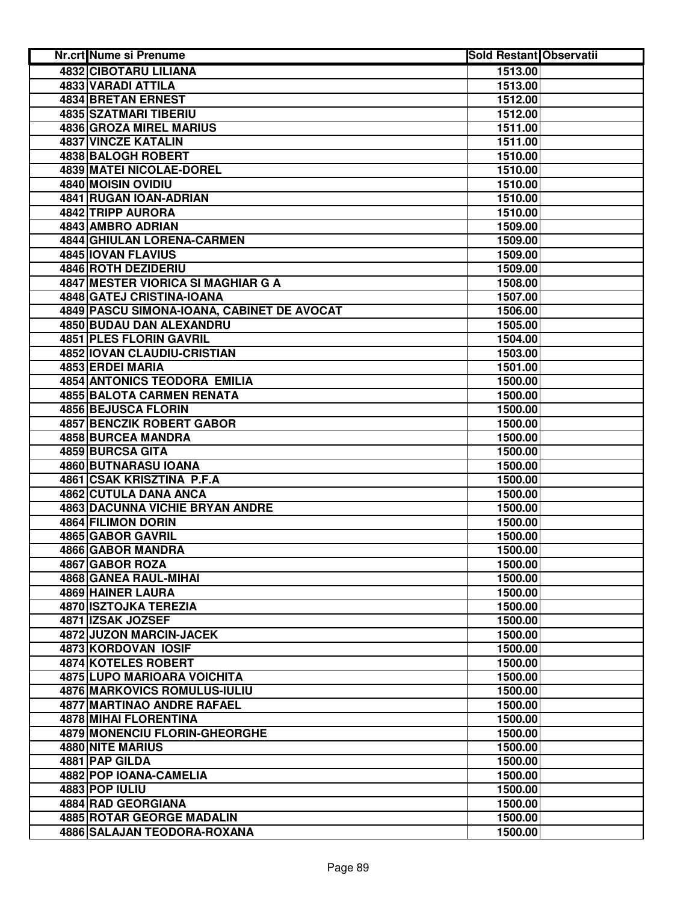| Nr.crt Nume si Prenume                     | <b>Sold Restant Observatii</b> |  |
|--------------------------------------------|--------------------------------|--|
| <b>4832 CIBOTARU LILIANA</b>               | 1513.00                        |  |
| 4833 VARADI ATTILA                         | 1513.00                        |  |
| <b>4834 BRETAN ERNEST</b>                  | 1512.00                        |  |
| 4835 SZATMARI TIBERIU                      | 1512.00                        |  |
| <b>4836 GROZA MIREL MARIUS</b>             | 1511.00                        |  |
| 4837 VINCZE KATALIN                        | 1511.00                        |  |
| 4838 BALOGH ROBERT                         | 1510.00                        |  |
| 4839 MATEI NICOLAE-DOREL                   | 1510.00                        |  |
| 4840 MOISIN OVIDIU                         | 1510.00                        |  |
| 4841 RUGAN IOAN-ADRIAN                     | 1510.00                        |  |
| 4842 TRIPP AURORA                          | 1510.00                        |  |
| 4843 AMBRO ADRIAN                          | 1509.00                        |  |
| 4844 GHIULAN LORENA-CARMEN                 | 1509.00                        |  |
| 4845 IOVAN FLAVIUS                         | 1509.00                        |  |
| 4846 ROTH DEZIDERIU                        | 1509.00                        |  |
| <b>4847 MESTER VIORICA SI MAGHIAR G A</b>  | 1508.00                        |  |
| 4848 GATEJ CRISTINA-IOANA                  | 1507.00                        |  |
| 4849 PASCU SIMONA-IOANA, CABINET DE AVOCAT | 1506.00                        |  |
| <b>4850 BUDAU DAN ALEXANDRU</b>            | 1505.00                        |  |
| 4851 PLES FLORIN GAVRIL                    | 1504.00                        |  |
| <b>4852 IOVAN CLAUDIU-CRISTIAN</b>         | 1503.00                        |  |
| <b>4853 ERDEI MARIA</b>                    | 1501.00                        |  |
| <b>4854 ANTONICS TEODORA EMILIA</b>        | 1500.00                        |  |
| <b>4855 BALOTA CARMEN RENATA</b>           | 1500.00                        |  |
| <b>4856 BEJUSCA FLORIN</b>                 | 1500.00                        |  |
| <b>4857 BENCZIK ROBERT GABOR</b>           | 1500.00                        |  |
| 4858 BURCEA MANDRA                         | 1500.00                        |  |
| 4859 BURCSA GITA                           | 1500.00                        |  |
| 4860 BUTNARASU IOANA                       | 1500.00                        |  |
| 4861 CSAK KRISZTINA P.F.A                  | 1500.00                        |  |
| 4862 CUTULA DANA ANCA                      | 1500.00                        |  |
| 4863 DACUNNA VICHIE BRYAN ANDRE            | 1500.00                        |  |
| 4864 FILIMON DORIN                         | 1500.00                        |  |
| 4865 GABOR GAVRIL                          | 1500.00                        |  |
| 4866 GABOR MANDRA                          | 1500.00                        |  |
| 4867 GABOR ROZA                            | 1500.00                        |  |
| 4868 GANEA RAUL-MIHAI                      | 1500.00                        |  |
| 4869 HAINER LAURA                          | 1500.00                        |  |
| 4870 ISZTOJKA TEREZIA                      | 1500.00                        |  |
| 4871 IZSAK JOZSEF                          | 1500.00                        |  |
| 4872 JUZON MARCIN-JACEK                    | 1500.00                        |  |
| 4873 KORDOVAN IOSIF                        | 1500.00                        |  |
| 4874 KOTELES ROBERT                        | 1500.00                        |  |
| <b>4875 LUPO MARIOARA VOICHITA</b>         | 1500.00                        |  |
| 4876 MARKOVICS ROMULUS-IULIU               | 1500.00                        |  |
| 4877 MARTINAO ANDRE RAFAEL                 | 1500.00                        |  |
| <b>4878 MIHAI FLORENTINA</b>               | 1500.00                        |  |
| <b>4879 MONENCIU FLORIN-GHEORGHE</b>       | 1500.00                        |  |
| 4880 NITE MARIUS                           | 1500.00                        |  |
| 4881 PAP GILDA                             | 1500.00                        |  |
| 4882 POP IOANA-CAMELIA                     | 1500.00                        |  |
| 4883 POP IULIU                             | 1500.00                        |  |
| 4884 RAD GEORGIANA                         | 1500.00                        |  |
| 4885 ROTAR GEORGE MADALIN                  | 1500.00                        |  |
| 4886 SALAJAN TEODORA-ROXANA                | 1500.00                        |  |
|                                            |                                |  |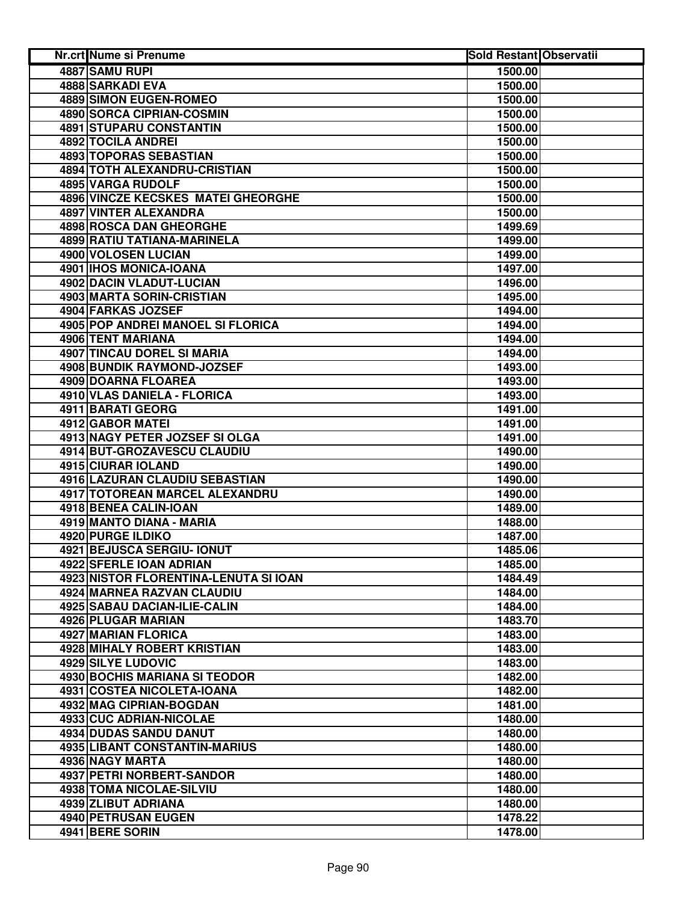| Nr.crt Nume si Prenume                   | <b>Sold Restant Observatii</b> |  |
|------------------------------------------|--------------------------------|--|
| 4887 SAMU RUPI                           | 1500.00                        |  |
| 4888 SARKADI EVA                         | 1500.00                        |  |
| <b>4889 SIMON EUGEN-ROMEO</b>            | 1500.00                        |  |
| 4890 SORCA CIPRIAN-COSMIN                | 1500.00                        |  |
| <b>4891 STUPARU CONSTANTIN</b>           | 1500.00                        |  |
| 4892 TOCILA ANDREI                       | 1500.00                        |  |
| 4893 TOPORAS SEBASTIAN                   | 1500.00                        |  |
| <b>4894 TOTH ALEXANDRU-CRISTIAN</b>      | 1500.00                        |  |
| 4895 VARGA RUDOLF                        | 1500.00                        |  |
| 4896 VINCZE KECSKES MATEI GHEORGHE       | 1500.00                        |  |
| 4897 VINTER ALEXANDRA                    | 1500.00                        |  |
| 4898 ROSCA DAN GHEORGHE                  | 1499.69                        |  |
| 4899 RATIU TATIANA-MARINELA              | 1499.00                        |  |
| 4900 VOLOSEN LUCIAN                      | 1499.00                        |  |
| 4901 IHOS MONICA-IOANA                   | 1497.00                        |  |
| 4902 DACIN VLADUT-LUCIAN                 | 1496.00                        |  |
| 4903 MARTA SORIN-CRISTIAN                | 1495.00                        |  |
| 4904 FARKAS JOZSEF                       | 1494.00                        |  |
| <b>4905 POP ANDREI MANOEL SI FLORICA</b> | 1494.00                        |  |
| 4906 TENT MARIANA                        | 1494.00                        |  |
| <b>4907 TINCAU DOREL SI MARIA</b>        | 1494.00                        |  |
| <b>4908 BUNDIK RAYMOND-JOZSEF</b>        | 1493.00                        |  |
| 4909 DOARNA FLOAREA                      | 1493.00                        |  |
| 4910 VLAS DANIELA - FLORICA              | 1493.00                        |  |
| 4911 BARATI GEORG                        | 1491.00                        |  |
| <b>4912 GABOR MATEI</b>                  | 1491.00                        |  |
| 4913 NAGY PETER JOZSEF SI OLGA           | 1491.00                        |  |
| 4914 BUT-GROZAVESCU CLAUDIU              | 1490.00                        |  |
| 4915 CIURAR IOLAND                       | 1490.00                        |  |
| 4916 LAZURAN CLAUDIU SEBASTIAN           | 1490.00                        |  |
| 4917 TOTOREAN MARCEL ALEXANDRU           | 1490.00                        |  |
| 4918 BENEA CALIN-IOAN                    | 1489.00                        |  |
| 4919 MANTO DIANA - MARIA                 | 1488.00                        |  |
| 4920 PURGE ILDIKO                        | 1487.00                        |  |
| <b>4921 BEJUSCA SERGIU- IONUT</b>        | 1485.06                        |  |
| 4922 SFERLE IOAN ADRIAN                  | 1485.00                        |  |
| 4923 NISTOR FLORENTINA-LENUTA SI IOAN    | 1484.49                        |  |
| 4924 MARNEA RAZVAN CLAUDIU               | 1484.00                        |  |
| 4925 SABAU DACIAN-ILIE-CALIN             | 1484.00                        |  |
| 4926 PLUGAR MARIAN                       | 1483.70                        |  |
| 4927 MARIAN FLORICA                      | 1483.00                        |  |
| 4928 MIHALY ROBERT KRISTIAN              | 1483.00                        |  |
| <b>4929 SILYE LUDOVIC</b>                | 1483.00                        |  |
| 4930 BOCHIS MARIANA SI TEODOR            | 1482.00                        |  |
| 4931 COSTEA NICOLETA-IOANA               | 1482.00                        |  |
| 4932 MAG CIPRIAN-BOGDAN                  | 1481.00                        |  |
| 4933 CUC ADRIAN-NICOLAE                  | 1480.00                        |  |
| 4934 DUDAS SANDU DANUT                   | 1480.00                        |  |
| 4935 LIBANT CONSTANTIN-MARIUS            | 1480.00                        |  |
| 4936 NAGY MARTA                          | 1480.00                        |  |
| 4937 PETRI NORBERT-SANDOR                | 1480.00                        |  |
| 4938 TOMA NICOLAE-SILVIU                 | 1480.00                        |  |
| 4939 ZLIBUT ADRIANA                      | 1480.00                        |  |
| 4940 PETRUSAN EUGEN                      | 1478.22                        |  |
| 4941 BERE SORIN                          | 1478.00                        |  |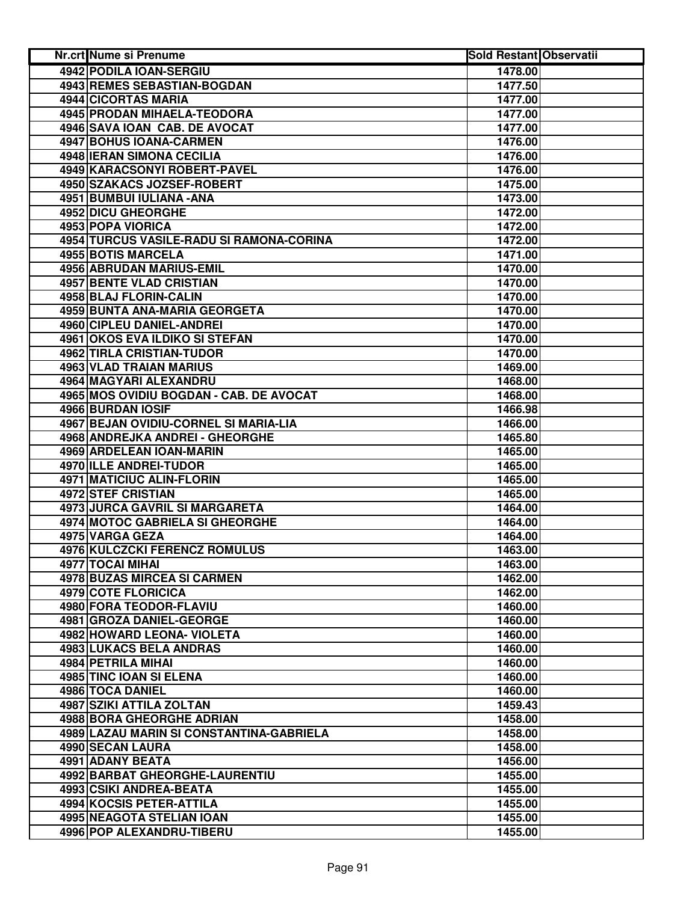| Nr.crt Nume si Prenume                   | <b>Sold Restant Observatii</b> |  |
|------------------------------------------|--------------------------------|--|
| 4942 PODILA IOAN-SERGIU                  | 1478.00                        |  |
| 4943 REMES SEBASTIAN-BOGDAN              | 1477.50                        |  |
| 4944 CICORTAS MARIA                      | 1477.00                        |  |
| 4945 PRODAN MIHAELA-TEODORA              | 1477.00                        |  |
| 4946 SAVA IOAN CAB. DE AVOCAT            | 1477.00                        |  |
| 4947 BOHUS IOANA-CARMEN                  | 1476.00                        |  |
| 4948 IERAN SIMONA CECILIA                | 1476.00                        |  |
| 4949 KARACSONYI ROBERT-PAVEL             | 1476.00                        |  |
| 4950 SZAKACS JOZSEF-ROBERT               | 1475.00                        |  |
| 4951 BUMBUI IULIANA - ANA                | 1473.00                        |  |
| 4952 DICU GHEORGHE                       | 1472.00                        |  |
| 4953 POPA VIORICA                        | 1472.00                        |  |
| 4954 TURCUS VASILE-RADU SI RAMONA-CORINA | 1472.00                        |  |
| 4955 BOTIS MARCELA                       | 1471.00                        |  |
| 4956 ABRUDAN MARIUS-EMIL                 | 1470.00                        |  |
| <b>4957 BENTE VLAD CRISTIAN</b>          | 1470.00                        |  |
| 4958 BLAJ FLORIN-CALIN                   | 1470.00                        |  |
| 4959 BUNTA ANA-MARIA GEORGETA            | 1470.00                        |  |
| 4960 CIPLEU DANIEL-ANDREI                | 1470.00                        |  |
| 4961 OKOS EVA ILDIKO SI STEFAN           | 1470.00                        |  |
| <b>4962 TIRLA CRISTIAN-TUDOR</b>         | 1470.00                        |  |
| <b>4963 VLAD TRAIAN MARIUS</b>           | 1469.00                        |  |
| 4964 MAGYARI ALEXANDRU                   | 1468.00                        |  |
| 4965 MOS OVIDIU BOGDAN - CAB. DE AVOCAT  | 1468.00                        |  |
| 4966 BURDAN IOSIF                        | 1466.98                        |  |
| 4967 BEJAN OVIDIU-CORNEL SI MARIA-LIA    | 1466.00                        |  |
| 4968 ANDREJKA ANDREI - GHEORGHE          | 1465.80                        |  |
| 4969 ARDELEAN IOAN-MARIN                 | 1465.00                        |  |
| 4970 ILLE ANDREI-TUDOR                   | 1465.00                        |  |
| 4971 MATICIUC ALIN-FLORIN                | 1465.00                        |  |
| 4972 STEF CRISTIAN                       | 1465.00                        |  |
| <b>4973 JURCA GAVRIL SI MARGARETA</b>    | 1464.00                        |  |
| 4974 MOTOC GABRIELA SI GHEORGHE          | 1464.00                        |  |
| 4975 VARGA GEZA                          | 1464.00                        |  |
| 4976 KULCZCKI FERENCZ ROMULUS            | 1463.00                        |  |
| 4977 TOCAI MIHAI                         | 1463.00                        |  |
| 4978 BUZAS MIRCEA SI CARMEN              | 1462.00                        |  |
| <b>4979 COTE FLORICICA</b>               | 1462.00                        |  |
| <b>4980 FORA TEODOR-FLAVIU</b>           | 1460.00                        |  |
| 4981 GROZA DANIEL-GEORGE                 | 1460.00                        |  |
| 4982 HOWARD LEONA- VIOLETA               | 1460.00                        |  |
| 4983 LUKACS BELA ANDRAS                  | 1460.00                        |  |
| 4984 PETRILA MIHAI                       | 1460.00                        |  |
| 4985 TINC IOAN SI ELENA                  | 1460.00                        |  |
| 4986 TOCA DANIEL                         | 1460.00                        |  |
| 4987 SZIKI ATTILA ZOLTAN                 | 1459.43                        |  |
| 4988 BORA GHEORGHE ADRIAN                | 1458.00                        |  |
| 4989 LAZAU MARIN SI CONSTANTINA-GABRIELA | 1458.00                        |  |
| 4990 SECAN LAURA                         | 1458.00                        |  |
| 4991 ADANY BEATA                         | 1456.00                        |  |
| 4992 BARBAT GHEORGHE-LAURENTIU           | 1455.00                        |  |
| 4993 CSIKI ANDREA-BEATA                  | 1455.00                        |  |
| 4994 KOCSIS PETER-ATTILA                 | 1455.00                        |  |
| 4995 NEAGOTA STELIAN IOAN                | 1455.00                        |  |
| 4996 POP ALEXANDRU-TIBERU                | 1455.00                        |  |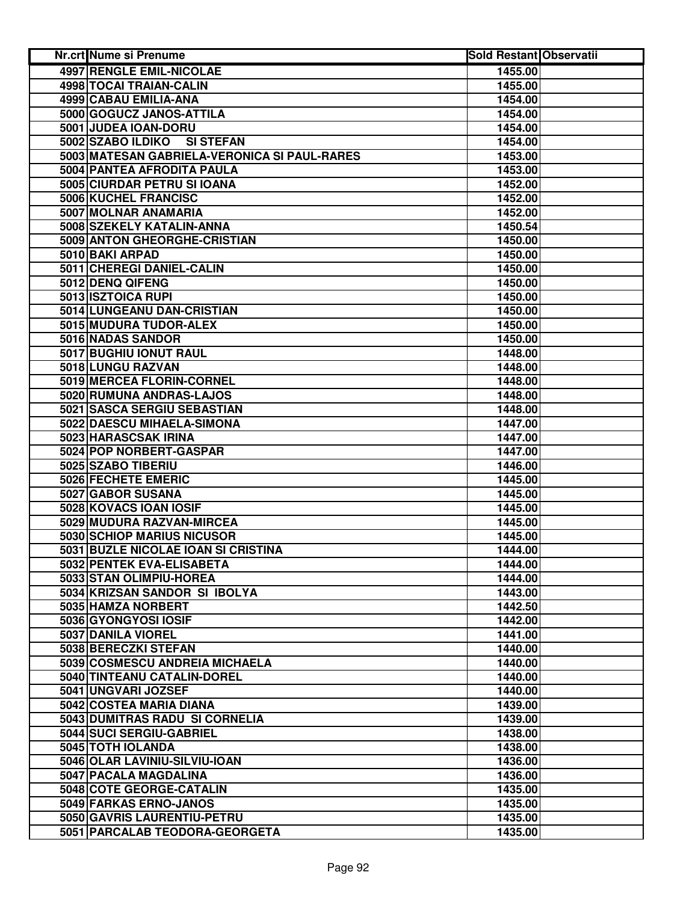| <b>Nr.crt Nume si Prenume</b>                | <b>Sold Restant Observatii</b> |  |
|----------------------------------------------|--------------------------------|--|
| <b>4997 RENGLE EMIL-NICOLAE</b>              | 1455.00                        |  |
| 4998 TOCAI TRAIAN-CALIN                      | 1455.00                        |  |
| <b>4999 CABAU EMILIA-ANA</b>                 | 1454.00                        |  |
| 5000 GOGUCZ JANOS-ATTILA                     | 1454.00                        |  |
| 5001 JUDEA IOAN-DORU                         | 1454.00                        |  |
| 5002 SZABO ILDIKO<br><b>SI STEFAN</b>        | 1454.00                        |  |
| 5003 MATESAN GABRIELA-VERONICA SI PAUL-RARES | 1453.00                        |  |
| 5004 PANTEA AFRODITA PAULA                   | 1453.00                        |  |
| 5005 CIURDAR PETRU SI IOANA                  | 1452.00                        |  |
| 5006 KUCHEL FRANCISC                         | 1452.00                        |  |
| 5007 MOLNAR ANAMARIA                         | 1452.00                        |  |
| 5008 SZEKELY KATALIN-ANNA                    | 1450.54                        |  |
| 5009 ANTON GHEORGHE-CRISTIAN                 | 1450.00                        |  |
| 5010 BAKI ARPAD                              | 1450.00                        |  |
| 5011 CHEREGI DANIEL-CALIN                    | 1450.00                        |  |
| 5012 DENQ QIFENG                             | 1450.00                        |  |
| 5013 ISZTOICA RUPI                           | 1450.00                        |  |
| 5014 LUNGEANU DAN-CRISTIAN                   | 1450.00                        |  |
| 5015 MUDURA TUDOR-ALEX                       | 1450.00                        |  |
| 5016 NADAS SANDOR                            | 1450.00                        |  |
| 5017 BUGHIU IONUT RAUL                       | 1448.00                        |  |
| 5018 LUNGU RAZVAN                            | 1448.00                        |  |
| 5019 MERCEA FLORIN-CORNEL                    | 1448.00                        |  |
| 5020 RUMUNA ANDRAS-LAJOS                     | 1448.00                        |  |
| 5021 SASCA SERGIU SEBASTIAN                  | 1448.00                        |  |
| 5022 DAESCU MIHAELA-SIMONA                   | 1447.00                        |  |
| 5023 HARASCSAK IRINA                         | 1447.00                        |  |
| 5024 POP NORBERT-GASPAR                      | 1447.00                        |  |
| 5025 SZABO TIBERIU                           | 1446.00                        |  |
| 5026 FECHETE EMERIC                          | 1445.00                        |  |
| 5027 GABOR SUSANA                            | 1445.00                        |  |
| 5028 KOVACS IOAN IOSIF                       | 1445.00                        |  |
| 5029 MUDURA RAZVAN-MIRCEA                    | 1445.00                        |  |
| 5030 SCHIOP MARIUS NICUSOR                   | 1445.00                        |  |
| 5031 BUZLE NICOLAE IOAN SI CRISTINA          | 1444.00                        |  |
| 5032 PENTEK EVA-ELISABETA                    | 1444.00                        |  |
| 5033 STAN OLIMPIU-HOREA                      | 1444.00                        |  |
| 5034 KRIZSAN SANDOR SI IBOLYA                | 1443.00                        |  |
| 5035 HAMZA NORBERT                           | 1442.50                        |  |
| 5036 GYONGYOSI IOSIF                         | 1442.00                        |  |
| 5037 DANILA VIOREL                           | 1441.00                        |  |
| 5038 BERECZKI STEFAN                         | 1440.00                        |  |
| 5039 COSMESCU ANDREIA MICHAELA               | 1440.00                        |  |
| 5040 TINTEANU CATALIN-DOREL                  | 1440.00                        |  |
| 5041 UNGVARI JOZSEF                          | 1440.00                        |  |
| 5042 COSTEA MARIA DIANA                      | 1439.00                        |  |
| 5043 DUMITRAS RADU SI CORNELIA               | 1439.00                        |  |
| 5044 SUCI SERGIU-GABRIEL                     | 1438.00                        |  |
| 5045 TOTH IOLANDA                            | 1438.00                        |  |
| 5046 OLAR LAVINIU-SILVIU-IOAN                | 1436.00                        |  |
| 5047 PACALA MAGDALINA                        | 1436.00                        |  |
| 5048 COTE GEORGE-CATALIN                     | 1435.00                        |  |
| 5049 FARKAS ERNO-JANOS                       | 1435.00                        |  |
| 5050 GAVRIS LAURENTIU-PETRU                  | 1435.00                        |  |
| 5051 PARCALAB TEODORA-GEORGETA               | 1435.00                        |  |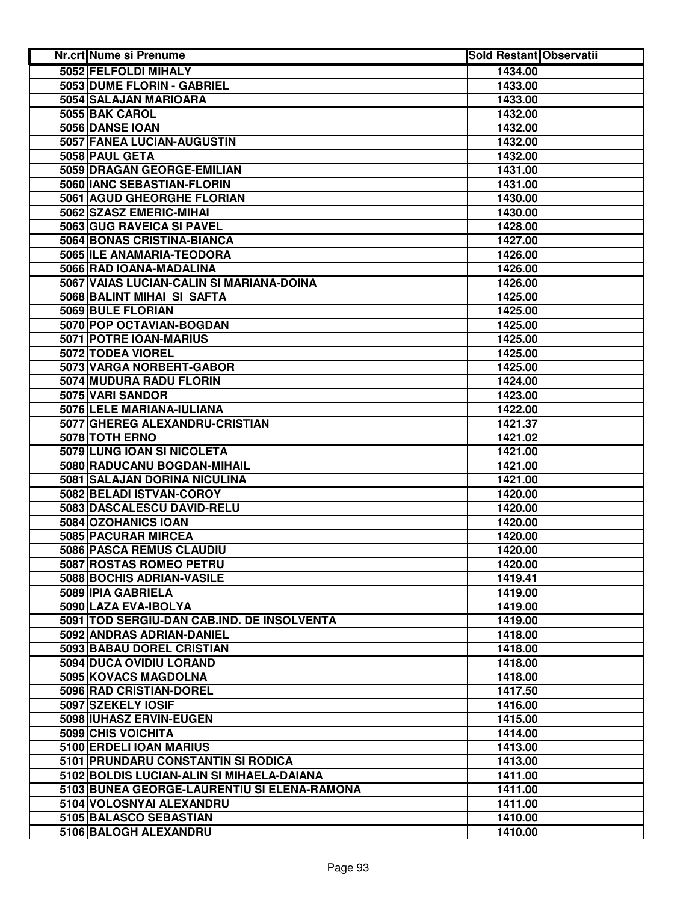| <b>Nr.crt Nume si Prenume</b>                   | <b>Sold Restant Observatii</b> |  |
|-------------------------------------------------|--------------------------------|--|
| 5052 FELFOLDI MIHALY                            | 1434.00                        |  |
| 5053 DUME FLORIN - GABRIEL                      | 1433.00                        |  |
| 5054 SALAJAN MARIOARA                           | 1433.00                        |  |
| 5055 BAK CAROL                                  | 1432.00                        |  |
| 5056 DANSE IOAN                                 | 1432.00                        |  |
| 5057 FANEA LUCIAN-AUGUSTIN                      | 1432.00                        |  |
| 5058 PAUL GETA                                  | 1432.00                        |  |
| 5059 DRAGAN GEORGE-EMILIAN                      | 1431.00                        |  |
| 5060 IANC SEBASTIAN-FLORIN                      | 1431.00                        |  |
| 5061 AGUD GHEORGHE FLORIAN                      | 1430.00                        |  |
| 5062 SZASZ EMERIC-MIHAI                         | 1430.00                        |  |
| 5063 GUG RAVEICA SI PAVEL                       | 1428.00                        |  |
| 5064 BONAS CRISTINA-BIANCA                      | 1427.00                        |  |
| 5065 ILE ANAMARIA-TEODORA                       | 1426.00                        |  |
| 5066 RAD IOANA-MADALINA                         | 1426.00                        |  |
| 5067 VAIAS LUCIAN-CALIN SI MARIANA-DOINA        | 1426.00                        |  |
| 5068 BALINT MIHAI SI SAFTA                      | 1425.00                        |  |
| 5069 BULE FLORIAN                               | 1425.00                        |  |
| 5070 POP OCTAVIAN-BOGDAN                        | 1425.00                        |  |
| 5071 POTRE IOAN-MARIUS                          | 1425.00                        |  |
| 5072 TODEA VIOREL                               | 1425.00                        |  |
| 5073 VARGA NORBERT-GABOR                        | 1425.00                        |  |
| 5074 MUDURA RADU FLORIN                         | 1424.00                        |  |
| 5075 VARI SANDOR                                | 1423.00                        |  |
| 5076 LELE MARIANA-IULIANA                       | 1422.00                        |  |
| 5077 GHEREG ALEXANDRU-CRISTIAN                  | 1421.37                        |  |
| 5078 TOTH ERNO                                  | 1421.02                        |  |
| 5079 LUNG IOAN SI NICOLETA                      | 1421.00                        |  |
| 5080 RADUCANU BOGDAN-MIHAIL                     | 1421.00                        |  |
| 5081 SALAJAN DORINA NICULINA                    | 1421.00                        |  |
| 5082 BELADI ISTVAN-COROY                        | 1420.00                        |  |
| 5083 DASCALESCU DAVID-RELU                      | 1420.00                        |  |
| 5084 OZOHANICS IOAN                             | 1420.00                        |  |
| 5085 PACURAR MIRCEA                             | 1420.00                        |  |
| 5086 PASCA REMUS CLAUDIU                        |                                |  |
|                                                 | 1420.00                        |  |
| 5087 ROSTAS ROMEO PETRU                         | 1420.00                        |  |
| 5088 BOCHIS ADRIAN-VASILE<br>5089 IPIA GABRIELA | 1419.41                        |  |
|                                                 | 1419.00                        |  |
| 5090 LAZA EVA-IBOLYA                            | 1419.00                        |  |
| 5091 TOD SERGIU-DAN CAB.IND. DE INSOLVENTA      | 1419.00                        |  |
| 5092 ANDRAS ADRIAN-DANIEL                       | 1418.00                        |  |
| 5093 BABAU DOREL CRISTIAN                       | 1418.00                        |  |
| 5094 DUCA OVIDIU LORAND                         | 1418.00                        |  |
| 5095 KOVACS MAGDOLNA                            | 1418.00                        |  |
| 5096 RAD CRISTIAN-DOREL                         | 1417.50                        |  |
| 5097 SZEKELY IOSIF                              | 1416.00                        |  |
| 5098 IUHASZ ERVIN-EUGEN                         | 1415.00                        |  |
| 5099 CHIS VOICHITA                              | 1414.00                        |  |
| 5100 ERDELI IOAN MARIUS                         | 1413.00                        |  |
| 5101 PRUNDARU CONSTANTIN SI RODICA              | 1413.00                        |  |
| 5102 BOLDIS LUCIAN-ALIN SI MIHAELA-DAIANA       | 1411.00                        |  |
| 5103 BUNEA GEORGE-LAURENTIU SI ELENA-RAMONA     | 1411.00                        |  |
| 5104 VOLOSNYAI ALEXANDRU                        | 1411.00                        |  |
| 5105 BALASCO SEBASTIAN                          | 1410.00                        |  |
| 5106 BALOGH ALEXANDRU                           | 1410.00                        |  |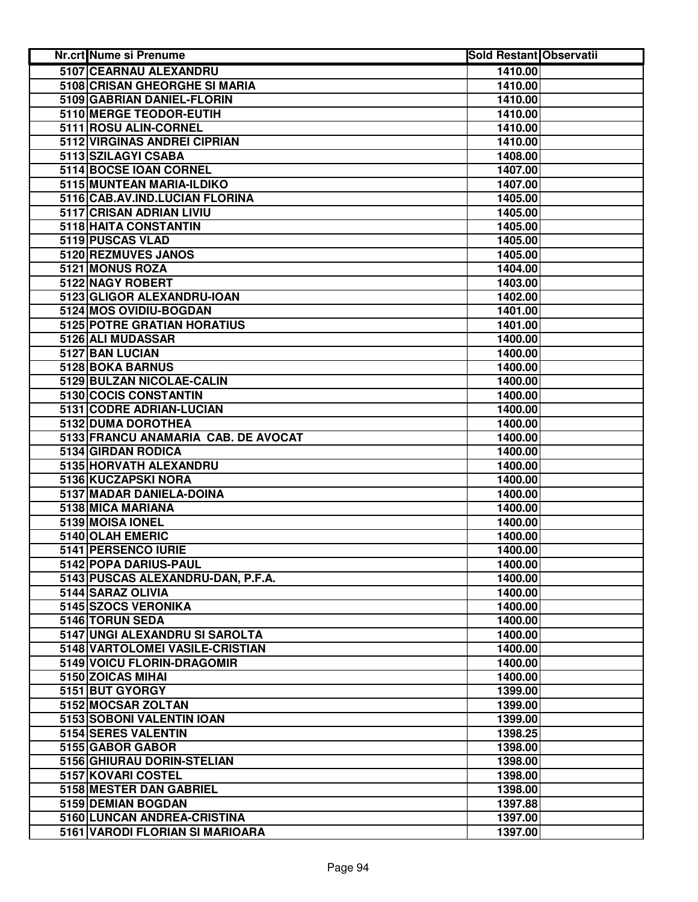| Nr.crt Nume si Prenume              | <b>Sold Restant Observatii</b> |  |
|-------------------------------------|--------------------------------|--|
| 5107 CEARNAU ALEXANDRU              | 1410.00                        |  |
| 5108 CRISAN GHEORGHE SI MARIA       | 1410.00                        |  |
| 5109 GABRIAN DANIEL-FLORIN          | 1410.00                        |  |
| 5110 MERGE TEODOR-EUTIH             | 1410.00                        |  |
| 5111 ROSU ALIN-CORNEL               | 1410.00                        |  |
| 5112 VIRGINAS ANDREI CIPRIAN        | 1410.00                        |  |
| 5113 SZILAGYI CSABA                 | 1408.00                        |  |
| 5114 BOCSE IOAN CORNEL              | 1407.00                        |  |
| 5115 MUNTEAN MARIA-ILDIKO           | 1407.00                        |  |
| 5116 CAB.AV.IND.LUCIAN FLORINA      | 1405.00                        |  |
| 5117 CRISAN ADRIAN LIVIU            | 1405.00                        |  |
| 5118 HAITA CONSTANTIN               | 1405.00                        |  |
| 5119 PUSCAS VLAD                    | 1405.00                        |  |
| 5120 REZMUVES JANOS                 | 1405.00                        |  |
| 5121 MONUS ROZA                     | 1404.00                        |  |
| 5122 NAGY ROBERT                    | 1403.00                        |  |
| 5123 GLIGOR ALEXANDRU-IOAN          | 1402.00                        |  |
| 5124 MOS OVIDIU-BOGDAN              | 1401.00                        |  |
| 5125 POTRE GRATIAN HORATIUS         | 1401.00                        |  |
| 5126 ALI MUDASSAR                   | 1400.00                        |  |
| 5127 BAN LUCIAN                     | 1400.00                        |  |
| <b>5128 BOKA BARNUS</b>             | 1400.00                        |  |
| 5129 BULZAN NICOLAE-CALIN           | 1400.00                        |  |
| 5130 COCIS CONSTANTIN               | 1400.00                        |  |
| 5131 CODRE ADRIAN-LUCIAN            | 1400.00                        |  |
| 5132 DUMA DOROTHEA                  | 1400.00                        |  |
| 5133 FRANCU ANAMARIA CAB. DE AVOCAT | 1400.00                        |  |
| 5134 GIRDAN RODICA                  | 1400.00                        |  |
| 5135 HORVATH ALEXANDRU              | 1400.00                        |  |
| 5136 KUCZAPSKI NORA                 | 1400.00                        |  |
| 5137 MADAR DANIELA-DOINA            | 1400.00                        |  |
| 5138 MICA MARIANA                   | 1400.00                        |  |
| 5139 MOISA IONEL                    | 1400.00                        |  |
| 5140 OLAH EMERIC                    | 1400.00                        |  |
| 5141 PERSENCO IURIE                 | 1400.00                        |  |
| 5142 POPA DARIUS-PAUL               | 1400.00                        |  |
| 5143 PUSCAS ALEXANDRU-DAN, P.F.A.   | 1400.00                        |  |
| 5144 SARAZ OLIVIA                   | 1400.00                        |  |
| 5145 SZOCS VERONIKA                 | 1400.00                        |  |
| 5146 TORUN SEDA                     | 1400.00                        |  |
| 5147 UNGI ALEXANDRU SI SAROLTA      | 1400.00                        |  |
| 5148 VARTOLOMEI VASILE-CRISTIAN     | 1400.00                        |  |
| 5149 VOICU FLORIN-DRAGOMIR          | 1400.00                        |  |
| 5150 ZOICAS MIHAI                   | 1400.00                        |  |
| 5151 BUT GYORGY                     | 1399.00                        |  |
| 5152 MOCSAR ZOLTAN                  | 1399.00                        |  |
| 5153 SOBONI VALENTIN IOAN           | 1399.00                        |  |
| 5154 SERES VALENTIN                 | 1398.25                        |  |
| 5155 GABOR GABOR                    | 1398.00                        |  |
| 5156 GHIURAU DORIN-STELIAN          | 1398.00                        |  |
| 5157 KOVARI COSTEL                  | 1398.00                        |  |
| 5158 MESTER DAN GABRIEL             | 1398.00                        |  |
| 5159 DEMIAN BOGDAN                  | 1397.88                        |  |
| 5160 LUNCAN ANDREA-CRISTINA         | 1397.00                        |  |
| 5161 VARODI FLORIAN SI MARIOARA     | 1397.00                        |  |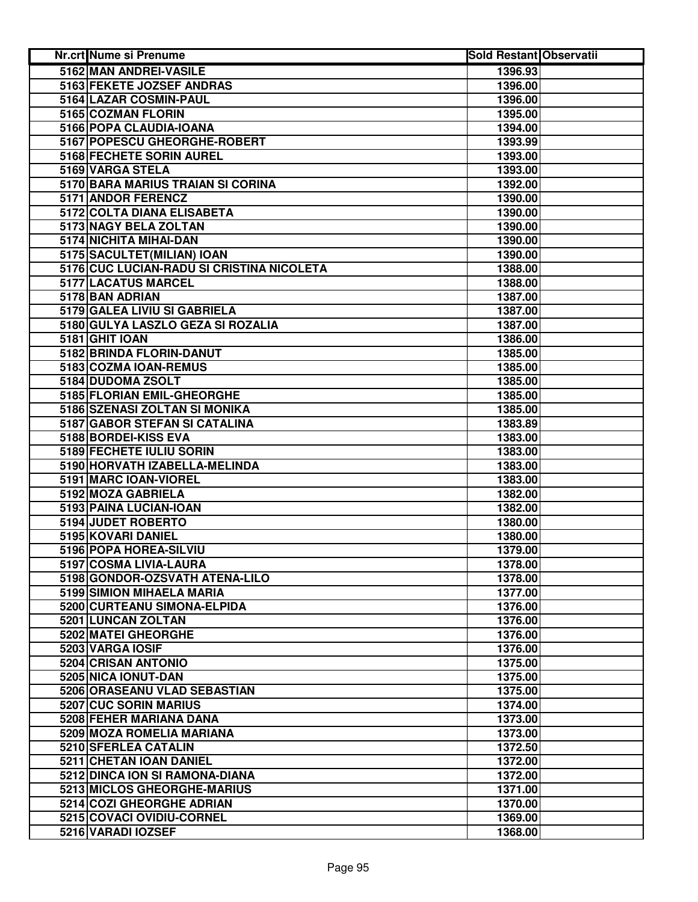| <b>Nr.crt Nume si Prenume</b>             | <b>Sold Restant Observatii</b> |  |
|-------------------------------------------|--------------------------------|--|
| 5162 MAN ANDREI-VASILE                    | 1396.93                        |  |
| 5163 FEKETE JOZSEF ANDRAS                 | 1396.00                        |  |
| 5164 LAZAR COSMIN-PAUL                    | 1396.00                        |  |
| 5165 COZMAN FLORIN                        | 1395.00                        |  |
| 5166 POPA CLAUDIA-IOANA                   | 1394.00                        |  |
| 5167 POPESCU GHEORGHE-ROBERT              | 1393.99                        |  |
| 5168 FECHETE SORIN AUREL                  | 1393.00                        |  |
| 5169 VARGA STELA                          | 1393.00                        |  |
| 5170 BARA MARIUS TRAIAN SI CORINA         | 1392.00                        |  |
| 5171 ANDOR FERENCZ                        | 1390.00                        |  |
| 5172 COLTA DIANA ELISABETA                | 1390.00                        |  |
| 5173 NAGY BELA ZOLTAN                     | 1390.00                        |  |
| 5174 NICHITA MIHAI-DAN                    | 1390.00                        |  |
| 5175 SACULTET (MILIAN) IOAN               | 1390.00                        |  |
| 5176 CUC LUCIAN-RADU SI CRISTINA NICOLETA | 1388.00                        |  |
| 5177 LACATUS MARCEL                       | 1388.00                        |  |
| 5178 BAN ADRIAN                           | 1387.00                        |  |
| 5179 GALEA LIVIU SI GABRIELA              | 1387.00                        |  |
| 5180 GULYA LASZLO GEZA SI ROZALIA         | 1387.00                        |  |
| <b>5181 GHIT IOAN</b>                     | 1386.00                        |  |
| 5182 BRINDA FLORIN-DANUT                  | 1385.00                        |  |
| 5183 COZMA IOAN-REMUS                     | 1385.00                        |  |
| 5184 DUDOMA ZSOLT                         | 1385.00                        |  |
| 5185 FLORIAN EMIL-GHEORGHE                | 1385.00                        |  |
| 5186 SZENASI ZOLTAN SI MONIKA             | 1385.00                        |  |
| 5187 GABOR STEFAN SI CATALINA             | 1383.89                        |  |
| 5188 BORDEI-KISS EVA                      | 1383.00                        |  |
| 5189 FECHETE IULIU SORIN                  | 1383.00                        |  |
| 5190 HORVATH IZABELLA-MELINDA             | 1383.00                        |  |
| 5191 MARC IOAN-VIOREL                     | 1383.00                        |  |
| 5192 MOZA GABRIELA                        | 1382.00                        |  |
| 5193 PAINA LUCIAN-IOAN                    | 1382.00                        |  |
| 5194 JUDET ROBERTO                        | 1380.00                        |  |
| 5195 KOVARI DANIEL                        | 1380.00                        |  |
| 5196 POPA HOREA-SILVIU                    | 1379.00                        |  |
| 5197 COSMA LIVIA-LAURA                    | 1378.00                        |  |
| 5198 GONDOR-OZSVATH ATENA-LILO            | 1378.00                        |  |
| 5199 SIMION MIHAELA MARIA                 | 1377.00                        |  |
| 5200 CURTEANU SIMONA-ELPIDA               | 1376.00                        |  |
| 5201 LUNCAN ZOLTAN                        | 1376.00                        |  |
| 5202 MATEI GHEORGHE                       | 1376.00                        |  |
| 5203 VARGA IOSIF                          | 1376.00                        |  |
| 5204 CRISAN ANTONIO                       | 1375.00                        |  |
| 5205 NICA IONUT-DAN                       | 1375.00                        |  |
| 5206 ORASEANU VLAD SEBASTIAN              | 1375.00                        |  |
| 5207 CUC SORIN MARIUS                     | 1374.00                        |  |
| 5208 FEHER MARIANA DANA                   | 1373.00                        |  |
| 5209 MOZA ROMELIA MARIANA                 | 1373.00                        |  |
| 5210 SFERLEA CATALIN                      | 1372.50                        |  |
| 5211 CHETAN IOAN DANIEL                   | 1372.00                        |  |
| 5212 DINCA ION SI RAMONA-DIANA            | 1372.00                        |  |
| 5213 MICLOS GHEORGHE-MARIUS               | 1371.00                        |  |
| 5214 COZI GHEORGHE ADRIAN                 | 1370.00                        |  |
| 5215 COVACI OVIDIU-CORNEL                 | 1369.00                        |  |
| 5216 VARADI IOZSEF                        | 1368.00                        |  |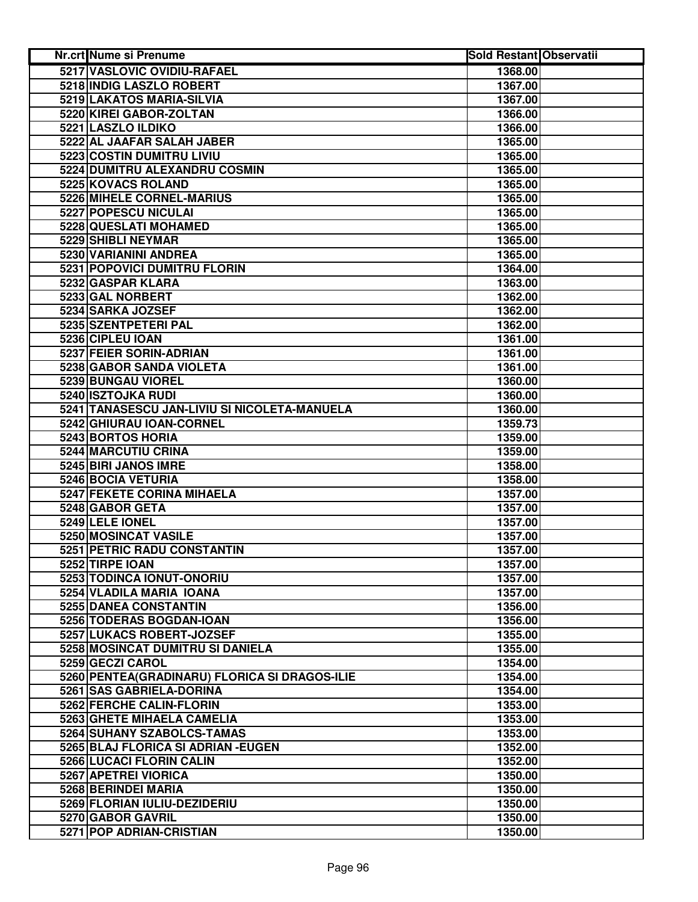| <b>Nr.crt Nume si Prenume</b>                 | <b>Sold Restant Observatii</b> |  |
|-----------------------------------------------|--------------------------------|--|
| 5217 VASLOVIC OVIDIU-RAFAEL                   | 1368.00                        |  |
| 5218 INDIG LASZLO ROBERT                      | 1367.00                        |  |
| 5219 LAKATOS MARIA-SILVIA                     | 1367.00                        |  |
| 5220 KIREI GABOR-ZOLTAN                       | 1366.00                        |  |
| 5221 LASZLO ILDIKO                            | 1366.00                        |  |
| 5222 AL JAAFAR SALAH JABER                    | 1365.00                        |  |
| 5223 COSTIN DUMITRU LIVIU                     | 1365.00                        |  |
| 5224 DUMITRU ALEXANDRU COSMIN                 | 1365.00                        |  |
| 5225 KOVACS ROLAND                            | 1365.00                        |  |
| <b>5226 MIHELE CORNEL-MARIUS</b>              | 1365.00                        |  |
| 5227 POPESCU NICULAI                          | 1365.00                        |  |
| 5228 QUESLATI MOHAMED                         | 1365.00                        |  |
| 5229 SHIBLI NEYMAR                            | 1365.00                        |  |
| 5230 VARIANINI ANDREA                         | 1365.00                        |  |
| 5231 POPOVICI DUMITRU FLORIN                  | 1364.00                        |  |
| 5232 GASPAR KLARA                             | 1363.00                        |  |
| 5233 GAL NORBERT                              | 1362.00                        |  |
| 5234 SARKA JOZSEF                             | 1362.00                        |  |
| 5235 SZENTPETERI PAL                          | 1362.00                        |  |
| 5236 CIPLEU IOAN                              | 1361.00                        |  |
| 5237 FEIER SORIN-ADRIAN                       | 1361.00                        |  |
| <b>5238 GABOR SANDA VIOLETA</b>               | 1361.00                        |  |
| 5239 BUNGAU VIOREL                            | 1360.00                        |  |
| 5240 ISZTOJKA RUDI                            | 1360.00                        |  |
| 5241 TANASESCU JAN-LIVIU SI NICOLETA-MANUELA  | 1360.00                        |  |
| 5242 GHIURAU IOAN-CORNEL                      | 1359.73                        |  |
| 5243 BORTOS HORIA                             | 1359.00                        |  |
| 5244 MARCUTIU CRINA                           | 1359.00                        |  |
| 5245 BIRI JANOS IMRE                          | 1358.00                        |  |
| 5246 BOCIA VETURIA                            | 1358.00                        |  |
| 5247 FEKETE CORINA MIHAELA                    | 1357.00                        |  |
| 5248 GABOR GETA                               | 1357.00                        |  |
| 5249 LELE IONEL                               | 1357.00                        |  |
| 5250 MOSINCAT VASILE                          | 1357.00                        |  |
| 5251 PETRIC RADU CONSTANTIN                   | 1357.00                        |  |
| 5252 TIRPE IOAN                               | 1357.00                        |  |
| 5253 TODINCA IONUT-ONORIU                     | 1357.00                        |  |
| 5254 VLADILA MARIA IOANA                      | 1357.00                        |  |
| 5255 DANEA CONSTANTIN                         | 1356.00                        |  |
| 5256 TODERAS BOGDAN-IOAN                      | 1356.00                        |  |
| 5257 LUKACS ROBERT-JOZSEF                     | 1355.00                        |  |
| 5258 MOSINCAT DUMITRU SI DANIELA              | 1355.00                        |  |
| 5259 GECZI CAROL                              | 1354.00                        |  |
| 5260 PENTEA(GRADINARU) FLORICA SI DRAGOS-ILIE | 1354.00                        |  |
| 5261 SAS GABRIELA-DORINA                      | 1354.00                        |  |
| 5262 FERCHE CALIN-FLORIN                      | 1353.00                        |  |
| 5263 GHETE MIHAELA CAMELIA                    | 1353.00                        |  |
| 5264 SUHANY SZABOLCS-TAMAS                    | 1353.00                        |  |
| 5265 BLAJ FLORICA SI ADRIAN - EUGEN           | 1352.00                        |  |
| 5266 LUCACI FLORIN CALIN                      | 1352.00                        |  |
| 5267 APETREI VIORICA                          | 1350.00                        |  |
| 5268 BERINDEI MARIA                           | 1350.00                        |  |
| 5269 FLORIAN IULIU-DEZIDERIU                  | 1350.00                        |  |
| 5270 GABOR GAVRIL                             | 1350.00                        |  |
| 5271 POP ADRIAN-CRISTIAN                      | 1350.00                        |  |
|                                               |                                |  |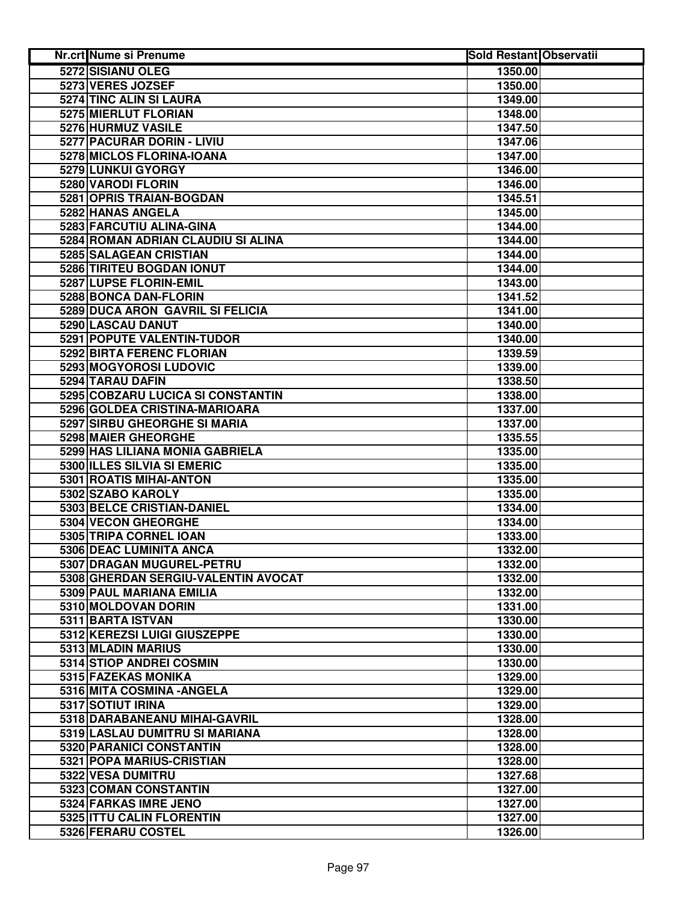| <b>Nr.crt Nume si Prenume</b>       | <b>Sold Restant Observatii</b> |  |
|-------------------------------------|--------------------------------|--|
| 5272 SISIANU OLEG                   | 1350.00                        |  |
| 5273 VERES JOZSEF                   | 1350.00                        |  |
| 5274 TINC ALIN SI LAURA             | 1349.00                        |  |
| 5275 MIERLUT FLORIAN                | 1348.00                        |  |
| 5276 HURMUZ VASILE                  | 1347.50                        |  |
| 5277 PACURAR DORIN - LIVIU          | 1347.06                        |  |
| 5278 MICLOS FLORINA-IOANA           | 1347.00                        |  |
| 5279 LUNKUI GYORGY                  | 1346.00                        |  |
| 5280 VARODI FLORIN                  | 1346.00                        |  |
| 5281 OPRIS TRAIAN-BOGDAN            | 1345.51                        |  |
| 5282 HANAS ANGELA                   | 1345.00                        |  |
| 5283 FARCUTIU ALINA-GINA            | 1344.00                        |  |
| 5284 ROMAN ADRIAN CLAUDIU SI ALINA  | 1344.00                        |  |
| 5285 SALAGEAN CRISTIAN              | 1344.00                        |  |
| 5286 TIRITEU BOGDAN IONUT           | 1344.00                        |  |
| 5287 LUPSE FLORIN-EMIL              | 1343.00                        |  |
| 5288 BONCA DAN-FLORIN               | 1341.52                        |  |
| 5289 DUCA ARON GAVRIL SI FELICIA    | 1341.00                        |  |
| 5290 LASCAU DANUT                   | 1340.00                        |  |
| 5291 POPUTE VALENTIN-TUDOR          | 1340.00                        |  |
| <b>5292 BIRTA FERENC FLORIAN</b>    | 1339.59                        |  |
| 5293 MOGYOROSI LUDOVIC              | 1339.00                        |  |
| 5294 TARAU DAFIN                    | 1338.50                        |  |
| 5295 COBZARU LUCICA SI CONSTANTIN   | 1338.00                        |  |
| 5296 GOLDEA CRISTINA-MARIOARA       | 1337.00                        |  |
| 5297 SIRBU GHEORGHE SI MARIA        | 1337.00                        |  |
| 5298 MAIER GHEORGHE                 | 1335.55                        |  |
| 5299 HAS LILIANA MONIA GABRIELA     | 1335.00                        |  |
| 5300 ILLES SILVIA SI EMERIC         | 1335.00                        |  |
| 5301 ROATIS MIHAI-ANTON             | 1335.00                        |  |
| 5302 SZABO KAROLY                   | 1335.00                        |  |
| 5303 BELCE CRISTIAN-DANIEL          | 1334.00                        |  |
| 5304 VECON GHEORGHE                 | 1334.00                        |  |
| 5305 TRIPA CORNEL IOAN              | 1333.00                        |  |
| 5306 DEAC LUMINITA ANCA             | 1332.00                        |  |
| 5307 DRAGAN MUGUREL-PETRU           | 1332.00                        |  |
| 5308 GHERDAN SERGIU-VALENTIN AVOCAT | 1332.00                        |  |
| 5309 PAUL MARIANA EMILIA            | 1332.00                        |  |
| 5310 MOLDOVAN DORIN                 | 1331.00                        |  |
| 5311 BARTA ISTVAN                   | 1330.00                        |  |
| 5312 KEREZSI LUIGI GIUSZEPPE        | 1330.00                        |  |
| 5313 MLADIN MARIUS                  | 1330.00                        |  |
| 5314 STIOP ANDREI COSMIN            | 1330.00                        |  |
| 5315 FAZEKAS MONIKA                 | 1329.00                        |  |
| 5316 MITA COSMINA - ANGELA          | 1329.00                        |  |
| 5317 SOTIUT IRINA                   | 1329.00                        |  |
| 5318 DARABANEANU MIHAI-GAVRIL       | 1328.00                        |  |
| 5319 LASLAU DUMITRU SI MARIANA      | 1328.00                        |  |
| 5320 PARANICI CONSTANTIN            | 1328.00                        |  |
| 5321 POPA MARIUS-CRISTIAN           | 1328.00                        |  |
| 5322 VESA DUMITRU                   | 1327.68                        |  |
| 5323 COMAN CONSTANTIN               | 1327.00                        |  |
| 5324 FARKAS IMRE JENO               | 1327.00                        |  |
| 5325 ITTU CALIN FLORENTIN           | 1327.00                        |  |
| 5326 FERARU COSTEL                  | 1326.00                        |  |
|                                     |                                |  |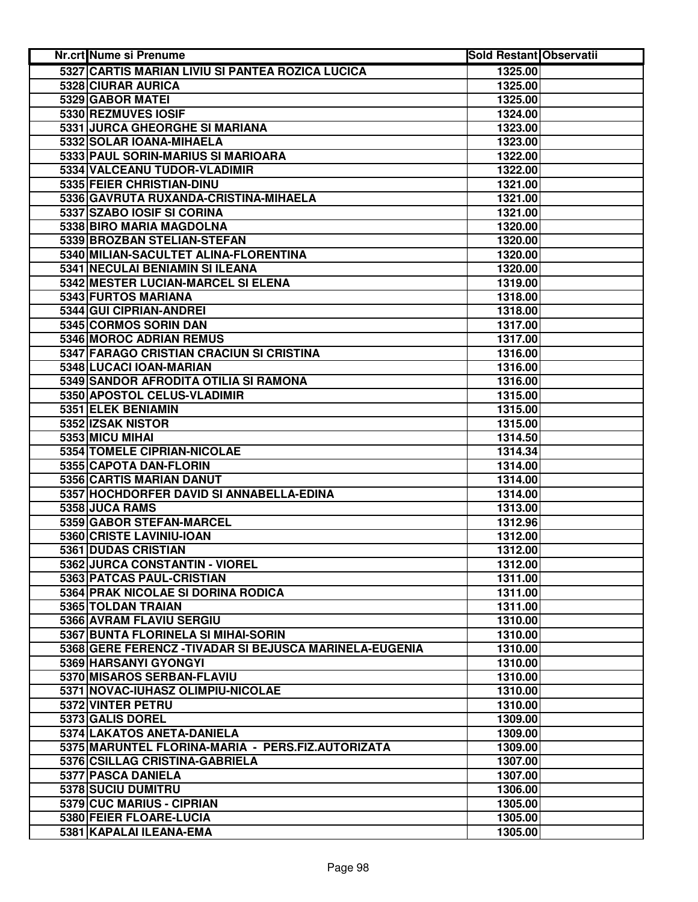| Nr.crt Nume si Prenume                                  | <b>Sold Restant Observatii</b> |  |
|---------------------------------------------------------|--------------------------------|--|
| 5327 CARTIS MARIAN LIVIU SI PANTEA ROZICA LUCICA        | 1325.00                        |  |
| 5328 CIURAR AURICA                                      | 1325.00                        |  |
| 5329 GABOR MATEI                                        | 1325.00                        |  |
| 5330 REZMUVES IOSIF                                     | 1324.00                        |  |
| 5331 JURCA GHEORGHE SI MARIANA                          | 1323.00                        |  |
| 5332 SOLAR IOANA-MIHAELA                                | 1323.00                        |  |
| 5333 PAUL SORIN-MARIUS SI MARIOARA                      | 1322.00                        |  |
| 5334 VALCEANU TUDOR-VLADIMIR                            | 1322.00                        |  |
| 5335 FEIER CHRISTIAN-DINU                               | 1321.00                        |  |
| 5336 GAVRUTA RUXANDA-CRISTINA-MIHAELA                   | 1321.00                        |  |
| 5337 SZABO IOSIF SI CORINA                              | 1321.00                        |  |
| 5338 BIRO MARIA MAGDOLNA                                | 1320.00                        |  |
| 5339 BROZBAN STELIAN-STEFAN                             | 1320.00                        |  |
| 5340 MILIAN-SACULTET ALINA-FLORENTINA                   | 1320.00                        |  |
| 5341 NECULAI BENIAMIN SI ILEANA                         | 1320.00                        |  |
| 5342 MESTER LUCIAN-MARCEL SI ELENA                      | 1319.00                        |  |
| 5343 FURTOS MARIANA                                     | 1318.00                        |  |
| 5344 GUI CIPRIAN-ANDREI                                 | 1318.00                        |  |
| 5345 CORMOS SORIN DAN                                   | 1317.00                        |  |
| 5346 MOROC ADRIAN REMUS                                 | 1317.00                        |  |
| 5347 FARAGO CRISTIAN CRACIUN SI CRISTINA                | 1316.00                        |  |
| 5348 LUCACI IOAN-MARIAN                                 | 1316.00                        |  |
| 5349 SANDOR AFRODITA OTILIA SI RAMONA                   | 1316.00                        |  |
| 5350 APOSTOL CELUS-VLADIMIR                             | 1315.00                        |  |
| 5351 ELEK BENIAMIN                                      | 1315.00                        |  |
| 5352 IZSAK NISTOR                                       | 1315.00                        |  |
| 5353 MICU MIHAI                                         | 1314.50                        |  |
| 5354 TOMELE CIPRIAN-NICOLAE                             | 1314.34                        |  |
| 5355 CAPOTA DAN-FLORIN                                  | 1314.00                        |  |
| 5356 CARTIS MARIAN DANUT                                | 1314.00                        |  |
| 5357 HOCHDORFER DAVID SI ANNABELLA-EDINA                | 1314.00                        |  |
| 5358 JUCA RAMS                                          | 1313.00                        |  |
| 5359 GABOR STEFAN-MARCEL                                | 1312.96                        |  |
| 5360 CRISTE LAVINIU-IOAN                                | 1312.00                        |  |
| 5361 DUDAS CRISTIAN                                     | 1312.00                        |  |
| 5362 JURCA CONSTANTIN - VIOREL                          | 1312.00                        |  |
| 5363 PATCAS PAUL-CRISTIAN                               | 1311.00                        |  |
| 5364 PRAK NICOLAE SI DORINA RODICA                      | 1311.00                        |  |
| 5365 TOLDAN TRAIAN                                      | 1311.00                        |  |
| 5366 AVRAM FLAVIU SERGIU                                | 1310.00                        |  |
| 5367 BUNTA FLORINELA SI MIHAI-SORIN                     | 1310.00                        |  |
| 5368 GERE FERENCZ - TIVADAR SI BEJUSCA MARINELA-EUGENIA | 1310.00                        |  |
| 5369 HARSANYI GYONGYI                                   | 1310.00                        |  |
| 5370 MISAROS SERBAN-FLAVIU                              | 1310.00                        |  |
| 5371 NOVAC-IUHASZ OLIMPIU-NICOLAE                       | 1310.00                        |  |
| 5372 VINTER PETRU                                       | 1310.00                        |  |
| 5373 GALIS DOREL                                        | 1309.00                        |  |
| 5374 LAKATOS ANETA-DANIELA                              | 1309.00                        |  |
| 5375 MARUNTEL FLORINA-MARIA - PERS.FIZ.AUTORIZATA       | 1309.00                        |  |
| 5376 CSILLAG CRISTINA-GABRIELA                          | 1307.00                        |  |
| 5377 PASCA DANIELA                                      | 1307.00                        |  |
| 5378 SUCIU DUMITRU                                      | 1306.00                        |  |
| 5379 CUC MARIUS - CIPRIAN                               | 1305.00                        |  |
| 5380 FEIER FLOARE-LUCIA                                 | 1305.00                        |  |
| 5381 KAPALAI ILEANA-EMA                                 | 1305.00                        |  |
|                                                         |                                |  |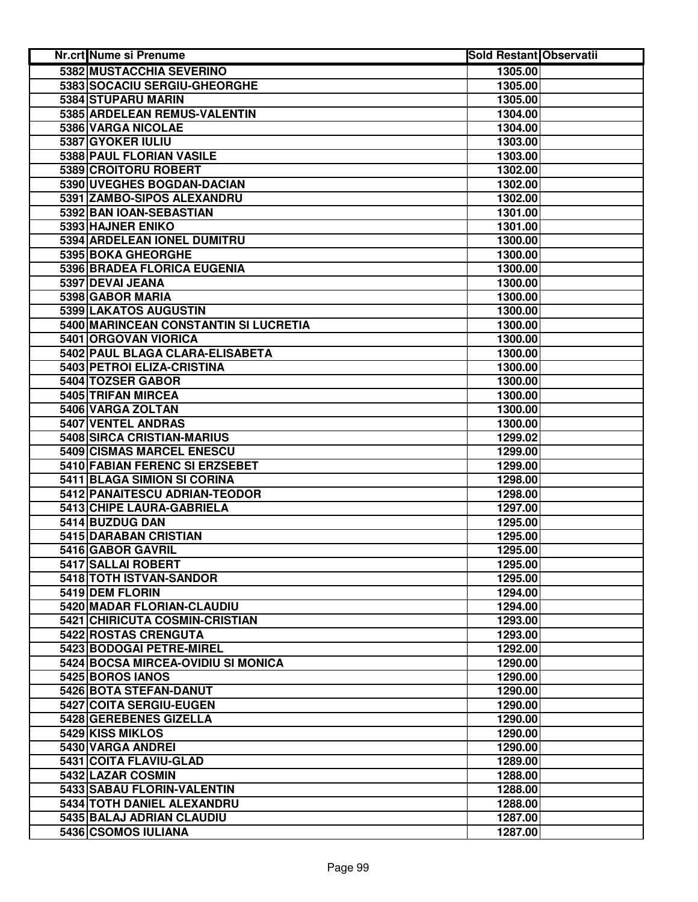| <b>Nr.crt Nume si Prenume</b>         | <b>Sold Restant Observatii</b> |  |
|---------------------------------------|--------------------------------|--|
| 5382 MUSTACCHIA SEVERINO              | 1305.00                        |  |
| 5383 SOCACIU SERGIU-GHEORGHE          | 1305.00                        |  |
| 5384 STUPARU MARIN                    | 1305.00                        |  |
| 5385 ARDELEAN REMUS-VALENTIN          | 1304.00                        |  |
| 5386 VARGA NICOLAE                    | 1304.00                        |  |
| 5387 GYOKER IULIU                     | 1303.00                        |  |
| 5388 PAUL FLORIAN VASILE              | 1303.00                        |  |
| 5389 CROITORU ROBERT                  | 1302.00                        |  |
| 5390 UVEGHES BOGDAN-DACIAN            | 1302.00                        |  |
| 5391 ZAMBO-SIPOS ALEXANDRU            | 1302.00                        |  |
| 5392 BAN IOAN-SEBASTIAN               | 1301.00                        |  |
| 5393 HAJNER ENIKO                     | 1301.00                        |  |
| 5394 ARDELEAN IONEL DUMITRU           | 1300.00                        |  |
| 5395 BOKA GHEORGHE                    | 1300.00                        |  |
| 5396 BRADEA FLORICA EUGENIA           | 1300.00                        |  |
| 5397 DEVAL JEANA                      | 1300.00                        |  |
| 5398 GABOR MARIA                      | 1300.00                        |  |
| 5399 LAKATOS AUGUSTIN                 | 1300.00                        |  |
| 5400 MARINCEAN CONSTANTIN SI LUCRETIA | 1300.00                        |  |
| 5401 ORGOVAN VIORICA                  | 1300.00                        |  |
| 5402 PAUL BLAGA CLARA-ELISABETA       | 1300.00                        |  |
| 5403 PETROI ELIZA-CRISTINA            | 1300.00                        |  |
| 5404 TOZSER GABOR                     | 1300.00                        |  |
| 5405 TRIFAN MIRCEA                    | 1300.00                        |  |
| 5406 VARGA ZOLTAN                     | 1300.00                        |  |
| 5407 VENTEL ANDRAS                    | 1300.00                        |  |
| 5408 SIRCA CRISTIAN-MARIUS            | 1299.02                        |  |
| 5409 CISMAS MARCEL ENESCU             | 1299.00                        |  |
| 5410 FABIAN FERENC SI ERZSEBET        | 1299.00                        |  |
| 5411 BLAGA SIMION SI CORINA           | 1298.00                        |  |
| 5412 PANAITESCU ADRIAN-TEODOR         | 1298.00                        |  |
| 5413 CHIPE LAURA-GABRIELA             | 1297.00                        |  |
| 5414 BUZDUG DAN                       | 1295.00                        |  |
| 5415 DARABAN CRISTIAN                 | 1295.00                        |  |
| 5416 GABOR GAVRIL                     | 1295.00                        |  |
| 5417 SALLAI ROBERT                    | 1295.00                        |  |
| 5418 TOTH ISTVAN-SANDOR               | 1295.00                        |  |
| 5419 DEM FLORIN                       | 1294.00                        |  |
| 5420 MADAR FLORIAN-CLAUDIU            | 1294.00                        |  |
| 5421 CHIRICUTA COSMIN-CRISTIAN        | 1293.00                        |  |
| 5422 ROSTAS CRENGUTA                  | 1293.00                        |  |
| 5423 BODOGAI PETRE-MIREL              | 1292.00                        |  |
| 5424 BOCSA MIRCEA-OVIDIU SI MONICA    | 1290.00                        |  |
| 5425 BOROS IANOS                      | 1290.00                        |  |
| 5426 BOTA STEFAN-DANUT                | 1290.00                        |  |
| 5427 COITA SERGIU-EUGEN               | 1290.00                        |  |
| 5428 GEREBENES GIZELLA                | 1290.00                        |  |
| 5429 KISS MIKLOS                      | 1290.00                        |  |
| 5430 VARGA ANDREI                     | 1290.00                        |  |
| 5431 COITA FLAVIU-GLAD                | 1289.00                        |  |
| 5432 LAZAR COSMIN                     | 1288.00                        |  |
| 5433 SABAU FLORIN-VALENTIN            | 1288.00                        |  |
| 5434 TOTH DANIEL ALEXANDRU            | 1288.00                        |  |
| 5435 BALAJ ADRIAN CLAUDIU             | 1287.00                        |  |
| 5436 CSOMOS IULIANA                   | 1287.00                        |  |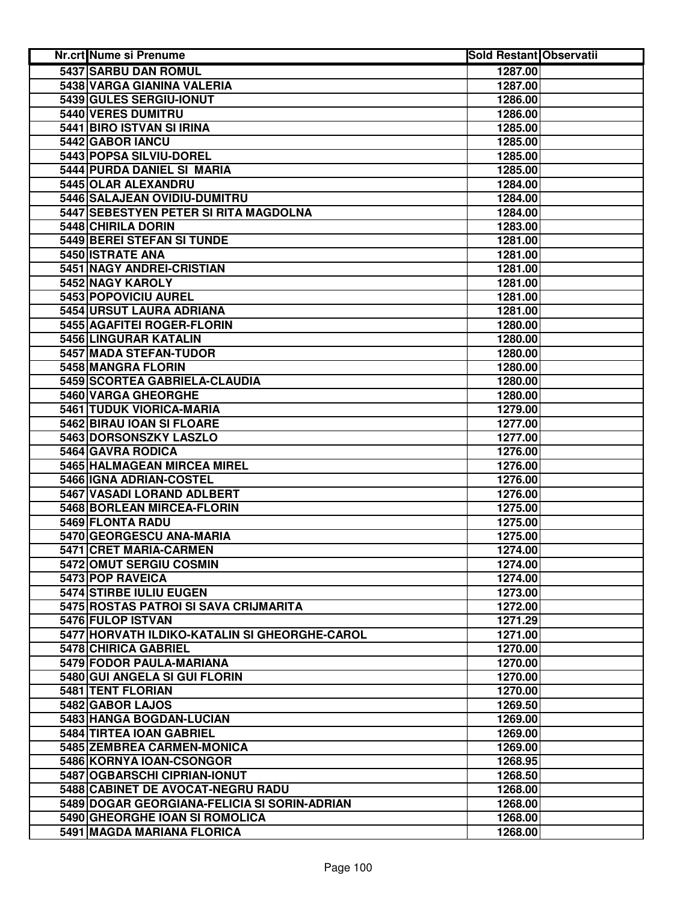| Nr.crt Nume si Prenume                        | <b>Sold Restant Observatii</b> |  |
|-----------------------------------------------|--------------------------------|--|
| 5437 SARBU DAN ROMUL                          | 1287.00                        |  |
| 5438 VARGA GIANINA VALERIA                    | 1287.00                        |  |
| 5439 GULES SERGIU-IONUT                       | 1286.00                        |  |
| 5440 VERES DUMITRU                            | 1286.00                        |  |
| 5441 BIRO ISTVAN SI IRINA                     | 1285.00                        |  |
| 5442 GABOR IANCU                              | 1285.00                        |  |
| 5443 POPSA SILVIU-DOREL                       | 1285.00                        |  |
| 5444 PURDA DANIEL SI MARIA                    | 1285.00                        |  |
| 5445 OLAR ALEXANDRU                           | 1284.00                        |  |
| 5446 SALAJEAN OVIDIU-DUMITRU                  | 1284.00                        |  |
| 5447 SEBESTYEN PETER SI RITA MAGDOLNA         | 1284.00                        |  |
| 5448 CHIRILA DORIN                            | 1283.00                        |  |
| 5449 BEREI STEFAN SI TUNDE                    | 1281.00                        |  |
| 5450 ISTRATE ANA                              | 1281.00                        |  |
| 5451 NAGY ANDREI-CRISTIAN                     | 1281.00                        |  |
| 5452 NAGY KAROLY                              | 1281.00                        |  |
| 5453 POPOVICIU AUREL                          | 1281.00                        |  |
| 5454 URSUT LAURA ADRIANA                      | 1281.00                        |  |
| 5455 AGAFITEI ROGER-FLORIN                    | 1280.00                        |  |
| 5456 LINGURAR KATALIN                         | 1280.00                        |  |
| 5457 MADA STEFAN-TUDOR                        | 1280.00                        |  |
| 5458 MANGRA FLORIN                            | 1280.00                        |  |
| 5459 SCORTEA GABRIELA-CLAUDIA                 | 1280.00                        |  |
| 5460 VARGA GHEORGHE                           | 1280.00                        |  |
| 5461 TUDUK VIORICA-MARIA                      | 1279.00                        |  |
| 5462 BIRAU IOAN SI FLOARE                     | 1277.00                        |  |
| 5463 DORSONSZKY LASZLO                        | 1277.00                        |  |
| 5464 GAVRA RODICA                             | 1276.00                        |  |
| 5465 HALMAGEAN MIRCEA MIREL                   | 1276.00                        |  |
| 5466 IGNA ADRIAN-COSTEL                       | 1276.00                        |  |
| 5467 VASADI LORAND ADLBERT                    | 1276.00                        |  |
| 5468 BORLEAN MIRCEA-FLORIN                    | 1275.00                        |  |
| 5469 FLONTA RADU                              | 1275.00                        |  |
| 5470 GEORGESCU ANA-MARIA                      | 1275.00                        |  |
| 5471 CRET MARIA-CARMEN                        | 1274.00                        |  |
| 5472 OMUT SERGIU COSMIN                       | 1274.00                        |  |
| 5473 POP RAVEICA                              | 1274.00                        |  |
| 5474 STIRBE IULIU EUGEN                       | 1273.00                        |  |
| 5475 ROSTAS PATROI SI SAVA CRIJMARITA         | 1272.00                        |  |
| 5476 FULOP ISTVAN                             | 1271.29                        |  |
| 5477 HORVATH ILDIKO-KATALIN SI GHEORGHE-CAROL | 1271.00                        |  |
| 5478 CHIRICA GABRIEL                          | 1270.00                        |  |
| 5479 FODOR PAULA-MARIANA                      | 1270.00                        |  |
| 5480 GUI ANGELA SI GUI FLORIN                 | 1270.00                        |  |
| 5481 TENT FLORIAN                             | 1270.00                        |  |
| 5482 GABOR LAJOS                              | 1269.50                        |  |
| 5483 HANGA BOGDAN-LUCIAN                      | 1269.00                        |  |
| 5484 TIRTEA IOAN GABRIEL                      | 1269.00                        |  |
| 5485 ZEMBREA CARMEN-MONICA                    | 1269.00                        |  |
| 5486 KORNYA IOAN-CSONGOR                      | 1268.95                        |  |
| 5487 OGBARSCHI CIPRIAN-IONUT                  | 1268.50                        |  |
| 5488 CABINET DE AVOCAT-NEGRU RADU             | 1268.00                        |  |
| 5489 DOGAR GEORGIANA-FELICIA SI SORIN-ADRIAN  | 1268.00                        |  |
| 5490 GHEORGHE IOAN SI ROMOLICA                | 1268.00                        |  |
| 5491 MAGDA MARIANA FLORICA                    | 1268.00                        |  |
|                                               |                                |  |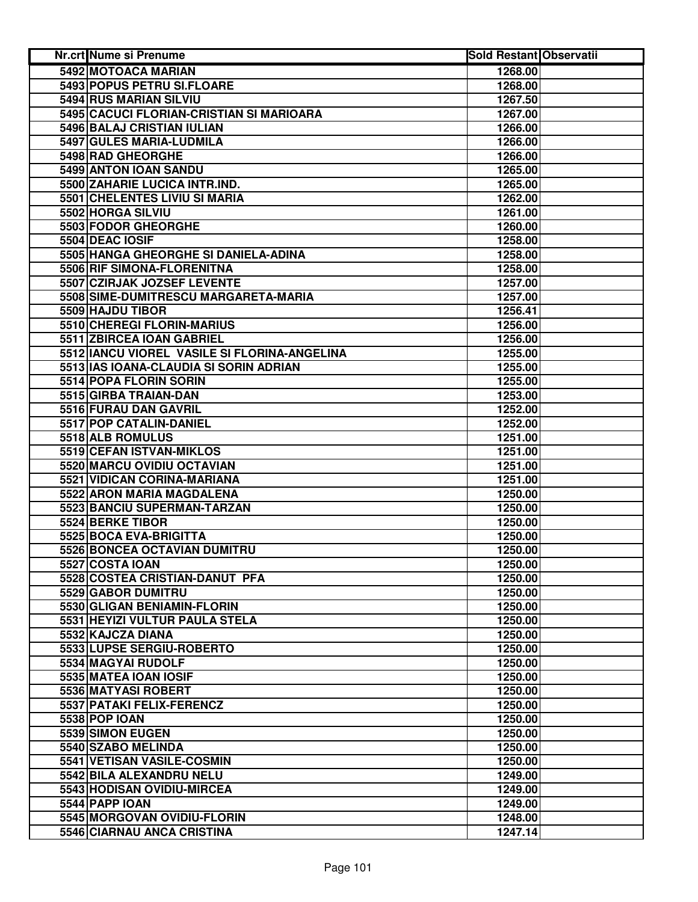| Nr.crt Nume si Prenume                       | <b>Sold Restant Observatii</b> |  |
|----------------------------------------------|--------------------------------|--|
| 5492 MOTOACA MARIAN                          | 1268.00                        |  |
| 5493 POPUS PETRU SI.FLOARE                   | 1268.00                        |  |
| 5494 RUS MARIAN SILVIU                       | 1267.50                        |  |
| 5495 CACUCI FLORIAN-CRISTIAN SI MARIOARA     | 1267.00                        |  |
| 5496 BALAJ CRISTIAN IULIAN                   | 1266.00                        |  |
| 5497 GULES MARIA-LUDMILA                     | 1266.00                        |  |
| 5498 RAD GHEORGHE                            | 1266.00                        |  |
| 5499 ANTON IOAN SANDU                        | 1265.00                        |  |
| 5500 ZAHARIE LUCICA INTR.IND.                | 1265.00                        |  |
| 5501 CHELENTES LIVIU SI MARIA                | 1262.00                        |  |
| 5502 HORGA SILVIU                            | 1261.00                        |  |
| 5503 FODOR GHEORGHE                          | 1260.00                        |  |
| 5504 DEAC IOSIF                              | 1258.00                        |  |
| 5505 HANGA GHEORGHE SI DANIELA-ADINA         | 1258.00                        |  |
| 5506 RIF SIMONA-FLORENITNA                   | 1258.00                        |  |
| 5507 CZIRJAK JOZSEF LEVENTE                  | 1257.00                        |  |
| 5508 SIME-DUMITRESCU MARGARETA-MARIA         | 1257.00                        |  |
| 5509 HAJDU TIBOR                             | 1256.41                        |  |
| 5510 CHEREGI FLORIN-MARIUS                   | 1256.00                        |  |
| 5511 ZBIRCEA IOAN GABRIEL                    | 1256.00                        |  |
| 5512 IANCU VIOREL VASILE SI FLORINA-ANGELINA | 1255.00                        |  |
| 5513 IAS IOANA-CLAUDIA SI SORIN ADRIAN       | 1255.00                        |  |
| 5514 POPA FLORIN SORIN                       | 1255.00                        |  |
| 5515 GIRBA TRAIAN-DAN                        | 1253.00                        |  |
| 5516 FURAU DAN GAVRIL                        | 1252.00                        |  |
| 5517 POP CATALIN-DANIEL                      | 1252.00                        |  |
| 5518 ALB ROMULUS                             | 1251.00                        |  |
| 5519 CEFAN ISTVAN-MIKLOS                     | 1251.00                        |  |
| 5520 MARCU OVIDIU OCTAVIAN                   | 1251.00                        |  |
| 5521 VIDICAN CORINA-MARIANA                  | 1251.00                        |  |
| 5522 ARON MARIA MAGDALENA                    | 1250.00                        |  |
| 5523 BANCIU SUPERMAN-TARZAN                  | 1250.00                        |  |
| 5524 BERKE TIBOR                             | 1250.00                        |  |
| 5525 BOCA EVA-BRIGITTA                       | 1250.00                        |  |
| 5526 BONCEA OCTAVIAN DUMITRU                 | 1250.00                        |  |
| 5527 COSTA IOAN                              | 1250.00                        |  |
| 5528 COSTEA CRISTIAN-DANUT PFA               | 1250.00                        |  |
| 5529 GABOR DUMITRU                           | 1250.00                        |  |
| 5530 GLIGAN BENIAMIN-FLORIN                  | 1250.00                        |  |
| 5531 HEYIZI VULTUR PAULA STELA               | 1250.00                        |  |
| 5532 KAJCZA DIANA                            | 1250.00                        |  |
| 5533 LUPSE SERGIU-ROBERTO                    | 1250.00                        |  |
| 5534 MAGYAI RUDOLF                           | 1250.00                        |  |
| 5535 MATEA IOAN IOSIF                        | 1250.00                        |  |
| 5536 MATYASI ROBERT                          | 1250.00                        |  |
| 5537 PATAKI FELIX-FERENCZ                    | 1250.00                        |  |
| <b>5538 POP IOAN</b>                         | 1250.00                        |  |
| 5539 SIMON EUGEN                             | 1250.00                        |  |
| 5540 SZABO MELINDA                           | 1250.00                        |  |
| 5541 VETISAN VASILE-COSMIN                   | 1250.00                        |  |
| 5542 BILA ALEXANDRU NELU                     | 1249.00                        |  |
| 5543 HODISAN OVIDIU-MIRCEA                   | 1249.00                        |  |
| 5544 PAPP IOAN                               | 1249.00                        |  |
| 5545 MORGOVAN OVIDIU-FLORIN                  | 1248.00                        |  |
| 5546 CIARNAU ANCA CRISTINA                   | 1247.14                        |  |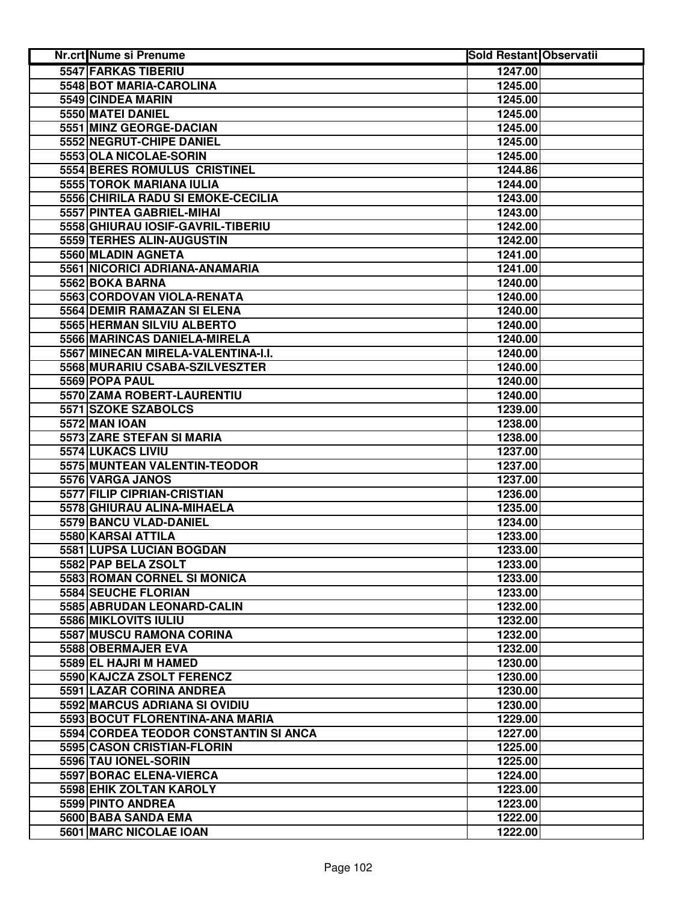| <b>Nr.crt Nume si Prenume</b>         | <b>Sold Restant Observatii</b> |  |
|---------------------------------------|--------------------------------|--|
| 5547 FARKAS TIBERIU                   | 1247.00                        |  |
| 5548 BOT MARIA-CAROLINA               | 1245.00                        |  |
| 5549 CINDEA MARIN                     | 1245.00                        |  |
| 5550 MATEI DANIEL                     | 1245.00                        |  |
| 5551 MINZ GEORGE-DACIAN               | 1245.00                        |  |
| 5552 NEGRUT-CHIPE DANIEL              | 1245.00                        |  |
| 5553 OLA NICOLAE-SORIN                | 1245.00                        |  |
| 5554 BERES ROMULUS CRISTINEL          | 1244.86                        |  |
| 5555 TOROK MARIANA IULIA              | 1244.00                        |  |
| 5556 CHIRILA RADU SI EMOKE-CECILIA    | 1243.00                        |  |
| 5557 PINTEA GABRIEL-MIHAI             | 1243.00                        |  |
| 5558 GHIURAU IOSIF-GAVRIL-TIBERIU     | 1242.00                        |  |
| 5559 TERHES ALIN-AUGUSTIN             | 1242.00                        |  |
| 5560 MLADIN AGNETA                    | 1241.00                        |  |
| 5561 NICORICI ADRIANA-ANAMARIA        | 1241.00                        |  |
| 5562 BOKA BARNA                       | 1240.00                        |  |
| 5563 CORDOVAN VIOLA-RENATA            | 1240.00                        |  |
| 5564 DEMIR RAMAZAN SI ELENA           | 1240.00                        |  |
| 5565 HERMAN SILVIU ALBERTO            | 1240.00                        |  |
| 5566 MARINCAS DANIELA-MIRELA          | 1240.00                        |  |
| 5567 MINECAN MIRELA-VALENTINA-I.I.    | 1240.00                        |  |
| 5568 MURARIU CSABA-SZILVESZTER        | 1240.00                        |  |
| 5569 POPA PAUL                        | 1240.00                        |  |
| 5570 ZAMA ROBERT-LAURENTIU            | 1240.00                        |  |
| 5571 SZOKE SZABOLCS                   | 1239.00                        |  |
| <b>5572 MAN IOAN</b>                  | 1238.00                        |  |
| 5573 ZARE STEFAN SI MARIA             | 1238.00                        |  |
| 5574 LUKACS LIVIU                     | 1237.00                        |  |
| 5575 MUNTEAN VALENTIN-TEODOR          | 1237.00                        |  |
| 5576 VARGA JANOS                      | 1237.00                        |  |
| 5577 FILIP CIPRIAN-CRISTIAN           | 1236.00                        |  |
| 5578 GHIURAU ALINA-MIHAELA            | 1235.00                        |  |
| 5579 BANCU VLAD-DANIEL                | 1234.00                        |  |
| 5580 KARSAI ATTILA                    | 1233.00                        |  |
| 5581 LUPSA LUCIAN BOGDAN              | 1233.00                        |  |
| 5582 PAP BELA ZSOLT                   | 1233.00                        |  |
| 5583 ROMAN CORNEL SI MONICA           | 1233.00                        |  |
| 5584 SEUCHE FLORIAN                   | 1233.00                        |  |
| 5585 ABRUDAN LEONARD-CALIN            | 1232.00                        |  |
| 5586 MIKLOVITS IULIU                  | 1232.00                        |  |
| 5587 MUSCU RAMONA CORINA              | 1232.00                        |  |
| 5588 OBERMAJER EVA                    | 1232.00                        |  |
| 5589 EL HAJRI M HAMED                 | 1230.00                        |  |
| 5590 KAJCZA ZSOLT FERENCZ             | 1230.00                        |  |
| 5591 LAZAR CORINA ANDREA              | 1230.00                        |  |
| 5592 MARCUS ADRIANA SI OVIDIU         | 1230.00                        |  |
| 5593 BOCUT FLORENTINA-ANA MARIA       | 1229.00                        |  |
| 5594 CORDEA TEODOR CONSTANTIN SI ANCA | 1227.00                        |  |
| 5595 CASON CRISTIAN-FLORIN            | 1225.00                        |  |
| 5596 TAU IONEL-SORIN                  | 1225.00                        |  |
| 5597 BORAC ELENA-VIERCA               | 1224.00                        |  |
| 5598 EHIK ZOLTAN KAROLY               | 1223.00                        |  |
| 5599 PINTO ANDREA                     | 1223.00                        |  |
| 5600 BABA SANDA EMA                   | 1222.00                        |  |
| 5601 MARC NICOLAE IOAN                | 1222.00                        |  |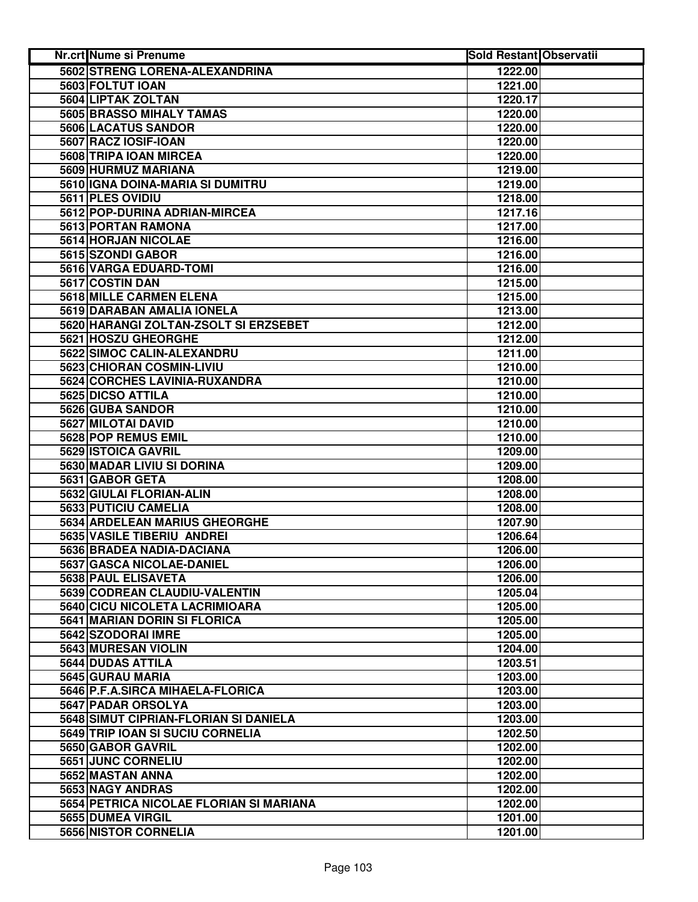| <b>Nr.crt Nume si Prenume</b>                        | <b>Sold Restant Observatii</b> |  |
|------------------------------------------------------|--------------------------------|--|
| 5602 STRENG LORENA-ALEXANDRINA                       | 1222.00                        |  |
| 5603 FOLTUT IOAN                                     | 1221.00                        |  |
| 5604 LIPTAK ZOLTAN                                   | 1220.17                        |  |
| <b>5605 BRASSO MIHALY TAMAS</b>                      | 1220.00                        |  |
| 5606 LACATUS SANDOR                                  | 1220.00                        |  |
| 5607 RACZ IOSIF-IOAN                                 | 1220.00                        |  |
| 5608 TRIPA IOAN MIRCEA                               | 1220.00                        |  |
| 5609 HURMUZ MARIANA                                  | 1219.00                        |  |
| 5610 IGNA DOINA-MARIA SI DUMITRU                     | 1219.00                        |  |
| 5611 PLES OVIDIU                                     | 1218.00                        |  |
| 5612 POP-DURINA ADRIAN-MIRCEA                        | 1217.16                        |  |
| 5613 PORTAN RAMONA                                   | 1217.00                        |  |
| 5614 HORJAN NICOLAE                                  | 1216.00                        |  |
| 5615 SZONDI GABOR                                    | 1216.00                        |  |
| 5616 VARGA EDUARD-TOMI                               | 1216.00                        |  |
| 5617 COSTIN DAN                                      | 1215.00                        |  |
| 5618 MILLE CARMEN ELENA                              | 1215.00                        |  |
| 5619 DARABAN AMALIA IONELA                           | 1213.00                        |  |
| 5620 HARANGI ZOLTAN-ZSOLT SI ERZSEBET                | 1212.00                        |  |
| 5621 HOSZU GHEORGHE                                  | 1212.00                        |  |
| 5622 SIMOC CALIN-ALEXANDRU                           | 1211.00                        |  |
| 5623 CHIORAN COSMIN-LIVIU                            | 1210.00                        |  |
| 5624 CORCHES LAVINIA-RUXANDRA                        | 1210.00                        |  |
| 5625 DICSO ATTILA                                    | 1210.00                        |  |
| 5626 GUBA SANDOR                                     | 1210.00                        |  |
| 5627 MILOTAI DAVID                                   | 1210.00                        |  |
| 5628 POP REMUS EMIL                                  | 1210.00                        |  |
| 5629 ISTOICA GAVRIL                                  | 1209.00                        |  |
| 5630 MADAR LIVIU SI DORINA                           | 1209.00                        |  |
| 5631 GABOR GETA                                      | 1208.00                        |  |
| 5632 GIULAI FLORIAN-ALIN                             | 1208.00                        |  |
| 5633 PUTICIU CAMELIA                                 | 1208.00                        |  |
| 5634 ARDELEAN MARIUS GHEORGHE                        | 1207.90                        |  |
| <b>5635 VASILE TIBERIU ANDREI</b>                    | 1206.64                        |  |
| 5636 BRADEA NADIA-DACIANA                            | 1206.00                        |  |
| 5637 GASCA NICOLAE-DANIEL                            | 1206.00                        |  |
| 5638 PAUL ELISAVETA<br>5639 CODREAN CLAUDIU-VALENTIN | 1206.00                        |  |
| 5640 CICU NICOLETA LACRIMIOARA                       | 1205.04<br>1205.00             |  |
| 5641 MARIAN DORIN SI FLORICA                         | 1205.00                        |  |
| 5642 SZODORAI IMRE                                   | 1205.00                        |  |
| 5643 MURESAN VIOLIN                                  | 1204.00                        |  |
| 5644 DUDAS ATTILA                                    | 1203.51                        |  |
| 5645 GURAU MARIA                                     | 1203.00                        |  |
| 5646 P.F.A.SIRCA MIHAELA-FLORICA                     | 1203.00                        |  |
| 5647 PADAR ORSOLYA                                   | 1203.00                        |  |
| 5648 SIMUT CIPRIAN-FLORIAN SI DANIELA                | 1203.00                        |  |
| 5649 TRIP IOAN SI SUCIU CORNELIA                     | 1202.50                        |  |
| 5650 GABOR GAVRIL                                    | 1202.00                        |  |
| 5651 JUNC CORNELIU                                   | 1202.00                        |  |
| 5652 MASTAN ANNA                                     | 1202.00                        |  |
| 5653 NAGY ANDRAS                                     | 1202.00                        |  |
| 5654 PETRICA NICOLAE FLORIAN SI MARIANA              | 1202.00                        |  |
| 5655 DUMEA VIRGIL                                    | 1201.00                        |  |
| 5656 NISTOR CORNELIA                                 | 1201.00                        |  |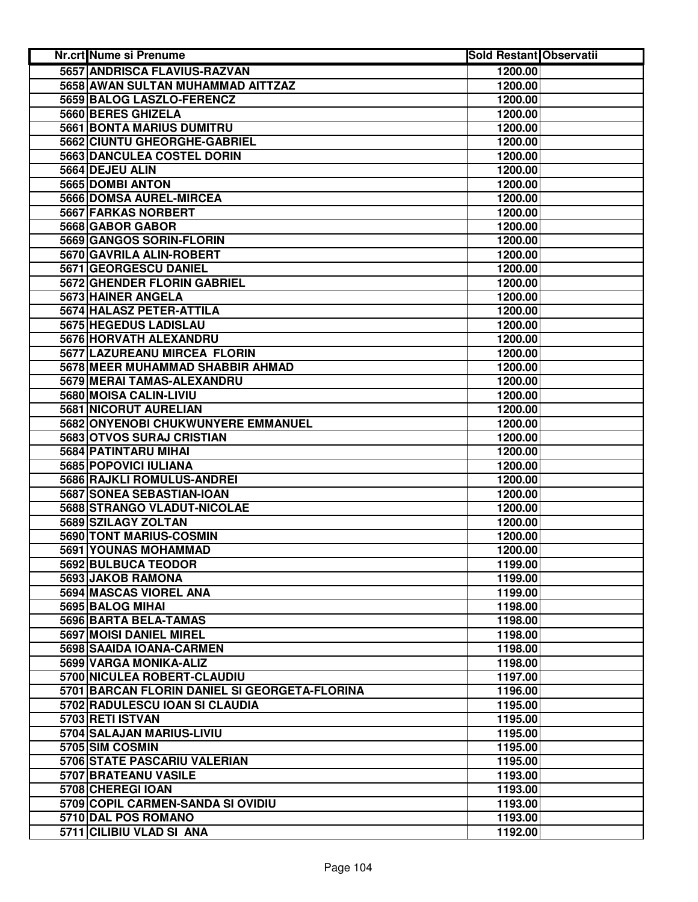| <b>Nr.crt Nume si Prenume</b>                 | <b>Sold Restant Observatii</b> |  |
|-----------------------------------------------|--------------------------------|--|
| 5657 ANDRISCA FLAVIUS-RAZVAN                  | 1200.00                        |  |
| 5658 AWAN SULTAN MUHAMMAD AITTZAZ             | 1200.00                        |  |
| 5659 BALOG LASZLO-FERENCZ                     | 1200.00                        |  |
| 5660 BERES GHIZELA                            | 1200.00                        |  |
| <b>5661 BONTA MARIUS DUMITRU</b>              | 1200.00                        |  |
| 5662 CIUNTU GHEORGHE-GABRIEL                  | 1200.00                        |  |
| 5663 DANCULEA COSTEL DORIN                    | 1200.00                        |  |
| 5664 DEJEU ALIN                               | 1200.00                        |  |
| 5665 DOMBI ANTON                              | 1200.00                        |  |
| 5666 DOMSA AUREL-MIRCEA                       | 1200.00                        |  |
| 5667 FARKAS NORBERT                           | 1200.00                        |  |
| 5668 GABOR GABOR                              | 1200.00                        |  |
| 5669 GANGOS SORIN-FLORIN                      | 1200.00                        |  |
| 5670 GAVRILA ALIN-ROBERT                      | 1200.00                        |  |
| 5671 GEORGESCU DANIEL                         | 1200.00                        |  |
| 5672 GHENDER FLORIN GABRIEL                   | 1200.00                        |  |
| 5673 HAINER ANGELA                            | 1200.00                        |  |
| 5674 HALASZ PETER-ATTILA                      | 1200.00                        |  |
| 5675 HEGEDUS LADISLAU                         | 1200.00                        |  |
| 5676 HORVATH ALEXANDRU                        | 1200.00                        |  |
| 5677 LAZUREANU MIRCEA FLORIN                  | 1200.00                        |  |
| 5678 MEER MUHAMMAD SHABBIR AHMAD              | 1200.00                        |  |
| 5679 MERAI TAMAS-ALEXANDRU                    | 1200.00                        |  |
| 5680 MOISA CALIN-LIVIU                        | 1200.00                        |  |
| 5681 NICORUT AURELIAN                         | 1200.00                        |  |
| 5682 ONYENOBI CHUKWUNYERE EMMANUEL            | 1200.00                        |  |
| 5683 OTVOS SURAJ CRISTIAN                     | 1200.00                        |  |
| 5684 PATINTARU MIHAI                          | 1200.00                        |  |
| 5685 POPOVICI IULIANA                         | 1200.00                        |  |
| 5686 RAJKLI ROMULUS-ANDREI                    | 1200.00                        |  |
| 5687 SONEA SEBASTIAN-IOAN                     | 1200.00                        |  |
| 5688 STRANGO VLADUT-NICOLAE                   | 1200.00                        |  |
| 5689 SZILAGY ZOLTAN                           | 1200.00                        |  |
| 5690 TONT MARIUS-COSMIN                       | 1200.00                        |  |
| 5691 YOUNAS MOHAMMAD                          | 1200.00                        |  |
| 5692 BULBUCA TEODOR                           | 1199.00                        |  |
| 5693 JAKOB RAMONA                             | 1199.00                        |  |
| 5694 MASCAS VIOREL ANA                        | 1199.00                        |  |
| 5695 BALOG MIHAI                              | 1198.00                        |  |
| 5696 BARTA BELA-TAMAS                         | 1198.00                        |  |
| 5697 MOISI DANIEL MIREL                       | 1198.00                        |  |
| 5698 SAAIDA IOANA-CARMEN                      | 1198.00                        |  |
| 5699 VARGA MONIKA-ALIZ                        | 1198.00                        |  |
| 5700 NICULEA ROBERT-CLAUDIU                   | 1197.00                        |  |
| 5701 BARCAN FLORIN DANIEL SI GEORGETA-FLORINA | 1196.00                        |  |
| 5702 RADULESCU IOAN SI CLAUDIA                | 1195.00                        |  |
| 5703 RETI ISTVAN                              | 1195.00                        |  |
| 5704 SALAJAN MARIUS-LIVIU                     | 1195.00                        |  |
| 5705 SIM COSMIN                               | 1195.00                        |  |
| 5706 STATE PASCARIU VALERIAN                  | 1195.00                        |  |
| 5707 BRATEANU VASILE                          | 1193.00                        |  |
| 5708 CHEREGI IOAN                             | 1193.00                        |  |
| 5709 COPIL CARMEN-SANDA SI OVIDIU             | 1193.00                        |  |
| 5710 DAL POS ROMANO                           | 1193.00                        |  |
| 5711 CILIBIU VLAD SI ANA                      | 1192.00                        |  |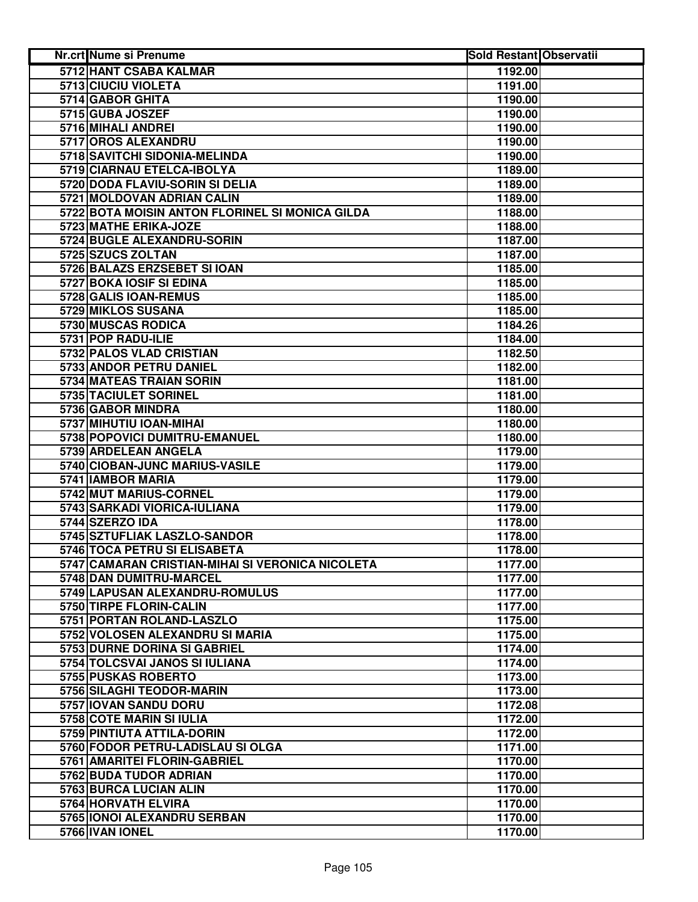| Nr.crt Nume si Prenume                           | <b>Sold Restant Observatii</b> |  |
|--------------------------------------------------|--------------------------------|--|
| 5712 HANT CSABA KALMAR                           | 1192.00                        |  |
| 5713 CIUCIU VIOLETA                              | 1191.00                        |  |
| 5714 GABOR GHITA                                 | 1190.00                        |  |
| 5715 GUBA JOSZEF                                 | 1190.00                        |  |
| 5716 MIHALI ANDREI                               | 1190.00                        |  |
| 5717 OROS ALEXANDRU                              | 1190.00                        |  |
| 5718 SAVITCHI SIDONIA-MELINDA                    | 1190.00                        |  |
| 5719 CIARNAU ETELCA-IBOLYA                       | 1189.00                        |  |
| 5720 DODA FLAVIU-SORIN SI DELIA                  | 1189.00                        |  |
| 5721 MOLDOVAN ADRIAN CALIN                       | 1189.00                        |  |
| 5722 BOTA MOISIN ANTON FLORINEL SI MONICA GILDA  | 1188.00                        |  |
| 5723 MATHE ERIKA-JOZE                            | 1188.00                        |  |
| 5724 BUGLE ALEXANDRU-SORIN                       | 1187.00                        |  |
| 5725 SZUCS ZOLTAN                                | 1187.00                        |  |
| 5726 BALAZS ERZSEBET SI IOAN                     | 1185.00                        |  |
| 5727 BOKA IOSIF SI EDINA                         | 1185.00                        |  |
| 5728 GALIS IOAN-REMUS                            | 1185.00                        |  |
| 5729 MIKLOS SUSANA                               | 1185.00                        |  |
| 5730 MUSCAS RODICA                               | 1184.26                        |  |
| 5731 POP RADU-ILIE                               | 1184.00                        |  |
| 5732 PALOS VLAD CRISTIAN                         | 1182.50                        |  |
| 5733 ANDOR PETRU DANIEL                          | 1182.00                        |  |
| 5734 MATEAS TRAIAN SORIN                         | 1181.00                        |  |
| 5735 TACIULET SORINEL                            | 1181.00                        |  |
| 5736 GABOR MINDRA                                | 1180.00                        |  |
| 5737 MIHUTIU IOAN-MIHAI                          | 1180.00                        |  |
| 5738 POPOVICI DUMITRU-EMANUEL                    | 1180.00                        |  |
| 5739 ARDELEAN ANGELA                             | 1179.00                        |  |
| 5740 CIOBAN-JUNC MARIUS-VASILE                   | 1179.00                        |  |
| 5741 IAMBOR MARIA                                | 1179.00                        |  |
| 5742 MUT MARIUS-CORNEL                           | 1179.00                        |  |
| 5743 SARKADI VIORICA-IULIANA                     | 1179.00                        |  |
| 5744 SZERZO IDA                                  | 1178.00                        |  |
| 5745 SZTUFLIAK LASZLO-SANDOR                     | 1178.00                        |  |
| 5746 TOCA PETRU SI ELISABETA                     | 1178.00                        |  |
| 5747 CAMARAN CRISTIAN-MIHAI SI VERONICA NICOLETA | 1177.00                        |  |
| 5748 DAN DUMITRU-MARCEL                          | 1177.00                        |  |
| 5749 LAPUSAN ALEXANDRU-ROMULUS                   | 1177.00                        |  |
| 5750 TIRPE FLORIN-CALIN                          | 1177.00                        |  |
| 5751 PORTAN ROLAND-LASZLO                        | 1175.00                        |  |
| 5752 VOLOSEN ALEXANDRU SI MARIA                  | 1175.00                        |  |
| 5753 DURNE DORINA SI GABRIEL                     | 1174.00                        |  |
| 5754 TOLCSVAI JANOS SI IULIANA                   | 1174.00                        |  |
| 5755 PUSKAS ROBERTO                              | 1173.00                        |  |
| 5756 SILAGHI TEODOR-MARIN                        | 1173.00                        |  |
| 5757 IOVAN SANDU DORU                            | 1172.08                        |  |
| 5758 COTE MARIN SI IULIA                         | 1172.00                        |  |
| 5759 PINTIUTA ATTILA-DORIN                       | 1172.00                        |  |
| 5760 FODOR PETRU-LADISLAU SI OLGA                | 1171.00                        |  |
| 5761 AMARITEI FLORIN-GABRIEL                     | 1170.00                        |  |
| 5762 BUDA TUDOR ADRIAN                           | 1170.00                        |  |
| 5763 BURCA LUCIAN ALIN                           | 1170.00                        |  |
| 5764 HORVATH ELVIRA                              | 1170.00                        |  |
| 5765 IONOI ALEXANDRU SERBAN                      | 1170.00                        |  |
| 5766 IVAN IONEL                                  | 1170.00                        |  |
|                                                  |                                |  |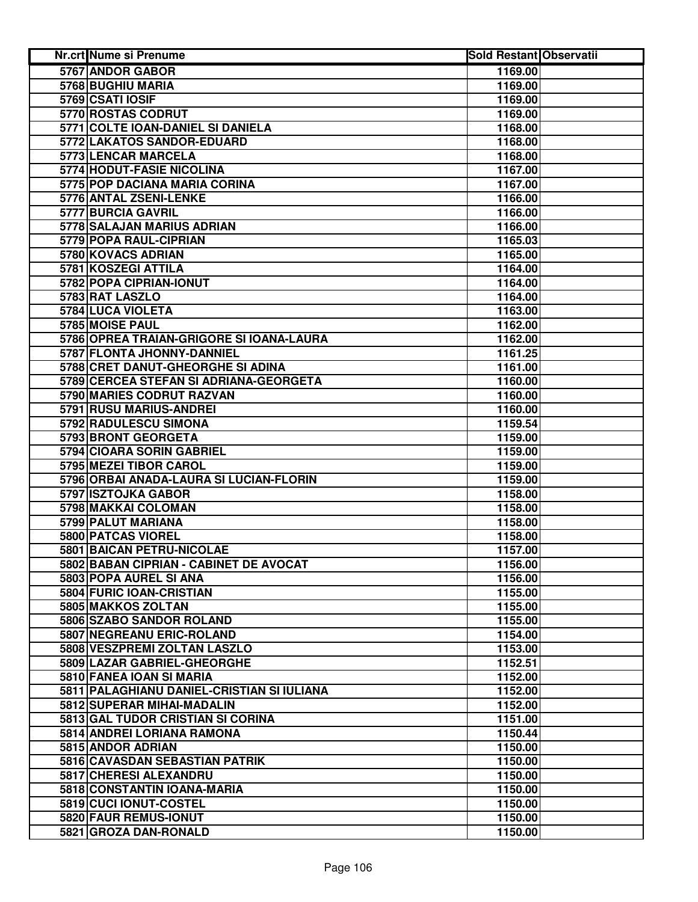| <b>Nr.crt Nume si Prenume</b>              | <b>Sold Restant Observatii</b> |
|--------------------------------------------|--------------------------------|
| 5767 ANDOR GABOR                           | 1169.00                        |
| 5768 BUGHIU MARIA                          | 1169.00                        |
| 5769 CSATI IOSIF                           | 1169.00                        |
| 5770 ROSTAS CODRUT                         | 1169.00                        |
| 5771 COLTE IOAN-DANIEL SI DANIELA          | 1168.00                        |
| 5772 LAKATOS SANDOR-EDUARD                 | 1168.00                        |
| 5773 LENCAR MARCELA                        | 1168.00                        |
| 5774 HODUT-FASIE NICOLINA                  | 1167.00                        |
| 5775 POP DACIANA MARIA CORINA              | 1167.00                        |
| 5776 ANTAL ZSENI-LENKE                     | 1166.00                        |
| 5777 BURCIA GAVRIL                         | 1166.00                        |
| 5778 SALAJAN MARIUS ADRIAN                 | 1166.00                        |
| 5779 POPA RAUL-CIPRIAN                     | 1165.03                        |
| 5780 KOVACS ADRIAN                         | 1165.00                        |
| 5781 KOSZEGI ATTILA                        | 1164.00                        |
| 5782 POPA CIPRIAN-IONUT                    | 1164.00                        |
| 5783 RAT LASZLO                            | 1164.00                        |
| 5784 LUCA VIOLETA                          | 1163.00                        |
| 5785 MOISE PAUL                            | 1162.00                        |
| 5786 OPREA TRAIAN-GRIGORE SI IOANA-LAURA   | 1162.00                        |
| 5787 FLONTA JHONNY-DANNIEL                 | 1161.25                        |
| 5788 CRET DANUT-GHEORGHE SI ADINA          | 1161.00                        |
| 5789 CERCEA STEFAN SI ADRIANA-GEORGETA     | 1160.00                        |
| 5790 MARIES CODRUT RAZVAN                  | 1160.00                        |
| 5791 RUSU MARIUS-ANDREI                    | 1160.00                        |
| 5792 RADULESCU SIMONA                      | 1159.54                        |
| 5793 BRONT GEORGETA                        | 1159.00                        |
| 5794 CIOARA SORIN GABRIEL                  | 1159.00                        |
| 5795 MEZEI TIBOR CAROL                     | 1159.00                        |
| 5796 ORBAI ANADA-LAURA SI LUCIAN-FLORIN    | 1159.00                        |
| 5797 ISZTOJKA GABOR                        | 1158.00                        |
| 5798 MAKKAI COLOMAN                        | 1158.00                        |
| 5799 PALUT MARIANA                         | 1158.00                        |
| 5800 PATCAS VIOREL                         | 1158.00                        |
| <b>5801 BAICAN PETRU-NICOLAE</b>           | 1157.00                        |
| 5802 BABAN CIPRIAN - CABINET DE AVOCAT     | 1156.00                        |
| 5803 POPA AUREL SI ANA                     | 1156.00                        |
| 5804 FURIC IOAN-CRISTIAN                   | 1155.00                        |
| 5805 MAKKOS ZOLTAN                         | 1155.00                        |
| 5806 SZABO SANDOR ROLAND                   | 1155.00                        |
| <b>5807 NEGREANU ERIC-ROLAND</b>           | 1154.00                        |
| 5808 VESZPREMI ZOLTAN LASZLO               | 1153.00                        |
| 5809 LAZAR GABRIEL-GHEORGHE                | 1152.51                        |
| 5810 FANEA IOAN SI MARIA                   | 1152.00                        |
| 5811 PALAGHIANU DANIEL-CRISTIAN SI IULIANA | 1152.00                        |
| 5812 SUPERAR MIHAI-MADALIN                 | 1152.00                        |
| 5813 GAL TUDOR CRISTIAN SI CORINA          | 1151.00                        |
| 5814 ANDREI LORIANA RAMONA                 | 1150.44                        |
| 5815 ANDOR ADRIAN                          | 1150.00                        |
| 5816 CAVASDAN SEBASTIAN PATRIK             | 1150.00                        |
| 5817 CHERESI ALEXANDRU                     | 1150.00                        |
| 5818 CONSTANTIN IOANA-MARIA                | 1150.00                        |
| 5819 CUCI IONUT-COSTEL                     | 1150.00                        |
| 5820 FAUR REMUS-IONUT                      | 1150.00                        |
| 5821 GROZA DAN-RONALD                      | 1150.00                        |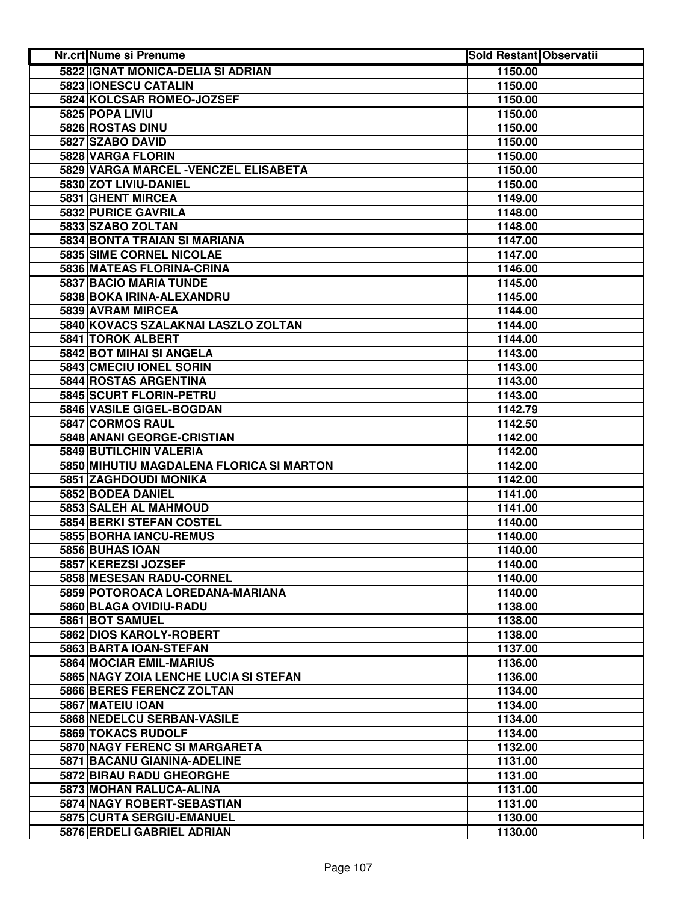| <b>Nr.crt Nume si Prenume</b>            | <b>Sold Restant Observatii</b> |  |
|------------------------------------------|--------------------------------|--|
| 5822 IGNAT MONICA-DELIA SI ADRIAN        | 1150.00                        |  |
| 5823 IONESCU CATALIN                     | 1150.00                        |  |
| 5824 KOLCSAR ROMEO-JOZSEF                | 1150.00                        |  |
| 5825 POPA LIVIU                          | 1150.00                        |  |
| 5826 ROSTAS DINU                         | 1150.00                        |  |
| 5827 SZABO DAVID                         | 1150.00                        |  |
| 5828 VARGA FLORIN                        | 1150.00                        |  |
| 5829 VARGA MARCEL - VENCZEL ELISABETA    | 1150.00                        |  |
| 5830 ZOT LIVIU-DANIEL                    | 1150.00                        |  |
| 5831 GHENT MIRCEA                        | 1149.00                        |  |
| 5832 PURICE GAVRILA                      | 1148.00                        |  |
| 5833 SZABO ZOLTAN                        | 1148.00                        |  |
| 5834 BONTA TRAIAN SI MARIANA             | 1147.00                        |  |
| 5835 SIME CORNEL NICOLAE                 | 1147.00                        |  |
| 5836 MATEAS FLORINA-CRINA                | 1146.00                        |  |
| 5837 BACIO MARIA TUNDE                   | 1145.00                        |  |
| 5838 BOKA IRINA-ALEXANDRU                | 1145.00                        |  |
| 5839 AVRAM MIRCEA                        | 1144.00                        |  |
| 5840 KOVACS SZALAKNAI LASZLO ZOLTAN      | 1144.00                        |  |
| <b>5841 TOROK ALBERT</b>                 | 1144.00                        |  |
| 5842 BOT MIHAI SI ANGELA                 | 1143.00                        |  |
| 5843 CMECIU IONEL SORIN                  | 1143.00                        |  |
| <b>5844 ROSTAS ARGENTINA</b>             | 1143.00                        |  |
| 5845 SCURT FLORIN-PETRU                  | 1143.00                        |  |
| 5846 VASILE GIGEL-BOGDAN                 | 1142.79                        |  |
| <b>5847 CORMOS RAUL</b>                  | 1142.50                        |  |
| 5848 ANANI GEORGE-CRISTIAN               | 1142.00                        |  |
| 5849 BUTILCHIN VALERIA                   | 1142.00                        |  |
| 5850 MIHUTIU MAGDALENA FLORICA SI MARTON | 1142.00                        |  |
| 5851 ZAGHDOUDI MONIKA                    | 1142.00                        |  |
| 5852 BODEA DANIEL                        | 1141.00                        |  |
| 5853 SALEH AL MAHMOUD                    | 1141.00                        |  |
| 5854 BERKI STEFAN COSTEL                 | 1140.00                        |  |
| 5855 BORHA IANCU-REMUS                   | 1140.00                        |  |
| 5856 BUHAS IOAN                          | 1140.00                        |  |
| 5857 KEREZSI JOZSEF                      | 1140.00                        |  |
| 5858 MESESAN RADU-CORNEL                 | 1140.00                        |  |
| 5859 POTOROACA LOREDANA-MARIANA          | 1140.00                        |  |
| 5860 BLAGA OVIDIU-RADU                   | 1138.00                        |  |
| 5861 BOT SAMUEL                          | 1138.00                        |  |
| 5862 DIOS KAROLY-ROBERT                  | 1138.00                        |  |
| 5863 BARTA IOAN-STEFAN                   | 1137.00                        |  |
| 5864 MOCIAR EMIL-MARIUS                  | 1136.00                        |  |
| 5865 NAGY ZOIA LENCHE LUCIA SI STEFAN    | 1136.00                        |  |
| 5866 BERES FERENCZ ZOLTAN                | 1134.00                        |  |
| 5867 MATEIU IOAN                         | 1134.00                        |  |
| 5868 NEDELCU SERBAN-VASILE               | 1134.00                        |  |
| 5869 TOKACS RUDOLF                       | 1134.00                        |  |
| 5870 NAGY FERENC SI MARGARETA            | 1132.00                        |  |
| 5871 BACANU GIANINA-ADELINE              | 1131.00                        |  |
| 5872 BIRAU RADU GHEORGHE                 | 1131.00                        |  |
| 5873 MOHAN RALUCA-ALINA                  | 1131.00                        |  |
| 5874 NAGY ROBERT-SEBASTIAN               | 1131.00                        |  |
| 5875 CURTA SERGIU-EMANUEL                | 1130.00                        |  |
| 5876 ERDELI GABRIEL ADRIAN               | 1130.00                        |  |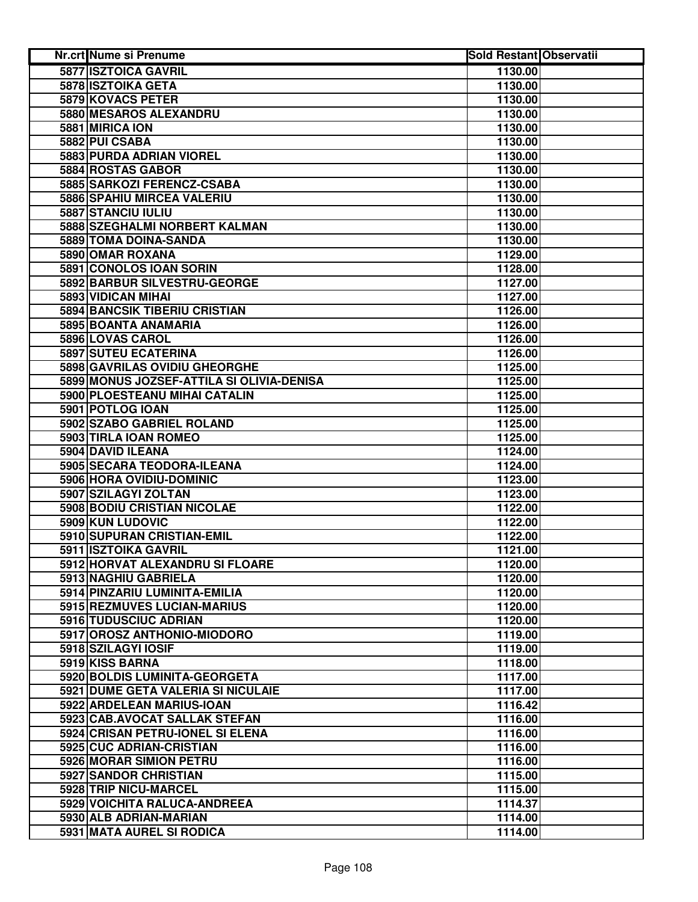| Nr.crt Nume si Prenume                                       | <b>Sold Restant Observatii</b> |  |
|--------------------------------------------------------------|--------------------------------|--|
| 5877 ISZTOICA GAVRIL                                         | 1130.00                        |  |
| <b>5878 ISZTOIKA GETA</b>                                    | 1130.00                        |  |
| 5879 KOVACS PETER                                            | 1130.00                        |  |
| <b>5880 MESAROS ALEXANDRU</b>                                | 1130.00                        |  |
| 5881 MIRICA ION                                              | 1130.00                        |  |
| 5882 PUI CSABA                                               | 1130.00                        |  |
| 5883 PURDA ADRIAN VIOREL                                     | 1130.00                        |  |
| 5884 ROSTAS GABOR                                            | 1130.00                        |  |
| 5885 SARKOZI FERENCZ-CSABA                                   | 1130.00                        |  |
| 5886 SPAHIU MIRCEA VALERIU                                   | 1130.00                        |  |
| 5887 STANCIU IULIU                                           | 1130.00                        |  |
| 5888 SZEGHALMI NORBERT KALMAN                                | 1130.00                        |  |
| 5889 TOMA DOINA-SANDA                                        | 1130.00                        |  |
| 5890 OMAR ROXANA                                             | 1129.00                        |  |
| 5891 CONOLOS IOAN SORIN                                      | 1128.00                        |  |
| 5892 BARBUR SILVESTRU-GEORGE                                 | 1127.00                        |  |
| 5893 VIDICAN MIHAI                                           | 1127.00                        |  |
| 5894 BANCSIK TIBERIU CRISTIAN                                | 1126.00                        |  |
| 5895 BOANTA ANAMARIA                                         | 1126.00                        |  |
| 5896 LOVAS CAROL                                             | 1126.00                        |  |
| <b>5897 SUTEU ECATERINA</b>                                  | 1126.00                        |  |
| 5898 GAVRILAS OVIDIU GHEORGHE                                | 1125.00                        |  |
| 5899 MONUS JOZSEF-ATTILA SI OLIVIA-DENISA                    | 1125.00                        |  |
| 5900 PLOESTEANU MIHAI CATALIN                                | 1125.00                        |  |
| 5901 POTLOG IOAN                                             | 1125.00                        |  |
| 5902 SZABO GABRIEL ROLAND                                    | 1125.00                        |  |
| 5903 TIRLA IOAN ROMEO                                        | 1125.00                        |  |
| 5904 DAVID ILEANA                                            | 1124.00                        |  |
| 5905 SECARA TEODORA-ILEANA                                   | 1124.00                        |  |
| 5906 HORA OVIDIU-DOMINIC                                     | 1123.00                        |  |
| 5907 SZILAGYI ZOLTAN                                         | 1123.00                        |  |
| 5908 BODIU CRISTIAN NICOLAE                                  | 1122.00                        |  |
| 5909 KUN LUDOVIC                                             | 1122.00                        |  |
| 5910 SUPURAN CRISTIAN-EMIL                                   | 1122.00                        |  |
| 5911 ISZTOIKA GAVRIL                                         | 1121.00                        |  |
| 5912 HORVAT ALEXANDRU SI FLOARE                              | 1120.00                        |  |
| 5913 NAGHIU GABRIELA                                         | 1120.00                        |  |
| 5914 PINZARIU LUMINITA-EMILIA                                | 1120.00                        |  |
| 5915 REZMUVES LUCIAN-MARIUS                                  | 1120.00                        |  |
| 5916 TUDUSCIUC ADRIAN                                        | 1120.00                        |  |
| 5917 OROSZ ANTHONIO-MIODORO                                  | 1119.00                        |  |
| 5918 SZILAGYI IOSIF                                          | 1119.00                        |  |
| 5919 KISS BARNA                                              | 1118.00                        |  |
| 5920 BOLDIS LUMINITA-GEORGETA                                | 1117.00                        |  |
| 5921 DUME GETA VALERIA SI NICULAIE                           | 1117.00                        |  |
| 5922 ARDELEAN MARIUS-IOAN                                    | 1116.42                        |  |
| 5923 CAB.AVOCAT SALLAK STEFAN                                | 1116.00                        |  |
| 5924 CRISAN PETRU-IONEL SI ELENA<br>5925 CUC ADRIAN-CRISTIAN | 1116.00<br>1116.00             |  |
| 5926 MORAR SIMION PETRU                                      |                                |  |
| 5927 SANDOR CHRISTIAN                                        | 1116.00<br>1115.00             |  |
| 5928 TRIP NICU-MARCEL                                        | 1115.00                        |  |
| 5929 VOICHITA RALUCA-ANDREEA                                 | 1114.37                        |  |
| 5930 ALB ADRIAN-MARIAN                                       | 1114.00                        |  |
| 5931 MATA AUREL SI RODICA                                    | 1114.00                        |  |
|                                                              |                                |  |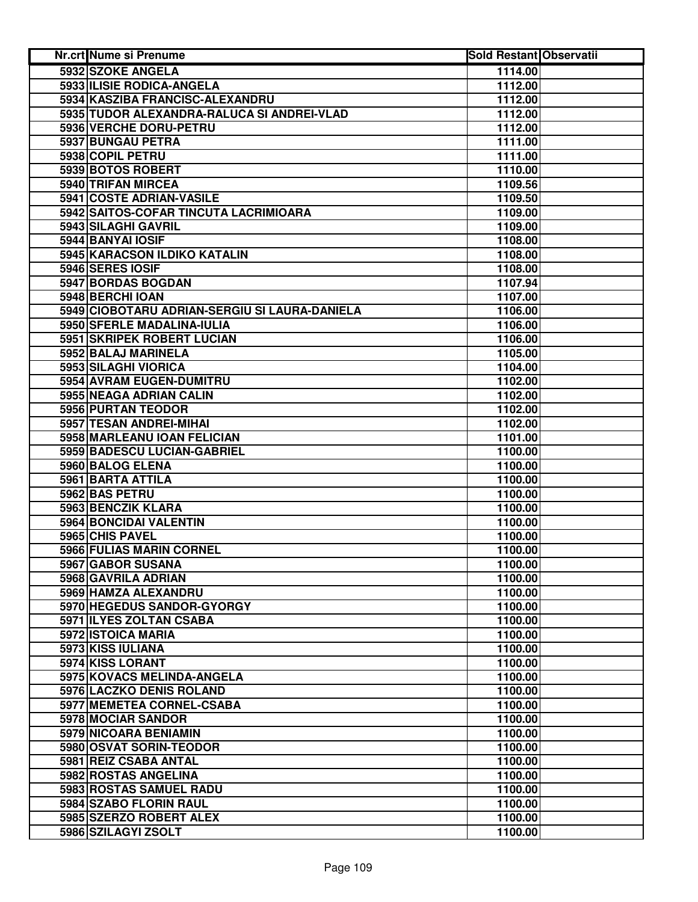| <b>Nr.crt Nume si Prenume</b>                 | <b>Sold Restant Observatii</b> |  |
|-----------------------------------------------|--------------------------------|--|
| 5932 SZOKE ANGELA                             | 1114.00                        |  |
| 5933 ILISIE RODICA-ANGELA                     | 1112.00                        |  |
| 5934 KASZIBA FRANCISC-ALEXANDRU               | 1112.00                        |  |
| 5935 TUDOR ALEXANDRA-RALUCA SI ANDREI-VLAD    | 1112.00                        |  |
| 5936 VERCHE DORU-PETRU                        | 1112.00                        |  |
| 5937 BUNGAU PETRA                             | 1111.00                        |  |
| 5938 COPIL PETRU                              | 1111.00                        |  |
| 5939 BOTOS ROBERT                             | 1110.00                        |  |
| 5940 TRIFAN MIRCEA                            | 1109.56                        |  |
| 5941 COSTE ADRIAN-VASILE                      | 1109.50                        |  |
| 5942 SAITOS-COFAR TINCUTA LACRIMIOARA         | 1109.00                        |  |
| 5943 SILAGHI GAVRIL                           | 1109.00                        |  |
| 5944 BANYAI IOSIF                             | 1108.00                        |  |
| 5945 KARACSON ILDIKO KATALIN                  | 1108.00                        |  |
| 5946 SERES IOSIF                              | 1108.00                        |  |
| 5947 BORDAS BOGDAN                            | 1107.94                        |  |
| 5948 BERCHI IOAN                              | 1107.00                        |  |
| 5949 CIOBOTARU ADRIAN-SERGIU SI LAURA-DANIELA | 1106.00                        |  |
| 5950 SFERLE MADALINA-IULIA                    | 1106.00                        |  |
| 5951 SKRIPEK ROBERT LUCIAN                    | 1106.00                        |  |
| 5952 BALAJ MARINELA                           | 1105.00                        |  |
| 5953 SILAGHI VIORICA                          | 1104.00                        |  |
| 5954 AVRAM EUGEN-DUMITRU                      | 1102.00                        |  |
| 5955 NEAGA ADRIAN CALIN                       | 1102.00                        |  |
| 5956 PURTAN TEODOR                            | 1102.00                        |  |
| 5957 TESAN ANDREI-MIHAI                       | 1102.00                        |  |
| 5958 MARLEANU IOAN FELICIAN                   | 1101.00                        |  |
| 5959 BADESCU LUCIAN-GABRIEL                   | 1100.00                        |  |
| 5960 BALOG ELENA                              | 1100.00                        |  |
| 5961 BARTA ATTILA                             | 1100.00                        |  |
| 5962 BAS PETRU                                | 1100.00                        |  |
| 5963 BENCZIK KLARA                            | 1100.00                        |  |
| 5964 BONCIDAI VALENTIN                        | 1100.00                        |  |
| 5965 CHIS PAVEL                               | 1100.00                        |  |
| 5966 FULIAS MARIN CORNEL                      | 1100.00                        |  |
| 5967 GABOR SUSANA                             | 1100.00                        |  |
| 5968 GAVRILA ADRIAN                           | 1100.00                        |  |
| 5969 HAMZA ALEXANDRU                          | 1100.00                        |  |
| 5970 HEGEDUS SANDOR-GYORGY                    | 1100.00                        |  |
| 5971 ILYES ZOLTAN CSABA                       | 1100.00                        |  |
| 5972 ISTOICA MARIA                            | 1100.00                        |  |
| 5973 KISS IULIANA                             | 1100.00                        |  |
| 5974 KISS LORANT                              | 1100.00                        |  |
| 5975 KOVACS MELINDA-ANGELA                    | 1100.00                        |  |
| 5976 LACZKO DENIS ROLAND                      | 1100.00                        |  |
| 5977 MEMETEA CORNEL-CSABA                     | 1100.00                        |  |
| 5978 MOCIAR SANDOR                            | 1100.00                        |  |
| 5979 NICOARA BENIAMIN                         | 1100.00                        |  |
| 5980 OSVAT SORIN-TEODOR                       | 1100.00                        |  |
| 5981 REIZ CSABA ANTAL                         | 1100.00                        |  |
| 5982 ROSTAS ANGELINA                          | 1100.00                        |  |
| 5983 ROSTAS SAMUEL RADU                       | 1100.00                        |  |
| 5984 SZABO FLORIN RAUL                        | 1100.00                        |  |
| 5985 SZERZO ROBERT ALEX                       | 1100.00                        |  |
| 5986 SZILAGYI ZSOLT                           | 1100.00                        |  |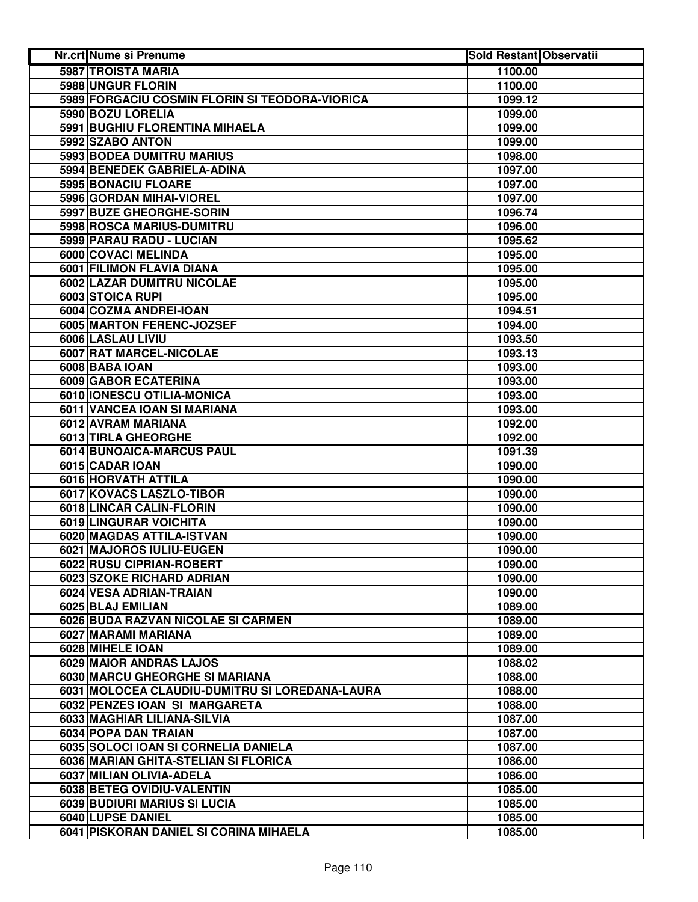| Nr.crt Nume si Prenume                         | <b>Sold Restant Observatii</b> |  |
|------------------------------------------------|--------------------------------|--|
| <b>5987 TROISTA MARIA</b>                      | 1100.00                        |  |
| 5988 UNGUR FLORIN                              | 1100.00                        |  |
| 5989 FORGACIU COSMIN FLORIN SI TEODORA-VIORICA | 1099.12                        |  |
| 5990 BOZU LORELIA                              | 1099.00                        |  |
| 5991 BUGHIU FLORENTINA MIHAELA                 | 1099.00                        |  |
| 5992 SZABO ANTON                               | 1099.00                        |  |
| 5993 BODEA DUMITRU MARIUS                      | 1098.00                        |  |
| 5994 BENEDEK GABRIELA-ADINA                    | 1097.00                        |  |
| 5995 BONACIU FLOARE                            | 1097.00                        |  |
| 5996 GORDAN MIHAI-VIOREL                       | 1097.00                        |  |
| 5997 BUZE GHEORGHE-SORIN                       | 1096.74                        |  |
| 5998 ROSCA MARIUS-DUMITRU                      | 1096.00                        |  |
| 5999 PARAU RADU - LUCIAN                       | 1095.62                        |  |
| 6000 COVACI MELINDA                            | 1095.00                        |  |
| 6001 FILIMON FLAVIA DIANA                      | 1095.00                        |  |
| 6002 LAZAR DUMITRU NICOLAE                     | 1095.00                        |  |
| 6003 STOICA RUPI                               | 1095.00                        |  |
| 6004 COZMA ANDREI-IOAN                         | 1094.51                        |  |
| 6005 MARTON FERENC-JOZSEF                      | 1094.00                        |  |
| 6006 LASLAU LIVIU                              | 1093.50                        |  |
| 6007 RAT MARCEL-NICOLAE                        | 1093.13                        |  |
| 6008 BABA IOAN                                 | 1093.00                        |  |
| 6009 GABOR ECATERINA                           | 1093.00                        |  |
| 6010 IONESCU OTILIA-MONICA                     | 1093.00                        |  |
| 6011 VANCEA IOAN SI MARIANA                    | 1093.00                        |  |
| 6012 AVRAM MARIANA                             | 1092.00                        |  |
| 6013 TIRLA GHEORGHE                            | 1092.00                        |  |
| 6014 BUNOAICA-MARCUS PAUL                      | 1091.39                        |  |
| 6015 CADAR IOAN                                | 1090.00                        |  |
| 6016 HORVATH ATTILA                            | 1090.00                        |  |
| 6017 KOVACS LASZLO-TIBOR                       | 1090.00                        |  |
| 6018 LINCAR CALIN-FLORIN                       | 1090.00                        |  |
| 6019 LINGURAR VOICHITA                         | 1090.00                        |  |
| 6020 MAGDAS ATTILA-ISTVAN                      | 1090.00                        |  |
| 6021 MAJOROS IULIU-EUGEN                       | 1090.00                        |  |
| 6022 RUSU CIPRIAN-ROBERT                       | 1090.00                        |  |
| 6023 SZOKE RICHARD ADRIAN                      | 1090.00                        |  |
| 6024 VESA ADRIAN-TRAIAN                        | 1090.00                        |  |
| 6025 BLAJ EMILIAN                              | 1089.00                        |  |
| 6026 BUDA RAZVAN NICOLAE SI CARMEN             | 1089.00                        |  |
| 6027 MARAMI MARIANA                            | 1089.00                        |  |
| 6028 MIHELE IOAN                               | 1089.00                        |  |
| 6029 MAIOR ANDRAS LAJOS                        | 1088.02                        |  |
| 6030 MARCU GHEORGHE SI MARIANA                 | 1088.00                        |  |
| 6031 MOLOCEA CLAUDIU-DUMITRU SI LOREDANA-LAURA | 1088.00                        |  |
| 6032 PENZES IOAN SI MARGARETA                  | 1088.00                        |  |
| 6033 MAGHIAR LILIANA-SILVIA                    | 1087.00                        |  |
| 6034 POPA DAN TRAIAN                           | 1087.00                        |  |
| 6035 SOLOCI IOAN SI CORNELIA DANIELA           | 1087.00                        |  |
| 6036 MARIAN GHITA-STELIAN SI FLORICA           | 1086.00                        |  |
| 6037 MILIAN OLIVIA-ADELA                       | 1086.00                        |  |
| 6038 BETEG OVIDIU-VALENTIN                     | 1085.00                        |  |
| 6039 BUDIURI MARIUS SI LUCIA                   | 1085.00                        |  |
| 6040 LUPSE DANIEL                              | 1085.00                        |  |
| 6041 PISKORAN DANIEL SI CORINA MIHAELA         | 1085.00                        |  |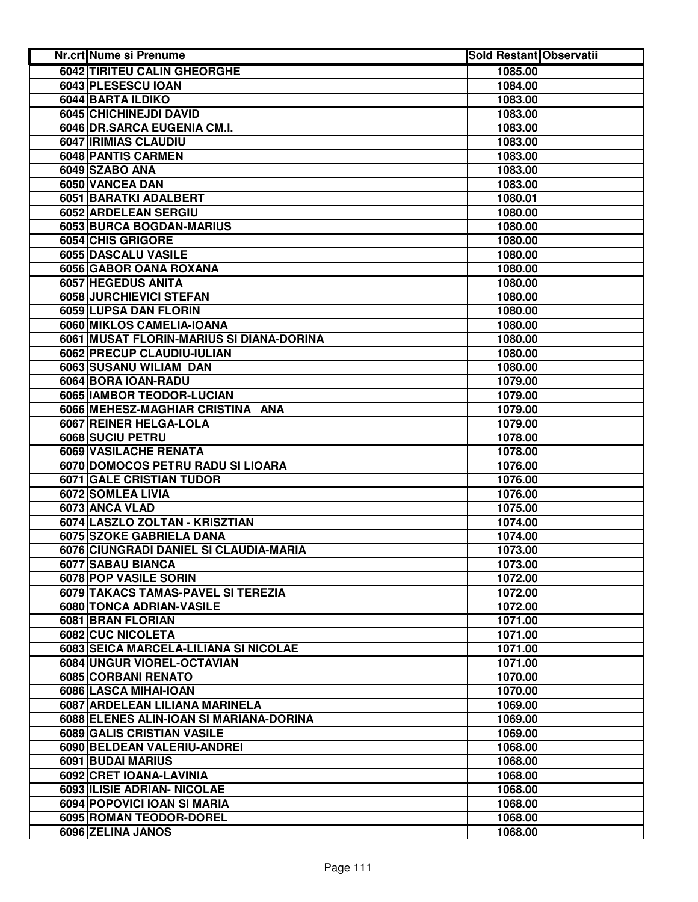| <b>Nr.crt Nume si Prenume</b>            | <b>Sold Restant Observatii</b> |  |
|------------------------------------------|--------------------------------|--|
| 6042 TIRITEU CALIN GHEORGHE              | 1085.00                        |  |
| 6043 PLESESCU IOAN                       | 1084.00                        |  |
| 6044 BARTA ILDIKO                        | 1083.00                        |  |
| 6045 CHICHINEJDI DAVID                   | 1083.00                        |  |
| 6046 DR.SARCA EUGENIA CM.I.              | 1083.00                        |  |
| 6047 IRIMIAS CLAUDIU                     | 1083.00                        |  |
| 6048 PANTIS CARMEN                       | 1083.00                        |  |
| 6049 SZABO ANA                           | 1083.00                        |  |
| 6050 VANCEA DAN                          | 1083.00                        |  |
| 6051 BARATKI ADALBERT                    | 1080.01                        |  |
| 6052 ARDELEAN SERGIU                     | 1080.00                        |  |
| 6053 BURCA BOGDAN-MARIUS                 | 1080.00                        |  |
| 6054 CHIS GRIGORE                        | 1080.00                        |  |
| 6055 DASCALU VASILE                      | 1080.00                        |  |
| 6056 GABOR OANA ROXANA                   | 1080.00                        |  |
| 6057 HEGEDUS ANITA                       | 1080.00                        |  |
| 6058 JURCHIEVICI STEFAN                  | 1080.00                        |  |
| 6059 LUPSA DAN FLORIN                    | 1080.00                        |  |
| 6060 MIKLOS CAMELIA-IOANA                | 1080.00                        |  |
| 6061 MUSAT FLORIN-MARIUS SI DIANA-DORINA | 1080.00                        |  |
| 6062 PRECUP CLAUDIU-IULIAN               | 1080.00                        |  |
| 6063 SUSANU WILIAM DAN                   | 1080.00                        |  |
| 6064 BORA IOAN-RADU                      | 1079.00                        |  |
| 6065 IAMBOR TEODOR-LUCIAN                | 1079.00                        |  |
| 6066 MEHESZ-MAGHIAR CRISTINA ANA         | 1079.00                        |  |
| 6067 REINER HELGA-LOLA                   | 1079.00                        |  |
| 6068 SUCIU PETRU                         | 1078.00                        |  |
| 6069 VASILACHE RENATA                    | 1078.00                        |  |
| 6070 DOMOCOS PETRU RADU SI LIOARA        | 1076.00                        |  |
| <b>6071 GALE CRISTIAN TUDOR</b>          | 1076.00                        |  |
| 6072 SOMLEA LIVIA                        | 1076.00                        |  |
| 6073 ANCA VLAD                           | 1075.00                        |  |
| 6074 LASZLO ZOLTAN - KRISZTIAN           | 1074.00                        |  |
| 6075 SZOKE GABRIELA DANA                 | 1074.00                        |  |
| 6076 CIUNGRADI DANIEL SI CLAUDIA-MARIA   | 1073.00                        |  |
| 6077 SABAU BIANCA                        | 1073.00                        |  |
| 6078 POP VASILE SORIN                    | 1072.00                        |  |
| 6079 TAKACS TAMAS-PAVEL SI TEREZIA       | 1072.00                        |  |
| 6080 TONCA ADRIAN-VASILE                 | 1072.00                        |  |
| 6081 BRAN FLORIAN                        | 1071.00                        |  |
| 6082 CUC NICOLETA                        | 1071.00                        |  |
| 6083 SEICA MARCELA-LILIANA SI NICOLAE    | 1071.00                        |  |
| 6084 UNGUR VIOREL-OCTAVIAN               | 1071.00                        |  |
| 6085 CORBANI RENATO                      | 1070.00                        |  |
| 6086 LASCA MIHAI-IOAN                    | 1070.00                        |  |
| 6087 ARDELEAN LILIANA MARINELA           | 1069.00                        |  |
| 6088 ELENES ALIN-IOAN SI MARIANA-DORINA  | 1069.00                        |  |
| 6089 GALIS CRISTIAN VASILE               | 1069.00                        |  |
| 6090 BELDEAN VALERIU-ANDREI              | 1068.00                        |  |
| 6091 BUDAI MARIUS                        | 1068.00                        |  |
| 6092 CRET IOANA-LAVINIA                  | 1068.00                        |  |
| 6093 ILISIE ADRIAN- NICOLAE              | 1068.00                        |  |
| 6094 POPOVICI IOAN SI MARIA              | 1068.00                        |  |
| 6095 ROMAN TEODOR-DOREL                  | 1068.00                        |  |
| 6096 ZELINA JANOS                        | 1068.00                        |  |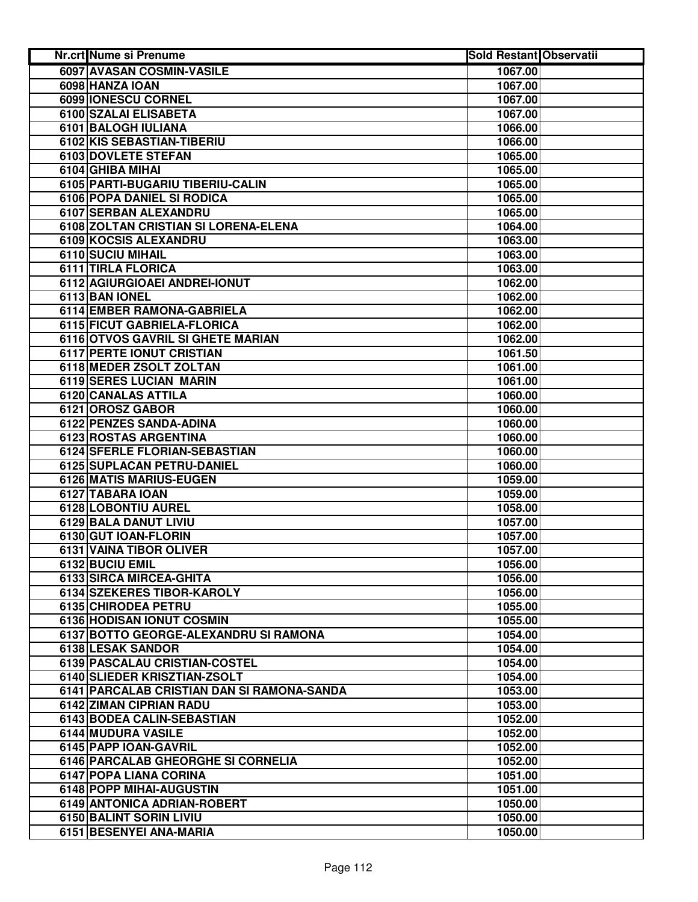| <b>Nr.crt Nume si Prenume</b>              | <b>Sold Restant Observatii</b> |  |
|--------------------------------------------|--------------------------------|--|
| 6097 AVASAN COSMIN-VASILE                  | 1067.00                        |  |
| 6098 HANZA IOAN                            | 1067.00                        |  |
| 6099 IONESCU CORNEL                        | 1067.00                        |  |
| 6100 SZALAI ELISABETA                      | 1067.00                        |  |
| 6101 BALOGH IULIANA                        | 1066.00                        |  |
| 6102 KIS SEBASTIAN-TIBERIU                 | 1066.00                        |  |
| 6103 DOVLETE STEFAN                        | 1065.00                        |  |
| 6104 GHIBA MIHAI                           | 1065.00                        |  |
| 6105 PARTI-BUGARIU TIBERIU-CALIN           | 1065.00                        |  |
| 6106 POPA DANIEL SI RODICA                 | 1065.00                        |  |
| 6107 SERBAN ALEXANDRU                      | 1065.00                        |  |
| 6108 ZOLTAN CRISTIAN SI LORENA-ELENA       | 1064.00                        |  |
| 6109 KOCSIS ALEXANDRU                      | 1063.00                        |  |
| 6110 SUCIU MIHAIL                          | 1063.00                        |  |
| 6111 TIRLA FLORICA                         | 1063.00                        |  |
| 6112 AGIURGIOAEI ANDREI-IONUT              | 1062.00                        |  |
| 6113 BAN IONEL                             | 1062.00                        |  |
| 6114 EMBER RAMONA-GABRIELA                 | 1062.00                        |  |
| 6115 FICUT GABRIELA-FLORICA                | 1062.00                        |  |
| 6116 OTVOS GAVRIL SI GHETE MARIAN          | 1062.00                        |  |
| <b>6117 PERTE IONUT CRISTIAN</b>           | 1061.50                        |  |
| <b>6118 MEDER ZSOLT ZOLTAN</b>             | 1061.00                        |  |
| 6119 SERES LUCIAN MARIN                    | 1061.00                        |  |
| 6120 CANALAS ATTILA                        | 1060.00                        |  |
| 6121 OROSZ GABOR                           | 1060.00                        |  |
| 6122 PENZES SANDA-ADINA                    | 1060.00                        |  |
| 6123 ROSTAS ARGENTINA                      | 1060.00                        |  |
| 6124 SFERLE FLORIAN-SEBASTIAN              | 1060.00                        |  |
| 6125 SUPLACAN PETRU-DANIEL                 | 1060.00                        |  |
| 6126 MATIS MARIUS-EUGEN                    | 1059.00                        |  |
| 6127 TABARA IOAN                           | 1059.00                        |  |
| 6128 LOBONTIU AUREL                        | 1058.00                        |  |
| 6129 BALA DANUT LIVIU                      | 1057.00                        |  |
| 6130 GUT IOAN-FLORIN                       | 1057.00                        |  |
| 6131 VAINA TIBOR OLIVER                    | 1057.00                        |  |
| 6132 BUCIU EMIL                            | 1056.00                        |  |
| 6133 SIRCA MIRCEA-GHITA                    | 1056.00                        |  |
| 6134 SZEKERES TIBOR-KAROLY                 | 1056.00                        |  |
| 6135 CHIRODEA PETRU                        | 1055.00                        |  |
| 6136 HODISAN IONUT COSMIN                  | 1055.00                        |  |
| 6137 BOTTO GEORGE-ALEXANDRU SI RAMONA      | 1054.00                        |  |
| 6138 LESAK SANDOR                          | 1054.00                        |  |
| 6139 PASCALAU CRISTIAN-COSTEL              | 1054.00                        |  |
| 6140 SLIEDER KRISZTIAN-ZSOLT               | 1054.00                        |  |
| 6141 PARCALAB CRISTIAN DAN SI RAMONA-SANDA | 1053.00                        |  |
| 6142 ZIMAN CIPRIAN RADU                    | 1053.00                        |  |
| 6143 BODEA CALIN-SEBASTIAN                 | 1052.00                        |  |
| 6144 MUDURA VASILE                         | 1052.00                        |  |
| 6145 PAPP IOAN-GAVRIL                      | 1052.00                        |  |
| 6146 PARCALAB GHEORGHE SI CORNELIA         | 1052.00                        |  |
| 6147 POPA LIANA CORINA                     | 1051.00                        |  |
| 6148 POPP MIHAI-AUGUSTIN                   | 1051.00                        |  |
| 6149 ANTONICA ADRIAN-ROBERT                | 1050.00                        |  |
| 6150 BALINT SORIN LIVIU                    | 1050.00                        |  |
| 6151 BESENYEI ANA-MARIA                    | 1050.00                        |  |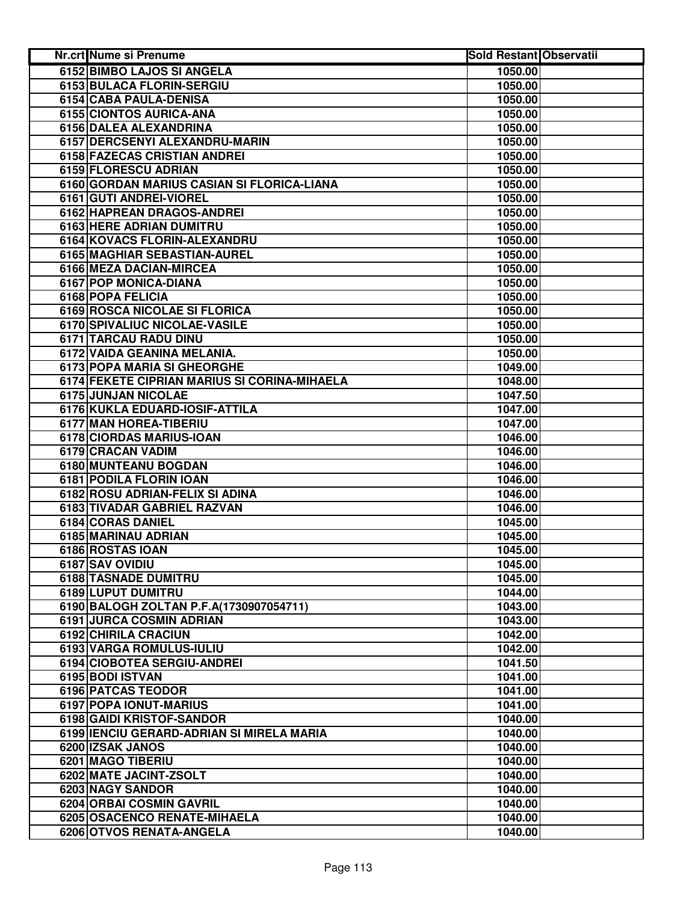| <b>Nr.crt Nume si Prenume</b>                | <b>Sold Restant Observatii</b> |  |
|----------------------------------------------|--------------------------------|--|
| <b>6152 BIMBO LAJOS SI ANGELA</b>            | 1050.00                        |  |
| 6153 BULACA FLORIN-SERGIU                    | 1050.00                        |  |
| 6154 CABA PAULA-DENISA                       | 1050.00                        |  |
| 6155 CIONTOS AURICA-ANA                      | 1050.00                        |  |
| 6156 DALEA ALEXANDRINA                       | 1050.00                        |  |
| 6157 DERCSENYI ALEXANDRU-MARIN               | 1050.00                        |  |
| 6158 FAZECAS CRISTIAN ANDREI                 | 1050.00                        |  |
| 6159 FLORESCU ADRIAN                         | 1050.00                        |  |
| 6160 GORDAN MARIUS CASIAN SI FLORICA-LIANA   | 1050.00                        |  |
| 6161 GUTI ANDREI-VIOREL                      | 1050.00                        |  |
| 6162 HAPREAN DRAGOS-ANDREI                   | 1050.00                        |  |
| 6163 HERE ADRIAN DUMITRU                     | 1050.00                        |  |
| 6164 KOVACS FLORIN-ALEXANDRU                 | 1050.00                        |  |
| 6165 MAGHIAR SEBASTIAN-AUREL                 | 1050.00                        |  |
| 6166 MEZA DACIAN-MIRCEA                      | 1050.00                        |  |
| 6167 POP MONICA-DIANA                        | 1050.00                        |  |
| 6168 POPA FELICIA                            | 1050.00                        |  |
| 6169 ROSCA NICOLAE SI FLORICA                | 1050.00                        |  |
| 6170 SPIVALIUC NICOLAE-VASILE                | 1050.00                        |  |
| 6171 TARCAU RADU DINU                        | 1050.00                        |  |
| 6172 VAIDA GEANINA MELANIA.                  | 1050.00                        |  |
| <b>6173 POPA MARIA SI GHEORGHE</b>           | 1049.00                        |  |
| 6174 FEKETE CIPRIAN MARIUS SI CORINA-MIHAELA | 1048.00                        |  |
| 6175 JUNJAN NICOLAE                          | 1047.50                        |  |
| 6176 KUKLA EDUARD-IOSIF-ATTILA               | 1047.00                        |  |
| 6177 MAN HOREA-TIBERIU                       | 1047.00                        |  |
| 6178 CIORDAS MARIUS-IOAN                     | 1046.00                        |  |
| 6179 CRACAN VADIM                            | 1046.00                        |  |
| 6180 MUNTEANU BOGDAN                         | 1046.00                        |  |
| 6181 PODILA FLORIN IOAN                      | 1046.00                        |  |
| 6182 ROSU ADRIAN-FELIX SI ADINA              | 1046.00                        |  |
| 6183 TIVADAR GABRIEL RAZVAN                  | 1046.00                        |  |
| 6184 CORAS DANIEL                            | 1045.00                        |  |
| 6185 MARINAU ADRIAN                          | 1045.00                        |  |
| 6186 ROSTAS IOAN                             | 1045.00                        |  |
| 6187 SAV OVIDIU                              | 1045.00                        |  |
| 6188 TASNADE DUMITRU                         | 1045.00                        |  |
| 6189 LUPUT DUMITRU                           | 1044.00                        |  |
| 6190 BALOGH ZOLTAN P.F.A(1730907054711)      | 1043.00                        |  |
| <b>6191 JURCA COSMIN ADRIAN</b>              | 1043.00                        |  |
| 6192 CHIRILA CRACIUN                         | 1042.00                        |  |
| 6193 VARGA ROMULUS-IULIU                     | 1042.00                        |  |
| 6194 CIOBOTEA SERGIU-ANDREI                  | 1041.50                        |  |
| 6195 BODI ISTVAN                             | 1041.00                        |  |
| 6196 PATCAS TEODOR                           | 1041.00                        |  |
| 6197 POPA IONUT-MARIUS                       | 1041.00                        |  |
| 6198 GAIDI KRISTOF-SANDOR                    | 1040.00                        |  |
| 6199 IENCIU GERARD-ADRIAN SI MIRELA MARIA    | 1040.00                        |  |
| 6200 IZSAK JANOS                             | 1040.00                        |  |
| 6201 MAGO TIBERIU                            | 1040.00                        |  |
| 6202 MATE JACINT-ZSOLT                       | 1040.00                        |  |
| 6203 NAGY SANDOR                             | 1040.00                        |  |
| 6204 ORBAI COSMIN GAVRIL                     | 1040.00                        |  |
| 6205 OSACENCO RENATE-MIHAELA                 | 1040.00                        |  |
| 6206 OTVOS RENATA-ANGELA                     | 1040.00                        |  |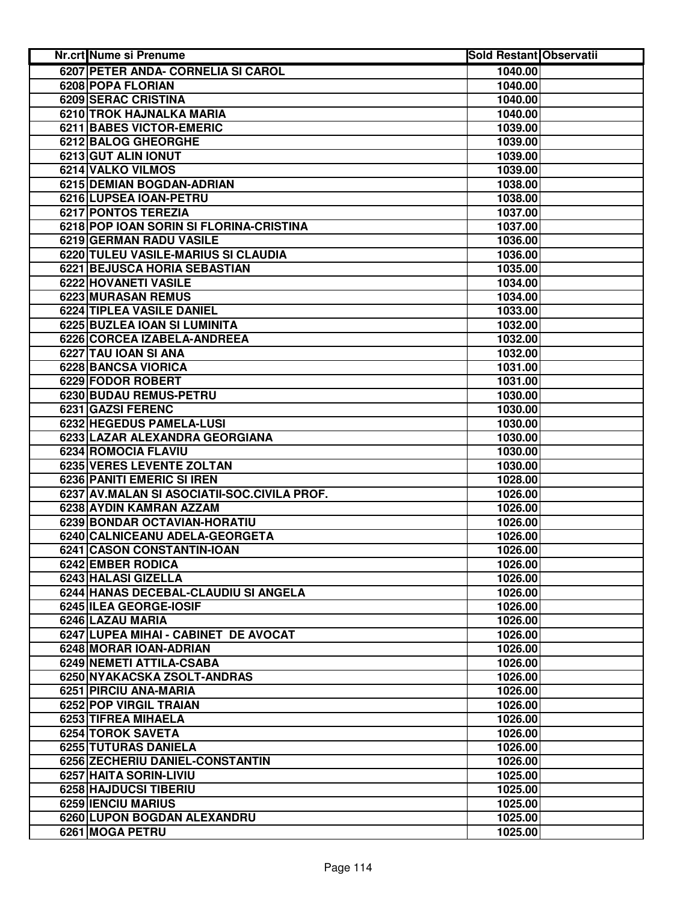| <b>Nr.crt Nume si Prenume</b>               | <b>Sold Restant Observatii</b> |  |
|---------------------------------------------|--------------------------------|--|
| 6207 PETER ANDA- CORNELIA SI CAROL          | 1040.00                        |  |
| 6208 POPA FLORIAN                           | 1040.00                        |  |
| 6209 SERAC CRISTINA                         | 1040.00                        |  |
| 6210 TROK HAJNALKA MARIA                    | 1040.00                        |  |
| 6211 BABES VICTOR-EMERIC                    | 1039.00                        |  |
| 6212 BALOG GHEORGHE                         | 1039.00                        |  |
| 6213 GUT ALIN IONUT                         | 1039.00                        |  |
| 6214 VALKO VILMOS                           | 1039.00                        |  |
| 6215 DEMIAN BOGDAN-ADRIAN                   | 1038.00                        |  |
| 6216 LUPSEA IOAN-PETRU                      | 1038.00                        |  |
| 6217 PONTOS TEREZIA                         | 1037.00                        |  |
| 6218 POP IOAN SORIN SI FLORINA-CRISTINA     | 1037.00                        |  |
| 6219 GERMAN RADU VASILE                     | 1036.00                        |  |
| 6220 TULEU VASILE-MARIUS SI CLAUDIA         | 1036.00                        |  |
| 6221 BEJUSCA HORIA SEBASTIAN                | 1035.00                        |  |
| 6222 HOVANETI VASILE                        | 1034.00                        |  |
| <b>6223 MURASAN REMUS</b>                   | 1034.00                        |  |
| 6224 TIPLEA VASILE DANIEL                   | 1033.00                        |  |
| 6225 BUZLEA IOAN SI LUMINITA                | 1032.00                        |  |
| 6226 CORCEA IZABELA-ANDREEA                 | 1032.00                        |  |
| 6227 TAU IOAN SI ANA                        | 1032.00                        |  |
| 6228 BANCSA VIORICA                         | 1031.00                        |  |
| 6229 FODOR ROBERT                           | 1031.00                        |  |
| 6230 BUDAU REMUS-PETRU                      | 1030.00                        |  |
| 6231 GAZSI FERENC                           | 1030.00                        |  |
| 6232 HEGEDUS PAMELA-LUSI                    | 1030.00                        |  |
| 6233 LAZAR ALEXANDRA GEORGIANA              | 1030.00                        |  |
| 6234 ROMOCIA FLAVIU                         | 1030.00                        |  |
| 6235 VERES LEVENTE ZOLTAN                   | 1030.00                        |  |
| 6236 PANITI EMERIC SI IREN                  | 1028.00                        |  |
| 6237 AV.MALAN SI ASOCIATII-SOC.CIVILA PROF. | 1026.00                        |  |
| 6238 AYDIN KAMRAN AZZAM                     | 1026.00                        |  |
| 6239 BONDAR OCTAVIAN-HORATIU                | 1026.00                        |  |
| 6240 CALNICEANU ADELA-GEORGETA              | 1026.00                        |  |
| 6241 CASON CONSTANTIN-IOAN                  | 1026.00                        |  |
| 6242 EMBER RODICA                           | 1026.00                        |  |
| 6243 HALASI GIZELLA                         | 1026.00                        |  |
| 6244 HANAS DECEBAL-CLAUDIU SI ANGELA        | 1026.00                        |  |
| 6245 ILEA GEORGE-IOSIF                      | 1026.00                        |  |
| 6246 LAZAU MARIA                            | 1026.00                        |  |
| 6247 LUPEA MIHAI - CABINET DE AVOCAT        | 1026.00                        |  |
| 6248 MORAR IOAN-ADRIAN                      | 1026.00                        |  |
| 6249 NEMETI ATTILA-CSABA                    | 1026.00                        |  |
| 6250 NYAKACSKA ZSOLT-ANDRAS                 | 1026.00                        |  |
| 6251 PIRCIU ANA-MARIA                       | 1026.00                        |  |
| 6252 POP VIRGIL TRAIAN                      | 1026.00                        |  |
| 6253 TIFREA MIHAELA                         | 1026.00                        |  |
| 6254 TOROK SAVETA                           | 1026.00                        |  |
| 6255 TUTURAS DANIELA                        | 1026.00                        |  |
| 6256 ZECHERIU DANIEL-CONSTANTIN             | 1026.00                        |  |
| 6257 HAITA SORIN-LIVIU                      | 1025.00                        |  |
| 6258 HAJDUCSI TIBERIU                       | 1025.00                        |  |
| 6259 IENCIU MARIUS                          | 1025.00                        |  |
| 6260 LUPON BOGDAN ALEXANDRU                 | 1025.00                        |  |
| 6261 MOGA PETRU                             | 1025.00                        |  |
|                                             |                                |  |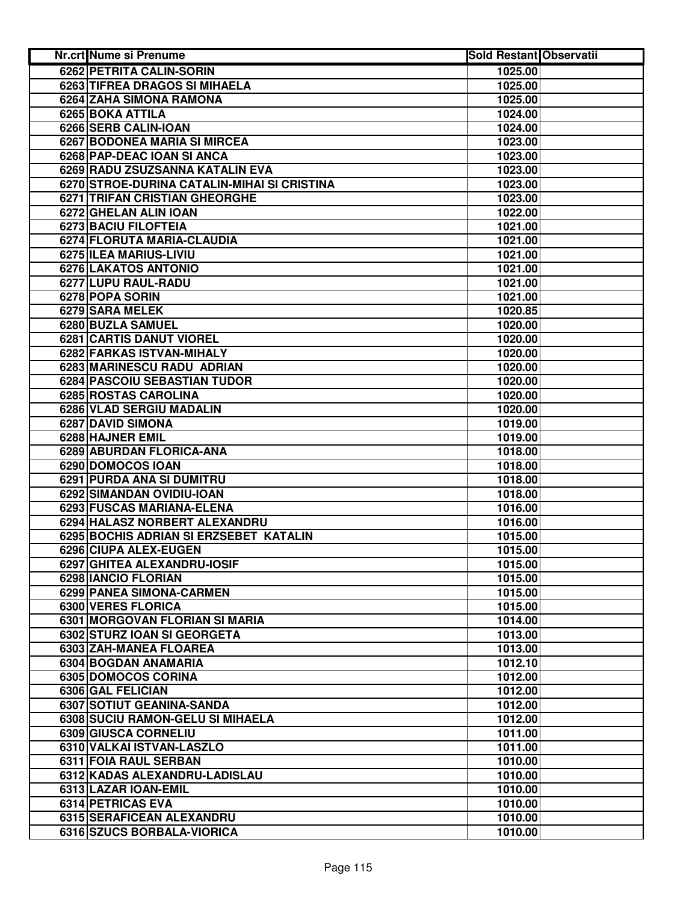| <b>Nr.crt Nume si Prenume</b>               | <b>Sold Restant Observatii</b> |  |
|---------------------------------------------|--------------------------------|--|
| 6262 PETRITA CALIN-SORIN                    | 1025.00                        |  |
| 6263 TIFREA DRAGOS SI MIHAELA               | 1025.00                        |  |
| 6264 ZAHA SIMONA RAMONA                     | 1025.00                        |  |
| 6265 BOKA ATTILA                            | 1024.00                        |  |
| 6266 SERB CALIN-IOAN                        | 1024.00                        |  |
| 6267 BODONEA MARIA SI MIRCEA                | 1023.00                        |  |
| 6268 PAP-DEAC IOAN SI ANCA                  | 1023.00                        |  |
| 6269 RADU ZSUZSANNA KATALIN EVA             | 1023.00                        |  |
| 6270 STROE-DURINA CATALIN-MIHAI SI CRISTINA | 1023.00                        |  |
| 6271 TRIFAN CRISTIAN GHEORGHE               | 1023.00                        |  |
| 6272 GHELAN ALIN IOAN                       | 1022.00                        |  |
| 6273 BACIU FILOFTEIA                        | 1021.00                        |  |
| 6274 FLORUTA MARIA-CLAUDIA                  | 1021.00                        |  |
| 6275 ILEA MARIUS-LIVIU                      | 1021.00                        |  |
| 6276 LAKATOS ANTONIO                        | 1021.00                        |  |
| 6277 LUPU RAUL-RADU                         | 1021.00                        |  |
| 6278 POPA SORIN                             | 1021.00                        |  |
| 6279 SARA MELEK                             | 1020.85                        |  |
| 6280 BUZLA SAMUEL                           | 1020.00                        |  |
| 6281 CARTIS DANUT VIOREL                    | 1020.00                        |  |
| 6282 FARKAS ISTVAN-MIHALY                   | 1020.00                        |  |
| 6283 MARINESCU RADU ADRIAN                  | 1020.00                        |  |
| <b>6284 PASCOIU SEBASTIAN TUDOR</b>         | 1020.00                        |  |
| 6285 ROSTAS CAROLINA                        | 1020.00                        |  |
| 6286 VLAD SERGIU MADALIN                    | 1020.00                        |  |
| <b>6287 DAVID SIMONA</b>                    | 1019.00                        |  |
| 6288 HAJNER EMIL                            | 1019.00                        |  |
| 6289 ABURDAN FLORICA-ANA                    | 1018.00                        |  |
| 6290 DOMOCOS IOAN                           | 1018.00                        |  |
| 6291 PURDA ANA SI DUMITRU                   | 1018.00                        |  |
| 6292 SIMANDAN OVIDIU-IOAN                   | 1018.00                        |  |
| 6293 FUSCAS MARIANA-ELENA                   | 1016.00                        |  |
| 6294 HALASZ NORBERT ALEXANDRU               | 1016.00                        |  |
| 6295 BOCHIS ADRIAN SI ERZSEBET KATALIN      | 1015.00                        |  |
| 6296 CIUPA ALEX-EUGEN                       | 1015.00                        |  |
| 6297 GHITEA ALEXANDRU-IOSIF                 | 1015.00                        |  |
| 6298 IANCIO FLORIAN                         | 1015.00                        |  |
| 6299 PANEA SIMONA-CARMEN                    | 1015.00                        |  |
| 6300 VERES FLORICA                          | 1015.00                        |  |
| 6301 MORGOVAN FLORIAN SI MARIA              | 1014.00                        |  |
| 6302 STURZ IOAN SI GEORGETA                 | 1013.00                        |  |
| 6303 ZAH-MANEA FLOAREA                      | 1013.00                        |  |
| 6304 BOGDAN ANAMARIA                        | 1012.10                        |  |
| 6305 DOMOCOS CORINA                         | 1012.00                        |  |
| 6306 GAL FELICIAN                           | 1012.00                        |  |
| 6307 SOTIUT GEANINA-SANDA                   | 1012.00                        |  |
| 6308 SUCIU RAMON-GELU SI MIHAELA            | 1012.00                        |  |
| 6309 GIUSCA CORNELIU                        | 1011.00                        |  |
| 6310 VALKAI ISTVAN-LASZLO                   | 1011.00                        |  |
| 6311 FOIA RAUL SERBAN                       | 1010.00                        |  |
| 6312 KADAS ALEXANDRU-LADISLAU               | 1010.00                        |  |
| 6313 LAZAR IOAN-EMIL                        | 1010.00                        |  |
| 6314 PETRICAS EVA                           | 1010.00                        |  |
| 6315 SERAFICEAN ALEXANDRU                   | 1010.00                        |  |
| 6316 SZUCS BORBALA-VIORICA                  | 1010.00                        |  |
|                                             |                                |  |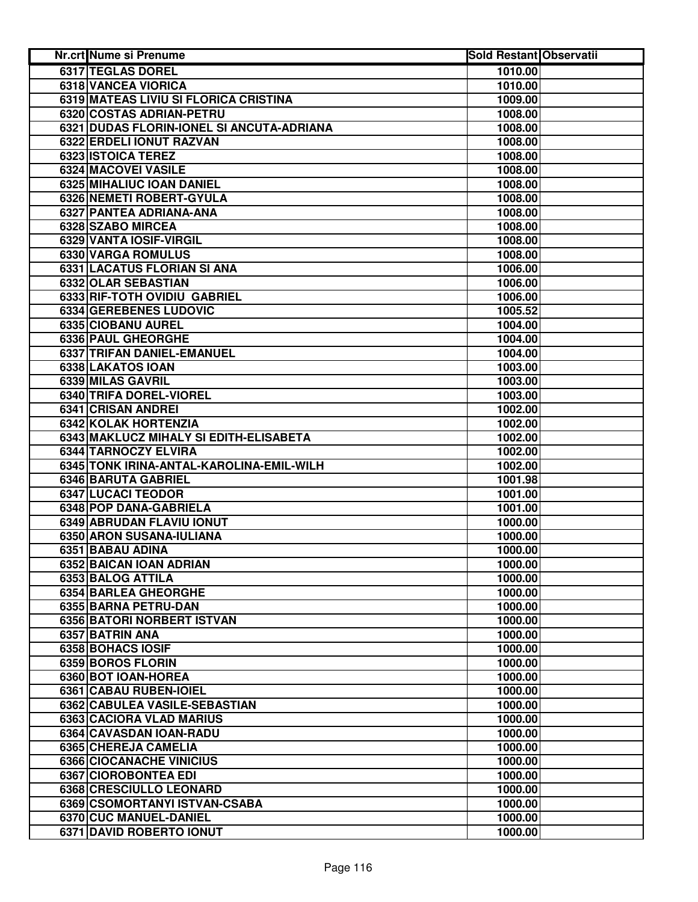| Nr.crt Nume si Prenume                           | <b>Sold Restant Observatii</b> |  |
|--------------------------------------------------|--------------------------------|--|
| 6317 TEGLAS DOREL                                | 1010.00                        |  |
| 6318 VANCEA VIORICA                              | 1010.00                        |  |
| 6319 MATEAS LIVIU SI FLORICA CRISTINA            | 1009.00                        |  |
| 6320 COSTAS ADRIAN-PETRU                         | 1008.00                        |  |
| 6321 DUDAS FLORIN-IONEL SI ANCUTA-ADRIANA        | 1008.00                        |  |
| 6322 ERDELI IONUT RAZVAN                         | 1008.00                        |  |
| 6323 ISTOICA TEREZ                               | 1008.00                        |  |
| 6324 MACOVEI VASILE                              | 1008.00                        |  |
| 6325 MIHALIUC IOAN DANIEL                        | 1008.00                        |  |
| 6326 NEMETI ROBERT-GYULA                         | 1008.00                        |  |
| 6327 PANTEA ADRIANA-ANA                          | 1008.00                        |  |
| 6328 SZABO MIRCEA                                | 1008.00                        |  |
| 6329 VANTA IOSIF-VIRGIL                          | 1008.00                        |  |
| 6330 VARGA ROMULUS                               | 1008.00                        |  |
| 6331 LACATUS FLORIAN SI ANA                      | 1006.00                        |  |
| 6332 OLAR SEBASTIAN                              | 1006.00                        |  |
| 6333 RIF-TOTH OVIDIU GABRIEL                     | 1006.00                        |  |
| 6334 GEREBENES LUDOVIC                           | 1005.52                        |  |
| 6335 CIOBANU AUREL                               | 1004.00                        |  |
| 6336 PAUL GHEORGHE                               | 1004.00                        |  |
| <b>6337 TRIFAN DANIEL-EMANUEL</b>                | 1004.00                        |  |
| 6338 LAKATOS IOAN                                | 1003.00                        |  |
| 6339 MILAS GAVRIL                                | 1003.00                        |  |
| 6340 TRIFA DOREL-VIOREL                          | 1003.00                        |  |
| 6341 CRISAN ANDREI                               | 1002.00                        |  |
| <b>6342 KOLAK HORTENZIA</b>                      | 1002.00                        |  |
| 6343 MAKLUCZ MIHALY SI EDITH-ELISABETA           | 1002.00                        |  |
| 6344 TARNOCZY ELVIRA                             | 1002.00                        |  |
| 6345 TONK IRINA-ANTAL-KAROLINA-EMIL-WILH         | 1002.00                        |  |
| 6346 BARUTA GABRIEL                              | 1001.98                        |  |
| 6347 LUCACI TEODOR                               | 1001.00                        |  |
| 6348 POP DANA-GABRIELA                           | 1001.00                        |  |
| 6349 ABRUDAN FLAVIU IONUT                        | 1000.00                        |  |
| 6350 ARON SUSANA-IULIANA                         | 1000.00                        |  |
| 6351 BABAU ADINA                                 | 1000.00                        |  |
| 6352 BAICAN IOAN ADRIAN                          | 1000.00                        |  |
| 6353 BALOG ATTILA                                | 1000.00                        |  |
| 6354 BARLEA GHEORGHE                             | 1000.00                        |  |
| 6355 BARNA PETRU-DAN                             | 1000.00                        |  |
| 6356 BATORI NORBERT ISTVAN                       | 1000.00                        |  |
| 6357 BATRIN ANA                                  | 1000.00                        |  |
| 6358 BOHACS IOSIF                                | 1000.00                        |  |
| 6359 BOROS FLORIN                                | 1000.00                        |  |
| 6360 BOT IOAN-HOREA                              | 1000.00                        |  |
| 6361 CABAU RUBEN-IOIEL                           | 1000.00                        |  |
| 6362 CABULEA VASILE-SEBASTIAN                    | 1000.00                        |  |
| 6363 CACIORA VLAD MARIUS                         | 1000.00                        |  |
| 6364 CAVASDAN IOAN-RADU                          | 1000.00                        |  |
| 6365 CHEREJA CAMELIA                             | 1000.00                        |  |
| 6366 CIOCANACHE VINICIUS<br>6367 CIOROBONTEA EDI | 1000.00<br>1000.00             |  |
| 6368 CRESCIULLO LEONARD                          | 1000.00                        |  |
|                                                  |                                |  |
| 6369 CSOMORTANYI ISTVAN-CSABA                    | 1000.00                        |  |
| 6370 CUC MANUEL-DANIEL                           | 1000.00                        |  |
| 6371 DAVID ROBERTO IONUT                         | 1000.00                        |  |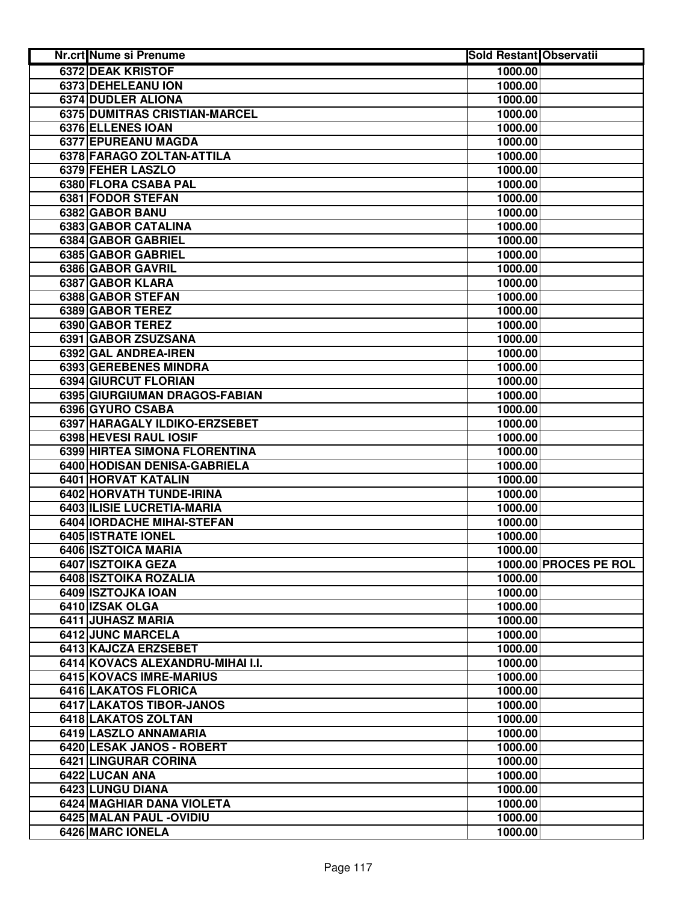| Nr.crt Nume si Prenume           | <b>Sold Restant Observatii</b> |                       |
|----------------------------------|--------------------------------|-----------------------|
| <b>6372 DEAK KRISTOF</b>         | 1000.00                        |                       |
| 6373 DEHELEANU ION               | 1000.00                        |                       |
| 6374 DUDLER ALIONA               | 1000.00                        |                       |
| 6375 DUMITRAS CRISTIAN-MARCEL    | 1000.00                        |                       |
| 6376 ELLENES IOAN                | 1000.00                        |                       |
| 6377 EPUREANU MAGDA              | 1000.00                        |                       |
| 6378 FARAGO ZOLTAN-ATTILA        | 1000.00                        |                       |
| 6379 FEHER LASZLO                | 1000.00                        |                       |
| 6380 FLORA CSABA PAL             | 1000.00                        |                       |
| 6381 FODOR STEFAN                | 1000.00                        |                       |
| 6382 GABOR BANU                  | 1000.00                        |                       |
| 6383 GABOR CATALINA              | 1000.00                        |                       |
| 6384 GABOR GABRIEL               | 1000.00                        |                       |
| 6385 GABOR GABRIEL               | 1000.00                        |                       |
| 6386 GABOR GAVRIL                | 1000.00                        |                       |
| 6387 GABOR KLARA                 | 1000.00                        |                       |
| 6388 GABOR STEFAN                | 1000.00                        |                       |
| 6389 GABOR TEREZ                 | 1000.00                        |                       |
| 6390 GABOR TEREZ                 | 1000.00                        |                       |
| 6391 GABOR ZSUZSANA              | 1000.00                        |                       |
| 6392 GAL ANDREA-IREN             | 1000.00                        |                       |
| 6393 GEREBENES MINDRA            | 1000.00                        |                       |
| 6394 GIURCUT FLORIAN             | 1000.00                        |                       |
| 6395 GIURGIUMAN DRAGOS-FABIAN    | 1000.00                        |                       |
| 6396 GYURO CSABA                 | 1000.00                        |                       |
| 6397 HARAGALY ILDIKO-ERZSEBET    | 1000.00                        |                       |
| 6398 HEVESI RAUL IOSIF           | 1000.00                        |                       |
| 6399 HIRTEA SIMONA FLORENTINA    | 1000.00                        |                       |
| 6400 HODISAN DENISA-GABRIELA     | 1000.00                        |                       |
| 6401 HORVAT KATALIN              | 1000.00                        |                       |
| 6402 HORVATH TUNDE-IRINA         | 1000.00                        |                       |
| 6403 ILISIE LUCRETIA-MARIA       | 1000.00                        |                       |
| 6404   IORDACHE MIHAI-STEFAN     | 1000.00                        |                       |
| 6405 ISTRATE IONEL               | 1000.00                        |                       |
| 6406 ISZTOICA MARIA              | 1000.00                        |                       |
| 6407 ISZTOIKA GEZA               |                                | 1000.00 PROCES PE ROL |
| 6408 ISZTOIKA ROZALIA            | 1000.00                        |                       |
| 6409 ISZTOJKA IOAN               | 1000.00                        |                       |
| 6410 IZSAK OLGA                  | 1000.00                        |                       |
| 6411 JUHASZ MARIA                | 1000.00                        |                       |
| 6412 JUNC MARCELA                | 1000.00                        |                       |
| 6413 KAJCZA ERZSEBET             | 1000.00                        |                       |
| 6414 KOVACS ALEXANDRU-MIHAI I.I. | 1000.00                        |                       |
| 6415 KOVACS IMRE-MARIUS          | 1000.00                        |                       |
| 6416 LAKATOS FLORICA             | 1000.00                        |                       |
| 6417 LAKATOS TIBOR-JANOS         | 1000.00                        |                       |
| 6418 LAKATOS ZOLTAN              | 1000.00                        |                       |
| 6419 LASZLO ANNAMARIA            | 1000.00                        |                       |
| 6420 LESAK JANOS - ROBERT        | 1000.00                        |                       |
| 6421 LINGURAR CORINA             | 1000.00                        |                       |
| 6422 LUCAN ANA                   | 1000.00                        |                       |
| 6423 LUNGU DIANA                 | 1000.00                        |                       |
| 6424 MAGHIAR DANA VIOLETA        | 1000.00                        |                       |
| 6425 MALAN PAUL - OVIDIU         | 1000.00                        |                       |
| 6426 MARC IONELA                 | 1000.00                        |                       |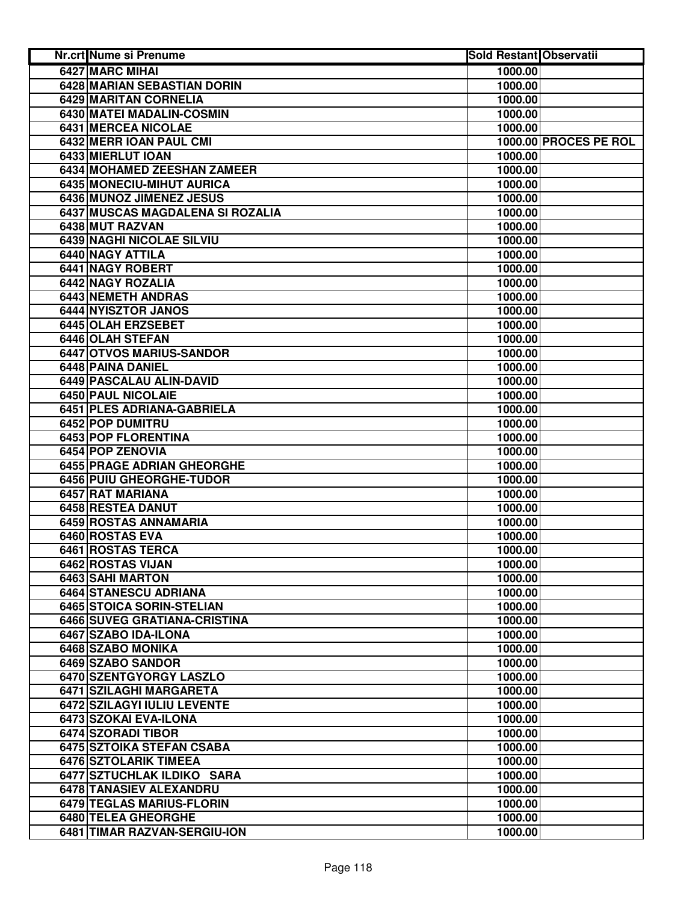| Nr.crt Nume si Prenume           | <b>Sold Restant Observatii</b> |                       |
|----------------------------------|--------------------------------|-----------------------|
| <b>6427 MARC MIHAI</b>           | 1000.00                        |                       |
| 6428 MARIAN SEBASTIAN DORIN      | 1000.00                        |                       |
| 6429 MARITAN CORNELIA            | 1000.00                        |                       |
| 6430 MATEI MADALIN-COSMIN        | 1000.00                        |                       |
| 6431 MERCEA NICOLAE              | 1000.00                        |                       |
| 6432 MERR IOAN PAUL CMI          |                                | 1000.00 PROCES PE ROL |
| 6433 MIERLUT IOAN                | 1000.00                        |                       |
| 6434 MOHAMED ZEESHAN ZAMEER      | 1000.00                        |                       |
| 6435 MONECIU-MIHUT AURICA        | 1000.00                        |                       |
| 6436 MUNOZ JIMENEZ JESUS         | 1000.00                        |                       |
| 6437 MUSCAS MAGDALENA SI ROZALIA | 1000.00                        |                       |
| 6438 MUT RAZVAN                  | 1000.00                        |                       |
| 6439 NAGHI NICOLAE SILVIU        | 1000.00                        |                       |
| 6440 NAGY ATTILA                 | 1000.00                        |                       |
| 6441 NAGY ROBERT                 | 1000.00                        |                       |
| 6442 NAGY ROZALIA                | 1000.00                        |                       |
| 6443 NEMETH ANDRAS               | 1000.00                        |                       |
| 6444 NYISZTOR JANOS              | 1000.00                        |                       |
| 6445 OLAH ERZSEBET               | 1000.00                        |                       |
| 6446 OLAH STEFAN                 | 1000.00                        |                       |
| 6447 OTVOS MARIUS-SANDOR         | 1000.00                        |                       |
| <b>6448 PAINA DANIEL</b>         | 1000.00                        |                       |
| 6449 PASCALAU ALIN-DAVID         | 1000.00                        |                       |
| <b>6450 PAUL NICOLAIE</b>        | 1000.00                        |                       |
| 6451 PLES ADRIANA-GABRIELA       | 1000.00                        |                       |
| 6452 POP DUMITRU                 | 1000.00                        |                       |
| 6453 POP FLORENTINA              | 1000.00                        |                       |
| 6454 POP ZENOVIA                 | 1000.00                        |                       |
| 6455 PRAGE ADRIAN GHEORGHE       | 1000.00                        |                       |
| 6456 PUIU GHEORGHE-TUDOR         | 1000.00                        |                       |
| 6457 RAT MARIANA                 | 1000.00                        |                       |
| 6458 RESTEA DANUT                | 1000.00                        |                       |
| 6459 ROSTAS ANNAMARIA            | 1000.00                        |                       |
| 6460 ROSTAS EVA                  | 1000.00                        |                       |
| 6461 ROSTAS TERCA                | 1000.00                        |                       |
| 6462 ROSTAS VIJAN                | 1000.00                        |                       |
| 6463 SAHI MARTON                 | 1000.00                        |                       |
| 6464 STANESCU ADRIANA            | 1000.00                        |                       |
| 6465 STOICA SORIN-STELIAN        | 1000.00                        |                       |
| 6466 SUVEG GRATIANA-CRISTINA     | 1000.00                        |                       |
| 6467 SZABO IDA-ILONA             | 1000.00                        |                       |
| 6468 SZABO MONIKA                | 1000.00                        |                       |
| 6469 SZABO SANDOR                | 1000.00                        |                       |
| 6470 SZENTGYORGY LASZLO          | 1000.00                        |                       |
| 6471 SZILAGHI MARGARETA          | 1000.00                        |                       |
| 6472 SZILAGYI IULIU LEVENTE      | 1000.00                        |                       |
| 6473 SZOKAI EVA-ILONA            | 1000.00                        |                       |
| 6474 SZORADI TIBOR               | 1000.00                        |                       |
| 6475 SZTOIKA STEFAN CSABA        | 1000.00                        |                       |
| 6476 SZTOLARIK TIMEEA            | 1000.00                        |                       |
| 6477 SZTUCHLAK ILDIKO SARA       | 1000.00                        |                       |
| 6478 TANASIEV ALEXANDRU          | 1000.00                        |                       |
| 6479 TEGLAS MARIUS-FLORIN        | 1000.00                        |                       |
| 6480 TELEA GHEORGHE              | 1000.00                        |                       |
| 6481 TIMAR RAZVAN-SERGIU-ION     | 1000.00                        |                       |
|                                  |                                |                       |